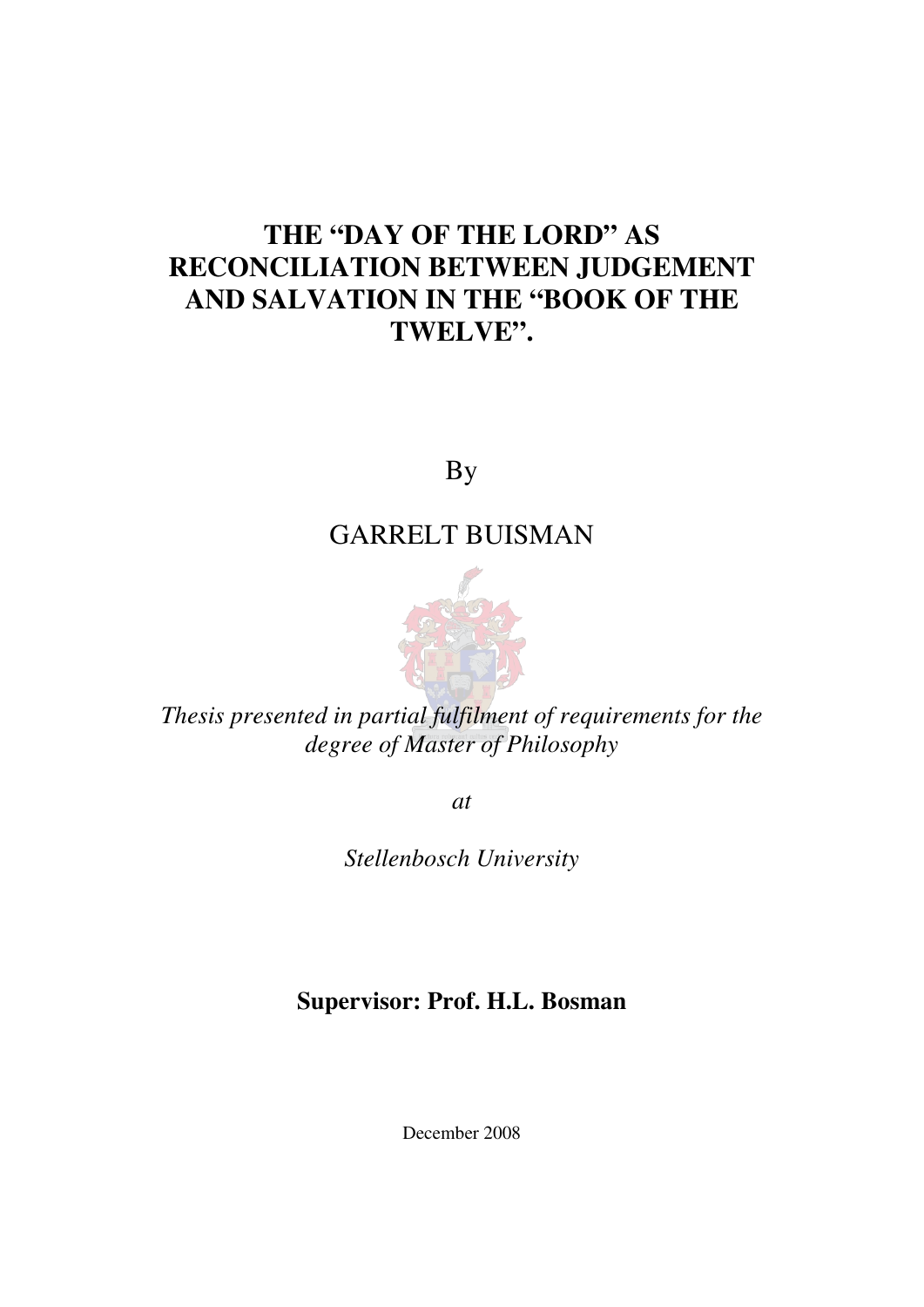# **THE "DAY OF THE LORD" AS RECONCILIATION BETWEEN JUDGEMENT AND SALVATION IN THE "BOOK OF THE TWELVE".**

By

## GARRELT BUISMAN



*Thesis presented in partial fulfilment of requirements for the degree of Master of Philosophy* 

*at* 

*Stellenbosch University* 

**Supervisor: Prof. H.L. Bosman** 

December 2008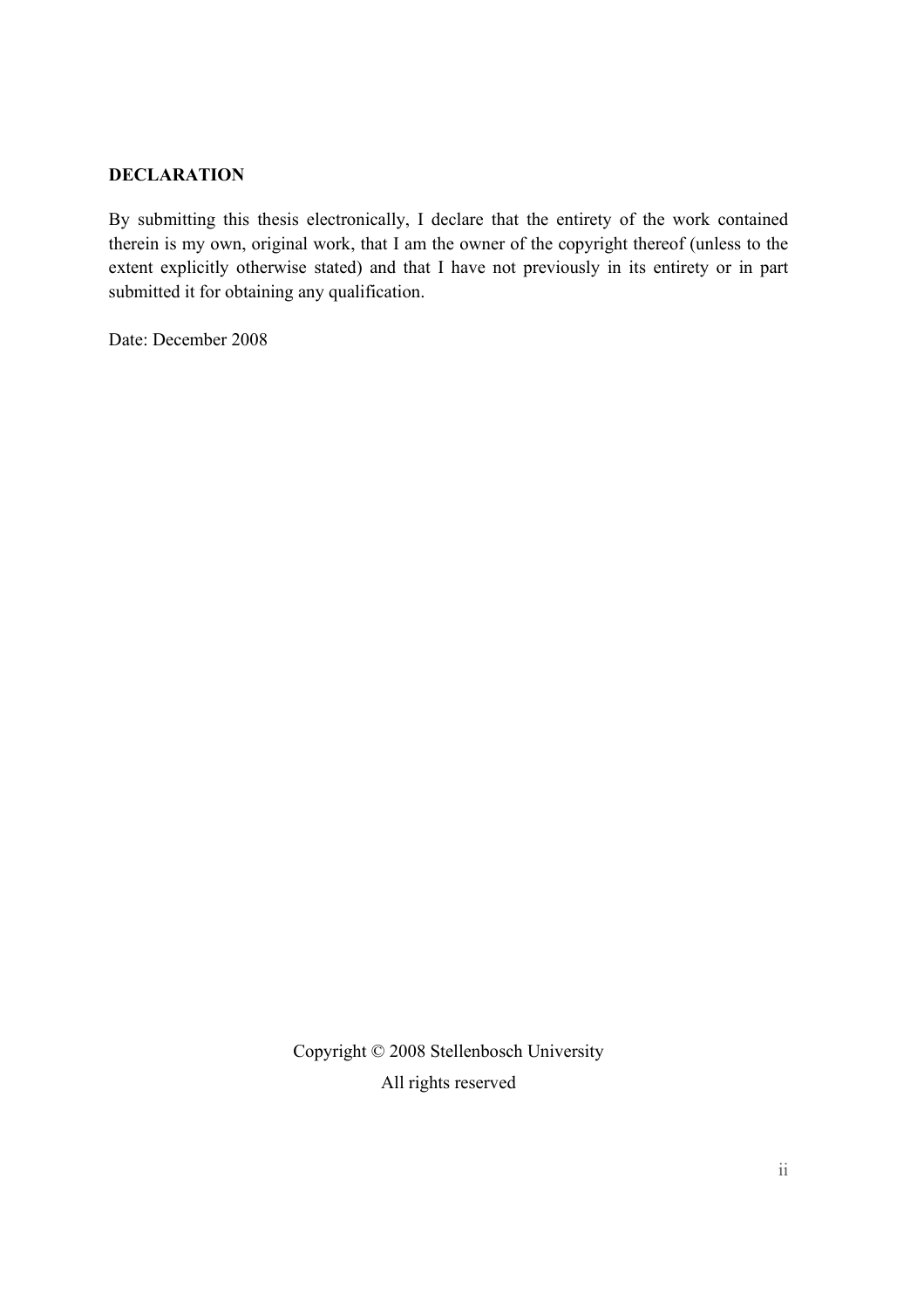#### **DECLARATION**

By submitting this thesis electronically, I declare that the entirety of the work contained therein is my own, original work, that I am the owner of the copyright thereof (unless to the extent explicitly otherwise stated) and that I have not previously in its entirety or in part submitted it for obtaining any qualification.

Date: December 2008

Copyright © 2008 Stellenbosch University All rights reserved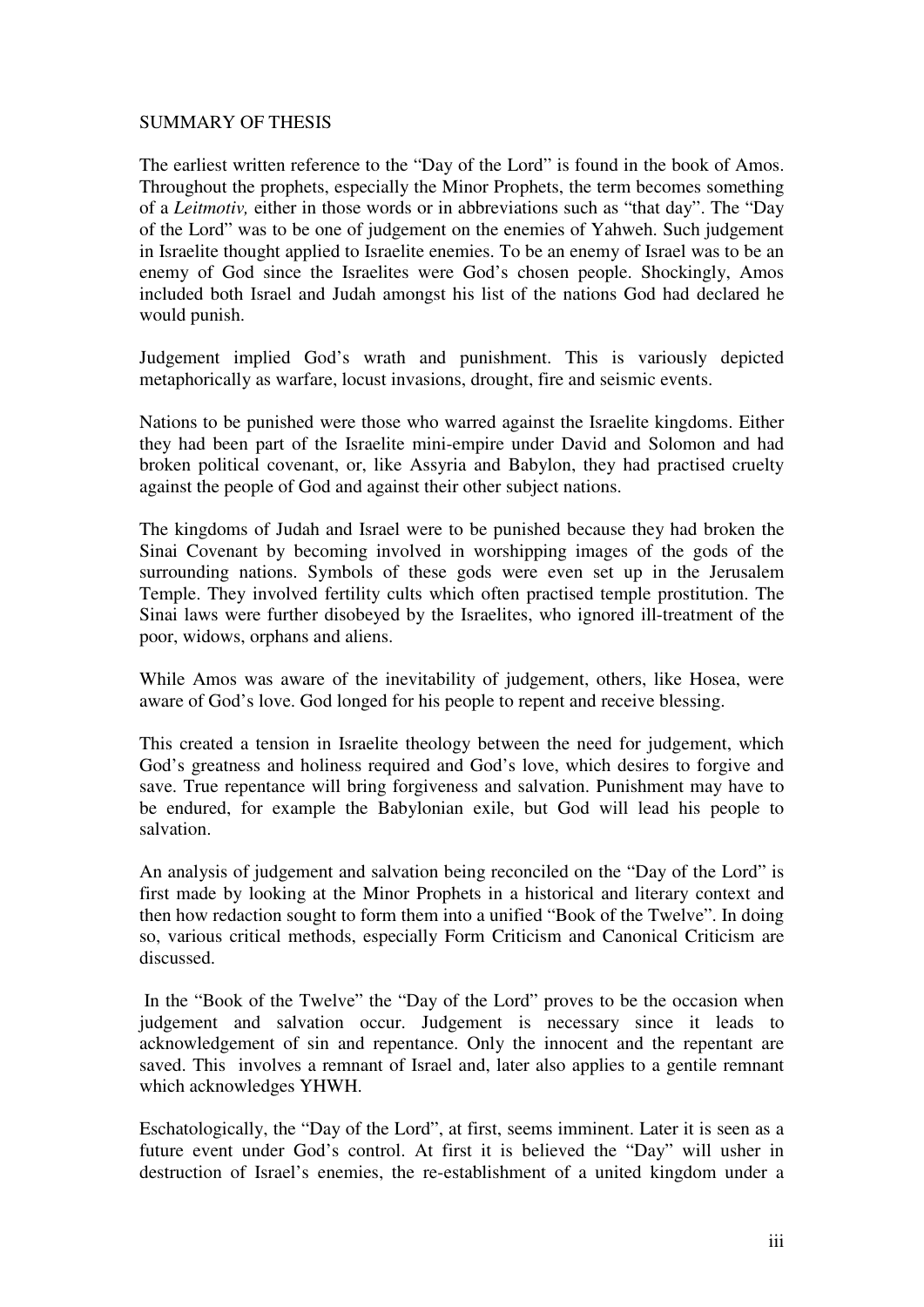#### SUMMARY OF THESIS

The earliest written reference to the "Day of the Lord" is found in the book of Amos. Throughout the prophets, especially the Minor Prophets, the term becomes something of a *Leitmotiv,* either in those words or in abbreviations such as "that day". The "Day of the Lord" was to be one of judgement on the enemies of Yahweh. Such judgement in Israelite thought applied to Israelite enemies. To be an enemy of Israel was to be an enemy of God since the Israelites were God's chosen people. Shockingly, Amos included both Israel and Judah amongst his list of the nations God had declared he would punish.

Judgement implied God's wrath and punishment. This is variously depicted metaphorically as warfare, locust invasions, drought, fire and seismic events.

Nations to be punished were those who warred against the Israelite kingdoms. Either they had been part of the Israelite mini-empire under David and Solomon and had broken political covenant, or, like Assyria and Babylon, they had practised cruelty against the people of God and against their other subject nations.

The kingdoms of Judah and Israel were to be punished because they had broken the Sinai Covenant by becoming involved in worshipping images of the gods of the surrounding nations. Symbols of these gods were even set up in the Jerusalem Temple. They involved fertility cults which often practised temple prostitution. The Sinai laws were further disobeyed by the Israelites, who ignored ill-treatment of the poor, widows, orphans and aliens.

While Amos was aware of the inevitability of judgement, others, like Hosea, were aware of God's love. God longed for his people to repent and receive blessing.

This created a tension in Israelite theology between the need for judgement, which God's greatness and holiness required and God's love, which desires to forgive and save. True repentance will bring forgiveness and salvation. Punishment may have to be endured, for example the Babylonian exile, but God will lead his people to salvation.

An analysis of judgement and salvation being reconciled on the "Day of the Lord" is first made by looking at the Minor Prophets in a historical and literary context and then how redaction sought to form them into a unified "Book of the Twelve". In doing so, various critical methods, especially Form Criticism and Canonical Criticism are discussed.

 In the "Book of the Twelve" the "Day of the Lord" proves to be the occasion when judgement and salvation occur. Judgement is necessary since it leads to acknowledgement of sin and repentance. Only the innocent and the repentant are saved. This involves a remnant of Israel and, later also applies to a gentile remnant which acknowledges YHWH.

Eschatologically, the "Day of the Lord", at first, seems imminent. Later it is seen as a future event under God's control. At first it is believed the "Day" will usher in destruction of Israel's enemies, the re-establishment of a united kingdom under a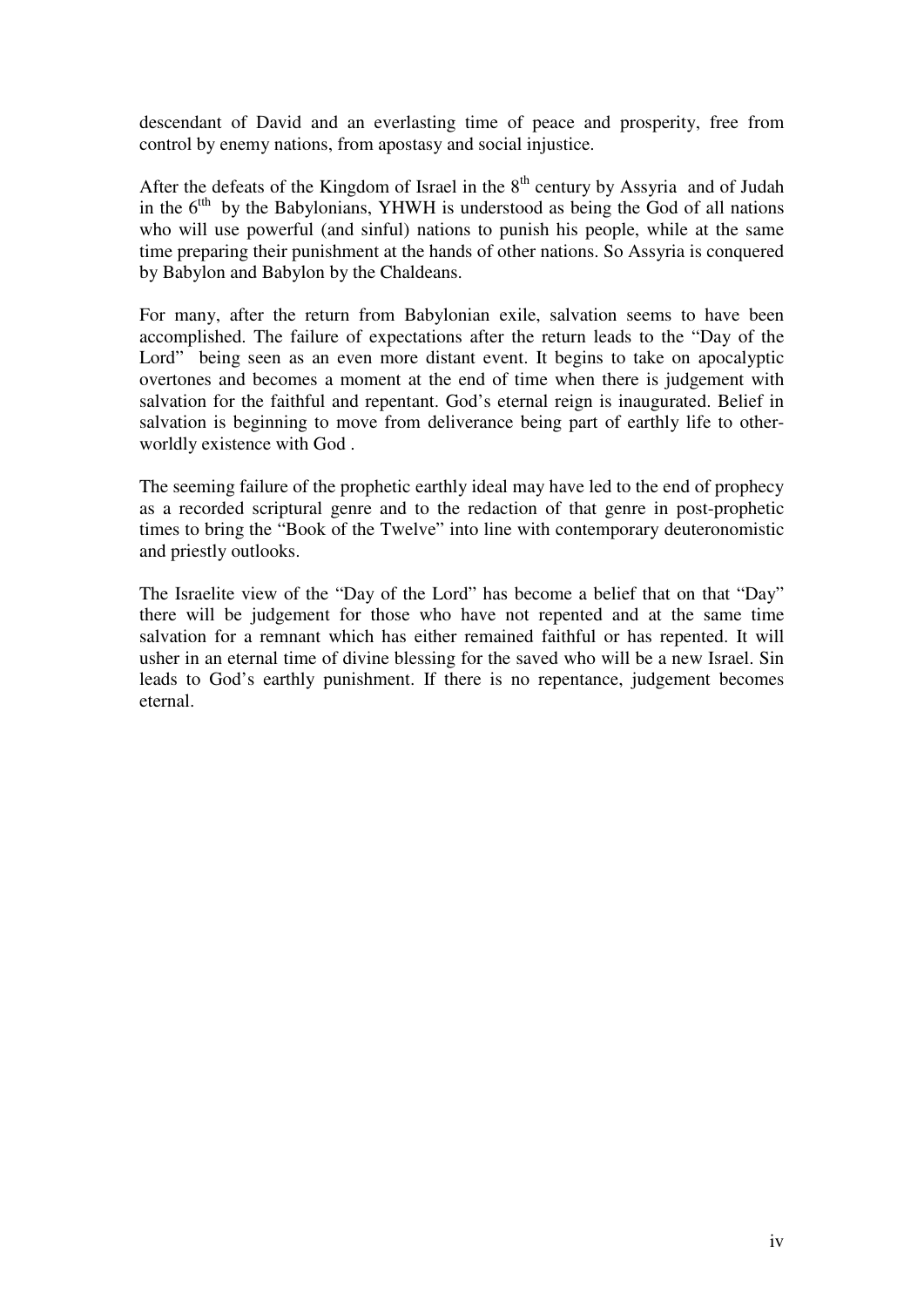descendant of David and an everlasting time of peace and prosperity, free from control by enemy nations, from apostasy and social injustice.

After the defeats of the Kingdom of Israel in the  $8<sup>th</sup>$  century by Assyria and of Judah in the  $6<sup>th</sup>$  by the Babylonians, YHWH is understood as being the God of all nations who will use powerful (and sinful) nations to punish his people, while at the same time preparing their punishment at the hands of other nations. So Assyria is conquered by Babylon and Babylon by the Chaldeans.

For many, after the return from Babylonian exile, salvation seems to have been accomplished. The failure of expectations after the return leads to the "Day of the Lord" being seen as an even more distant event. It begins to take on apocalyptic overtones and becomes a moment at the end of time when there is judgement with salvation for the faithful and repentant. God's eternal reign is inaugurated. Belief in salvation is beginning to move from deliverance being part of earthly life to otherworldly existence with God .

The seeming failure of the prophetic earthly ideal may have led to the end of prophecy as a recorded scriptural genre and to the redaction of that genre in post-prophetic times to bring the "Book of the Twelve" into line with contemporary deuteronomistic and priestly outlooks.

The Israelite view of the "Day of the Lord" has become a belief that on that "Day" there will be judgement for those who have not repented and at the same time salvation for a remnant which has either remained faithful or has repented. It will usher in an eternal time of divine blessing for the saved who will be a new Israel. Sin leads to God's earthly punishment. If there is no repentance, judgement becomes eternal.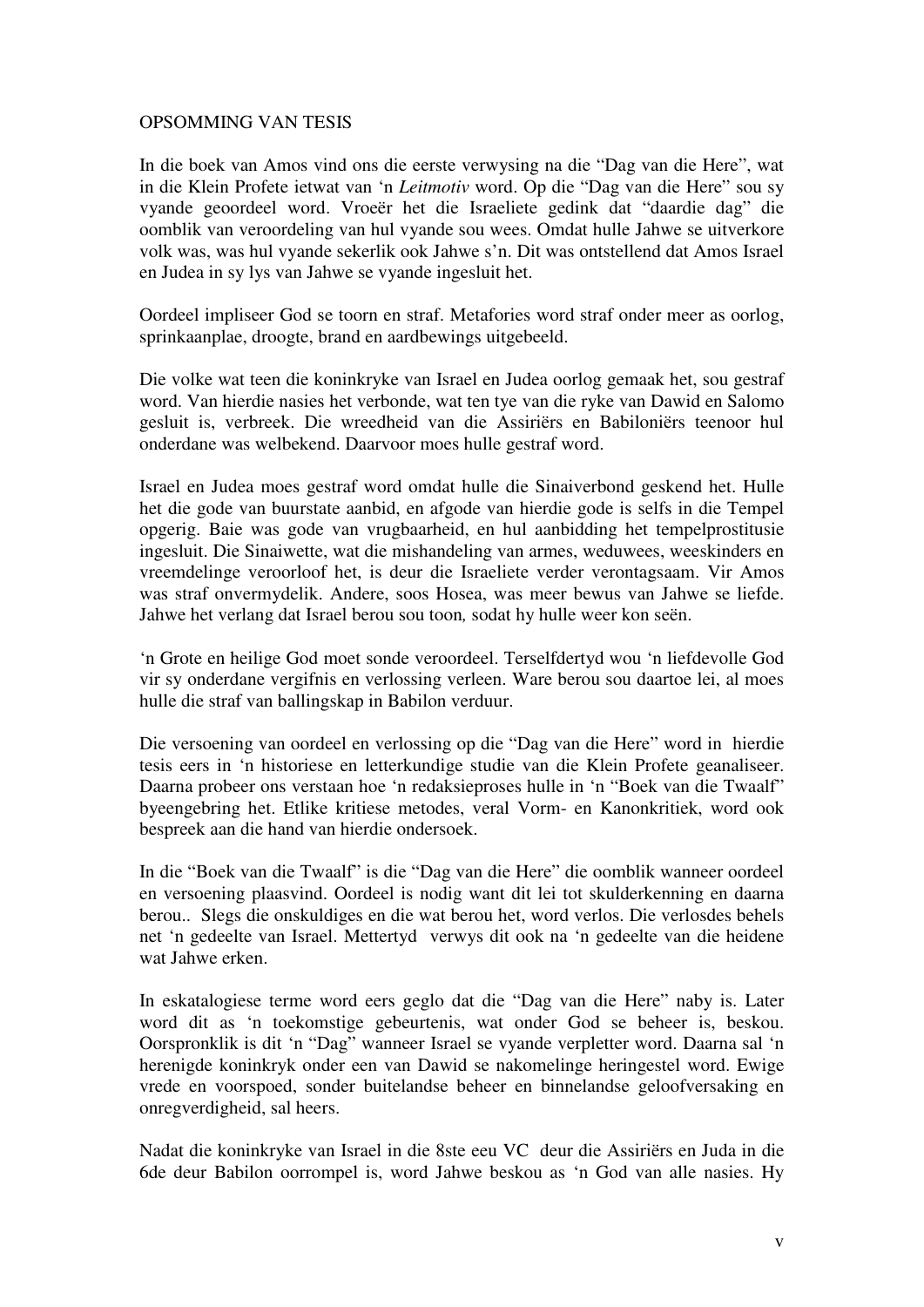#### OPSOMMING VAN TESIS

In die boek van Amos vind ons die eerste verwysing na die "Dag van die Here", wat in die Klein Profete ietwat van 'n *Leitmotiv* word. Op die "Dag van die Here" sou sy vyande geoordeel word. Vroeër het die Israeliete gedink dat "daardie dag" die oomblik van veroordeling van hul vyande sou wees. Omdat hulle Jahwe se uitverkore volk was, was hul vyande sekerlik ook Jahwe s'n. Dit was ontstellend dat Amos Israel en Judea in sy lys van Jahwe se vyande ingesluit het.

Oordeel impliseer God se toorn en straf. Metafories word straf onder meer as oorlog, sprinkaanplae, droogte, brand en aardbewings uitgebeeld.

Die volke wat teen die koninkryke van Israel en Judea oorlog gemaak het, sou gestraf word. Van hierdie nasies het verbonde, wat ten tye van die ryke van Dawid en Salomo gesluit is, verbreek. Die wreedheid van die Assiriërs en Babiloniërs teenoor hul onderdane was welbekend. Daarvoor moes hulle gestraf word.

Israel en Judea moes gestraf word omdat hulle die Sinaiverbond geskend het. Hulle het die gode van buurstate aanbid, en afgode van hierdie gode is selfs in die Tempel opgerig. Baie was gode van vrugbaarheid, en hul aanbidding het tempelprostitusie ingesluit. Die Sinaiwette, wat die mishandeling van armes, weduwees, weeskinders en vreemdelinge veroorloof het, is deur die Israeliete verder verontagsaam. Vir Amos was straf onvermydelik. Andere, soos Hosea, was meer bewus van Jahwe se liefde. Jahwe het verlang dat Israel berou sou toon*,* sodat hy hulle weer kon seën.

'n Grote en heilige God moet sonde veroordeel. Terselfdertyd wou 'n liefdevolle God vir sy onderdane vergifnis en verlossing verleen. Ware berou sou daartoe lei, al moes hulle die straf van ballingskap in Babilon verduur.

Die versoening van oordeel en verlossing op die "Dag van die Here" word in hierdie tesis eers in 'n historiese en letterkundige studie van die Klein Profete geanaliseer. Daarna probeer ons verstaan hoe 'n redaksieproses hulle in 'n "Boek van die Twaalf" byeengebring het. Etlike kritiese metodes, veral Vorm- en Kanonkritiek, word ook bespreek aan die hand van hierdie ondersoek.

In die "Boek van die Twaalf" is die "Dag van die Here" die oomblik wanneer oordeel en versoening plaasvind. Oordeel is nodig want dit lei tot skulderkenning en daarna berou.. Slegs die onskuldiges en die wat berou het, word verlos. Die verlosdes behels net 'n gedeelte van Israel. Mettertyd verwys dit ook na 'n gedeelte van die heidene wat Jahwe erken.

In eskatalogiese terme word eers geglo dat die "Dag van die Here" naby is. Later word dit as 'n toekomstige gebeurtenis, wat onder God se beheer is, beskou. Oorspronklik is dit 'n "Dag" wanneer Israel se vyande verpletter word. Daarna sal 'n herenigde koninkryk onder een van Dawid se nakomelinge heringestel word. Ewige vrede en voorspoed, sonder buitelandse beheer en binnelandse geloofversaking en onregverdigheid, sal heers.

Nadat die koninkryke van Israel in die 8ste eeu VC deur die Assiriërs en Juda in die 6de deur Babilon oorrompel is, word Jahwe beskou as 'n God van alle nasies. Hy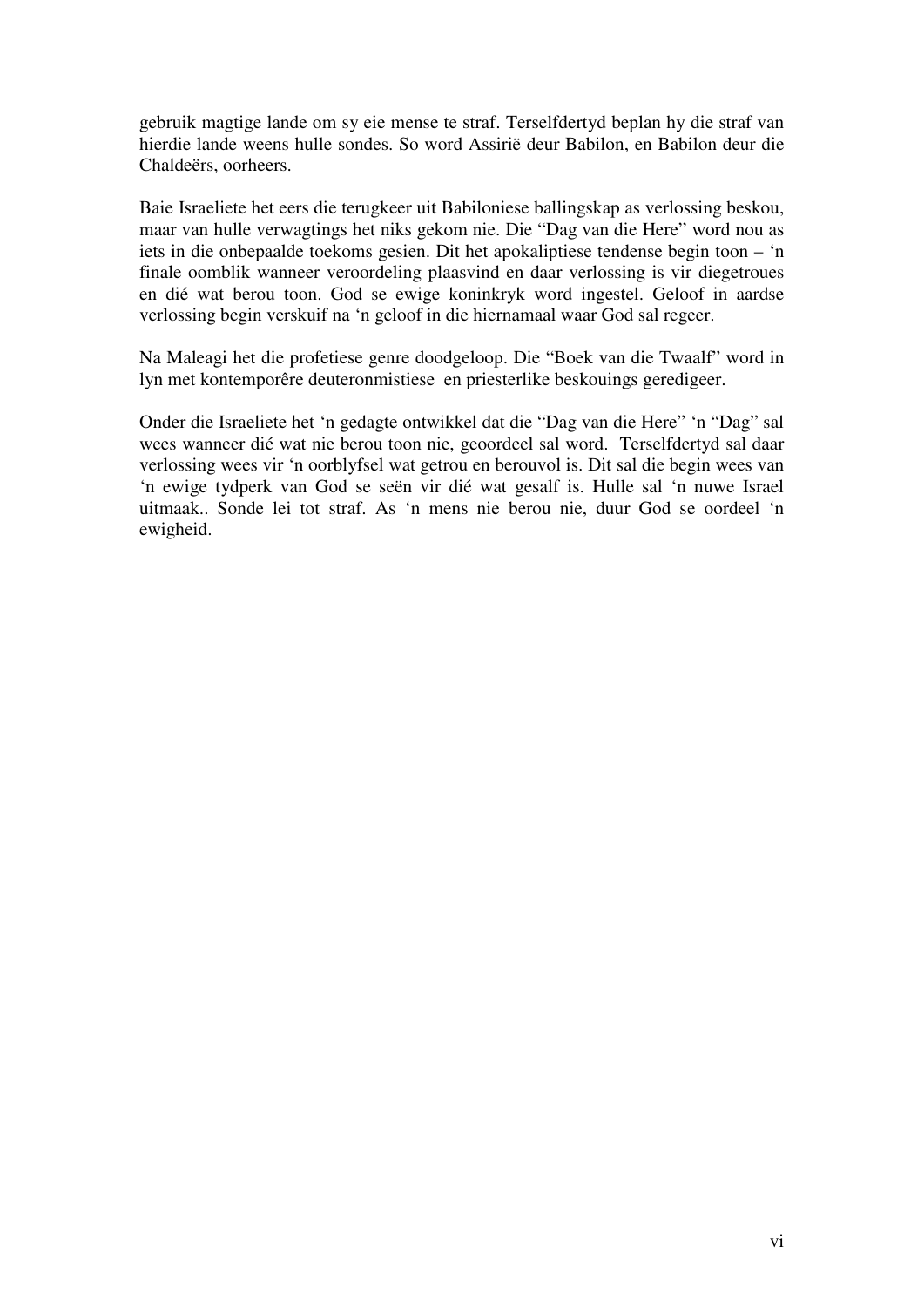gebruik magtige lande om sy eie mense te straf. Terselfdertyd beplan hy die straf van hierdie lande weens hulle sondes. So word Assirië deur Babilon, en Babilon deur die Chaldeërs, oorheers.

Baie Israeliete het eers die terugkeer uit Babiloniese ballingskap as verlossing beskou, maar van hulle verwagtings het niks gekom nie. Die "Dag van die Here" word nou as iets in die onbepaalde toekoms gesien. Dit het apokaliptiese tendense begin toon – 'n finale oomblik wanneer veroordeling plaasvind en daar verlossing is vir diegetroues en dié wat berou toon. God se ewige koninkryk word ingestel. Geloof in aardse verlossing begin verskuif na 'n geloof in die hiernamaal waar God sal regeer.

Na Maleagi het die profetiese genre doodgeloop. Die "Boek van die Twaalf" word in lyn met kontemporêre deuteronmistiese en priesterlike beskouings geredigeer.

Onder die Israeliete het 'n gedagte ontwikkel dat die "Dag van die Here" 'n "Dag" sal wees wanneer dié wat nie berou toon nie, geoordeel sal word. Terselfdertyd sal daar verlossing wees vir 'n oorblyfsel wat getrou en berouvol is. Dit sal die begin wees van 'n ewige tydperk van God se seën vir dié wat gesalf is. Hulle sal 'n nuwe Israel uitmaak.. Sonde lei tot straf. As 'n mens nie berou nie, duur God se oordeel 'n ewigheid.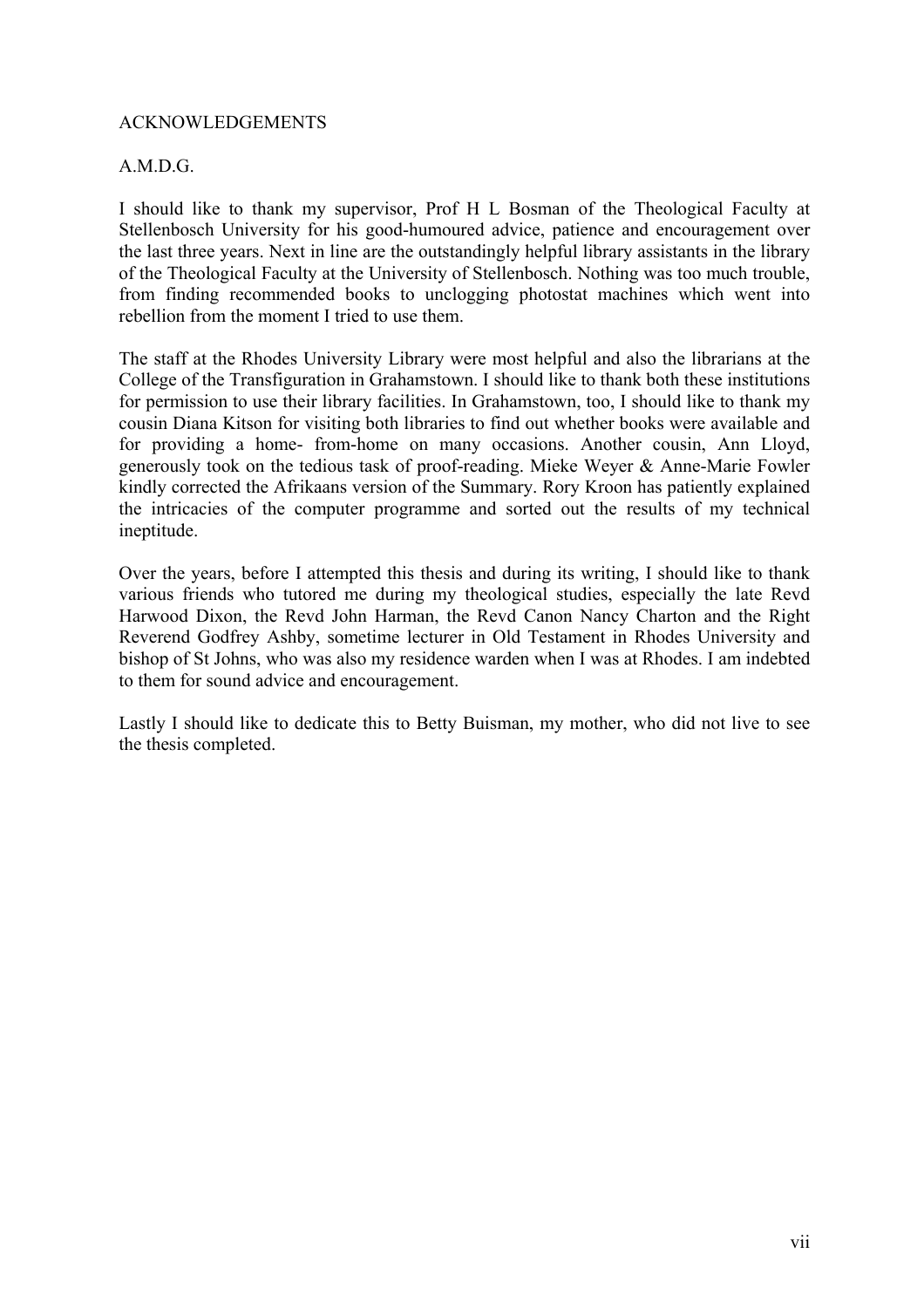## ACKNOWLEDGEMENTS

## A.M.D.G.

I should like to thank my supervisor, Prof H L Bosman of the Theological Faculty at Stellenbosch University for his good-humoured advice, patience and encouragement over the last three years. Next in line are the outstandingly helpful library assistants in the library of the Theological Faculty at the University of Stellenbosch. Nothing was too much trouble, from finding recommended books to unclogging photostat machines which went into rebellion from the moment I tried to use them.

The staff at the Rhodes University Library were most helpful and also the librarians at the College of the Transfiguration in Grahamstown. I should like to thank both these institutions for permission to use their library facilities. In Grahamstown, too, I should like to thank my cousin Diana Kitson for visiting both libraries to find out whether books were available and for providing a home- from-home on many occasions. Another cousin, Ann Lloyd, generously took on the tedious task of proof-reading. Mieke Weyer & Anne-Marie Fowler kindly corrected the Afrikaans version of the Summary. Rory Kroon has patiently explained the intricacies of the computer programme and sorted out the results of my technical ineptitude.

Over the years, before I attempted this thesis and during its writing, I should like to thank various friends who tutored me during my theological studies, especially the late Revd Harwood Dixon, the Revd John Harman, the Revd Canon Nancy Charton and the Right Reverend Godfrey Ashby, sometime lecturer in Old Testament in Rhodes University and bishop of St Johns, who was also my residence warden when I was at Rhodes. I am indebted to them for sound advice and encouragement.

Lastly I should like to dedicate this to Betty Buisman, my mother, who did not live to see the thesis completed.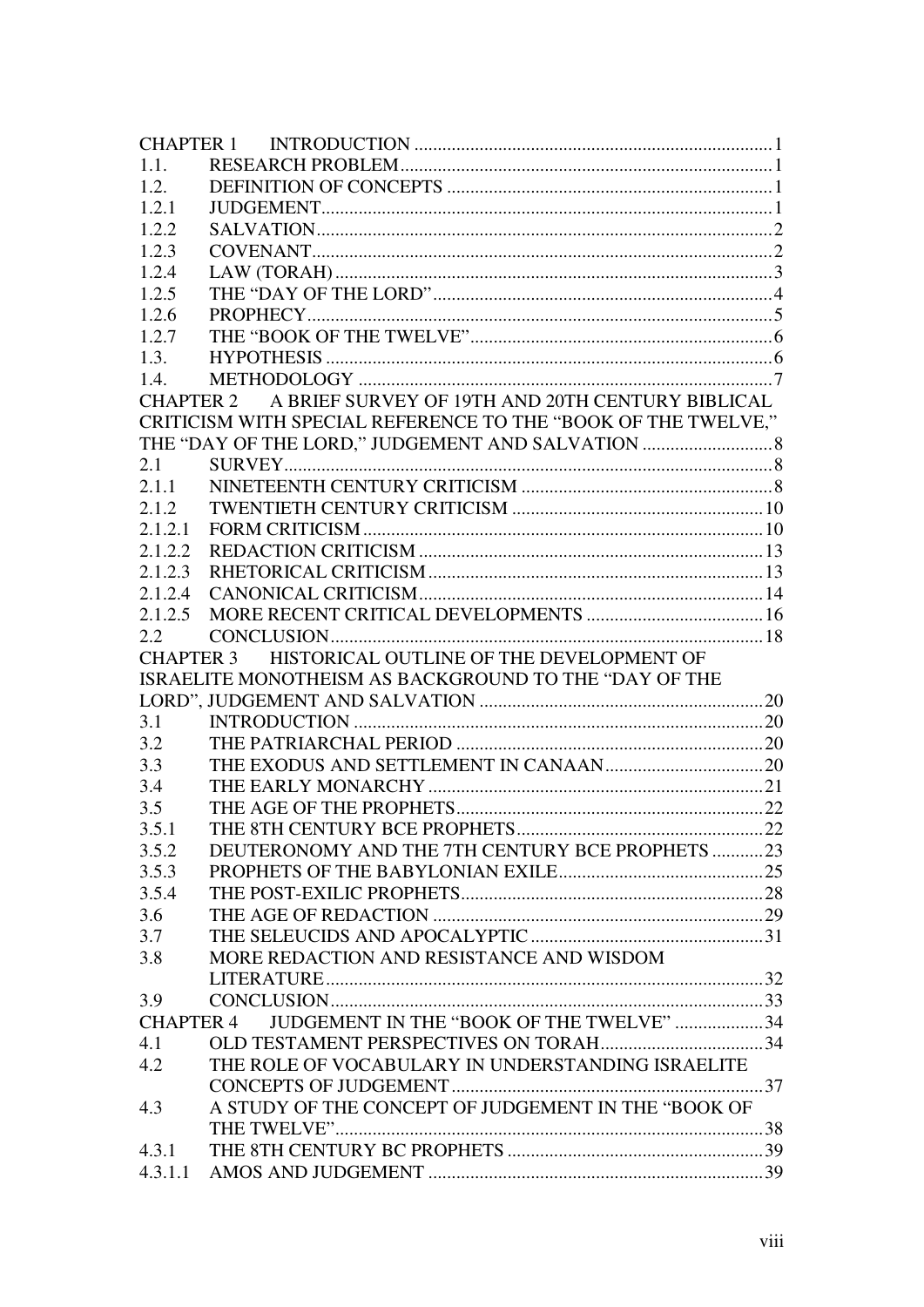| 1.1.             |                                                               |  |
|------------------|---------------------------------------------------------------|--|
| 1.2.             |                                                               |  |
| 1.2.1            |                                                               |  |
| 1.2.2            |                                                               |  |
| 1.2.3            |                                                               |  |
| 1.2.4            |                                                               |  |
| 1.2.5            |                                                               |  |
| 1.2.6            |                                                               |  |
| 1.2.7            |                                                               |  |
| 1.3.             |                                                               |  |
| 1.4.             |                                                               |  |
|                  | CHAPTER 2 A BRIEF SURVEY OF 19TH AND 20TH CENTURY BIBLICAL    |  |
|                  | CRITICISM WITH SPECIAL REFERENCE TO THE "BOOK OF THE TWELVE," |  |
|                  |                                                               |  |
| 2.1              |                                                               |  |
| 2.1.1            |                                                               |  |
| 2.1.2            |                                                               |  |
| 2.1.2.1          |                                                               |  |
| 2.1.2.2          |                                                               |  |
| 2.1.2.3          |                                                               |  |
| 2.1.2.4          |                                                               |  |
| 2.1.2.5          |                                                               |  |
| 2.2              |                                                               |  |
|                  | CHAPTER 3 HISTORICAL OUTLINE OF THE DEVELOPMENT OF            |  |
|                  | ISRAELITE MONOTHEISM AS BACKGROUND TO THE "DAY OF THE         |  |
|                  |                                                               |  |
| 3.1              |                                                               |  |
| 3.2              |                                                               |  |
| 3.3              |                                                               |  |
| 3.4              |                                                               |  |
| 3.5              |                                                               |  |
| 3.5.1            |                                                               |  |
| 3.5.2            | DEUTERONOMY AND THE 7TH CENTURY BCE PROPHETS 23               |  |
| 3.5.3            |                                                               |  |
| 3.5.4            |                                                               |  |
| 3.6              |                                                               |  |
| 3.7              |                                                               |  |
| 3.8              | MORE REDACTION AND RESISTANCE AND WISDOM                      |  |
|                  |                                                               |  |
| 3.9              |                                                               |  |
| <b>CHAPTER 4</b> | JUDGEMENT IN THE "BOOK OF THE TWELVE" 34                      |  |
| 4.1              |                                                               |  |
| 4.2              | THE ROLE OF VOCABULARY IN UNDERSTANDING ISRAELITE             |  |
|                  |                                                               |  |
| 4.3              | A STUDY OF THE CONCEPT OF JUDGEMENT IN THE "BOOK OF           |  |
|                  |                                                               |  |
| 4.3.1            |                                                               |  |
| 4.3.1.1          |                                                               |  |
|                  |                                                               |  |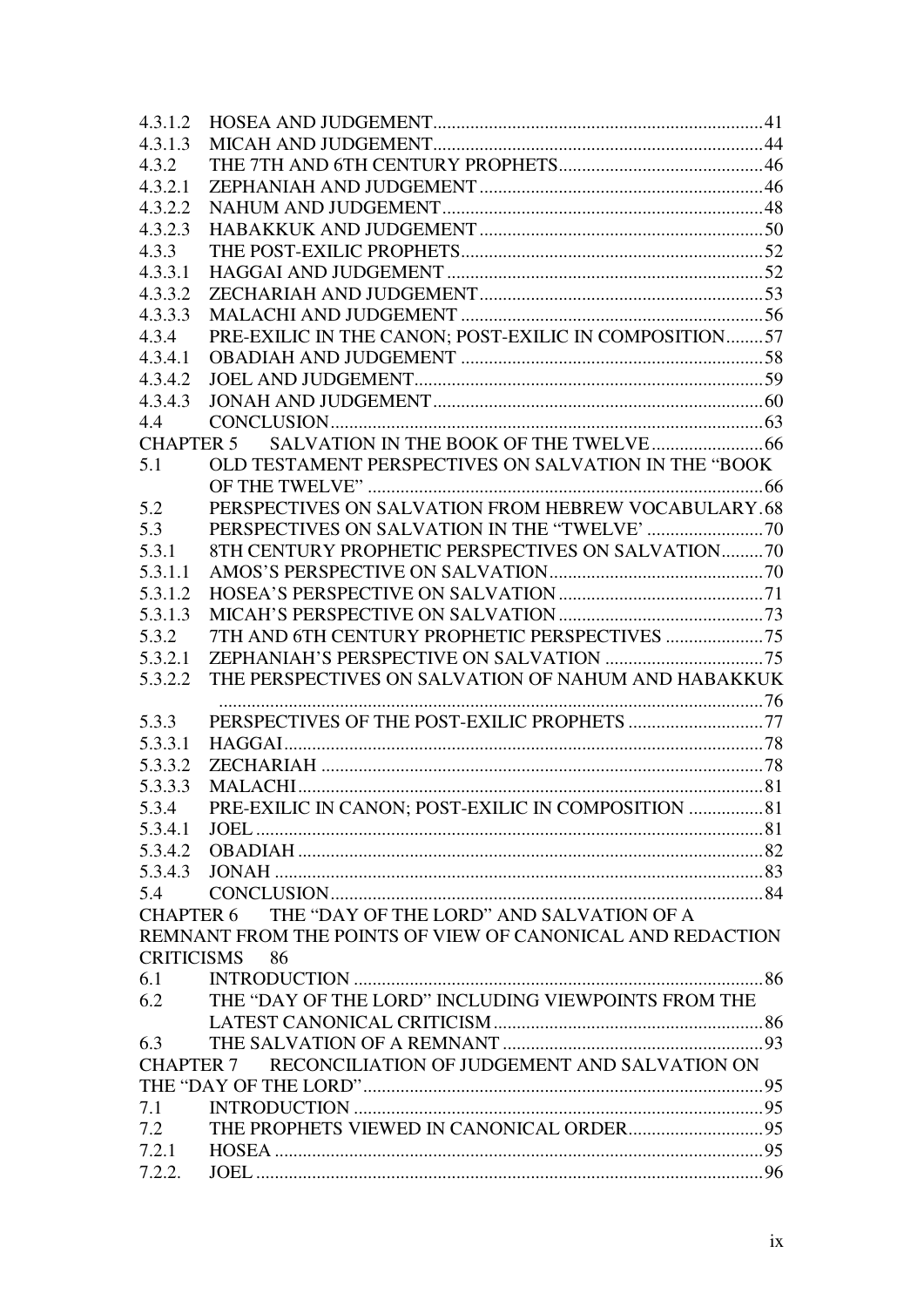| 4.3.1.2          |                                                            |  |  |  |
|------------------|------------------------------------------------------------|--|--|--|
| 4.3.1.3          |                                                            |  |  |  |
| 4.3.2            |                                                            |  |  |  |
| 4.3.2.1          |                                                            |  |  |  |
| 4.3.2.2          |                                                            |  |  |  |
| 4.3.2.3          |                                                            |  |  |  |
| 4.3.3            |                                                            |  |  |  |
| 4.3.3.1          |                                                            |  |  |  |
| 4.3.3.2          |                                                            |  |  |  |
| 4.3.3.3          |                                                            |  |  |  |
| 4.3.4            | PRE-EXILIC IN THE CANON; POST-EXILIC IN COMPOSITION57      |  |  |  |
| 4.3.4.1          |                                                            |  |  |  |
| 4.3.4.2          |                                                            |  |  |  |
| 4.3.4.3          |                                                            |  |  |  |
| 4.4              |                                                            |  |  |  |
|                  |                                                            |  |  |  |
| 5.1              | OLD TESTAMENT PERSPECTIVES ON SALVATION IN THE "BOOK       |  |  |  |
|                  |                                                            |  |  |  |
| 5.2              | PERSPECTIVES ON SALVATION FROM HEBREW VOCABULARY.68        |  |  |  |
| 5.3              |                                                            |  |  |  |
| 5.3.1            | 8TH CENTURY PROPHETIC PERSPECTIVES ON SALVATION70          |  |  |  |
| 5.3.1.1          |                                                            |  |  |  |
| 5.3.1.2          |                                                            |  |  |  |
| 5.3.1.3          |                                                            |  |  |  |
| 5.3.2            |                                                            |  |  |  |
| 5.3.2.1          |                                                            |  |  |  |
| 5.3.2.2          | THE PERSPECTIVES ON SALVATION OF NAHUM AND HABAKKUK        |  |  |  |
|                  |                                                            |  |  |  |
| 5.3.3            |                                                            |  |  |  |
| 5.3.3.1          |                                                            |  |  |  |
| 5.3.3.2          |                                                            |  |  |  |
| 5.3.3.3          |                                                            |  |  |  |
| 5.3.4            | PRE-EXILIC IN CANON; POST-EXILIC IN COMPOSITION  81        |  |  |  |
| 5.3.4.1          |                                                            |  |  |  |
| 5.3.4.2          |                                                            |  |  |  |
| 5.3.4.3          |                                                            |  |  |  |
| 5.4              |                                                            |  |  |  |
| <b>CHAPTER 6</b> | THE "DAY OF THE LORD" AND SALVATION OF A                   |  |  |  |
|                  | REMNANT FROM THE POINTS OF VIEW OF CANONICAL AND REDACTION |  |  |  |
|                  | CRITICISMS 86                                              |  |  |  |
| 6.1              |                                                            |  |  |  |
| 6.2              | THE "DAY OF THE LORD" INCLUDING VIEWPOINTS FROM THE        |  |  |  |
|                  |                                                            |  |  |  |
| 6.3              |                                                            |  |  |  |
| <b>CHAPTER 7</b> | RECONCILIATION OF JUDGEMENT AND SALVATION ON               |  |  |  |
|                  |                                                            |  |  |  |
| 7.1              |                                                            |  |  |  |
| 7.2              |                                                            |  |  |  |
| 7.2.1            |                                                            |  |  |  |
| 7.2.2.           |                                                            |  |  |  |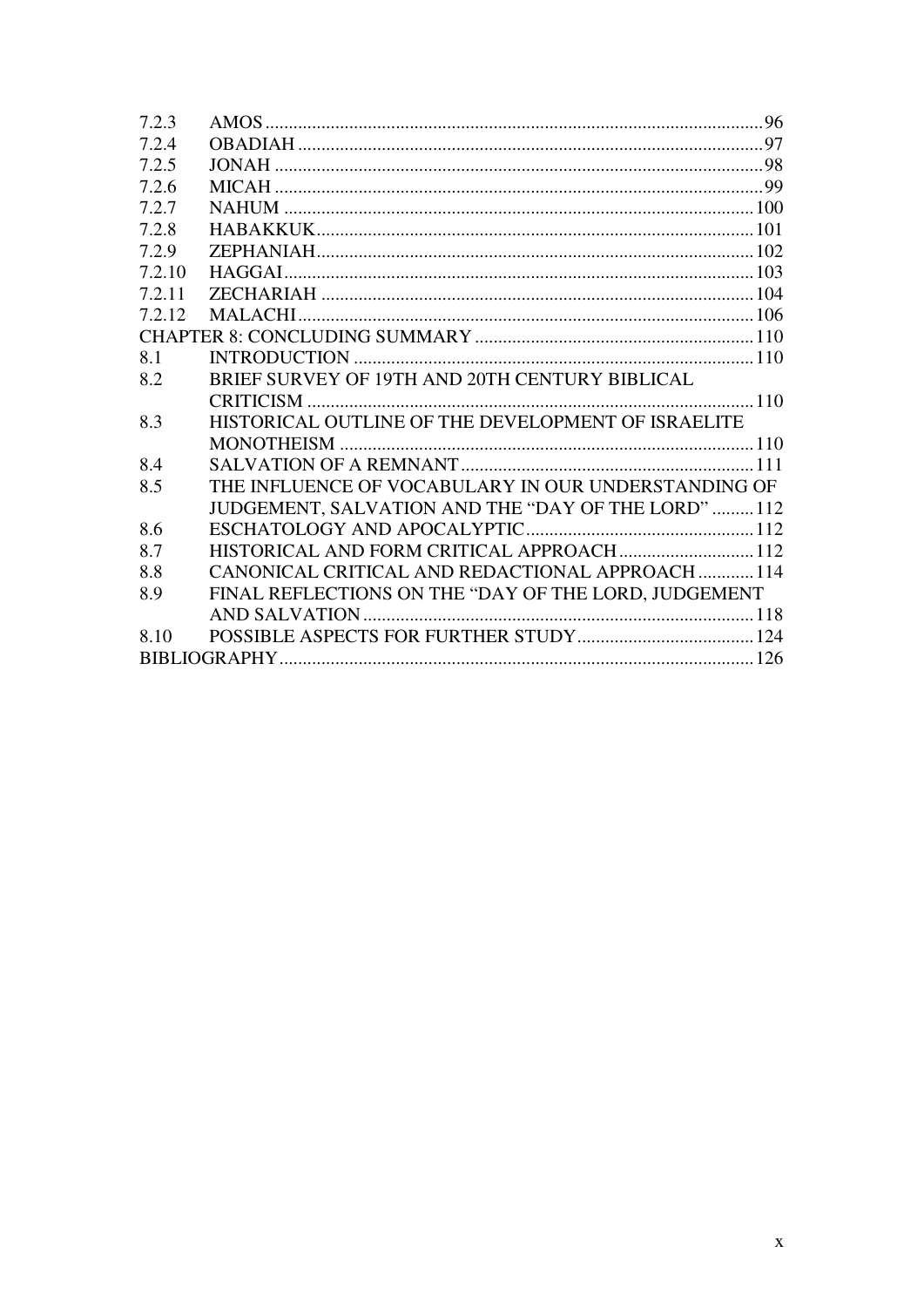| 7.2.3  |                                                      |  |
|--------|------------------------------------------------------|--|
| 7.2.4  |                                                      |  |
| 7.2.5  |                                                      |  |
| 7.2.6  |                                                      |  |
| 7.2.7  |                                                      |  |
| 7.2.8  |                                                      |  |
| 7.2.9  |                                                      |  |
| 7.2.10 |                                                      |  |
| 7.2.11 |                                                      |  |
| 7.2.12 |                                                      |  |
|        |                                                      |  |
| 8.1    |                                                      |  |
| 8.2    | BRIEF SURVEY OF 19TH AND 20TH CENTURY BIBLICAL       |  |
|        |                                                      |  |
| 8.3    | HISTORICAL OUTLINE OF THE DEVELOPMENT OF ISRAELITE   |  |
|        |                                                      |  |
| 8.4    |                                                      |  |
| 8.5    | THE INFLUENCE OF VOCABULARY IN OUR UNDERSTANDING OF  |  |
|        | JUDGEMENT, SALVATION AND THE "DAY OF THE LORD"112    |  |
| 8.6    |                                                      |  |
| 8.7    | HISTORICAL AND FORM CRITICAL APPROACH  112           |  |
| 8.8    | CANONICAL CRITICAL AND REDACTIONAL APPROACH  114     |  |
| 8.9    | FINAL REFLECTIONS ON THE "DAY OF THE LORD, JUDGEMENT |  |
|        |                                                      |  |
| 8.10   |                                                      |  |
|        |                                                      |  |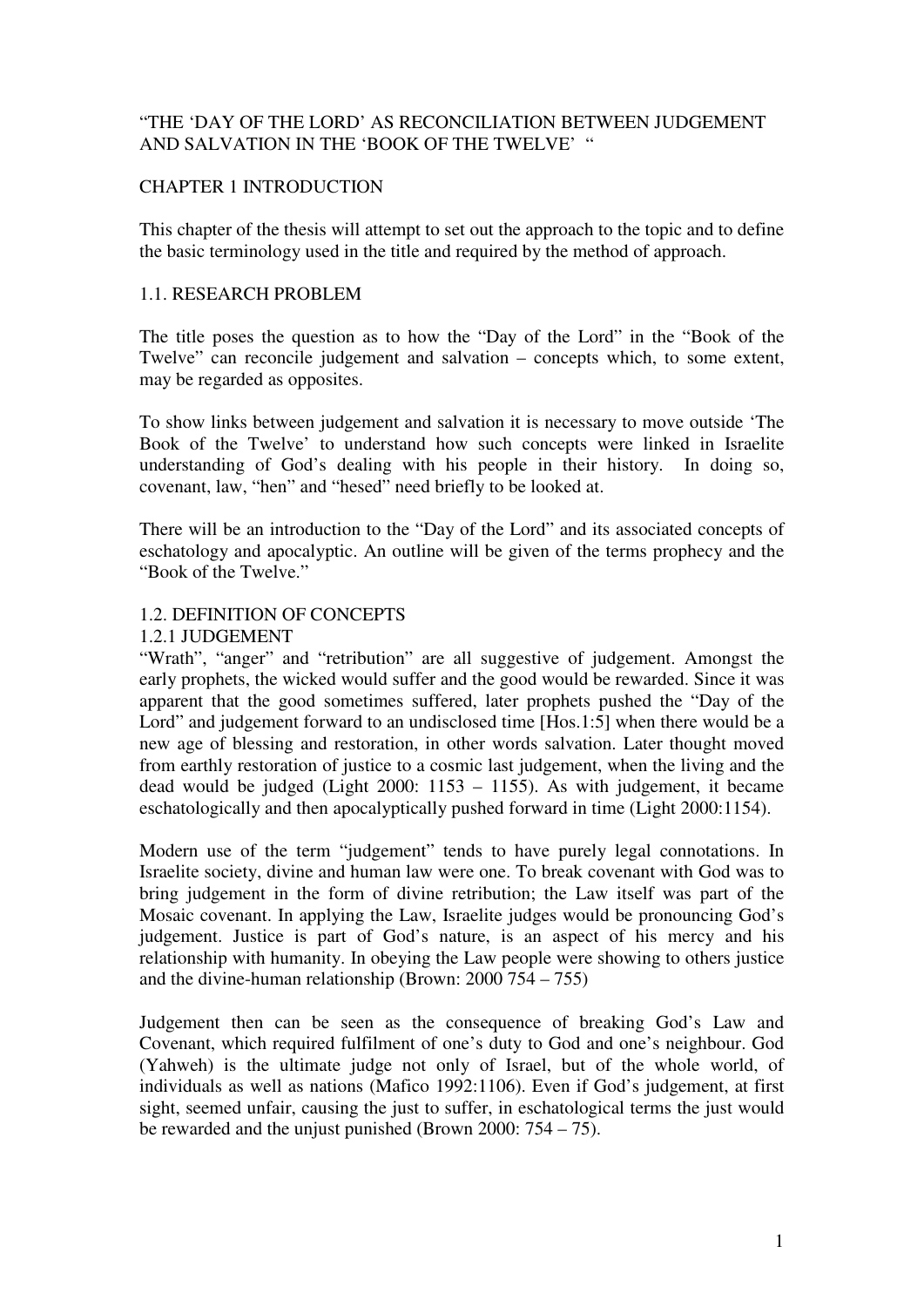## "THE 'DAY OF THE LORD' AS RECONCILIATION BETWEEN JUDGEMENT AND SALVATION IN THE 'BOOK OF THE TWELVE' "

## CHAPTER 1 INTRODUCTION

This chapter of the thesis will attempt to set out the approach to the topic and to define the basic terminology used in the title and required by the method of approach.

#### 1.1. RESEARCH PROBLEM

The title poses the question as to how the "Day of the Lord" in the "Book of the Twelve" can reconcile judgement and salvation – concepts which, to some extent, may be regarded as opposites.

To show links between judgement and salvation it is necessary to move outside 'The Book of the Twelve' to understand how such concepts were linked in Israelite understanding of God's dealing with his people in their history. In doing so, covenant, law, "hen" and "hesed" need briefly to be looked at.

There will be an introduction to the "Day of the Lord" and its associated concepts of eschatology and apocalyptic. An outline will be given of the terms prophecy and the "Book of the Twelve."

## 1.2. DEFINITION OF CONCEPTS

#### 1.2.1 JUDGEMENT

"Wrath", "anger" and "retribution" are all suggestive of judgement. Amongst the early prophets, the wicked would suffer and the good would be rewarded. Since it was apparent that the good sometimes suffered, later prophets pushed the "Day of the Lord" and judgement forward to an undisclosed time [Hos.1:5] when there would be a new age of blessing and restoration, in other words salvation. Later thought moved from earthly restoration of justice to a cosmic last judgement, when the living and the dead would be judged (Light 2000: 1153 – 1155). As with judgement, it became eschatologically and then apocalyptically pushed forward in time (Light 2000:1154).

Modern use of the term "judgement" tends to have purely legal connotations. In Israelite society, divine and human law were one. To break covenant with God was to bring judgement in the form of divine retribution; the Law itself was part of the Mosaic covenant. In applying the Law, Israelite judges would be pronouncing God's judgement. Justice is part of God's nature, is an aspect of his mercy and his relationship with humanity. In obeying the Law people were showing to others justice and the divine-human relationship (Brown: 2000 754 – 755)

Judgement then can be seen as the consequence of breaking God's Law and Covenant, which required fulfilment of one's duty to God and one's neighbour. God (Yahweh) is the ultimate judge not only of Israel, but of the whole world, of individuals as well as nations (Mafico 1992:1106). Even if God's judgement, at first sight, seemed unfair, causing the just to suffer, in eschatological terms the just would be rewarded and the unjust punished (Brown 2000: 754 – 75).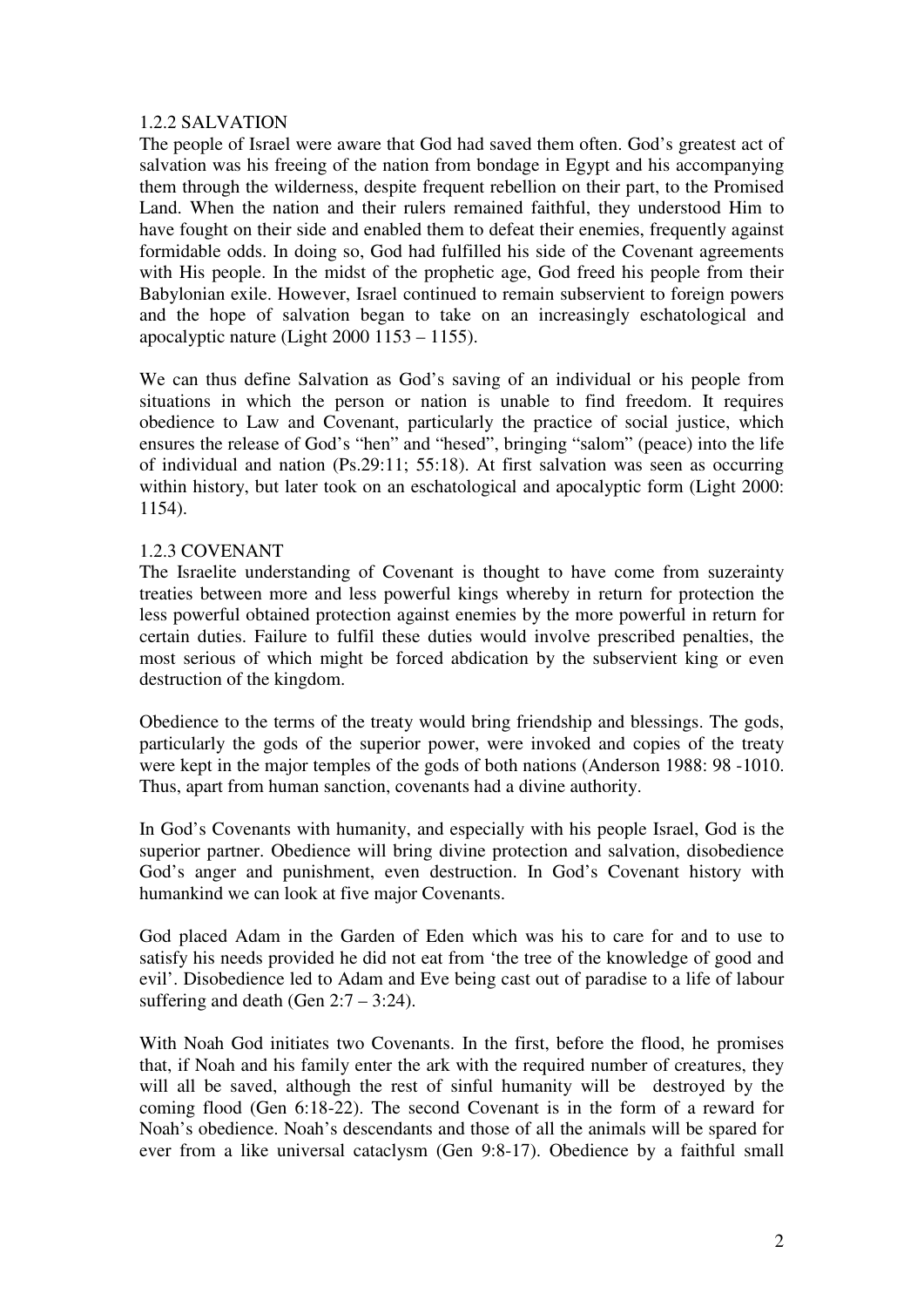#### 1.2.2 SALVATION

The people of Israel were aware that God had saved them often. God's greatest act of salvation was his freeing of the nation from bondage in Egypt and his accompanying them through the wilderness, despite frequent rebellion on their part, to the Promised Land. When the nation and their rulers remained faithful, they understood Him to have fought on their side and enabled them to defeat their enemies, frequently against formidable odds. In doing so, God had fulfilled his side of the Covenant agreements with His people. In the midst of the prophetic age, God freed his people from their Babylonian exile. However, Israel continued to remain subservient to foreign powers and the hope of salvation began to take on an increasingly eschatological and apocalyptic nature (Light 2000 1153 – 1155).

We can thus define Salvation as God's saving of an individual or his people from situations in which the person or nation is unable to find freedom. It requires obedience to Law and Covenant, particularly the practice of social justice, which ensures the release of God's "hen" and "hesed", bringing "salom" (peace) into the life of individual and nation (Ps.29:11; 55:18). At first salvation was seen as occurring within history, but later took on an eschatological and apocalyptic form (Light 2000: 1154).

#### 1.2.3 COVENANT

The Israelite understanding of Covenant is thought to have come from suzerainty treaties between more and less powerful kings whereby in return for protection the less powerful obtained protection against enemies by the more powerful in return for certain duties. Failure to fulfil these duties would involve prescribed penalties, the most serious of which might be forced abdication by the subservient king or even destruction of the kingdom.

Obedience to the terms of the treaty would bring friendship and blessings. The gods, particularly the gods of the superior power, were invoked and copies of the treaty were kept in the major temples of the gods of both nations (Anderson 1988: 98 -1010. Thus, apart from human sanction, covenants had a divine authority.

In God's Covenants with humanity, and especially with his people Israel, God is the superior partner. Obedience will bring divine protection and salvation, disobedience God's anger and punishment, even destruction. In God's Covenant history with humankind we can look at five major Covenants.

God placed Adam in the Garden of Eden which was his to care for and to use to satisfy his needs provided he did not eat from 'the tree of the knowledge of good and evil'. Disobedience led to Adam and Eve being cast out of paradise to a life of labour suffering and death (Gen  $2:7 - 3:24$ ).

With Noah God initiates two Covenants. In the first, before the flood, he promises that, if Noah and his family enter the ark with the required number of creatures, they will all be saved, although the rest of sinful humanity will be destroyed by the coming flood (Gen 6:18-22). The second Covenant is in the form of a reward for Noah's obedience. Noah's descendants and those of all the animals will be spared for ever from a like universal cataclysm (Gen 9:8-17). Obedience by a faithful small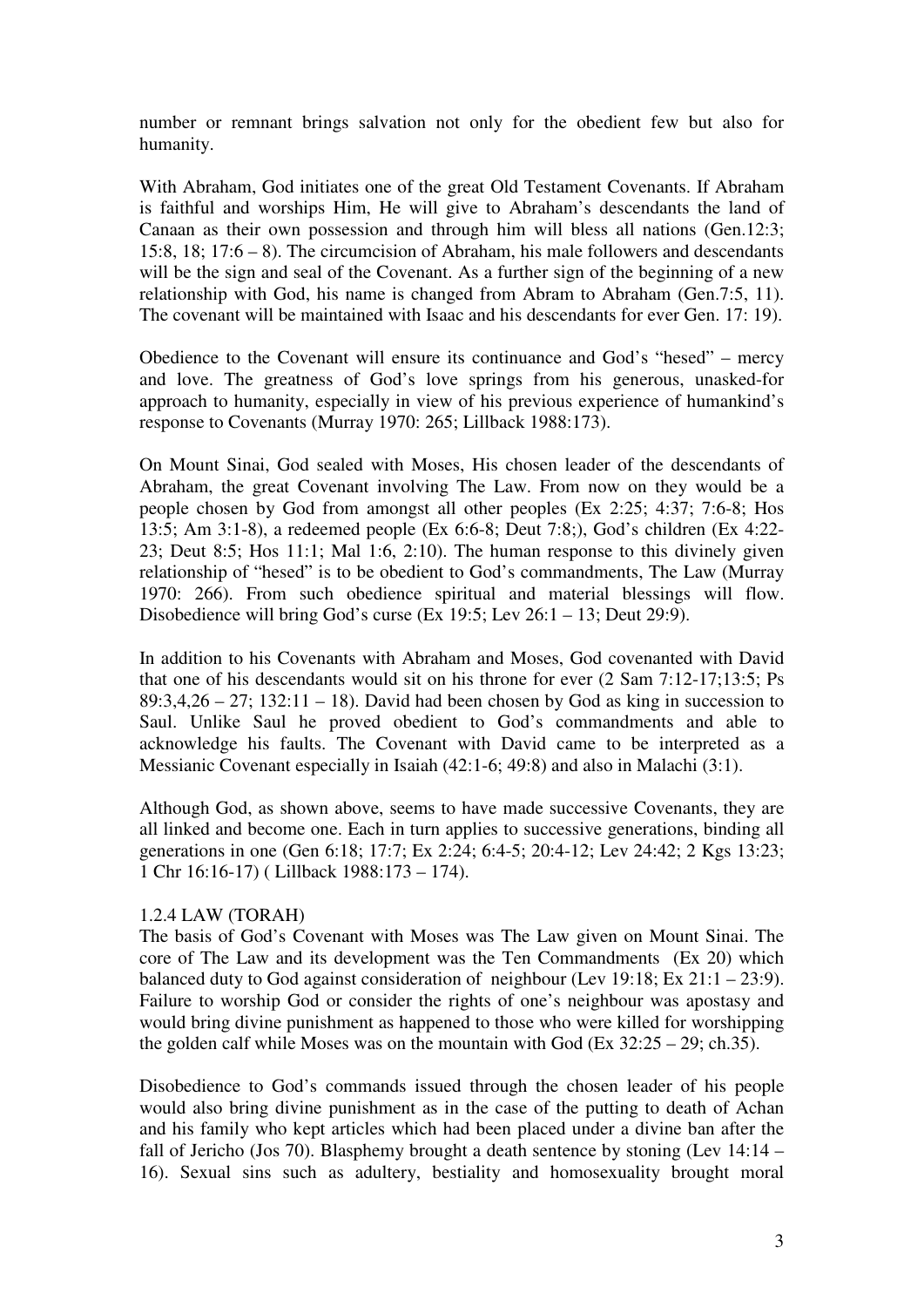number or remnant brings salvation not only for the obedient few but also for humanity.

With Abraham, God initiates one of the great Old Testament Covenants. If Abraham is faithful and worships Him, He will give to Abraham's descendants the land of Canaan as their own possession and through him will bless all nations (Gen.12:3; 15:8, 18; 17:6 – 8). The circumcision of Abraham, his male followers and descendants will be the sign and seal of the Covenant. As a further sign of the beginning of a new relationship with God, his name is changed from Abram to Abraham (Gen.7:5, 11). The covenant will be maintained with Isaac and his descendants for ever Gen. 17: 19).

Obedience to the Covenant will ensure its continuance and God's "hesed" – mercy and love. The greatness of God's love springs from his generous, unasked-for approach to humanity, especially in view of his previous experience of humankind's response to Covenants (Murray 1970: 265; Lillback 1988:173).

On Mount Sinai, God sealed with Moses, His chosen leader of the descendants of Abraham, the great Covenant involving The Law. From now on they would be a people chosen by God from amongst all other peoples (Ex 2:25; 4:37; 7:6-8; Hos 13:5; Am 3:1-8), a redeemed people (Ex 6:6-8; Deut 7:8;), God's children (Ex 4:22- 23; Deut 8:5; Hos 11:1; Mal 1:6, 2:10). The human response to this divinely given relationship of "hesed" is to be obedient to God's commandments, The Law (Murray 1970: 266). From such obedience spiritual and material blessings will flow. Disobedience will bring God's curse (Ex 19:5; Lev 26:1 – 13; Deut 29:9).

In addition to his Covenants with Abraham and Moses, God covenanted with David that one of his descendants would sit on his throne for ever (2 Sam 7:12-17;13:5; Ps  $89:3,4,26 - 27$ ;  $132:11 - 18$ ). David had been chosen by God as king in succession to Saul. Unlike Saul he proved obedient to God's commandments and able to acknowledge his faults. The Covenant with David came to be interpreted as a Messianic Covenant especially in Isaiah (42:1-6; 49:8) and also in Malachi (3:1).

Although God, as shown above, seems to have made successive Covenants, they are all linked and become one. Each in turn applies to successive generations, binding all generations in one (Gen 6:18; 17:7; Ex 2:24; 6:4-5; 20:4-12; Lev 24:42; 2 Kgs 13:23; 1 Chr 16:16-17) ( Lillback 1988:173 – 174).

#### 1.2.4 LAW (TORAH)

The basis of God's Covenant with Moses was The Law given on Mount Sinai. The core of The Law and its development was the Ten Commandments (Ex 20) which balanced duty to God against consideration of neighbour (Lev 19:18; Ex 21:1 – 23:9). Failure to worship God or consider the rights of one's neighbour was apostasy and would bring divine punishment as happened to those who were killed for worshipping the golden calf while Moses was on the mountain with God (Ex  $32:25 - 29$ ; ch.35).

Disobedience to God's commands issued through the chosen leader of his people would also bring divine punishment as in the case of the putting to death of Achan and his family who kept articles which had been placed under a divine ban after the fall of Jericho (Jos 70). Blasphemy brought a death sentence by stoning (Lev 14:14 – 16). Sexual sins such as adultery, bestiality and homosexuality brought moral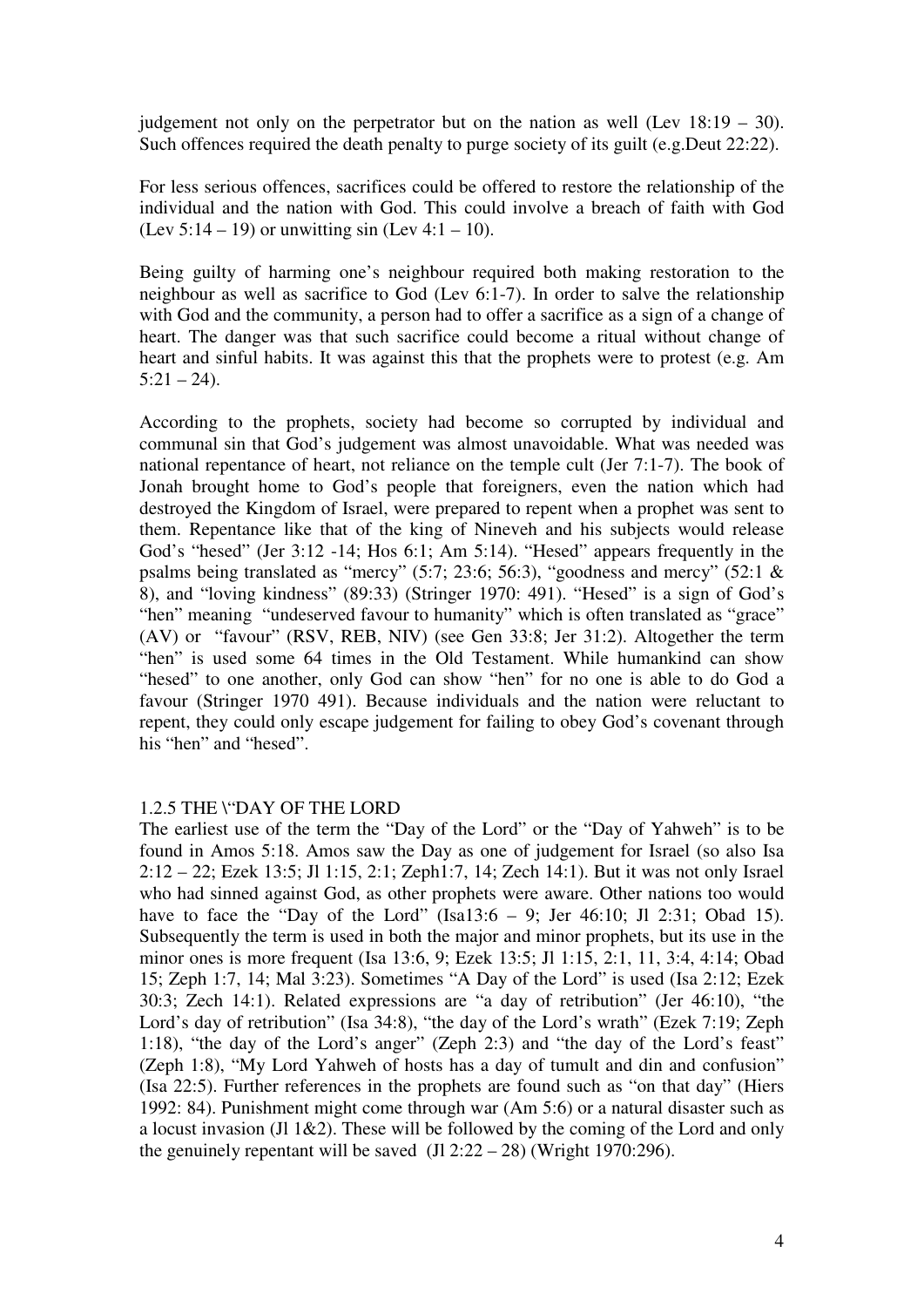judgement not only on the perpetrator but on the nation as well (Lev  $18:19 - 30$ ). Such offences required the death penalty to purge society of its guilt (e.g.Deut 22:22).

For less serious offences, sacrifices could be offered to restore the relationship of the individual and the nation with God. This could involve a breach of faith with God (Lev  $5:14 - 19$ ) or unwitting sin (Lev  $4:1 - 10$ ).

Being guilty of harming one's neighbour required both making restoration to the neighbour as well as sacrifice to God (Lev 6:1-7). In order to salve the relationship with God and the community, a person had to offer a sacrifice as a sign of a change of heart. The danger was that such sacrifice could become a ritual without change of heart and sinful habits. It was against this that the prophets were to protest (e.g. Am  $5:21 - 24$ .

According to the prophets, society had become so corrupted by individual and communal sin that God's judgement was almost unavoidable. What was needed was national repentance of heart, not reliance on the temple cult (Jer 7:1-7). The book of Jonah brought home to God's people that foreigners, even the nation which had destroyed the Kingdom of Israel, were prepared to repent when a prophet was sent to them. Repentance like that of the king of Nineveh and his subjects would release God's "hesed" (Jer 3:12 -14; Hos 6:1; Am 5:14). "Hesed" appears frequently in the psalms being translated as "mercy" (5:7; 23:6; 56:3), "goodness and mercy" (52:1 & 8), and "loving kindness" (89:33) (Stringer 1970: 491). "Hesed" is a sign of God's "hen" meaning "undeserved favour to humanity" which is often translated as "grace" (AV) or "favour" (RSV, REB, NIV) (see Gen 33:8; Jer 31:2). Altogether the term "hen" is used some 64 times in the Old Testament. While humankind can show "hesed" to one another, only God can show "hen" for no one is able to do God a favour (Stringer 1970 491). Because individuals and the nation were reluctant to repent, they could only escape judgement for failing to obey God's covenant through his "hen" and "hesed".

#### 1.2.5 THE \"DAY OF THE LORD

The earliest use of the term the "Day of the Lord" or the "Day of Yahweh" is to be found in Amos 5:18. Amos saw the Day as one of judgement for Israel (so also Isa 2:12 – 22; Ezek 13:5; Jl 1:15, 2:1; Zeph1:7, 14; Zech 14:1). But it was not only Israel who had sinned against God, as other prophets were aware. Other nations too would have to face the "Day of the Lord" (Isa13:6 – 9; Jer 46:10; Jl 2:31; Obad 15). Subsequently the term is used in both the major and minor prophets, but its use in the minor ones is more frequent (Isa 13:6, 9; Ezek 13:5; Jl 1:15, 2:1, 11, 3:4, 4:14; Obad 15; Zeph 1:7, 14; Mal 3:23). Sometimes "A Day of the Lord" is used (Isa 2:12; Ezek 30:3; Zech 14:1). Related expressions are "a day of retribution" (Jer 46:10), "the Lord's day of retribution" (Isa 34:8), "the day of the Lord's wrath" (Ezek 7:19; Zeph 1:18), "the day of the Lord's anger" (Zeph 2:3) and "the day of the Lord's feast" (Zeph 1:8), "My Lord Yahweh of hosts has a day of tumult and din and confusion" (Isa 22:5). Further references in the prophets are found such as "on that day" (Hiers 1992: 84). Punishment might come through war (Am 5:6) or a natural disaster such as a locust invasion (Jl 1&2). These will be followed by the coming of the Lord and only the genuinely repentant will be saved (Jl  $2:22 - 28$ ) (Wright 1970:296).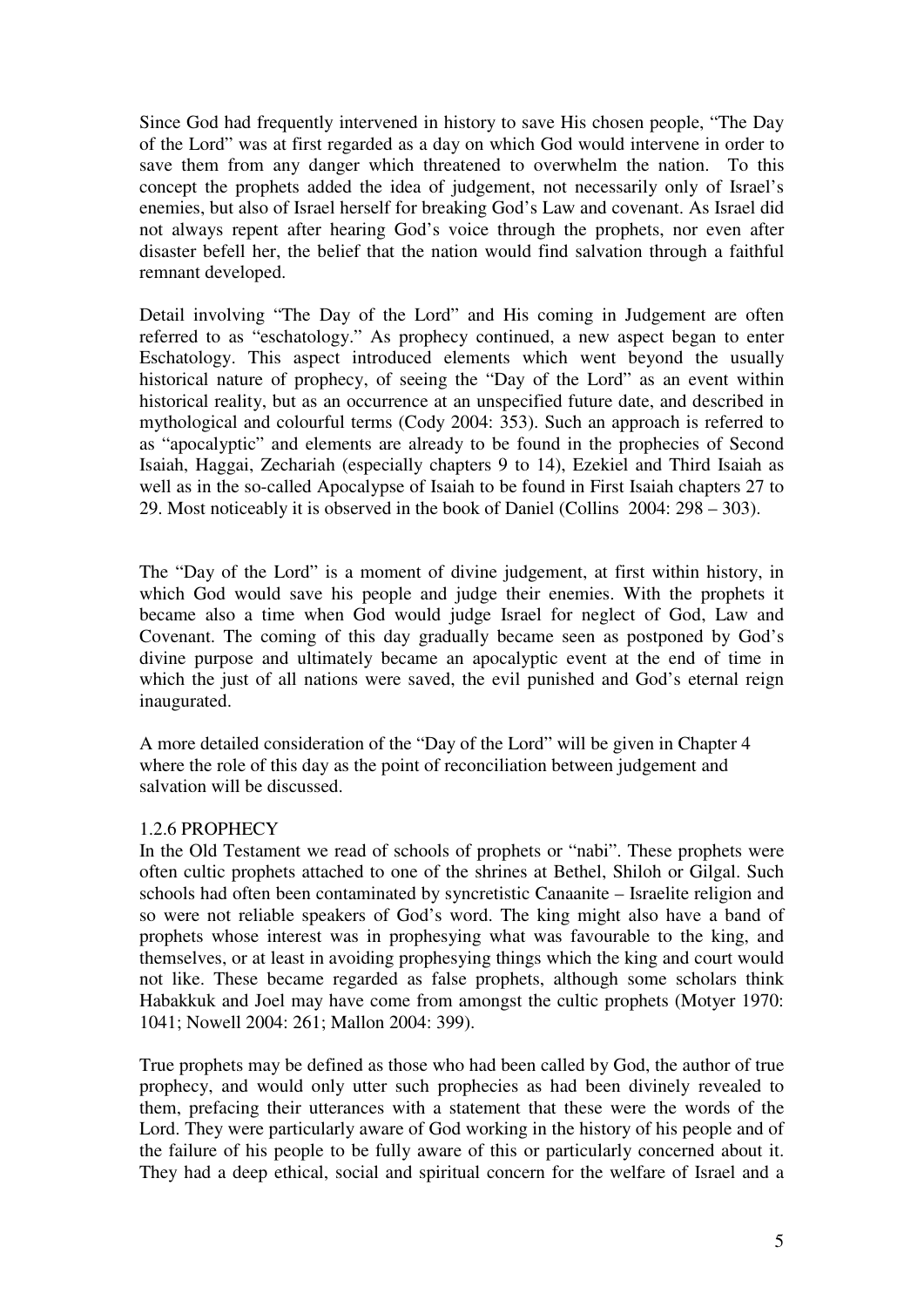Since God had frequently intervened in history to save His chosen people, "The Day of the Lord" was at first regarded as a day on which God would intervene in order to save them from any danger which threatened to overwhelm the nation. To this concept the prophets added the idea of judgement, not necessarily only of Israel's enemies, but also of Israel herself for breaking God's Law and covenant. As Israel did not always repent after hearing God's voice through the prophets, nor even after disaster befell her, the belief that the nation would find salvation through a faithful remnant developed.

Detail involving "The Day of the Lord" and His coming in Judgement are often referred to as "eschatology." As prophecy continued, a new aspect began to enter Eschatology. This aspect introduced elements which went beyond the usually historical nature of prophecy, of seeing the "Day of the Lord" as an event within historical reality, but as an occurrence at an unspecified future date, and described in mythological and colourful terms (Cody 2004: 353). Such an approach is referred to as "apocalyptic" and elements are already to be found in the prophecies of Second Isaiah, Haggai, Zechariah (especially chapters 9 to 14), Ezekiel and Third Isaiah as well as in the so-called Apocalypse of Isaiah to be found in First Isaiah chapters 27 to 29. Most noticeably it is observed in the book of Daniel (Collins 2004: 298 – 303).

The "Day of the Lord" is a moment of divine judgement, at first within history, in which God would save his people and judge their enemies. With the prophets it became also a time when God would judge Israel for neglect of God, Law and Covenant. The coming of this day gradually became seen as postponed by God's divine purpose and ultimately became an apocalyptic event at the end of time in which the just of all nations were saved, the evil punished and God's eternal reign inaugurated.

A more detailed consideration of the "Day of the Lord" will be given in Chapter 4 where the role of this day as the point of reconciliation between judgement and salvation will be discussed.

#### 1.2.6 PROPHECY

In the Old Testament we read of schools of prophets or "nabi". These prophets were often cultic prophets attached to one of the shrines at Bethel, Shiloh or Gilgal. Such schools had often been contaminated by syncretistic Canaanite – Israelite religion and so were not reliable speakers of God's word. The king might also have a band of prophets whose interest was in prophesying what was favourable to the king, and themselves, or at least in avoiding prophesying things which the king and court would not like. These became regarded as false prophets, although some scholars think Habakkuk and Joel may have come from amongst the cultic prophets (Motyer 1970: 1041; Nowell 2004: 261; Mallon 2004: 399).

True prophets may be defined as those who had been called by God, the author of true prophecy, and would only utter such prophecies as had been divinely revealed to them, prefacing their utterances with a statement that these were the words of the Lord. They were particularly aware of God working in the history of his people and of the failure of his people to be fully aware of this or particularly concerned about it. They had a deep ethical, social and spiritual concern for the welfare of Israel and a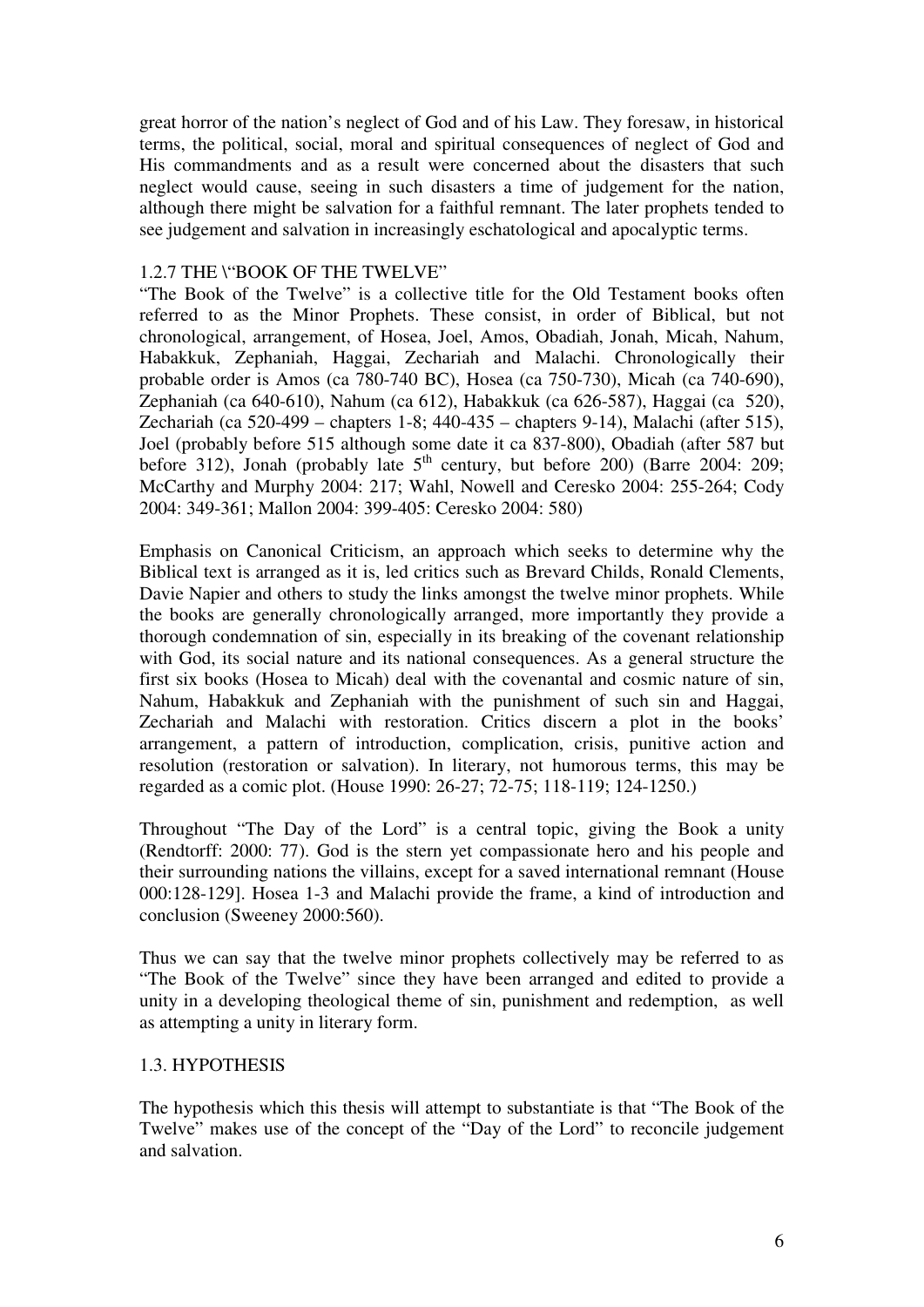great horror of the nation's neglect of God and of his Law. They foresaw, in historical terms, the political, social, moral and spiritual consequences of neglect of God and His commandments and as a result were concerned about the disasters that such neglect would cause, seeing in such disasters a time of judgement for the nation, although there might be salvation for a faithful remnant. The later prophets tended to see judgement and salvation in increasingly eschatological and apocalyptic terms.

#### 1.2.7 THE \"BOOK OF THE TWELVE"

"The Book of the Twelve" is a collective title for the Old Testament books often referred to as the Minor Prophets. These consist, in order of Biblical, but not chronological, arrangement, of Hosea, Joel, Amos, Obadiah, Jonah, Micah, Nahum, Habakkuk, Zephaniah, Haggai, Zechariah and Malachi. Chronologically their probable order is Amos (ca 780-740 BC), Hosea (ca 750-730), Micah (ca 740-690), Zephaniah (ca 640-610), Nahum (ca 612), Habakkuk (ca 626-587), Haggai (ca 520), Zechariah (ca 520-499 – chapters 1-8; 440-435 – chapters 9-14), Malachi (after 515), Joel (probably before 515 although some date it ca 837-800), Obadiah (after 587 but before 312), Jonah (probably late  $5<sup>th</sup>$  century, but before 200) (Barre 2004: 209; McCarthy and Murphy 2004: 217; Wahl, Nowell and Ceresko 2004: 255-264; Cody 2004: 349-361; Mallon 2004: 399-405: Ceresko 2004: 580)

Emphasis on Canonical Criticism, an approach which seeks to determine why the Biblical text is arranged as it is, led critics such as Brevard Childs, Ronald Clements, Davie Napier and others to study the links amongst the twelve minor prophets. While the books are generally chronologically arranged, more importantly they provide a thorough condemnation of sin, especially in its breaking of the covenant relationship with God, its social nature and its national consequences. As a general structure the first six books (Hosea to Micah) deal with the covenantal and cosmic nature of sin, Nahum, Habakkuk and Zephaniah with the punishment of such sin and Haggai, Zechariah and Malachi with restoration. Critics discern a plot in the books' arrangement, a pattern of introduction, complication, crisis, punitive action and resolution (restoration or salvation). In literary, not humorous terms, this may be regarded as a comic plot. (House 1990: 26-27; 72-75; 118-119; 124-1250.)

Throughout "The Day of the Lord" is a central topic, giving the Book a unity (Rendtorff: 2000: 77). God is the stern yet compassionate hero and his people and their surrounding nations the villains, except for a saved international remnant (House 000:128-129]. Hosea 1-3 and Malachi provide the frame, a kind of introduction and conclusion (Sweeney 2000:560).

Thus we can say that the twelve minor prophets collectively may be referred to as "The Book of the Twelve" since they have been arranged and edited to provide a unity in a developing theological theme of sin, punishment and redemption, as well as attempting a unity in literary form.

#### 1.3. HYPOTHESIS

The hypothesis which this thesis will attempt to substantiate is that "The Book of the Twelve" makes use of the concept of the "Day of the Lord" to reconcile judgement and salvation.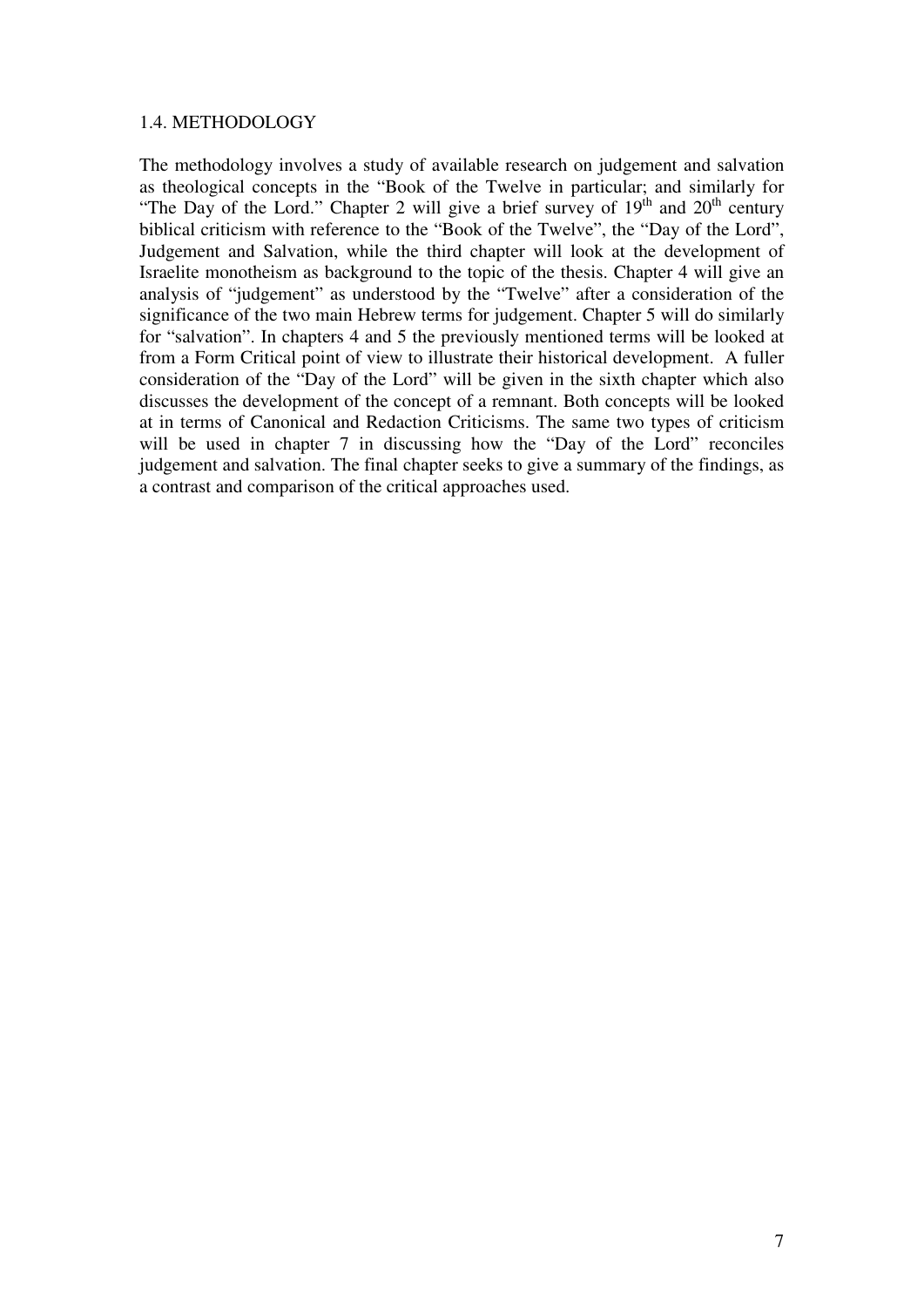#### 1.4. METHODOLOGY

The methodology involves a study of available research on judgement and salvation as theological concepts in the "Book of the Twelve in particular; and similarly for "The Day of the Lord." Chapter 2 will give a brief survey of  $19<sup>th</sup>$  and  $20<sup>th</sup>$  century biblical criticism with reference to the "Book of the Twelve", the "Day of the Lord", Judgement and Salvation, while the third chapter will look at the development of Israelite monotheism as background to the topic of the thesis. Chapter 4 will give an analysis of "judgement" as understood by the "Twelve" after a consideration of the significance of the two main Hebrew terms for judgement. Chapter 5 will do similarly for "salvation". In chapters 4 and 5 the previously mentioned terms will be looked at from a Form Critical point of view to illustrate their historical development. A fuller consideration of the "Day of the Lord" will be given in the sixth chapter which also discusses the development of the concept of a remnant. Both concepts will be looked at in terms of Canonical and Redaction Criticisms. The same two types of criticism will be used in chapter 7 in discussing how the "Day of the Lord" reconciles judgement and salvation. The final chapter seeks to give a summary of the findings, as a contrast and comparison of the critical approaches used.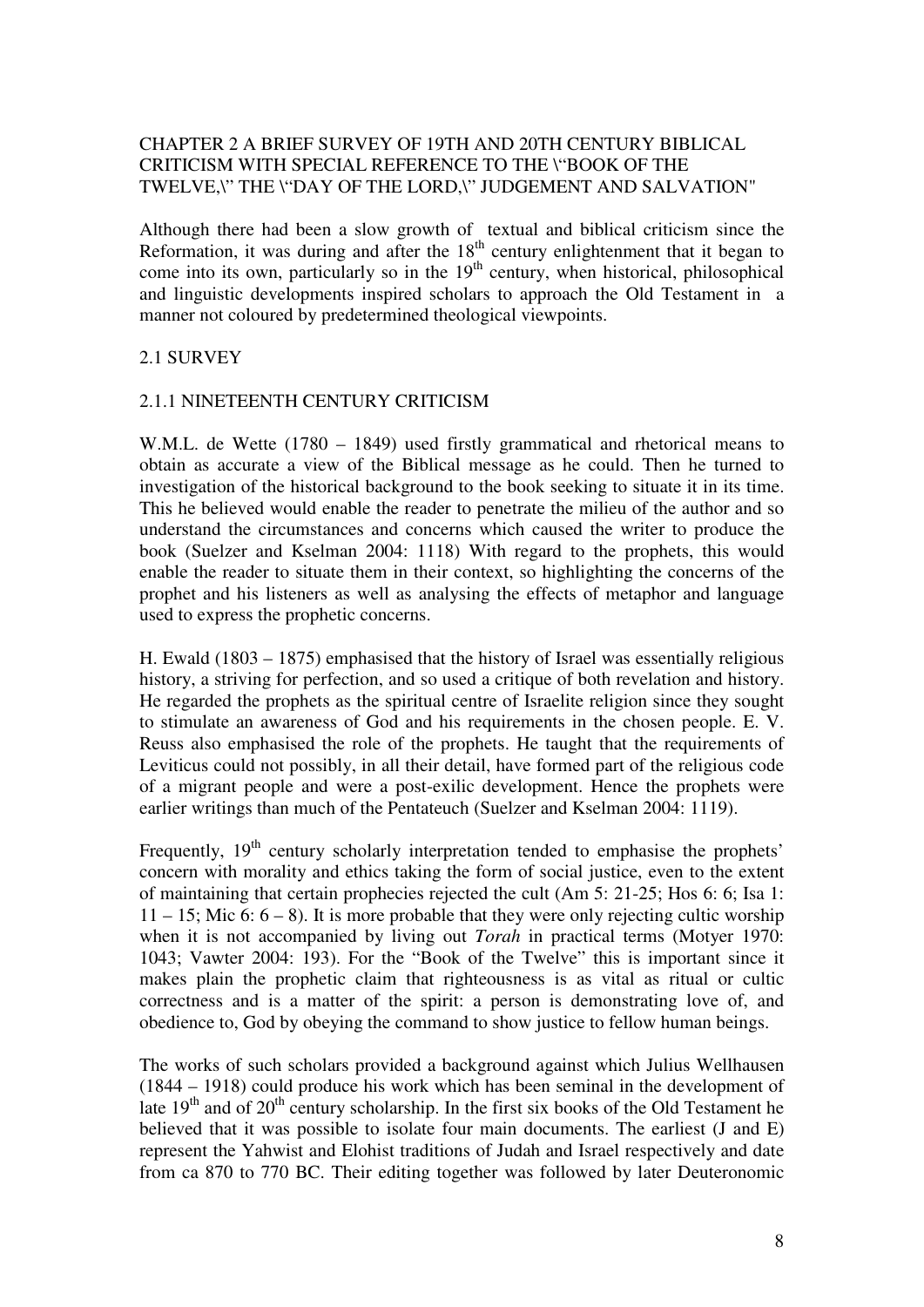## CHAPTER 2 A BRIEF SURVEY OF 19TH AND 20TH CENTURY BIBLICAL CRITICISM WITH SPECIAL REFERENCE TO THE \"BOOK OF THE TWELVE,\" THE \"DAY OF THE LORD,\" JUDGEMENT AND SALVATION"

Although there had been a slow growth of textual and biblical criticism since the Reformation, it was during and after the  $18<sup>th</sup>$  century enlightenment that it began to come into its own, particularly so in the  $19<sup>th</sup>$  century, when historical, philosophical and linguistic developments inspired scholars to approach the Old Testament in a manner not coloured by predetermined theological viewpoints.

#### 2.1 SURVEY

#### 2.1.1 NINETEENTH CENTURY CRITICISM

W.M.L. de Wette (1780 – 1849) used firstly grammatical and rhetorical means to obtain as accurate a view of the Biblical message as he could. Then he turned to investigation of the historical background to the book seeking to situate it in its time. This he believed would enable the reader to penetrate the milieu of the author and so understand the circumstances and concerns which caused the writer to produce the book (Suelzer and Kselman 2004: 1118) With regard to the prophets, this would enable the reader to situate them in their context, so highlighting the concerns of the prophet and his listeners as well as analysing the effects of metaphor and language used to express the prophetic concerns.

H. Ewald (1803 – 1875) emphasised that the history of Israel was essentially religious history, a striving for perfection, and so used a critique of both revelation and history. He regarded the prophets as the spiritual centre of Israelite religion since they sought to stimulate an awareness of God and his requirements in the chosen people. E. V. Reuss also emphasised the role of the prophets. He taught that the requirements of Leviticus could not possibly, in all their detail, have formed part of the religious code of a migrant people and were a post-exilic development. Hence the prophets were earlier writings than much of the Pentateuch (Suelzer and Kselman 2004: 1119).

Frequently, 19<sup>th</sup> century scholarly interpretation tended to emphasise the prophets' concern with morality and ethics taking the form of social justice, even to the extent of maintaining that certain prophecies rejected the cult (Am 5: 21-25; Hos 6: 6; Isa 1:  $11 - 15$ ; Mic 6:  $6 - 8$ ). It is more probable that they were only rejecting cultic worship when it is not accompanied by living out *Torah* in practical terms (Motyer 1970: 1043; Vawter 2004: 193). For the "Book of the Twelve" this is important since it makes plain the prophetic claim that righteousness is as vital as ritual or cultic correctness and is a matter of the spirit: a person is demonstrating love of, and obedience to, God by obeying the command to show justice to fellow human beings.

The works of such scholars provided a background against which Julius Wellhausen (1844 – 1918) could produce his work which has been seminal in the development of late  $19<sup>th</sup>$  and of  $20<sup>th</sup>$  century scholarship. In the first six books of the Old Testament he believed that it was possible to isolate four main documents. The earliest (J and E) represent the Yahwist and Elohist traditions of Judah and Israel respectively and date from ca 870 to 770 BC. Their editing together was followed by later Deuteronomic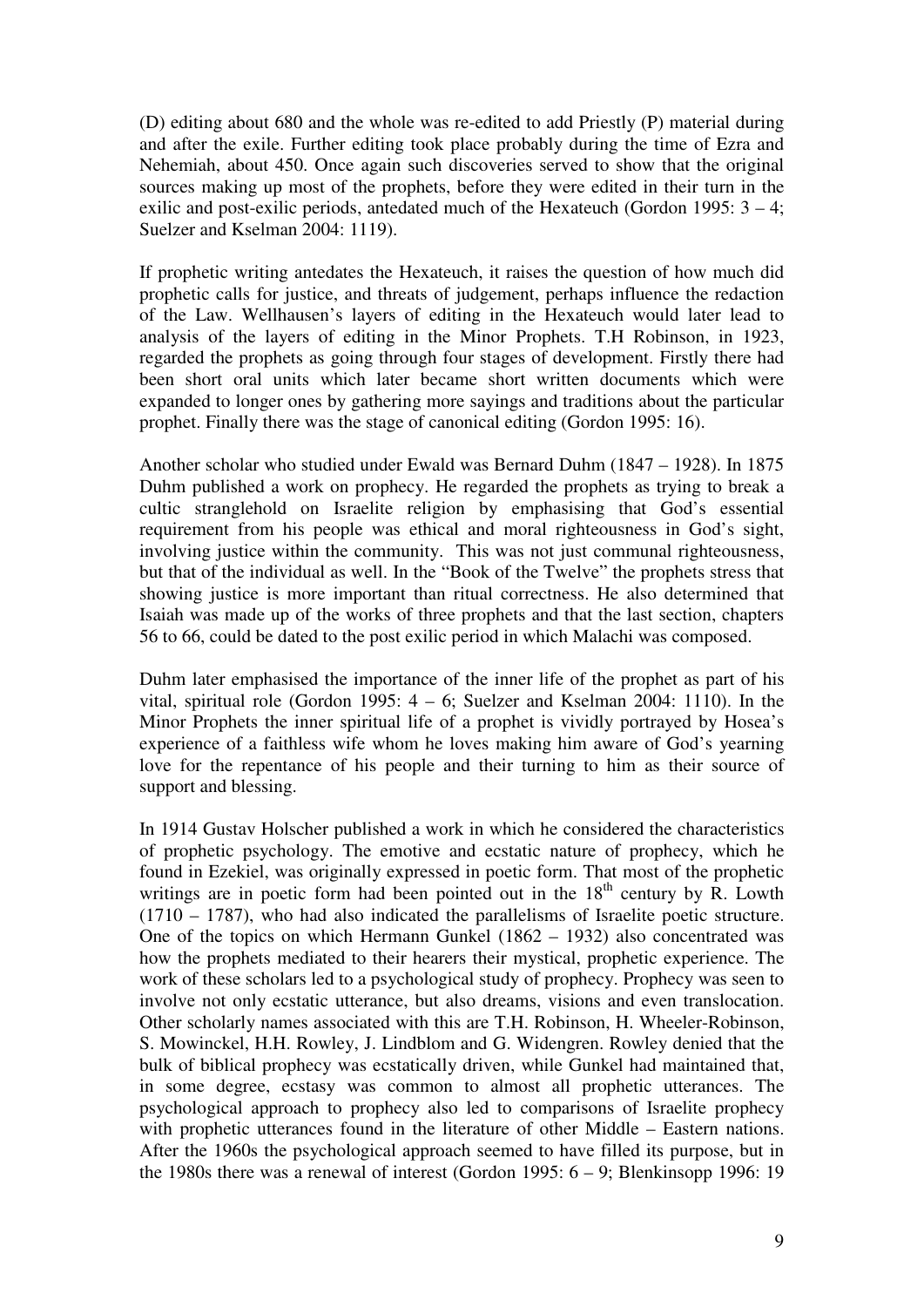(D) editing about 680 and the whole was re-edited to add Priestly (P) material during and after the exile. Further editing took place probably during the time of Ezra and Nehemiah, about 450. Once again such discoveries served to show that the original sources making up most of the prophets, before they were edited in their turn in the exilic and post-exilic periods, antedated much of the Hexateuch (Gordon 1995: 3 – 4; Suelzer and Kselman 2004: 1119).

If prophetic writing antedates the Hexateuch, it raises the question of how much did prophetic calls for justice, and threats of judgement, perhaps influence the redaction of the Law. Wellhausen's layers of editing in the Hexateuch would later lead to analysis of the layers of editing in the Minor Prophets. T.H Robinson, in 1923, regarded the prophets as going through four stages of development. Firstly there had been short oral units which later became short written documents which were expanded to longer ones by gathering more sayings and traditions about the particular prophet. Finally there was the stage of canonical editing (Gordon 1995: 16).

Another scholar who studied under Ewald was Bernard Duhm (1847 – 1928). In 1875 Duhm published a work on prophecy. He regarded the prophets as trying to break a cultic stranglehold on Israelite religion by emphasising that God's essential requirement from his people was ethical and moral righteousness in God's sight, involving justice within the community. This was not just communal righteousness, but that of the individual as well. In the "Book of the Twelve" the prophets stress that showing justice is more important than ritual correctness. He also determined that Isaiah was made up of the works of three prophets and that the last section, chapters 56 to 66, could be dated to the post exilic period in which Malachi was composed.

Duhm later emphasised the importance of the inner life of the prophet as part of his vital, spiritual role (Gordon 1995: 4 – 6; Suelzer and Kselman 2004: 1110). In the Minor Prophets the inner spiritual life of a prophet is vividly portrayed by Hosea's experience of a faithless wife whom he loves making him aware of God's yearning love for the repentance of his people and their turning to him as their source of support and blessing.

In 1914 Gustav Holscher published a work in which he considered the characteristics of prophetic psychology. The emotive and ecstatic nature of prophecy, which he found in Ezekiel, was originally expressed in poetic form. That most of the prophetic writings are in poetic form had been pointed out in the  $18<sup>th</sup>$  century by R. Lowth (1710 – 1787), who had also indicated the parallelisms of Israelite poetic structure. One of the topics on which Hermann Gunkel (1862 – 1932) also concentrated was how the prophets mediated to their hearers their mystical, prophetic experience. The work of these scholars led to a psychological study of prophecy. Prophecy was seen to involve not only ecstatic utterance, but also dreams, visions and even translocation. Other scholarly names associated with this are T.H. Robinson, H. Wheeler-Robinson, S. Mowinckel, H.H. Rowley, J. Lindblom and G. Widengren. Rowley denied that the bulk of biblical prophecy was ecstatically driven, while Gunkel had maintained that, in some degree, ecstasy was common to almost all prophetic utterances. The psychological approach to prophecy also led to comparisons of Israelite prophecy with prophetic utterances found in the literature of other Middle – Eastern nations. After the 1960s the psychological approach seemed to have filled its purpose, but in the 1980s there was a renewal of interest (Gordon 1995: 6 – 9; Blenkinsopp 1996: 19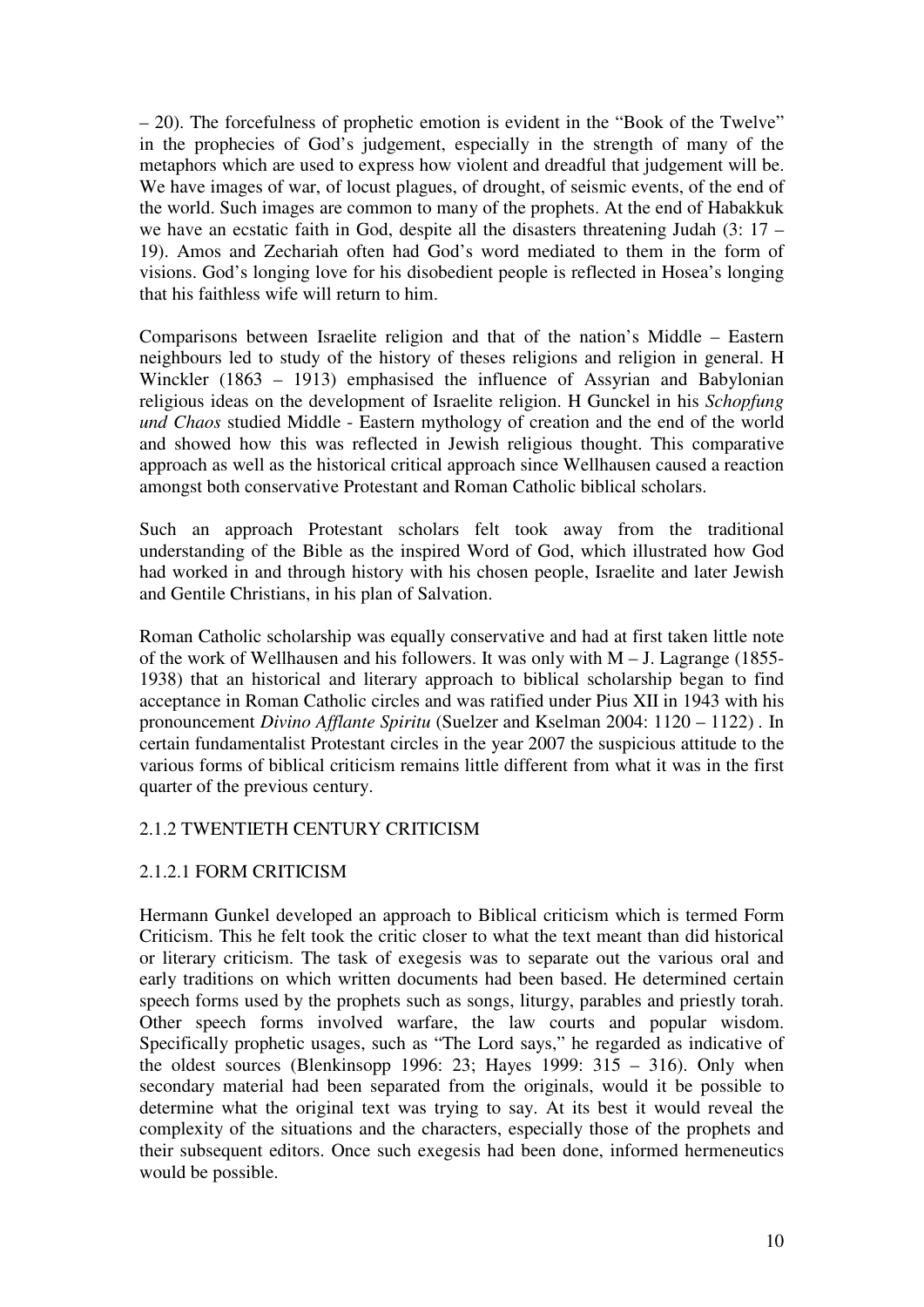– 20). The forcefulness of prophetic emotion is evident in the "Book of the Twelve" in the prophecies of God's judgement, especially in the strength of many of the metaphors which are used to express how violent and dreadful that judgement will be. We have images of war, of locust plagues, of drought, of seismic events, of the end of the world. Such images are common to many of the prophets. At the end of Habakkuk we have an ecstatic faith in God, despite all the disasters threatening Judah (3: 17 – 19). Amos and Zechariah often had God's word mediated to them in the form of visions. God's longing love for his disobedient people is reflected in Hosea's longing that his faithless wife will return to him.

Comparisons between Israelite religion and that of the nation's Middle – Eastern neighbours led to study of the history of theses religions and religion in general. H Winckler (1863 – 1913) emphasised the influence of Assyrian and Babylonian religious ideas on the development of Israelite religion. H Gunckel in his *Schopfung und Chaos* studied Middle - Eastern mythology of creation and the end of the world and showed how this was reflected in Jewish religious thought. This comparative approach as well as the historical critical approach since Wellhausen caused a reaction amongst both conservative Protestant and Roman Catholic biblical scholars.

Such an approach Protestant scholars felt took away from the traditional understanding of the Bible as the inspired Word of God, which illustrated how God had worked in and through history with his chosen people, Israelite and later Jewish and Gentile Christians, in his plan of Salvation.

Roman Catholic scholarship was equally conservative and had at first taken little note of the work of Wellhausen and his followers. It was only with M – J. Lagrange (1855- 1938) that an historical and literary approach to biblical scholarship began to find acceptance in Roman Catholic circles and was ratified under Pius XII in 1943 with his pronouncement *Divino Afflante Spiritu* (Suelzer and Kselman 2004: 1120 – 1122) *.* In certain fundamentalist Protestant circles in the year 2007 the suspicious attitude to the various forms of biblical criticism remains little different from what it was in the first quarter of the previous century.

## 2.1.2 TWENTIETH CENTURY CRITICISM

## 2.1.2.1 FORM CRITICISM

Hermann Gunkel developed an approach to Biblical criticism which is termed Form Criticism. This he felt took the critic closer to what the text meant than did historical or literary criticism. The task of exegesis was to separate out the various oral and early traditions on which written documents had been based. He determined certain speech forms used by the prophets such as songs, liturgy, parables and priestly torah. Other speech forms involved warfare, the law courts and popular wisdom. Specifically prophetic usages, such as "The Lord says," he regarded as indicative of the oldest sources (Blenkinsopp 1996: 23; Hayes 1999:  $315 - 316$ ). Only when secondary material had been separated from the originals, would it be possible to determine what the original text was trying to say. At its best it would reveal the complexity of the situations and the characters, especially those of the prophets and their subsequent editors. Once such exegesis had been done, informed hermeneutics would be possible.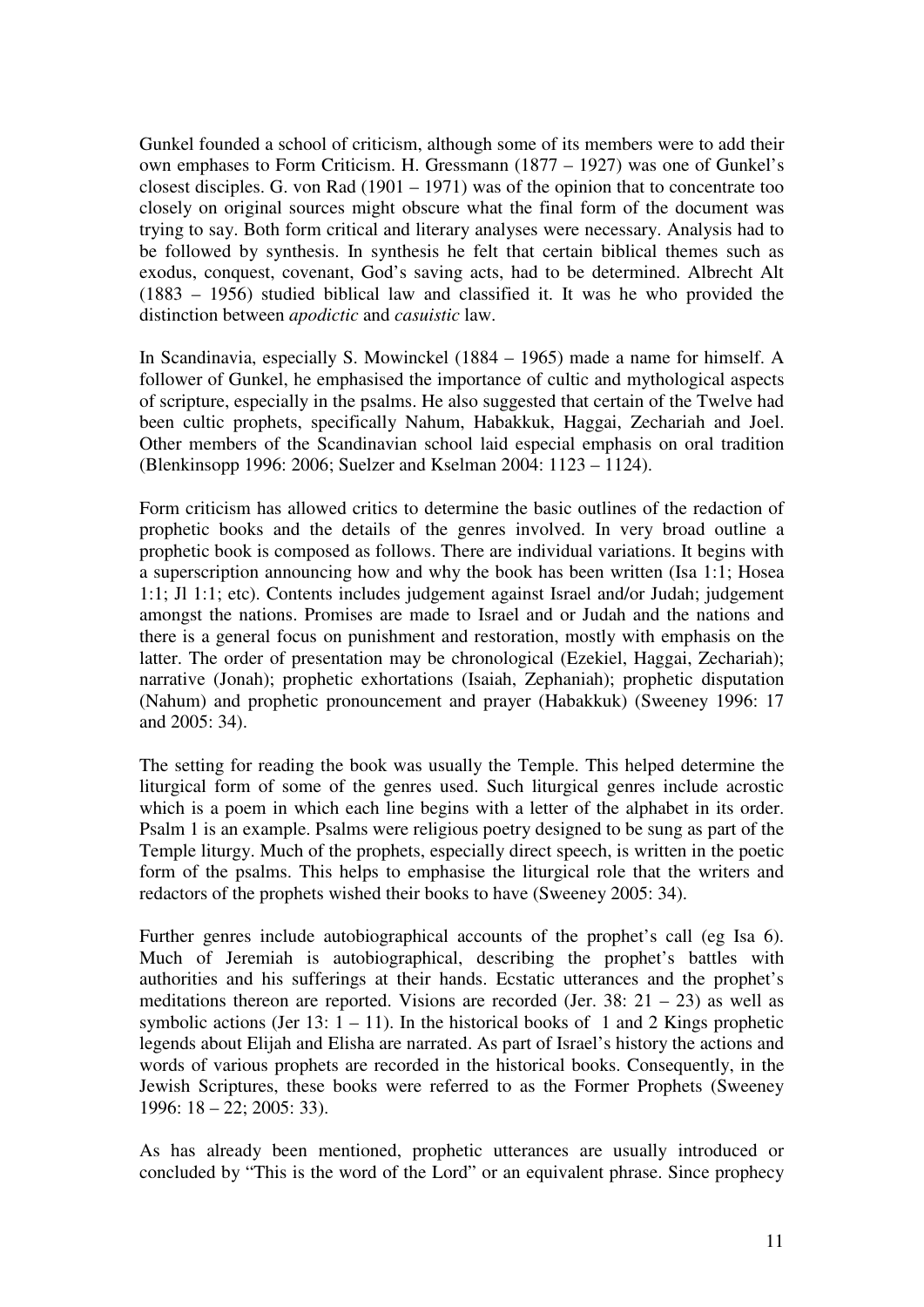Gunkel founded a school of criticism, although some of its members were to add their own emphases to Form Criticism. H. Gressmann (1877 – 1927) was one of Gunkel's closest disciples. G. von Rad (1901 – 1971) was of the opinion that to concentrate too closely on original sources might obscure what the final form of the document was trying to say. Both form critical and literary analyses were necessary. Analysis had to be followed by synthesis. In synthesis he felt that certain biblical themes such as exodus, conquest, covenant, God's saving acts, had to be determined. Albrecht Alt (1883 – 1956) studied biblical law and classified it. It was he who provided the distinction between *apodictic* and *casuistic* law.

In Scandinavia, especially S. Mowinckel (1884 – 1965) made a name for himself. A follower of Gunkel, he emphasised the importance of cultic and mythological aspects of scripture, especially in the psalms. He also suggested that certain of the Twelve had been cultic prophets, specifically Nahum, Habakkuk, Haggai, Zechariah and Joel. Other members of the Scandinavian school laid especial emphasis on oral tradition (Blenkinsopp 1996: 2006; Suelzer and Kselman 2004: 1123 – 1124).

Form criticism has allowed critics to determine the basic outlines of the redaction of prophetic books and the details of the genres involved. In very broad outline a prophetic book is composed as follows. There are individual variations. It begins with a superscription announcing how and why the book has been written (Isa 1:1; Hosea 1:1; Jl 1:1; etc). Contents includes judgement against Israel and/or Judah; judgement amongst the nations. Promises are made to Israel and or Judah and the nations and there is a general focus on punishment and restoration, mostly with emphasis on the latter. The order of presentation may be chronological (Ezekiel, Haggai, Zechariah); narrative (Jonah); prophetic exhortations (Isaiah, Zephaniah); prophetic disputation (Nahum) and prophetic pronouncement and prayer (Habakkuk) (Sweeney 1996: 17 and 2005: 34).

The setting for reading the book was usually the Temple. This helped determine the liturgical form of some of the genres used. Such liturgical genres include acrostic which is a poem in which each line begins with a letter of the alphabet in its order. Psalm 1 is an example. Psalms were religious poetry designed to be sung as part of the Temple liturgy. Much of the prophets, especially direct speech, is written in the poetic form of the psalms. This helps to emphasise the liturgical role that the writers and redactors of the prophets wished their books to have (Sweeney 2005: 34).

Further genres include autobiographical accounts of the prophet's call (eg Isa 6). Much of Jeremiah is autobiographical, describing the prophet's battles with authorities and his sufferings at their hands. Ecstatic utterances and the prophet's meditations thereon are reported. Visions are recorded (Jer.  $38: 21 - 23$ ) as well as symbolic actions (Jer 13:  $1 - 11$ ). In the historical books of 1 and 2 Kings prophetic legends about Elijah and Elisha are narrated. As part of Israel's history the actions and words of various prophets are recorded in the historical books. Consequently, in the Jewish Scriptures, these books were referred to as the Former Prophets (Sweeney 1996: 18 – 22; 2005: 33).

As has already been mentioned, prophetic utterances are usually introduced or concluded by "This is the word of the Lord" or an equivalent phrase. Since prophecy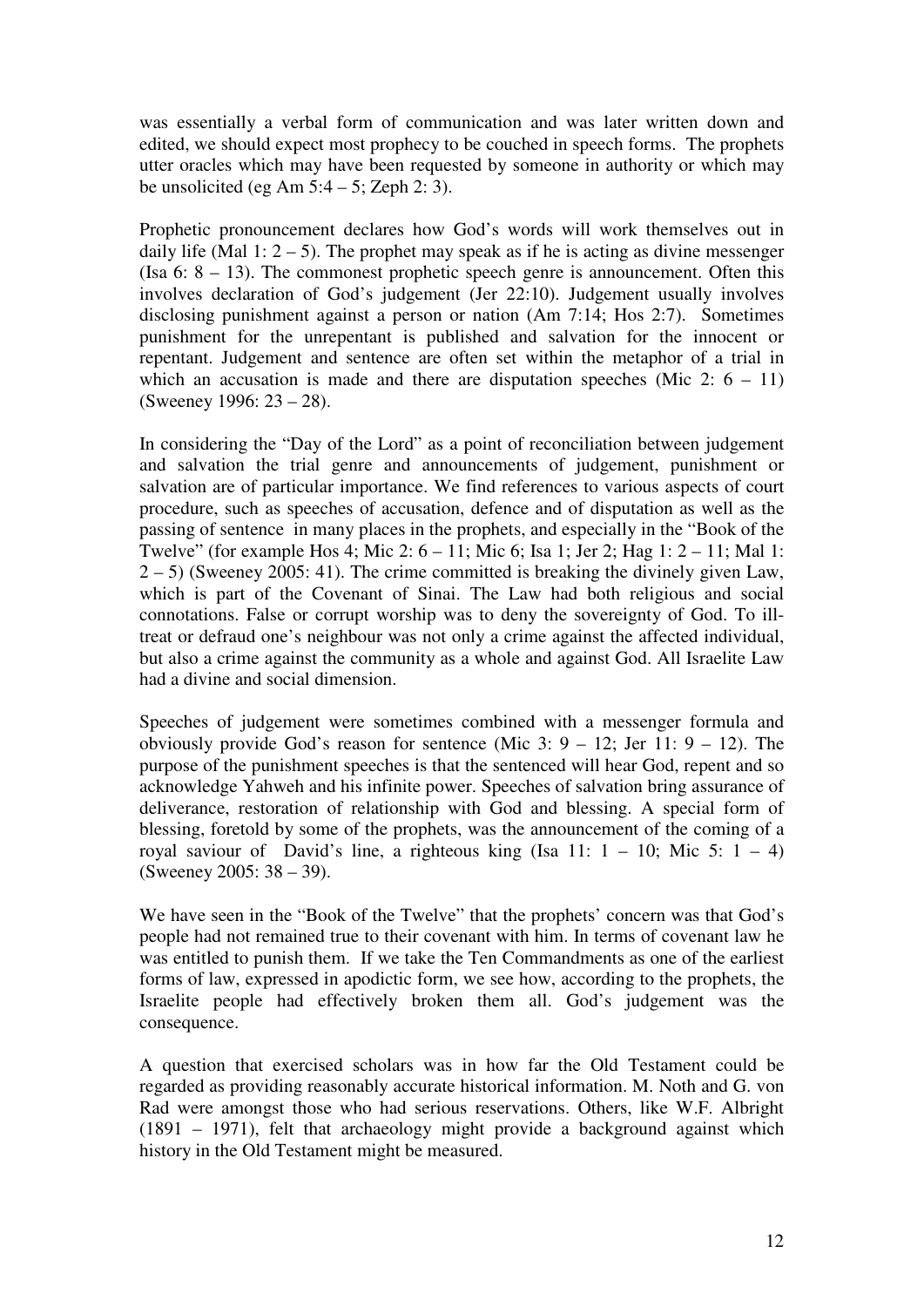was essentially a verbal form of communication and was later written down and edited, we should expect most prophecy to be couched in speech forms. The prophets utter oracles which may have been requested by someone in authority or which may be unsolicited (eg Am  $5:4 - 5$ ; Zeph 2: 3).

Prophetic pronouncement declares how God's words will work themselves out in daily life (Mal 1:  $2 - 5$ ). The prophet may speak as if he is acting as divine messenger (Isa 6: 8 – 13). The commonest prophetic speech genre is announcement. Often this involves declaration of God's judgement (Jer 22:10). Judgement usually involves disclosing punishment against a person or nation (Am 7:14; Hos 2:7). Sometimes punishment for the unrepentant is published and salvation for the innocent or repentant. Judgement and sentence are often set within the metaphor of a trial in which an accusation is made and there are disputation speeches (Mic  $2: 6 - 11$ ) (Sweeney 1996: 23 – 28).

In considering the "Day of the Lord" as a point of reconciliation between judgement and salvation the trial genre and announcements of judgement, punishment or salvation are of particular importance. We find references to various aspects of court procedure, such as speeches of accusation, defence and of disputation as well as the passing of sentence in many places in the prophets, and especially in the "Book of the Twelve" (for example Hos 4; Mic 2: 6 – 11; Mic 6; Isa 1; Jer 2; Hag 1: 2 – 11; Mal 1: 2 – 5) (Sweeney 2005: 41). The crime committed is breaking the divinely given Law, which is part of the Covenant of Sinai. The Law had both religious and social connotations. False or corrupt worship was to deny the sovereignty of God. To illtreat or defraud one's neighbour was not only a crime against the affected individual, but also a crime against the community as a whole and against God. All Israelite Law had a divine and social dimension.

Speeches of judgement were sometimes combined with a messenger formula and obviously provide God's reason for sentence (Mic  $3: 9 - 12$ ; Jer 11:  $9 - 12$ ). The purpose of the punishment speeches is that the sentenced will hear God, repent and so acknowledge Yahweh and his infinite power. Speeches of salvation bring assurance of deliverance, restoration of relationship with God and blessing. A special form of blessing, foretold by some of the prophets, was the announcement of the coming of a royal saviour of David's line, a righteous king (Isa 11:  $1 - 10$ ; Mic 5:  $1 - 4$ ) (Sweeney 2005: 38 – 39).

We have seen in the "Book of the Twelve" that the prophets' concern was that God's people had not remained true to their covenant with him. In terms of covenant law he was entitled to punish them. If we take the Ten Commandments as one of the earliest forms of law, expressed in apodictic form, we see how, according to the prophets, the Israelite people had effectively broken them all. God's judgement was the consequence.

A question that exercised scholars was in how far the Old Testament could be regarded as providing reasonably accurate historical information. M. Noth and G. von Rad were amongst those who had serious reservations. Others, like W.F. Albright (1891 – 1971), felt that archaeology might provide a background against which history in the Old Testament might be measured.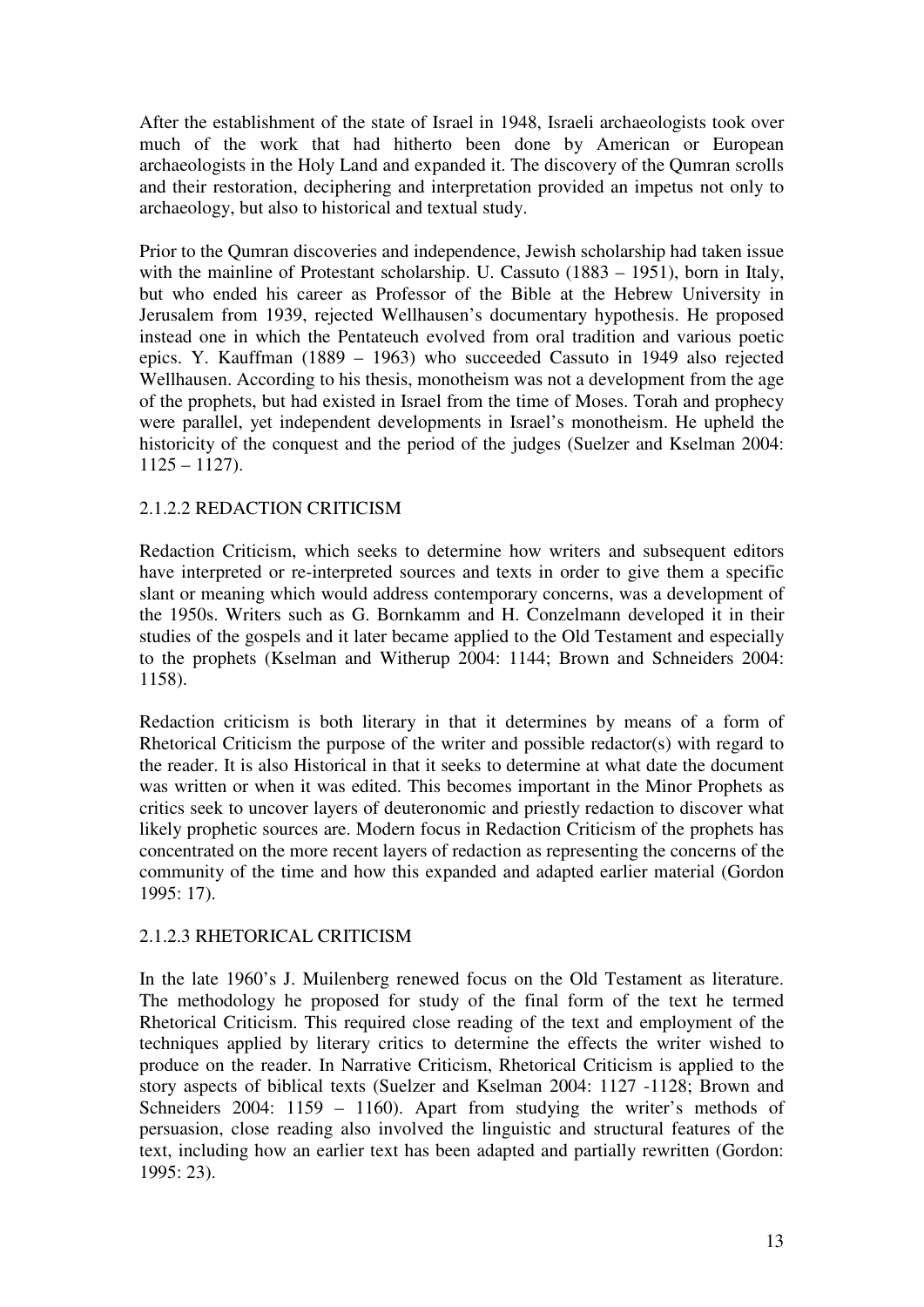After the establishment of the state of Israel in 1948, Israeli archaeologists took over much of the work that had hitherto been done by American or European archaeologists in the Holy Land and expanded it. The discovery of the Qumran scrolls and their restoration, deciphering and interpretation provided an impetus not only to archaeology, but also to historical and textual study.

Prior to the Qumran discoveries and independence, Jewish scholarship had taken issue with the mainline of Protestant scholarship. U. Cassuto (1883 – 1951), born in Italy, but who ended his career as Professor of the Bible at the Hebrew University in Jerusalem from 1939, rejected Wellhausen's documentary hypothesis. He proposed instead one in which the Pentateuch evolved from oral tradition and various poetic epics. Y. Kauffman (1889 – 1963) who succeeded Cassuto in 1949 also rejected Wellhausen. According to his thesis, monotheism was not a development from the age of the prophets, but had existed in Israel from the time of Moses. Torah and prophecy were parallel, yet independent developments in Israel's monotheism. He upheld the historicity of the conquest and the period of the judges (Suelzer and Kselman 2004:  $1125 - 1127$ .

## 2.1.2.2 REDACTION CRITICISM

Redaction Criticism, which seeks to determine how writers and subsequent editors have interpreted or re-interpreted sources and texts in order to give them a specific slant or meaning which would address contemporary concerns, was a development of the 1950s. Writers such as G. Bornkamm and H. Conzelmann developed it in their studies of the gospels and it later became applied to the Old Testament and especially to the prophets (Kselman and Witherup 2004: 1144; Brown and Schneiders 2004: 1158).

Redaction criticism is both literary in that it determines by means of a form of Rhetorical Criticism the purpose of the writer and possible redactor(s) with regard to the reader. It is also Historical in that it seeks to determine at what date the document was written or when it was edited. This becomes important in the Minor Prophets as critics seek to uncover layers of deuteronomic and priestly redaction to discover what likely prophetic sources are. Modern focus in Redaction Criticism of the prophets has concentrated on the more recent layers of redaction as representing the concerns of the community of the time and how this expanded and adapted earlier material (Gordon 1995: 17).

## 2.1.2.3 RHETORICAL CRITICISM

In the late 1960's J. Muilenberg renewed focus on the Old Testament as literature. The methodology he proposed for study of the final form of the text he termed Rhetorical Criticism. This required close reading of the text and employment of the techniques applied by literary critics to determine the effects the writer wished to produce on the reader. In Narrative Criticism, Rhetorical Criticism is applied to the story aspects of biblical texts (Suelzer and Kselman 2004: 1127 -1128; Brown and Schneiders 2004: 1159 – 1160). Apart from studying the writer's methods of persuasion, close reading also involved the linguistic and structural features of the text, including how an earlier text has been adapted and partially rewritten (Gordon: 1995: 23).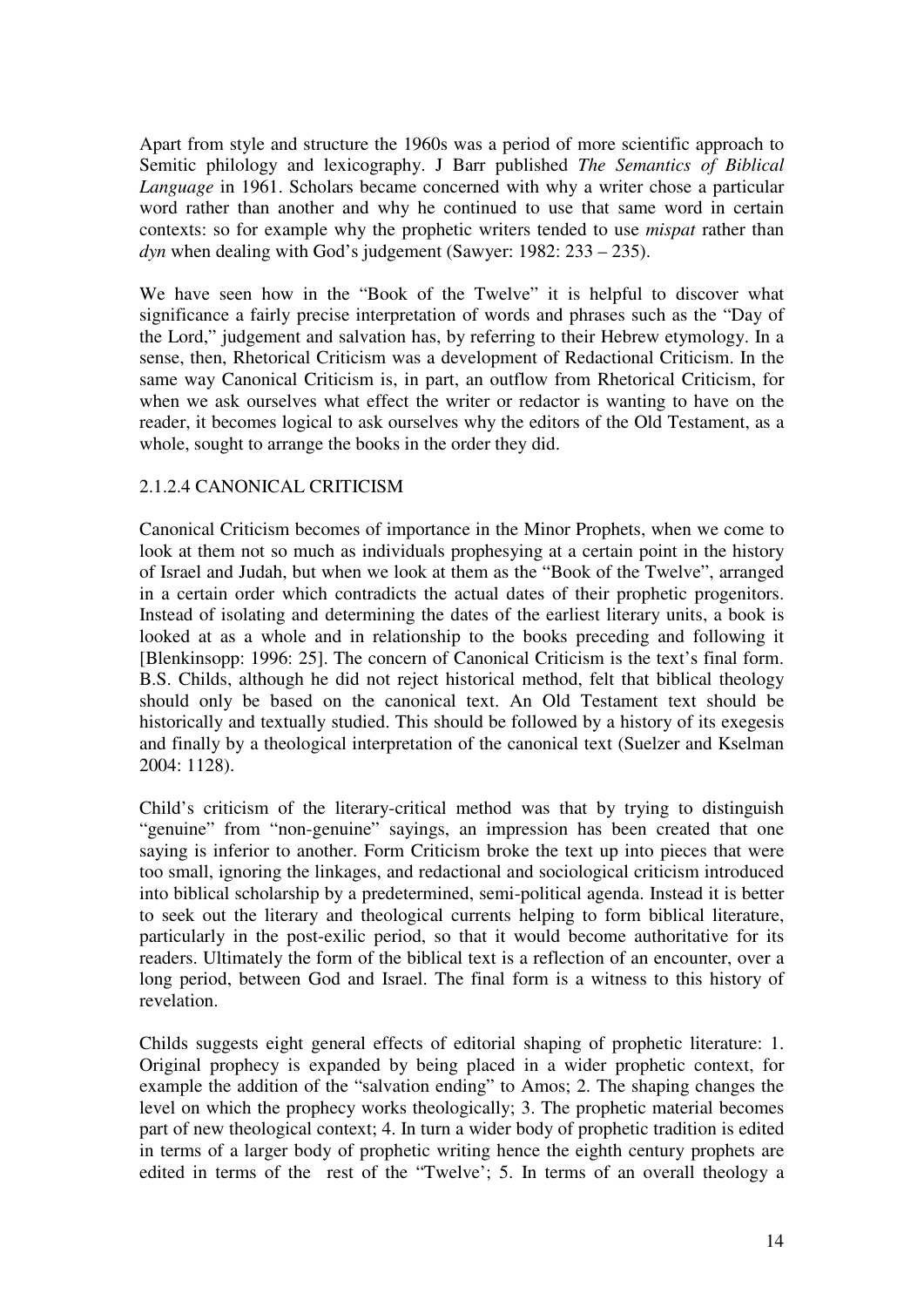Apart from style and structure the 1960s was a period of more scientific approach to Semitic philology and lexicography. J Barr published *The Semantics of Biblical Language* in 1961. Scholars became concerned with why a writer chose a particular word rather than another and why he continued to use that same word in certain contexts: so for example why the prophetic writers tended to use *mispat* rather than *dyn* when dealing with God's judgement (Sawyer: 1982: 233 – 235).

We have seen how in the "Book of the Twelve" it is helpful to discover what significance a fairly precise interpretation of words and phrases such as the "Day of the Lord," judgement and salvation has, by referring to their Hebrew etymology. In a sense, then, Rhetorical Criticism was a development of Redactional Criticism. In the same way Canonical Criticism is, in part, an outflow from Rhetorical Criticism, for when we ask ourselves what effect the writer or redactor is wanting to have on the reader, it becomes logical to ask ourselves why the editors of the Old Testament, as a whole, sought to arrange the books in the order they did.

## 2.1.2.4 CANONICAL CRITICISM

Canonical Criticism becomes of importance in the Minor Prophets, when we come to look at them not so much as individuals prophesying at a certain point in the history of Israel and Judah, but when we look at them as the "Book of the Twelve", arranged in a certain order which contradicts the actual dates of their prophetic progenitors. Instead of isolating and determining the dates of the earliest literary units, a book is looked at as a whole and in relationship to the books preceding and following it [Blenkinsopp: 1996: 25]. The concern of Canonical Criticism is the text's final form. B.S. Childs, although he did not reject historical method, felt that biblical theology should only be based on the canonical text. An Old Testament text should be historically and textually studied. This should be followed by a history of its exegesis and finally by a theological interpretation of the canonical text (Suelzer and Kselman 2004: 1128).

Child's criticism of the literary-critical method was that by trying to distinguish "genuine" from "non-genuine" sayings, an impression has been created that one saying is inferior to another. Form Criticism broke the text up into pieces that were too small, ignoring the linkages, and redactional and sociological criticism introduced into biblical scholarship by a predetermined, semi-political agenda. Instead it is better to seek out the literary and theological currents helping to form biblical literature, particularly in the post-exilic period, so that it would become authoritative for its readers. Ultimately the form of the biblical text is a reflection of an encounter, over a long period, between God and Israel. The final form is a witness to this history of revelation.

Childs suggests eight general effects of editorial shaping of prophetic literature: 1. Original prophecy is expanded by being placed in a wider prophetic context, for example the addition of the "salvation ending" to Amos; 2. The shaping changes the level on which the prophecy works theologically; 3. The prophetic material becomes part of new theological context; 4. In turn a wider body of prophetic tradition is edited in terms of a larger body of prophetic writing hence the eighth century prophets are edited in terms of the rest of the "Twelve'; 5. In terms of an overall theology a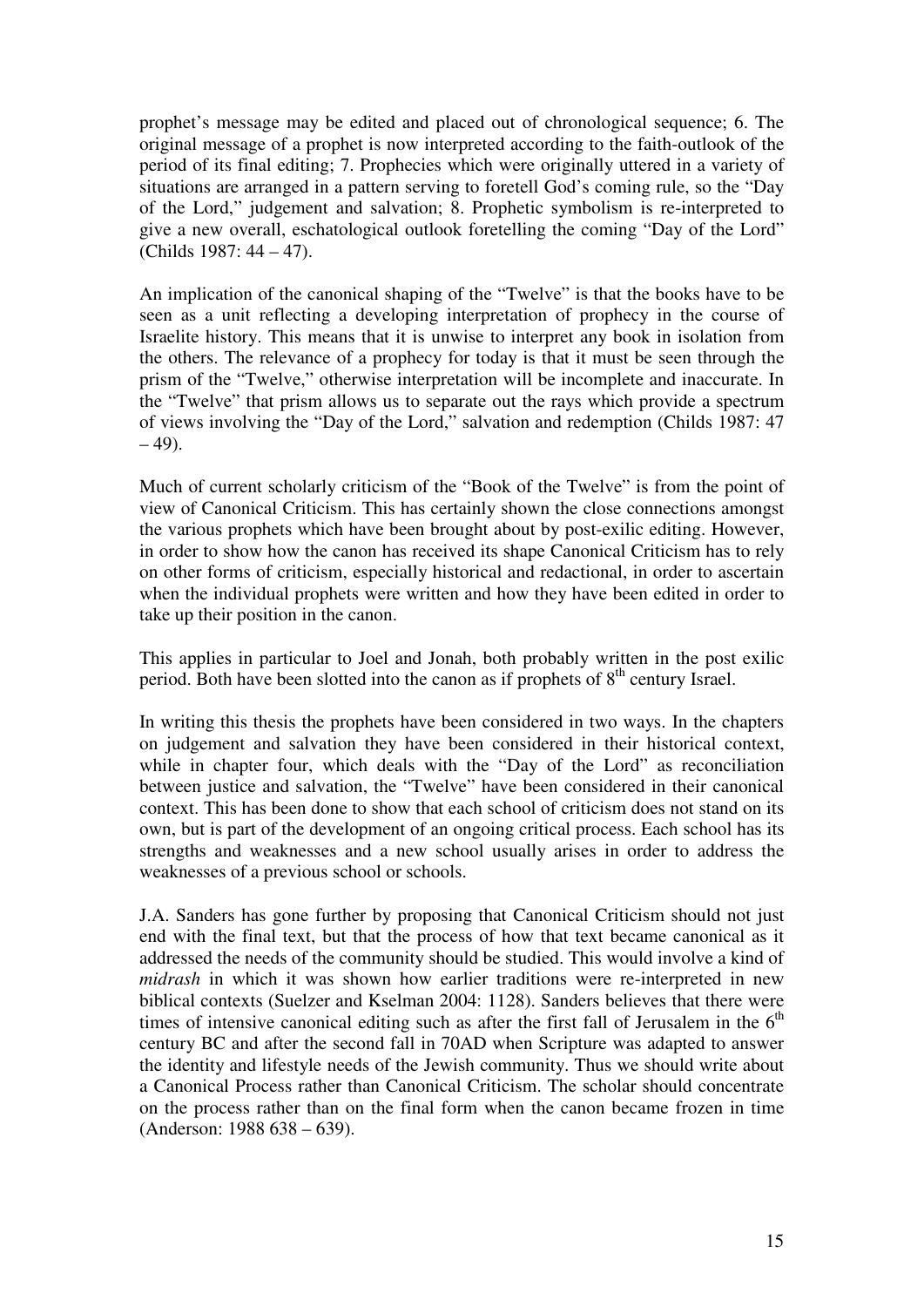prophet's message may be edited and placed out of chronological sequence; 6. The original message of a prophet is now interpreted according to the faith-outlook of the period of its final editing; 7. Prophecies which were originally uttered in a variety of situations are arranged in a pattern serving to foretell God's coming rule, so the "Day of the Lord," judgement and salvation; 8. Prophetic symbolism is re-interpreted to give a new overall, eschatological outlook foretelling the coming "Day of the Lord" (Childs 1987: 44 – 47).

An implication of the canonical shaping of the "Twelve" is that the books have to be seen as a unit reflecting a developing interpretation of prophecy in the course of Israelite history. This means that it is unwise to interpret any book in isolation from the others. The relevance of a prophecy for today is that it must be seen through the prism of the "Twelve," otherwise interpretation will be incomplete and inaccurate. In the "Twelve" that prism allows us to separate out the rays which provide a spectrum of views involving the "Day of the Lord," salvation and redemption (Childs 1987: 47  $-49$ ).

Much of current scholarly criticism of the "Book of the Twelve" is from the point of view of Canonical Criticism. This has certainly shown the close connections amongst the various prophets which have been brought about by post-exilic editing. However, in order to show how the canon has received its shape Canonical Criticism has to rely on other forms of criticism, especially historical and redactional, in order to ascertain when the individual prophets were written and how they have been edited in order to take up their position in the canon.

This applies in particular to Joel and Jonah, both probably written in the post exilic period. Both have been slotted into the canon as if prophets of  $8<sup>th</sup>$  century Israel.

In writing this thesis the prophets have been considered in two ways. In the chapters on judgement and salvation they have been considered in their historical context, while in chapter four, which deals with the "Day of the Lord" as reconciliation between justice and salvation, the "Twelve" have been considered in their canonical context. This has been done to show that each school of criticism does not stand on its own, but is part of the development of an ongoing critical process. Each school has its strengths and weaknesses and a new school usually arises in order to address the weaknesses of a previous school or schools.

J.A. Sanders has gone further by proposing that Canonical Criticism should not just end with the final text, but that the process of how that text became canonical as it addressed the needs of the community should be studied. This would involve a kind of *midrash* in which it was shown how earlier traditions were re-interpreted in new biblical contexts (Suelzer and Kselman 2004: 1128). Sanders believes that there were times of intensive canonical editing such as after the first fall of Jerusalem in the  $6<sup>th</sup>$ century BC and after the second fall in 70AD when Scripture was adapted to answer the identity and lifestyle needs of the Jewish community. Thus we should write about a Canonical Process rather than Canonical Criticism. The scholar should concentrate on the process rather than on the final form when the canon became frozen in time (Anderson: 1988 638 – 639).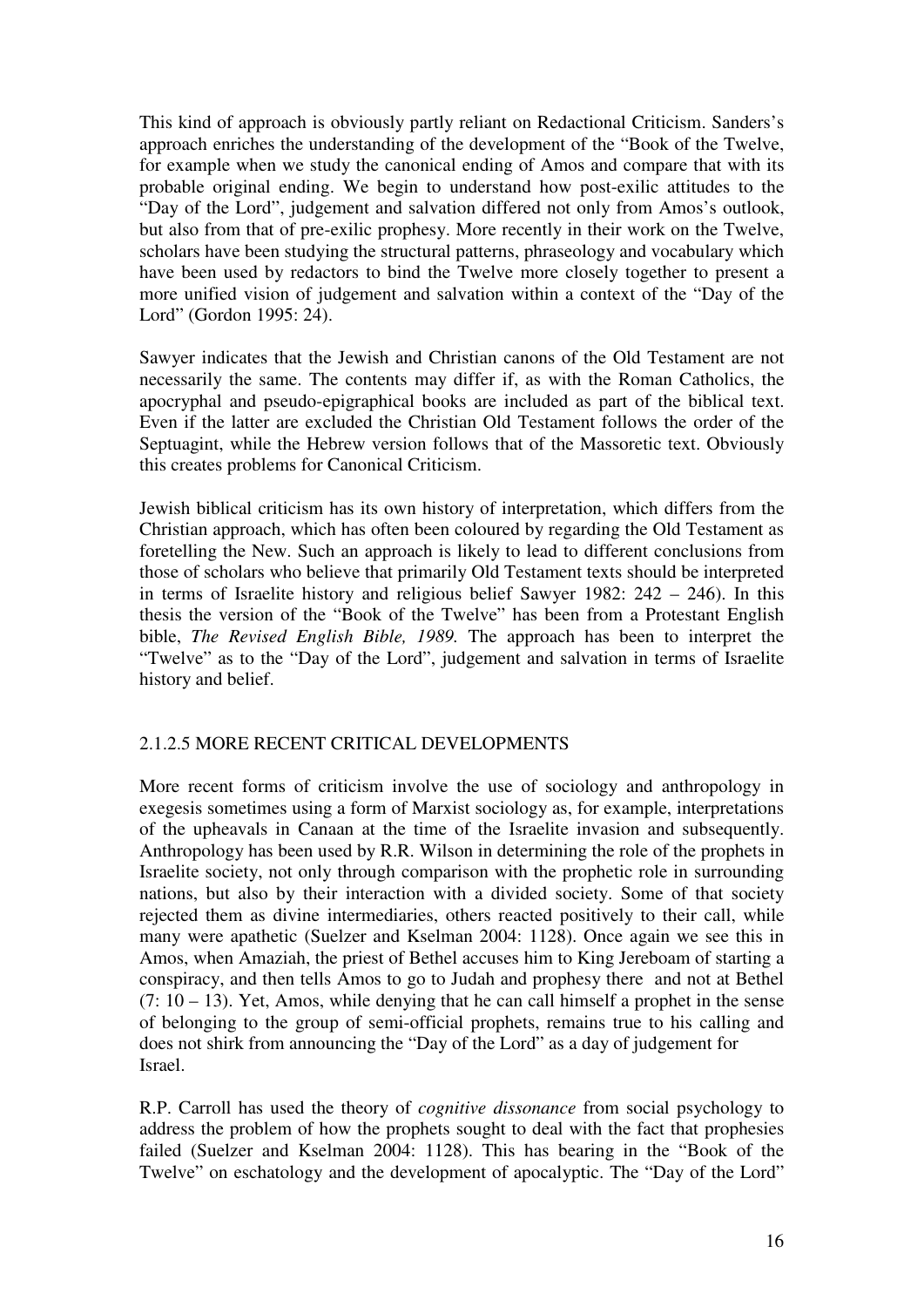This kind of approach is obviously partly reliant on Redactional Criticism. Sanders's approach enriches the understanding of the development of the "Book of the Twelve, for example when we study the canonical ending of Amos and compare that with its probable original ending. We begin to understand how post-exilic attitudes to the "Day of the Lord", judgement and salvation differed not only from Amos's outlook, but also from that of pre-exilic prophesy. More recently in their work on the Twelve, scholars have been studying the structural patterns, phraseology and vocabulary which have been used by redactors to bind the Twelve more closely together to present a more unified vision of judgement and salvation within a context of the "Day of the Lord" (Gordon 1995: 24).

Sawyer indicates that the Jewish and Christian canons of the Old Testament are not necessarily the same. The contents may differ if, as with the Roman Catholics, the apocryphal and pseudo-epigraphical books are included as part of the biblical text. Even if the latter are excluded the Christian Old Testament follows the order of the Septuagint, while the Hebrew version follows that of the Massoretic text. Obviously this creates problems for Canonical Criticism.

Jewish biblical criticism has its own history of interpretation, which differs from the Christian approach, which has often been coloured by regarding the Old Testament as foretelling the New. Such an approach is likely to lead to different conclusions from those of scholars who believe that primarily Old Testament texts should be interpreted in terms of Israelite history and religious belief Sawyer 1982: 242 – 246). In this thesis the version of the "Book of the Twelve" has been from a Protestant English bible, *The Revised English Bible, 1989.* The approach has been to interpret the "Twelve" as to the "Day of the Lord", judgement and salvation in terms of Israelite history and belief.

## 2.1.2.5 MORE RECENT CRITICAL DEVELOPMENTS

More recent forms of criticism involve the use of sociology and anthropology in exegesis sometimes using a form of Marxist sociology as, for example, interpretations of the upheavals in Canaan at the time of the Israelite invasion and subsequently. Anthropology has been used by R.R. Wilson in determining the role of the prophets in Israelite society, not only through comparison with the prophetic role in surrounding nations, but also by their interaction with a divided society. Some of that society rejected them as divine intermediaries, others reacted positively to their call, while many were apathetic (Suelzer and Kselman 2004: 1128). Once again we see this in Amos, when Amaziah, the priest of Bethel accuses him to King Jereboam of starting a conspiracy, and then tells Amos to go to Judah and prophesy there and not at Bethel  $(7: 10 - 13)$ . Yet, Amos, while denying that he can call himself a prophet in the sense of belonging to the group of semi-official prophets, remains true to his calling and does not shirk from announcing the "Day of the Lord" as a day of judgement for Israel.

R.P. Carroll has used the theory of *cognitive dissonance* from social psychology to address the problem of how the prophets sought to deal with the fact that prophesies failed (Suelzer and Kselman 2004: 1128). This has bearing in the "Book of the Twelve" on eschatology and the development of apocalyptic. The "Day of the Lord"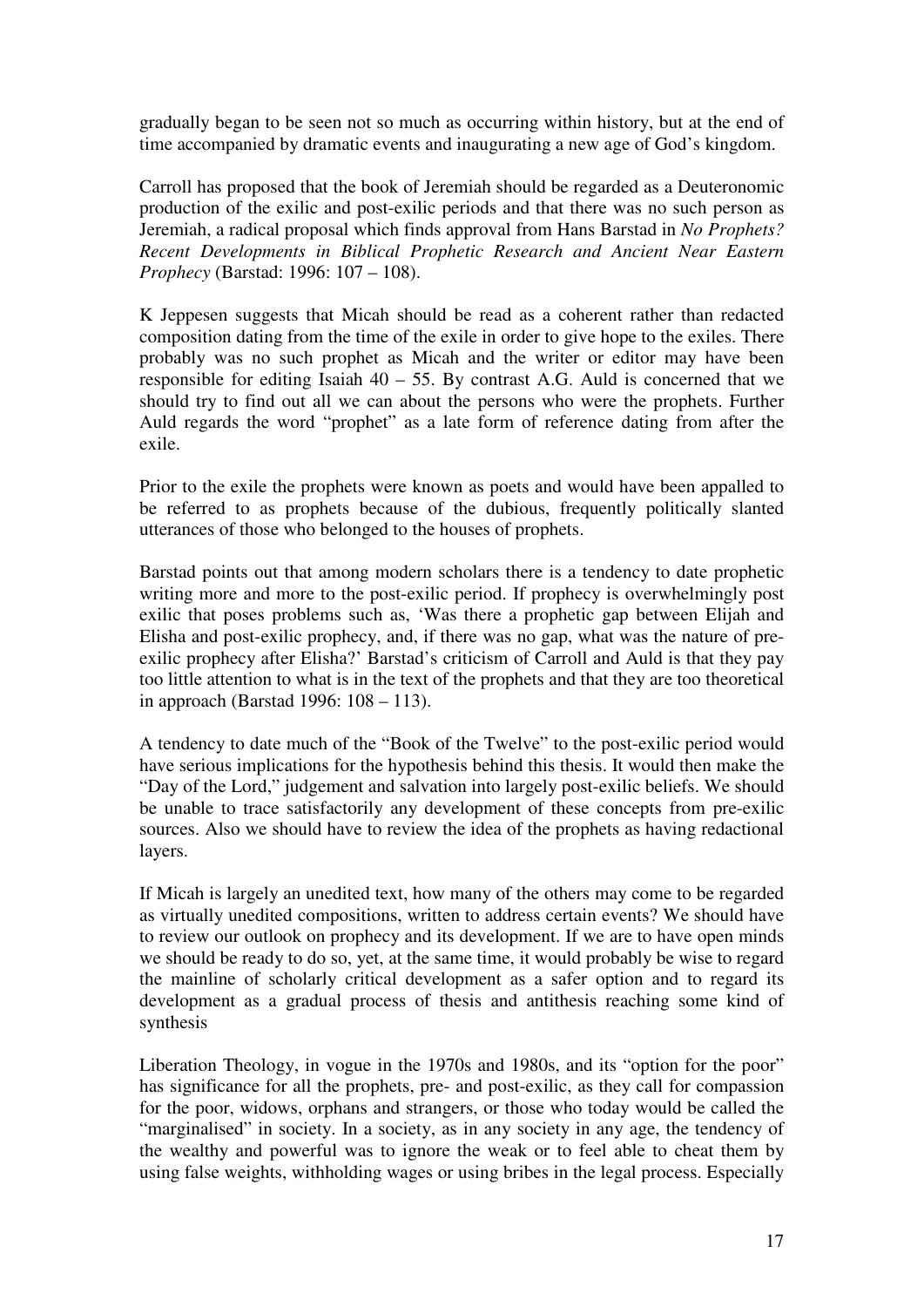gradually began to be seen not so much as occurring within history, but at the end of time accompanied by dramatic events and inaugurating a new age of God's kingdom.

Carroll has proposed that the book of Jeremiah should be regarded as a Deuteronomic production of the exilic and post-exilic periods and that there was no such person as Jeremiah, a radical proposal which finds approval from Hans Barstad in *No Prophets? Recent Developments in Biblical Prophetic Research and Ancient Near Eastern Prophecy* (Barstad: 1996: 107 – 108).

K Jeppesen suggests that Micah should be read as a coherent rather than redacted composition dating from the time of the exile in order to give hope to the exiles. There probably was no such prophet as Micah and the writer or editor may have been responsible for editing Isaiah  $40 - 55$ . By contrast A.G. Auld is concerned that we should try to find out all we can about the persons who were the prophets. Further Auld regards the word "prophet" as a late form of reference dating from after the exile.

Prior to the exile the prophets were known as poets and would have been appalled to be referred to as prophets because of the dubious, frequently politically slanted utterances of those who belonged to the houses of prophets.

Barstad points out that among modern scholars there is a tendency to date prophetic writing more and more to the post-exilic period. If prophecy is overwhelmingly post exilic that poses problems such as, 'Was there a prophetic gap between Elijah and Elisha and post-exilic prophecy, and, if there was no gap, what was the nature of preexilic prophecy after Elisha?' Barstad's criticism of Carroll and Auld is that they pay too little attention to what is in the text of the prophets and that they are too theoretical in approach (Barstad 1996: 108 – 113).

A tendency to date much of the "Book of the Twelve" to the post-exilic period would have serious implications for the hypothesis behind this thesis. It would then make the "Day of the Lord," judgement and salvation into largely post-exilic beliefs. We should be unable to trace satisfactorily any development of these concepts from pre-exilic sources. Also we should have to review the idea of the prophets as having redactional layers.

If Micah is largely an unedited text, how many of the others may come to be regarded as virtually unedited compositions, written to address certain events? We should have to review our outlook on prophecy and its development. If we are to have open minds we should be ready to do so, yet, at the same time, it would probably be wise to regard the mainline of scholarly critical development as a safer option and to regard its development as a gradual process of thesis and antithesis reaching some kind of synthesis

Liberation Theology, in vogue in the 1970s and 1980s, and its "option for the poor" has significance for all the prophets, pre- and post-exilic, as they call for compassion for the poor, widows, orphans and strangers, or those who today would be called the "marginalised" in society. In a society, as in any society in any age, the tendency of the wealthy and powerful was to ignore the weak or to feel able to cheat them by using false weights, withholding wages or using bribes in the legal process. Especially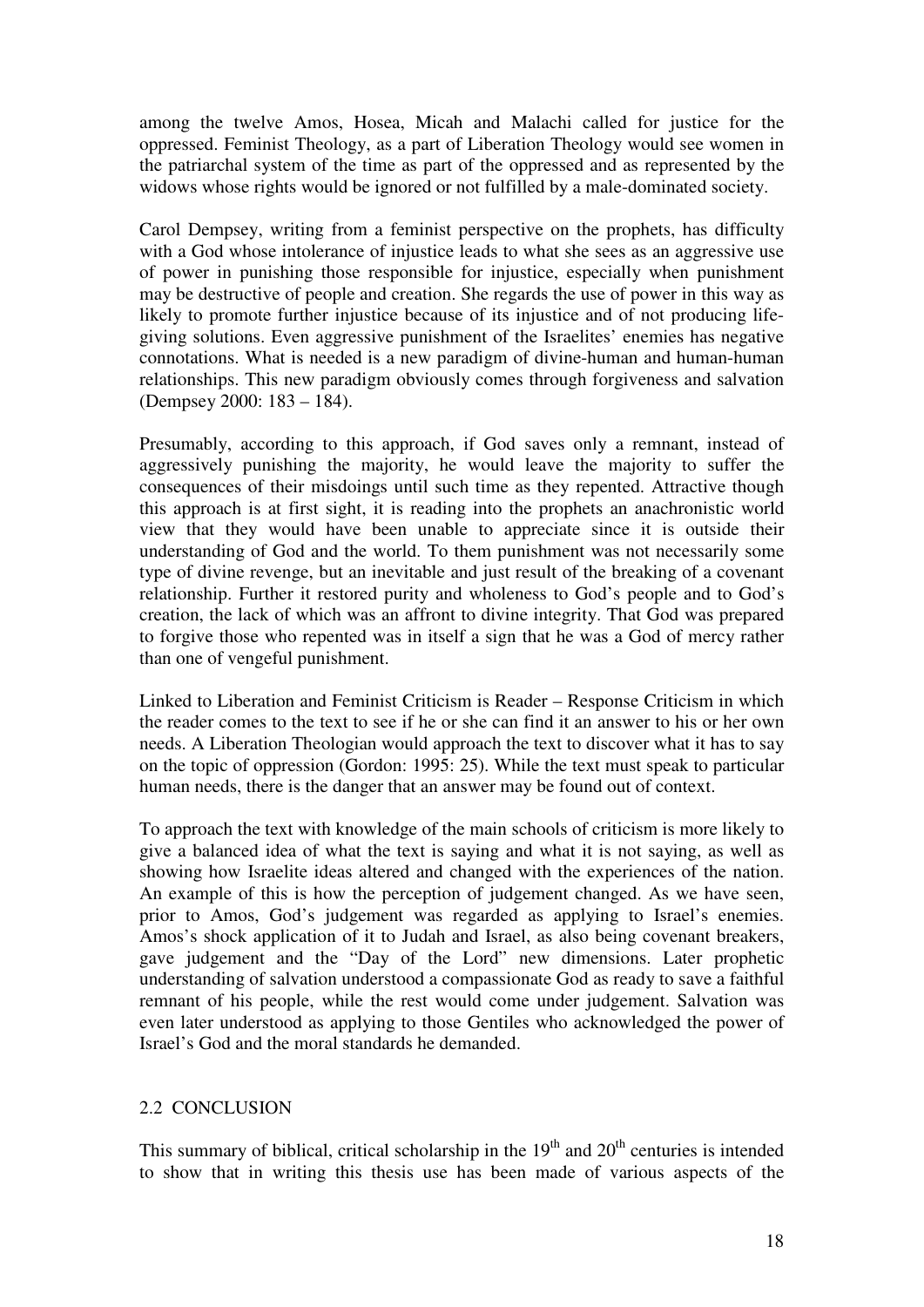among the twelve Amos, Hosea, Micah and Malachi called for justice for the oppressed. Feminist Theology, as a part of Liberation Theology would see women in the patriarchal system of the time as part of the oppressed and as represented by the widows whose rights would be ignored or not fulfilled by a male-dominated society.

Carol Dempsey, writing from a feminist perspective on the prophets, has difficulty with a God whose intolerance of injustice leads to what she sees as an aggressive use of power in punishing those responsible for injustice, especially when punishment may be destructive of people and creation. She regards the use of power in this way as likely to promote further injustice because of its injustice and of not producing lifegiving solutions. Even aggressive punishment of the Israelites' enemies has negative connotations. What is needed is a new paradigm of divine-human and human-human relationships. This new paradigm obviously comes through forgiveness and salvation (Dempsey 2000: 183 – 184).

Presumably, according to this approach, if God saves only a remnant, instead of aggressively punishing the majority, he would leave the majority to suffer the consequences of their misdoings until such time as they repented. Attractive though this approach is at first sight, it is reading into the prophets an anachronistic world view that they would have been unable to appreciate since it is outside their understanding of God and the world. To them punishment was not necessarily some type of divine revenge, but an inevitable and just result of the breaking of a covenant relationship. Further it restored purity and wholeness to God's people and to God's creation, the lack of which was an affront to divine integrity. That God was prepared to forgive those who repented was in itself a sign that he was a God of mercy rather than one of vengeful punishment.

Linked to Liberation and Feminist Criticism is Reader – Response Criticism in which the reader comes to the text to see if he or she can find it an answer to his or her own needs. A Liberation Theologian would approach the text to discover what it has to say on the topic of oppression (Gordon: 1995: 25). While the text must speak to particular human needs, there is the danger that an answer may be found out of context.

To approach the text with knowledge of the main schools of criticism is more likely to give a balanced idea of what the text is saying and what it is not saying, as well as showing how Israelite ideas altered and changed with the experiences of the nation. An example of this is how the perception of judgement changed. As we have seen, prior to Amos, God's judgement was regarded as applying to Israel's enemies. Amos's shock application of it to Judah and Israel, as also being covenant breakers, gave judgement and the "Day of the Lord" new dimensions. Later prophetic understanding of salvation understood a compassionate God as ready to save a faithful remnant of his people, while the rest would come under judgement. Salvation was even later understood as applying to those Gentiles who acknowledged the power of Israel's God and the moral standards he demanded.

#### 2.2 CONCLUSION

This summary of biblical, critical scholarship in the  $19<sup>th</sup>$  and  $20<sup>th</sup>$  centuries is intended to show that in writing this thesis use has been made of various aspects of the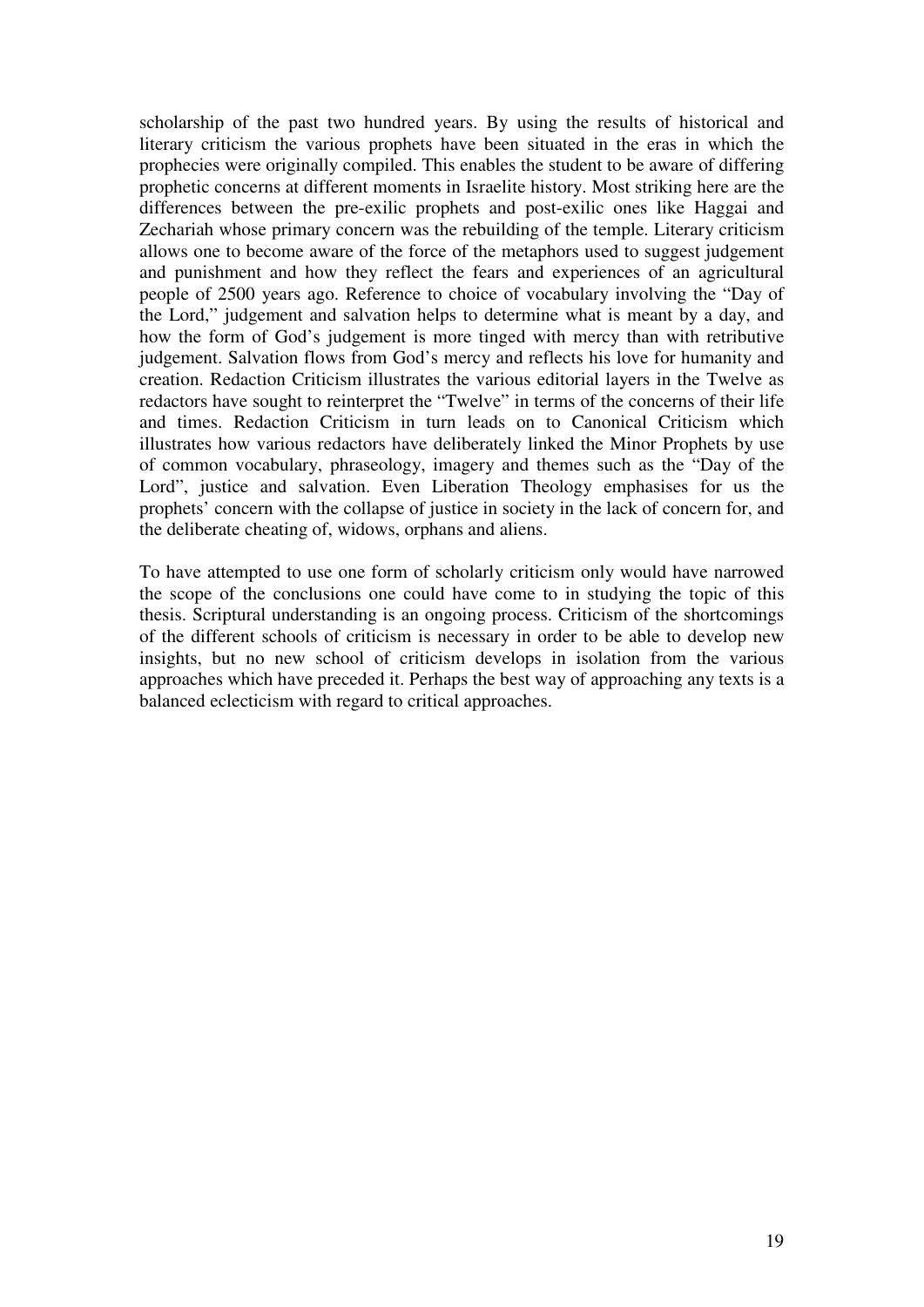scholarship of the past two hundred years. By using the results of historical and literary criticism the various prophets have been situated in the eras in which the prophecies were originally compiled. This enables the student to be aware of differing prophetic concerns at different moments in Israelite history. Most striking here are the differences between the pre-exilic prophets and post-exilic ones like Haggai and Zechariah whose primary concern was the rebuilding of the temple. Literary criticism allows one to become aware of the force of the metaphors used to suggest judgement and punishment and how they reflect the fears and experiences of an agricultural people of 2500 years ago. Reference to choice of vocabulary involving the "Day of the Lord," judgement and salvation helps to determine what is meant by a day, and how the form of God's judgement is more tinged with mercy than with retributive judgement. Salvation flows from God's mercy and reflects his love for humanity and creation. Redaction Criticism illustrates the various editorial layers in the Twelve as redactors have sought to reinterpret the "Twelve" in terms of the concerns of their life and times. Redaction Criticism in turn leads on to Canonical Criticism which illustrates how various redactors have deliberately linked the Minor Prophets by use of common vocabulary, phraseology, imagery and themes such as the "Day of the Lord", justice and salvation. Even Liberation Theology emphasises for us the prophets' concern with the collapse of justice in society in the lack of concern for, and the deliberate cheating of, widows, orphans and aliens.

To have attempted to use one form of scholarly criticism only would have narrowed the scope of the conclusions one could have come to in studying the topic of this thesis. Scriptural understanding is an ongoing process. Criticism of the shortcomings of the different schools of criticism is necessary in order to be able to develop new insights, but no new school of criticism develops in isolation from the various approaches which have preceded it. Perhaps the best way of approaching any texts is a balanced eclecticism with regard to critical approaches.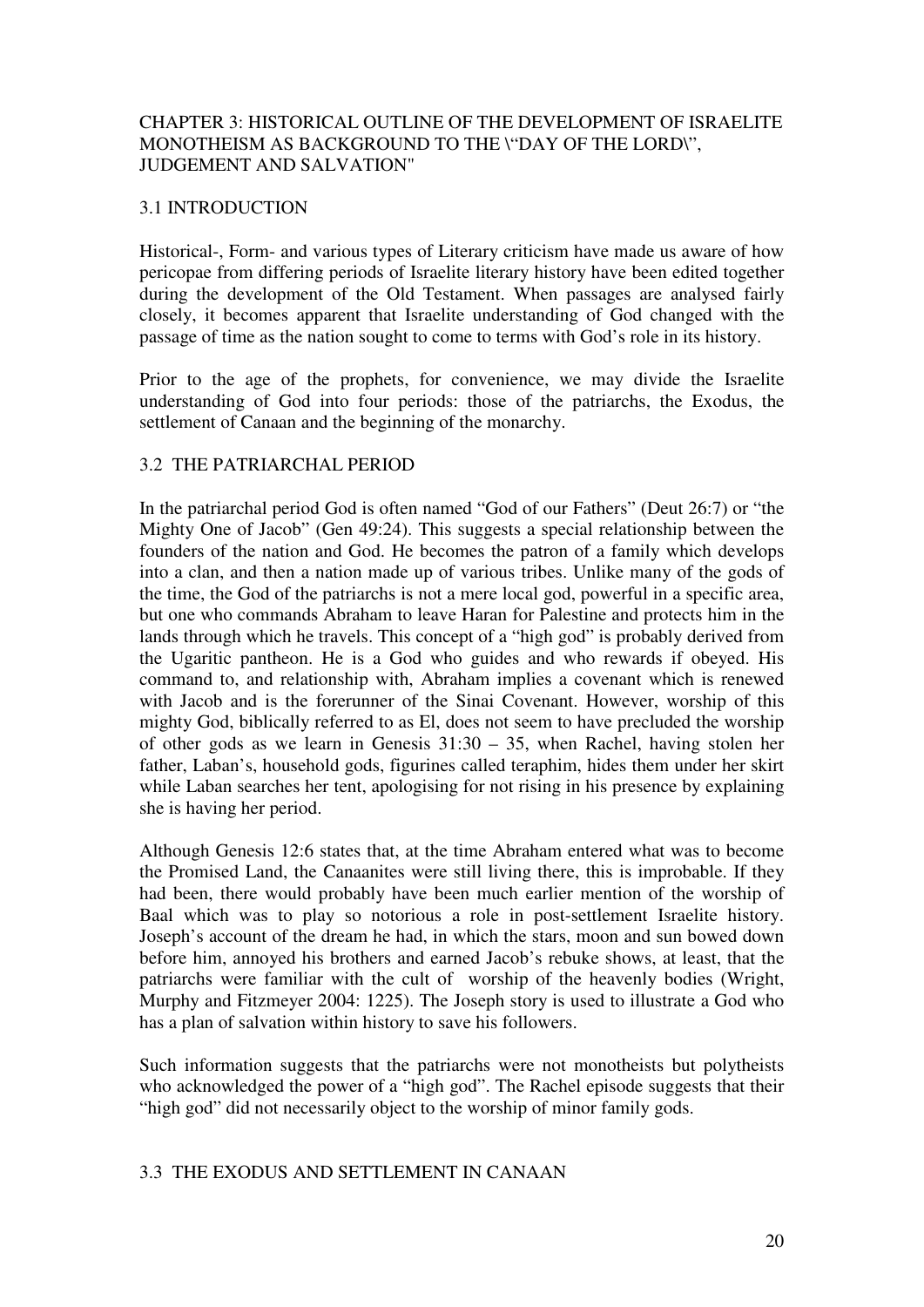## CHAPTER 3: HISTORICAL OUTLINE OF THE DEVELOPMENT OF ISRAELITE MONOTHEISM AS BACKGROUND TO THE \"DAY OF THE LORD\", JUDGEMENT AND SALVATION"

## 3.1 INTRODUCTION

Historical-, Form- and various types of Literary criticism have made us aware of how pericopae from differing periods of Israelite literary history have been edited together during the development of the Old Testament. When passages are analysed fairly closely, it becomes apparent that Israelite understanding of God changed with the passage of time as the nation sought to come to terms with God's role in its history.

Prior to the age of the prophets, for convenience, we may divide the Israelite understanding of God into four periods: those of the patriarchs, the Exodus, the settlement of Canaan and the beginning of the monarchy.

#### 3.2 THE PATRIARCHAL PERIOD

In the patriarchal period God is often named "God of our Fathers" (Deut 26:7) or "the Mighty One of Jacob" (Gen 49:24). This suggests a special relationship between the founders of the nation and God. He becomes the patron of a family which develops into a clan, and then a nation made up of various tribes. Unlike many of the gods of the time, the God of the patriarchs is not a mere local god, powerful in a specific area, but one who commands Abraham to leave Haran for Palestine and protects him in the lands through which he travels. This concept of a "high god" is probably derived from the Ugaritic pantheon. He is a God who guides and who rewards if obeyed. His command to, and relationship with, Abraham implies a covenant which is renewed with Jacob and is the forerunner of the Sinai Covenant. However, worship of this mighty God, biblically referred to as El, does not seem to have precluded the worship of other gods as we learn in Genesis 31:30 – 35, when Rachel, having stolen her father, Laban's, household gods, figurines called teraphim, hides them under her skirt while Laban searches her tent, apologising for not rising in his presence by explaining she is having her period.

Although Genesis 12:6 states that, at the time Abraham entered what was to become the Promised Land, the Canaanites were still living there, this is improbable. If they had been, there would probably have been much earlier mention of the worship of Baal which was to play so notorious a role in post-settlement Israelite history. Joseph's account of the dream he had, in which the stars, moon and sun bowed down before him, annoyed his brothers and earned Jacob's rebuke shows, at least, that the patriarchs were familiar with the cult of worship of the heavenly bodies (Wright, Murphy and Fitzmeyer 2004: 1225). The Joseph story is used to illustrate a God who has a plan of salvation within history to save his followers.

Such information suggests that the patriarchs were not monotheists but polytheists who acknowledged the power of a "high god". The Rachel episode suggests that their "high god" did not necessarily object to the worship of minor family gods.

#### 3.3 THE EXODUS AND SETTLEMENT IN CANAAN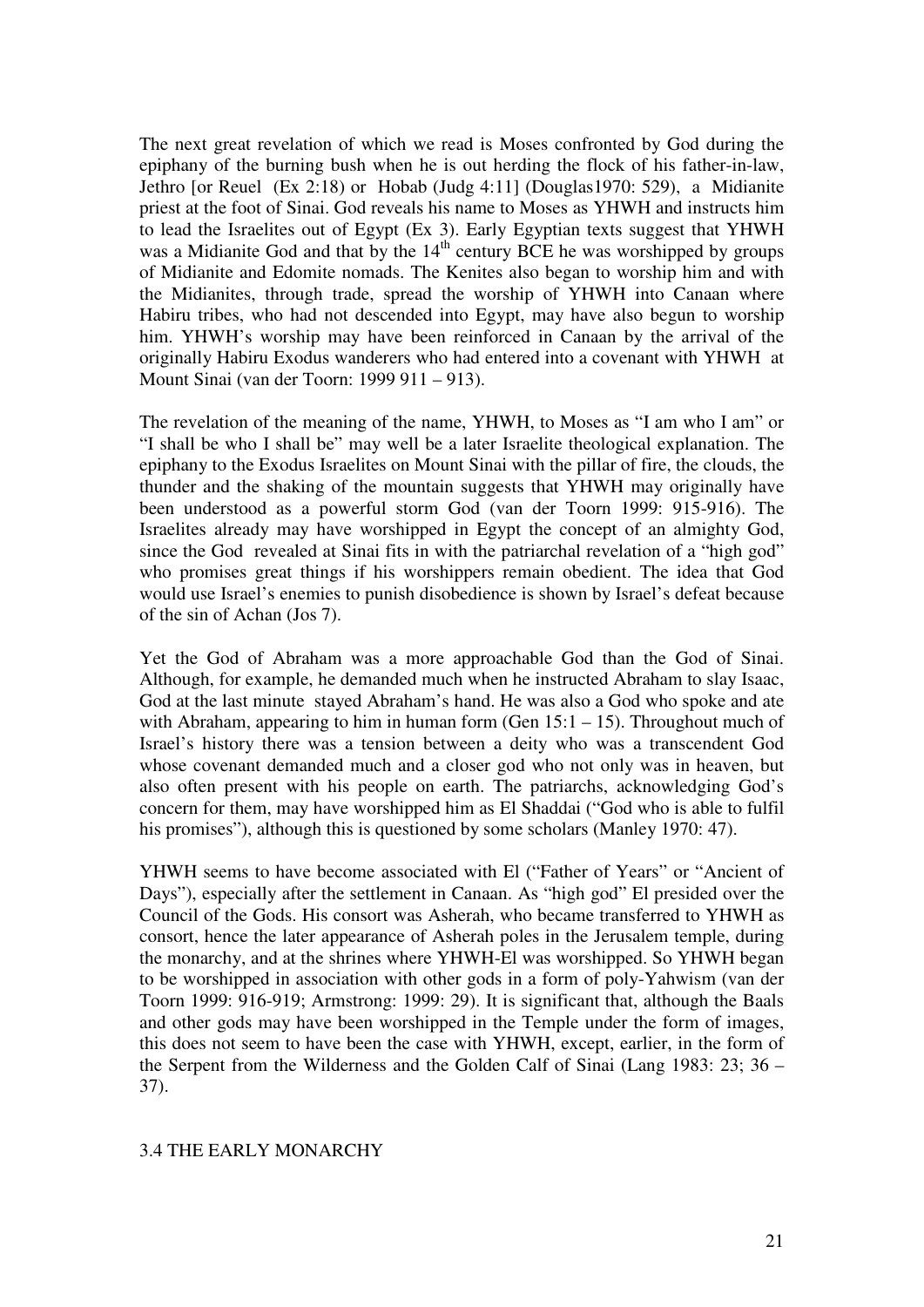The next great revelation of which we read is Moses confronted by God during the epiphany of the burning bush when he is out herding the flock of his father-in-law, Jethro [or Reuel (Ex 2:18) or Hobab (Judg 4:11] (Douglas1970: 529), a Midianite priest at the foot of Sinai. God reveals his name to Moses as YHWH and instructs him to lead the Israelites out of Egypt (Ex 3). Early Egyptian texts suggest that YHWH was a Midianite God and that by the  $14<sup>th</sup>$  century BCE he was worshipped by groups of Midianite and Edomite nomads. The Kenites also began to worship him and with the Midianites, through trade, spread the worship of YHWH into Canaan where Habiru tribes, who had not descended into Egypt, may have also begun to worship him. YHWH's worship may have been reinforced in Canaan by the arrival of the originally Habiru Exodus wanderers who had entered into a covenant with YHWH at Mount Sinai (van der Toorn: 1999 911 – 913).

The revelation of the meaning of the name, YHWH, to Moses as "I am who I am" or "I shall be who I shall be" may well be a later Israelite theological explanation. The epiphany to the Exodus Israelites on Mount Sinai with the pillar of fire, the clouds, the thunder and the shaking of the mountain suggests that YHWH may originally have been understood as a powerful storm God (van der Toorn 1999: 915-916). The Israelites already may have worshipped in Egypt the concept of an almighty God, since the God revealed at Sinai fits in with the patriarchal revelation of a "high god" who promises great things if his worshippers remain obedient. The idea that God would use Israel's enemies to punish disobedience is shown by Israel's defeat because of the sin of Achan (Jos 7).

Yet the God of Abraham was a more approachable God than the God of Sinai. Although, for example, he demanded much when he instructed Abraham to slay Isaac, God at the last minute stayed Abraham's hand. He was also a God who spoke and ate with Abraham, appearing to him in human form (Gen  $15:1 - 15$ ). Throughout much of Israel's history there was a tension between a deity who was a transcendent God whose covenant demanded much and a closer god who not only was in heaven, but also often present with his people on earth. The patriarchs, acknowledging God's concern for them, may have worshipped him as El Shaddai ("God who is able to fulfil his promises"), although this is questioned by some scholars (Manley 1970: 47).

YHWH seems to have become associated with El ("Father of Years" or "Ancient of Days"), especially after the settlement in Canaan. As "high god" El presided over the Council of the Gods. His consort was Asherah, who became transferred to YHWH as consort, hence the later appearance of Asherah poles in the Jerusalem temple, during the monarchy, and at the shrines where YHWH-El was worshipped. So YHWH began to be worshipped in association with other gods in a form of poly-Yahwism (van der Toorn 1999: 916-919; Armstrong: 1999: 29). It is significant that, although the Baals and other gods may have been worshipped in the Temple under the form of images, this does not seem to have been the case with YHWH, except, earlier, in the form of the Serpent from the Wilderness and the Golden Calf of Sinai (Lang 1983: 23; 36 – 37).

#### 3.4 THE EARLY MONARCHY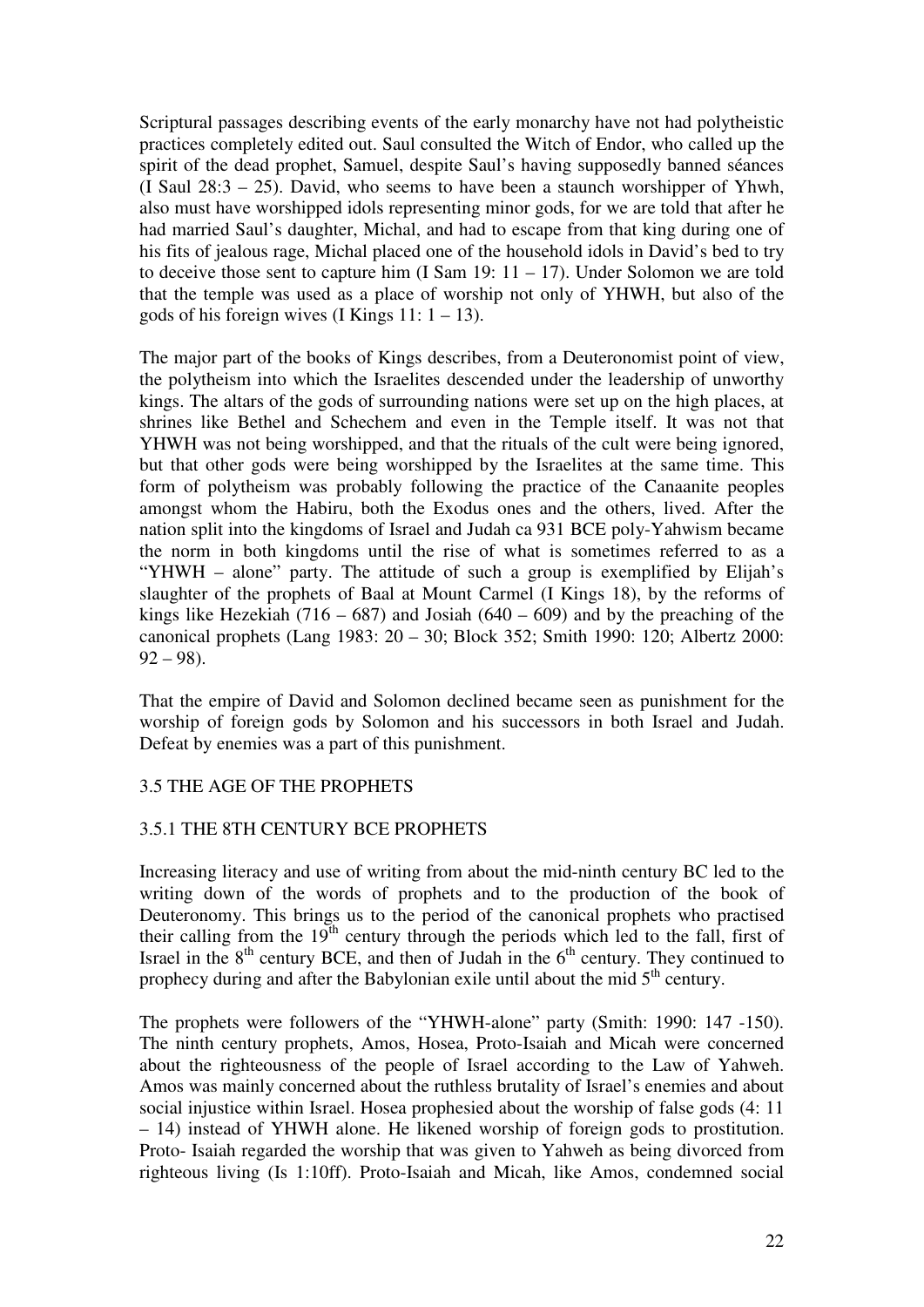Scriptural passages describing events of the early monarchy have not had polytheistic practices completely edited out. Saul consulted the Witch of Endor, who called up the spirit of the dead prophet, Samuel, despite Saul's having supposedly banned séances (I Saul 28:3 – 25). David, who seems to have been a staunch worshipper of Yhwh, also must have worshipped idols representing minor gods, for we are told that after he had married Saul's daughter, Michal, and had to escape from that king during one of his fits of jealous rage, Michal placed one of the household idols in David's bed to try to deceive those sent to capture him  $(I Sam 19: 11 – 17)$ . Under Solomon we are told that the temple was used as a place of worship not only of YHWH, but also of the gods of his foreign wives (I Kings  $11: 1 - 13$ ).

The major part of the books of Kings describes, from a Deuteronomist point of view, the polytheism into which the Israelites descended under the leadership of unworthy kings. The altars of the gods of surrounding nations were set up on the high places, at shrines like Bethel and Schechem and even in the Temple itself. It was not that YHWH was not being worshipped, and that the rituals of the cult were being ignored, but that other gods were being worshipped by the Israelites at the same time. This form of polytheism was probably following the practice of the Canaanite peoples amongst whom the Habiru, both the Exodus ones and the others, lived. After the nation split into the kingdoms of Israel and Judah ca 931 BCE poly-Yahwism became the norm in both kingdoms until the rise of what is sometimes referred to as a "YHWH – alone" party. The attitude of such a group is exemplified by Elijah's slaughter of the prophets of Baal at Mount Carmel (I Kings 18), by the reforms of kings like Hezekiah (716 – 687) and Josiah (640 – 609) and by the preaching of the canonical prophets (Lang 1983: 20 – 30; Block 352; Smith 1990: 120; Albertz 2000:  $92 - 98$ ).

That the empire of David and Solomon declined became seen as punishment for the worship of foreign gods by Solomon and his successors in both Israel and Judah. Defeat by enemies was a part of this punishment.

#### 3.5 THE AGE OF THE PROPHETS

#### 3.5.1 THE 8TH CENTURY BCE PROPHETS

Increasing literacy and use of writing from about the mid-ninth century BC led to the writing down of the words of prophets and to the production of the book of Deuteronomy. This brings us to the period of the canonical prophets who practised their calling from the  $19<sup>th</sup>$  century through the periods which led to the fall, first of Israel in the  $8<sup>th</sup>$  century BCE, and then of Judah in the  $6<sup>th</sup>$  century. They continued to prophecy during and after the Babylonian exile until about the mid  $5<sup>th</sup>$  century.

The prophets were followers of the "YHWH-alone" party (Smith: 1990: 147 -150). The ninth century prophets, Amos, Hosea, Proto-Isaiah and Micah were concerned about the righteousness of the people of Israel according to the Law of Yahweh. Amos was mainly concerned about the ruthless brutality of Israel's enemies and about social injustice within Israel. Hosea prophesied about the worship of false gods (4: 11 – 14) instead of YHWH alone. He likened worship of foreign gods to prostitution. Proto- Isaiah regarded the worship that was given to Yahweh as being divorced from righteous living (Is 1:10ff). Proto-Isaiah and Micah, like Amos, condemned social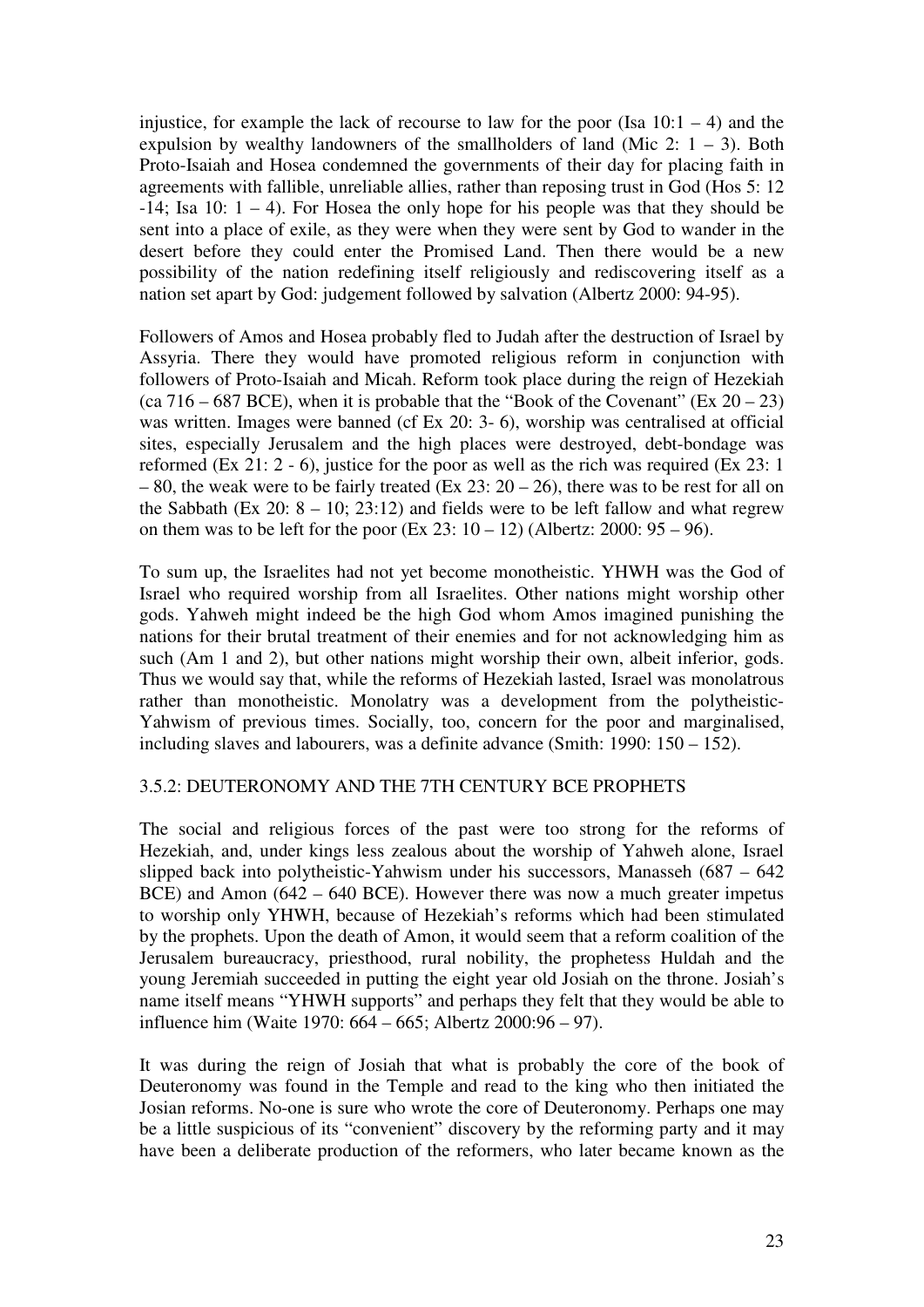injustice, for example the lack of recourse to law for the poor (Isa  $10:1 - 4$ ) and the expulsion by wealthy landowners of the smallholders of land (Mic 2:  $1 - 3$ ). Both Proto-Isaiah and Hosea condemned the governments of their day for placing faith in agreements with fallible, unreliable allies, rather than reposing trust in God (Hos 5: 12  $-14$ ; Isa 10:  $1 - 4$ ). For Hosea the only hope for his people was that they should be sent into a place of exile, as they were when they were sent by God to wander in the desert before they could enter the Promised Land. Then there would be a new possibility of the nation redefining itself religiously and rediscovering itself as a nation set apart by God: judgement followed by salvation (Albertz 2000: 94-95).

Followers of Amos and Hosea probably fled to Judah after the destruction of Israel by Assyria. There they would have promoted religious reform in conjunction with followers of Proto-Isaiah and Micah. Reform took place during the reign of Hezekiah (ca 716 – 687 BCE), when it is probable that the "Book of the Covenant" (Ex  $20 - 23$ ) was written. Images were banned (cf Ex 20: 3- 6), worship was centralised at official sites, especially Jerusalem and the high places were destroyed, debt-bondage was reformed (Ex 21: 2 - 6), justice for the poor as well as the rich was required (Ex 23: 1  $-80$ , the weak were to be fairly treated (Ex 23: 20 – 26), there was to be rest for all on the Sabbath (Ex 20:  $8 - 10$ ; 23:12) and fields were to be left fallow and what regrew on them was to be left for the poor  $(Ex\ 23: 10 - 12)$  (Albertz: 2000:  $95 - 96$ ).

To sum up, the Israelites had not yet become monotheistic. YHWH was the God of Israel who required worship from all Israelites. Other nations might worship other gods. Yahweh might indeed be the high God whom Amos imagined punishing the nations for their brutal treatment of their enemies and for not acknowledging him as such (Am 1 and 2), but other nations might worship their own, albeit inferior, gods. Thus we would say that, while the reforms of Hezekiah lasted, Israel was monolatrous rather than monotheistic. Monolatry was a development from the polytheistic-Yahwism of previous times. Socially, too, concern for the poor and marginalised, including slaves and labourers, was a definite advance (Smith: 1990: 150 – 152).

## 3.5.2: DEUTERONOMY AND THE 7TH CENTURY BCE PROPHETS

The social and religious forces of the past were too strong for the reforms of Hezekiah, and, under kings less zealous about the worship of Yahweh alone, Israel slipped back into polytheistic-Yahwism under his successors, Manasseh (687 – 642 BCE) and Amon (642 – 640 BCE). However there was now a much greater impetus to worship only YHWH, because of Hezekiah's reforms which had been stimulated by the prophets. Upon the death of Amon, it would seem that a reform coalition of the Jerusalem bureaucracy, priesthood, rural nobility, the prophetess Huldah and the young Jeremiah succeeded in putting the eight year old Josiah on the throne. Josiah's name itself means "YHWH supports" and perhaps they felt that they would be able to influence him (Waite 1970: 664 – 665; Albertz 2000:96 – 97).

It was during the reign of Josiah that what is probably the core of the book of Deuteronomy was found in the Temple and read to the king who then initiated the Josian reforms. No-one is sure who wrote the core of Deuteronomy. Perhaps one may be a little suspicious of its "convenient" discovery by the reforming party and it may have been a deliberate production of the reformers, who later became known as the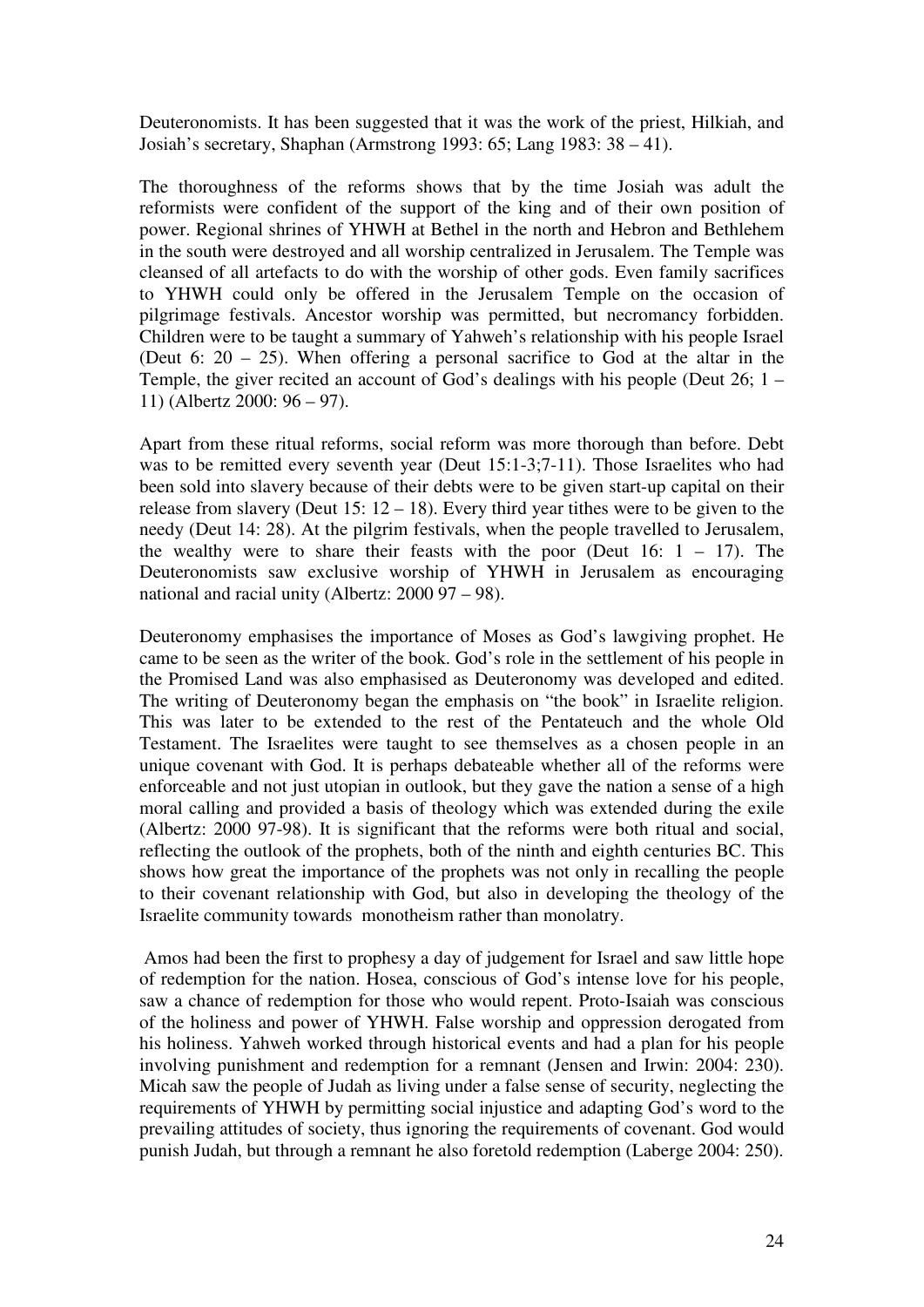Deuteronomists. It has been suggested that it was the work of the priest, Hilkiah, and Josiah's secretary, Shaphan (Armstrong 1993: 65; Lang 1983: 38 – 41).

The thoroughness of the reforms shows that by the time Josiah was adult the reformists were confident of the support of the king and of their own position of power. Regional shrines of YHWH at Bethel in the north and Hebron and Bethlehem in the south were destroyed and all worship centralized in Jerusalem. The Temple was cleansed of all artefacts to do with the worship of other gods. Even family sacrifices to YHWH could only be offered in the Jerusalem Temple on the occasion of pilgrimage festivals. Ancestor worship was permitted, but necromancy forbidden. Children were to be taught a summary of Yahweh's relationship with his people Israel (Deut 6: 20 – 25). When offering a personal sacrifice to God at the altar in the Temple, the giver recited an account of God's dealings with his people (Deut 26; 1 – 11) (Albertz 2000: 96 – 97).

Apart from these ritual reforms, social reform was more thorough than before. Debt was to be remitted every seventh year (Deut 15:1-3;7-11). Those Israelites who had been sold into slavery because of their debts were to be given start-up capital on their release from slavery (Deut 15:  $12 - 18$ ). Every third year tithes were to be given to the needy (Deut 14: 28). At the pilgrim festivals, when the people travelled to Jerusalem, the wealthy were to share their feasts with the poor (Deut  $16: 1 - 17$ ). The Deuteronomists saw exclusive worship of YHWH in Jerusalem as encouraging national and racial unity (Albertz: 2000 97 – 98).

Deuteronomy emphasises the importance of Moses as God's lawgiving prophet. He came to be seen as the writer of the book. God's role in the settlement of his people in the Promised Land was also emphasised as Deuteronomy was developed and edited. The writing of Deuteronomy began the emphasis on "the book" in Israelite religion. This was later to be extended to the rest of the Pentateuch and the whole Old Testament. The Israelites were taught to see themselves as a chosen people in an unique covenant with God. It is perhaps debateable whether all of the reforms were enforceable and not just utopian in outlook, but they gave the nation a sense of a high moral calling and provided a basis of theology which was extended during the exile (Albertz: 2000 97-98). It is significant that the reforms were both ritual and social, reflecting the outlook of the prophets, both of the ninth and eighth centuries BC. This shows how great the importance of the prophets was not only in recalling the people to their covenant relationship with God, but also in developing the theology of the Israelite community towards monotheism rather than monolatry.

 Amos had been the first to prophesy a day of judgement for Israel and saw little hope of redemption for the nation. Hosea, conscious of God's intense love for his people, saw a chance of redemption for those who would repent. Proto-Isaiah was conscious of the holiness and power of YHWH. False worship and oppression derogated from his holiness. Yahweh worked through historical events and had a plan for his people involving punishment and redemption for a remnant (Jensen and Irwin: 2004: 230). Micah saw the people of Judah as living under a false sense of security, neglecting the requirements of YHWH by permitting social injustice and adapting God's word to the prevailing attitudes of society, thus ignoring the requirements of covenant. God would punish Judah, but through a remnant he also foretold redemption (Laberge 2004: 250).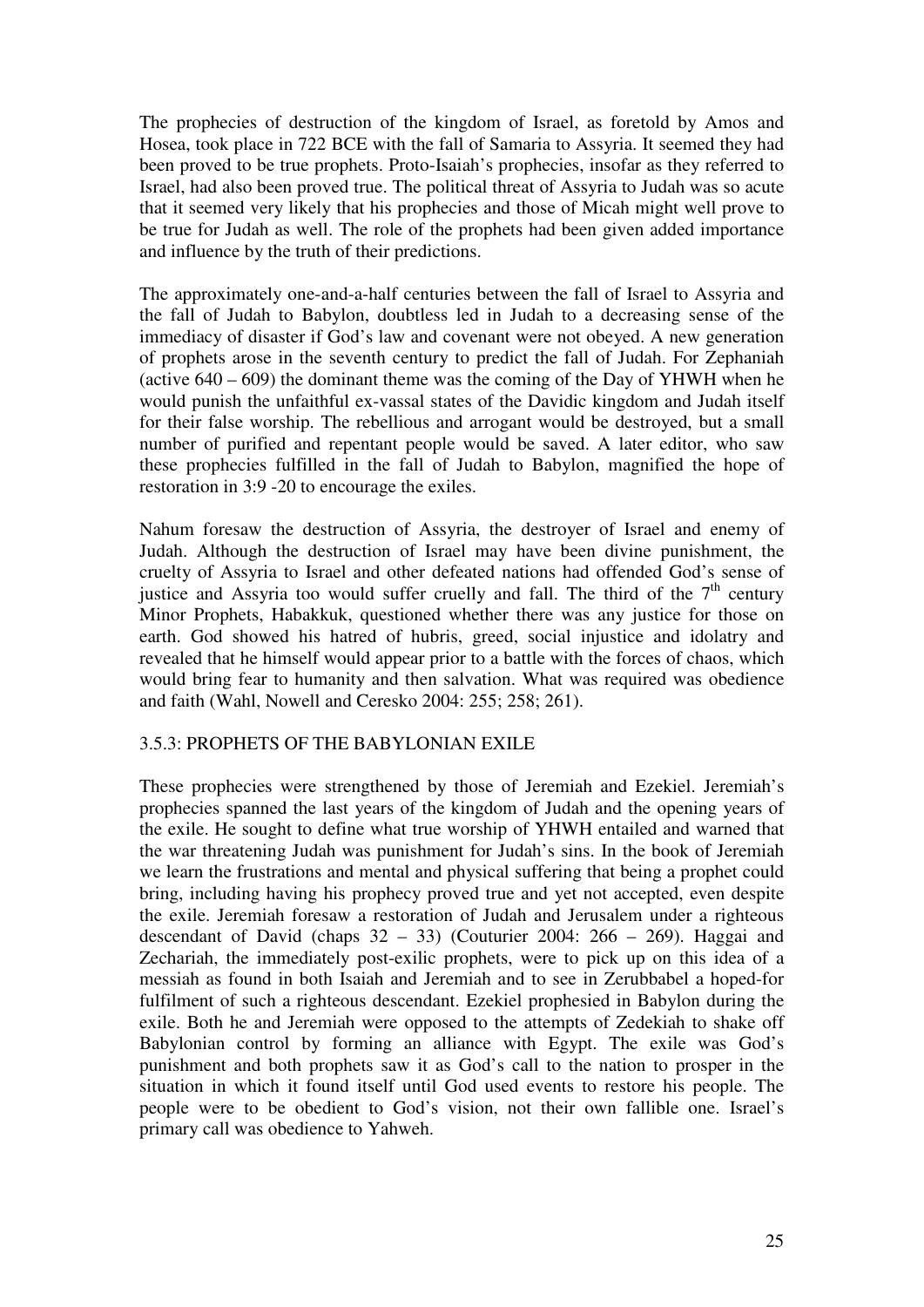The prophecies of destruction of the kingdom of Israel, as foretold by Amos and Hosea, took place in 722 BCE with the fall of Samaria to Assyria. It seemed they had been proved to be true prophets. Proto-Isaiah's prophecies, insofar as they referred to Israel, had also been proved true. The political threat of Assyria to Judah was so acute that it seemed very likely that his prophecies and those of Micah might well prove to be true for Judah as well. The role of the prophets had been given added importance and influence by the truth of their predictions.

The approximately one-and-a-half centuries between the fall of Israel to Assyria and the fall of Judah to Babylon, doubtless led in Judah to a decreasing sense of the immediacy of disaster if God's law and covenant were not obeyed. A new generation of prophets arose in the seventh century to predict the fall of Judah. For Zephaniah (active 640 – 609) the dominant theme was the coming of the Day of YHWH when he would punish the unfaithful ex-vassal states of the Davidic kingdom and Judah itself for their false worship. The rebellious and arrogant would be destroyed, but a small number of purified and repentant people would be saved. A later editor, who saw these prophecies fulfilled in the fall of Judah to Babylon, magnified the hope of restoration in 3:9 -20 to encourage the exiles.

Nahum foresaw the destruction of Assyria, the destroyer of Israel and enemy of Judah. Although the destruction of Israel may have been divine punishment, the cruelty of Assyria to Israel and other defeated nations had offended God's sense of justice and Assyria too would suffer cruelly and fall. The third of the  $7<sup>th</sup>$  century Minor Prophets, Habakkuk, questioned whether there was any justice for those on earth. God showed his hatred of hubris, greed, social injustice and idolatry and revealed that he himself would appear prior to a battle with the forces of chaos, which would bring fear to humanity and then salvation. What was required was obedience and faith (Wahl, Nowell and Ceresko 2004: 255; 258; 261).

#### 3.5.3: PROPHETS OF THE BABYLONIAN EXILE

These prophecies were strengthened by those of Jeremiah and Ezekiel. Jeremiah's prophecies spanned the last years of the kingdom of Judah and the opening years of the exile. He sought to define what true worship of YHWH entailed and warned that the war threatening Judah was punishment for Judah's sins. In the book of Jeremiah we learn the frustrations and mental and physical suffering that being a prophet could bring, including having his prophecy proved true and yet not accepted, even despite the exile. Jeremiah foresaw a restoration of Judah and Jerusalem under a righteous descendant of David (chaps  $32 - 33$ ) (Couturier 2004: 266 – 269). Haggai and Zechariah, the immediately post-exilic prophets, were to pick up on this idea of a messiah as found in both Isaiah and Jeremiah and to see in Zerubbabel a hoped-for fulfilment of such a righteous descendant. Ezekiel prophesied in Babylon during the exile. Both he and Jeremiah were opposed to the attempts of Zedekiah to shake off Babylonian control by forming an alliance with Egypt. The exile was God's punishment and both prophets saw it as God's call to the nation to prosper in the situation in which it found itself until God used events to restore his people. The people were to be obedient to God's vision, not their own fallible one. Israel's primary call was obedience to Yahweh.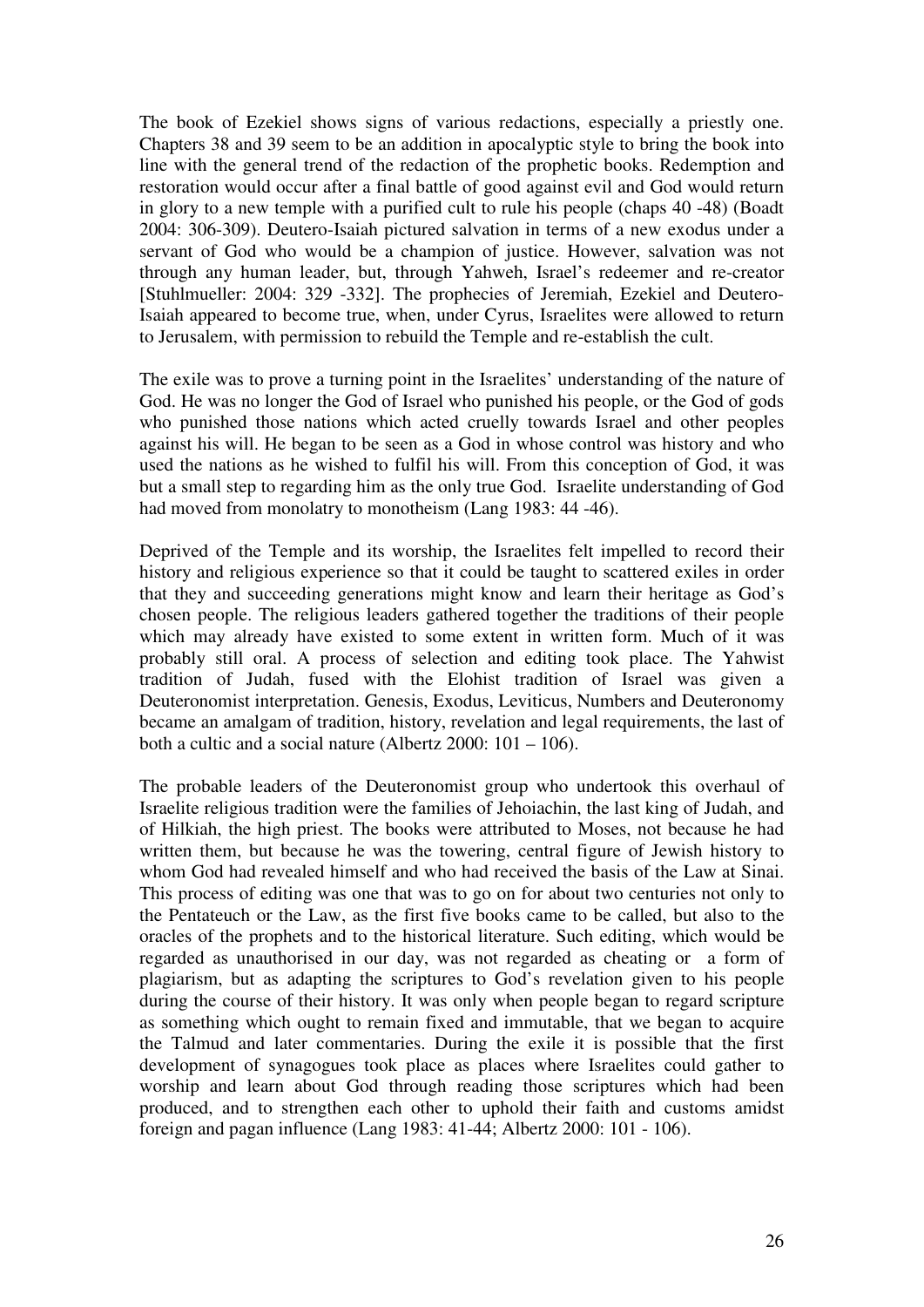The book of Ezekiel shows signs of various redactions, especially a priestly one. Chapters 38 and 39 seem to be an addition in apocalyptic style to bring the book into line with the general trend of the redaction of the prophetic books. Redemption and restoration would occur after a final battle of good against evil and God would return in glory to a new temple with a purified cult to rule his people (chaps 40 -48) (Boadt 2004: 306-309). Deutero-Isaiah pictured salvation in terms of a new exodus under a servant of God who would be a champion of justice. However, salvation was not through any human leader, but, through Yahweh, Israel's redeemer and re-creator [Stuhlmueller: 2004: 329 -332]. The prophecies of Jeremiah, Ezekiel and Deutero-Isaiah appeared to become true, when, under Cyrus, Israelites were allowed to return to Jerusalem, with permission to rebuild the Temple and re-establish the cult.

The exile was to prove a turning point in the Israelites' understanding of the nature of God. He was no longer the God of Israel who punished his people, or the God of gods who punished those nations which acted cruelly towards Israel and other peoples against his will. He began to be seen as a God in whose control was history and who used the nations as he wished to fulfil his will. From this conception of God, it was but a small step to regarding him as the only true God. Israelite understanding of God had moved from monolatry to monotheism (Lang 1983: 44 -46).

Deprived of the Temple and its worship, the Israelites felt impelled to record their history and religious experience so that it could be taught to scattered exiles in order that they and succeeding generations might know and learn their heritage as God's chosen people. The religious leaders gathered together the traditions of their people which may already have existed to some extent in written form. Much of it was probably still oral. A process of selection and editing took place. The Yahwist tradition of Judah, fused with the Elohist tradition of Israel was given a Deuteronomist interpretation. Genesis, Exodus, Leviticus, Numbers and Deuteronomy became an amalgam of tradition, history, revelation and legal requirements, the last of both a cultic and a social nature (Albertz 2000: 101 – 106).

The probable leaders of the Deuteronomist group who undertook this overhaul of Israelite religious tradition were the families of Jehoiachin, the last king of Judah, and of Hilkiah, the high priest. The books were attributed to Moses, not because he had written them, but because he was the towering, central figure of Jewish history to whom God had revealed himself and who had received the basis of the Law at Sinai. This process of editing was one that was to go on for about two centuries not only to the Pentateuch or the Law, as the first five books came to be called, but also to the oracles of the prophets and to the historical literature. Such editing, which would be regarded as unauthorised in our day, was not regarded as cheating or a form of plagiarism, but as adapting the scriptures to God's revelation given to his people during the course of their history. It was only when people began to regard scripture as something which ought to remain fixed and immutable, that we began to acquire the Talmud and later commentaries. During the exile it is possible that the first development of synagogues took place as places where Israelites could gather to worship and learn about God through reading those scriptures which had been produced, and to strengthen each other to uphold their faith and customs amidst foreign and pagan influence (Lang 1983: 41-44; Albertz 2000: 101 - 106).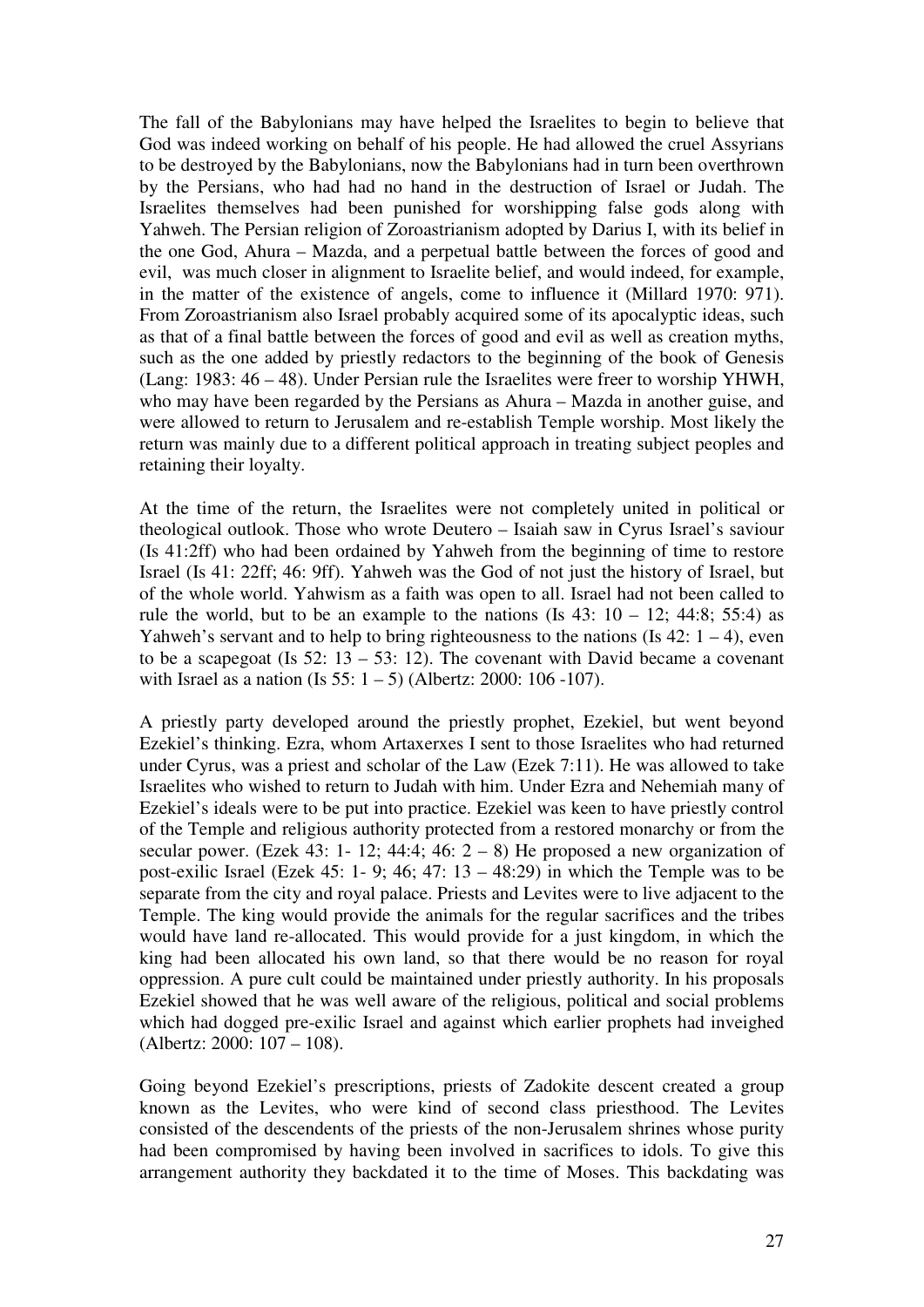The fall of the Babylonians may have helped the Israelites to begin to believe that God was indeed working on behalf of his people. He had allowed the cruel Assyrians to be destroyed by the Babylonians, now the Babylonians had in turn been overthrown by the Persians, who had had no hand in the destruction of Israel or Judah. The Israelites themselves had been punished for worshipping false gods along with Yahweh. The Persian religion of Zoroastrianism adopted by Darius I, with its belief in the one God, Ahura – Mazda, and a perpetual battle between the forces of good and evil, was much closer in alignment to Israelite belief, and would indeed, for example, in the matter of the existence of angels, come to influence it (Millard 1970: 971). From Zoroastrianism also Israel probably acquired some of its apocalyptic ideas, such as that of a final battle between the forces of good and evil as well as creation myths, such as the one added by priestly redactors to the beginning of the book of Genesis (Lang: 1983: 46 – 48). Under Persian rule the Israelites were freer to worship YHWH, who may have been regarded by the Persians as Ahura – Mazda in another guise, and were allowed to return to Jerusalem and re-establish Temple worship. Most likely the return was mainly due to a different political approach in treating subject peoples and retaining their loyalty.

At the time of the return, the Israelites were not completely united in political or theological outlook. Those who wrote Deutero – Isaiah saw in Cyrus Israel's saviour (Is 41:2ff) who had been ordained by Yahweh from the beginning of time to restore Israel (Is 41: 22ff; 46: 9ff). Yahweh was the God of not just the history of Israel, but of the whole world. Yahwism as a faith was open to all. Israel had not been called to rule the world, but to be an example to the nations (Is  $43: 10 - 12$ ;  $44:8$ ;  $55:4$ ) as Yahweh's servant and to help to bring righteousness to the nations (Is  $42: 1 - 4$ ), even to be a scapegoat (Is  $52: 13 - 53: 12$ ). The covenant with David became a covenant with Israel as a nation (Is  $55: 1 - 5$ ) (Albertz: 2000: 106 -107).

A priestly party developed around the priestly prophet, Ezekiel, but went beyond Ezekiel's thinking. Ezra, whom Artaxerxes I sent to those Israelites who had returned under Cyrus, was a priest and scholar of the Law (Ezek 7:11). He was allowed to take Israelites who wished to return to Judah with him. Under Ezra and Nehemiah many of Ezekiel's ideals were to be put into practice. Ezekiel was keen to have priestly control of the Temple and religious authority protected from a restored monarchy or from the secular power. (Ezek 43: 1- 12; 44:4; 46:  $2 - 8$ ) He proposed a new organization of post-exilic Israel (Ezek 45: 1- 9; 46; 47:  $13 - 48:29$ ) in which the Temple was to be separate from the city and royal palace. Priests and Levites were to live adjacent to the Temple. The king would provide the animals for the regular sacrifices and the tribes would have land re-allocated. This would provide for a just kingdom, in which the king had been allocated his own land, so that there would be no reason for royal oppression. A pure cult could be maintained under priestly authority. In his proposals Ezekiel showed that he was well aware of the religious, political and social problems which had dogged pre-exilic Israel and against which earlier prophets had inveighed (Albertz: 2000: 107 – 108).

Going beyond Ezekiel's prescriptions, priests of Zadokite descent created a group known as the Levites, who were kind of second class priesthood. The Levites consisted of the descendents of the priests of the non-Jerusalem shrines whose purity had been compromised by having been involved in sacrifices to idols. To give this arrangement authority they backdated it to the time of Moses. This backdating was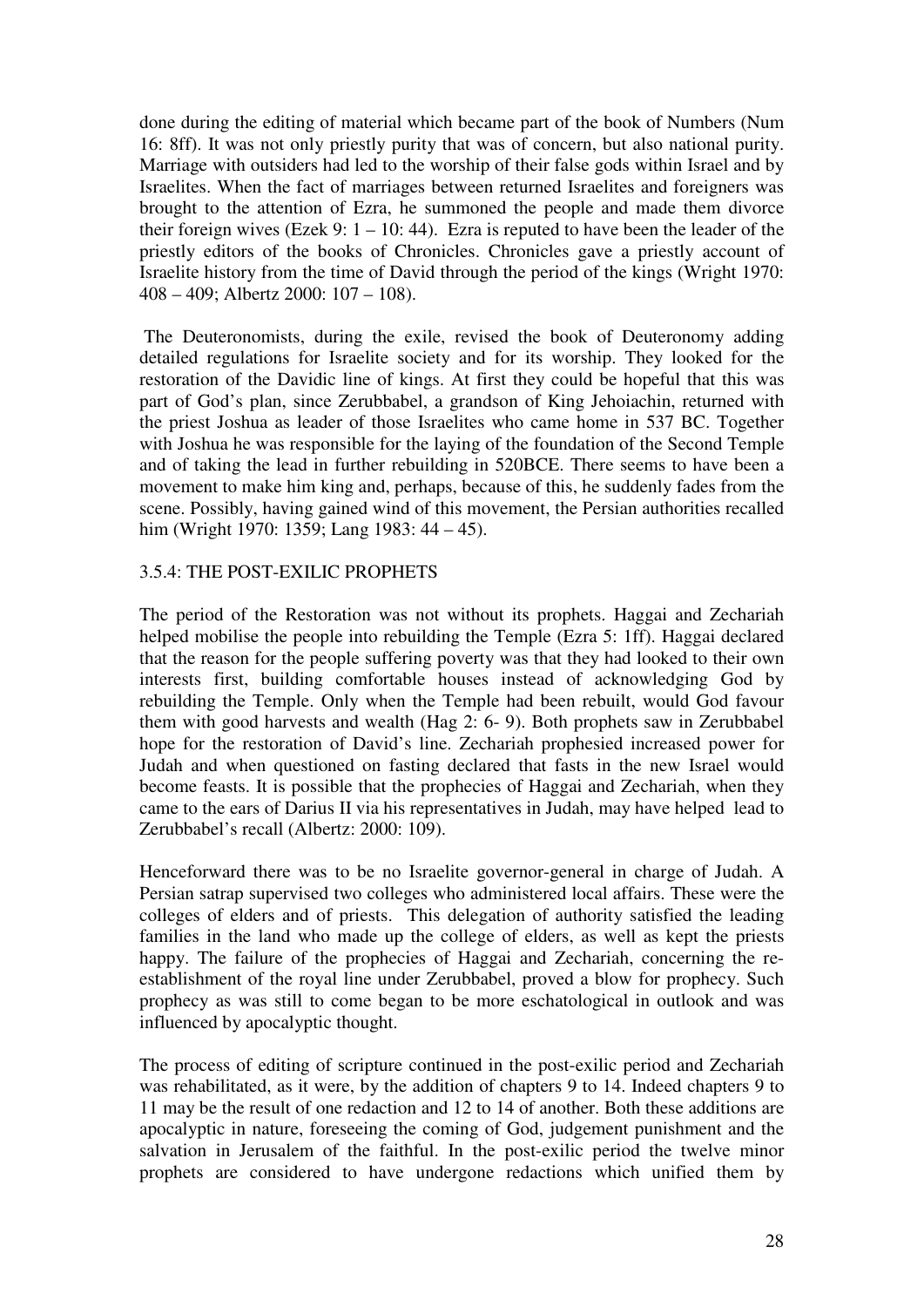done during the editing of material which became part of the book of Numbers (Num 16: 8ff). It was not only priestly purity that was of concern, but also national purity. Marriage with outsiders had led to the worship of their false gods within Israel and by Israelites. When the fact of marriages between returned Israelites and foreigners was brought to the attention of Ezra, he summoned the people and made them divorce their foreign wives (Ezek 9:  $1 - 10$ : 44). Ezra is reputed to have been the leader of the priestly editors of the books of Chronicles. Chronicles gave a priestly account of Israelite history from the time of David through the period of the kings (Wright 1970: 408 – 409; Albertz 2000: 107 – 108).

 The Deuteronomists, during the exile, revised the book of Deuteronomy adding detailed regulations for Israelite society and for its worship. They looked for the restoration of the Davidic line of kings. At first they could be hopeful that this was part of God's plan, since Zerubbabel, a grandson of King Jehoiachin, returned with the priest Joshua as leader of those Israelites who came home in 537 BC. Together with Joshua he was responsible for the laying of the foundation of the Second Temple and of taking the lead in further rebuilding in 520BCE. There seems to have been a movement to make him king and, perhaps, because of this, he suddenly fades from the scene. Possibly, having gained wind of this movement, the Persian authorities recalled him (Wright 1970: 1359; Lang 1983: 44 – 45).

#### 3.5.4: THE POST-EXILIC PROPHETS

The period of the Restoration was not without its prophets. Haggai and Zechariah helped mobilise the people into rebuilding the Temple (Ezra 5: 1ff). Haggai declared that the reason for the people suffering poverty was that they had looked to their own interests first, building comfortable houses instead of acknowledging God by rebuilding the Temple. Only when the Temple had been rebuilt, would God favour them with good harvests and wealth (Hag 2: 6- 9). Both prophets saw in Zerubbabel hope for the restoration of David's line. Zechariah prophesied increased power for Judah and when questioned on fasting declared that fasts in the new Israel would become feasts. It is possible that the prophecies of Haggai and Zechariah, when they came to the ears of Darius II via his representatives in Judah, may have helped lead to Zerubbabel's recall (Albertz: 2000: 109).

Henceforward there was to be no Israelite governor-general in charge of Judah. A Persian satrap supervised two colleges who administered local affairs. These were the colleges of elders and of priests. This delegation of authority satisfied the leading families in the land who made up the college of elders, as well as kept the priests happy. The failure of the prophecies of Haggai and Zechariah, concerning the reestablishment of the royal line under Zerubbabel, proved a blow for prophecy. Such prophecy as was still to come began to be more eschatological in outlook and was influenced by apocalyptic thought.

The process of editing of scripture continued in the post-exilic period and Zechariah was rehabilitated, as it were, by the addition of chapters 9 to 14. Indeed chapters 9 to 11 may be the result of one redaction and 12 to 14 of another. Both these additions are apocalyptic in nature, foreseeing the coming of God, judgement punishment and the salvation in Jerusalem of the faithful. In the post-exilic period the twelve minor prophets are considered to have undergone redactions which unified them by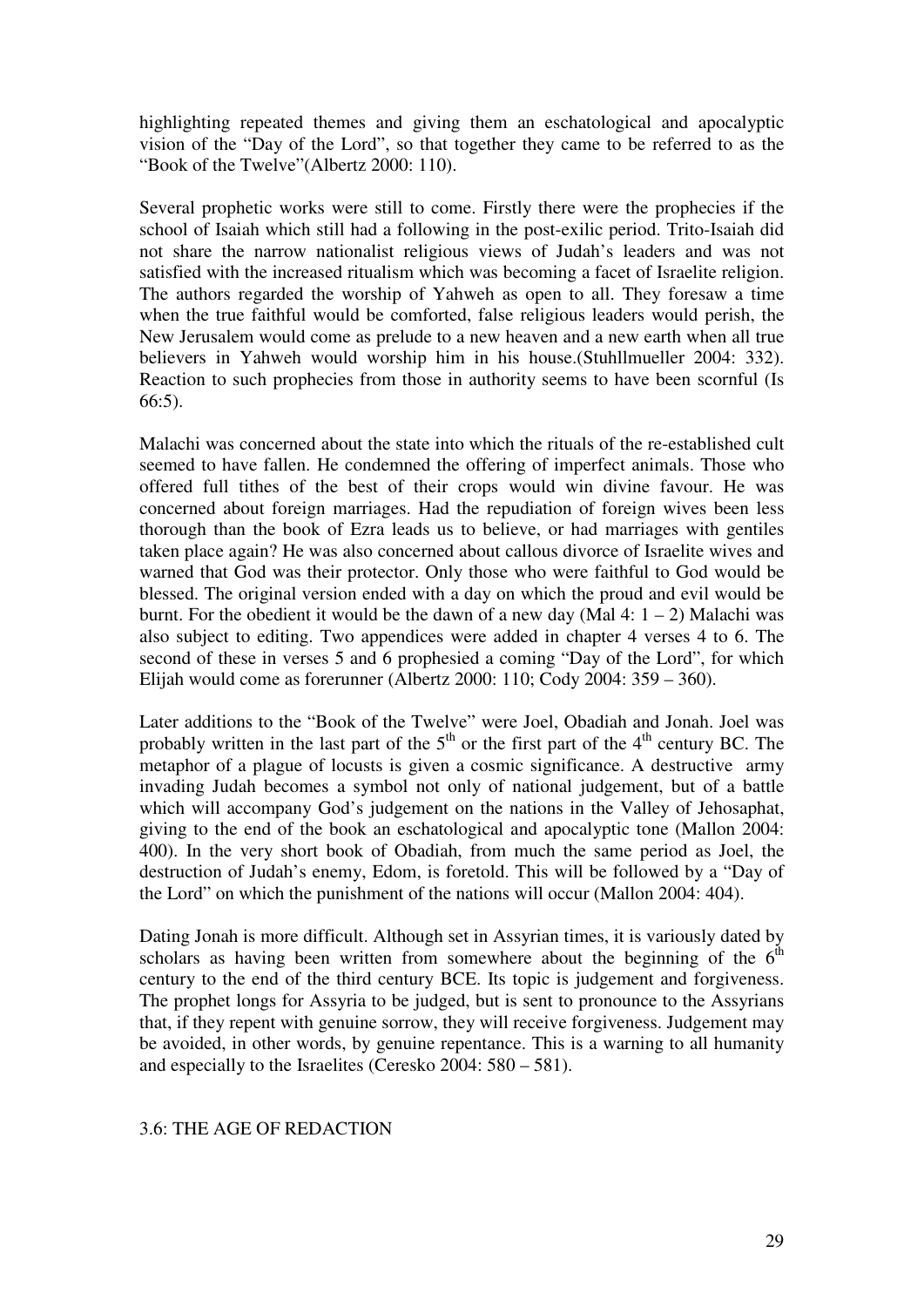highlighting repeated themes and giving them an eschatological and apocalyptic vision of the "Day of the Lord", so that together they came to be referred to as the "Book of the Twelve"(Albertz 2000: 110).

Several prophetic works were still to come. Firstly there were the prophecies if the school of Isaiah which still had a following in the post-exilic period. Trito-Isaiah did not share the narrow nationalist religious views of Judah's leaders and was not satisfied with the increased ritualism which was becoming a facet of Israelite religion. The authors regarded the worship of Yahweh as open to all. They foresaw a time when the true faithful would be comforted, false religious leaders would perish, the New Jerusalem would come as prelude to a new heaven and a new earth when all true believers in Yahweh would worship him in his house.(Stuhllmueller 2004: 332). Reaction to such prophecies from those in authority seems to have been scornful (Is 66:5).

Malachi was concerned about the state into which the rituals of the re-established cult seemed to have fallen. He condemned the offering of imperfect animals. Those who offered full tithes of the best of their crops would win divine favour. He was concerned about foreign marriages. Had the repudiation of foreign wives been less thorough than the book of Ezra leads us to believe, or had marriages with gentiles taken place again? He was also concerned about callous divorce of Israelite wives and warned that God was their protector. Only those who were faithful to God would be blessed. The original version ended with a day on which the proud and evil would be burnt. For the obedient it would be the dawn of a new day (Mal 4:  $1 - 2$ ) Malachi was also subject to editing. Two appendices were added in chapter 4 verses 4 to 6. The second of these in verses 5 and 6 prophesied a coming "Day of the Lord", for which Elijah would come as forerunner (Albertz 2000: 110; Cody 2004: 359 – 360).

Later additions to the "Book of the Twelve" were Joel, Obadiah and Jonah. Joel was probably written in the last part of the  $5<sup>th</sup>$  or the first part of the  $4<sup>th</sup>$  century BC. The metaphor of a plague of locusts is given a cosmic significance. A destructive army invading Judah becomes a symbol not only of national judgement, but of a battle which will accompany God's judgement on the nations in the Valley of Jehosaphat, giving to the end of the book an eschatological and apocalyptic tone (Mallon 2004: 400). In the very short book of Obadiah, from much the same period as Joel, the destruction of Judah's enemy, Edom, is foretold. This will be followed by a "Day of the Lord" on which the punishment of the nations will occur (Mallon 2004: 404).

Dating Jonah is more difficult. Although set in Assyrian times, it is variously dated by scholars as having been written from somewhere about the beginning of the  $6<sup>th</sup>$ century to the end of the third century BCE. Its topic is judgement and forgiveness. The prophet longs for Assyria to be judged, but is sent to pronounce to the Assyrians that, if they repent with genuine sorrow, they will receive forgiveness. Judgement may be avoided, in other words, by genuine repentance. This is a warning to all humanity and especially to the Israelites (Ceresko 2004: 580 – 581).

# 3.6: THE AGE OF REDACTION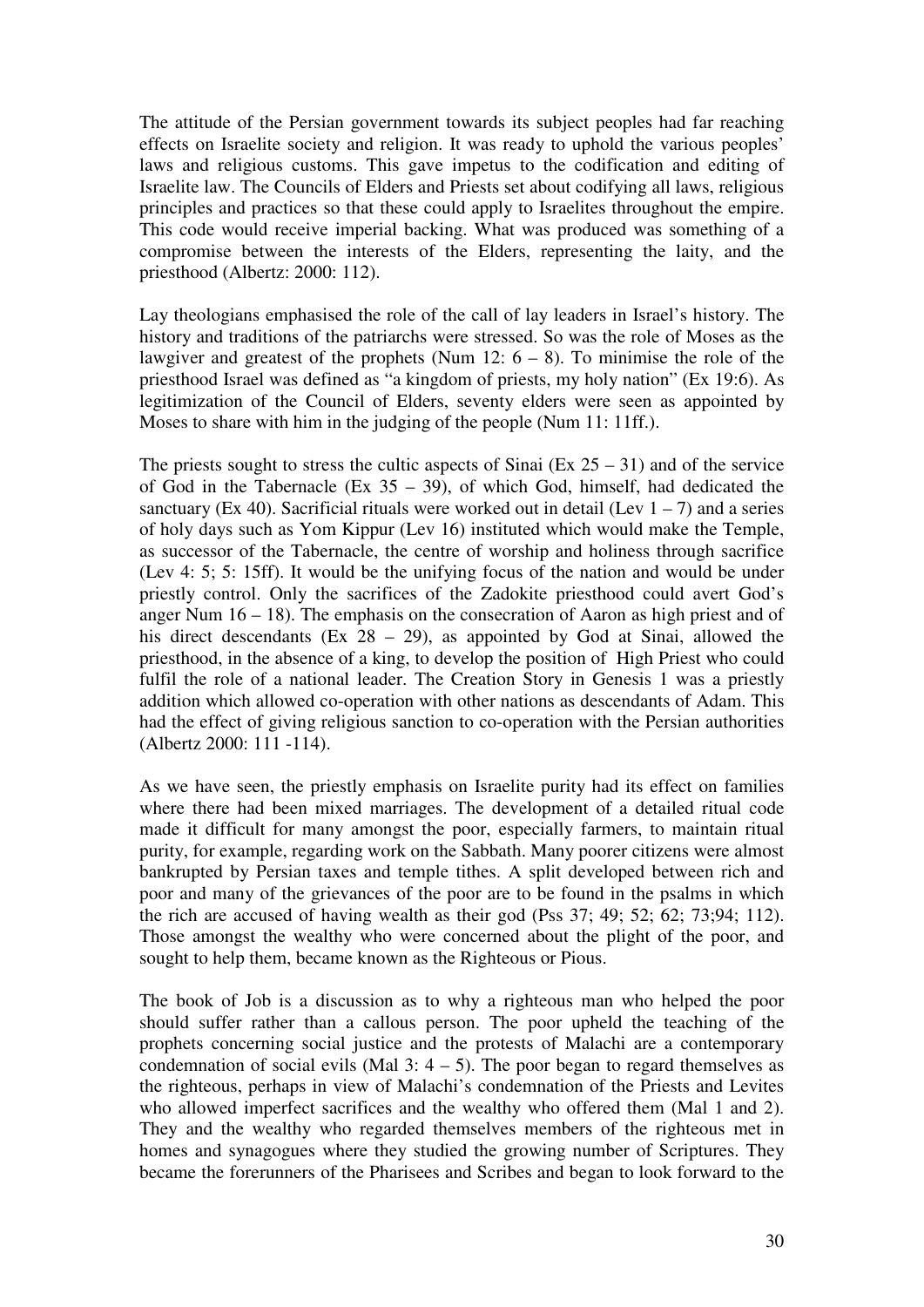The attitude of the Persian government towards its subject peoples had far reaching effects on Israelite society and religion. It was ready to uphold the various peoples' laws and religious customs. This gave impetus to the codification and editing of Israelite law. The Councils of Elders and Priests set about codifying all laws, religious principles and practices so that these could apply to Israelites throughout the empire. This code would receive imperial backing. What was produced was something of a compromise between the interests of the Elders, representing the laity, and the priesthood (Albertz: 2000: 112).

Lay theologians emphasised the role of the call of lay leaders in Israel's history. The history and traditions of the patriarchs were stressed. So was the role of Moses as the lawgiver and greatest of the prophets (Num 12:  $6 - 8$ ). To minimise the role of the priesthood Israel was defined as "a kingdom of priests, my holy nation" (Ex 19:6). As legitimization of the Council of Elders, seventy elders were seen as appointed by Moses to share with him in the judging of the people (Num 11: 11ff.).

The priests sought to stress the cultic aspects of Sinai (Ex  $25 - 31$ ) and of the service of God in the Tabernacle (Ex  $35 - 39$ ), of which God, himself, had dedicated the sanctuary (Ex 40). Sacrificial rituals were worked out in detail (Lev  $1 - 7$ ) and a series of holy days such as Yom Kippur (Lev 16) instituted which would make the Temple, as successor of the Tabernacle, the centre of worship and holiness through sacrifice (Lev 4: 5; 5: 15ff). It would be the unifying focus of the nation and would be under priestly control. Only the sacrifices of the Zadokite priesthood could avert God's anger Num  $16 - 18$ ). The emphasis on the consecration of Aaron as high priest and of his direct descendants (Ex 28 – 29), as appointed by God at Sinai, allowed the priesthood, in the absence of a king, to develop the position of High Priest who could fulfil the role of a national leader. The Creation Story in Genesis 1 was a priestly addition which allowed co-operation with other nations as descendants of Adam. This had the effect of giving religious sanction to co-operation with the Persian authorities (Albertz 2000: 111 -114).

As we have seen, the priestly emphasis on Israelite purity had its effect on families where there had been mixed marriages. The development of a detailed ritual code made it difficult for many amongst the poor, especially farmers, to maintain ritual purity, for example, regarding work on the Sabbath. Many poorer citizens were almost bankrupted by Persian taxes and temple tithes. A split developed between rich and poor and many of the grievances of the poor are to be found in the psalms in which the rich are accused of having wealth as their god (Pss 37; 49; 52; 62; 73;94; 112). Those amongst the wealthy who were concerned about the plight of the poor, and sought to help them, became known as the Righteous or Pious.

The book of Job is a discussion as to why a righteous man who helped the poor should suffer rather than a callous person. The poor upheld the teaching of the prophets concerning social justice and the protests of Malachi are a contemporary condemnation of social evils (Mal  $3: 4-5$ ). The poor began to regard themselves as the righteous, perhaps in view of Malachi's condemnation of the Priests and Levites who allowed imperfect sacrifices and the wealthy who offered them (Mal 1 and 2). They and the wealthy who regarded themselves members of the righteous met in homes and synagogues where they studied the growing number of Scriptures. They became the forerunners of the Pharisees and Scribes and began to look forward to the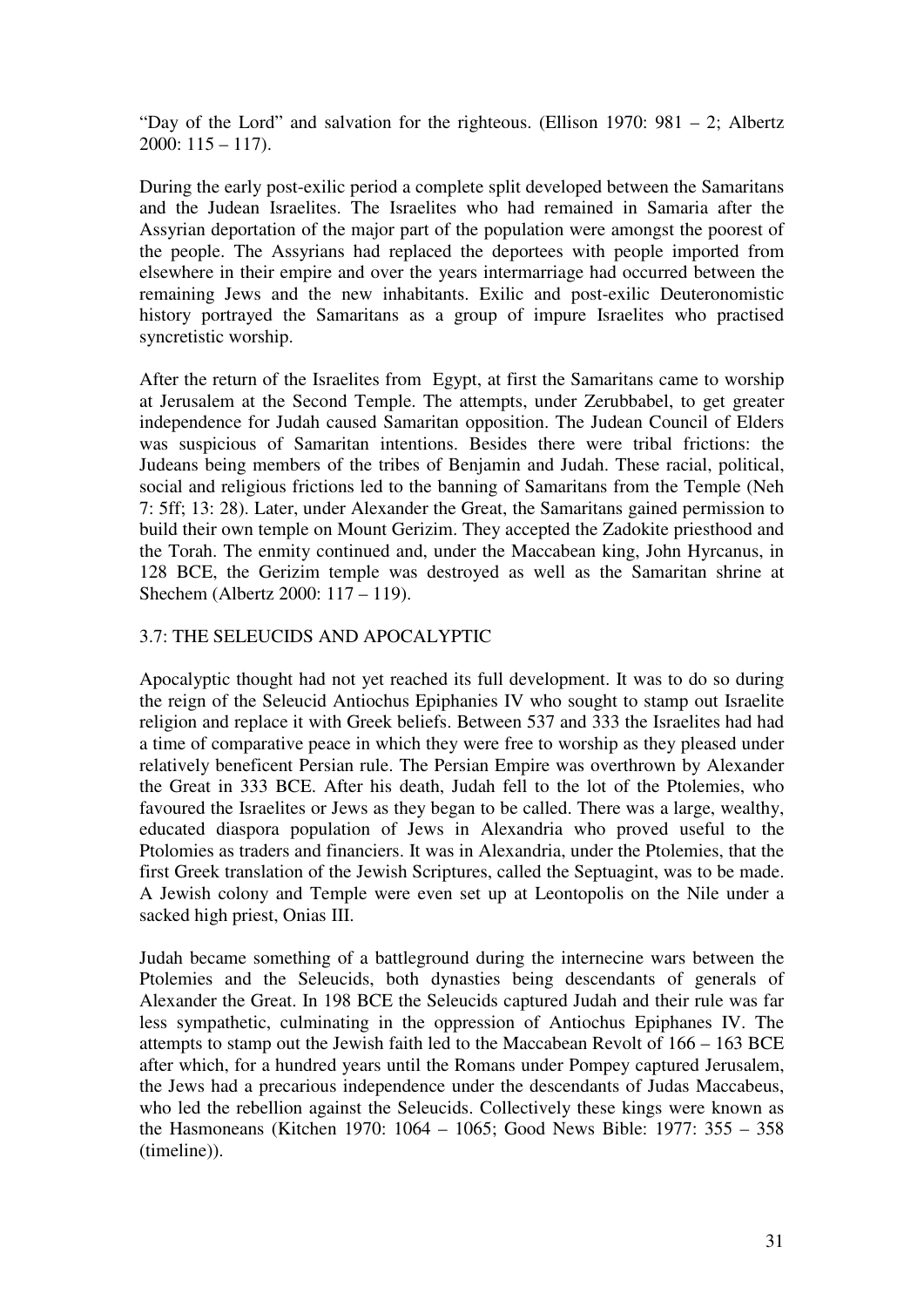"Day of the Lord" and salvation for the righteous. (Ellison 1970: 981 – 2; Albertz 2000:  $115 - 117$ ).

During the early post-exilic period a complete split developed between the Samaritans and the Judean Israelites. The Israelites who had remained in Samaria after the Assyrian deportation of the major part of the population were amongst the poorest of the people. The Assyrians had replaced the deportees with people imported from elsewhere in their empire and over the years intermarriage had occurred between the remaining Jews and the new inhabitants. Exilic and post-exilic Deuteronomistic history portrayed the Samaritans as a group of impure Israelites who practised syncretistic worship.

After the return of the Israelites from Egypt, at first the Samaritans came to worship at Jerusalem at the Second Temple. The attempts, under Zerubbabel, to get greater independence for Judah caused Samaritan opposition. The Judean Council of Elders was suspicious of Samaritan intentions. Besides there were tribal frictions: the Judeans being members of the tribes of Benjamin and Judah. These racial, political, social and religious frictions led to the banning of Samaritans from the Temple (Neh 7: 5ff; 13: 28). Later, under Alexander the Great, the Samaritans gained permission to build their own temple on Mount Gerizim. They accepted the Zadokite priesthood and the Torah. The enmity continued and, under the Maccabean king, John Hyrcanus, in 128 BCE, the Gerizim temple was destroyed as well as the Samaritan shrine at Shechem (Albertz 2000: 117 – 119).

## 3.7: THE SELEUCIDS AND APOCALYPTIC

Apocalyptic thought had not yet reached its full development. It was to do so during the reign of the Seleucid Antiochus Epiphanies IV who sought to stamp out Israelite religion and replace it with Greek beliefs. Between 537 and 333 the Israelites had had a time of comparative peace in which they were free to worship as they pleased under relatively beneficent Persian rule. The Persian Empire was overthrown by Alexander the Great in 333 BCE. After his death, Judah fell to the lot of the Ptolemies, who favoured the Israelites or Jews as they began to be called. There was a large, wealthy, educated diaspora population of Jews in Alexandria who proved useful to the Ptolomies as traders and financiers. It was in Alexandria, under the Ptolemies, that the first Greek translation of the Jewish Scriptures, called the Septuagint, was to be made. A Jewish colony and Temple were even set up at Leontopolis on the Nile under a sacked high priest, Onias III.

Judah became something of a battleground during the internecine wars between the Ptolemies and the Seleucids, both dynasties being descendants of generals of Alexander the Great. In 198 BCE the Seleucids captured Judah and their rule was far less sympathetic, culminating in the oppression of Antiochus Epiphanes IV. The attempts to stamp out the Jewish faith led to the Maccabean Revolt of 166 – 163 BCE after which, for a hundred years until the Romans under Pompey captured Jerusalem, the Jews had a precarious independence under the descendants of Judas Maccabeus, who led the rebellion against the Seleucids. Collectively these kings were known as the Hasmoneans (Kitchen 1970: 1064 – 1065; Good News Bible: 1977: 355 – 358 (timeline)).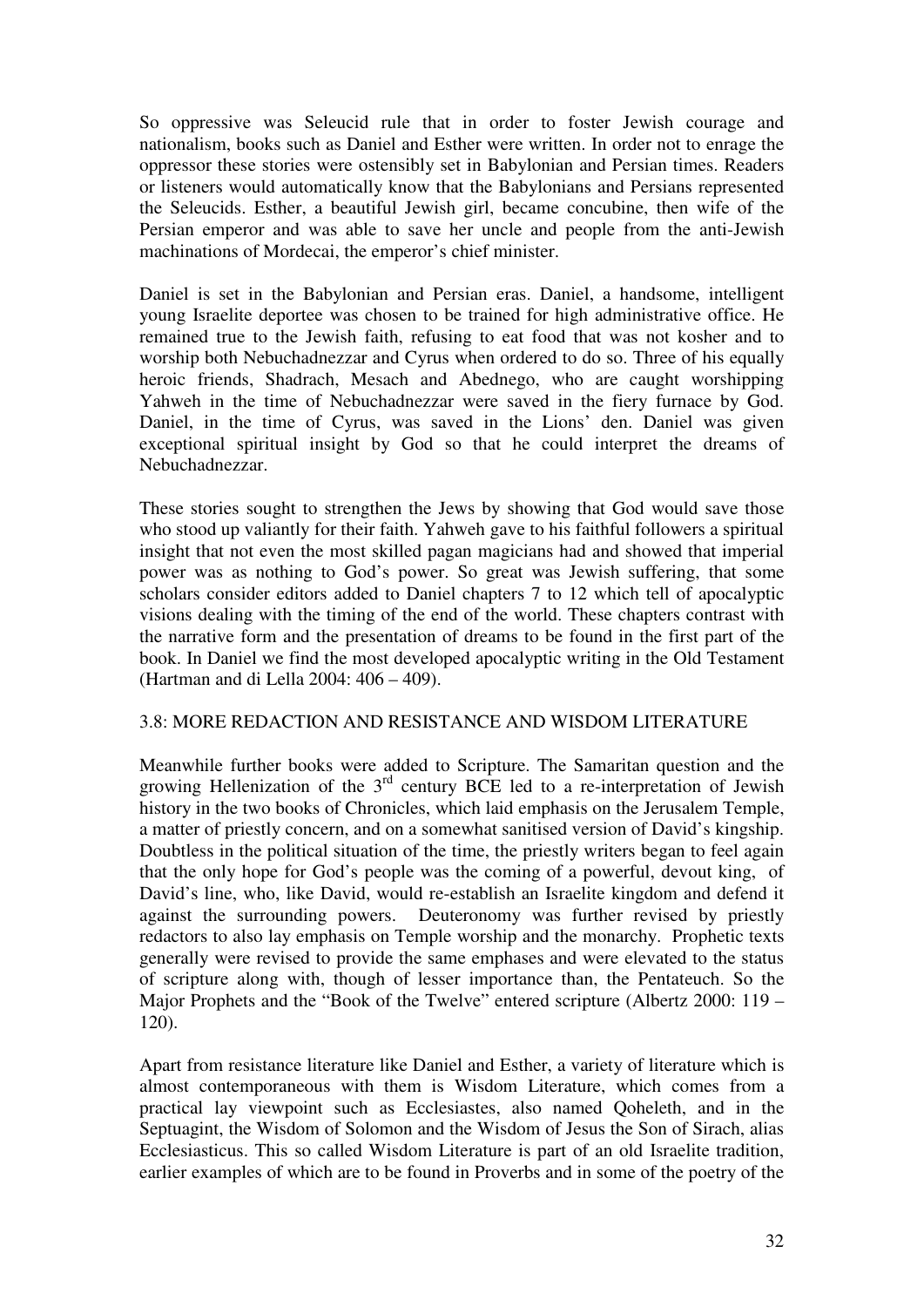So oppressive was Seleucid rule that in order to foster Jewish courage and nationalism, books such as Daniel and Esther were written. In order not to enrage the oppressor these stories were ostensibly set in Babylonian and Persian times. Readers or listeners would automatically know that the Babylonians and Persians represented the Seleucids. Esther, a beautiful Jewish girl, became concubine, then wife of the Persian emperor and was able to save her uncle and people from the anti-Jewish machinations of Mordecai, the emperor's chief minister.

Daniel is set in the Babylonian and Persian eras. Daniel, a handsome, intelligent young Israelite deportee was chosen to be trained for high administrative office. He remained true to the Jewish faith, refusing to eat food that was not kosher and to worship both Nebuchadnezzar and Cyrus when ordered to do so. Three of his equally heroic friends, Shadrach, Mesach and Abednego, who are caught worshipping Yahweh in the time of Nebuchadnezzar were saved in the fiery furnace by God. Daniel, in the time of Cyrus, was saved in the Lions' den. Daniel was given exceptional spiritual insight by God so that he could interpret the dreams of Nebuchadnezzar.

These stories sought to strengthen the Jews by showing that God would save those who stood up valiantly for their faith. Yahweh gave to his faithful followers a spiritual insight that not even the most skilled pagan magicians had and showed that imperial power was as nothing to God's power. So great was Jewish suffering, that some scholars consider editors added to Daniel chapters 7 to 12 which tell of apocalyptic visions dealing with the timing of the end of the world. These chapters contrast with the narrative form and the presentation of dreams to be found in the first part of the book. In Daniel we find the most developed apocalyptic writing in the Old Testament (Hartman and di Lella 2004: 406 – 409).

#### 3.8: MORE REDACTION AND RESISTANCE AND WISDOM LITERATURE

Meanwhile further books were added to Scripture. The Samaritan question and the growing Hellenization of the  $3<sup>rd</sup>$  century BCE led to a re-interpretation of Jewish history in the two books of Chronicles, which laid emphasis on the Jerusalem Temple, a matter of priestly concern, and on a somewhat sanitised version of David's kingship. Doubtless in the political situation of the time, the priestly writers began to feel again that the only hope for God's people was the coming of a powerful, devout king, of David's line, who, like David, would re-establish an Israelite kingdom and defend it against the surrounding powers. Deuteronomy was further revised by priestly redactors to also lay emphasis on Temple worship and the monarchy. Prophetic texts generally were revised to provide the same emphases and were elevated to the status of scripture along with, though of lesser importance than, the Pentateuch. So the Major Prophets and the "Book of the Twelve" entered scripture (Albertz 2000: 119 – 120).

Apart from resistance literature like Daniel and Esther, a variety of literature which is almost contemporaneous with them is Wisdom Literature, which comes from a practical lay viewpoint such as Ecclesiastes, also named Qoheleth, and in the Septuagint, the Wisdom of Solomon and the Wisdom of Jesus the Son of Sirach, alias Ecclesiasticus. This so called Wisdom Literature is part of an old Israelite tradition, earlier examples of which are to be found in Proverbs and in some of the poetry of the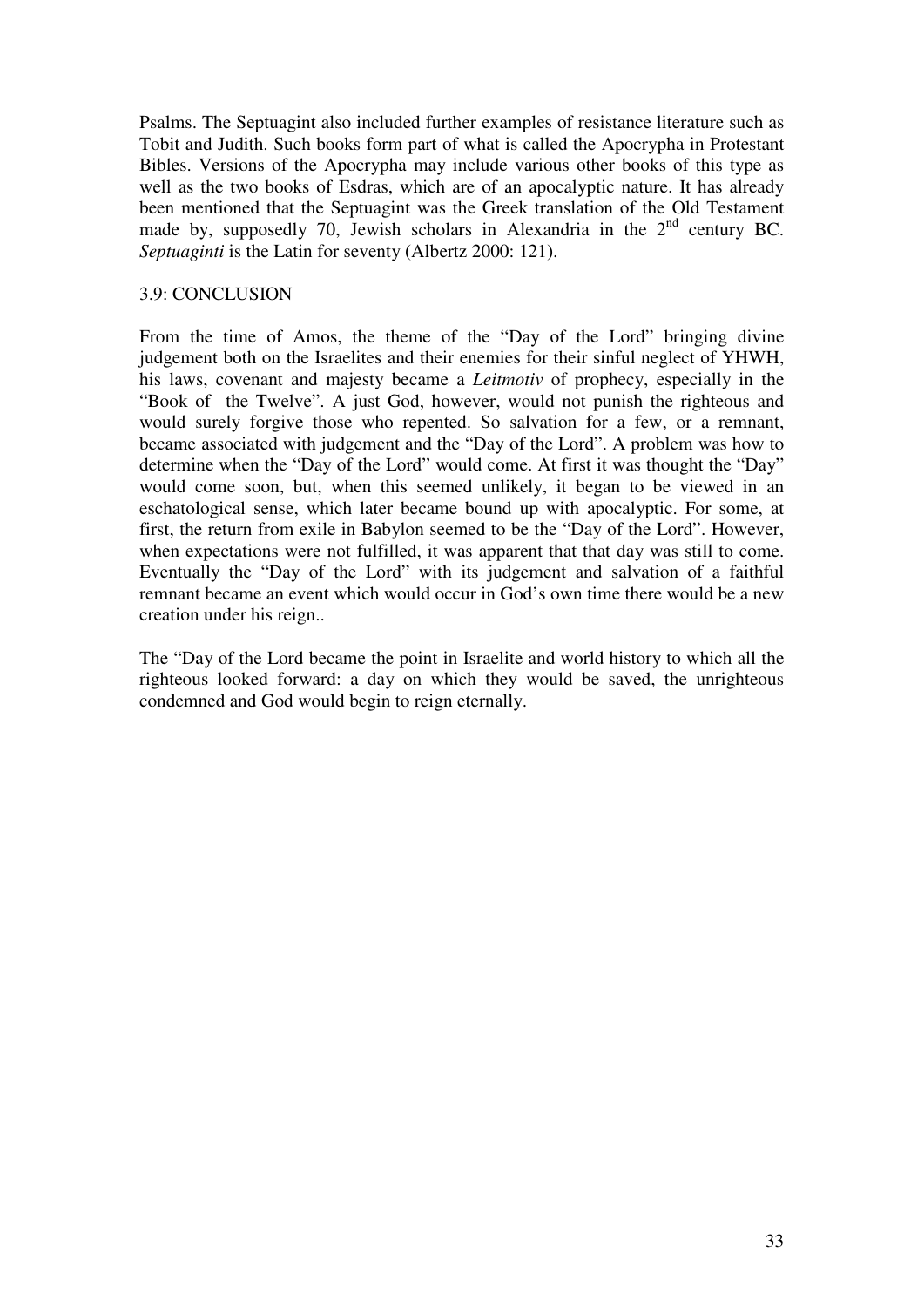Psalms. The Septuagint also included further examples of resistance literature such as Tobit and Judith. Such books form part of what is called the Apocrypha in Protestant Bibles. Versions of the Apocrypha may include various other books of this type as well as the two books of Esdras, which are of an apocalyptic nature. It has already been mentioned that the Septuagint was the Greek translation of the Old Testament made by, supposedly 70, Jewish scholars in Alexandria in the  $2<sup>nd</sup>$  century BC. *Septuaginti* is the Latin for seventy (Albertz 2000: 121).

### 3.9: CONCLUSION

From the time of Amos, the theme of the "Day of the Lord" bringing divine judgement both on the Israelites and their enemies for their sinful neglect of YHWH, his laws, covenant and majesty became a *Leitmotiv* of prophecy, especially in the "Book of the Twelve". A just God, however, would not punish the righteous and would surely forgive those who repented. So salvation for a few, or a remnant, became associated with judgement and the "Day of the Lord". A problem was how to determine when the "Day of the Lord" would come. At first it was thought the "Day" would come soon, but, when this seemed unlikely, it began to be viewed in an eschatological sense, which later became bound up with apocalyptic. For some, at first, the return from exile in Babylon seemed to be the "Day of the Lord". However, when expectations were not fulfilled, it was apparent that that day was still to come. Eventually the "Day of the Lord" with its judgement and salvation of a faithful remnant became an event which would occur in God's own time there would be a new creation under his reign..

The "Day of the Lord became the point in Israelite and world history to which all the righteous looked forward: a day on which they would be saved, the unrighteous condemned and God would begin to reign eternally.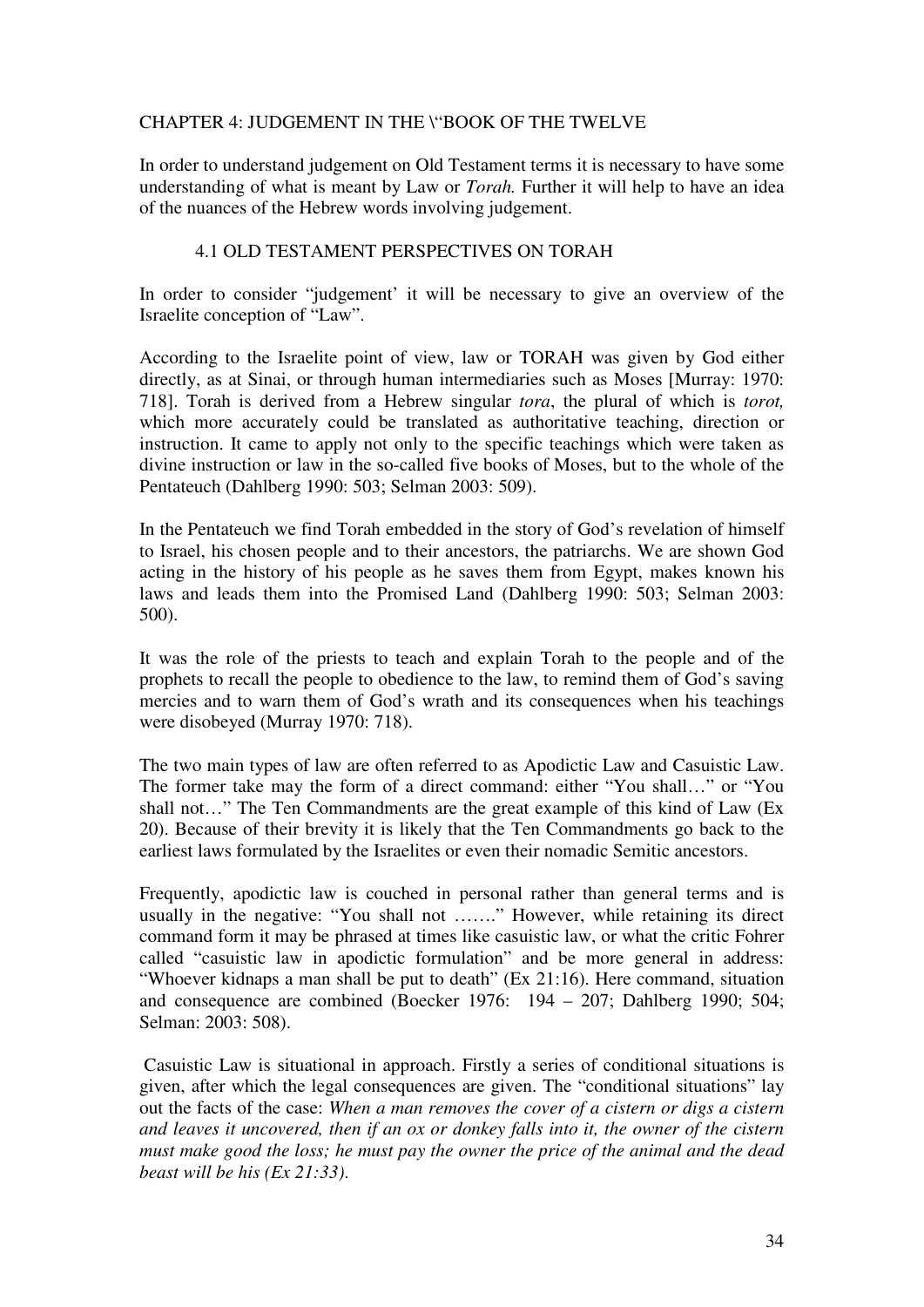## CHAPTER 4: JUDGEMENT IN THE \"BOOK OF THE TWELVE

In order to understand judgement on Old Testament terms it is necessary to have some understanding of what is meant by Law or *Torah.* Further it will help to have an idea of the nuances of the Hebrew words involving judgement.

### 4.1 OLD TESTAMENT PERSPECTIVES ON TORAH

In order to consider "judgement' it will be necessary to give an overview of the Israelite conception of "Law".

According to the Israelite point of view, law or TORAH was given by God either directly, as at Sinai, or through human intermediaries such as Moses [Murray: 1970: 718]. Torah is derived from a Hebrew singular *tora*, the plural of which is *torot,* which more accurately could be translated as authoritative teaching, direction or instruction. It came to apply not only to the specific teachings which were taken as divine instruction or law in the so-called five books of Moses, but to the whole of the Pentateuch (Dahlberg 1990: 503; Selman 2003: 509).

In the Pentateuch we find Torah embedded in the story of God's revelation of himself to Israel, his chosen people and to their ancestors, the patriarchs. We are shown God acting in the history of his people as he saves them from Egypt, makes known his laws and leads them into the Promised Land (Dahlberg 1990: 503; Selman 2003: 500).

It was the role of the priests to teach and explain Torah to the people and of the prophets to recall the people to obedience to the law, to remind them of God's saving mercies and to warn them of God's wrath and its consequences when his teachings were disobeyed (Murray 1970: 718).

The two main types of law are often referred to as Apodictic Law and Casuistic Law. The former take may the form of a direct command: either "You shall…" or "You shall not…" The Ten Commandments are the great example of this kind of Law (Ex 20). Because of their brevity it is likely that the Ten Commandments go back to the earliest laws formulated by the Israelites or even their nomadic Semitic ancestors.

Frequently, apodictic law is couched in personal rather than general terms and is usually in the negative: "You shall not ……." However, while retaining its direct command form it may be phrased at times like casuistic law, or what the critic Fohrer called "casuistic law in apodictic formulation" and be more general in address: "Whoever kidnaps a man shall be put to death" (Ex 21:16). Here command, situation and consequence are combined (Boecker 1976: 194 – 207; Dahlberg 1990; 504; Selman: 2003: 508).

 Casuistic Law is situational in approach. Firstly a series of conditional situations is given, after which the legal consequences are given. The "conditional situations" lay out the facts of the case: *When a man removes the cover of a cistern or digs a cistern and leaves it uncovered, then if an ox or donkey falls into it, the owner of the cistern must make good the loss; he must pay the owner the price of the animal and the dead beast will be his (Ex 21:33)*.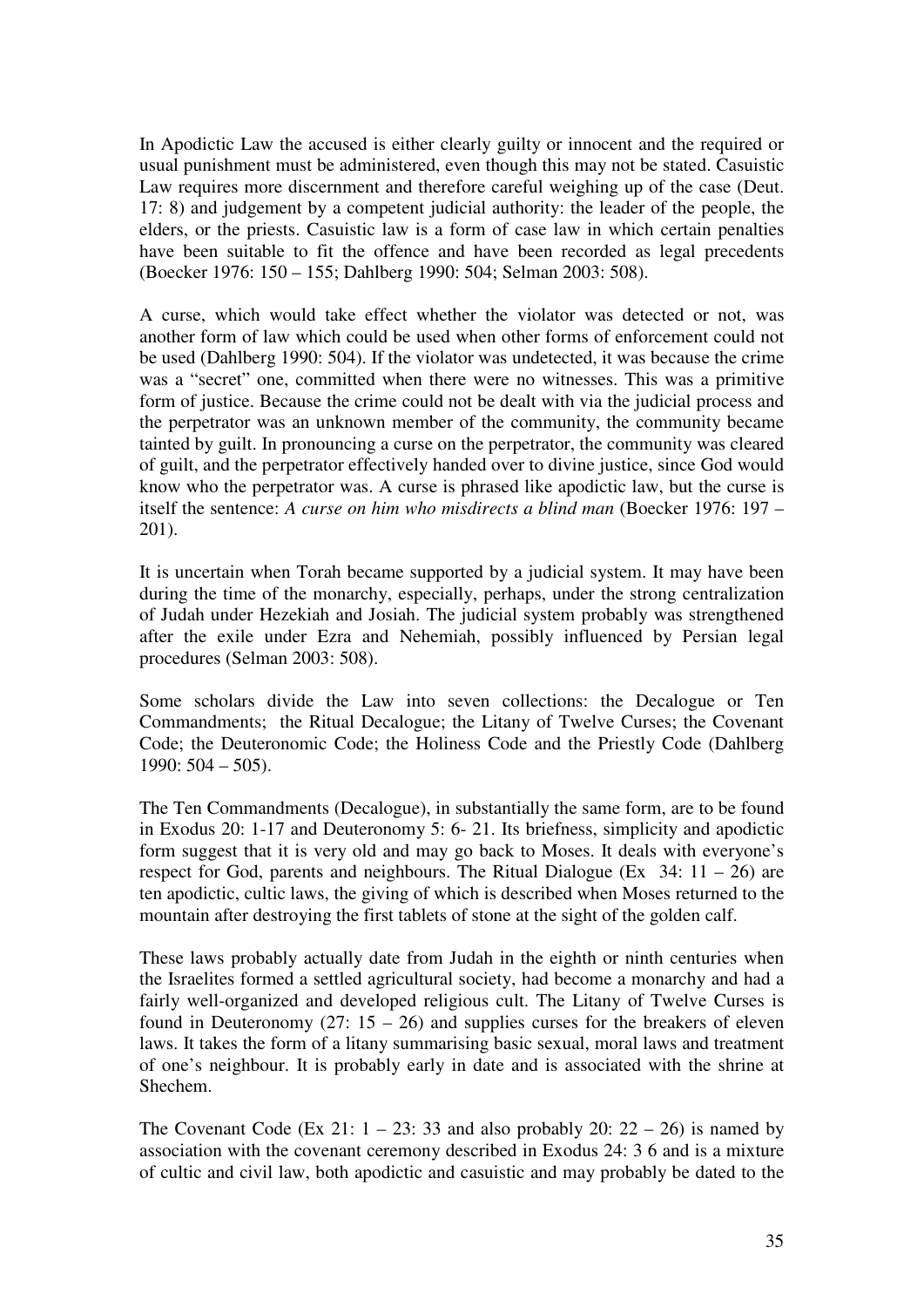In Apodictic Law the accused is either clearly guilty or innocent and the required or usual punishment must be administered, even though this may not be stated. Casuistic Law requires more discernment and therefore careful weighing up of the case (Deut. 17: 8) and judgement by a competent judicial authority: the leader of the people, the elders, or the priests. Casuistic law is a form of case law in which certain penalties have been suitable to fit the offence and have been recorded as legal precedents (Boecker 1976: 150 – 155; Dahlberg 1990: 504; Selman 2003: 508).

A curse, which would take effect whether the violator was detected or not, was another form of law which could be used when other forms of enforcement could not be used (Dahlberg 1990: 504). If the violator was undetected, it was because the crime was a "secret" one, committed when there were no witnesses. This was a primitive form of justice. Because the crime could not be dealt with via the judicial process and the perpetrator was an unknown member of the community, the community became tainted by guilt. In pronouncing a curse on the perpetrator, the community was cleared of guilt, and the perpetrator effectively handed over to divine justice, since God would know who the perpetrator was. A curse is phrased like apodictic law, but the curse is itself the sentence: *A curse on him who misdirects a blind man* (Boecker 1976: 197 – 201).

It is uncertain when Torah became supported by a judicial system. It may have been during the time of the monarchy, especially, perhaps, under the strong centralization of Judah under Hezekiah and Josiah. The judicial system probably was strengthened after the exile under Ezra and Nehemiah, possibly influenced by Persian legal procedures (Selman 2003: 508).

Some scholars divide the Law into seven collections: the Decalogue or Ten Commandments; the Ritual Decalogue; the Litany of Twelve Curses; the Covenant Code; the Deuteronomic Code; the Holiness Code and the Priestly Code (Dahlberg 1990: 504 – 505).

The Ten Commandments (Decalogue), in substantially the same form, are to be found in Exodus 20: 1-17 and Deuteronomy 5: 6- 21. Its briefness, simplicity and apodictic form suggest that it is very old and may go back to Moses. It deals with everyone's respect for God, parents and neighbours. The Ritual Dialogue (Ex  $34: 11 - 26$ ) are ten apodictic, cultic laws, the giving of which is described when Moses returned to the mountain after destroying the first tablets of stone at the sight of the golden calf.

These laws probably actually date from Judah in the eighth or ninth centuries when the Israelites formed a settled agricultural society, had become a monarchy and had a fairly well-organized and developed religious cult. The Litany of Twelve Curses is found in Deuteronomy (27:  $15 - 26$ ) and supplies curses for the breakers of eleven laws. It takes the form of a litany summarising basic sexual, moral laws and treatment of one's neighbour. It is probably early in date and is associated with the shrine at Shechem.

The Covenant Code (Ex 21:  $1 - 23$ : 33 and also probably 20:  $22 - 26$ ) is named by association with the covenant ceremony described in Exodus 24: 3 6 and is a mixture of cultic and civil law, both apodictic and casuistic and may probably be dated to the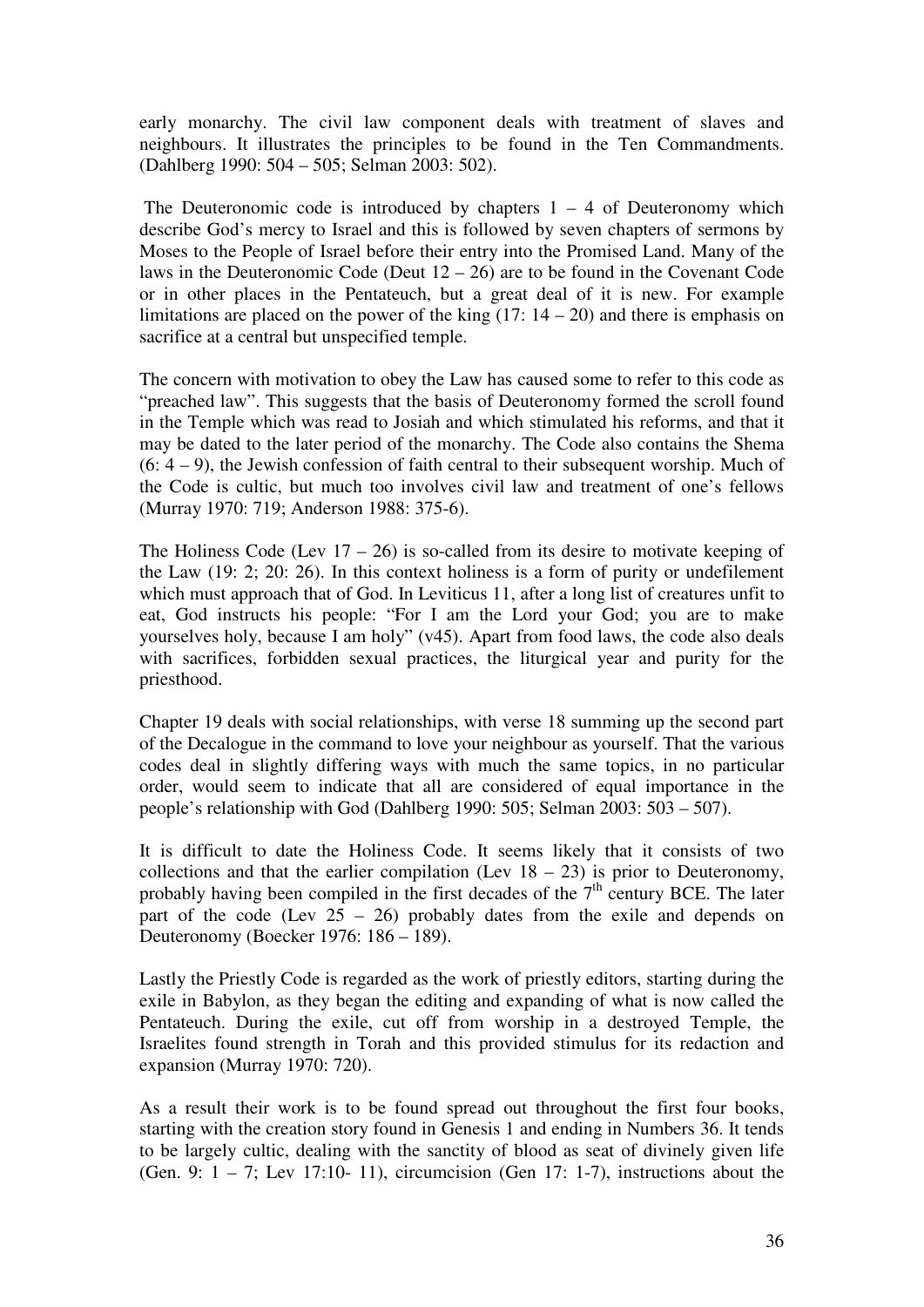early monarchy. The civil law component deals with treatment of slaves and neighbours. It illustrates the principles to be found in the Ten Commandments. (Dahlberg 1990: 504 – 505; Selman 2003: 502).

The Deuteronomic code is introduced by chapters  $1 - 4$  of Deuteronomy which describe God's mercy to Israel and this is followed by seven chapters of sermons by Moses to the People of Israel before their entry into the Promised Land. Many of the laws in the Deuteronomic Code (Deut  $12 - 26$ ) are to be found in the Covenant Code or in other places in the Pentateuch, but a great deal of it is new. For example limitations are placed on the power of the king  $(17: 14 - 20)$  and there is emphasis on sacrifice at a central but unspecified temple.

The concern with motivation to obey the Law has caused some to refer to this code as "preached law". This suggests that the basis of Deuteronomy formed the scroll found in the Temple which was read to Josiah and which stimulated his reforms, and that it may be dated to the later period of the monarchy. The Code also contains the Shema (6: 4 – 9), the Jewish confession of faith central to their subsequent worship. Much of the Code is cultic, but much too involves civil law and treatment of one's fellows (Murray 1970: 719; Anderson 1988: 375-6).

The Holiness Code (Lev  $17 - 26$ ) is so-called from its desire to motivate keeping of the Law (19: 2; 20: 26). In this context holiness is a form of purity or undefilement which must approach that of God. In Leviticus 11, after a long list of creatures unfit to eat, God instructs his people: "For I am the Lord your God; you are to make yourselves holy, because I am holy" (v45). Apart from food laws, the code also deals with sacrifices, forbidden sexual practices, the liturgical year and purity for the priesthood.

Chapter 19 deals with social relationships, with verse 18 summing up the second part of the Decalogue in the command to love your neighbour as yourself. That the various codes deal in slightly differing ways with much the same topics, in no particular order, would seem to indicate that all are considered of equal importance in the people's relationship with God (Dahlberg 1990: 505; Selman 2003: 503 – 507).

It is difficult to date the Holiness Code. It seems likely that it consists of two collections and that the earlier compilation (Lev  $18 - 23$ ) is prior to Deuteronomy, probably having been compiled in the first decades of the  $7<sup>th</sup>$  century BCE. The later part of the code (Lev  $25 - 26$ ) probably dates from the exile and depends on Deuteronomy (Boecker 1976: 186 – 189).

Lastly the Priestly Code is regarded as the work of priestly editors, starting during the exile in Babylon, as they began the editing and expanding of what is now called the Pentateuch. During the exile, cut off from worship in a destroyed Temple, the Israelites found strength in Torah and this provided stimulus for its redaction and expansion (Murray 1970: 720).

As a result their work is to be found spread out throughout the first four books, starting with the creation story found in Genesis 1 and ending in Numbers 36. It tends to be largely cultic, dealing with the sanctity of blood as seat of divinely given life (Gen. 9:  $1 - 7$ ; Lev 17:10- 11), circumcision (Gen 17: 1-7), instructions about the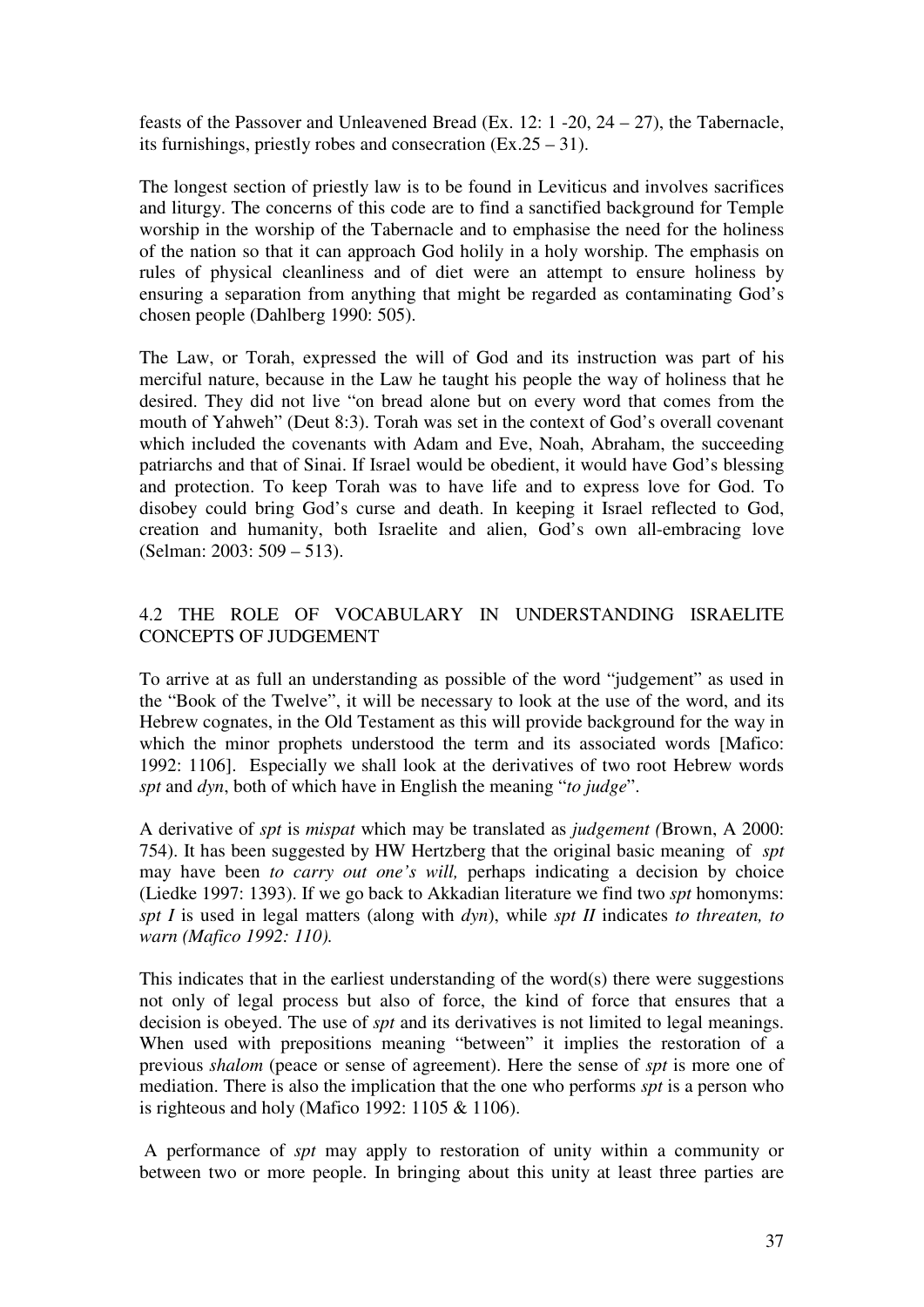feasts of the Passover and Unleavened Bread (Ex. 12: 1 -20, 24 – 27), the Tabernacle, its furnishings, priestly robes and consecration (Ex.25 – 31).

The longest section of priestly law is to be found in Leviticus and involves sacrifices and liturgy. The concerns of this code are to find a sanctified background for Temple worship in the worship of the Tabernacle and to emphasise the need for the holiness of the nation so that it can approach God holily in a holy worship. The emphasis on rules of physical cleanliness and of diet were an attempt to ensure holiness by ensuring a separation from anything that might be regarded as contaminating God's chosen people (Dahlberg 1990: 505).

The Law, or Torah, expressed the will of God and its instruction was part of his merciful nature, because in the Law he taught his people the way of holiness that he desired. They did not live "on bread alone but on every word that comes from the mouth of Yahweh" (Deut 8:3). Torah was set in the context of God's overall covenant which included the covenants with Adam and Eve, Noah, Abraham, the succeeding patriarchs and that of Sinai. If Israel would be obedient, it would have God's blessing and protection. To keep Torah was to have life and to express love for God. To disobey could bring God's curse and death. In keeping it Israel reflected to God, creation and humanity, both Israelite and alien, God's own all-embracing love (Selman: 2003: 509 – 513).

# 4.2 THE ROLE OF VOCABULARY IN UNDERSTANDING ISRAELITE CONCEPTS OF JUDGEMENT

To arrive at as full an understanding as possible of the word "judgement" as used in the "Book of the Twelve", it will be necessary to look at the use of the word, and its Hebrew cognates, in the Old Testament as this will provide background for the way in which the minor prophets understood the term and its associated words [Mafico: 1992: 1106]. Especially we shall look at the derivatives of two root Hebrew words *spt* and *dyn*, both of which have in English the meaning "*to judge*".

A derivative of *spt* is *mispat* which may be translated as *judgement (*Brown, A 2000: 754). It has been suggested by HW Hertzberg that the original basic meaning of *spt*  may have been *to carry out one's will,* perhaps indicating a decision by choice (Liedke 1997: 1393). If we go back to Akkadian literature we find two *spt* homonyms: *spt I* is used in legal matters (along with *dyn*), while *spt II* indicates *to threaten, to warn (Mafico 1992: 110).* 

This indicates that in the earliest understanding of the word(s) there were suggestions not only of legal process but also of force, the kind of force that ensures that a decision is obeyed. The use of *spt* and its derivatives is not limited to legal meanings. When used with prepositions meaning "between" it implies the restoration of a previous *shalom* (peace or sense of agreement). Here the sense of *spt* is more one of mediation. There is also the implication that the one who performs *spt* is a person who is righteous and holy (Mafico 1992: 1105 & 1106).

 A performance of *spt* may apply to restoration of unity within a community or between two or more people. In bringing about this unity at least three parties are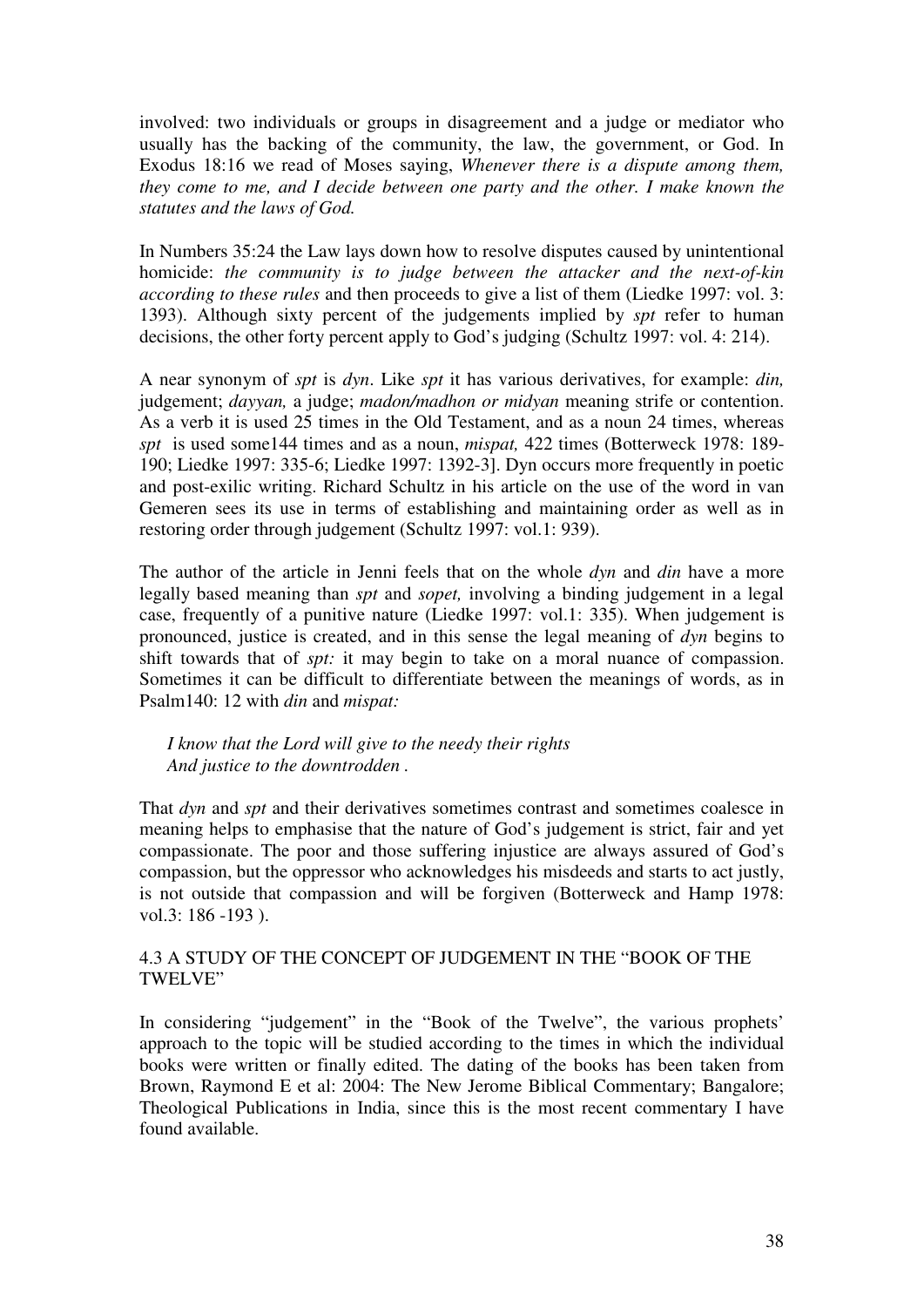involved: two individuals or groups in disagreement and a judge or mediator who usually has the backing of the community, the law, the government, or God. In Exodus 18:16 we read of Moses saying, *Whenever there is a dispute among them, they come to me, and I decide between one party and the other. I make known the statutes and the laws of God.*

In Numbers 35:24 the Law lays down how to resolve disputes caused by unintentional homicide: *the community is to judge between the attacker and the next-of-kin according to these rules* and then proceeds to give a list of them (Liedke 1997: vol. 3: 1393). Although sixty percent of the judgements implied by *spt* refer to human decisions, the other forty percent apply to God's judging (Schultz 1997: vol. 4: 214).

A near synonym of *spt* is *dyn*. Like *spt* it has various derivatives, for example: *din,*  judgement; *dayyan,* a judge; *madon/madhon or midyan* meaning strife or contention. As a verb it is used 25 times in the Old Testament, and as a noun 24 times, whereas *spt* is used some144 times and as a noun, *mispat,* 422 times (Botterweck 1978: 189- 190; Liedke 1997: 335-6; Liedke 1997: 1392-3]. Dyn occurs more frequently in poetic and post-exilic writing. Richard Schultz in his article on the use of the word in van Gemeren sees its use in terms of establishing and maintaining order as well as in restoring order through judgement (Schultz 1997: vol.1: 939).

The author of the article in Jenni feels that on the whole *dyn* and *din* have a more legally based meaning than *spt* and *sopet,* involving a binding judgement in a legal case, frequently of a punitive nature (Liedke 1997: vol.1: 335). When judgement is pronounced, justice is created, and in this sense the legal meaning of *dyn* begins to shift towards that of *spt:* it may begin to take on a moral nuance of compassion. Sometimes it can be difficult to differentiate between the meanings of words, as in Psalm140: 12 with *din* and *mispat:* 

*I know that the Lord will give to the needy their rights And justice to the downtrodden .* 

That *dyn* and *spt* and their derivatives sometimes contrast and sometimes coalesce in meaning helps to emphasise that the nature of God's judgement is strict, fair and yet compassionate. The poor and those suffering injustice are always assured of God's compassion, but the oppressor who acknowledges his misdeeds and starts to act justly, is not outside that compassion and will be forgiven (Botterweck and Hamp 1978: vol.3: 186 -193 ).

## 4.3 A STUDY OF THE CONCEPT OF JUDGEMENT IN THE "BOOK OF THE TWELVE"

In considering "judgement" in the "Book of the Twelve", the various prophets' approach to the topic will be studied according to the times in which the individual books were written or finally edited. The dating of the books has been taken from Brown, Raymond E et al: 2004: The New Jerome Biblical Commentary; Bangalore; Theological Publications in India, since this is the most recent commentary I have found available.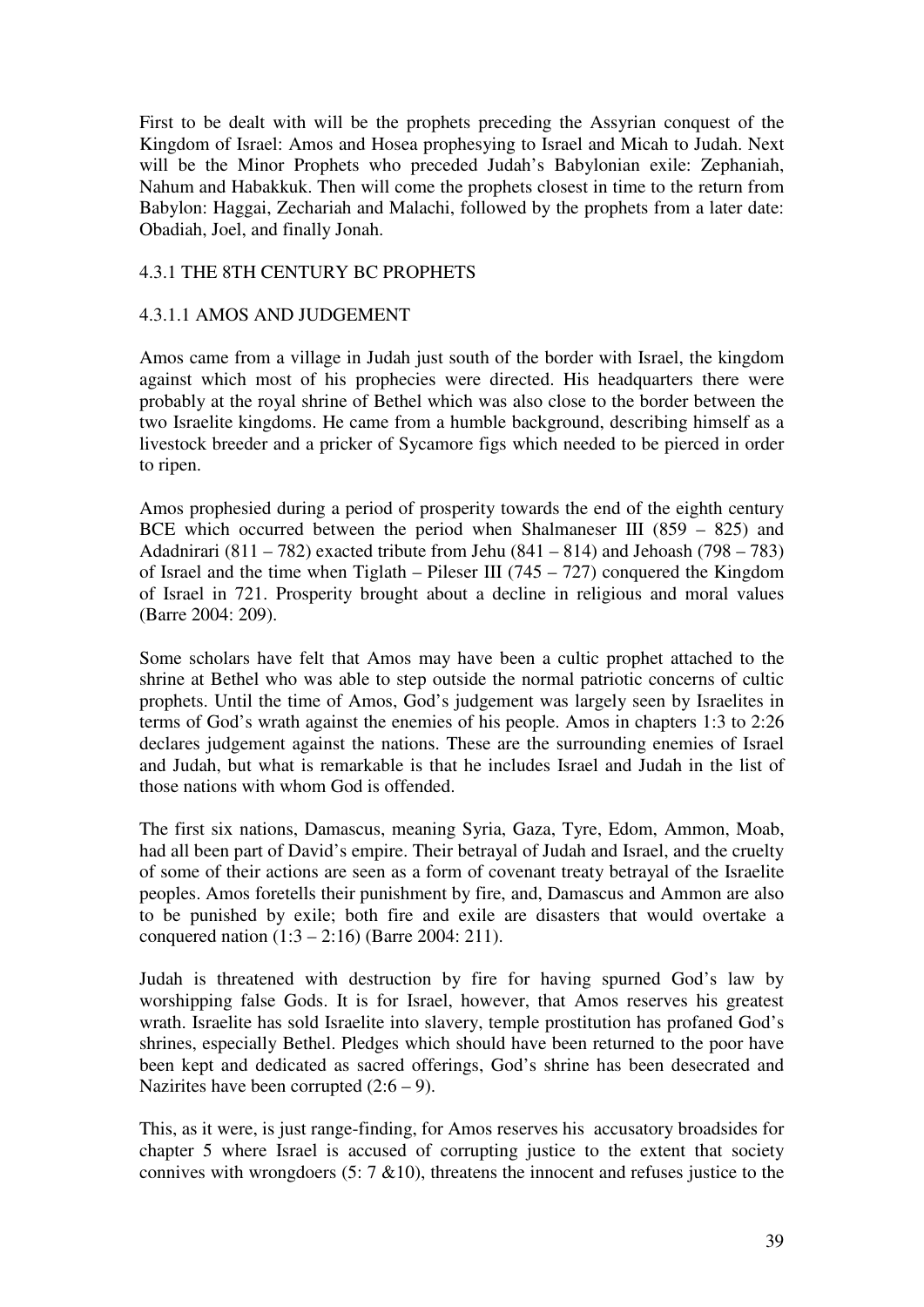First to be dealt with will be the prophets preceding the Assyrian conquest of the Kingdom of Israel: Amos and Hosea prophesying to Israel and Micah to Judah. Next will be the Minor Prophets who preceded Judah's Babylonian exile: Zephaniah, Nahum and Habakkuk. Then will come the prophets closest in time to the return from Babylon: Haggai, Zechariah and Malachi, followed by the prophets from a later date: Obadiah, Joel, and finally Jonah.

### 4.3.1 THE 8TH CENTURY BC PROPHETS

### 4.3.1.1 AMOS AND JUDGEMENT

Amos came from a village in Judah just south of the border with Israel, the kingdom against which most of his prophecies were directed. His headquarters there were probably at the royal shrine of Bethel which was also close to the border between the two Israelite kingdoms. He came from a humble background, describing himself as a livestock breeder and a pricker of Sycamore figs which needed to be pierced in order to ripen.

Amos prophesied during a period of prosperity towards the end of the eighth century BCE which occurred between the period when Shalmaneser III (859 – 825) and Adadnirari (811 – 782) exacted tribute from Jehu (841 – 814) and Jehoash (798 – 783) of Israel and the time when Tiglath – Pileser III (745 – 727) conquered the Kingdom of Israel in 721. Prosperity brought about a decline in religious and moral values (Barre 2004: 209).

Some scholars have felt that Amos may have been a cultic prophet attached to the shrine at Bethel who was able to step outside the normal patriotic concerns of cultic prophets. Until the time of Amos, God's judgement was largely seen by Israelites in terms of God's wrath against the enemies of his people. Amos in chapters 1:3 to 2:26 declares judgement against the nations. These are the surrounding enemies of Israel and Judah, but what is remarkable is that he includes Israel and Judah in the list of those nations with whom God is offended.

The first six nations, Damascus, meaning Syria, Gaza, Tyre, Edom, Ammon, Moab, had all been part of David's empire. Their betrayal of Judah and Israel, and the cruelty of some of their actions are seen as a form of covenant treaty betrayal of the Israelite peoples. Amos foretells their punishment by fire, and, Damascus and Ammon are also to be punished by exile; both fire and exile are disasters that would overtake a conquered nation (1:3 – 2:16) (Barre 2004: 211).

Judah is threatened with destruction by fire for having spurned God's law by worshipping false Gods. It is for Israel, however, that Amos reserves his greatest wrath. Israelite has sold Israelite into slavery, temple prostitution has profaned God's shrines, especially Bethel. Pledges which should have been returned to the poor have been kept and dedicated as sacred offerings, God's shrine has been desecrated and Nazirites have been corrupted  $(2.6 – 9)$ .

This, as it were, is just range-finding, for Amos reserves his accusatory broadsides for chapter 5 where Israel is accused of corrupting justice to the extent that society connives with wrongdoers  $(5: 7 \& 10)$ , threatens the innocent and refuses justice to the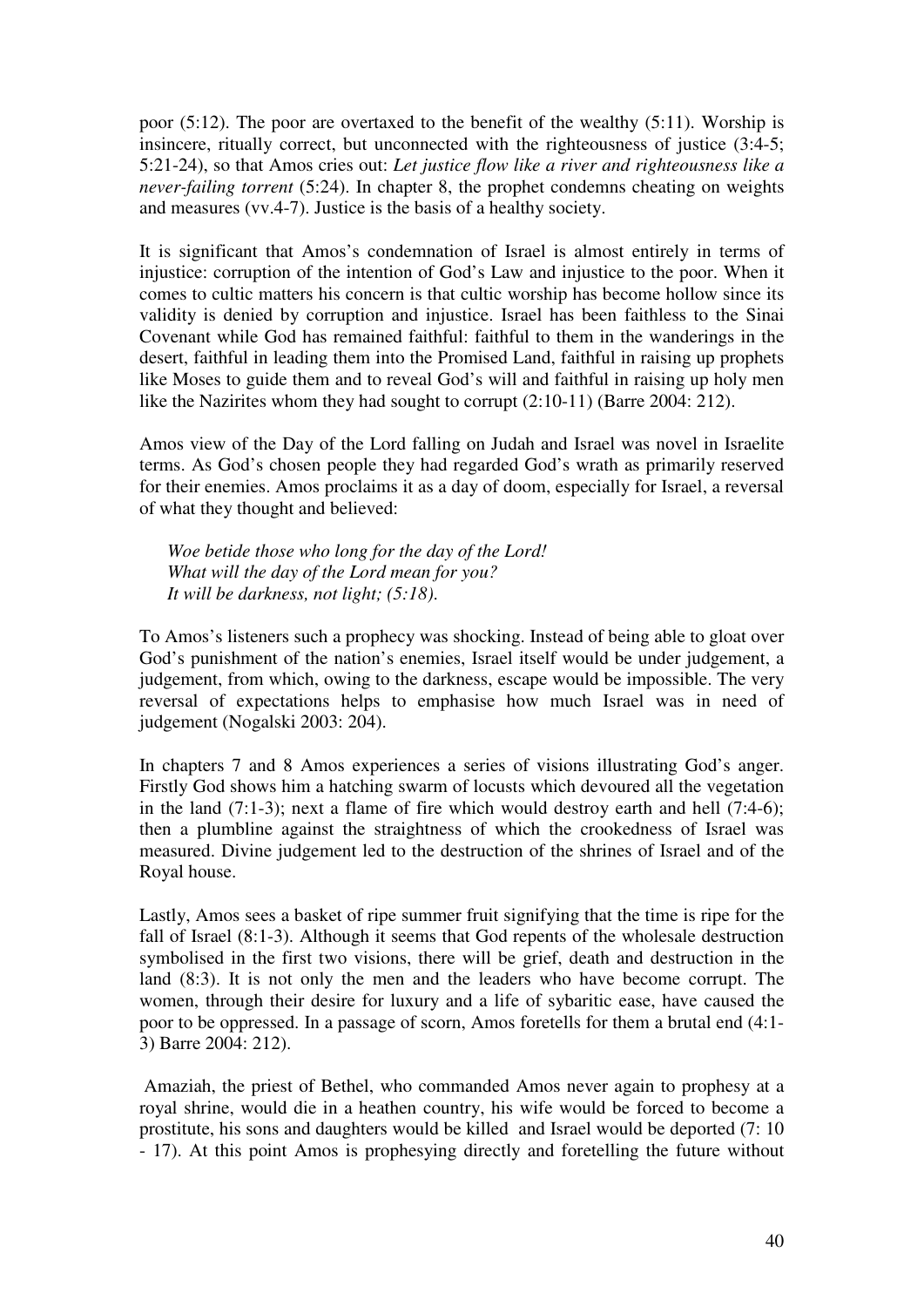poor (5:12). The poor are overtaxed to the benefit of the wealthy (5:11). Worship is insincere, ritually correct, but unconnected with the righteousness of justice (3:4-5; 5:21-24), so that Amos cries out: *Let justice flow like a river and righteousness like a never-failing torrent* (5:24). In chapter 8, the prophet condemns cheating on weights and measures (vv.4-7). Justice is the basis of a healthy society.

It is significant that Amos's condemnation of Israel is almost entirely in terms of injustice: corruption of the intention of God's Law and injustice to the poor. When it comes to cultic matters his concern is that cultic worship has become hollow since its validity is denied by corruption and injustice. Israel has been faithless to the Sinai Covenant while God has remained faithful: faithful to them in the wanderings in the desert, faithful in leading them into the Promised Land, faithful in raising up prophets like Moses to guide them and to reveal God's will and faithful in raising up holy men like the Nazirites whom they had sought to corrupt (2:10-11) (Barre 2004: 212).

Amos view of the Day of the Lord falling on Judah and Israel was novel in Israelite terms. As God's chosen people they had regarded God's wrath as primarily reserved for their enemies. Amos proclaims it as a day of doom, especially for Israel, a reversal of what they thought and believed:

*Woe betide those who long for the day of the Lord! What will the day of the Lord mean for you? It will be darkness, not light; (5:18)*.

To Amos's listeners such a prophecy was shocking. Instead of being able to gloat over God's punishment of the nation's enemies, Israel itself would be under judgement, a judgement, from which, owing to the darkness, escape would be impossible. The very reversal of expectations helps to emphasise how much Israel was in need of judgement (Nogalski 2003: 204).

In chapters 7 and 8 Amos experiences a series of visions illustrating God's anger. Firstly God shows him a hatching swarm of locusts which devoured all the vegetation in the land (7:1-3); next a flame of fire which would destroy earth and hell (7:4-6); then a plumbline against the straightness of which the crookedness of Israel was measured. Divine judgement led to the destruction of the shrines of Israel and of the Royal house.

Lastly, Amos sees a basket of ripe summer fruit signifying that the time is ripe for the fall of Israel (8:1-3). Although it seems that God repents of the wholesale destruction symbolised in the first two visions, there will be grief, death and destruction in the land (8:3). It is not only the men and the leaders who have become corrupt. The women, through their desire for luxury and a life of sybaritic ease, have caused the poor to be oppressed. In a passage of scorn, Amos foretells for them a brutal end (4:1- 3) Barre 2004: 212).

 Amaziah, the priest of Bethel, who commanded Amos never again to prophesy at a royal shrine, would die in a heathen country, his wife would be forced to become a prostitute, his sons and daughters would be killed and Israel would be deported (7: 10 - 17). At this point Amos is prophesying directly and foretelling the future without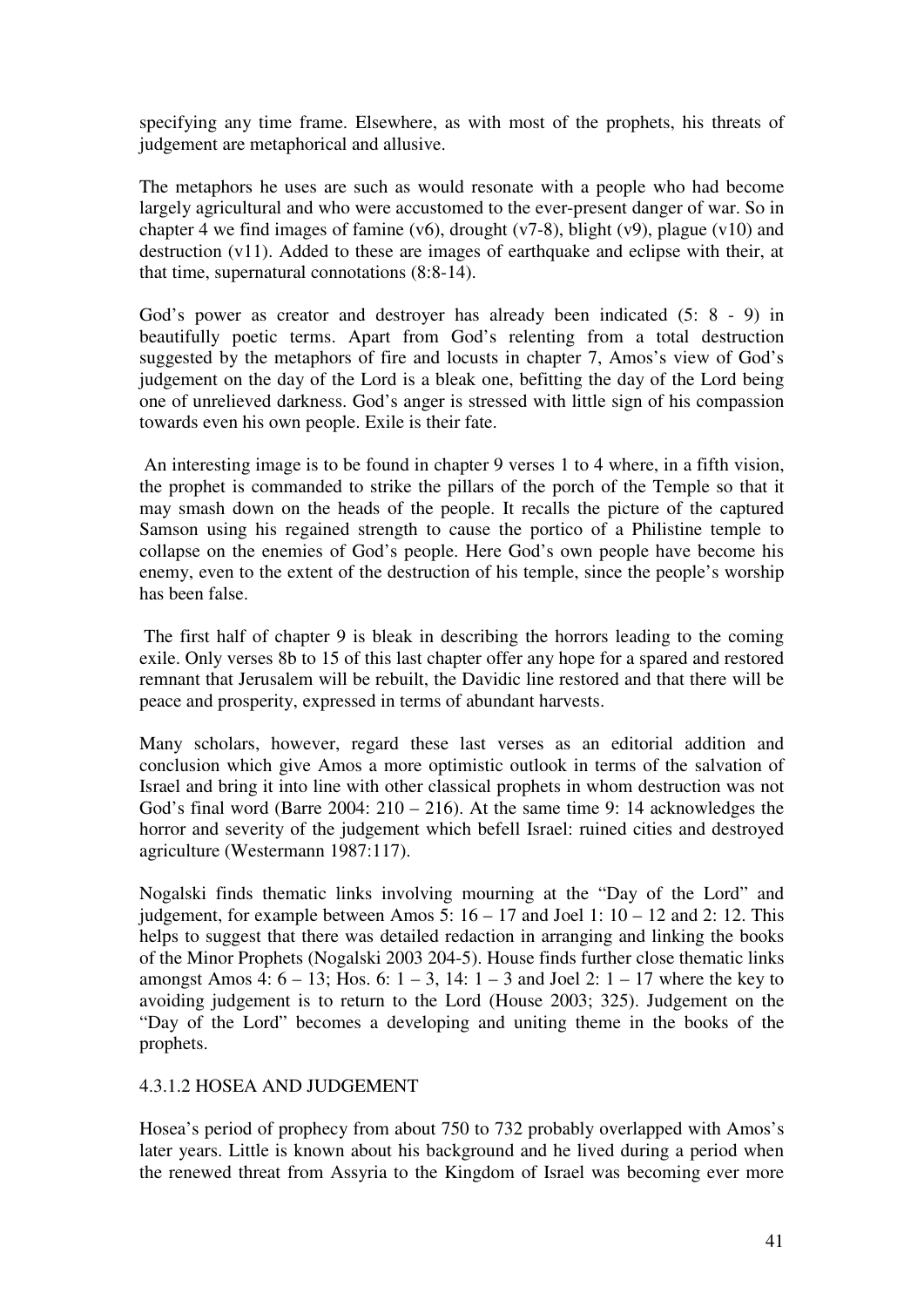specifying any time frame. Elsewhere, as with most of the prophets, his threats of judgement are metaphorical and allusive.

The metaphors he uses are such as would resonate with a people who had become largely agricultural and who were accustomed to the ever-present danger of war. So in chapter 4 we find images of famine (v6), drought (v7-8), blight (v9), plague (v10) and destruction (v11). Added to these are images of earthquake and eclipse with their, at that time, supernatural connotations (8:8-14).

God's power as creator and destroyer has already been indicated (5: 8 - 9) in beautifully poetic terms. Apart from God's relenting from a total destruction suggested by the metaphors of fire and locusts in chapter 7, Amos's view of God's judgement on the day of the Lord is a bleak one, befitting the day of the Lord being one of unrelieved darkness. God's anger is stressed with little sign of his compassion towards even his own people. Exile is their fate.

 An interesting image is to be found in chapter 9 verses 1 to 4 where, in a fifth vision, the prophet is commanded to strike the pillars of the porch of the Temple so that it may smash down on the heads of the people. It recalls the picture of the captured Samson using his regained strength to cause the portico of a Philistine temple to collapse on the enemies of God's people. Here God's own people have become his enemy, even to the extent of the destruction of his temple, since the people's worship has been false.

 The first half of chapter 9 is bleak in describing the horrors leading to the coming exile. Only verses 8b to 15 of this last chapter offer any hope for a spared and restored remnant that Jerusalem will be rebuilt, the Davidic line restored and that there will be peace and prosperity, expressed in terms of abundant harvests.

Many scholars, however, regard these last verses as an editorial addition and conclusion which give Amos a more optimistic outlook in terms of the salvation of Israel and bring it into line with other classical prophets in whom destruction was not God's final word (Barre 2004:  $210 - 216$ ). At the same time 9: 14 acknowledges the horror and severity of the judgement which befell Israel: ruined cities and destroyed agriculture (Westermann 1987:117).

Nogalski finds thematic links involving mourning at the "Day of the Lord" and iudgement, for example between Amos  $\overline{5}$ : 16 – 17 and Joel 1: 10 – 12 and 2: 12. This helps to suggest that there was detailed redaction in arranging and linking the books of the Minor Prophets (Nogalski 2003 204-5). House finds further close thematic links amongst Amos 4:  $6 - 13$ ; Hos. 6:  $1 - 3$ , 14:  $1 - 3$  and Joel 2:  $1 - 17$  where the key to avoiding judgement is to return to the Lord (House 2003; 325). Judgement on the "Day of the Lord" becomes a developing and uniting theme in the books of the prophets.

#### 4.3.1.2 HOSEA AND JUDGEMENT

Hosea's period of prophecy from about 750 to 732 probably overlapped with Amos's later years. Little is known about his background and he lived during a period when the renewed threat from Assyria to the Kingdom of Israel was becoming ever more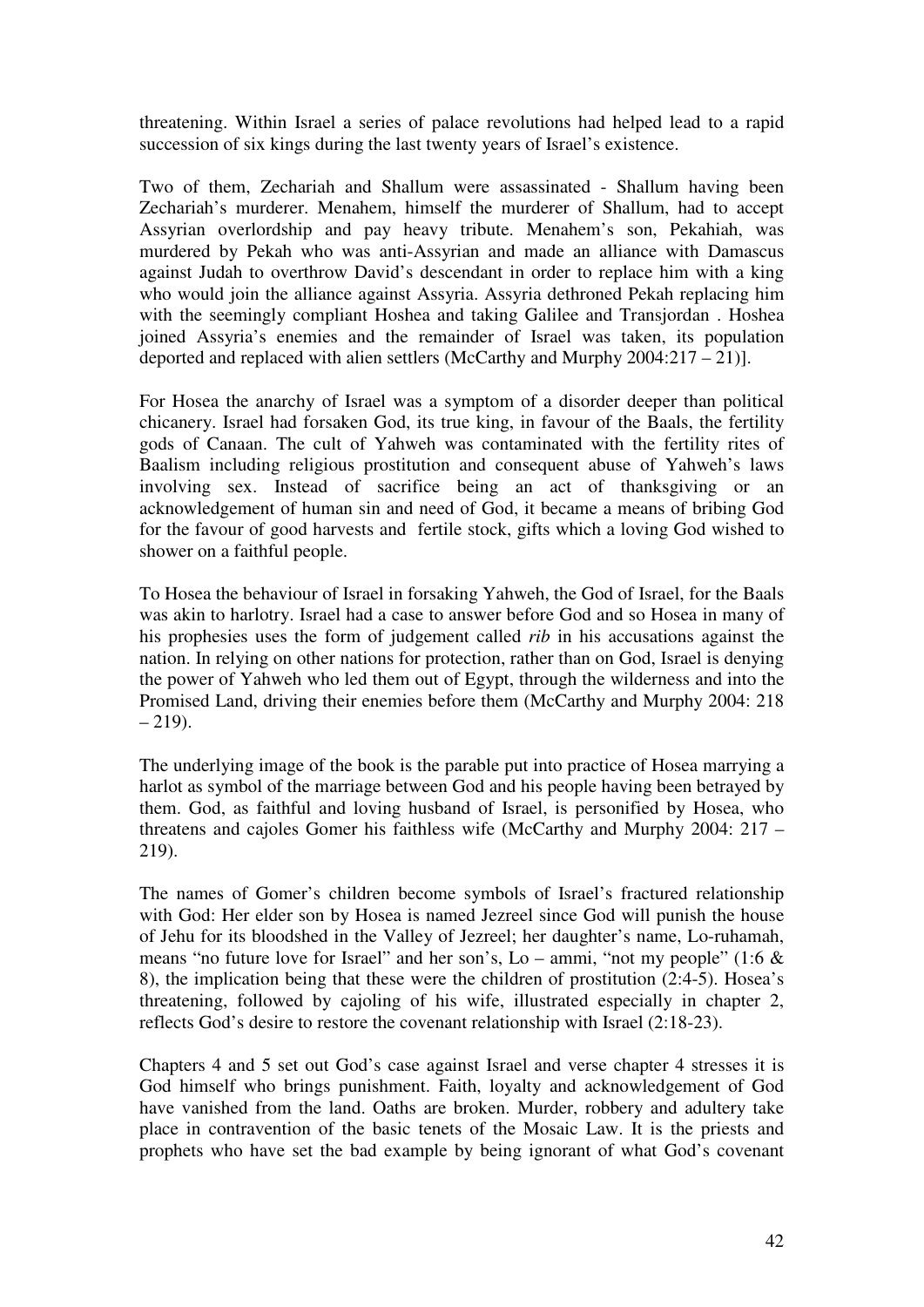threatening. Within Israel a series of palace revolutions had helped lead to a rapid succession of six kings during the last twenty years of Israel's existence.

Two of them, Zechariah and Shallum were assassinated - Shallum having been Zechariah's murderer. Menahem, himself the murderer of Shallum, had to accept Assyrian overlordship and pay heavy tribute. Menahem's son, Pekahiah, was murdered by Pekah who was anti-Assyrian and made an alliance with Damascus against Judah to overthrow David's descendant in order to replace him with a king who would join the alliance against Assyria. Assyria dethroned Pekah replacing him with the seemingly compliant Hoshea and taking Galilee and Transjordan . Hoshea joined Assyria's enemies and the remainder of Israel was taken, its population deported and replaced with alien settlers (McCarthy and Murphy 2004:217 – 21)].

For Hosea the anarchy of Israel was a symptom of a disorder deeper than political chicanery. Israel had forsaken God, its true king, in favour of the Baals, the fertility gods of Canaan. The cult of Yahweh was contaminated with the fertility rites of Baalism including religious prostitution and consequent abuse of Yahweh's laws involving sex. Instead of sacrifice being an act of thanksgiving or an acknowledgement of human sin and need of God, it became a means of bribing God for the favour of good harvests and fertile stock, gifts which a loving God wished to shower on a faithful people.

To Hosea the behaviour of Israel in forsaking Yahweh, the God of Israel, for the Baals was akin to harlotry. Israel had a case to answer before God and so Hosea in many of his prophesies uses the form of judgement called *rib* in his accusations against the nation. In relying on other nations for protection, rather than on God, Israel is denying the power of Yahweh who led them out of Egypt, through the wilderness and into the Promised Land, driving their enemies before them (McCarthy and Murphy 2004: 218  $-219$ ).

The underlying image of the book is the parable put into practice of Hosea marrying a harlot as symbol of the marriage between God and his people having been betrayed by them. God, as faithful and loving husband of Israel, is personified by Hosea, who threatens and cajoles Gomer his faithless wife (McCarthy and Murphy 2004: 217 – 219).

The names of Gomer's children become symbols of Israel's fractured relationship with God: Her elder son by Hosea is named Jezreel since God will punish the house of Jehu for its bloodshed in the Valley of Jezreel; her daughter's name, Lo-ruhamah, means "no future love for Israel" and her son's, Lo – ammi, "not my people" (1:6  $\&$ 8), the implication being that these were the children of prostitution (2:4-5). Hosea's threatening, followed by cajoling of his wife, illustrated especially in chapter 2, reflects God's desire to restore the covenant relationship with Israel (2:18-23).

Chapters 4 and 5 set out God's case against Israel and verse chapter 4 stresses it is God himself who brings punishment. Faith, loyalty and acknowledgement of God have vanished from the land. Oaths are broken. Murder, robbery and adultery take place in contravention of the basic tenets of the Mosaic Law. It is the priests and prophets who have set the bad example by being ignorant of what God's covenant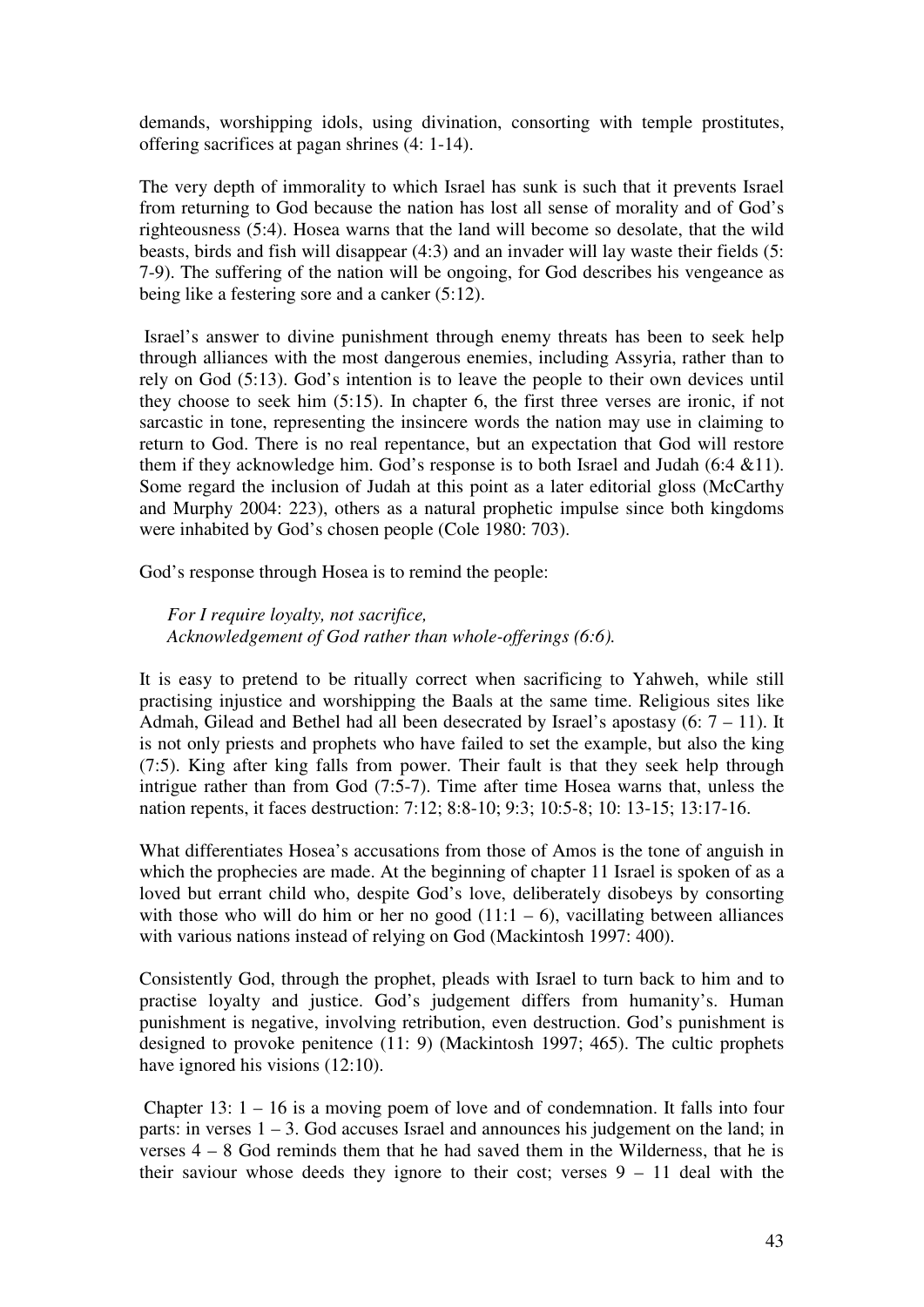demands, worshipping idols, using divination, consorting with temple prostitutes, offering sacrifices at pagan shrines (4: 1-14).

The very depth of immorality to which Israel has sunk is such that it prevents Israel from returning to God because the nation has lost all sense of morality and of God's righteousness (5:4). Hosea warns that the land will become so desolate, that the wild beasts, birds and fish will disappear (4:3) and an invader will lay waste their fields (5: 7-9). The suffering of the nation will be ongoing, for God describes his vengeance as being like a festering sore and a canker (5:12).

 Israel's answer to divine punishment through enemy threats has been to seek help through alliances with the most dangerous enemies, including Assyria, rather than to rely on God (5:13). God's intention is to leave the people to their own devices until they choose to seek him (5:15). In chapter 6, the first three verses are ironic, if not sarcastic in tone, representing the insincere words the nation may use in claiming to return to God. There is no real repentance, but an expectation that God will restore them if they acknowledge him. God's response is to both Israel and Judah (6:4  $&$  11). Some regard the inclusion of Judah at this point as a later editorial gloss (McCarthy and Murphy 2004: 223), others as a natural prophetic impulse since both kingdoms were inhabited by God's chosen people (Cole 1980: 703).

God's response through Hosea is to remind the people:

*For I require loyalty, not sacrifice, Acknowledgement of God rather than whole-offerings (6:6).* 

It is easy to pretend to be ritually correct when sacrificing to Yahweh, while still practising injustice and worshipping the Baals at the same time. Religious sites like Admah, Gilead and Bethel had all been desecrated by Israel's apostasy  $(6: 7 - 11)$ . It is not only priests and prophets who have failed to set the example, but also the king (7:5). King after king falls from power. Their fault is that they seek help through intrigue rather than from God (7:5-7). Time after time Hosea warns that, unless the nation repents, it faces destruction: 7:12; 8:8-10; 9:3; 10:5-8; 10: 13-15; 13:17-16.

What differentiates Hosea's accusations from those of Amos is the tone of anguish in which the prophecies are made. At the beginning of chapter 11 Israel is spoken of as a loved but errant child who, despite God's love, deliberately disobeys by consorting with those who will do him or her no good  $(11:1 - 6)$ , vacillating between alliances with various nations instead of relying on God (Mackintosh 1997: 400).

Consistently God, through the prophet, pleads with Israel to turn back to him and to practise loyalty and justice. God's judgement differs from humanity's. Human punishment is negative, involving retribution, even destruction. God's punishment is designed to provoke penitence (11: 9) (Mackintosh 1997; 465). The cultic prophets have ignored his visions (12:10).

 Chapter 13: 1 – 16 is a moving poem of love and of condemnation. It falls into four parts: in verses  $1 - 3$ . God accuses Israel and announces his judgement on the land; in verses 4 – 8 God reminds them that he had saved them in the Wilderness, that he is their saviour whose deeds they ignore to their cost; verses 9 – 11 deal with the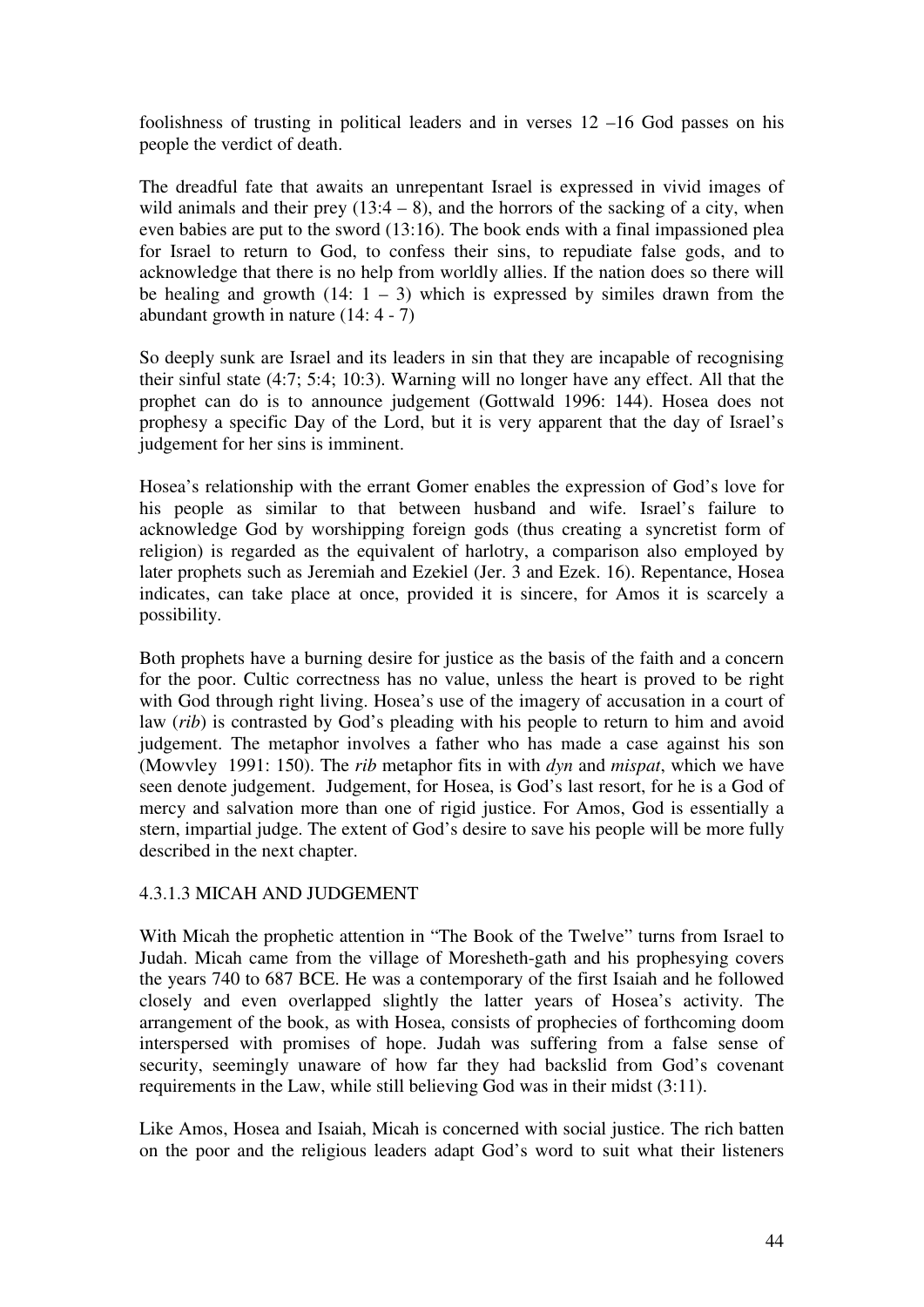foolishness of trusting in political leaders and in verses 12 –16 God passes on his people the verdict of death.

The dreadful fate that awaits an unrepentant Israel is expressed in vivid images of wild animals and their prey  $(13:4 - 8)$ , and the horrors of the sacking of a city, when even babies are put to the sword (13:16). The book ends with a final impassioned plea for Israel to return to God, to confess their sins, to repudiate false gods, and to acknowledge that there is no help from worldly allies. If the nation does so there will be healing and growth  $(14: 1 – 3)$  which is expressed by similes drawn from the abundant growth in nature (14: 4 - 7)

So deeply sunk are Israel and its leaders in sin that they are incapable of recognising their sinful state (4:7; 5:4; 10:3). Warning will no longer have any effect. All that the prophet can do is to announce judgement (Gottwald 1996: 144). Hosea does not prophesy a specific Day of the Lord, but it is very apparent that the day of Israel's judgement for her sins is imminent.

Hosea's relationship with the errant Gomer enables the expression of God's love for his people as similar to that between husband and wife. Israel's failure to acknowledge God by worshipping foreign gods (thus creating a syncretist form of religion) is regarded as the equivalent of harlotry, a comparison also employed by later prophets such as Jeremiah and Ezekiel (Jer. 3 and Ezek. 16). Repentance, Hosea indicates, can take place at once, provided it is sincere, for Amos it is scarcely a possibility.

Both prophets have a burning desire for justice as the basis of the faith and a concern for the poor. Cultic correctness has no value, unless the heart is proved to be right with God through right living. Hosea's use of the imagery of accusation in a court of law (*rib*) is contrasted by God's pleading with his people to return to him and avoid judgement. The metaphor involves a father who has made a case against his son (Mowvley 1991: 150). The *rib* metaphor fits in with *dyn* and *mispat*, which we have seen denote judgement. Judgement, for Hosea, is God's last resort, for he is a God of mercy and salvation more than one of rigid justice. For Amos, God is essentially a stern, impartial judge. The extent of God's desire to save his people will be more fully described in the next chapter.

# 4.3.1.3 MICAH AND JUDGEMENT

With Micah the prophetic attention in "The Book of the Twelve" turns from Israel to Judah. Micah came from the village of Moresheth-gath and his prophesying covers the years 740 to 687 BCE. He was a contemporary of the first Isaiah and he followed closely and even overlapped slightly the latter years of Hosea's activity. The arrangement of the book, as with Hosea, consists of prophecies of forthcoming doom interspersed with promises of hope. Judah was suffering from a false sense of security, seemingly unaware of how far they had backslid from God's covenant requirements in the Law, while still believing God was in their midst (3:11).

Like Amos, Hosea and Isaiah, Micah is concerned with social justice. The rich batten on the poor and the religious leaders adapt God's word to suit what their listeners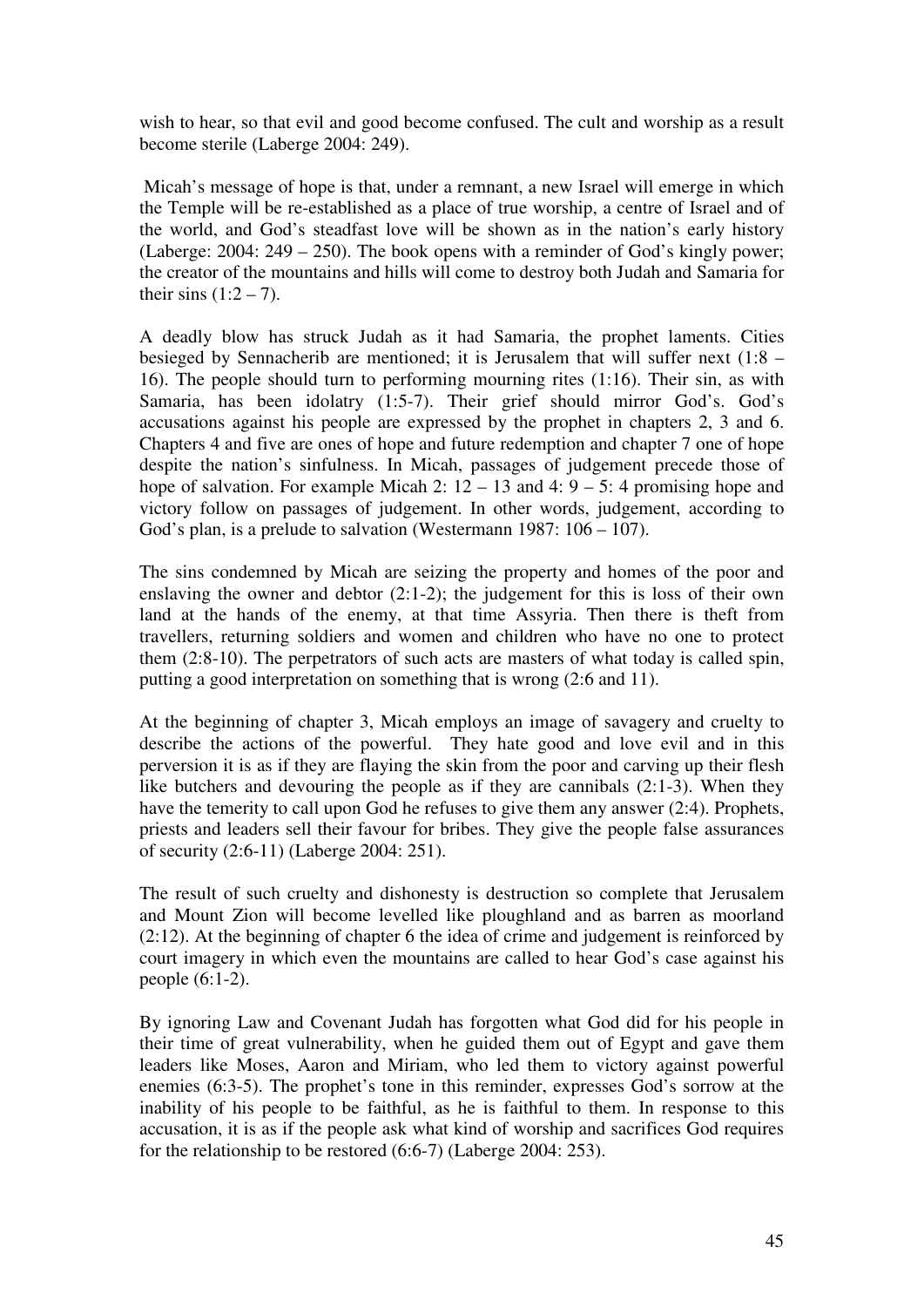wish to hear, so that evil and good become confused. The cult and worship as a result become sterile (Laberge 2004: 249).

 Micah's message of hope is that, under a remnant, a new Israel will emerge in which the Temple will be re-established as a place of true worship, a centre of Israel and of the world, and God's steadfast love will be shown as in the nation's early history (Laberge: 2004: 249 – 250). The book opens with a reminder of God's kingly power; the creator of the mountains and hills will come to destroy both Judah and Samaria for their sins  $(1:2 – 7)$ .

A deadly blow has struck Judah as it had Samaria, the prophet laments. Cities besieged by Sennacherib are mentioned; it is Jerusalem that will suffer next (1:8 – 16). The people should turn to performing mourning rites (1:16). Their sin, as with Samaria, has been idolatry (1:5-7). Their grief should mirror God's. God's accusations against his people are expressed by the prophet in chapters 2, 3 and 6. Chapters 4 and five are ones of hope and future redemption and chapter 7 one of hope despite the nation's sinfulness. In Micah, passages of judgement precede those of hope of salvation. For example Micah 2:  $12 - 13$  and  $4: 9 - 5: 4$  promising hope and victory follow on passages of judgement. In other words, judgement, according to God's plan, is a prelude to salvation (Westermann 1987: 106 – 107).

The sins condemned by Micah are seizing the property and homes of the poor and enslaving the owner and debtor (2:1-2); the judgement for this is loss of their own land at the hands of the enemy, at that time Assyria. Then there is theft from travellers, returning soldiers and women and children who have no one to protect them (2:8-10). The perpetrators of such acts are masters of what today is called spin, putting a good interpretation on something that is wrong (2:6 and 11).

At the beginning of chapter 3, Micah employs an image of savagery and cruelty to describe the actions of the powerful. They hate good and love evil and in this perversion it is as if they are flaying the skin from the poor and carving up their flesh like butchers and devouring the people as if they are cannibals (2:1-3). When they have the temerity to call upon God he refuses to give them any answer (2:4). Prophets, priests and leaders sell their favour for bribes. They give the people false assurances of security (2:6-11) (Laberge 2004: 251).

The result of such cruelty and dishonesty is destruction so complete that Jerusalem and Mount Zion will become levelled like ploughland and as barren as moorland (2:12). At the beginning of chapter 6 the idea of crime and judgement is reinforced by court imagery in which even the mountains are called to hear God's case against his people (6:1-2).

By ignoring Law and Covenant Judah has forgotten what God did for his people in their time of great vulnerability, when he guided them out of Egypt and gave them leaders like Moses, Aaron and Miriam, who led them to victory against powerful enemies (6:3-5). The prophet's tone in this reminder, expresses God's sorrow at the inability of his people to be faithful, as he is faithful to them. In response to this accusation, it is as if the people ask what kind of worship and sacrifices God requires for the relationship to be restored (6:6-7) (Laberge 2004: 253).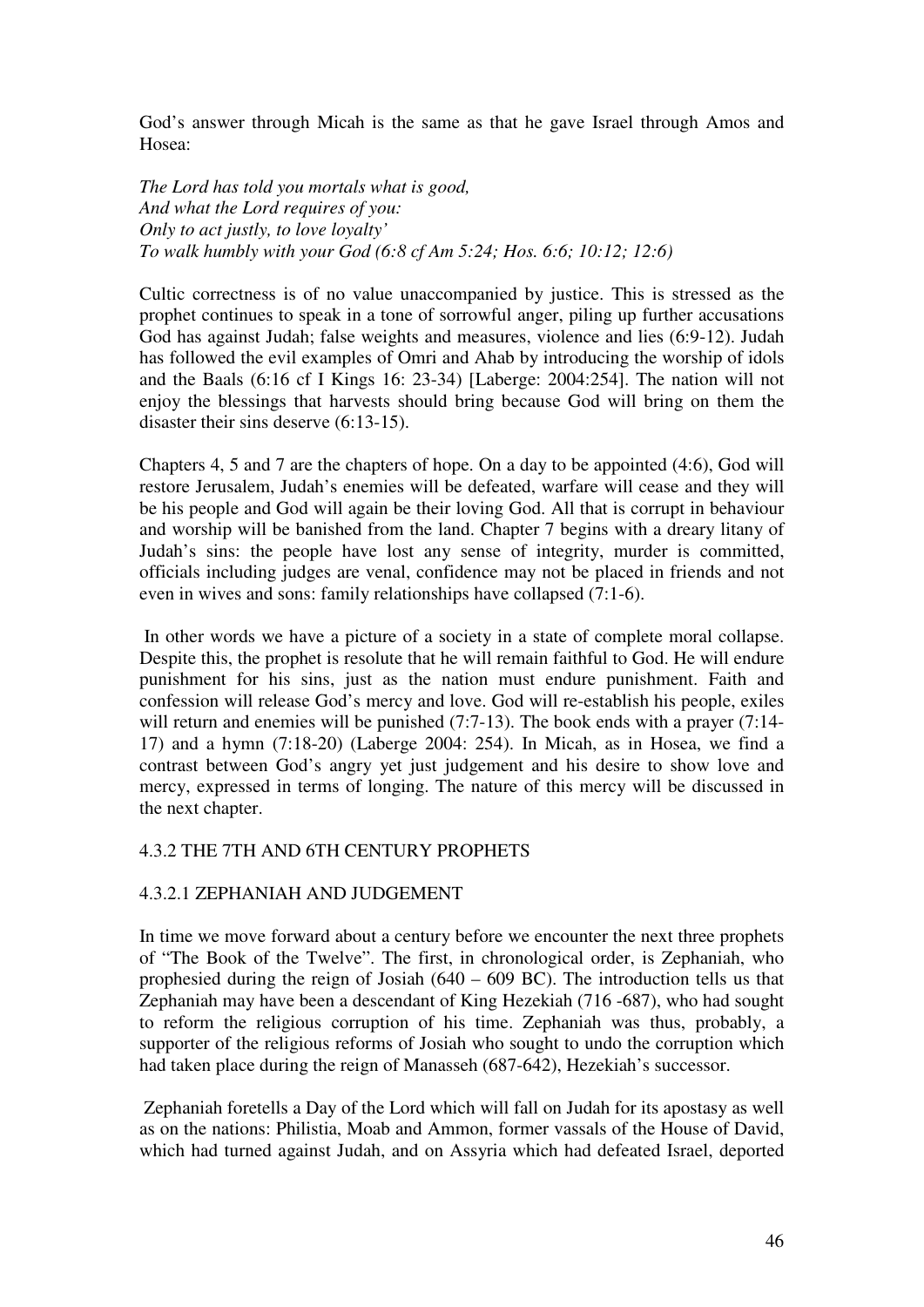God's answer through Micah is the same as that he gave Israel through Amos and Hosea:

*The Lord has told you mortals what is good, And what the Lord requires of you: Only to act justly, to love loyalty' To walk humbly with your God (6:8 cf Am 5:24; Hos. 6:6; 10:12; 12:6)*

Cultic correctness is of no value unaccompanied by justice. This is stressed as the prophet continues to speak in a tone of sorrowful anger, piling up further accusations God has against Judah; false weights and measures, violence and lies (6:9-12). Judah has followed the evil examples of Omri and Ahab by introducing the worship of idols and the Baals (6:16 cf I Kings 16: 23-34) [Laberge: 2004:254]. The nation will not enjoy the blessings that harvests should bring because God will bring on them the disaster their sins deserve (6:13-15).

Chapters 4, 5 and 7 are the chapters of hope. On a day to be appointed (4:6), God will restore Jerusalem, Judah's enemies will be defeated, warfare will cease and they will be his people and God will again be their loving God. All that is corrupt in behaviour and worship will be banished from the land. Chapter 7 begins with a dreary litany of Judah's sins: the people have lost any sense of integrity, murder is committed, officials including judges are venal, confidence may not be placed in friends and not even in wives and sons: family relationships have collapsed (7:1-6).

 In other words we have a picture of a society in a state of complete moral collapse. Despite this, the prophet is resolute that he will remain faithful to God. He will endure punishment for his sins, just as the nation must endure punishment. Faith and confession will release God's mercy and love. God will re-establish his people, exiles will return and enemies will be punished (7:7-13). The book ends with a prayer (7:14-17) and a hymn (7:18-20) (Laberge 2004: 254). In Micah, as in Hosea, we find a contrast between God's angry yet just judgement and his desire to show love and mercy, expressed in terms of longing. The nature of this mercy will be discussed in the next chapter.

#### 4.3.2 THE 7TH AND 6TH CENTURY PROPHETS

#### 4.3.2.1 ZEPHANIAH AND JUDGEMENT

In time we move forward about a century before we encounter the next three prophets of "The Book of the Twelve". The first, in chronological order, is Zephaniah, who prophesied during the reign of Josiah (640 – 609 BC). The introduction tells us that Zephaniah may have been a descendant of King Hezekiah (716 -687), who had sought to reform the religious corruption of his time. Zephaniah was thus, probably, a supporter of the religious reforms of Josiah who sought to undo the corruption which had taken place during the reign of Manasseh (687-642), Hezekiah's successor.

 Zephaniah foretells a Day of the Lord which will fall on Judah for its apostasy as well as on the nations: Philistia, Moab and Ammon, former vassals of the House of David, which had turned against Judah, and on Assyria which had defeated Israel, deported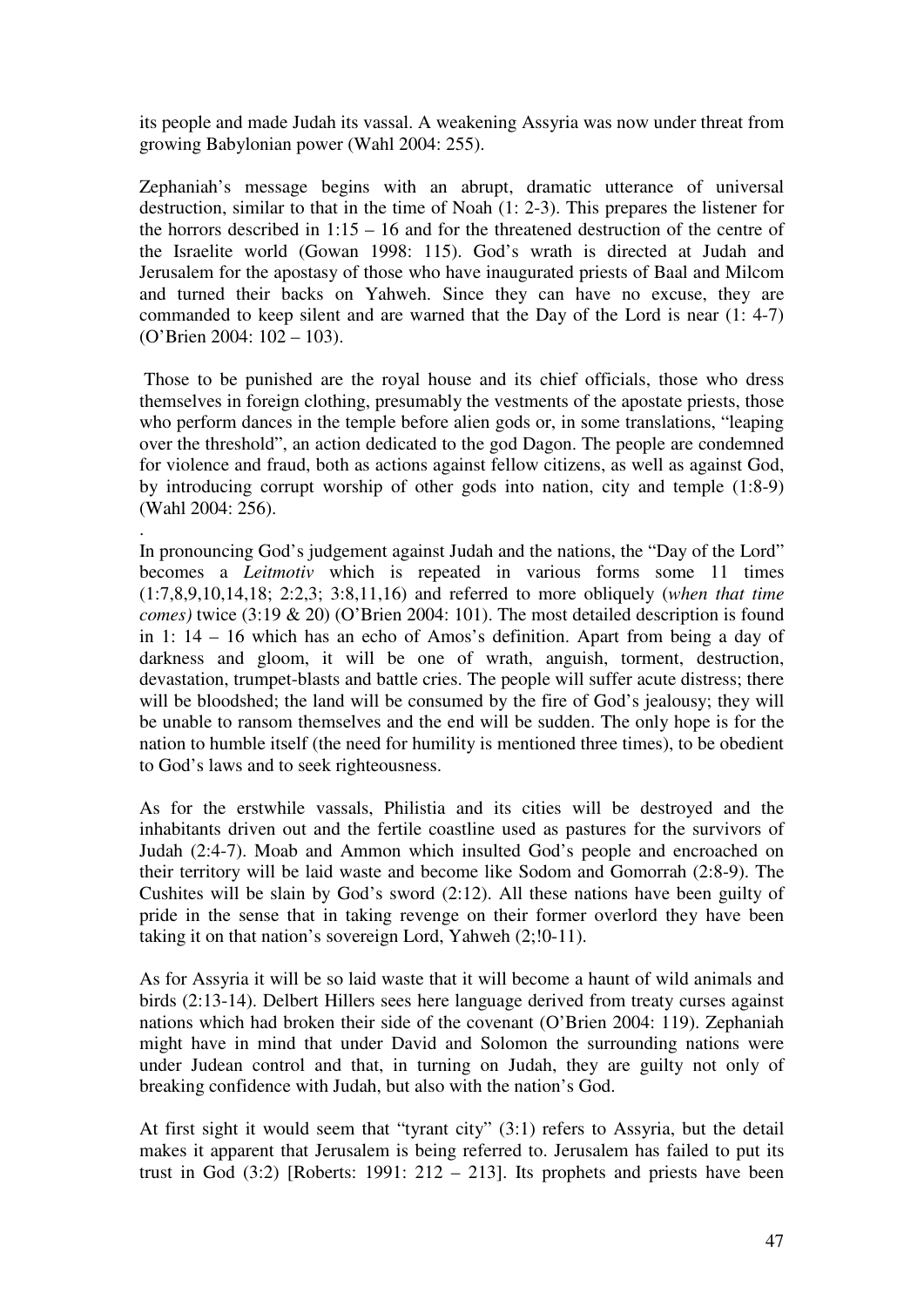its people and made Judah its vassal. A weakening Assyria was now under threat from growing Babylonian power (Wahl 2004: 255).

Zephaniah's message begins with an abrupt, dramatic utterance of universal destruction, similar to that in the time of Noah (1: 2-3). This prepares the listener for the horrors described in 1:15 – 16 and for the threatened destruction of the centre of the Israelite world (Gowan 1998: 115). God's wrath is directed at Judah and Jerusalem for the apostasy of those who have inaugurated priests of Baal and Milcom and turned their backs on Yahweh. Since they can have no excuse, they are commanded to keep silent and are warned that the Day of the Lord is near (1: 4-7) (O'Brien 2004: 102 – 103).

 Those to be punished are the royal house and its chief officials, those who dress themselves in foreign clothing, presumably the vestments of the apostate priests, those who perform dances in the temple before alien gods or, in some translations, "leaping over the threshold", an action dedicated to the god Dagon. The people are condemned for violence and fraud, both as actions against fellow citizens, as well as against God, by introducing corrupt worship of other gods into nation, city and temple (1:8-9) (Wahl 2004: 256).

.

In pronouncing God's judgement against Judah and the nations, the "Day of the Lord" becomes a *Leitmotiv* which is repeated in various forms some 11 times (1:7,8,9,10,14,18; 2:2,3; 3:8,11,16) and referred to more obliquely (*when that time comes)* twice (3:19 & 20) (O'Brien 2004: 101). The most detailed description is found in 1: 14 – 16 which has an echo of Amos's definition. Apart from being a day of darkness and gloom, it will be one of wrath, anguish, torment, destruction, devastation, trumpet-blasts and battle cries. The people will suffer acute distress; there will be bloodshed; the land will be consumed by the fire of God's jealousy; they will be unable to ransom themselves and the end will be sudden. The only hope is for the nation to humble itself (the need for humility is mentioned three times), to be obedient to God's laws and to seek righteousness.

As for the erstwhile vassals, Philistia and its cities will be destroyed and the inhabitants driven out and the fertile coastline used as pastures for the survivors of Judah (2:4-7). Moab and Ammon which insulted God's people and encroached on their territory will be laid waste and become like Sodom and Gomorrah (2:8-9). The Cushites will be slain by God's sword (2:12). All these nations have been guilty of pride in the sense that in taking revenge on their former overlord they have been taking it on that nation's sovereign Lord, Yahweh (2;!0-11).

As for Assyria it will be so laid waste that it will become a haunt of wild animals and birds (2:13-14). Delbert Hillers sees here language derived from treaty curses against nations which had broken their side of the covenant (O'Brien 2004: 119). Zephaniah might have in mind that under David and Solomon the surrounding nations were under Judean control and that, in turning on Judah, they are guilty not only of breaking confidence with Judah, but also with the nation's God.

At first sight it would seem that "tyrant city" (3:1) refers to Assyria, but the detail makes it apparent that Jerusalem is being referred to. Jerusalem has failed to put its trust in God  $(3:2)$  [Roberts: 1991: 212 – 213]. Its prophets and priests have been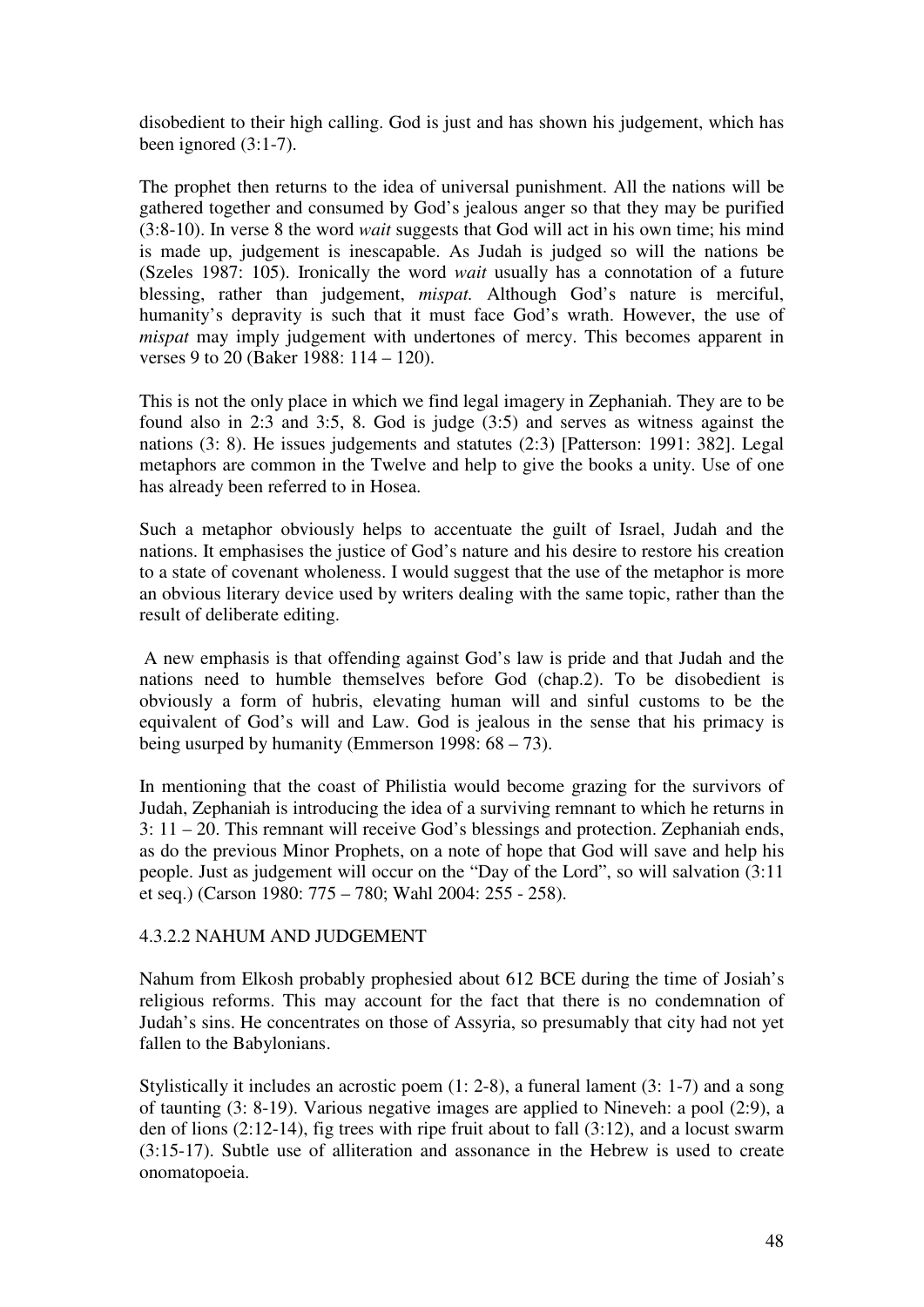disobedient to their high calling. God is just and has shown his judgement, which has been ignored (3:1-7).

The prophet then returns to the idea of universal punishment. All the nations will be gathered together and consumed by God's jealous anger so that they may be purified (3:8-10). In verse 8 the word *wait* suggests that God will act in his own time; his mind is made up, judgement is inescapable. As Judah is judged so will the nations be (Szeles 1987: 105). Ironically the word *wait* usually has a connotation of a future blessing, rather than judgement, *mispat.* Although God's nature is merciful, humanity's depravity is such that it must face God's wrath. However, the use of *mispat* may imply judgement with undertones of mercy. This becomes apparent in verses 9 to 20 (Baker 1988: 114 – 120).

This is not the only place in which we find legal imagery in Zephaniah. They are to be found also in 2:3 and 3:5, 8. God is judge (3:5) and serves as witness against the nations (3: 8). He issues judgements and statutes (2:3) [Patterson: 1991: 382]. Legal metaphors are common in the Twelve and help to give the books a unity. Use of one has already been referred to in Hosea.

Such a metaphor obviously helps to accentuate the guilt of Israel, Judah and the nations. It emphasises the justice of God's nature and his desire to restore his creation to a state of covenant wholeness. I would suggest that the use of the metaphor is more an obvious literary device used by writers dealing with the same topic, rather than the result of deliberate editing.

 A new emphasis is that offending against God's law is pride and that Judah and the nations need to humble themselves before God (chap.2). To be disobedient is obviously a form of hubris, elevating human will and sinful customs to be the equivalent of God's will and Law. God is jealous in the sense that his primacy is being usurped by humanity (Emmerson 1998: 68 – 73).

In mentioning that the coast of Philistia would become grazing for the survivors of Judah, Zephaniah is introducing the idea of a surviving remnant to which he returns in 3: 11 – 20. This remnant will receive God's blessings and protection. Zephaniah ends, as do the previous Minor Prophets, on a note of hope that God will save and help his people. Just as judgement will occur on the "Day of the Lord", so will salvation (3:11 et seq.) (Carson 1980: 775 – 780; Wahl 2004: 255 - 258).

#### 4.3.2.2 NAHUM AND JUDGEMENT

Nahum from Elkosh probably prophesied about 612 BCE during the time of Josiah's religious reforms. This may account for the fact that there is no condemnation of Judah's sins. He concentrates on those of Assyria, so presumably that city had not yet fallen to the Babylonians.

Stylistically it includes an acrostic poem (1: 2-8), a funeral lament (3: 1-7) and a song of taunting (3: 8-19). Various negative images are applied to Nineveh: a pool (2:9), a den of lions (2:12-14), fig trees with ripe fruit about to fall (3:12), and a locust swarm (3:15-17). Subtle use of alliteration and assonance in the Hebrew is used to create onomatopoeia.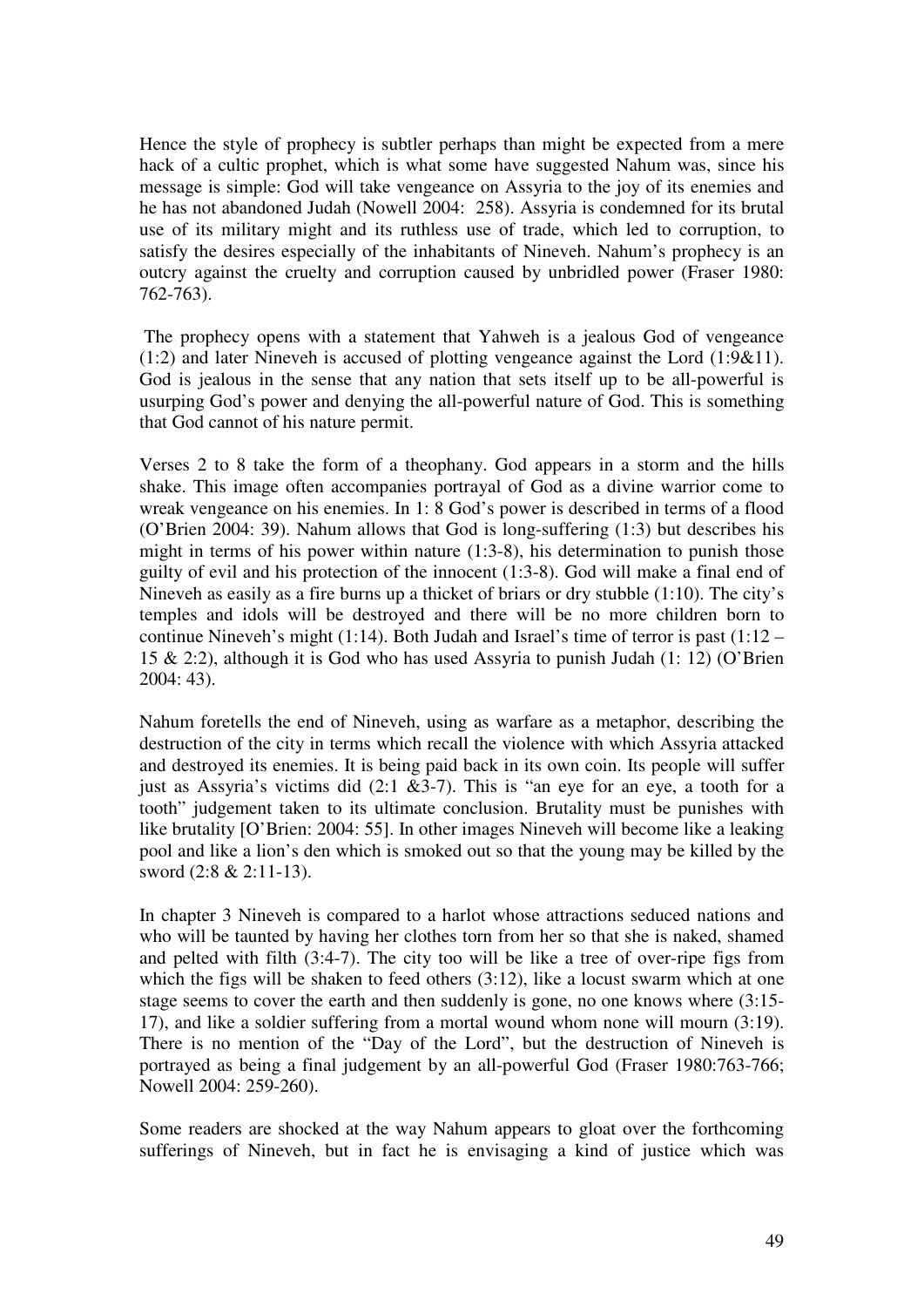Hence the style of prophecy is subtler perhaps than might be expected from a mere hack of a cultic prophet, which is what some have suggested Nahum was, since his message is simple: God will take vengeance on Assyria to the joy of its enemies and he has not abandoned Judah (Nowell 2004: 258). Assyria is condemned for its brutal use of its military might and its ruthless use of trade, which led to corruption, to satisfy the desires especially of the inhabitants of Nineveh. Nahum's prophecy is an outcry against the cruelty and corruption caused by unbridled power (Fraser 1980: 762-763).

 The prophecy opens with a statement that Yahweh is a jealous God of vengeance (1:2) and later Nineveh is accused of plotting vengeance against the Lord (1:9&11). God is jealous in the sense that any nation that sets itself up to be all-powerful is usurping God's power and denying the all-powerful nature of God. This is something that God cannot of his nature permit.

Verses 2 to 8 take the form of a theophany. God appears in a storm and the hills shake. This image often accompanies portrayal of God as a divine warrior come to wreak vengeance on his enemies. In 1: 8 God's power is described in terms of a flood (O'Brien 2004: 39). Nahum allows that God is long-suffering (1:3) but describes his might in terms of his power within nature (1:3-8), his determination to punish those guilty of evil and his protection of the innocent (1:3-8). God will make a final end of Nineveh as easily as a fire burns up a thicket of briars or dry stubble (1:10). The city's temples and idols will be destroyed and there will be no more children born to continue Nineveh's might (1:14). Both Judah and Israel's time of terror is past (1:12 – 15 & 2:2), although it is God who has used Assyria to punish Judah (1: 12) (O'Brien 2004: 43).

Nahum foretells the end of Nineveh, using as warfare as a metaphor, describing the destruction of the city in terms which recall the violence with which Assyria attacked and destroyed its enemies. It is being paid back in its own coin. Its people will suffer just as Assyria's victims did  $(2.1 \& 3.7)$ . This is "an eye for an eye, a tooth for a tooth" judgement taken to its ultimate conclusion. Brutality must be punishes with like brutality [O'Brien: 2004: 55]. In other images Nineveh will become like a leaking pool and like a lion's den which is smoked out so that the young may be killed by the sword (2:8 & 2:11-13).

In chapter 3 Nineveh is compared to a harlot whose attractions seduced nations and who will be taunted by having her clothes torn from her so that she is naked, shamed and pelted with filth (3:4-7). The city too will be like a tree of over-ripe figs from which the figs will be shaken to feed others (3:12), like a locust swarm which at one stage seems to cover the earth and then suddenly is gone, no one knows where (3:15- 17), and like a soldier suffering from a mortal wound whom none will mourn (3:19). There is no mention of the "Day of the Lord", but the destruction of Nineveh is portrayed as being a final judgement by an all-powerful God (Fraser 1980:763-766; Nowell 2004: 259-260).

Some readers are shocked at the way Nahum appears to gloat over the forthcoming sufferings of Nineveh, but in fact he is envisaging a kind of justice which was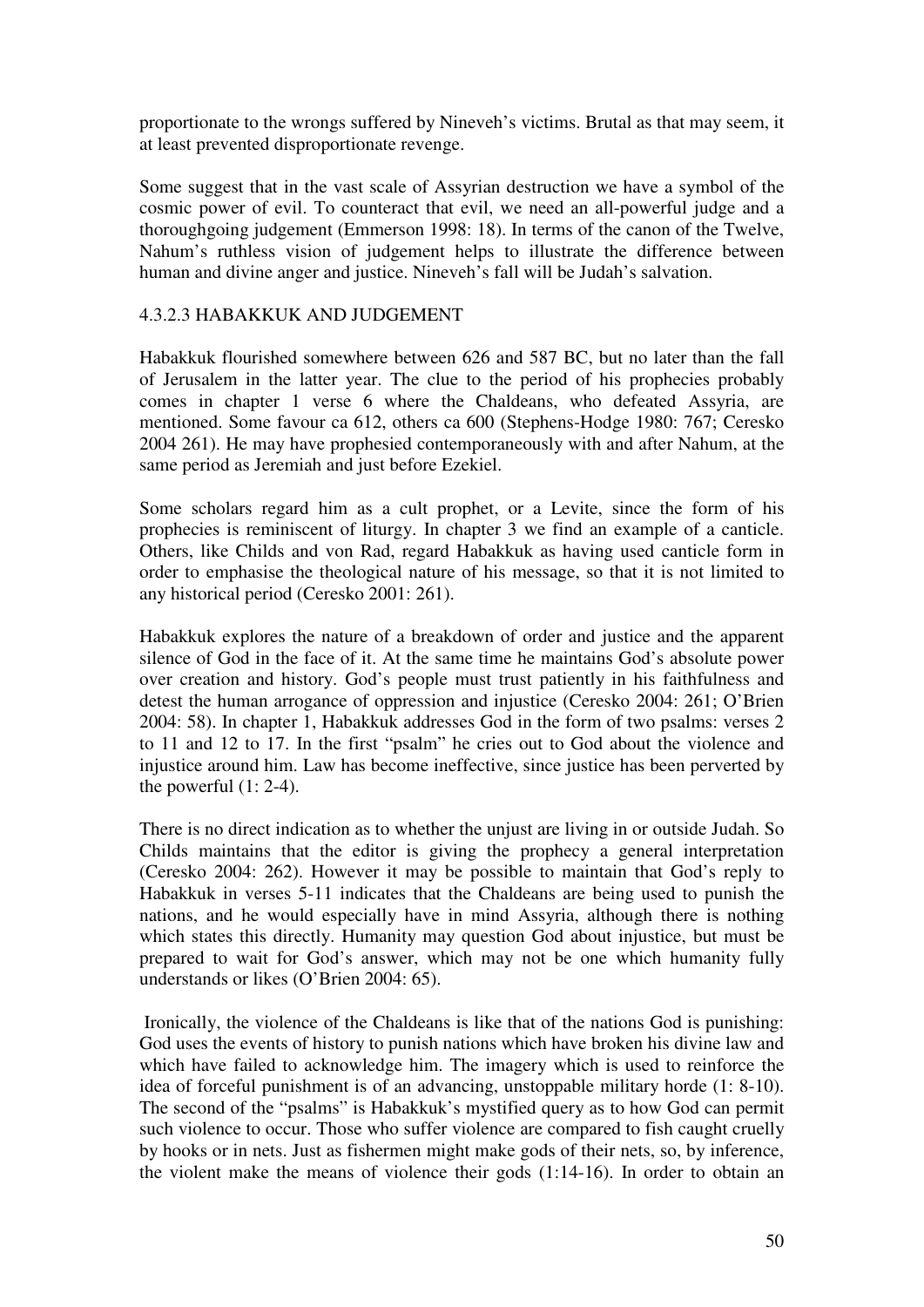proportionate to the wrongs suffered by Nineveh's victims. Brutal as that may seem, it at least prevented disproportionate revenge.

Some suggest that in the vast scale of Assyrian destruction we have a symbol of the cosmic power of evil. To counteract that evil, we need an all-powerful judge and a thoroughgoing judgement (Emmerson 1998: 18). In terms of the canon of the Twelve, Nahum's ruthless vision of judgement helps to illustrate the difference between human and divine anger and justice. Nineveh's fall will be Judah's salvation.

# 4.3.2.3 HABAKKUK AND JUDGEMENT

Habakkuk flourished somewhere between 626 and 587 BC, but no later than the fall of Jerusalem in the latter year. The clue to the period of his prophecies probably comes in chapter 1 verse 6 where the Chaldeans, who defeated Assyria, are mentioned. Some favour ca 612, others ca 600 (Stephens-Hodge 1980: 767; Ceresko 2004 261). He may have prophesied contemporaneously with and after Nahum, at the same period as Jeremiah and just before Ezekiel.

Some scholars regard him as a cult prophet, or a Levite, since the form of his prophecies is reminiscent of liturgy. In chapter 3 we find an example of a canticle. Others, like Childs and von Rad, regard Habakkuk as having used canticle form in order to emphasise the theological nature of his message, so that it is not limited to any historical period (Ceresko 2001: 261).

Habakkuk explores the nature of a breakdown of order and justice and the apparent silence of God in the face of it. At the same time he maintains God's absolute power over creation and history. God's people must trust patiently in his faithfulness and detest the human arrogance of oppression and injustice (Ceresko 2004: 261; O'Brien 2004: 58). In chapter 1, Habakkuk addresses God in the form of two psalms: verses 2 to 11 and 12 to 17. In the first "psalm" he cries out to God about the violence and injustice around him. Law has become ineffective, since justice has been perverted by the powerful  $(1: 2-4)$ .

There is no direct indication as to whether the unjust are living in or outside Judah. So Childs maintains that the editor is giving the prophecy a general interpretation (Ceresko 2004: 262). However it may be possible to maintain that God's reply to Habakkuk in verses 5-11 indicates that the Chaldeans are being used to punish the nations, and he would especially have in mind Assyria, although there is nothing which states this directly. Humanity may question God about injustice, but must be prepared to wait for God's answer, which may not be one which humanity fully understands or likes (O'Brien 2004: 65).

 Ironically, the violence of the Chaldeans is like that of the nations God is punishing: God uses the events of history to punish nations which have broken his divine law and which have failed to acknowledge him. The imagery which is used to reinforce the idea of forceful punishment is of an advancing, unstoppable military horde (1: 8-10). The second of the "psalms" is Habakkuk's mystified query as to how God can permit such violence to occur. Those who suffer violence are compared to fish caught cruelly by hooks or in nets. Just as fishermen might make gods of their nets, so, by inference, the violent make the means of violence their gods (1:14-16). In order to obtain an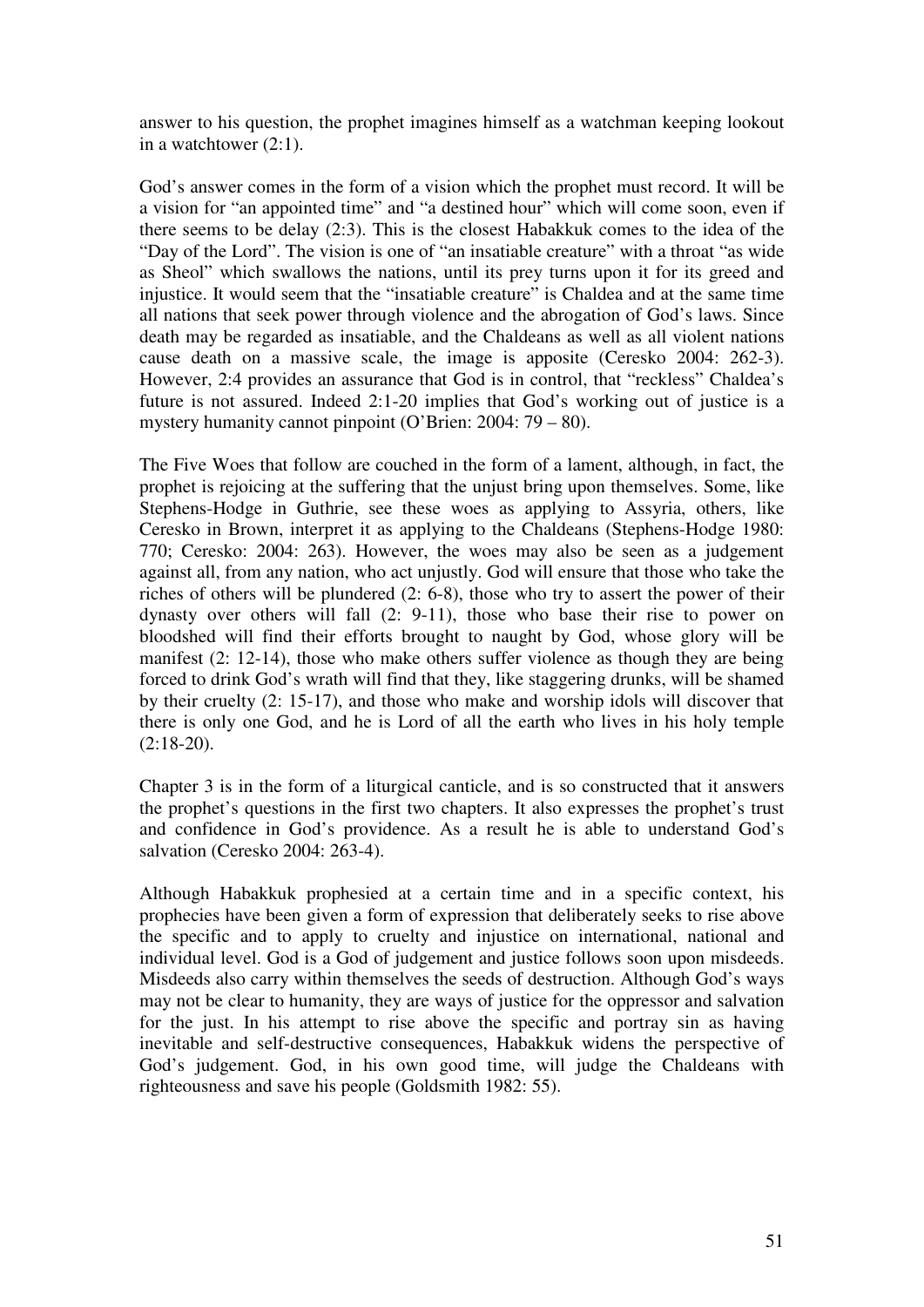answer to his question, the prophet imagines himself as a watchman keeping lookout in a watchtower (2:1).

God's answer comes in the form of a vision which the prophet must record. It will be a vision for "an appointed time" and "a destined hour" which will come soon, even if there seems to be delay (2:3). This is the closest Habakkuk comes to the idea of the "Day of the Lord". The vision is one of "an insatiable creature" with a throat "as wide as Sheol" which swallows the nations, until its prey turns upon it for its greed and injustice. It would seem that the "insatiable creature" is Chaldea and at the same time all nations that seek power through violence and the abrogation of God's laws. Since death may be regarded as insatiable, and the Chaldeans as well as all violent nations cause death on a massive scale, the image is apposite (Ceresko 2004: 262-3). However, 2:4 provides an assurance that God is in control, that "reckless" Chaldea's future is not assured. Indeed 2:1-20 implies that God's working out of justice is a mystery humanity cannot pinpoint (O'Brien: 2004: 79 – 80).

The Five Woes that follow are couched in the form of a lament, although, in fact, the prophet is rejoicing at the suffering that the unjust bring upon themselves. Some, like Stephens-Hodge in Guthrie, see these woes as applying to Assyria, others, like Ceresko in Brown, interpret it as applying to the Chaldeans (Stephens-Hodge 1980: 770; Ceresko: 2004: 263). However, the woes may also be seen as a judgement against all, from any nation, who act unjustly. God will ensure that those who take the riches of others will be plundered  $(2, 6-8)$ , those who try to assert the power of their dynasty over others will fall (2: 9-11), those who base their rise to power on bloodshed will find their efforts brought to naught by God, whose glory will be manifest (2: 12-14), those who make others suffer violence as though they are being forced to drink God's wrath will find that they, like staggering drunks, will be shamed by their cruelty (2: 15-17), and those who make and worship idols will discover that there is only one God, and he is Lord of all the earth who lives in his holy temple  $(2:18-20)$ .

Chapter 3 is in the form of a liturgical canticle, and is so constructed that it answers the prophet's questions in the first two chapters. It also expresses the prophet's trust and confidence in God's providence. As a result he is able to understand God's salvation (Ceresko 2004: 263-4).

Although Habakkuk prophesied at a certain time and in a specific context, his prophecies have been given a form of expression that deliberately seeks to rise above the specific and to apply to cruelty and injustice on international, national and individual level. God is a God of judgement and justice follows soon upon misdeeds. Misdeeds also carry within themselves the seeds of destruction. Although God's ways may not be clear to humanity, they are ways of justice for the oppressor and salvation for the just. In his attempt to rise above the specific and portray sin as having inevitable and self-destructive consequences, Habakkuk widens the perspective of God's judgement. God, in his own good time, will judge the Chaldeans with righteousness and save his people (Goldsmith 1982: 55).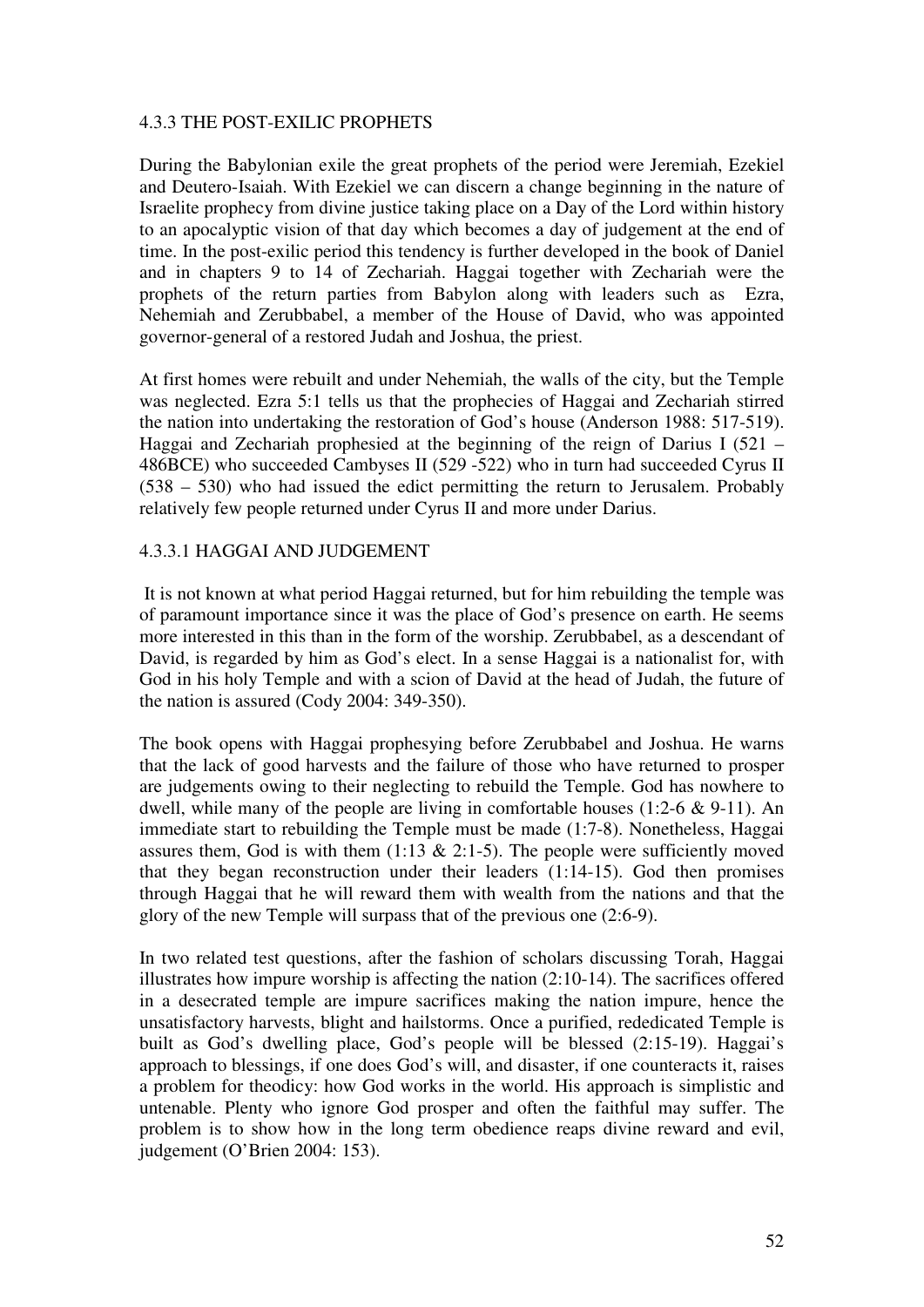#### 4.3.3 THE POST-EXILIC PROPHETS

During the Babylonian exile the great prophets of the period were Jeremiah, Ezekiel and Deutero-Isaiah. With Ezekiel we can discern a change beginning in the nature of Israelite prophecy from divine justice taking place on a Day of the Lord within history to an apocalyptic vision of that day which becomes a day of judgement at the end of time. In the post-exilic period this tendency is further developed in the book of Daniel and in chapters 9 to 14 of Zechariah. Haggai together with Zechariah were the prophets of the return parties from Babylon along with leaders such as Ezra, Nehemiah and Zerubbabel, a member of the House of David, who was appointed governor-general of a restored Judah and Joshua, the priest.

At first homes were rebuilt and under Nehemiah, the walls of the city, but the Temple was neglected. Ezra 5:1 tells us that the prophecies of Haggai and Zechariah stirred the nation into undertaking the restoration of God's house (Anderson 1988: 517-519). Haggai and Zechariah prophesied at the beginning of the reign of Darius I (521 – 486BCE) who succeeded Cambyses II (529 -522) who in turn had succeeded Cyrus II (538 – 530) who had issued the edict permitting the return to Jerusalem. Probably relatively few people returned under Cyrus II and more under Darius.

#### 4.3.3.1 HAGGAI AND JUDGEMENT

 It is not known at what period Haggai returned, but for him rebuilding the temple was of paramount importance since it was the place of God's presence on earth. He seems more interested in this than in the form of the worship. Zerubbabel, as a descendant of David, is regarded by him as God's elect. In a sense Haggai is a nationalist for, with God in his holy Temple and with a scion of David at the head of Judah, the future of the nation is assured (Cody 2004: 349-350).

The book opens with Haggai prophesying before Zerubbabel and Joshua. He warns that the lack of good harvests and the failure of those who have returned to prosper are judgements owing to their neglecting to rebuild the Temple. God has nowhere to dwell, while many of the people are living in comfortable houses (1:2-6  $\&$  9-11). An immediate start to rebuilding the Temple must be made (1:7-8). Nonetheless, Haggai assures them, God is with them  $(1:13 \& 2:1-5)$ . The people were sufficiently moved that they began reconstruction under their leaders (1:14-15). God then promises through Haggai that he will reward them with wealth from the nations and that the glory of the new Temple will surpass that of the previous one (2:6-9).

In two related test questions, after the fashion of scholars discussing Torah, Haggai illustrates how impure worship is affecting the nation (2:10-14). The sacrifices offered in a desecrated temple are impure sacrifices making the nation impure, hence the unsatisfactory harvests, blight and hailstorms. Once a purified, rededicated Temple is built as God's dwelling place, God's people will be blessed (2:15-19). Haggai's approach to blessings, if one does God's will, and disaster, if one counteracts it, raises a problem for theodicy: how God works in the world. His approach is simplistic and untenable. Plenty who ignore God prosper and often the faithful may suffer. The problem is to show how in the long term obedience reaps divine reward and evil, judgement (O'Brien 2004: 153).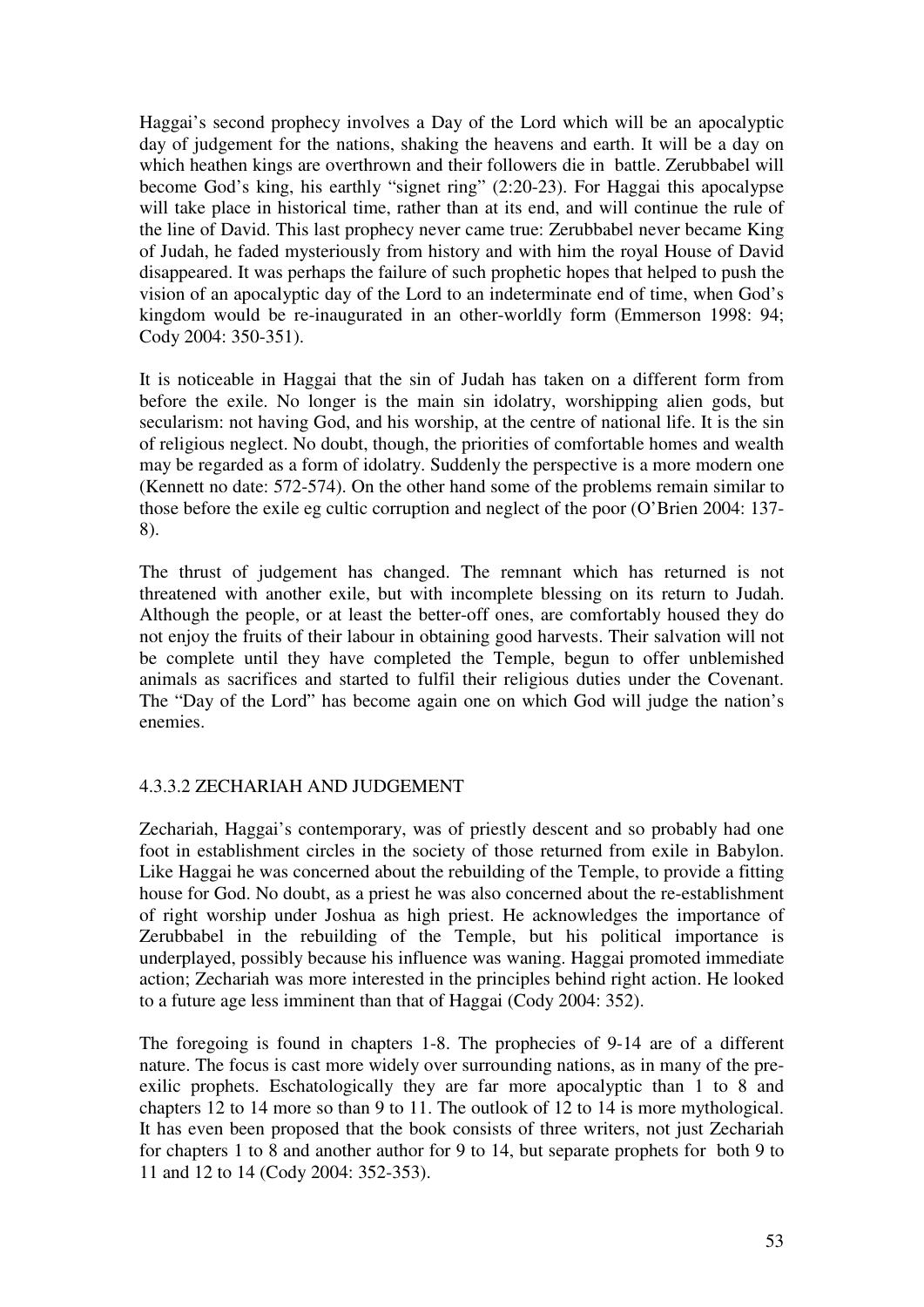Haggai's second prophecy involves a Day of the Lord which will be an apocalyptic day of judgement for the nations, shaking the heavens and earth. It will be a day on which heathen kings are overthrown and their followers die in battle. Zerubbabel will become God's king, his earthly "signet ring" (2:20-23). For Haggai this apocalypse will take place in historical time, rather than at its end, and will continue the rule of the line of David. This last prophecy never came true: Zerubbabel never became King of Judah, he faded mysteriously from history and with him the royal House of David disappeared. It was perhaps the failure of such prophetic hopes that helped to push the vision of an apocalyptic day of the Lord to an indeterminate end of time, when God's kingdom would be re-inaugurated in an other-worldly form (Emmerson 1998: 94; Cody 2004: 350-351).

It is noticeable in Haggai that the sin of Judah has taken on a different form from before the exile. No longer is the main sin idolatry, worshipping alien gods, but secularism: not having God, and his worship, at the centre of national life. It is the sin of religious neglect. No doubt, though, the priorities of comfortable homes and wealth may be regarded as a form of idolatry. Suddenly the perspective is a more modern one (Kennett no date: 572-574). On the other hand some of the problems remain similar to those before the exile eg cultic corruption and neglect of the poor (O'Brien 2004: 137- 8).

The thrust of judgement has changed. The remnant which has returned is not threatened with another exile, but with incomplete blessing on its return to Judah. Although the people, or at least the better-off ones, are comfortably housed they do not enjoy the fruits of their labour in obtaining good harvests. Their salvation will not be complete until they have completed the Temple, begun to offer unblemished animals as sacrifices and started to fulfil their religious duties under the Covenant. The "Day of the Lord" has become again one on which God will judge the nation's enemies.

# 4.3.3.2 ZECHARIAH AND JUDGEMENT

Zechariah, Haggai's contemporary, was of priestly descent and so probably had one foot in establishment circles in the society of those returned from exile in Babylon. Like Haggai he was concerned about the rebuilding of the Temple, to provide a fitting house for God. No doubt, as a priest he was also concerned about the re-establishment of right worship under Joshua as high priest. He acknowledges the importance of Zerubbabel in the rebuilding of the Temple, but his political importance is underplayed, possibly because his influence was waning. Haggai promoted immediate action; Zechariah was more interested in the principles behind right action. He looked to a future age less imminent than that of Haggai (Cody 2004: 352).

The foregoing is found in chapters 1-8. The prophecies of 9-14 are of a different nature. The focus is cast more widely over surrounding nations, as in many of the preexilic prophets. Eschatologically they are far more apocalyptic than 1 to 8 and chapters 12 to 14 more so than 9 to 11. The outlook of 12 to 14 is more mythological. It has even been proposed that the book consists of three writers, not just Zechariah for chapters 1 to 8 and another author for 9 to 14, but separate prophets for both 9 to 11 and 12 to 14 (Cody 2004: 352-353).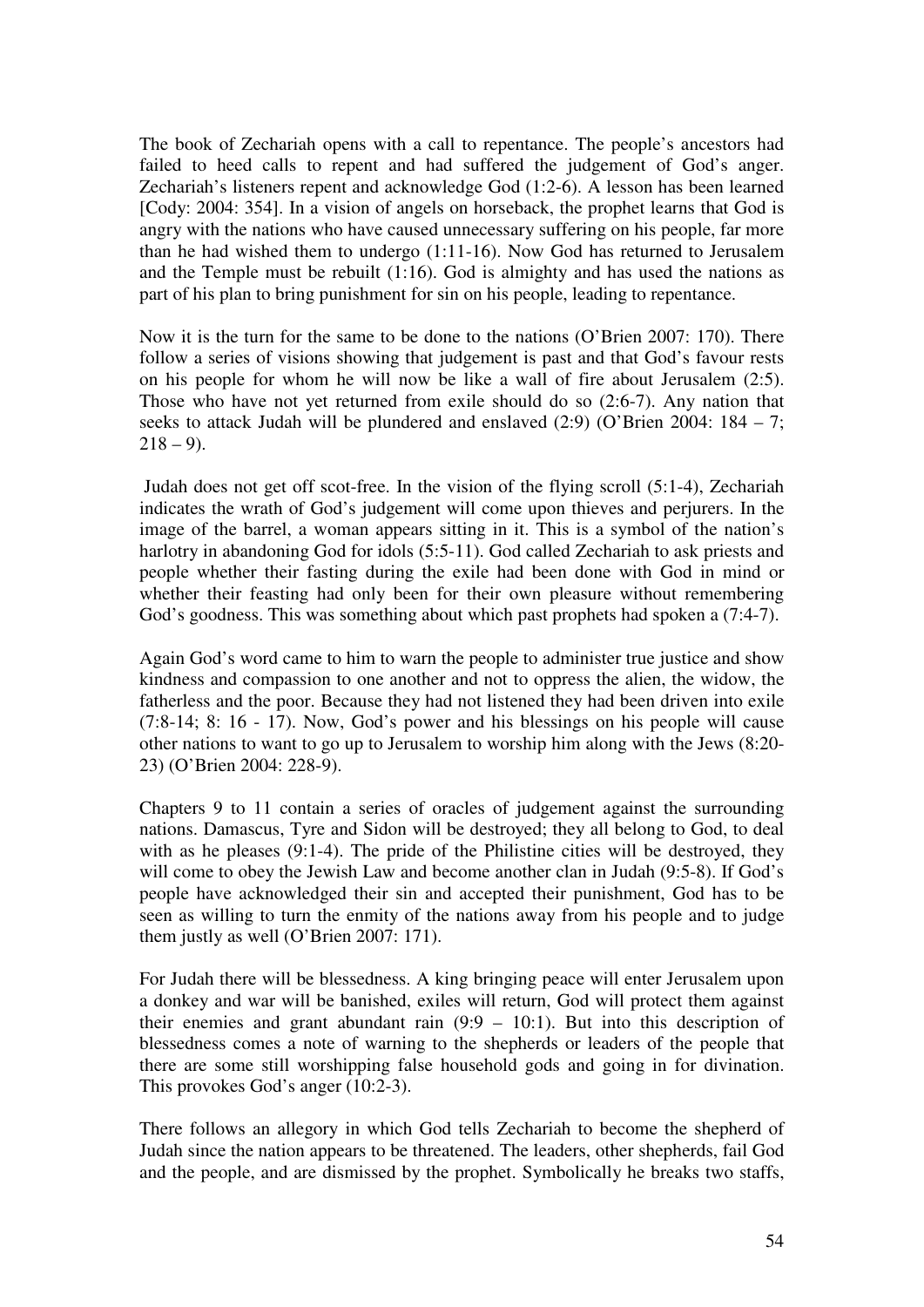The book of Zechariah opens with a call to repentance. The people's ancestors had failed to heed calls to repent and had suffered the judgement of God's anger. Zechariah's listeners repent and acknowledge God (1:2-6). A lesson has been learned [Cody: 2004: 354]. In a vision of angels on horseback, the prophet learns that God is angry with the nations who have caused unnecessary suffering on his people, far more than he had wished them to undergo (1:11-16). Now God has returned to Jerusalem and the Temple must be rebuilt (1:16). God is almighty and has used the nations as part of his plan to bring punishment for sin on his people, leading to repentance.

Now it is the turn for the same to be done to the nations (O'Brien 2007: 170). There follow a series of visions showing that judgement is past and that God's favour rests on his people for whom he will now be like a wall of fire about Jerusalem (2:5). Those who have not yet returned from exile should do so (2:6-7). Any nation that seeks to attack Judah will be plundered and enslaved  $(2.9)$  (O'Brien 2004: 184 – 7;  $218 - 9$ ).

 Judah does not get off scot-free. In the vision of the flying scroll (5:1-4), Zechariah indicates the wrath of God's judgement will come upon thieves and perjurers. In the image of the barrel, a woman appears sitting in it. This is a symbol of the nation's harlotry in abandoning God for idols (5:5-11). God called Zechariah to ask priests and people whether their fasting during the exile had been done with God in mind or whether their feasting had only been for their own pleasure without remembering God's goodness. This was something about which past prophets had spoken a (7:4-7).

Again God's word came to him to warn the people to administer true justice and show kindness and compassion to one another and not to oppress the alien, the widow, the fatherless and the poor. Because they had not listened they had been driven into exile (7:8-14; 8: 16 - 17). Now, God's power and his blessings on his people will cause other nations to want to go up to Jerusalem to worship him along with the Jews (8:20- 23) (O'Brien 2004: 228-9).

Chapters 9 to 11 contain a series of oracles of judgement against the surrounding nations. Damascus, Tyre and Sidon will be destroyed; they all belong to God, to deal with as he pleases (9:1-4). The pride of the Philistine cities will be destroyed, they will come to obey the Jewish Law and become another clan in Judah (9:5-8). If God's people have acknowledged their sin and accepted their punishment, God has to be seen as willing to turn the enmity of the nations away from his people and to judge them justly as well (O'Brien 2007: 171).

For Judah there will be blessedness. A king bringing peace will enter Jerusalem upon a donkey and war will be banished, exiles will return, God will protect them against their enemies and grant abundant rain  $(9.9 - 10.1)$ . But into this description of blessedness comes a note of warning to the shepherds or leaders of the people that there are some still worshipping false household gods and going in for divination. This provokes God's anger (10:2-3).

There follows an allegory in which God tells Zechariah to become the shepherd of Judah since the nation appears to be threatened. The leaders, other shepherds, fail God and the people, and are dismissed by the prophet. Symbolically he breaks two staffs,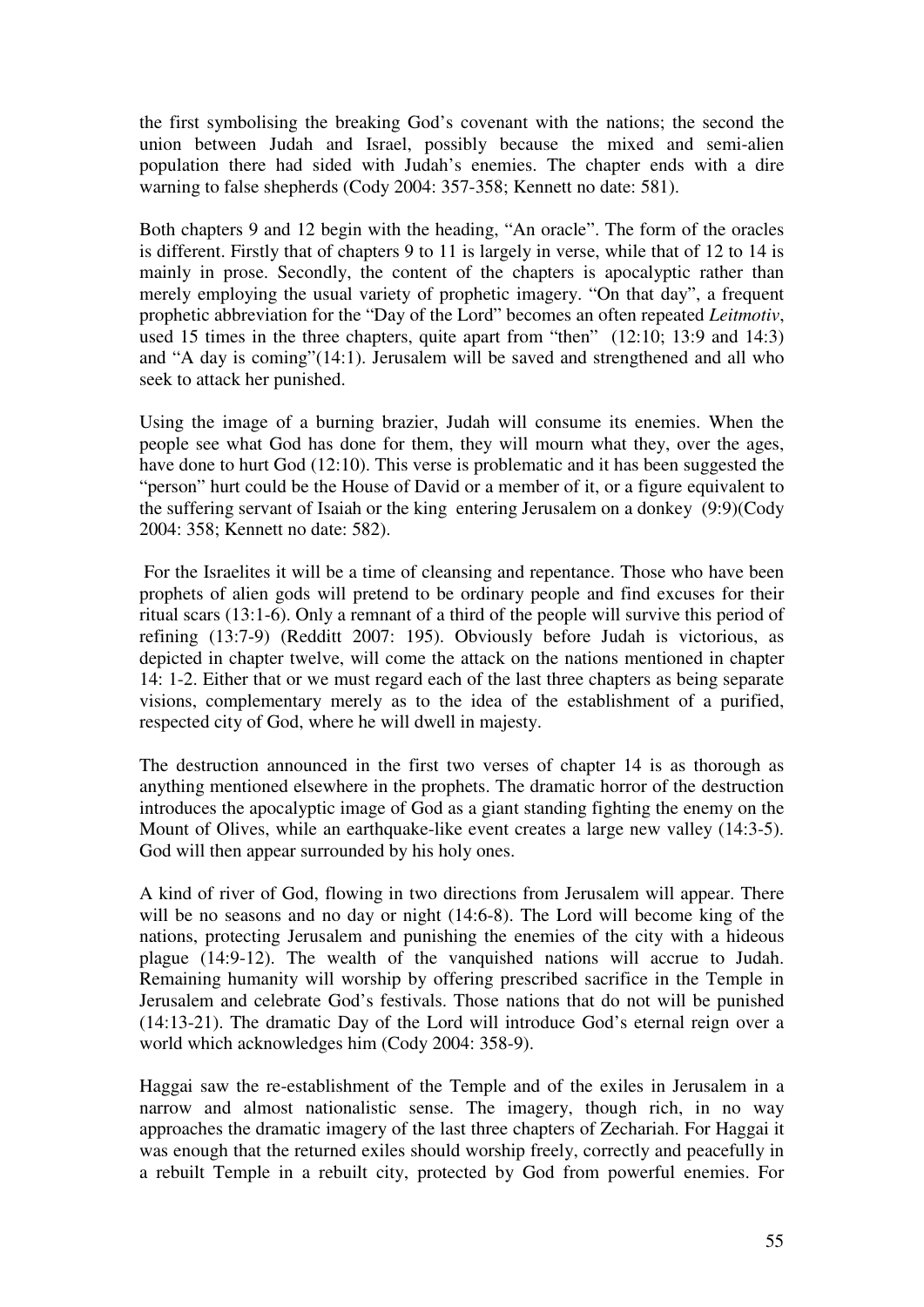the first symbolising the breaking God's covenant with the nations; the second the union between Judah and Israel, possibly because the mixed and semi-alien population there had sided with Judah's enemies. The chapter ends with a dire warning to false shepherds (Cody 2004: 357-358; Kennett no date: 581).

Both chapters 9 and 12 begin with the heading, "An oracle". The form of the oracles is different. Firstly that of chapters 9 to 11 is largely in verse, while that of 12 to 14 is mainly in prose. Secondly, the content of the chapters is apocalyptic rather than merely employing the usual variety of prophetic imagery. "On that day", a frequent prophetic abbreviation for the "Day of the Lord" becomes an often repeated *Leitmotiv*, used 15 times in the three chapters, quite apart from "then" (12:10; 13:9 and 14:3) and "A day is coming"(14:1). Jerusalem will be saved and strengthened and all who seek to attack her punished.

Using the image of a burning brazier, Judah will consume its enemies. When the people see what God has done for them, they will mourn what they, over the ages, have done to hurt God (12:10). This verse is problematic and it has been suggested the "person" hurt could be the House of David or a member of it, or a figure equivalent to the suffering servant of Isaiah or the king entering Jerusalem on a donkey (9:9)(Cody 2004: 358; Kennett no date: 582).

 For the Israelites it will be a time of cleansing and repentance. Those who have been prophets of alien gods will pretend to be ordinary people and find excuses for their ritual scars (13:1-6). Only a remnant of a third of the people will survive this period of refining (13:7-9) (Redditt 2007: 195). Obviously before Judah is victorious, as depicted in chapter twelve, will come the attack on the nations mentioned in chapter 14: 1-2. Either that or we must regard each of the last three chapters as being separate visions, complementary merely as to the idea of the establishment of a purified, respected city of God, where he will dwell in majesty.

The destruction announced in the first two verses of chapter 14 is as thorough as anything mentioned elsewhere in the prophets. The dramatic horror of the destruction introduces the apocalyptic image of God as a giant standing fighting the enemy on the Mount of Olives, while an earthquake-like event creates a large new valley (14:3-5). God will then appear surrounded by his holy ones.

A kind of river of God, flowing in two directions from Jerusalem will appear. There will be no seasons and no day or night (14:6-8). The Lord will become king of the nations, protecting Jerusalem and punishing the enemies of the city with a hideous plague (14:9-12). The wealth of the vanquished nations will accrue to Judah. Remaining humanity will worship by offering prescribed sacrifice in the Temple in Jerusalem and celebrate God's festivals. Those nations that do not will be punished (14:13-21). The dramatic Day of the Lord will introduce God's eternal reign over a world which acknowledges him (Cody 2004: 358-9).

Haggai saw the re-establishment of the Temple and of the exiles in Jerusalem in a narrow and almost nationalistic sense. The imagery, though rich, in no way approaches the dramatic imagery of the last three chapters of Zechariah. For Haggai it was enough that the returned exiles should worship freely, correctly and peacefully in a rebuilt Temple in a rebuilt city, protected by God from powerful enemies. For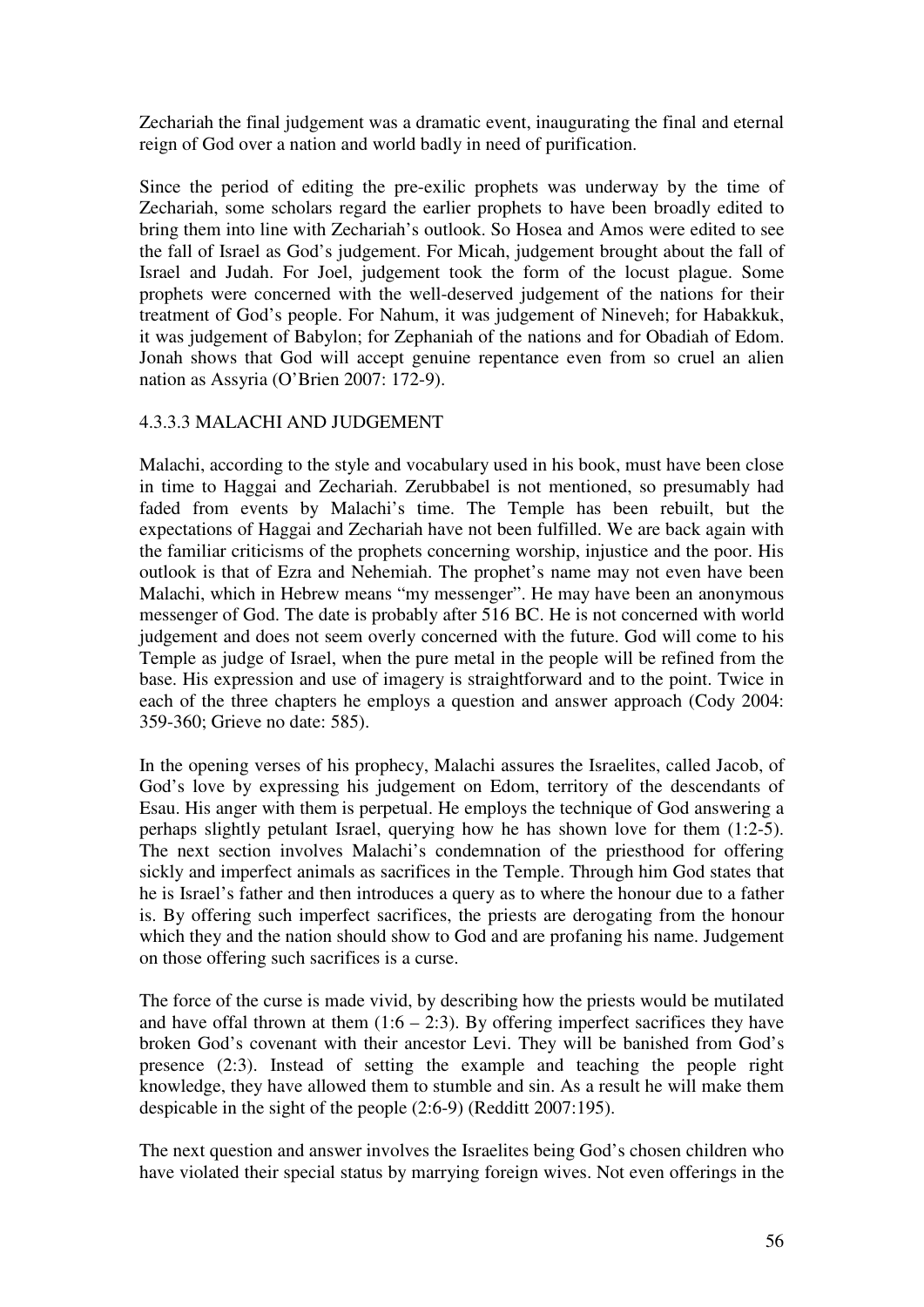Zechariah the final judgement was a dramatic event, inaugurating the final and eternal reign of God over a nation and world badly in need of purification.

Since the period of editing the pre-exilic prophets was underway by the time of Zechariah, some scholars regard the earlier prophets to have been broadly edited to bring them into line with Zechariah's outlook. So Hosea and Amos were edited to see the fall of Israel as God's judgement. For Micah, judgement brought about the fall of Israel and Judah. For Joel, judgement took the form of the locust plague. Some prophets were concerned with the well-deserved judgement of the nations for their treatment of God's people. For Nahum, it was judgement of Nineveh; for Habakkuk, it was judgement of Babylon; for Zephaniah of the nations and for Obadiah of Edom. Jonah shows that God will accept genuine repentance even from so cruel an alien nation as Assyria (O'Brien 2007: 172-9).

# 4.3.3.3 MALACHI AND JUDGEMENT

Malachi, according to the style and vocabulary used in his book, must have been close in time to Haggai and Zechariah. Zerubbabel is not mentioned, so presumably had faded from events by Malachi's time. The Temple has been rebuilt, but the expectations of Haggai and Zechariah have not been fulfilled. We are back again with the familiar criticisms of the prophets concerning worship, injustice and the poor. His outlook is that of Ezra and Nehemiah. The prophet's name may not even have been Malachi, which in Hebrew means "my messenger". He may have been an anonymous messenger of God. The date is probably after 516 BC. He is not concerned with world judgement and does not seem overly concerned with the future. God will come to his Temple as judge of Israel, when the pure metal in the people will be refined from the base. His expression and use of imagery is straightforward and to the point. Twice in each of the three chapters he employs a question and answer approach (Cody 2004: 359-360; Grieve no date: 585).

In the opening verses of his prophecy, Malachi assures the Israelites, called Jacob, of God's love by expressing his judgement on Edom, territory of the descendants of Esau. His anger with them is perpetual. He employs the technique of God answering a perhaps slightly petulant Israel, querying how he has shown love for them (1:2-5). The next section involves Malachi's condemnation of the priesthood for offering sickly and imperfect animals as sacrifices in the Temple. Through him God states that he is Israel's father and then introduces a query as to where the honour due to a father is. By offering such imperfect sacrifices, the priests are derogating from the honour which they and the nation should show to God and are profaning his name. Judgement on those offering such sacrifices is a curse.

The force of the curse is made vivid, by describing how the priests would be mutilated and have offal thrown at them  $(1:6 - 2:3)$ . By offering imperfect sacrifices they have broken God's covenant with their ancestor Levi. They will be banished from God's presence (2:3). Instead of setting the example and teaching the people right knowledge, they have allowed them to stumble and sin. As a result he will make them despicable in the sight of the people (2:6-9) (Redditt 2007:195).

The next question and answer involves the Israelites being God's chosen children who have violated their special status by marrying foreign wives. Not even offerings in the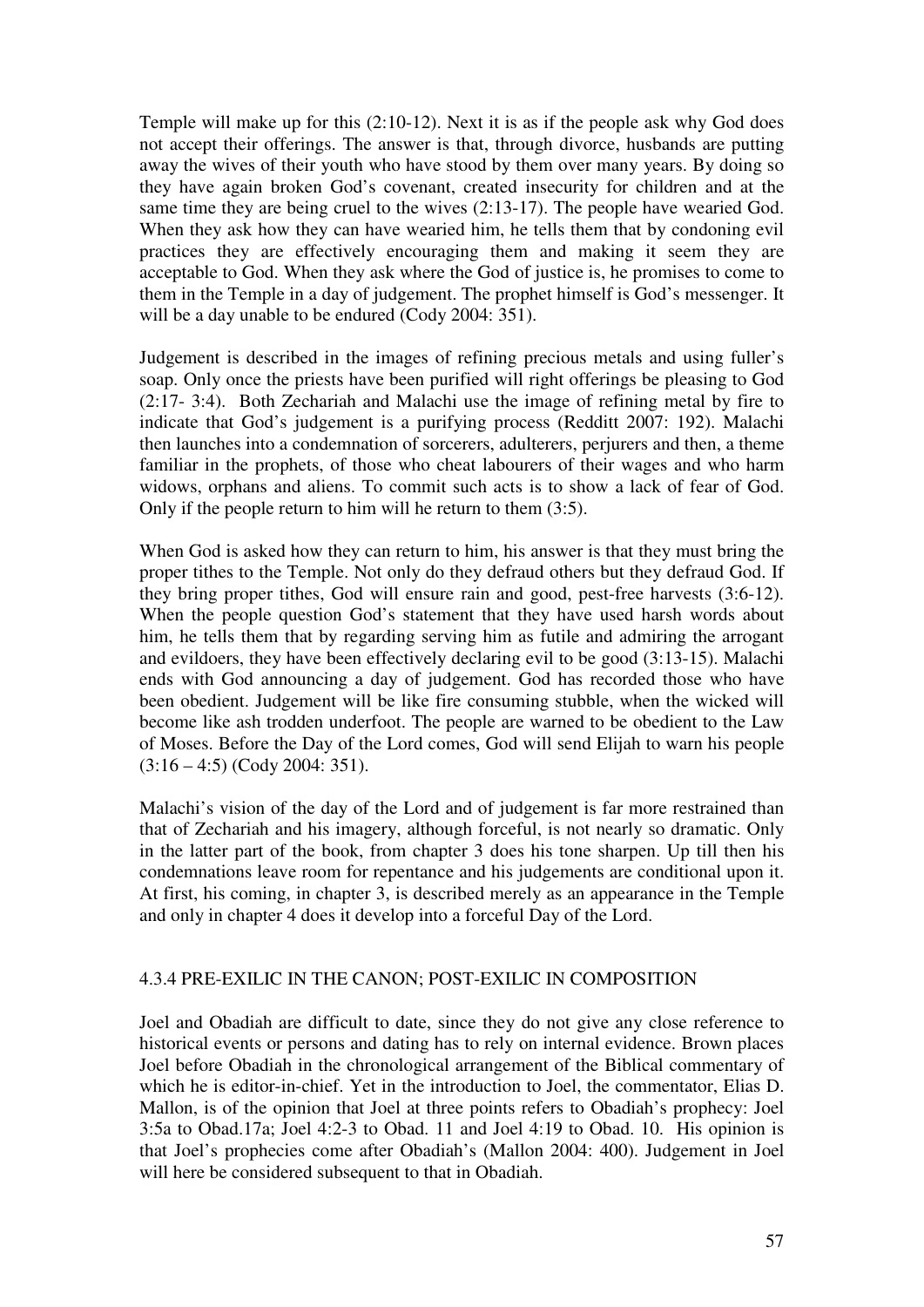Temple will make up for this (2:10-12). Next it is as if the people ask why God does not accept their offerings. The answer is that, through divorce, husbands are putting away the wives of their youth who have stood by them over many years. By doing so they have again broken God's covenant, created insecurity for children and at the same time they are being cruel to the wives (2:13-17). The people have wearied God. When they ask how they can have wearied him, he tells them that by condoning evil practices they are effectively encouraging them and making it seem they are acceptable to God. When they ask where the God of justice is, he promises to come to them in the Temple in a day of judgement. The prophet himself is God's messenger. It will be a day unable to be endured (Cody 2004: 351).

Judgement is described in the images of refining precious metals and using fuller's soap. Only once the priests have been purified will right offerings be pleasing to God (2:17- 3:4). Both Zechariah and Malachi use the image of refining metal by fire to indicate that God's judgement is a purifying process (Redditt 2007: 192). Malachi then launches into a condemnation of sorcerers, adulterers, perjurers and then, a theme familiar in the prophets, of those who cheat labourers of their wages and who harm widows, orphans and aliens. To commit such acts is to show a lack of fear of God. Only if the people return to him will he return to them (3:5).

When God is asked how they can return to him, his answer is that they must bring the proper tithes to the Temple. Not only do they defraud others but they defraud God. If they bring proper tithes, God will ensure rain and good, pest-free harvests (3:6-12). When the people question God's statement that they have used harsh words about him, he tells them that by regarding serving him as futile and admiring the arrogant and evildoers, they have been effectively declaring evil to be good (3:13-15). Malachi ends with God announcing a day of judgement. God has recorded those who have been obedient. Judgement will be like fire consuming stubble, when the wicked will become like ash trodden underfoot. The people are warned to be obedient to the Law of Moses. Before the Day of the Lord comes, God will send Elijah to warn his people  $(3:16 - 4:5)$  (Cody 2004: 351).

Malachi's vision of the day of the Lord and of judgement is far more restrained than that of Zechariah and his imagery, although forceful, is not nearly so dramatic. Only in the latter part of the book, from chapter 3 does his tone sharpen. Up till then his condemnations leave room for repentance and his judgements are conditional upon it. At first, his coming, in chapter 3, is described merely as an appearance in the Temple and only in chapter 4 does it develop into a forceful Day of the Lord.

#### 4.3.4 PRE-EXILIC IN THE CANON; POST-EXILIC IN COMPOSITION

Joel and Obadiah are difficult to date, since they do not give any close reference to historical events or persons and dating has to rely on internal evidence. Brown places Joel before Obadiah in the chronological arrangement of the Biblical commentary of which he is editor-in-chief. Yet in the introduction to Joel, the commentator, Elias D. Mallon, is of the opinion that Joel at three points refers to Obadiah's prophecy: Joel 3:5a to Obad.17a; Joel 4:2-3 to Obad. 11 and Joel 4:19 to Obad. 10. His opinion is that Joel's prophecies come after Obadiah's (Mallon 2004: 400). Judgement in Joel will here be considered subsequent to that in Obadiah.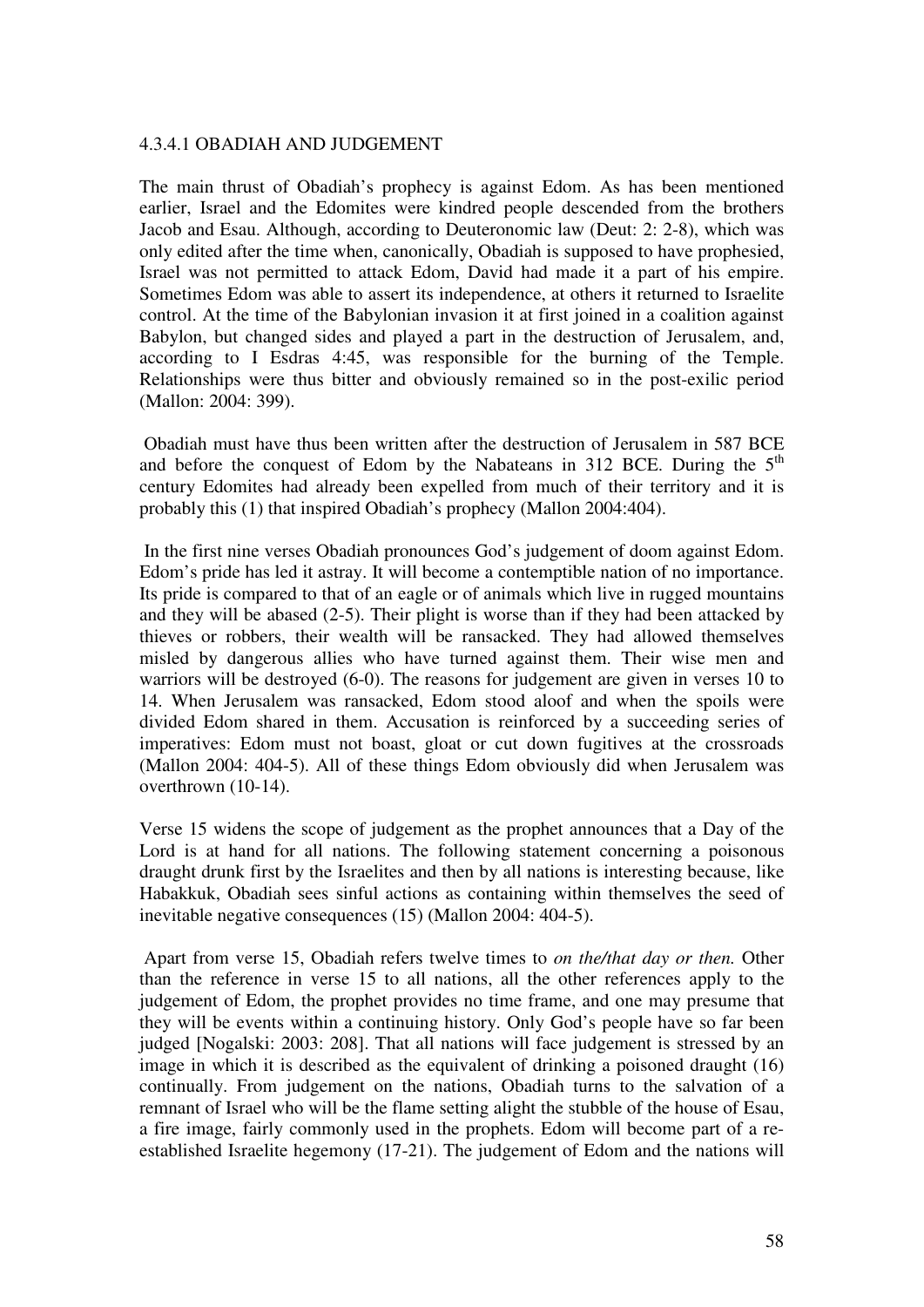#### 4.3.4.1 OBADIAH AND JUDGEMENT

The main thrust of Obadiah's prophecy is against Edom. As has been mentioned earlier, Israel and the Edomites were kindred people descended from the brothers Jacob and Esau. Although, according to Deuteronomic law (Deut: 2: 2-8), which was only edited after the time when, canonically, Obadiah is supposed to have prophesied, Israel was not permitted to attack Edom, David had made it a part of his empire. Sometimes Edom was able to assert its independence, at others it returned to Israelite control. At the time of the Babylonian invasion it at first joined in a coalition against Babylon, but changed sides and played a part in the destruction of Jerusalem, and, according to I Esdras 4:45, was responsible for the burning of the Temple. Relationships were thus bitter and obviously remained so in the post-exilic period (Mallon: 2004: 399).

 Obadiah must have thus been written after the destruction of Jerusalem in 587 BCE and before the conquest of Edom by the Nabateans in 312 BCE. During the  $5<sup>th</sup>$ century Edomites had already been expelled from much of their territory and it is probably this (1) that inspired Obadiah's prophecy (Mallon 2004:404).

 In the first nine verses Obadiah pronounces God's judgement of doom against Edom. Edom's pride has led it astray. It will become a contemptible nation of no importance. Its pride is compared to that of an eagle or of animals which live in rugged mountains and they will be abased (2-5). Their plight is worse than if they had been attacked by thieves or robbers, their wealth will be ransacked. They had allowed themselves misled by dangerous allies who have turned against them. Their wise men and warriors will be destroyed (6-0). The reasons for judgement are given in verses 10 to 14. When Jerusalem was ransacked, Edom stood aloof and when the spoils were divided Edom shared in them. Accusation is reinforced by a succeeding series of imperatives: Edom must not boast, gloat or cut down fugitives at the crossroads (Mallon 2004: 404-5). All of these things Edom obviously did when Jerusalem was overthrown (10-14).

Verse 15 widens the scope of judgement as the prophet announces that a Day of the Lord is at hand for all nations. The following statement concerning a poisonous draught drunk first by the Israelites and then by all nations is interesting because, like Habakkuk, Obadiah sees sinful actions as containing within themselves the seed of inevitable negative consequences (15) (Mallon 2004: 404-5).

 Apart from verse 15, Obadiah refers twelve times to *on the/that day or then.* Other than the reference in verse 15 to all nations, all the other references apply to the judgement of Edom, the prophet provides no time frame, and one may presume that they will be events within a continuing history. Only God's people have so far been judged [Nogalski: 2003: 208]. That all nations will face judgement is stressed by an image in which it is described as the equivalent of drinking a poisoned draught (16) continually. From judgement on the nations, Obadiah turns to the salvation of a remnant of Israel who will be the flame setting alight the stubble of the house of Esau, a fire image, fairly commonly used in the prophets. Edom will become part of a reestablished Israelite hegemony (17-21). The judgement of Edom and the nations will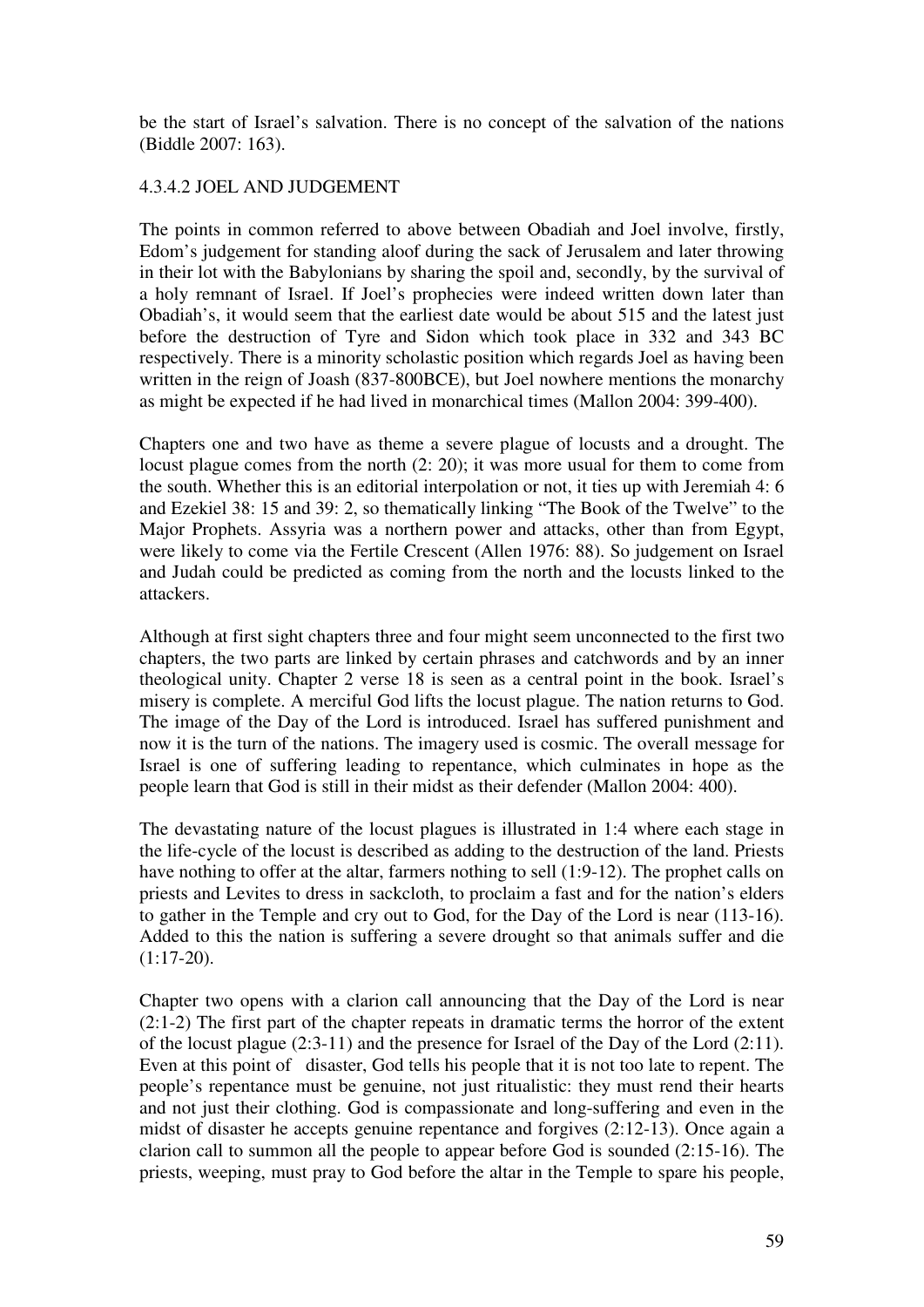be the start of Israel's salvation. There is no concept of the salvation of the nations (Biddle 2007: 163).

## 4.3.4.2 JOEL AND JUDGEMENT

The points in common referred to above between Obadiah and Joel involve, firstly, Edom's judgement for standing aloof during the sack of Jerusalem and later throwing in their lot with the Babylonians by sharing the spoil and, secondly, by the survival of a holy remnant of Israel. If Joel's prophecies were indeed written down later than Obadiah's, it would seem that the earliest date would be about 515 and the latest just before the destruction of Tyre and Sidon which took place in 332 and 343 BC respectively. There is a minority scholastic position which regards Joel as having been written in the reign of Joash (837-800BCE), but Joel nowhere mentions the monarchy as might be expected if he had lived in monarchical times (Mallon 2004: 399-400).

Chapters one and two have as theme a severe plague of locusts and a drought. The locust plague comes from the north (2: 20); it was more usual for them to come from the south. Whether this is an editorial interpolation or not, it ties up with Jeremiah 4: 6 and Ezekiel 38: 15 and 39: 2, so thematically linking "The Book of the Twelve" to the Major Prophets. Assyria was a northern power and attacks, other than from Egypt, were likely to come via the Fertile Crescent (Allen 1976: 88). So judgement on Israel and Judah could be predicted as coming from the north and the locusts linked to the attackers.

Although at first sight chapters three and four might seem unconnected to the first two chapters, the two parts are linked by certain phrases and catchwords and by an inner theological unity. Chapter 2 verse 18 is seen as a central point in the book. Israel's misery is complete. A merciful God lifts the locust plague. The nation returns to God. The image of the Day of the Lord is introduced. Israel has suffered punishment and now it is the turn of the nations. The imagery used is cosmic. The overall message for Israel is one of suffering leading to repentance, which culminates in hope as the people learn that God is still in their midst as their defender (Mallon 2004: 400).

The devastating nature of the locust plagues is illustrated in 1:4 where each stage in the life-cycle of the locust is described as adding to the destruction of the land. Priests have nothing to offer at the altar, farmers nothing to sell (1:9-12). The prophet calls on priests and Levites to dress in sackcloth, to proclaim a fast and for the nation's elders to gather in the Temple and cry out to God, for the Day of the Lord is near (113-16). Added to this the nation is suffering a severe drought so that animals suffer and die (1:17-20).

Chapter two opens with a clarion call announcing that the Day of the Lord is near (2:1-2) The first part of the chapter repeats in dramatic terms the horror of the extent of the locust plague (2:3-11) and the presence for Israel of the Day of the Lord (2:11). Even at this point of disaster, God tells his people that it is not too late to repent. The people's repentance must be genuine, not just ritualistic: they must rend their hearts and not just their clothing. God is compassionate and long-suffering and even in the midst of disaster he accepts genuine repentance and forgives (2:12-13). Once again a clarion call to summon all the people to appear before God is sounded (2:15-16). The priests, weeping, must pray to God before the altar in the Temple to spare his people,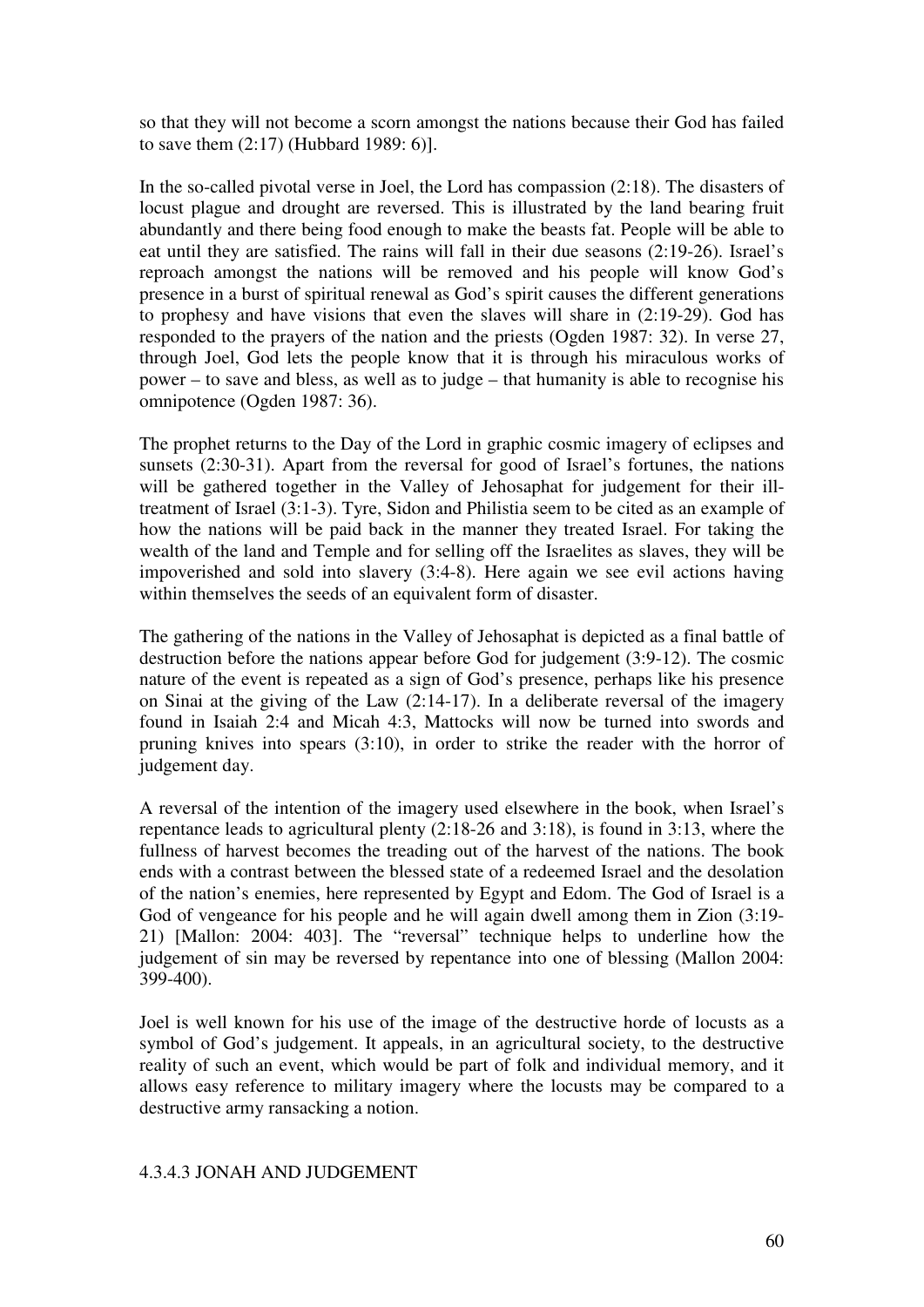so that they will not become a scorn amongst the nations because their God has failed to save them (2:17) (Hubbard 1989: 6)].

In the so-called pivotal verse in Joel, the Lord has compassion (2:18). The disasters of locust plague and drought are reversed. This is illustrated by the land bearing fruit abundantly and there being food enough to make the beasts fat. People will be able to eat until they are satisfied. The rains will fall in their due seasons (2:19-26). Israel's reproach amongst the nations will be removed and his people will know God's presence in a burst of spiritual renewal as God's spirit causes the different generations to prophesy and have visions that even the slaves will share in (2:19-29). God has responded to the prayers of the nation and the priests (Ogden 1987: 32). In verse 27, through Joel, God lets the people know that it is through his miraculous works of power – to save and bless, as well as to judge – that humanity is able to recognise his omnipotence (Ogden 1987: 36).

The prophet returns to the Day of the Lord in graphic cosmic imagery of eclipses and sunsets (2:30-31). Apart from the reversal for good of Israel's fortunes, the nations will be gathered together in the Valley of Jehosaphat for judgement for their illtreatment of Israel (3:1-3). Tyre, Sidon and Philistia seem to be cited as an example of how the nations will be paid back in the manner they treated Israel. For taking the wealth of the land and Temple and for selling off the Israelites as slaves, they will be impoverished and sold into slavery (3:4-8). Here again we see evil actions having within themselves the seeds of an equivalent form of disaster.

The gathering of the nations in the Valley of Jehosaphat is depicted as a final battle of destruction before the nations appear before God for judgement (3:9-12). The cosmic nature of the event is repeated as a sign of God's presence, perhaps like his presence on Sinai at the giving of the Law (2:14-17). In a deliberate reversal of the imagery found in Isaiah 2:4 and Micah 4:3, Mattocks will now be turned into swords and pruning knives into spears (3:10), in order to strike the reader with the horror of judgement day.

A reversal of the intention of the imagery used elsewhere in the book, when Israel's repentance leads to agricultural plenty (2:18-26 and 3:18), is found in 3:13, where the fullness of harvest becomes the treading out of the harvest of the nations. The book ends with a contrast between the blessed state of a redeemed Israel and the desolation of the nation's enemies, here represented by Egypt and Edom. The God of Israel is a God of vengeance for his people and he will again dwell among them in Zion (3:19- 21) [Mallon: 2004: 403]. The "reversal" technique helps to underline how the judgement of sin may be reversed by repentance into one of blessing (Mallon 2004: 399-400).

Joel is well known for his use of the image of the destructive horde of locusts as a symbol of God's judgement. It appeals, in an agricultural society, to the destructive reality of such an event, which would be part of folk and individual memory, and it allows easy reference to military imagery where the locusts may be compared to a destructive army ransacking a notion.

#### 4.3.4.3 JONAH AND JUDGEMENT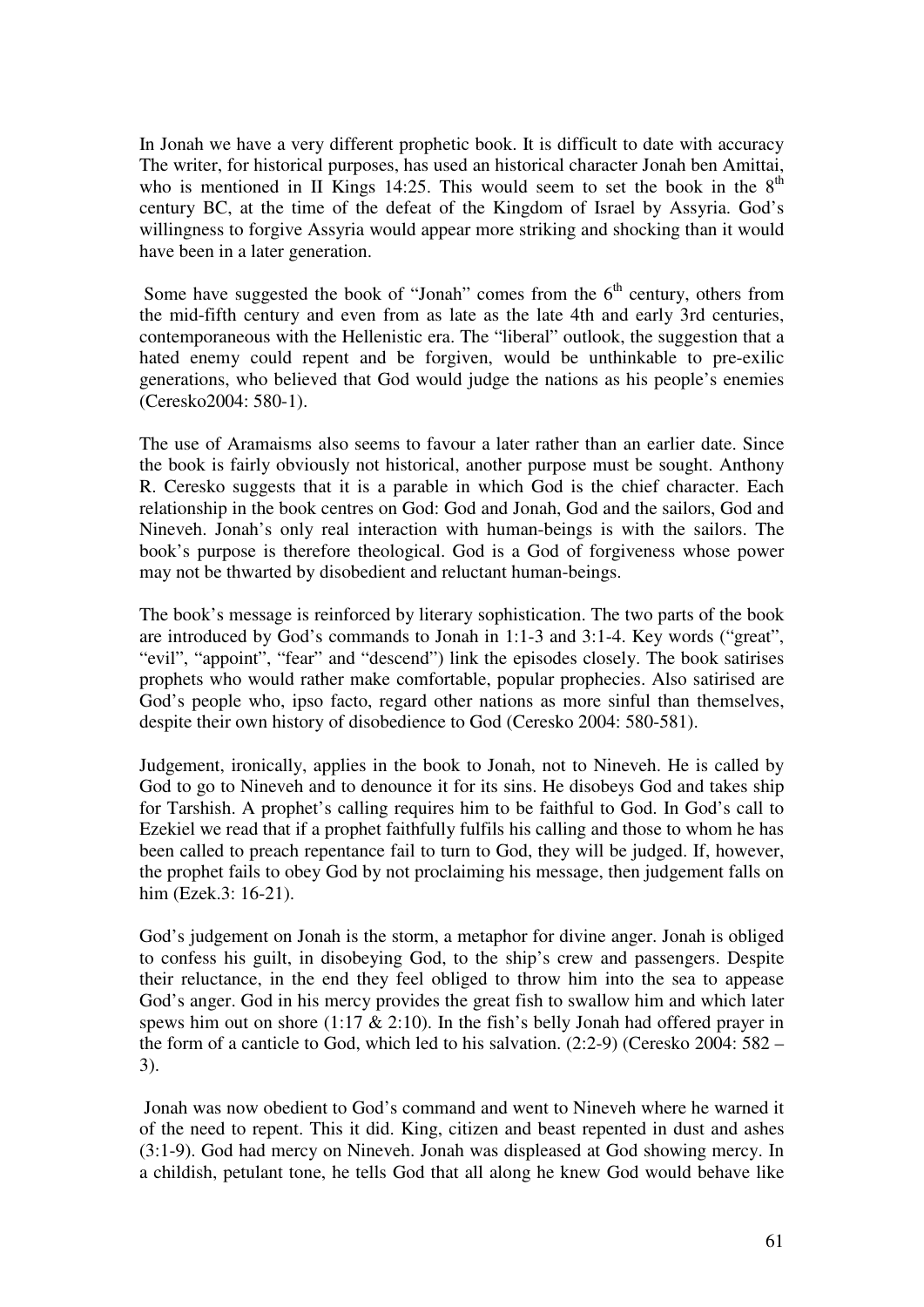In Jonah we have a very different prophetic book. It is difficult to date with accuracy The writer, for historical purposes, has used an historical character Jonah ben Amittai, who is mentioned in II Kings 14:25. This would seem to set the book in the  $8<sup>th</sup>$ century BC, at the time of the defeat of the Kingdom of Israel by Assyria. God's willingness to forgive Assyria would appear more striking and shocking than it would have been in a later generation.

Some have suggested the book of "Jonah" comes from the  $6<sup>th</sup>$  century, others from the mid-fifth century and even from as late as the late 4th and early 3rd centuries, contemporaneous with the Hellenistic era. The "liberal" outlook, the suggestion that a hated enemy could repent and be forgiven, would be unthinkable to pre-exilic generations, who believed that God would judge the nations as his people's enemies (Ceresko2004: 580-1).

The use of Aramaisms also seems to favour a later rather than an earlier date. Since the book is fairly obviously not historical, another purpose must be sought. Anthony R. Ceresko suggests that it is a parable in which God is the chief character. Each relationship in the book centres on God: God and Jonah, God and the sailors, God and Nineveh. Jonah's only real interaction with human-beings is with the sailors. The book's purpose is therefore theological. God is a God of forgiveness whose power may not be thwarted by disobedient and reluctant human-beings.

The book's message is reinforced by literary sophistication. The two parts of the book are introduced by God's commands to Jonah in 1:1-3 and 3:1-4. Key words ("great", "evil", "appoint", "fear" and "descend") link the episodes closely. The book satirises prophets who would rather make comfortable, popular prophecies. Also satirised are God's people who, ipso facto, regard other nations as more sinful than themselves, despite their own history of disobedience to God (Ceresko 2004: 580-581).

Judgement, ironically, applies in the book to Jonah, not to Nineveh. He is called by God to go to Nineveh and to denounce it for its sins. He disobeys God and takes ship for Tarshish. A prophet's calling requires him to be faithful to God. In God's call to Ezekiel we read that if a prophet faithfully fulfils his calling and those to whom he has been called to preach repentance fail to turn to God, they will be judged. If, however, the prophet fails to obey God by not proclaiming his message, then judgement falls on him (Ezek.3: 16-21).

God's judgement on Jonah is the storm, a metaphor for divine anger. Jonah is obliged to confess his guilt, in disobeying God, to the ship's crew and passengers. Despite their reluctance, in the end they feel obliged to throw him into the sea to appease God's anger. God in his mercy provides the great fish to swallow him and which later spews him out on shore (1:17  $\&$  2:10). In the fish's belly Jonah had offered prayer in the form of a canticle to God, which led to his salvation. (2:2-9) (Ceresko 2004: 582 – 3).

 Jonah was now obedient to God's command and went to Nineveh where he warned it of the need to repent. This it did. King, citizen and beast repented in dust and ashes (3:1-9). God had mercy on Nineveh. Jonah was displeased at God showing mercy. In a childish, petulant tone, he tells God that all along he knew God would behave like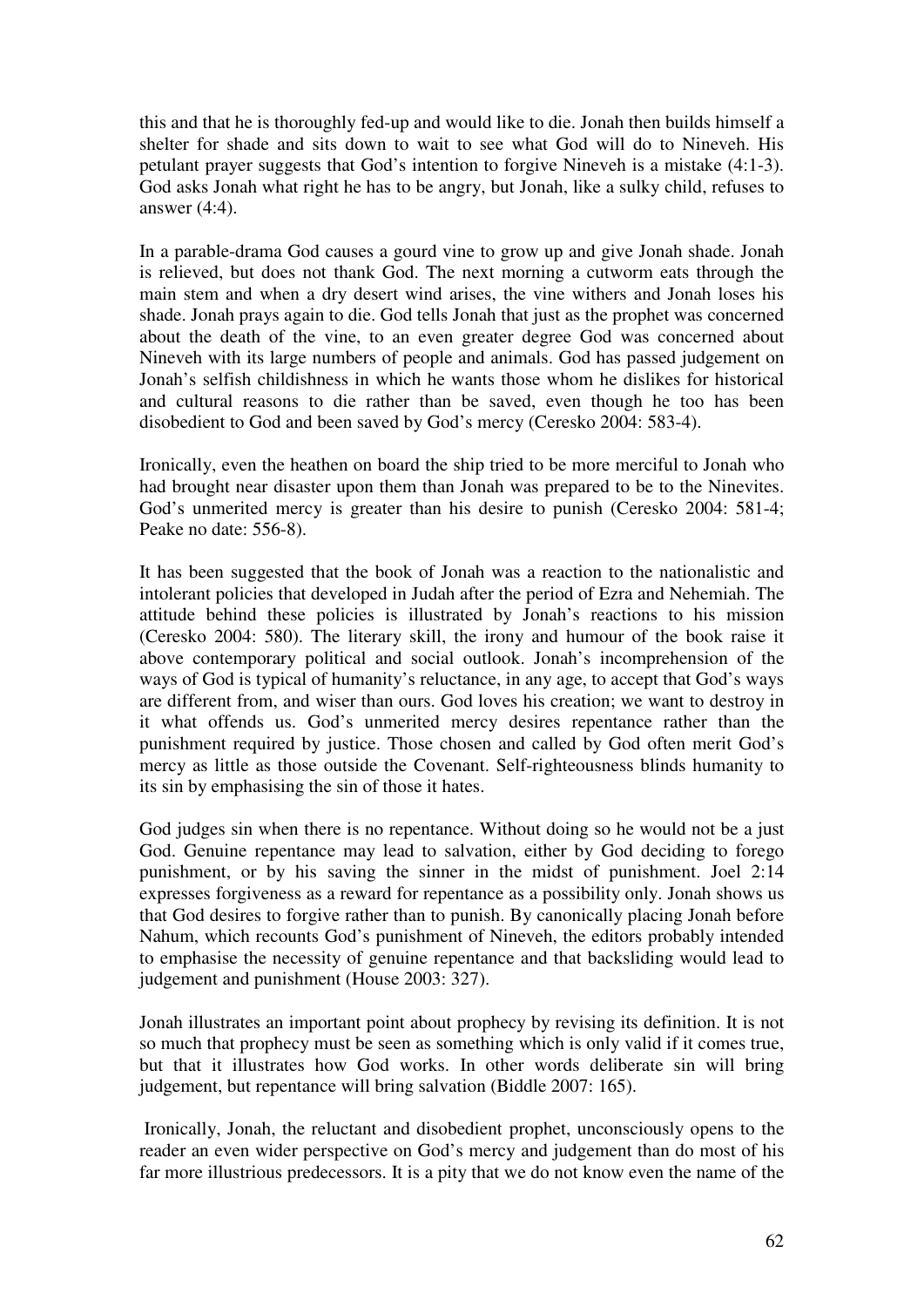this and that he is thoroughly fed-up and would like to die. Jonah then builds himself a shelter for shade and sits down to wait to see what God will do to Nineveh. His petulant prayer suggests that God's intention to forgive Nineveh is a mistake (4:1-3). God asks Jonah what right he has to be angry, but Jonah, like a sulky child, refuses to answer (4:4).

In a parable-drama God causes a gourd vine to grow up and give Jonah shade. Jonah is relieved, but does not thank God. The next morning a cutworm eats through the main stem and when a dry desert wind arises, the vine withers and Jonah loses his shade. Jonah prays again to die. God tells Jonah that just as the prophet was concerned about the death of the vine, to an even greater degree God was concerned about Nineveh with its large numbers of people and animals. God has passed judgement on Jonah's selfish childishness in which he wants those whom he dislikes for historical and cultural reasons to die rather than be saved, even though he too has been disobedient to God and been saved by God's mercy (Ceresko 2004: 583-4).

Ironically, even the heathen on board the ship tried to be more merciful to Jonah who had brought near disaster upon them than Jonah was prepared to be to the Ninevites. God's unmerited mercy is greater than his desire to punish (Ceresko 2004: 581-4; Peake no date: 556-8).

It has been suggested that the book of Jonah was a reaction to the nationalistic and intolerant policies that developed in Judah after the period of Ezra and Nehemiah. The attitude behind these policies is illustrated by Jonah's reactions to his mission (Ceresko 2004: 580). The literary skill, the irony and humour of the book raise it above contemporary political and social outlook. Jonah's incomprehension of the ways of God is typical of humanity's reluctance, in any age, to accept that God's ways are different from, and wiser than ours. God loves his creation; we want to destroy in it what offends us. God's unmerited mercy desires repentance rather than the punishment required by justice. Those chosen and called by God often merit God's mercy as little as those outside the Covenant. Self-righteousness blinds humanity to its sin by emphasising the sin of those it hates.

God judges sin when there is no repentance. Without doing so he would not be a just God. Genuine repentance may lead to salvation, either by God deciding to forego punishment, or by his saving the sinner in the midst of punishment. Joel 2:14 expresses forgiveness as a reward for repentance as a possibility only. Jonah shows us that God desires to forgive rather than to punish. By canonically placing Jonah before Nahum, which recounts God's punishment of Nineveh, the editors probably intended to emphasise the necessity of genuine repentance and that backsliding would lead to judgement and punishment (House 2003: 327).

Jonah illustrates an important point about prophecy by revising its definition. It is not so much that prophecy must be seen as something which is only valid if it comes true, but that it illustrates how God works. In other words deliberate sin will bring judgement, but repentance will bring salvation (Biddle 2007: 165).

 Ironically, Jonah, the reluctant and disobedient prophet, unconsciously opens to the reader an even wider perspective on God's mercy and judgement than do most of his far more illustrious predecessors. It is a pity that we do not know even the name of the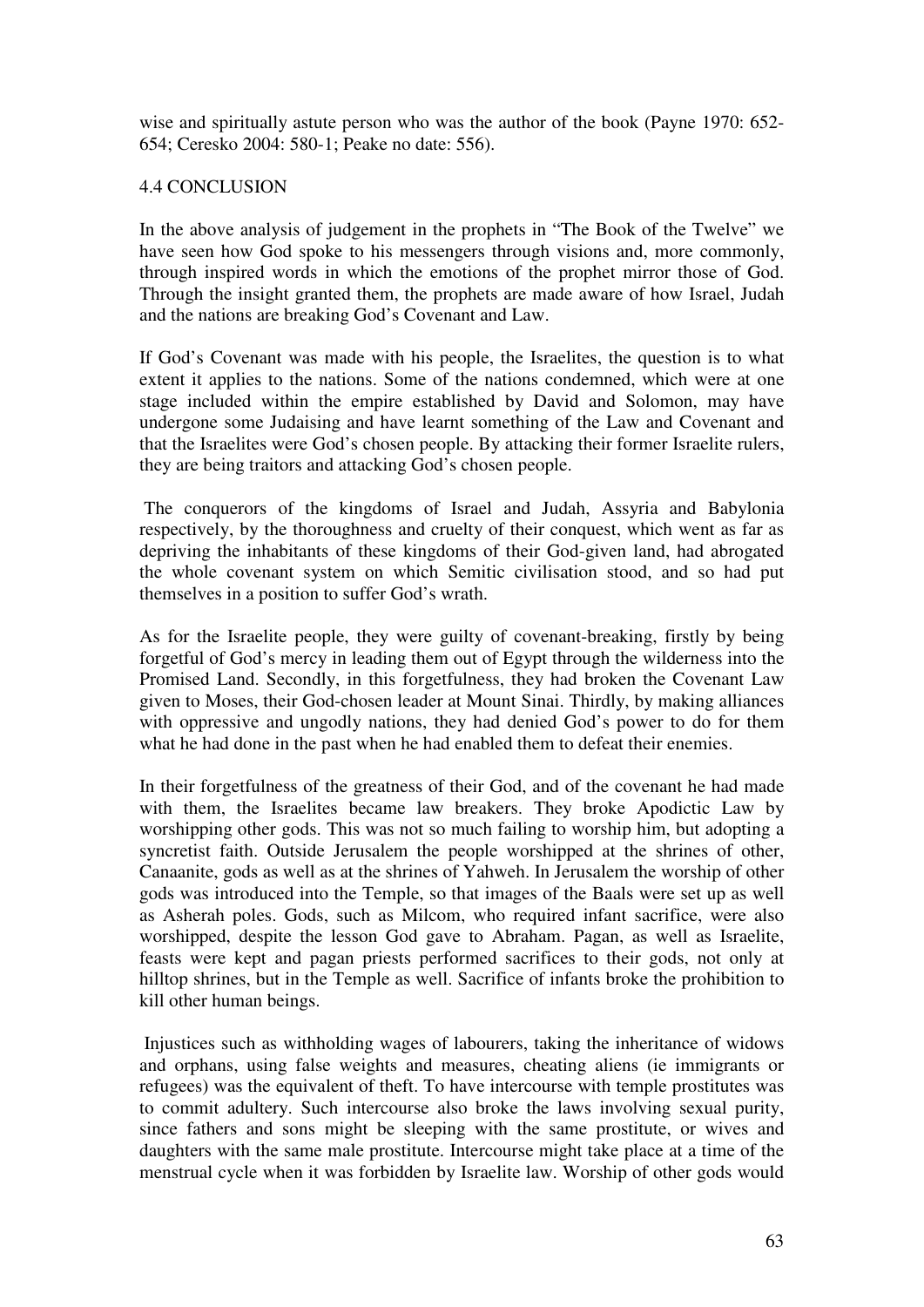wise and spiritually astute person who was the author of the book (Payne 1970: 652- 654; Ceresko 2004: 580-1; Peake no date: 556).

# 4.4 CONCLUSION

In the above analysis of judgement in the prophets in "The Book of the Twelve" we have seen how God spoke to his messengers through visions and, more commonly, through inspired words in which the emotions of the prophet mirror those of God. Through the insight granted them, the prophets are made aware of how Israel, Judah and the nations are breaking God's Covenant and Law.

If God's Covenant was made with his people, the Israelites, the question is to what extent it applies to the nations. Some of the nations condemned, which were at one stage included within the empire established by David and Solomon, may have undergone some Judaising and have learnt something of the Law and Covenant and that the Israelites were God's chosen people. By attacking their former Israelite rulers, they are being traitors and attacking God's chosen people.

 The conquerors of the kingdoms of Israel and Judah, Assyria and Babylonia respectively, by the thoroughness and cruelty of their conquest, which went as far as depriving the inhabitants of these kingdoms of their God-given land, had abrogated the whole covenant system on which Semitic civilisation stood, and so had put themselves in a position to suffer God's wrath.

As for the Israelite people, they were guilty of covenant-breaking, firstly by being forgetful of God's mercy in leading them out of Egypt through the wilderness into the Promised Land. Secondly, in this forgetfulness, they had broken the Covenant Law given to Moses, their God-chosen leader at Mount Sinai. Thirdly, by making alliances with oppressive and ungodly nations, they had denied God's power to do for them what he had done in the past when he had enabled them to defeat their enemies.

In their forgetfulness of the greatness of their God, and of the covenant he had made with them, the Israelites became law breakers. They broke Apodictic Law by worshipping other gods. This was not so much failing to worship him, but adopting a syncretist faith. Outside Jerusalem the people worshipped at the shrines of other, Canaanite, gods as well as at the shrines of Yahweh. In Jerusalem the worship of other gods was introduced into the Temple, so that images of the Baals were set up as well as Asherah poles. Gods, such as Milcom, who required infant sacrifice, were also worshipped, despite the lesson God gave to Abraham. Pagan, as well as Israelite, feasts were kept and pagan priests performed sacrifices to their gods, not only at hilltop shrines, but in the Temple as well. Sacrifice of infants broke the prohibition to kill other human beings.

 Injustices such as withholding wages of labourers, taking the inheritance of widows and orphans, using false weights and measures, cheating aliens (ie immigrants or refugees) was the equivalent of theft. To have intercourse with temple prostitutes was to commit adultery. Such intercourse also broke the laws involving sexual purity, since fathers and sons might be sleeping with the same prostitute, or wives and daughters with the same male prostitute. Intercourse might take place at a time of the menstrual cycle when it was forbidden by Israelite law. Worship of other gods would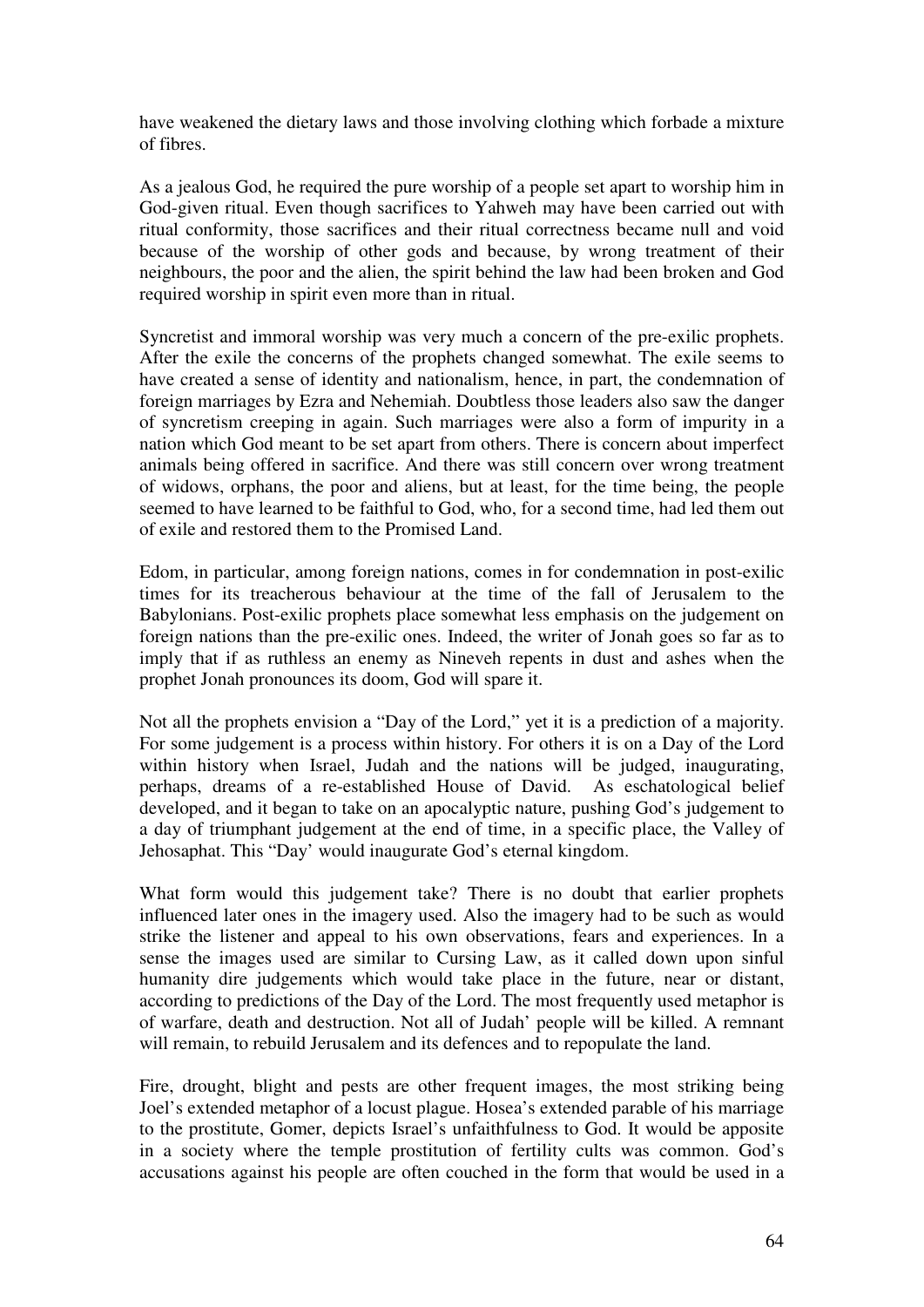have weakened the dietary laws and those involving clothing which forbade a mixture of fibres.

As a jealous God, he required the pure worship of a people set apart to worship him in God-given ritual. Even though sacrifices to Yahweh may have been carried out with ritual conformity, those sacrifices and their ritual correctness became null and void because of the worship of other gods and because, by wrong treatment of their neighbours, the poor and the alien, the spirit behind the law had been broken and God required worship in spirit even more than in ritual.

Syncretist and immoral worship was very much a concern of the pre-exilic prophets. After the exile the concerns of the prophets changed somewhat. The exile seems to have created a sense of identity and nationalism, hence, in part, the condemnation of foreign marriages by Ezra and Nehemiah. Doubtless those leaders also saw the danger of syncretism creeping in again. Such marriages were also a form of impurity in a nation which God meant to be set apart from others. There is concern about imperfect animals being offered in sacrifice. And there was still concern over wrong treatment of widows, orphans, the poor and aliens, but at least, for the time being, the people seemed to have learned to be faithful to God, who, for a second time, had led them out of exile and restored them to the Promised Land.

Edom, in particular, among foreign nations, comes in for condemnation in post-exilic times for its treacherous behaviour at the time of the fall of Jerusalem to the Babylonians. Post-exilic prophets place somewhat less emphasis on the judgement on foreign nations than the pre-exilic ones. Indeed, the writer of Jonah goes so far as to imply that if as ruthless an enemy as Nineveh repents in dust and ashes when the prophet Jonah pronounces its doom, God will spare it.

Not all the prophets envision a "Day of the Lord," yet it is a prediction of a majority. For some judgement is a process within history. For others it is on a Day of the Lord within history when Israel, Judah and the nations will be judged, inaugurating, perhaps, dreams of a re-established House of David. As eschatological belief developed, and it began to take on an apocalyptic nature, pushing God's judgement to a day of triumphant judgement at the end of time, in a specific place, the Valley of Jehosaphat. This "Day' would inaugurate God's eternal kingdom.

What form would this judgement take? There is no doubt that earlier prophets influenced later ones in the imagery used. Also the imagery had to be such as would strike the listener and appeal to his own observations, fears and experiences. In a sense the images used are similar to Cursing Law, as it called down upon sinful humanity dire judgements which would take place in the future, near or distant, according to predictions of the Day of the Lord. The most frequently used metaphor is of warfare, death and destruction. Not all of Judah' people will be killed. A remnant will remain, to rebuild Jerusalem and its defences and to repopulate the land.

Fire, drought, blight and pests are other frequent images, the most striking being Joel's extended metaphor of a locust plague. Hosea's extended parable of his marriage to the prostitute, Gomer, depicts Israel's unfaithfulness to God. It would be apposite in a society where the temple prostitution of fertility cults was common. God's accusations against his people are often couched in the form that would be used in a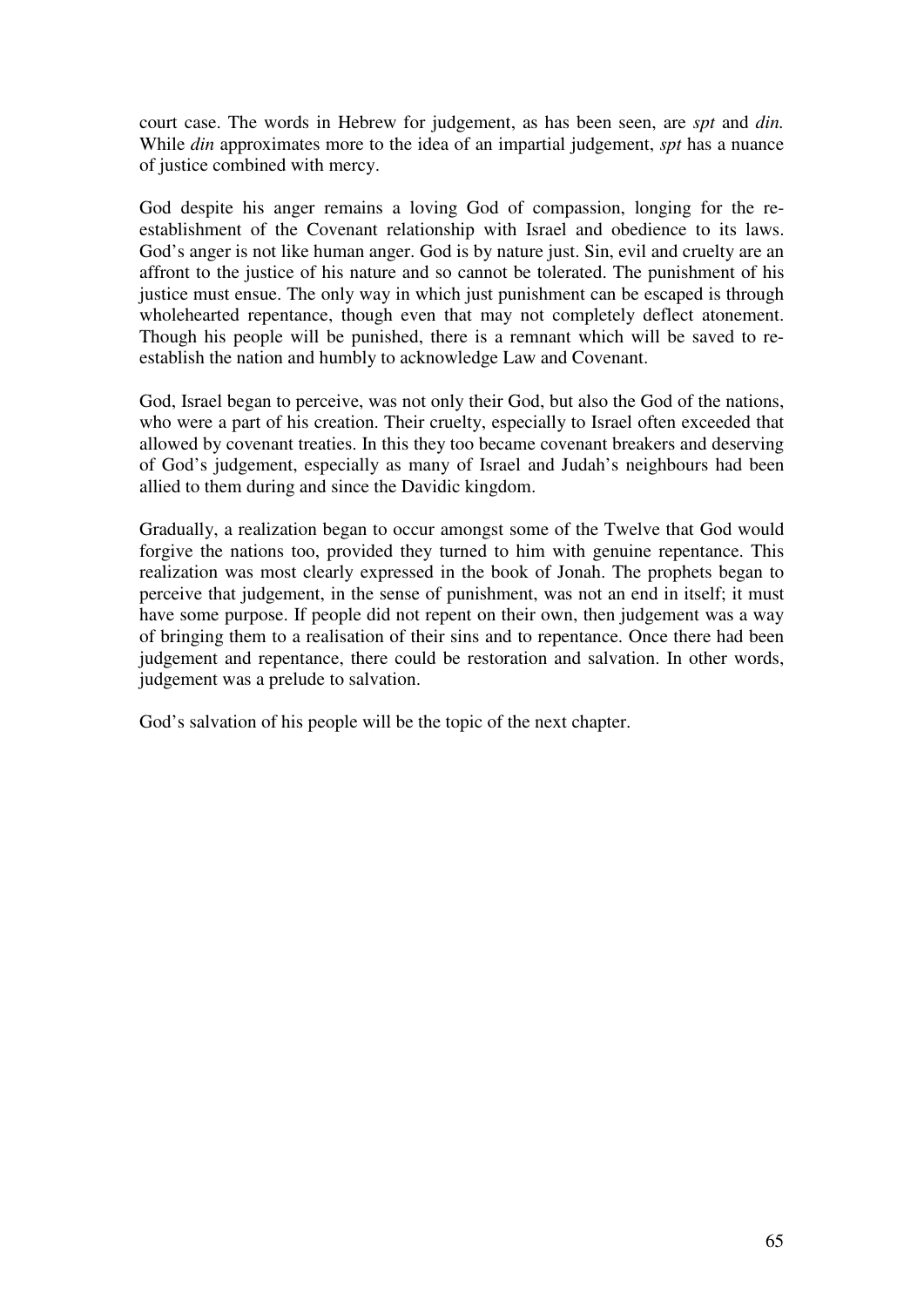court case. The words in Hebrew for judgement, as has been seen, are *spt* and *din.* While *din* approximates more to the idea of an impartial judgement, *spt* has a nuance of justice combined with mercy.

God despite his anger remains a loving God of compassion, longing for the reestablishment of the Covenant relationship with Israel and obedience to its laws. God's anger is not like human anger. God is by nature just. Sin, evil and cruelty are an affront to the justice of his nature and so cannot be tolerated. The punishment of his justice must ensue. The only way in which just punishment can be escaped is through wholehearted repentance, though even that may not completely deflect atonement. Though his people will be punished, there is a remnant which will be saved to reestablish the nation and humbly to acknowledge Law and Covenant.

God, Israel began to perceive, was not only their God, but also the God of the nations, who were a part of his creation. Their cruelty, especially to Israel often exceeded that allowed by covenant treaties. In this they too became covenant breakers and deserving of God's judgement, especially as many of Israel and Judah's neighbours had been allied to them during and since the Davidic kingdom.

Gradually, a realization began to occur amongst some of the Twelve that God would forgive the nations too, provided they turned to him with genuine repentance. This realization was most clearly expressed in the book of Jonah. The prophets began to perceive that judgement, in the sense of punishment, was not an end in itself; it must have some purpose. If people did not repent on their own, then judgement was a way of bringing them to a realisation of their sins and to repentance. Once there had been judgement and repentance, there could be restoration and salvation. In other words, judgement was a prelude to salvation.

God's salvation of his people will be the topic of the next chapter.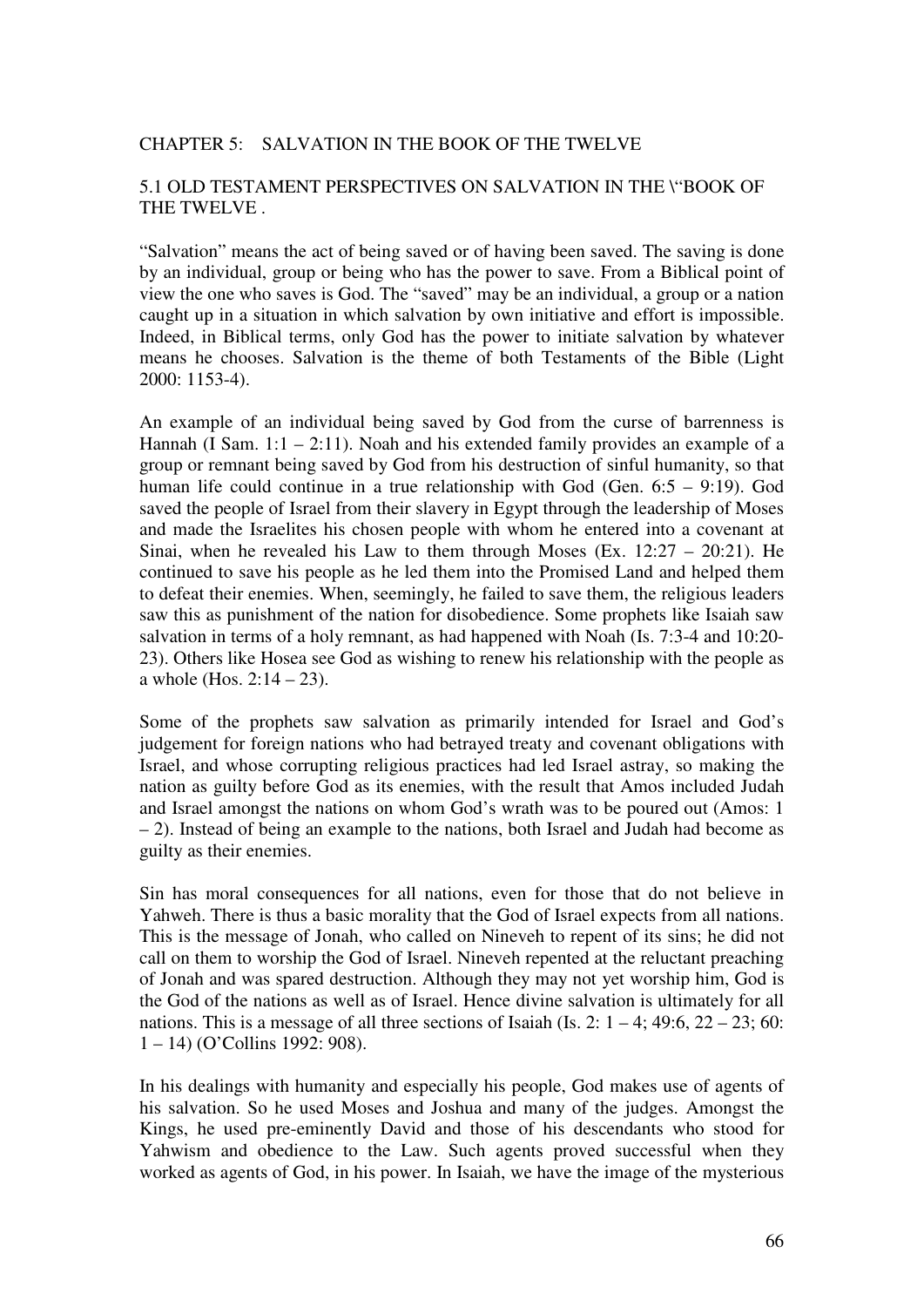#### CHAPTER 5: SALVATION IN THE BOOK OF THE TWELVE

# 5.1 OLD TESTAMENT PERSPECTIVES ON SALVATION IN THE \"BOOK OF THE TWELVE .

"Salvation" means the act of being saved or of having been saved. The saving is done by an individual, group or being who has the power to save. From a Biblical point of view the one who saves is God. The "saved" may be an individual, a group or a nation caught up in a situation in which salvation by own initiative and effort is impossible. Indeed, in Biblical terms, only God has the power to initiate salvation by whatever means he chooses. Salvation is the theme of both Testaments of the Bible (Light 2000: 1153-4).

An example of an individual being saved by God from the curse of barrenness is Hannah (I Sam.  $1:1 - 2:11$ ). Noah and his extended family provides an example of a group or remnant being saved by God from his destruction of sinful humanity, so that human life could continue in a true relationship with God (Gen. 6:5 – 9:19). God saved the people of Israel from their slavery in Egypt through the leadership of Moses and made the Israelites his chosen people with whom he entered into a covenant at Sinai, when he revealed his Law to them through Moses (Ex.  $12:27 - 20:21$ ). He continued to save his people as he led them into the Promised Land and helped them to defeat their enemies. When, seemingly, he failed to save them, the religious leaders saw this as punishment of the nation for disobedience. Some prophets like Isaiah saw salvation in terms of a holy remnant, as had happened with Noah (Is. 7:3-4 and 10:20- 23). Others like Hosea see God as wishing to renew his relationship with the people as a whole (Hos.  $2:14 - 23$ ).

Some of the prophets saw salvation as primarily intended for Israel and God's judgement for foreign nations who had betrayed treaty and covenant obligations with Israel, and whose corrupting religious practices had led Israel astray, so making the nation as guilty before God as its enemies, with the result that Amos included Judah and Israel amongst the nations on whom God's wrath was to be poured out (Amos: 1 – 2). Instead of being an example to the nations, both Israel and Judah had become as guilty as their enemies.

Sin has moral consequences for all nations, even for those that do not believe in Yahweh. There is thus a basic morality that the God of Israel expects from all nations. This is the message of Jonah, who called on Nineveh to repent of its sins; he did not call on them to worship the God of Israel. Nineveh repented at the reluctant preaching of Jonah and was spared destruction. Although they may not yet worship him, God is the God of the nations as well as of Israel. Hence divine salvation is ultimately for all nations. This is a message of all three sections of Isaiah (Is. 2:  $1 - 4$ ; 49:6, 22 – 23; 60: 1 – 14) (O'Collins 1992: 908).

In his dealings with humanity and especially his people, God makes use of agents of his salvation. So he used Moses and Joshua and many of the judges. Amongst the Kings, he used pre-eminently David and those of his descendants who stood for Yahwism and obedience to the Law. Such agents proved successful when they worked as agents of God, in his power. In Isaiah, we have the image of the mysterious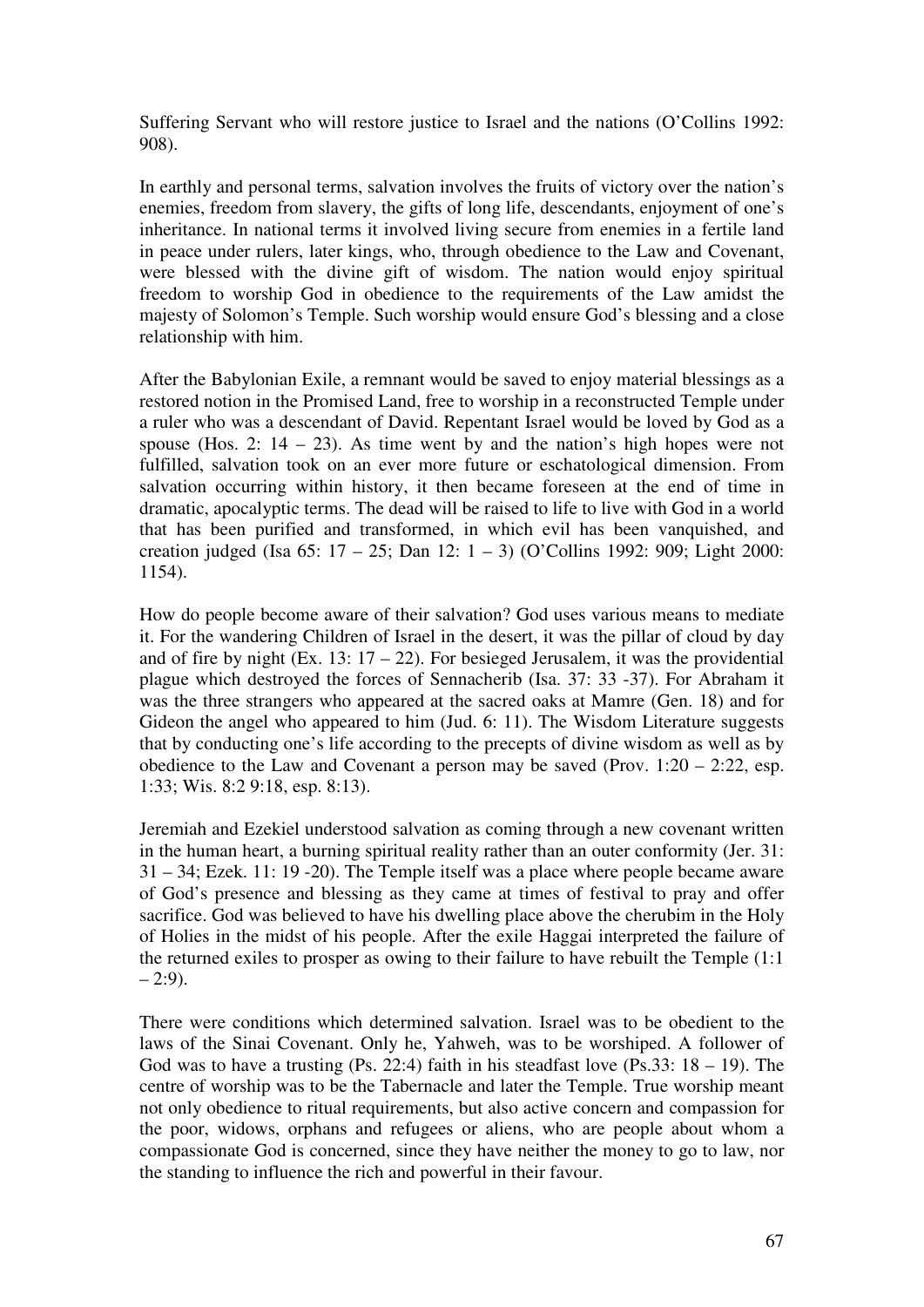Suffering Servant who will restore justice to Israel and the nations (O'Collins 1992: 908).

In earthly and personal terms, salvation involves the fruits of victory over the nation's enemies, freedom from slavery, the gifts of long life, descendants, enjoyment of one's inheritance. In national terms it involved living secure from enemies in a fertile land in peace under rulers, later kings, who, through obedience to the Law and Covenant, were blessed with the divine gift of wisdom. The nation would enjoy spiritual freedom to worship God in obedience to the requirements of the Law amidst the majesty of Solomon's Temple. Such worship would ensure God's blessing and a close relationship with him.

After the Babylonian Exile, a remnant would be saved to enjoy material blessings as a restored notion in the Promised Land, free to worship in a reconstructed Temple under a ruler who was a descendant of David. Repentant Israel would be loved by God as a spouse (Hos. 2:  $14 - 23$ ). As time went by and the nation's high hopes were not fulfilled, salvation took on an ever more future or eschatological dimension. From salvation occurring within history, it then became foreseen at the end of time in dramatic, apocalyptic terms. The dead will be raised to life to live with God in a world that has been purified and transformed, in which evil has been vanquished, and creation judged (Isa 65: 17 – 25; Dan 12: 1 – 3) (O'Collins 1992: 909; Light 2000: 1154).

How do people become aware of their salvation? God uses various means to mediate it. For the wandering Children of Israel in the desert, it was the pillar of cloud by day and of fire by night (Ex. 13:  $17 - 22$ ). For besieged Jerusalem, it was the providential plague which destroyed the forces of Sennacherib (Isa. 37: 33 -37). For Abraham it was the three strangers who appeared at the sacred oaks at Mamre (Gen. 18) and for Gideon the angel who appeared to him (Jud. 6: 11). The Wisdom Literature suggests that by conducting one's life according to the precepts of divine wisdom as well as by obedience to the Law and Covenant a person may be saved (Prov.  $1:20 - 2:22$ , esp. 1:33; Wis. 8:2 9:18, esp. 8:13).

Jeremiah and Ezekiel understood salvation as coming through a new covenant written in the human heart, a burning spiritual reality rather than an outer conformity (Jer. 31: 31 – 34; Ezek. 11: 19 -20). The Temple itself was a place where people became aware of God's presence and blessing as they came at times of festival to pray and offer sacrifice. God was believed to have his dwelling place above the cherubim in the Holy of Holies in the midst of his people. After the exile Haggai interpreted the failure of the returned exiles to prosper as owing to their failure to have rebuilt the Temple (1:1  $-2:9$ ).

There were conditions which determined salvation. Israel was to be obedient to the laws of the Sinai Covenant. Only he, Yahweh, was to be worshiped. A follower of God was to have a trusting (Ps. 22:4) faith in his steadfast love (Ps. 33:  $18 - 19$ ). The centre of worship was to be the Tabernacle and later the Temple. True worship meant not only obedience to ritual requirements, but also active concern and compassion for the poor, widows, orphans and refugees or aliens, who are people about whom a compassionate God is concerned, since they have neither the money to go to law, nor the standing to influence the rich and powerful in their favour.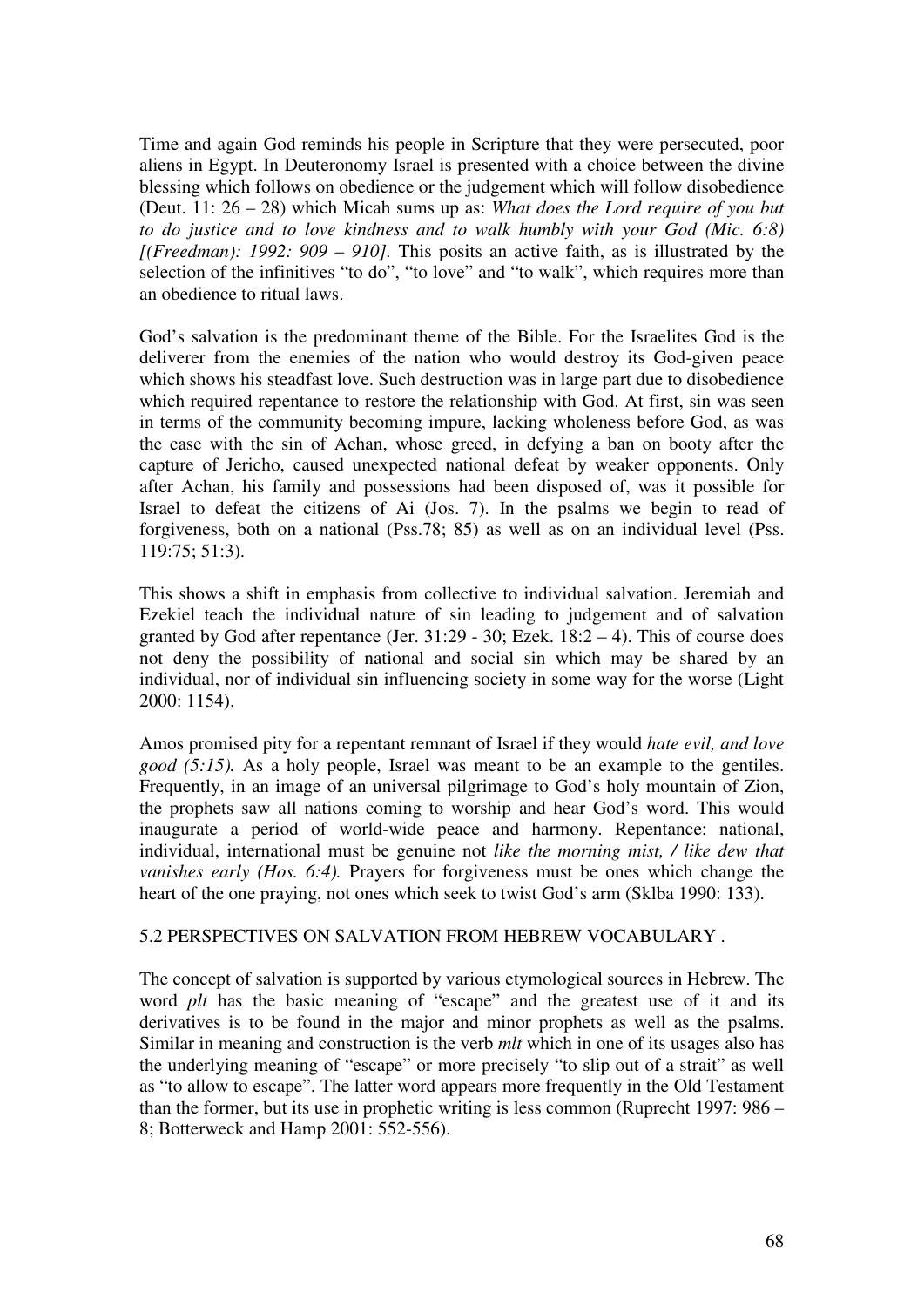Time and again God reminds his people in Scripture that they were persecuted, poor aliens in Egypt. In Deuteronomy Israel is presented with a choice between the divine blessing which follows on obedience or the judgement which will follow disobedience (Deut. 11: 26 – 28) which Micah sums up as: *What does the Lord require of you but to do justice and to love kindness and to walk humbly with your God (Mic. 6:8) [(Freedman): 1992: 909 – 910].* This posits an active faith, as is illustrated by the selection of the infinitives "to do", "to love" and "to walk", which requires more than an obedience to ritual laws.

God's salvation is the predominant theme of the Bible. For the Israelites God is the deliverer from the enemies of the nation who would destroy its God-given peace which shows his steadfast love. Such destruction was in large part due to disobedience which required repentance to restore the relationship with God. At first, sin was seen in terms of the community becoming impure, lacking wholeness before God, as was the case with the sin of Achan, whose greed, in defying a ban on booty after the capture of Jericho, caused unexpected national defeat by weaker opponents. Only after Achan, his family and possessions had been disposed of, was it possible for Israel to defeat the citizens of Ai (Jos. 7). In the psalms we begin to read of forgiveness, both on a national (Pss.78; 85) as well as on an individual level (Pss. 119:75; 51:3).

This shows a shift in emphasis from collective to individual salvation. Jeremiah and Ezekiel teach the individual nature of sin leading to judgement and of salvation granted by God after repentance (Jer.  $31:29 - 30$ ; Ezek.  $18:2 - 4$ ). This of course does not deny the possibility of national and social sin which may be shared by an individual, nor of individual sin influencing society in some way for the worse (Light 2000: 1154).

Amos promised pity for a repentant remnant of Israel if they would *hate evil, and love good (5:15).* As a holy people, Israel was meant to be an example to the gentiles. Frequently, in an image of an universal pilgrimage to God's holy mountain of Zion, the prophets saw all nations coming to worship and hear God's word. This would inaugurate a period of world-wide peace and harmony. Repentance: national, individual, international must be genuine not *like the morning mist, / like dew that vanishes early (Hos. 6:4).* Prayers for forgiveness must be ones which change the heart of the one praying, not ones which seek to twist God's arm (Sklba 1990: 133).

### 5.2 PERSPECTIVES ON SALVATION FROM HEBREW VOCABULARY .

The concept of salvation is supported by various etymological sources in Hebrew. The word *plt* has the basic meaning of "escape" and the greatest use of it and its derivatives is to be found in the major and minor prophets as well as the psalms. Similar in meaning and construction is the verb *mlt* which in one of its usages also has the underlying meaning of "escape" or more precisely "to slip out of a strait" as well as "to allow to escape". The latter word appears more frequently in the Old Testament than the former, but its use in prophetic writing is less common (Ruprecht 1997: 986 – 8; Botterweck and Hamp 2001: 552-556).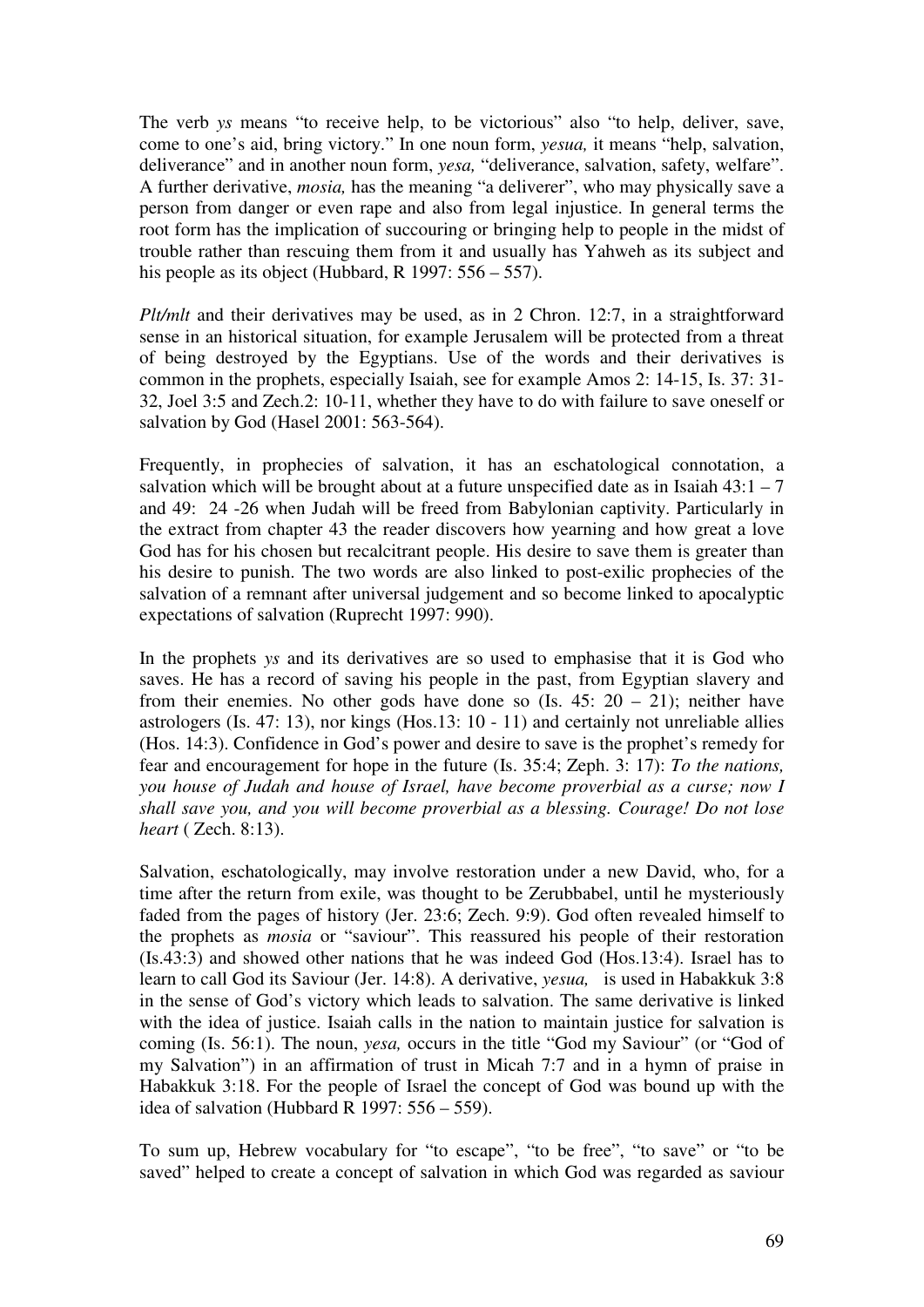The verb *ys* means "to receive help, to be victorious" also "to help, deliver, save, come to one's aid, bring victory." In one noun form, *yesua,* it means "help, salvation, deliverance" and in another noun form, *yesa,* "deliverance, salvation, safety, welfare". A further derivative, *mosia,* has the meaning "a deliverer", who may physically save a person from danger or even rape and also from legal injustice. In general terms the root form has the implication of succouring or bringing help to people in the midst of trouble rather than rescuing them from it and usually has Yahweh as its subject and his people as its object (Hubbard, R 1997: 556 – 557).

*Plt/mlt* and their derivatives may be used, as in 2 Chron. 12:7, in a straightforward sense in an historical situation, for example Jerusalem will be protected from a threat of being destroyed by the Egyptians. Use of the words and their derivatives is common in the prophets, especially Isaiah, see for example Amos 2: 14-15, Is. 37: 31- 32, Joel 3:5 and Zech.2: 10-11, whether they have to do with failure to save oneself or salvation by God (Hasel 2001: 563-564).

Frequently, in prophecies of salvation, it has an eschatological connotation, a salvation which will be brought about at a future unspecified date as in Isaiah  $43:1 - 7$ and 49: 24 -26 when Judah will be freed from Babylonian captivity. Particularly in the extract from chapter 43 the reader discovers how yearning and how great a love God has for his chosen but recalcitrant people. His desire to save them is greater than his desire to punish. The two words are also linked to post-exilic prophecies of the salvation of a remnant after universal judgement and so become linked to apocalyptic expectations of salvation (Ruprecht 1997: 990).

In the prophets *ys* and its derivatives are so used to emphasise that it is God who saves. He has a record of saving his people in the past, from Egyptian slavery and from their enemies. No other gods have done so (Is.  $45: 20 - 21$ ); neither have astrologers (Is. 47: 13), nor kings (Hos.13: 10 - 11) and certainly not unreliable allies (Hos. 14:3). Confidence in God's power and desire to save is the prophet's remedy for fear and encouragement for hope in the future (Is. 35:4; Zeph. 3: 17): *To the nations, you house of Judah and house of Israel, have become proverbial as a curse; now I shall save you, and you will become proverbial as a blessing. Courage! Do not lose heart* ( Zech. 8:13).

Salvation, eschatologically, may involve restoration under a new David, who, for a time after the return from exile, was thought to be Zerubbabel, until he mysteriously faded from the pages of history (Jer. 23:6; Zech. 9:9). God often revealed himself to the prophets as *mosia* or "saviour". This reassured his people of their restoration (Is.43:3) and showed other nations that he was indeed God (Hos.13:4). Israel has to learn to call God its Saviour (Jer. 14:8). A derivative, *yesua,* is used in Habakkuk 3:8 in the sense of God's victory which leads to salvation. The same derivative is linked with the idea of justice. Isaiah calls in the nation to maintain justice for salvation is coming (Is. 56:1). The noun, *yesa,* occurs in the title "God my Saviour" (or "God of my Salvation") in an affirmation of trust in Micah 7:7 and in a hymn of praise in Habakkuk 3:18. For the people of Israel the concept of God was bound up with the idea of salvation (Hubbard R 1997: 556 – 559).

To sum up, Hebrew vocabulary for "to escape", "to be free", "to save" or "to be saved" helped to create a concept of salvation in which God was regarded as saviour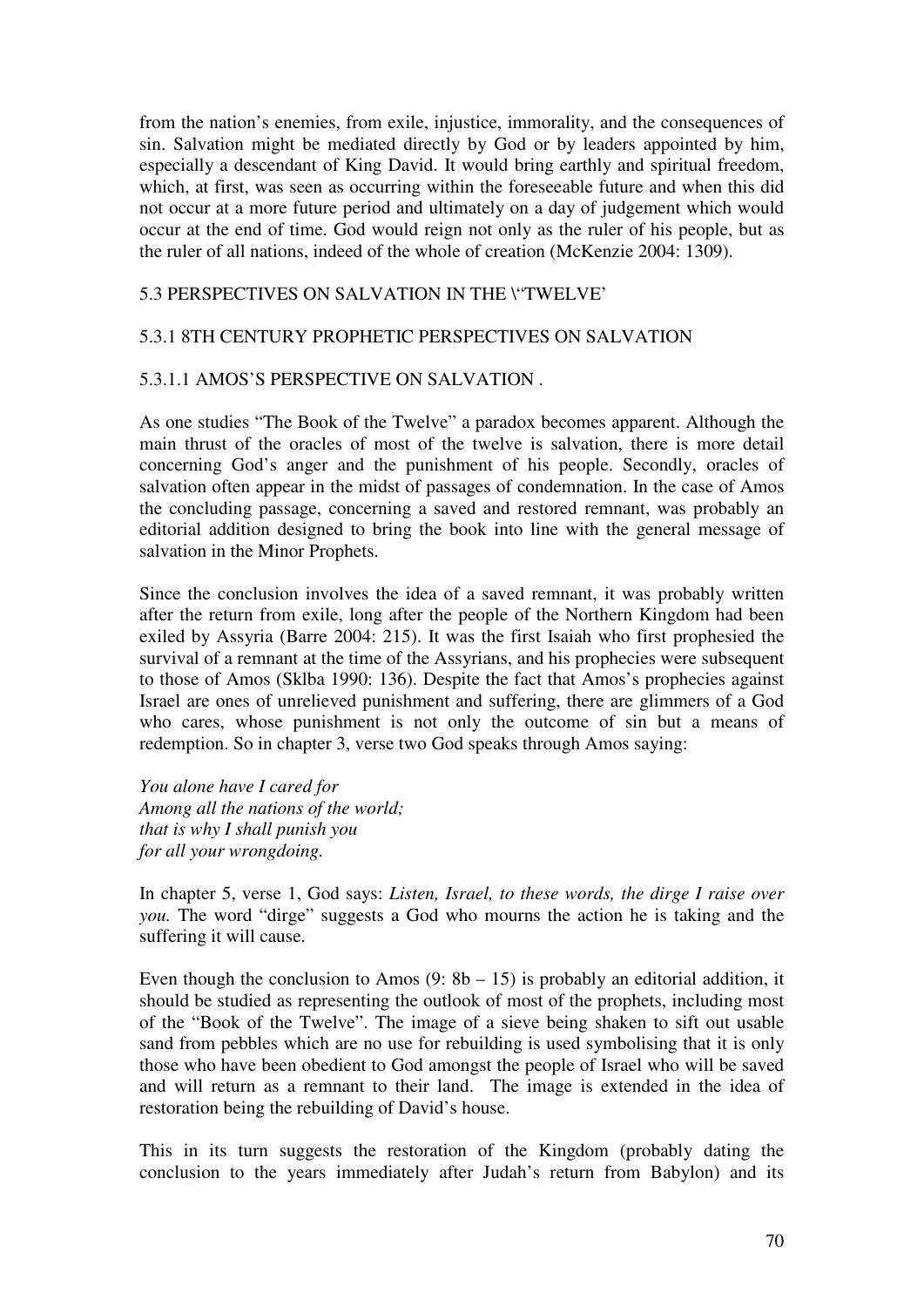from the nation's enemies, from exile, injustice, immorality, and the consequences of sin. Salvation might be mediated directly by God or by leaders appointed by him, especially a descendant of King David. It would bring earthly and spiritual freedom, which, at first, was seen as occurring within the foreseeable future and when this did not occur at a more future period and ultimately on a day of judgement which would occur at the end of time. God would reign not only as the ruler of his people, but as the ruler of all nations, indeed of the whole of creation (McKenzie 2004: 1309).

# 5.3 PERSPECTIVES ON SALVATION IN THE \"TWELVE'

# 5.3.1 8TH CENTURY PROPHETIC PERSPECTIVES ON SALVATION

### 5.3.1.1 AMOS'S PERSPECTIVE ON SALVATION .

As one studies "The Book of the Twelve" a paradox becomes apparent. Although the main thrust of the oracles of most of the twelve is salvation, there is more detail concerning God's anger and the punishment of his people. Secondly, oracles of salvation often appear in the midst of passages of condemnation. In the case of Amos the concluding passage, concerning a saved and restored remnant, was probably an editorial addition designed to bring the book into line with the general message of salvation in the Minor Prophets.

Since the conclusion involves the idea of a saved remnant, it was probably written after the return from exile, long after the people of the Northern Kingdom had been exiled by Assyria (Barre 2004: 215). It was the first Isaiah who first prophesied the survival of a remnant at the time of the Assyrians, and his prophecies were subsequent to those of Amos (Sklba 1990: 136). Despite the fact that Amos's prophecies against Israel are ones of unrelieved punishment and suffering, there are glimmers of a God who cares, whose punishment is not only the outcome of sin but a means of redemption. So in chapter 3, verse two God speaks through Amos saying:

*You alone have I cared for Among all the nations of the world; that is why I shall punish you for all your wrongdoing.* 

In chapter 5, verse 1, God says: *Listen, Israel, to these words, the dirge I raise over you.* The word "dirge" suggests a God who mourns the action he is taking and the suffering it will cause.

Even though the conclusion to Amos  $(9: 8b - 15)$  is probably an editorial addition, it should be studied as representing the outlook of most of the prophets, including most of the "Book of the Twelve". The image of a sieve being shaken to sift out usable sand from pebbles which are no use for rebuilding is used symbolising that it is only those who have been obedient to God amongst the people of Israel who will be saved and will return as a remnant to their land. The image is extended in the idea of restoration being the rebuilding of David's house.

This in its turn suggests the restoration of the Kingdom (probably dating the conclusion to the years immediately after Judah's return from Babylon) and its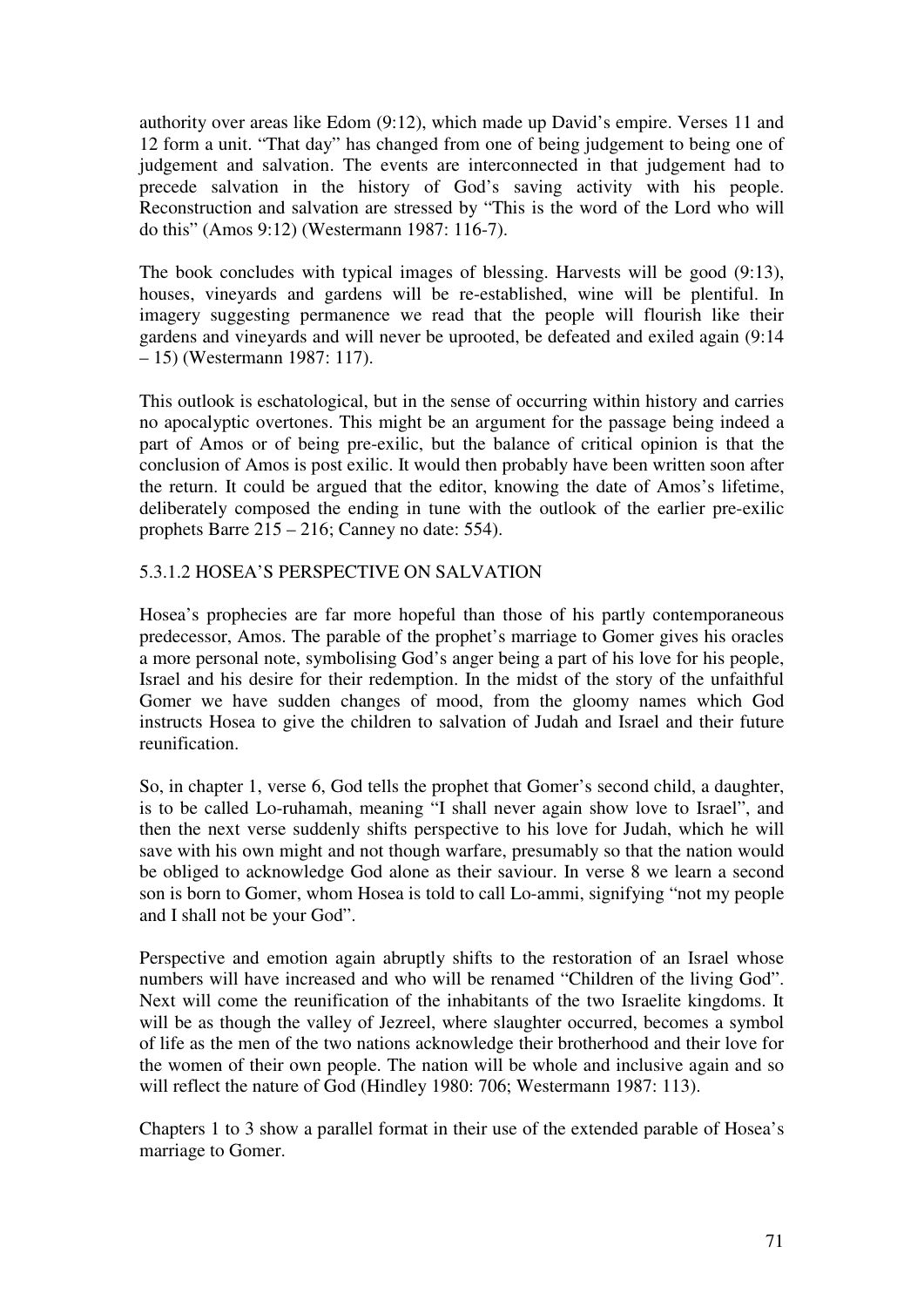authority over areas like Edom (9:12), which made up David's empire. Verses 11 and 12 form a unit. "That day" has changed from one of being judgement to being one of judgement and salvation. The events are interconnected in that judgement had to precede salvation in the history of God's saving activity with his people. Reconstruction and salvation are stressed by "This is the word of the Lord who will do this" (Amos 9:12) (Westermann 1987: 116-7).

The book concludes with typical images of blessing. Harvests will be good (9:13), houses, vineyards and gardens will be re-established, wine will be plentiful. In imagery suggesting permanence we read that the people will flourish like their gardens and vineyards and will never be uprooted, be defeated and exiled again (9:14 – 15) (Westermann 1987: 117).

This outlook is eschatological, but in the sense of occurring within history and carries no apocalyptic overtones. This might be an argument for the passage being indeed a part of Amos or of being pre-exilic, but the balance of critical opinion is that the conclusion of Amos is post exilic. It would then probably have been written soon after the return. It could be argued that the editor, knowing the date of Amos's lifetime, deliberately composed the ending in tune with the outlook of the earlier pre-exilic prophets Barre 215 – 216; Canney no date: 554).

# 5.3.1.2 HOSEA'S PERSPECTIVE ON SALVATION

Hosea's prophecies are far more hopeful than those of his partly contemporaneous predecessor, Amos. The parable of the prophet's marriage to Gomer gives his oracles a more personal note, symbolising God's anger being a part of his love for his people, Israel and his desire for their redemption. In the midst of the story of the unfaithful Gomer we have sudden changes of mood, from the gloomy names which God instructs Hosea to give the children to salvation of Judah and Israel and their future reunification.

So, in chapter 1, verse 6, God tells the prophet that Gomer's second child, a daughter, is to be called Lo-ruhamah, meaning "I shall never again show love to Israel", and then the next verse suddenly shifts perspective to his love for Judah, which he will save with his own might and not though warfare, presumably so that the nation would be obliged to acknowledge God alone as their saviour. In verse 8 we learn a second son is born to Gomer, whom Hosea is told to call Lo-ammi, signifying "not my people and I shall not be your God".

Perspective and emotion again abruptly shifts to the restoration of an Israel whose numbers will have increased and who will be renamed "Children of the living God". Next will come the reunification of the inhabitants of the two Israelite kingdoms. It will be as though the valley of Jezreel, where slaughter occurred, becomes a symbol of life as the men of the two nations acknowledge their brotherhood and their love for the women of their own people. The nation will be whole and inclusive again and so will reflect the nature of God (Hindley 1980: 706; Westermann 1987: 113).

Chapters 1 to 3 show a parallel format in their use of the extended parable of Hosea's marriage to Gomer.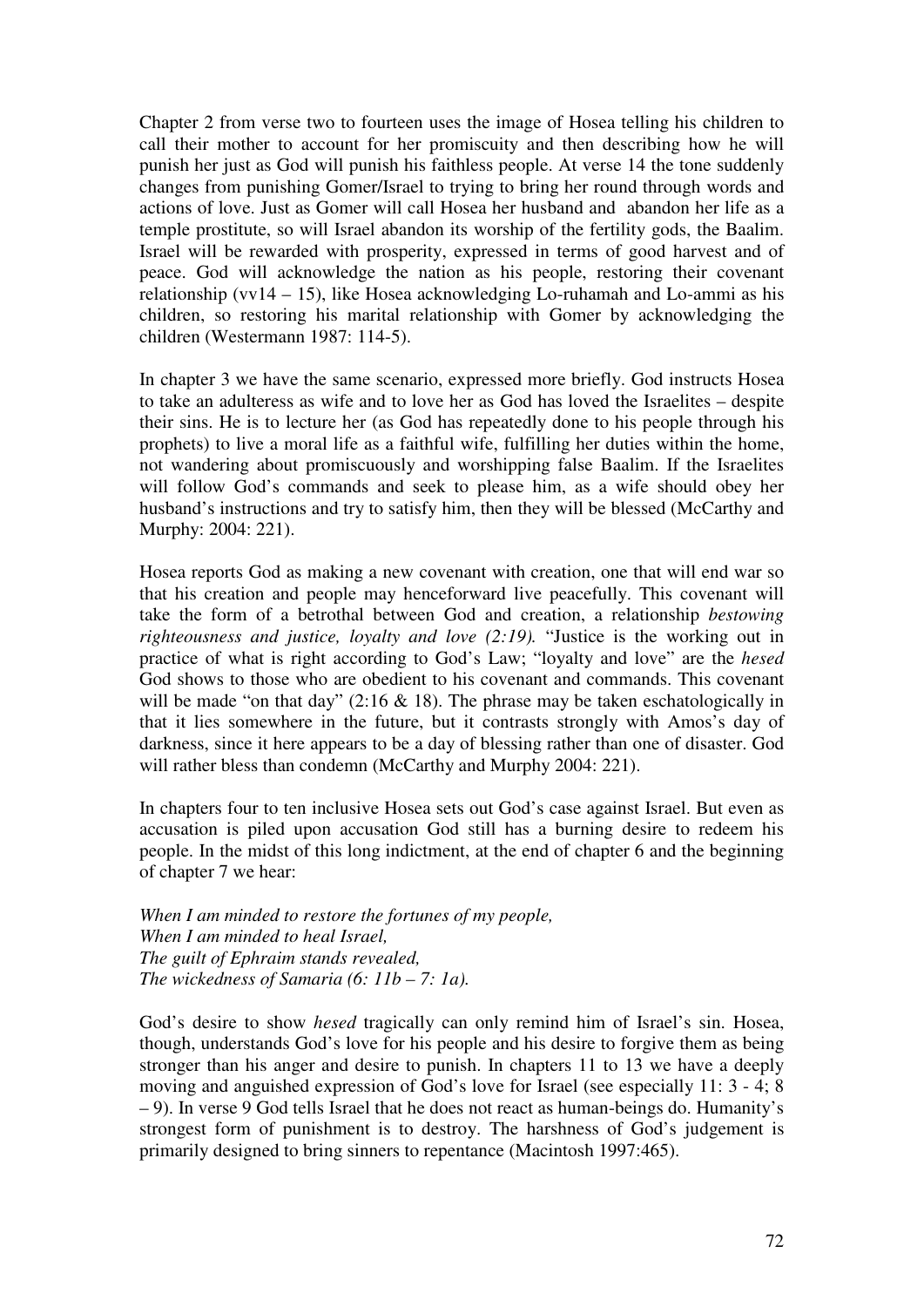Chapter 2 from verse two to fourteen uses the image of Hosea telling his children to call their mother to account for her promiscuity and then describing how he will punish her just as God will punish his faithless people. At verse 14 the tone suddenly changes from punishing Gomer/Israel to trying to bring her round through words and actions of love. Just as Gomer will call Hosea her husband and abandon her life as a temple prostitute, so will Israel abandon its worship of the fertility gods, the Baalim. Israel will be rewarded with prosperity, expressed in terms of good harvest and of peace. God will acknowledge the nation as his people, restoring their covenant relationship (vv14 – 15), like Hosea acknowledging Lo-ruhamah and Lo-ammi as his children, so restoring his marital relationship with Gomer by acknowledging the children (Westermann 1987: 114-5).

In chapter 3 we have the same scenario, expressed more briefly. God instructs Hosea to take an adulteress as wife and to love her as God has loved the Israelites – despite their sins. He is to lecture her (as God has repeatedly done to his people through his prophets) to live a moral life as a faithful wife, fulfilling her duties within the home, not wandering about promiscuously and worshipping false Baalim. If the Israelites will follow God's commands and seek to please him, as a wife should obey her husband's instructions and try to satisfy him, then they will be blessed (McCarthy and Murphy: 2004: 221).

Hosea reports God as making a new covenant with creation, one that will end war so that his creation and people may henceforward live peacefully. This covenant will take the form of a betrothal between God and creation, a relationship *bestowing righteousness and justice, loyalty and love (2:19).* "Justice is the working out in practice of what is right according to God's Law; "loyalty and love" are the *hesed* God shows to those who are obedient to his covenant and commands. This covenant will be made "on that day"  $(2.16 \& 18)$ . The phrase may be taken eschatologically in that it lies somewhere in the future, but it contrasts strongly with Amos's day of darkness, since it here appears to be a day of blessing rather than one of disaster. God will rather bless than condemn (McCarthy and Murphy 2004: 221).

In chapters four to ten inclusive Hosea sets out God's case against Israel. But even as accusation is piled upon accusation God still has a burning desire to redeem his people. In the midst of this long indictment, at the end of chapter 6 and the beginning of chapter 7 we hear:

*When I am minded to restore the fortunes of my people, When I am minded to heal Israel, The guilt of Ephraim stands revealed, The wickedness of Samaria (6: 11b – 7: 1a).*

God's desire to show *hesed* tragically can only remind him of Israel's sin. Hosea, though, understands God's love for his people and his desire to forgive them as being stronger than his anger and desire to punish. In chapters 11 to 13 we have a deeply moving and anguished expression of God's love for Israel (see especially 11: 3 - 4; 8 – 9). In verse 9 God tells Israel that he does not react as human-beings do. Humanity's strongest form of punishment is to destroy. The harshness of God's judgement is primarily designed to bring sinners to repentance (Macintosh 1997:465).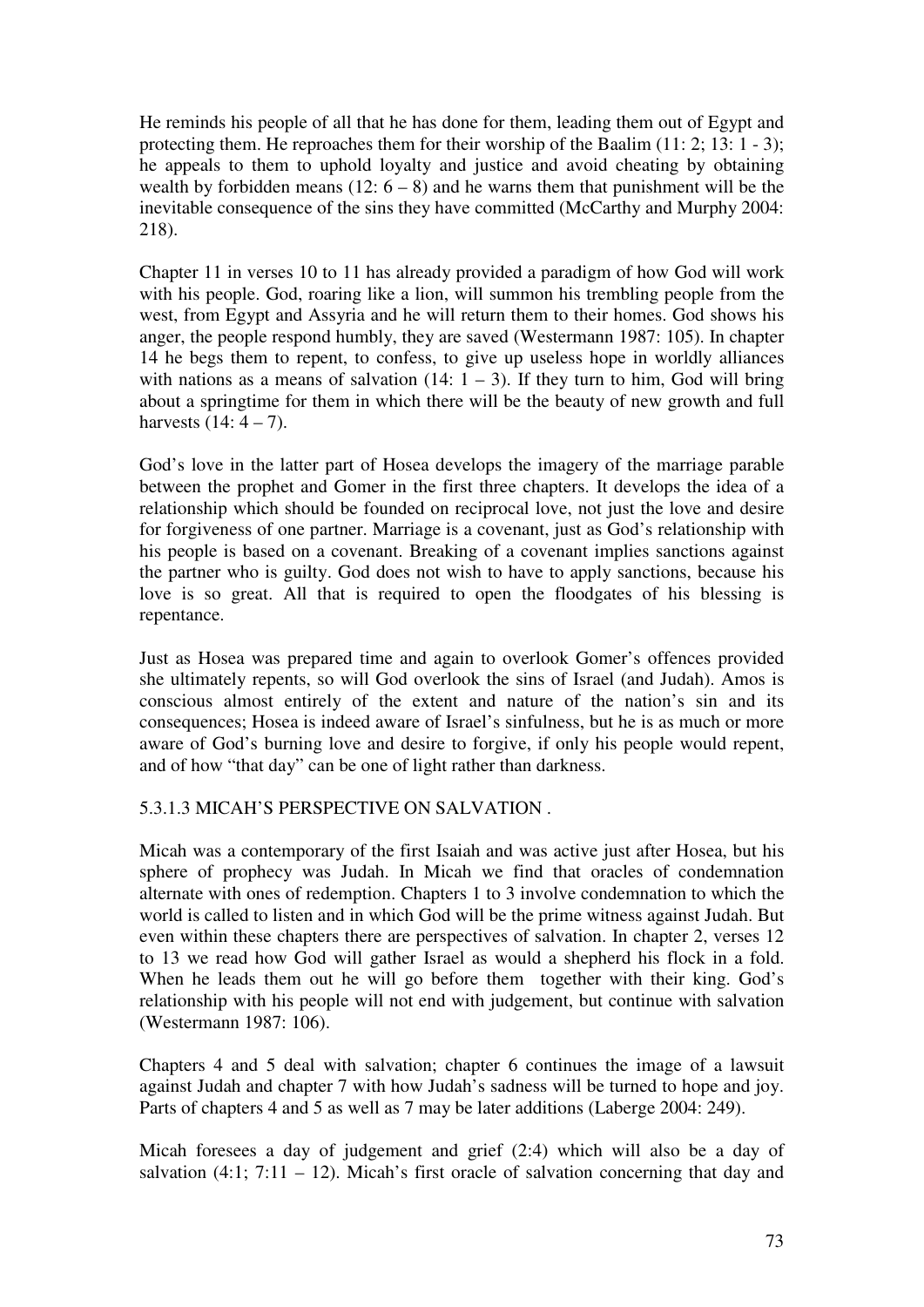He reminds his people of all that he has done for them, leading them out of Egypt and protecting them. He reproaches them for their worship of the Baalim (11: 2; 13: 1 - 3); he appeals to them to uphold loyalty and justice and avoid cheating by obtaining wealth by forbidden means  $(12: 6 - 8)$  and he warns them that punishment will be the inevitable consequence of the sins they have committed (McCarthy and Murphy 2004: 218).

Chapter 11 in verses 10 to 11 has already provided a paradigm of how God will work with his people. God, roaring like a lion, will summon his trembling people from the west, from Egypt and Assyria and he will return them to their homes. God shows his anger, the people respond humbly, they are saved (Westermann 1987: 105). In chapter 14 he begs them to repent, to confess, to give up useless hope in worldly alliances with nations as a means of salvation  $(14: 1 - 3)$ . If they turn to him, God will bring about a springtime for them in which there will be the beauty of new growth and full harvests  $(14: 4 - 7)$ .

God's love in the latter part of Hosea develops the imagery of the marriage parable between the prophet and Gomer in the first three chapters. It develops the idea of a relationship which should be founded on reciprocal love, not just the love and desire for forgiveness of one partner. Marriage is a covenant, just as God's relationship with his people is based on a covenant. Breaking of a covenant implies sanctions against the partner who is guilty. God does not wish to have to apply sanctions, because his love is so great. All that is required to open the floodgates of his blessing is repentance.

Just as Hosea was prepared time and again to overlook Gomer's offences provided she ultimately repents, so will God overlook the sins of Israel (and Judah). Amos is conscious almost entirely of the extent and nature of the nation's sin and its consequences; Hosea is indeed aware of Israel's sinfulness, but he is as much or more aware of God's burning love and desire to forgive, if only his people would repent, and of how "that day" can be one of light rather than darkness.

# 5.3.1.3 MICAH'S PERSPECTIVE ON SALVATION .

Micah was a contemporary of the first Isaiah and was active just after Hosea, but his sphere of prophecy was Judah. In Micah we find that oracles of condemnation alternate with ones of redemption. Chapters 1 to 3 involve condemnation to which the world is called to listen and in which God will be the prime witness against Judah. But even within these chapters there are perspectives of salvation. In chapter 2, verses 12 to 13 we read how God will gather Israel as would a shepherd his flock in a fold. When he leads them out he will go before them together with their king. God's relationship with his people will not end with judgement, but continue with salvation (Westermann 1987: 106).

Chapters 4 and 5 deal with salvation; chapter 6 continues the image of a lawsuit against Judah and chapter 7 with how Judah's sadness will be turned to hope and joy. Parts of chapters 4 and 5 as well as 7 may be later additions (Laberge 2004: 249).

Micah foresees a day of judgement and grief (2:4) which will also be a day of salvation  $(4:1; 7:11 - 12)$ . Micah's first oracle of salvation concerning that day and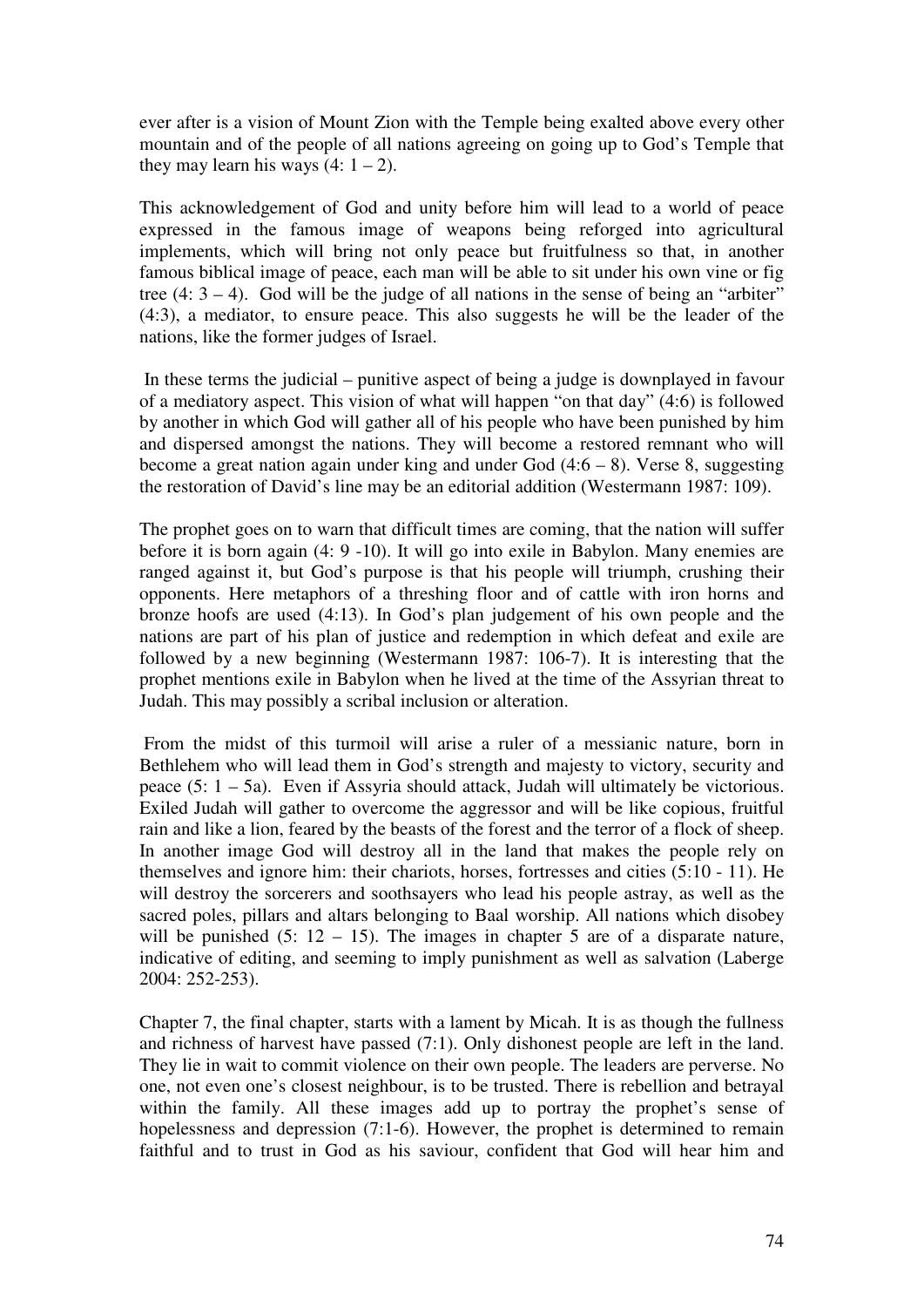ever after is a vision of Mount Zion with the Temple being exalted above every other mountain and of the people of all nations agreeing on going up to God's Temple that they may learn his ways  $(4: 1 – 2)$ .

This acknowledgement of God and unity before him will lead to a world of peace expressed in the famous image of weapons being reforged into agricultural implements, which will bring not only peace but fruitfulness so that, in another famous biblical image of peace, each man will be able to sit under his own vine or fig tree  $(4: 3 - 4)$ . God will be the judge of all nations in the sense of being an "arbiter" (4:3), a mediator, to ensure peace. This also suggests he will be the leader of the nations, like the former judges of Israel.

 In these terms the judicial – punitive aspect of being a judge is downplayed in favour of a mediatory aspect. This vision of what will happen "on that day" (4:6) is followed by another in which God will gather all of his people who have been punished by him and dispersed amongst the nations. They will become a restored remnant who will become a great nation again under king and under God  $(4.6 - 8)$ . Verse 8, suggesting the restoration of David's line may be an editorial addition (Westermann 1987: 109).

The prophet goes on to warn that difficult times are coming, that the nation will suffer before it is born again (4: 9 -10). It will go into exile in Babylon. Many enemies are ranged against it, but God's purpose is that his people will triumph, crushing their opponents. Here metaphors of a threshing floor and of cattle with iron horns and bronze hoofs are used (4:13). In God's plan judgement of his own people and the nations are part of his plan of justice and redemption in which defeat and exile are followed by a new beginning (Westermann 1987: 106-7). It is interesting that the prophet mentions exile in Babylon when he lived at the time of the Assyrian threat to Judah. This may possibly a scribal inclusion or alteration.

 From the midst of this turmoil will arise a ruler of a messianic nature, born in Bethlehem who will lead them in God's strength and majesty to victory, security and peace (5: 1 – 5a). Even if Assyria should attack, Judah will ultimately be victorious. Exiled Judah will gather to overcome the aggressor and will be like copious, fruitful rain and like a lion, feared by the beasts of the forest and the terror of a flock of sheep. In another image God will destroy all in the land that makes the people rely on themselves and ignore him: their chariots, horses, fortresses and cities (5:10 - 11). He will destroy the sorcerers and soothsayers who lead his people astray, as well as the sacred poles, pillars and altars belonging to Baal worship. All nations which disobey will be punished  $(5: 12 - 15)$ . The images in chapter 5 are of a disparate nature, indicative of editing, and seeming to imply punishment as well as salvation (Laberge 2004: 252-253).

Chapter 7, the final chapter, starts with a lament by Micah. It is as though the fullness and richness of harvest have passed (7:1). Only dishonest people are left in the land. They lie in wait to commit violence on their own people. The leaders are perverse. No one, not even one's closest neighbour, is to be trusted. There is rebellion and betrayal within the family. All these images add up to portray the prophet's sense of hopelessness and depression (7:1-6). However, the prophet is determined to remain faithful and to trust in God as his saviour, confident that God will hear him and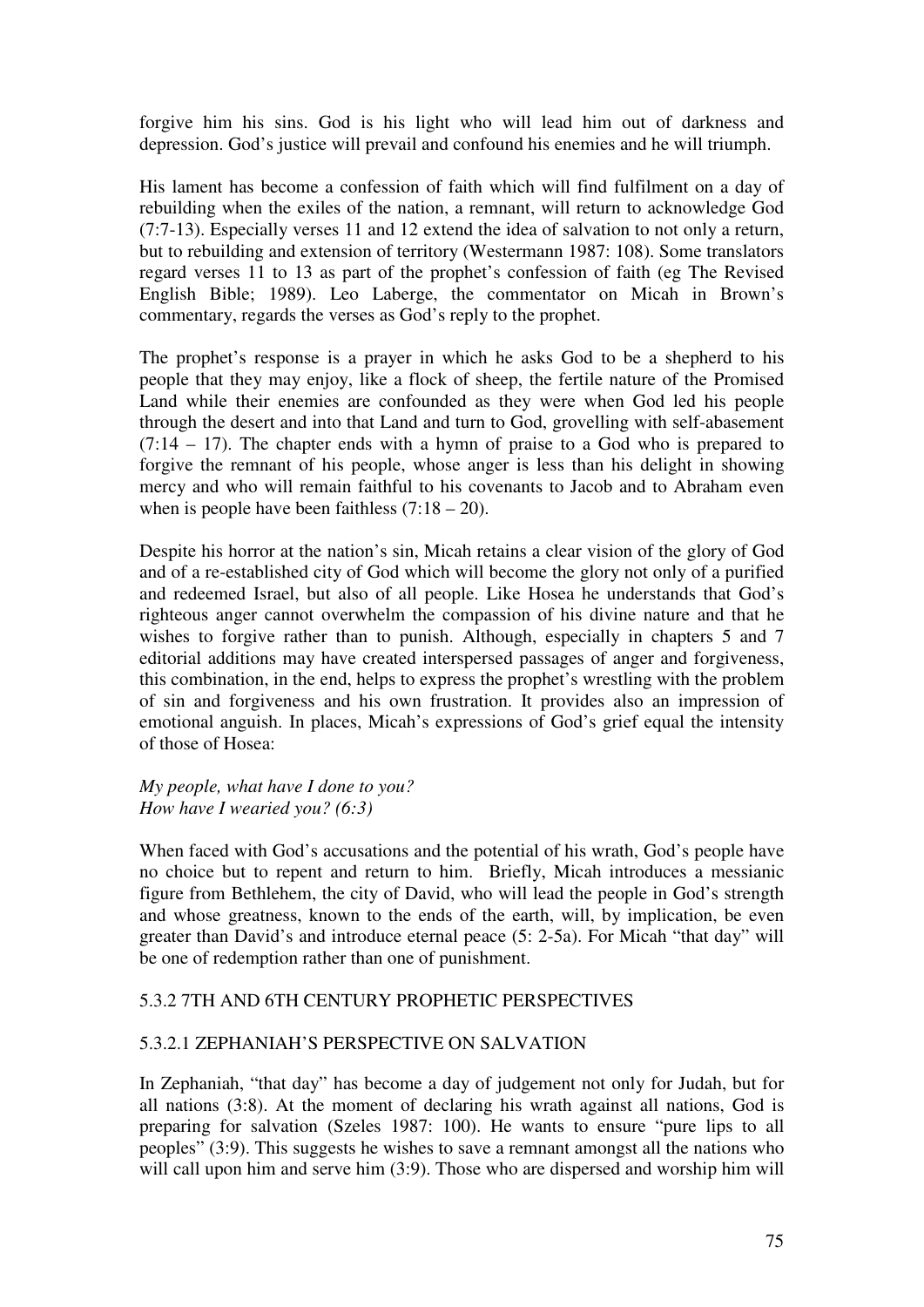forgive him his sins. God is his light who will lead him out of darkness and depression. God's justice will prevail and confound his enemies and he will triumph.

His lament has become a confession of faith which will find fulfilment on a day of rebuilding when the exiles of the nation, a remnant, will return to acknowledge God (7:7-13). Especially verses 11 and 12 extend the idea of salvation to not only a return, but to rebuilding and extension of territory (Westermann 1987: 108). Some translators regard verses 11 to 13 as part of the prophet's confession of faith (eg The Revised English Bible; 1989). Leo Laberge, the commentator on Micah in Brown's commentary, regards the verses as God's reply to the prophet.

The prophet's response is a prayer in which he asks God to be a shepherd to his people that they may enjoy, like a flock of sheep, the fertile nature of the Promised Land while their enemies are confounded as they were when God led his people through the desert and into that Land and turn to God, grovelling with self-abasement (7:14 – 17). The chapter ends with a hymn of praise to a God who is prepared to forgive the remnant of his people, whose anger is less than his delight in showing mercy and who will remain faithful to his covenants to Jacob and to Abraham even when is people have been faithless  $(7:18 - 20)$ .

Despite his horror at the nation's sin, Micah retains a clear vision of the glory of God and of a re-established city of God which will become the glory not only of a purified and redeemed Israel, but also of all people. Like Hosea he understands that God's righteous anger cannot overwhelm the compassion of his divine nature and that he wishes to forgive rather than to punish. Although, especially in chapters 5 and 7 editorial additions may have created interspersed passages of anger and forgiveness, this combination, in the end, helps to express the prophet's wrestling with the problem of sin and forgiveness and his own frustration. It provides also an impression of emotional anguish. In places, Micah's expressions of God's grief equal the intensity of those of Hosea:

*My people, what have I done to you? How have I wearied you? (6:3)* 

When faced with God's accusations and the potential of his wrath, God's people have no choice but to repent and return to him. Briefly, Micah introduces a messianic figure from Bethlehem, the city of David, who will lead the people in God's strength and whose greatness, known to the ends of the earth, will, by implication, be even greater than David's and introduce eternal peace (5: 2-5a). For Micah "that day" will be one of redemption rather than one of punishment.

### 5.3.2 7TH AND 6TH CENTURY PROPHETIC PERSPECTIVES

### 5.3.2.1 ZEPHANIAH'S PERSPECTIVE ON SALVATION

In Zephaniah, "that day" has become a day of judgement not only for Judah, but for all nations (3:8). At the moment of declaring his wrath against all nations, God is preparing for salvation (Szeles 1987: 100). He wants to ensure "pure lips to all peoples" (3:9). This suggests he wishes to save a remnant amongst all the nations who will call upon him and serve him (3:9). Those who are dispersed and worship him will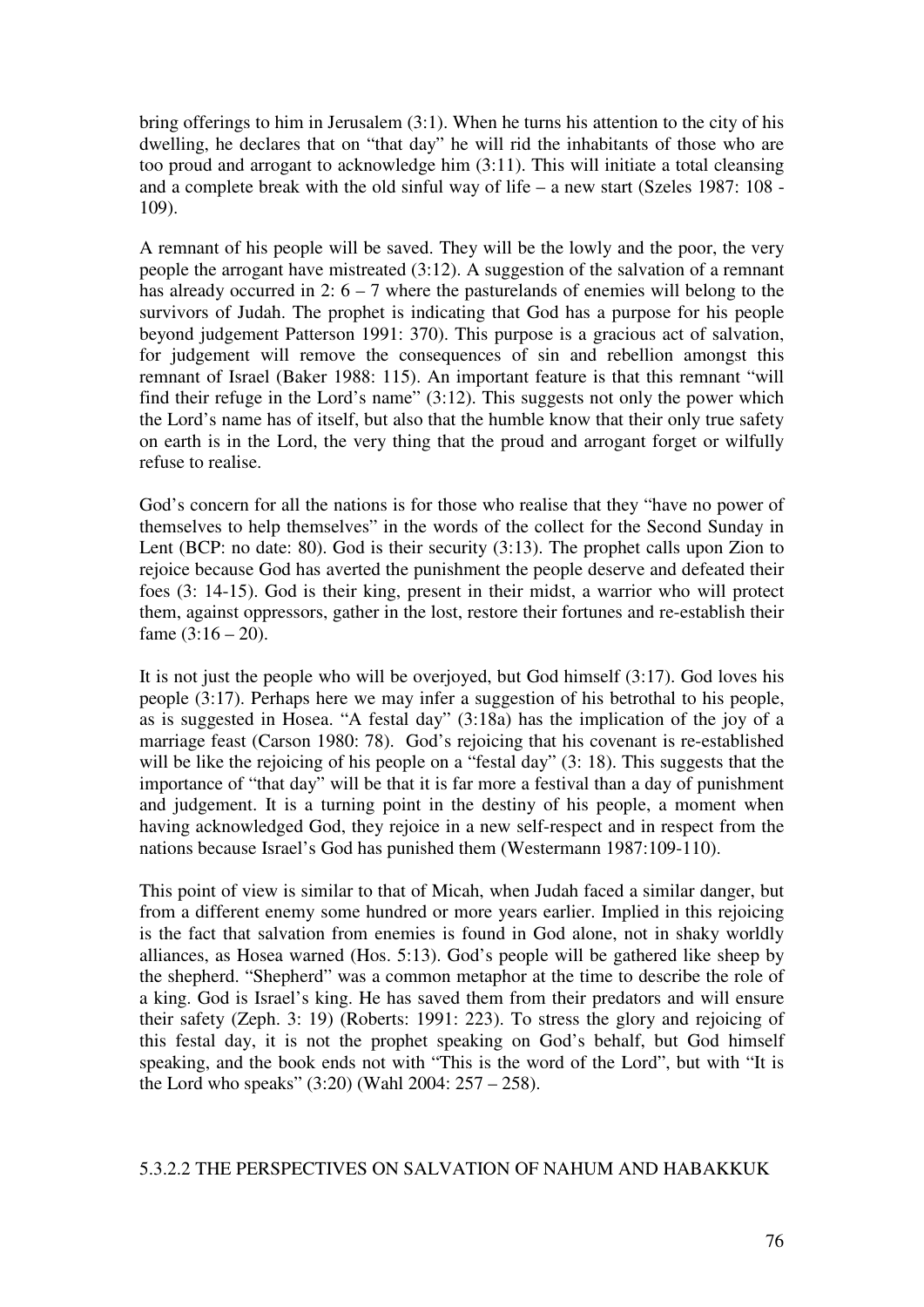bring offerings to him in Jerusalem (3:1). When he turns his attention to the city of his dwelling, he declares that on "that day" he will rid the inhabitants of those who are too proud and arrogant to acknowledge him (3:11). This will initiate a total cleansing and a complete break with the old sinful way of life – a new start (Szeles 1987: 108 - 109).

A remnant of his people will be saved. They will be the lowly and the poor, the very people the arrogant have mistreated (3:12). A suggestion of the salvation of a remnant has already occurred in 2:  $6 - 7$  where the pasturelands of enemies will belong to the survivors of Judah. The prophet is indicating that God has a purpose for his people beyond judgement Patterson 1991: 370). This purpose is a gracious act of salvation, for judgement will remove the consequences of sin and rebellion amongst this remnant of Israel (Baker 1988: 115). An important feature is that this remnant "will find their refuge in the Lord's name" (3:12). This suggests not only the power which the Lord's name has of itself, but also that the humble know that their only true safety on earth is in the Lord, the very thing that the proud and arrogant forget or wilfully refuse to realise.

God's concern for all the nations is for those who realise that they "have no power of themselves to help themselves" in the words of the collect for the Second Sunday in Lent (BCP: no date: 80). God is their security (3:13). The prophet calls upon Zion to rejoice because God has averted the punishment the people deserve and defeated their foes (3: 14-15). God is their king, present in their midst, a warrior who will protect them, against oppressors, gather in the lost, restore their fortunes and re-establish their fame  $(3:16 - 20)$ .

It is not just the people who will be overjoyed, but God himself (3:17). God loves his people (3:17). Perhaps here we may infer a suggestion of his betrothal to his people, as is suggested in Hosea. "A festal day" (3:18a) has the implication of the joy of a marriage feast (Carson 1980: 78). God's rejoicing that his covenant is re-established will be like the rejoicing of his people on a "festal day" (3: 18). This suggests that the importance of "that day" will be that it is far more a festival than a day of punishment and judgement. It is a turning point in the destiny of his people, a moment when having acknowledged God, they rejoice in a new self-respect and in respect from the nations because Israel's God has punished them (Westermann 1987:109-110).

This point of view is similar to that of Micah, when Judah faced a similar danger, but from a different enemy some hundred or more years earlier. Implied in this rejoicing is the fact that salvation from enemies is found in God alone, not in shaky worldly alliances, as Hosea warned (Hos. 5:13). God's people will be gathered like sheep by the shepherd. "Shepherd" was a common metaphor at the time to describe the role of a king. God is Israel's king. He has saved them from their predators and will ensure their safety (Zeph. 3: 19) (Roberts: 1991: 223). To stress the glory and rejoicing of this festal day, it is not the prophet speaking on God's behalf, but God himself speaking, and the book ends not with "This is the word of the Lord", but with "It is the Lord who speaks"  $(3:20)$  (Wahl 2004: 257 – 258).

# 5.3.2.2 THE PERSPECTIVES ON SALVATION OF NAHUM AND HABAKKUK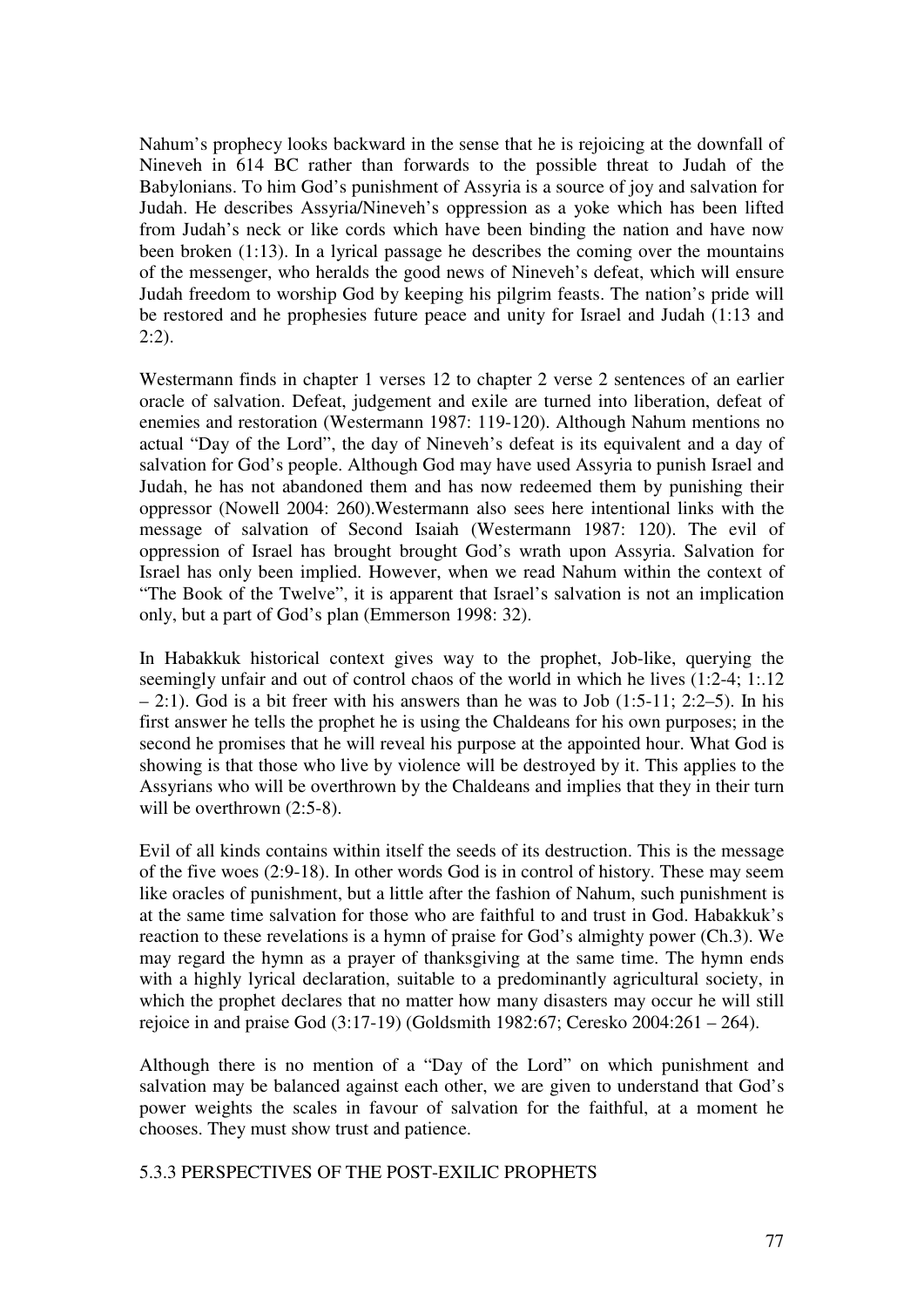Nahum's prophecy looks backward in the sense that he is rejoicing at the downfall of Nineveh in 614 BC rather than forwards to the possible threat to Judah of the Babylonians. To him God's punishment of Assyria is a source of joy and salvation for Judah. He describes Assyria/Nineveh's oppression as a yoke which has been lifted from Judah's neck or like cords which have been binding the nation and have now been broken (1:13). In a lyrical passage he describes the coming over the mountains of the messenger, who heralds the good news of Nineveh's defeat, which will ensure Judah freedom to worship God by keeping his pilgrim feasts. The nation's pride will be restored and he prophesies future peace and unity for Israel and Judah (1:13 and  $2:2$ ).

Westermann finds in chapter 1 verses 12 to chapter 2 verse 2 sentences of an earlier oracle of salvation. Defeat, judgement and exile are turned into liberation, defeat of enemies and restoration (Westermann 1987: 119-120). Although Nahum mentions no actual "Day of the Lord", the day of Nineveh's defeat is its equivalent and a day of salvation for God's people. Although God may have used Assyria to punish Israel and Judah, he has not abandoned them and has now redeemed them by punishing their oppressor (Nowell 2004: 260).Westermann also sees here intentional links with the message of salvation of Second Isaiah (Westermann 1987: 120). The evil of oppression of Israel has brought brought God's wrath upon Assyria. Salvation for Israel has only been implied. However, when we read Nahum within the context of "The Book of the Twelve", it is apparent that Israel's salvation is not an implication only, but a part of God's plan (Emmerson 1998: 32).

In Habakkuk historical context gives way to the prophet, Job-like, querying the seemingly unfair and out of control chaos of the world in which he lives  $(1:2-4; 1:12)$  $-2$ :1). God is a bit freer with his answers than he was to Job (1:5-11; 2:2-5). In his first answer he tells the prophet he is using the Chaldeans for his own purposes; in the second he promises that he will reveal his purpose at the appointed hour. What God is showing is that those who live by violence will be destroyed by it. This applies to the Assyrians who will be overthrown by the Chaldeans and implies that they in their turn will be overthrown  $(2:5-8)$ .

Evil of all kinds contains within itself the seeds of its destruction. This is the message of the five woes (2:9-18). In other words God is in control of history. These may seem like oracles of punishment, but a little after the fashion of Nahum, such punishment is at the same time salvation for those who are faithful to and trust in God. Habakkuk's reaction to these revelations is a hymn of praise for God's almighty power (Ch.3). We may regard the hymn as a prayer of thanksgiving at the same time. The hymn ends with a highly lyrical declaration, suitable to a predominantly agricultural society, in which the prophet declares that no matter how many disasters may occur he will still rejoice in and praise God (3:17-19) (Goldsmith 1982:67; Ceresko 2004:261 – 264).

Although there is no mention of a "Day of the Lord" on which punishment and salvation may be balanced against each other, we are given to understand that God's power weights the scales in favour of salvation for the faithful, at a moment he chooses. They must show trust and patience.

5.3.3 PERSPECTIVES OF THE POST-EXILIC PROPHETS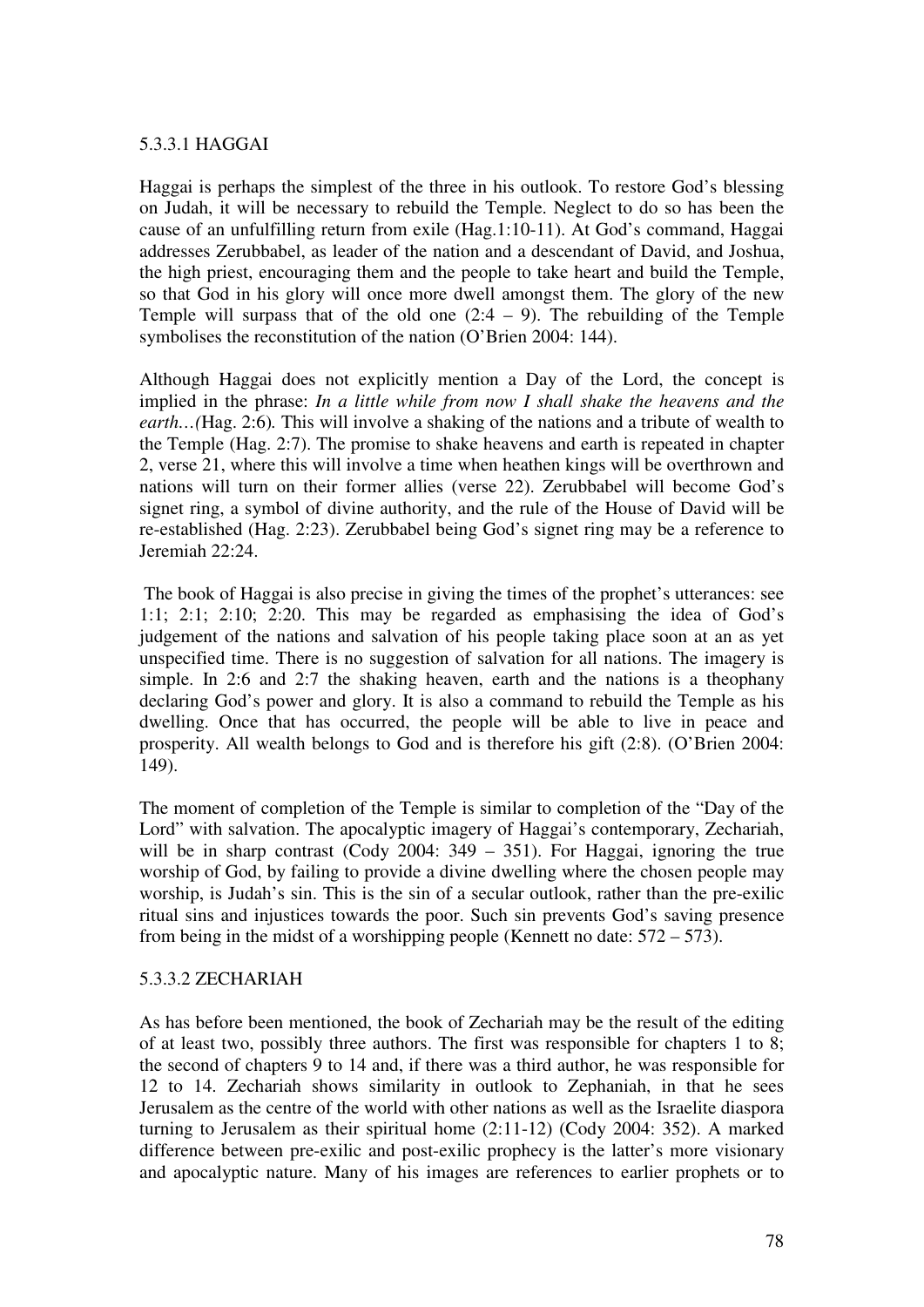#### 5.3.3.1 HAGGAI

Haggai is perhaps the simplest of the three in his outlook. To restore God's blessing on Judah, it will be necessary to rebuild the Temple. Neglect to do so has been the cause of an unfulfilling return from exile (Hag.1:10-11). At God's command, Haggai addresses Zerubbabel, as leader of the nation and a descendant of David, and Joshua, the high priest, encouraging them and the people to take heart and build the Temple, so that God in his glory will once more dwell amongst them. The glory of the new Temple will surpass that of the old one  $(2:4 - 9)$ . The rebuilding of the Temple symbolises the reconstitution of the nation (O'Brien 2004: 144).

Although Haggai does not explicitly mention a Day of the Lord, the concept is implied in the phrase: *In a little while from now I shall shake the heavens and the earth…(*Hag. 2:6)*.* This will involve a shaking of the nations and a tribute of wealth to the Temple (Hag. 2:7). The promise to shake heavens and earth is repeated in chapter 2, verse 21, where this will involve a time when heathen kings will be overthrown and nations will turn on their former allies (verse 22). Zerubbabel will become God's signet ring, a symbol of divine authority, and the rule of the House of David will be re-established (Hag. 2:23). Zerubbabel being God's signet ring may be a reference to Jeremiah 22:24.

 The book of Haggai is also precise in giving the times of the prophet's utterances: see 1:1; 2:1; 2:10; 2:20. This may be regarded as emphasising the idea of God's judgement of the nations and salvation of his people taking place soon at an as yet unspecified time. There is no suggestion of salvation for all nations. The imagery is simple. In 2:6 and 2:7 the shaking heaven, earth and the nations is a theophany declaring God's power and glory. It is also a command to rebuild the Temple as his dwelling. Once that has occurred, the people will be able to live in peace and prosperity. All wealth belongs to God and is therefore his gift (2:8). (O'Brien 2004: 149).

The moment of completion of the Temple is similar to completion of the "Day of the Lord" with salvation. The apocalyptic imagery of Haggai's contemporary, Zechariah, will be in sharp contrast (Cody 2004: 349 – 351). For Haggai, ignoring the true worship of God, by failing to provide a divine dwelling where the chosen people may worship, is Judah's sin. This is the sin of a secular outlook, rather than the pre-exilic ritual sins and injustices towards the poor. Such sin prevents God's saving presence from being in the midst of a worshipping people (Kennett no date: 572 – 573).

#### 5.3.3.2 ZECHARIAH

As has before been mentioned, the book of Zechariah may be the result of the editing of at least two, possibly three authors. The first was responsible for chapters 1 to 8; the second of chapters 9 to 14 and, if there was a third author, he was responsible for 12 to 14. Zechariah shows similarity in outlook to Zephaniah, in that he sees Jerusalem as the centre of the world with other nations as well as the Israelite diaspora turning to Jerusalem as their spiritual home (2:11-12) (Cody 2004: 352). A marked difference between pre-exilic and post-exilic prophecy is the latter's more visionary and apocalyptic nature. Many of his images are references to earlier prophets or to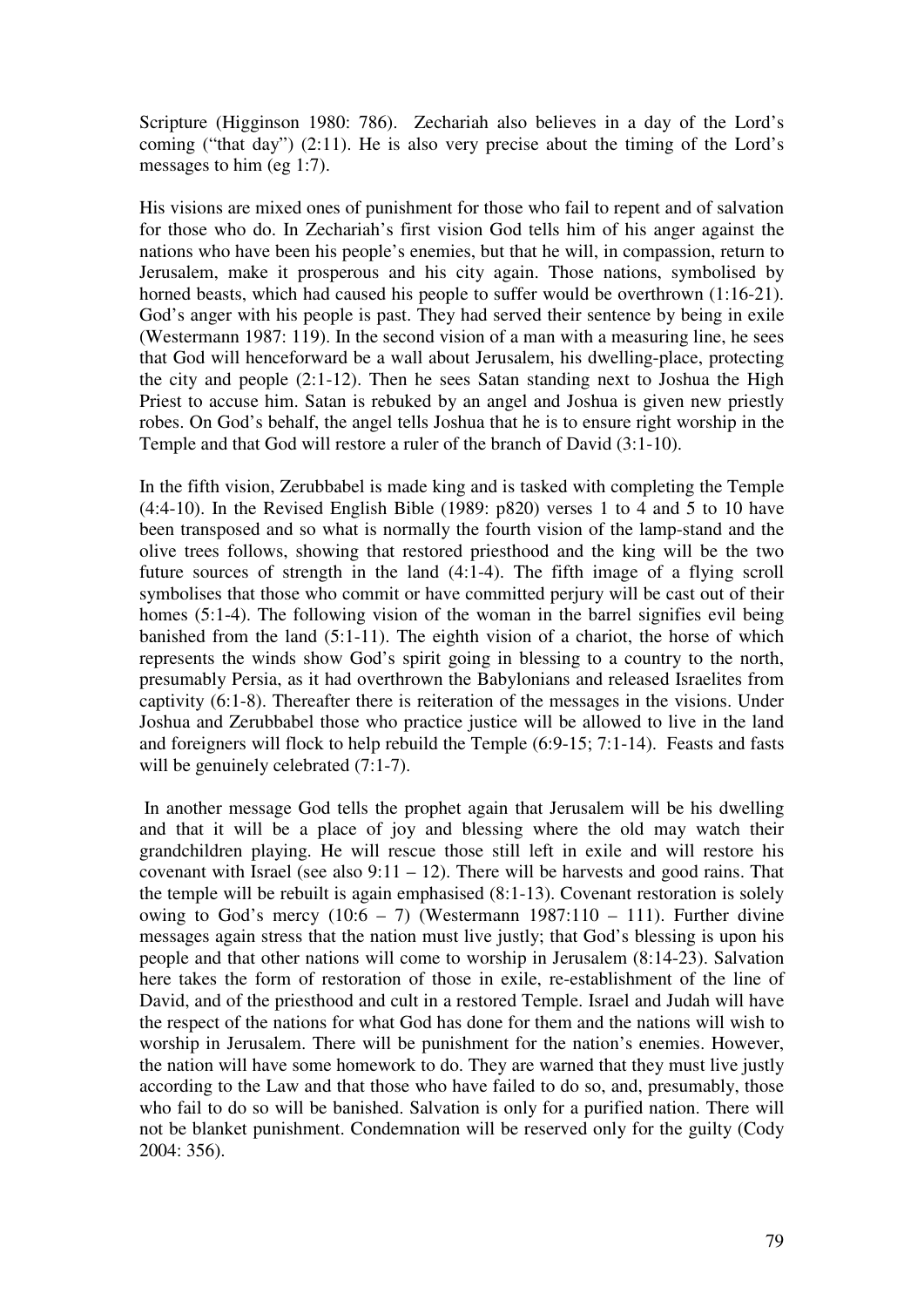Scripture (Higginson 1980: 786). Zechariah also believes in a day of the Lord's coming ("that day") (2:11). He is also very precise about the timing of the Lord's messages to him (eg 1:7).

His visions are mixed ones of punishment for those who fail to repent and of salvation for those who do. In Zechariah's first vision God tells him of his anger against the nations who have been his people's enemies, but that he will, in compassion, return to Jerusalem, make it prosperous and his city again. Those nations, symbolised by horned beasts, which had caused his people to suffer would be overthrown (1:16-21). God's anger with his people is past. They had served their sentence by being in exile (Westermann 1987: 119). In the second vision of a man with a measuring line, he sees that God will henceforward be a wall about Jerusalem, his dwelling-place, protecting the city and people (2:1-12). Then he sees Satan standing next to Joshua the High Priest to accuse him. Satan is rebuked by an angel and Joshua is given new priestly robes. On God's behalf, the angel tells Joshua that he is to ensure right worship in the Temple and that God will restore a ruler of the branch of David (3:1-10).

In the fifth vision, Zerubbabel is made king and is tasked with completing the Temple  $(4:4-10)$ . In the Revised English Bible (1989: p820) verses 1 to 4 and 5 to 10 have been transposed and so what is normally the fourth vision of the lamp-stand and the olive trees follows, showing that restored priesthood and the king will be the two future sources of strength in the land (4:1-4). The fifth image of a flying scroll symbolises that those who commit or have committed perjury will be cast out of their homes (5:1-4). The following vision of the woman in the barrel signifies evil being banished from the land (5:1-11). The eighth vision of a chariot, the horse of which represents the winds show God's spirit going in blessing to a country to the north, presumably Persia, as it had overthrown the Babylonians and released Israelites from captivity (6:1-8). Thereafter there is reiteration of the messages in the visions. Under Joshua and Zerubbabel those who practice justice will be allowed to live in the land and foreigners will flock to help rebuild the Temple (6:9-15; 7:1-14). Feasts and fasts will be genuinely celebrated  $(7:1-7)$ .

 In another message God tells the prophet again that Jerusalem will be his dwelling and that it will be a place of joy and blessing where the old may watch their grandchildren playing. He will rescue those still left in exile and will restore his covenant with Israel (see also  $9:11 - 12$ ). There will be harvests and good rains. That the temple will be rebuilt is again emphasised (8:1-13). Covenant restoration is solely owing to God's mercy  $(10.6 - 7)$  (Westermann 1987:110 – 111). Further divine messages again stress that the nation must live justly; that God's blessing is upon his people and that other nations will come to worship in Jerusalem (8:14-23). Salvation here takes the form of restoration of those in exile, re-establishment of the line of David, and of the priesthood and cult in a restored Temple. Israel and Judah will have the respect of the nations for what God has done for them and the nations will wish to worship in Jerusalem. There will be punishment for the nation's enemies. However, the nation will have some homework to do. They are warned that they must live justly according to the Law and that those who have failed to do so, and, presumably, those who fail to do so will be banished. Salvation is only for a purified nation. There will not be blanket punishment. Condemnation will be reserved only for the guilty (Cody 2004: 356).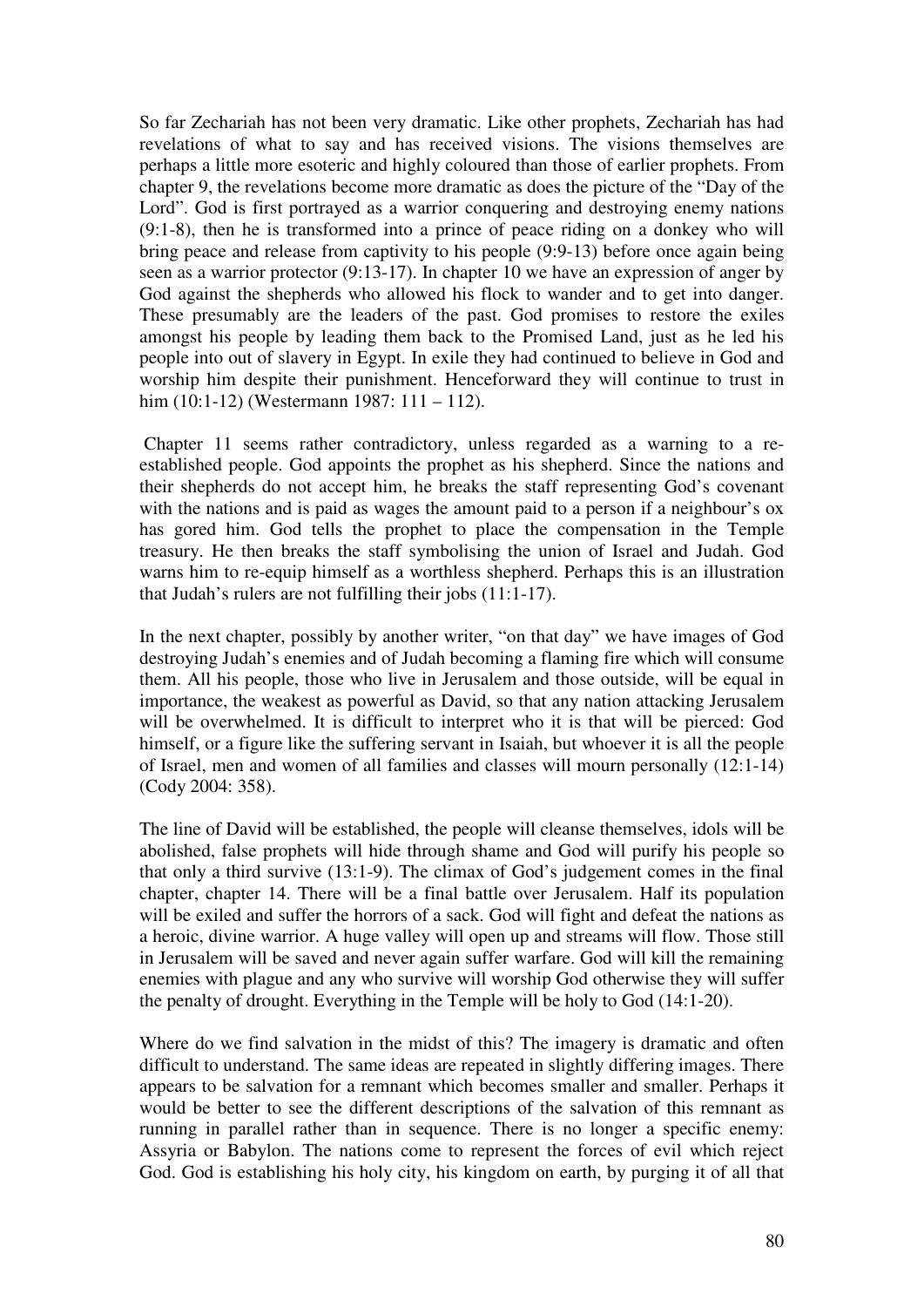So far Zechariah has not been very dramatic. Like other prophets, Zechariah has had revelations of what to say and has received visions. The visions themselves are perhaps a little more esoteric and highly coloured than those of earlier prophets. From chapter 9, the revelations become more dramatic as does the picture of the "Day of the Lord". God is first portrayed as a warrior conquering and destroying enemy nations (9:1-8), then he is transformed into a prince of peace riding on a donkey who will bring peace and release from captivity to his people (9:9-13) before once again being seen as a warrior protector (9:13-17). In chapter 10 we have an expression of anger by God against the shepherds who allowed his flock to wander and to get into danger. These presumably are the leaders of the past. God promises to restore the exiles amongst his people by leading them back to the Promised Land, just as he led his people into out of slavery in Egypt. In exile they had continued to believe in God and worship him despite their punishment. Henceforward they will continue to trust in him (10:1-12) (Westermann 1987: 111 – 112).

 Chapter 11 seems rather contradictory, unless regarded as a warning to a reestablished people. God appoints the prophet as his shepherd. Since the nations and their shepherds do not accept him, he breaks the staff representing God's covenant with the nations and is paid as wages the amount paid to a person if a neighbour's ox has gored him. God tells the prophet to place the compensation in the Temple treasury. He then breaks the staff symbolising the union of Israel and Judah. God warns him to re-equip himself as a worthless shepherd. Perhaps this is an illustration that Judah's rulers are not fulfilling their jobs (11:1-17).

In the next chapter, possibly by another writer, "on that day" we have images of God destroying Judah's enemies and of Judah becoming a flaming fire which will consume them. All his people, those who live in Jerusalem and those outside, will be equal in importance, the weakest as powerful as David, so that any nation attacking Jerusalem will be overwhelmed. It is difficult to interpret who it is that will be pierced: God himself, or a figure like the suffering servant in Isaiah, but whoever it is all the people of Israel, men and women of all families and classes will mourn personally (12:1-14) (Cody 2004: 358).

The line of David will be established, the people will cleanse themselves, idols will be abolished, false prophets will hide through shame and God will purify his people so that only a third survive (13:1-9). The climax of God's judgement comes in the final chapter, chapter 14. There will be a final battle over Jerusalem. Half its population will be exiled and suffer the horrors of a sack. God will fight and defeat the nations as a heroic, divine warrior. A huge valley will open up and streams will flow. Those still in Jerusalem will be saved and never again suffer warfare. God will kill the remaining enemies with plague and any who survive will worship God otherwise they will suffer the penalty of drought. Everything in the Temple will be holy to God (14:1-20).

Where do we find salvation in the midst of this? The imagery is dramatic and often difficult to understand. The same ideas are repeated in slightly differing images. There appears to be salvation for a remnant which becomes smaller and smaller. Perhaps it would be better to see the different descriptions of the salvation of this remnant as running in parallel rather than in sequence. There is no longer a specific enemy: Assyria or Babylon. The nations come to represent the forces of evil which reject God. God is establishing his holy city, his kingdom on earth, by purging it of all that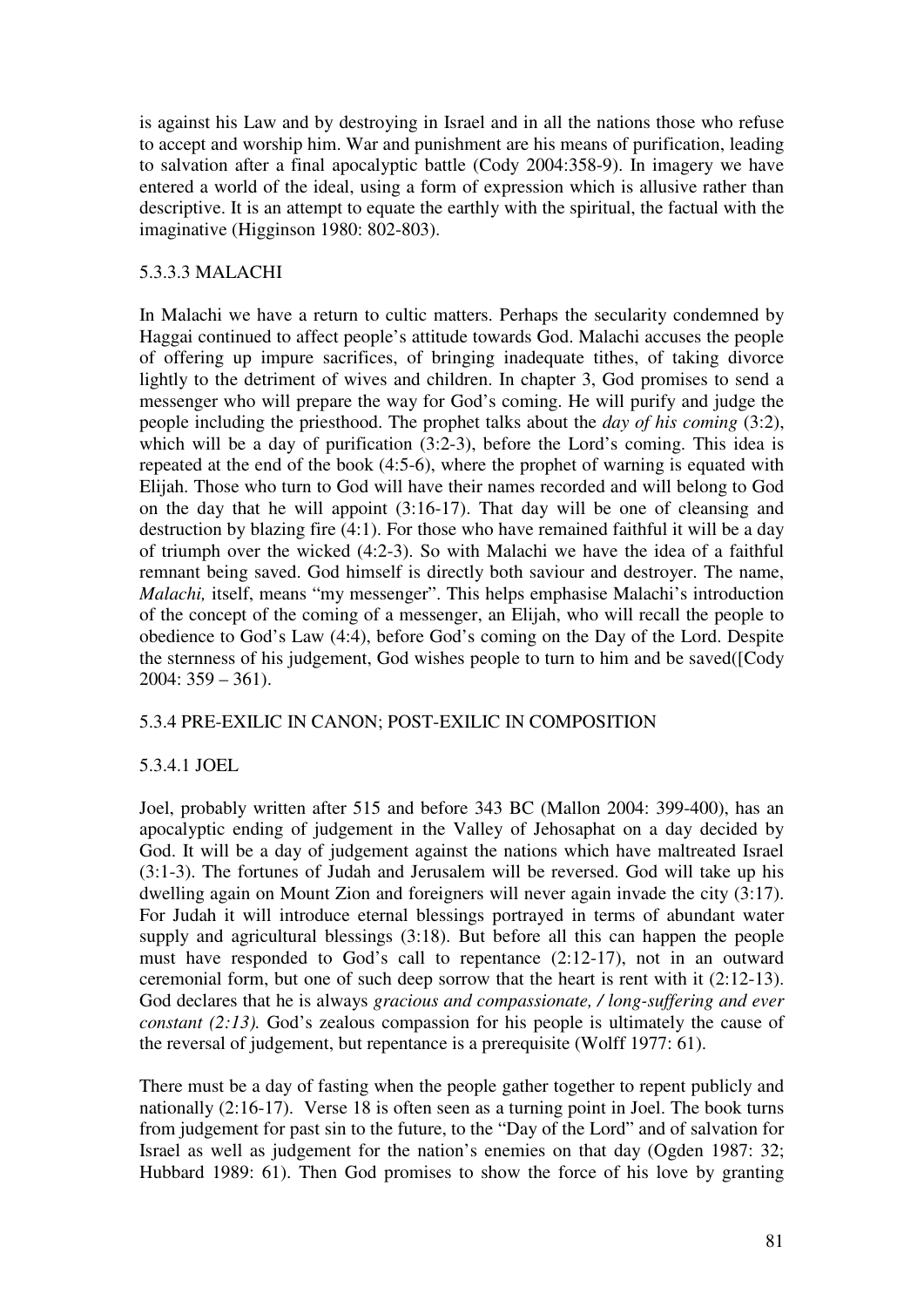is against his Law and by destroying in Israel and in all the nations those who refuse to accept and worship him. War and punishment are his means of purification, leading to salvation after a final apocalyptic battle (Cody 2004:358-9). In imagery we have entered a world of the ideal, using a form of expression which is allusive rather than descriptive. It is an attempt to equate the earthly with the spiritual, the factual with the imaginative (Higginson 1980: 802-803).

# 5.3.3.3 MALACHI

In Malachi we have a return to cultic matters. Perhaps the secularity condemned by Haggai continued to affect people's attitude towards God. Malachi accuses the people of offering up impure sacrifices, of bringing inadequate tithes, of taking divorce lightly to the detriment of wives and children. In chapter 3, God promises to send a messenger who will prepare the way for God's coming. He will purify and judge the people including the priesthood. The prophet talks about the *day of his coming* (3:2), which will be a day of purification (3:2-3), before the Lord's coming. This idea is repeated at the end of the book (4:5-6), where the prophet of warning is equated with Elijah. Those who turn to God will have their names recorded and will belong to God on the day that he will appoint (3:16-17). That day will be one of cleansing and destruction by blazing fire (4:1). For those who have remained faithful it will be a day of triumph over the wicked (4:2-3). So with Malachi we have the idea of a faithful remnant being saved. God himself is directly both saviour and destroyer. The name, *Malachi*, itself, means "my messenger". This helps emphasise Malachi's introduction of the concept of the coming of a messenger, an Elijah, who will recall the people to obedience to God's Law (4:4), before God's coming on the Day of the Lord. Despite the sternness of his judgement, God wishes people to turn to him and be saved([Cody 2004: 359 – 361).

### 5.3.4 PRE-EXILIC IN CANON; POST-EXILIC IN COMPOSITION

# 5.3.4.1 JOEL

Joel, probably written after 515 and before 343 BC (Mallon 2004: 399-400), has an apocalyptic ending of judgement in the Valley of Jehosaphat on a day decided by God. It will be a day of judgement against the nations which have maltreated Israel (3:1-3). The fortunes of Judah and Jerusalem will be reversed. God will take up his dwelling again on Mount Zion and foreigners will never again invade the city (3:17). For Judah it will introduce eternal blessings portrayed in terms of abundant water supply and agricultural blessings (3:18). But before all this can happen the people must have responded to God's call to repentance (2:12-17), not in an outward ceremonial form, but one of such deep sorrow that the heart is rent with it (2:12-13). God declares that he is always *gracious and compassionate, / long-suffering and ever constant (2:13).* God's zealous compassion for his people is ultimately the cause of the reversal of judgement, but repentance is a prerequisite (Wolff 1977: 61).

There must be a day of fasting when the people gather together to repent publicly and nationally (2:16-17). Verse 18 is often seen as a turning point in Joel. The book turns from judgement for past sin to the future, to the "Day of the Lord" and of salvation for Israel as well as judgement for the nation's enemies on that day (Ogden 1987: 32; Hubbard 1989: 61). Then God promises to show the force of his love by granting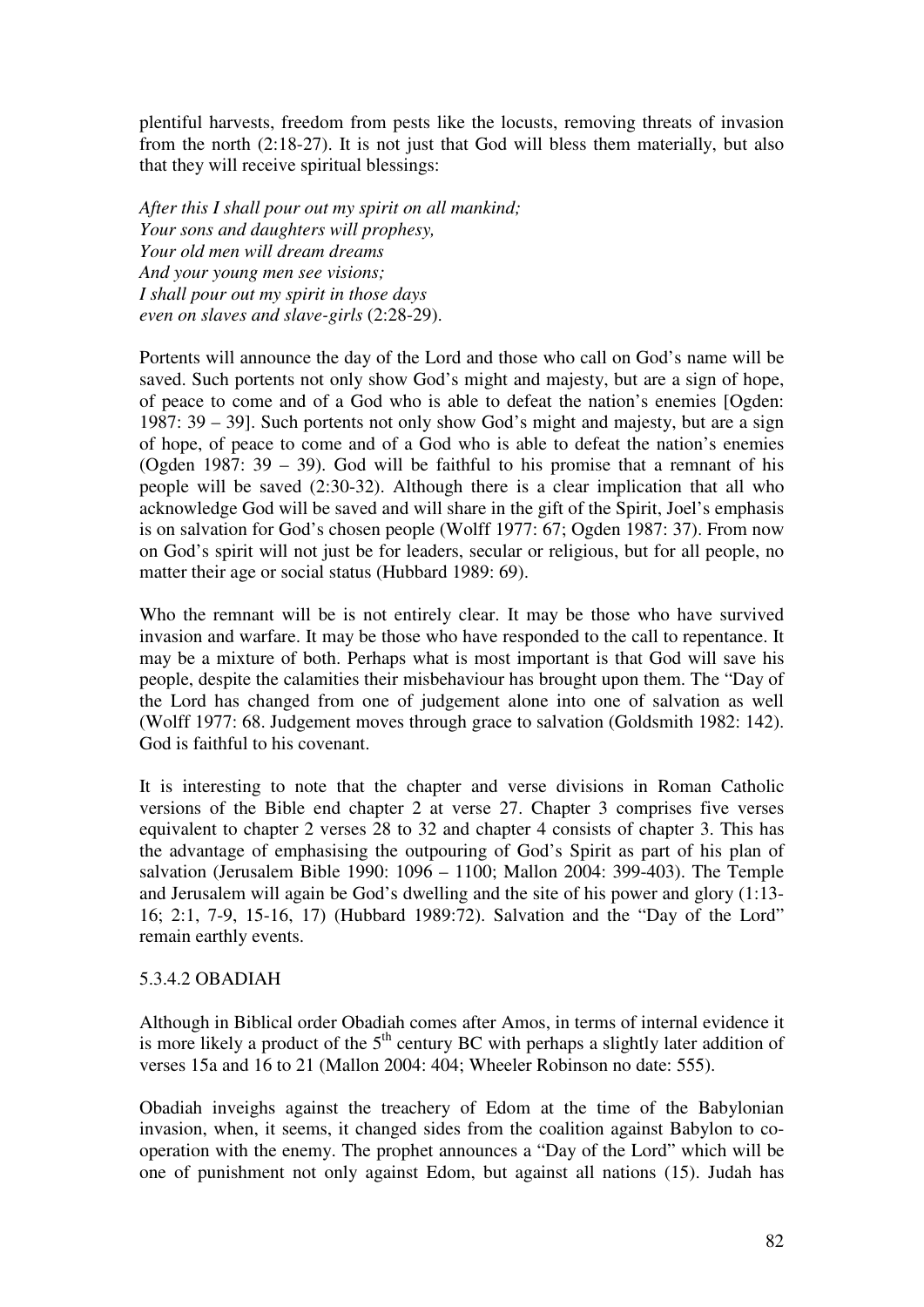plentiful harvests, freedom from pests like the locusts, removing threats of invasion from the north (2:18-27). It is not just that God will bless them materially, but also that they will receive spiritual blessings:

*After this I shall pour out my spirit on all mankind; Your sons and daughters will prophesy, Your old men will dream dreams And your young men see visions; I shall pour out my spirit in those days even on slaves and slave-girls* (2:28-29).

Portents will announce the day of the Lord and those who call on God's name will be saved. Such portents not only show God's might and majesty, but are a sign of hope, of peace to come and of a God who is able to defeat the nation's enemies [Ogden: 1987: 39 – 39]. Such portents not only show God's might and majesty, but are a sign of hope, of peace to come and of a God who is able to defeat the nation's enemies (Ogden 1987: 39 – 39). God will be faithful to his promise that a remnant of his people will be saved (2:30-32). Although there is a clear implication that all who acknowledge God will be saved and will share in the gift of the Spirit, Joel's emphasis is on salvation for God's chosen people (Wolff 1977: 67; Ogden 1987: 37). From now on God's spirit will not just be for leaders, secular or religious, but for all people, no matter their age or social status (Hubbard 1989: 69).

Who the remnant will be is not entirely clear. It may be those who have survived invasion and warfare. It may be those who have responded to the call to repentance. It may be a mixture of both. Perhaps what is most important is that God will save his people, despite the calamities their misbehaviour has brought upon them. The "Day of the Lord has changed from one of judgement alone into one of salvation as well (Wolff 1977: 68. Judgement moves through grace to salvation (Goldsmith 1982: 142). God is faithful to his covenant.

It is interesting to note that the chapter and verse divisions in Roman Catholic versions of the Bible end chapter 2 at verse 27. Chapter 3 comprises five verses equivalent to chapter 2 verses 28 to 32 and chapter 4 consists of chapter 3. This has the advantage of emphasising the outpouring of God's Spirit as part of his plan of salvation (Jerusalem Bible 1990: 1096 – 1100; Mallon 2004: 399-403). The Temple and Jerusalem will again be God's dwelling and the site of his power and glory (1:13- 16; 2:1, 7-9, 15-16, 17) (Hubbard 1989:72). Salvation and the "Day of the Lord" remain earthly events.

### 5.3.4.2 OBADIAH

Although in Biblical order Obadiah comes after Amos, in terms of internal evidence it is more likely a product of the  $5<sup>th</sup>$  century BC with perhaps a slightly later addition of verses 15a and 16 to 21 (Mallon 2004: 404; Wheeler Robinson no date: 555).

Obadiah inveighs against the treachery of Edom at the time of the Babylonian invasion, when, it seems, it changed sides from the coalition against Babylon to cooperation with the enemy. The prophet announces a "Day of the Lord" which will be one of punishment not only against Edom, but against all nations (15). Judah has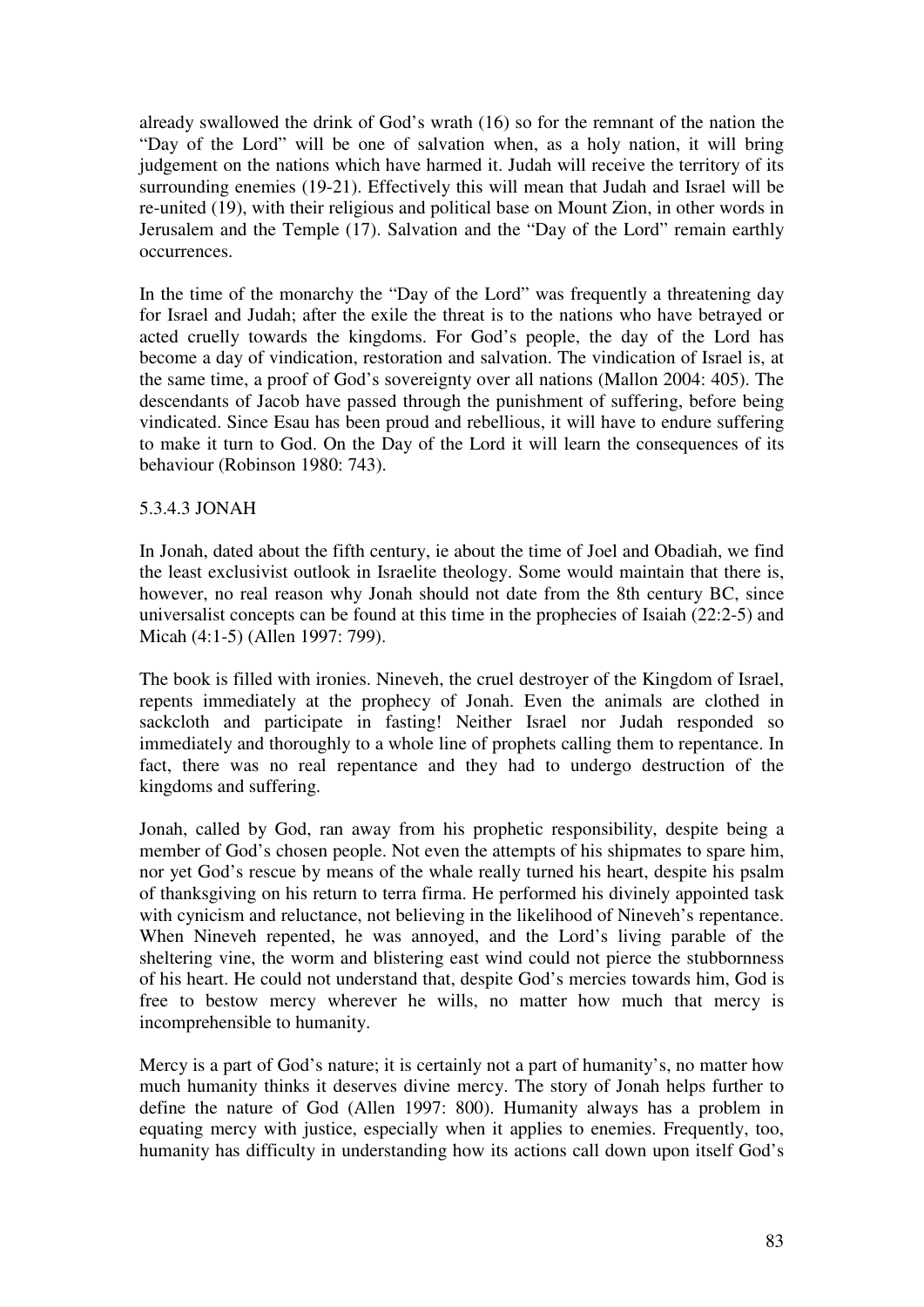already swallowed the drink of God's wrath (16) so for the remnant of the nation the "Day of the Lord" will be one of salvation when, as a holy nation, it will bring judgement on the nations which have harmed it. Judah will receive the territory of its surrounding enemies (19-21). Effectively this will mean that Judah and Israel will be re-united (19), with their religious and political base on Mount Zion, in other words in Jerusalem and the Temple (17). Salvation and the "Day of the Lord" remain earthly occurrences.

In the time of the monarchy the "Day of the Lord" was frequently a threatening day for Israel and Judah; after the exile the threat is to the nations who have betrayed or acted cruelly towards the kingdoms. For God's people, the day of the Lord has become a day of vindication, restoration and salvation. The vindication of Israel is, at the same time, a proof of God's sovereignty over all nations (Mallon 2004: 405). The descendants of Jacob have passed through the punishment of suffering, before being vindicated. Since Esau has been proud and rebellious, it will have to endure suffering to make it turn to God. On the Day of the Lord it will learn the consequences of its behaviour (Robinson 1980: 743).

### 5.3.4.3 JONAH

In Jonah, dated about the fifth century, ie about the time of Joel and Obadiah, we find the least exclusivist outlook in Israelite theology. Some would maintain that there is, however, no real reason why Jonah should not date from the 8th century BC, since universalist concepts can be found at this time in the prophecies of Isaiah (22:2-5) and Micah (4:1-5) (Allen 1997: 799).

The book is filled with ironies. Nineveh, the cruel destroyer of the Kingdom of Israel, repents immediately at the prophecy of Jonah. Even the animals are clothed in sackcloth and participate in fasting! Neither Israel nor Judah responded so immediately and thoroughly to a whole line of prophets calling them to repentance. In fact, there was no real repentance and they had to undergo destruction of the kingdoms and suffering.

Jonah, called by God, ran away from his prophetic responsibility, despite being a member of God's chosen people. Not even the attempts of his shipmates to spare him, nor yet God's rescue by means of the whale really turned his heart, despite his psalm of thanksgiving on his return to terra firma. He performed his divinely appointed task with cynicism and reluctance, not believing in the likelihood of Nineveh's repentance. When Nineveh repented, he was annoyed, and the Lord's living parable of the sheltering vine, the worm and blistering east wind could not pierce the stubbornness of his heart. He could not understand that, despite God's mercies towards him, God is free to bestow mercy wherever he wills, no matter how much that mercy is incomprehensible to humanity.

Mercy is a part of God's nature; it is certainly not a part of humanity's, no matter how much humanity thinks it deserves divine mercy. The story of Jonah helps further to define the nature of God (Allen 1997: 800). Humanity always has a problem in equating mercy with justice, especially when it applies to enemies. Frequently, too, humanity has difficulty in understanding how its actions call down upon itself God's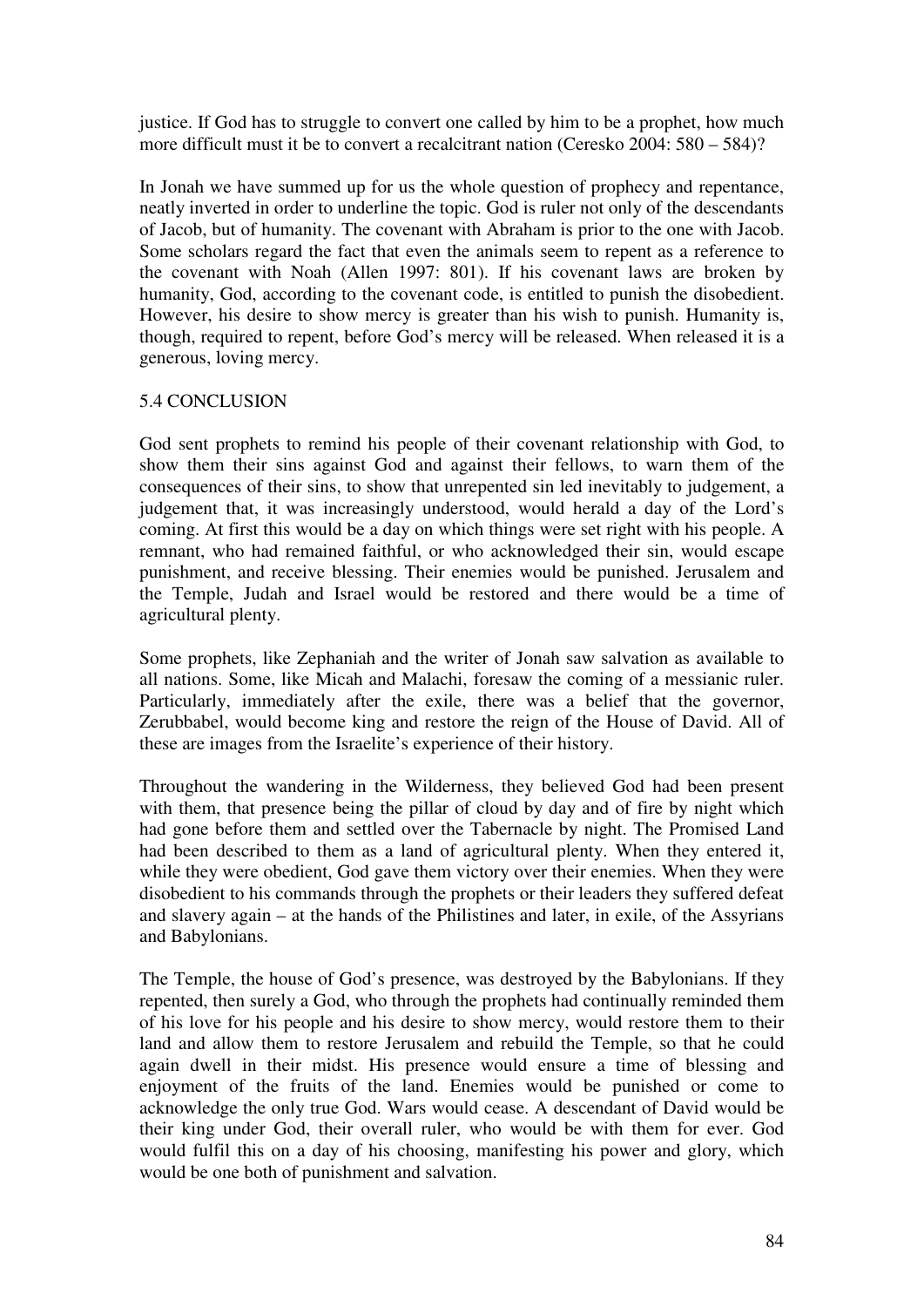justice. If God has to struggle to convert one called by him to be a prophet, how much more difficult must it be to convert a recalcitrant nation (Ceresko 2004: 580 – 584)?

In Jonah we have summed up for us the whole question of prophecy and repentance, neatly inverted in order to underline the topic. God is ruler not only of the descendants of Jacob, but of humanity. The covenant with Abraham is prior to the one with Jacob. Some scholars regard the fact that even the animals seem to repent as a reference to the covenant with Noah (Allen 1997: 801). If his covenant laws are broken by humanity, God, according to the covenant code, is entitled to punish the disobedient. However, his desire to show mercy is greater than his wish to punish. Humanity is, though, required to repent, before God's mercy will be released. When released it is a generous, loving mercy.

### 5.4 CONCLUSION

God sent prophets to remind his people of their covenant relationship with God, to show them their sins against God and against their fellows, to warn them of the consequences of their sins, to show that unrepented sin led inevitably to judgement, a judgement that, it was increasingly understood, would herald a day of the Lord's coming. At first this would be a day on which things were set right with his people. A remnant, who had remained faithful, or who acknowledged their sin, would escape punishment, and receive blessing. Their enemies would be punished. Jerusalem and the Temple, Judah and Israel would be restored and there would be a time of agricultural plenty.

Some prophets, like Zephaniah and the writer of Jonah saw salvation as available to all nations. Some, like Micah and Malachi, foresaw the coming of a messianic ruler. Particularly, immediately after the exile, there was a belief that the governor, Zerubbabel, would become king and restore the reign of the House of David. All of these are images from the Israelite's experience of their history.

Throughout the wandering in the Wilderness, they believed God had been present with them, that presence being the pillar of cloud by day and of fire by night which had gone before them and settled over the Tabernacle by night. The Promised Land had been described to them as a land of agricultural plenty. When they entered it, while they were obedient, God gave them victory over their enemies. When they were disobedient to his commands through the prophets or their leaders they suffered defeat and slavery again – at the hands of the Philistines and later, in exile, of the Assyrians and Babylonians.

The Temple, the house of God's presence, was destroyed by the Babylonians. If they repented, then surely a God, who through the prophets had continually reminded them of his love for his people and his desire to show mercy, would restore them to their land and allow them to restore Jerusalem and rebuild the Temple, so that he could again dwell in their midst. His presence would ensure a time of blessing and enjoyment of the fruits of the land. Enemies would be punished or come to acknowledge the only true God. Wars would cease. A descendant of David would be their king under God, their overall ruler, who would be with them for ever. God would fulfil this on a day of his choosing, manifesting his power and glory, which would be one both of punishment and salvation.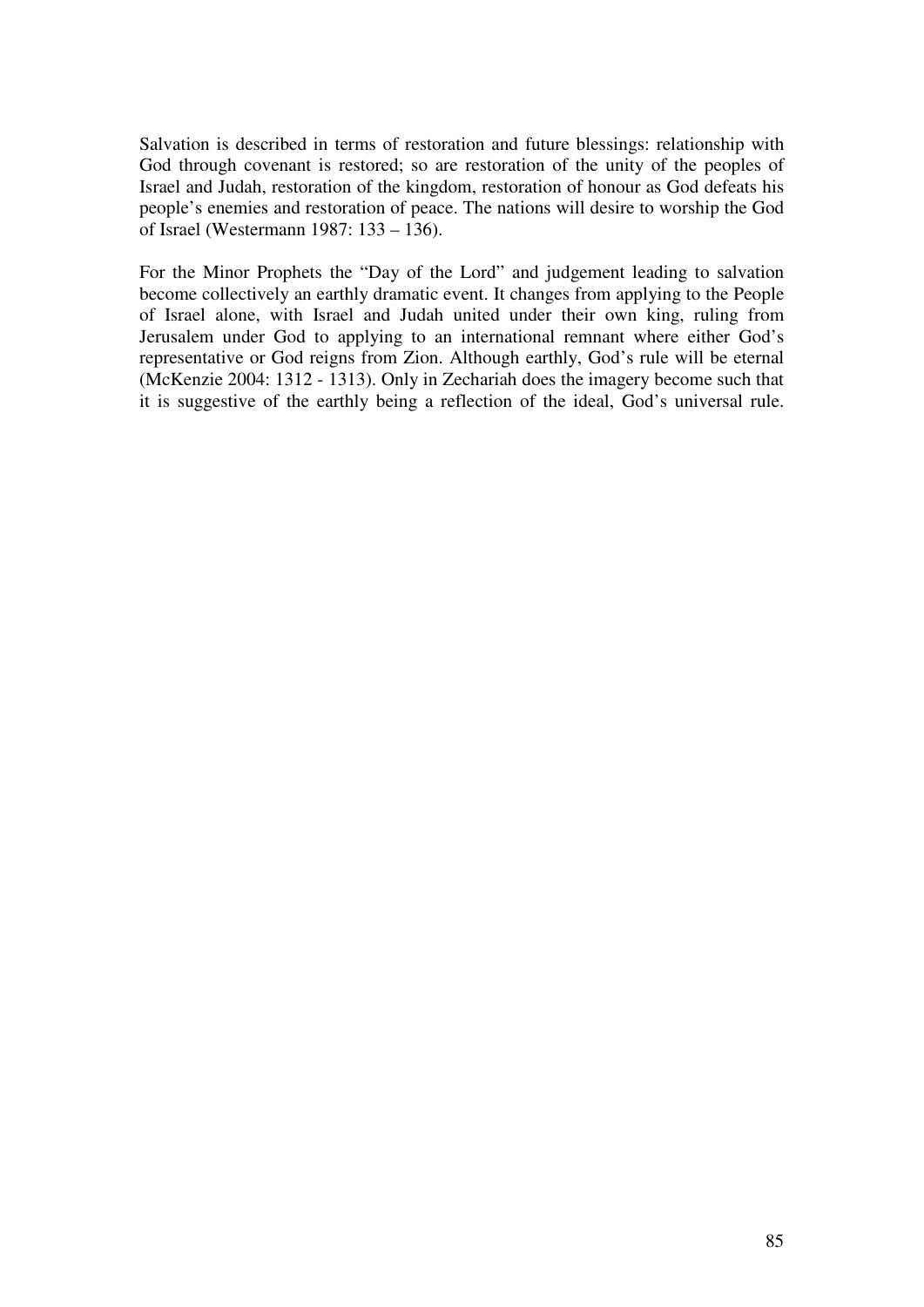Salvation is described in terms of restoration and future blessings: relationship with God through covenant is restored; so are restoration of the unity of the peoples of Israel and Judah, restoration of the kingdom, restoration of honour as God defeats his people's enemies and restoration of peace. The nations will desire to worship the God of Israel (Westermann 1987: 133 – 136).

For the Minor Prophets the "Day of the Lord" and judgement leading to salvation become collectively an earthly dramatic event. It changes from applying to the People of Israel alone, with Israel and Judah united under their own king, ruling from Jerusalem under God to applying to an international remnant where either God's representative or God reigns from Zion. Although earthly, God's rule will be eternal (McKenzie 2004: 1312 - 1313). Only in Zechariah does the imagery become such that it is suggestive of the earthly being a reflection of the ideal, God's universal rule.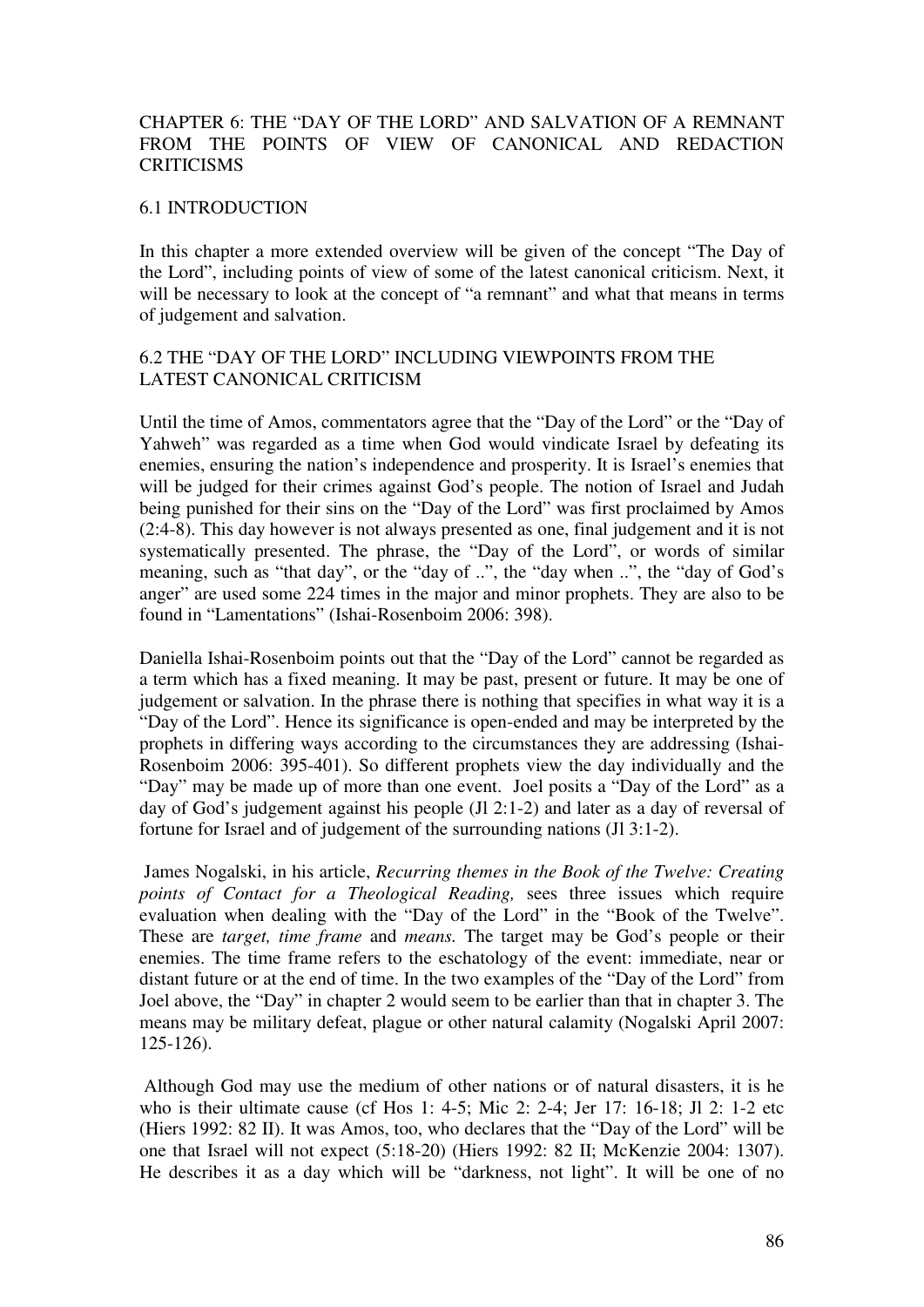# CHAPTER 6: THE "DAY OF THE LORD" AND SALVATION OF A REMNANT FROM THE POINTS OF VIEW OF CANONICAL AND REDACTION **CRITICISMS**

### 6.1 INTRODUCTION

In this chapter a more extended overview will be given of the concept "The Day of the Lord", including points of view of some of the latest canonical criticism. Next, it will be necessary to look at the concept of "a remnant" and what that means in terms of judgement and salvation.

# 6.2 THE "DAY OF THE LORD" INCLUDING VIEWPOINTS FROM THE LATEST CANONICAL CRITICISM

Until the time of Amos, commentators agree that the "Day of the Lord" or the "Day of Yahweh" was regarded as a time when God would vindicate Israel by defeating its enemies, ensuring the nation's independence and prosperity. It is Israel's enemies that will be judged for their crimes against God's people. The notion of Israel and Judah being punished for their sins on the "Day of the Lord" was first proclaimed by Amos (2:4-8). This day however is not always presented as one, final judgement and it is not systematically presented. The phrase, the "Day of the Lord", or words of similar meaning, such as "that day", or the "day of ..", the "day when ..", the "day of God's anger" are used some 224 times in the major and minor prophets. They are also to be found in "Lamentations" (Ishai-Rosenboim 2006: 398).

Daniella Ishai-Rosenboim points out that the "Day of the Lord" cannot be regarded as a term which has a fixed meaning. It may be past, present or future. It may be one of judgement or salvation. In the phrase there is nothing that specifies in what way it is a "Day of the Lord". Hence its significance is open-ended and may be interpreted by the prophets in differing ways according to the circumstances they are addressing (Ishai-Rosenboim 2006: 395-401). So different prophets view the day individually and the "Day" may be made up of more than one event. Joel posits a "Day of the Lord" as a day of God's judgement against his people (Jl 2:1-2) and later as a day of reversal of fortune for Israel and of judgement of the surrounding nations (Jl 3:1-2).

 James Nogalski, in his article, *Recurring themes in the Book of the Twelve: Creating points of Contact for a Theological Reading,* sees three issues which require evaluation when dealing with the "Day of the Lord" in the "Book of the Twelve". These are *target, time frame* and *means.* The target may be God's people or their enemies. The time frame refers to the eschatology of the event: immediate, near or distant future or at the end of time. In the two examples of the "Day of the Lord" from Joel above, the "Day" in chapter 2 would seem to be earlier than that in chapter 3. The means may be military defeat, plague or other natural calamity (Nogalski April 2007: 125-126).

 Although God may use the medium of other nations or of natural disasters, it is he who is their ultimate cause (cf Hos 1: 4-5; Mic 2: 2-4; Jer 17: 16-18; Jl 2: 1-2 etc (Hiers 1992: 82 II). It was Amos, too, who declares that the "Day of the Lord" will be one that Israel will not expect (5:18-20) (Hiers 1992: 82 II; McKenzie 2004: 1307). He describes it as a day which will be "darkness, not light". It will be one of no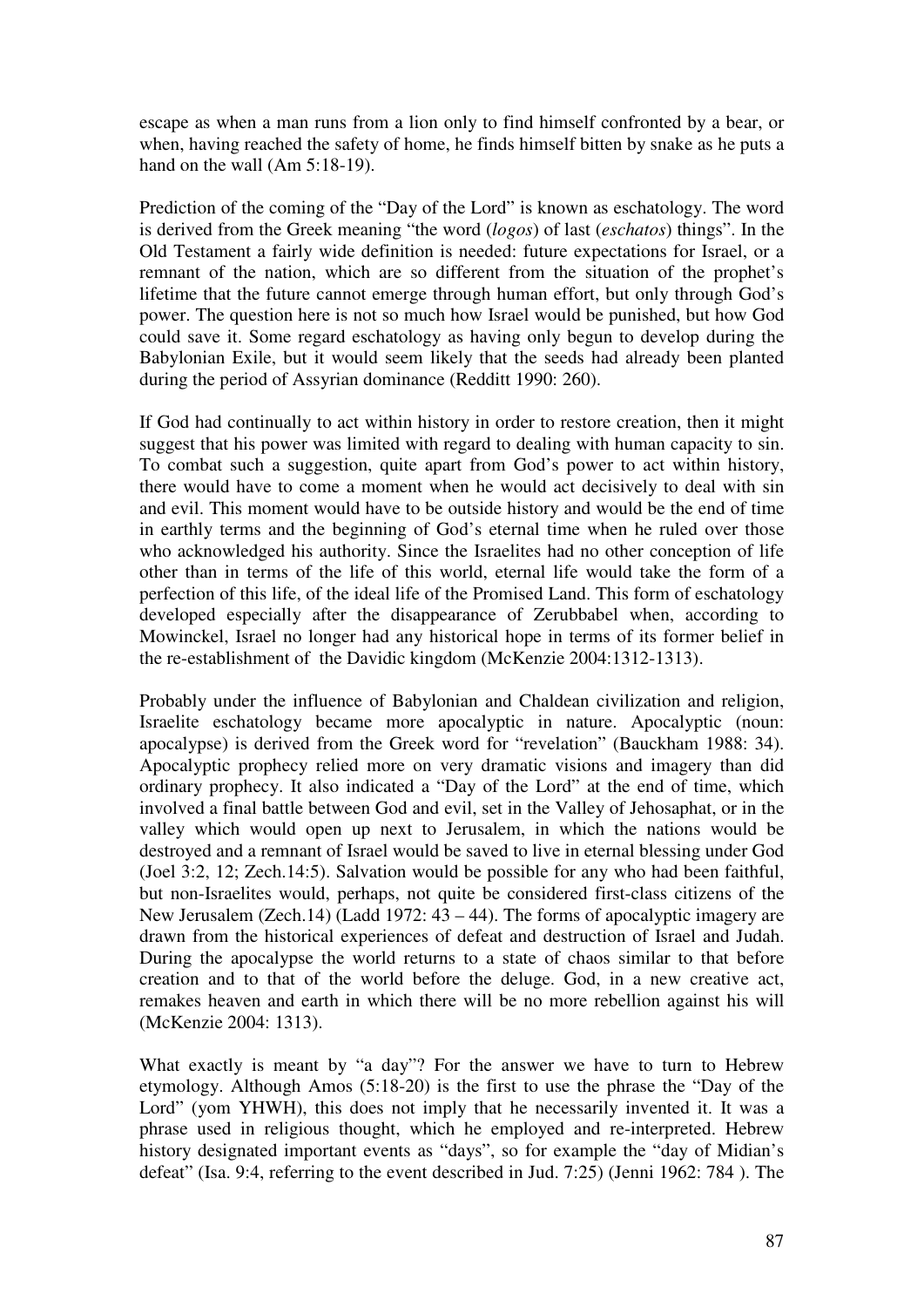escape as when a man runs from a lion only to find himself confronted by a bear, or when, having reached the safety of home, he finds himself bitten by snake as he puts a hand on the wall (Am 5:18-19).

Prediction of the coming of the "Day of the Lord" is known as eschatology. The word is derived from the Greek meaning "the word (*logos*) of last (*eschatos*) things". In the Old Testament a fairly wide definition is needed: future expectations for Israel, or a remnant of the nation, which are so different from the situation of the prophet's lifetime that the future cannot emerge through human effort, but only through God's power. The question here is not so much how Israel would be punished, but how God could save it. Some regard eschatology as having only begun to develop during the Babylonian Exile, but it would seem likely that the seeds had already been planted during the period of Assyrian dominance (Redditt 1990: 260).

If God had continually to act within history in order to restore creation, then it might suggest that his power was limited with regard to dealing with human capacity to sin. To combat such a suggestion, quite apart from God's power to act within history, there would have to come a moment when he would act decisively to deal with sin and evil. This moment would have to be outside history and would be the end of time in earthly terms and the beginning of God's eternal time when he ruled over those who acknowledged his authority. Since the Israelites had no other conception of life other than in terms of the life of this world, eternal life would take the form of a perfection of this life, of the ideal life of the Promised Land. This form of eschatology developed especially after the disappearance of Zerubbabel when, according to Mowinckel, Israel no longer had any historical hope in terms of its former belief in the re-establishment of the Davidic kingdom (McKenzie 2004:1312-1313).

Probably under the influence of Babylonian and Chaldean civilization and religion, Israelite eschatology became more apocalyptic in nature. Apocalyptic (noun: apocalypse) is derived from the Greek word for "revelation" (Bauckham 1988: 34). Apocalyptic prophecy relied more on very dramatic visions and imagery than did ordinary prophecy. It also indicated a "Day of the Lord" at the end of time, which involved a final battle between God and evil, set in the Valley of Jehosaphat, or in the valley which would open up next to Jerusalem, in which the nations would be destroyed and a remnant of Israel would be saved to live in eternal blessing under God (Joel 3:2, 12; Zech.14:5). Salvation would be possible for any who had been faithful, but non-Israelites would, perhaps, not quite be considered first-class citizens of the New Jerusalem (Zech.14) (Ladd 1972:  $43 - 44$ ). The forms of apocalyptic imagery are drawn from the historical experiences of defeat and destruction of Israel and Judah. During the apocalypse the world returns to a state of chaos similar to that before creation and to that of the world before the deluge. God, in a new creative act, remakes heaven and earth in which there will be no more rebellion against his will (McKenzie 2004: 1313).

What exactly is meant by "a day"? For the answer we have to turn to Hebrew etymology. Although Amos (5:18-20) is the first to use the phrase the "Day of the Lord" (yom YHWH), this does not imply that he necessarily invented it. It was a phrase used in religious thought, which he employed and re-interpreted. Hebrew history designated important events as "days", so for example the "day of Midian's defeat" (Isa. 9:4, referring to the event described in Jud. 7:25) (Jenni 1962: 784 ). The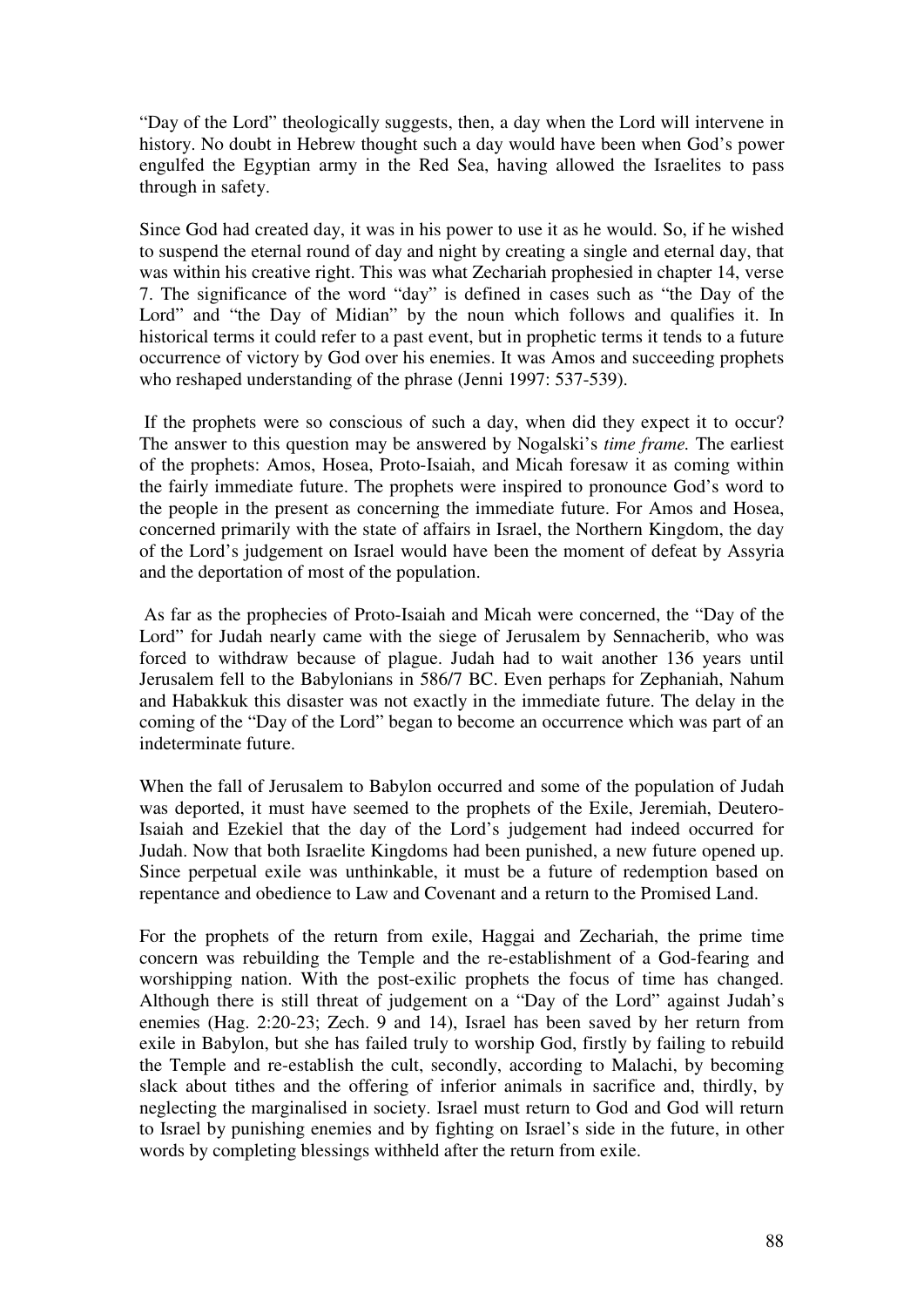"Day of the Lord" theologically suggests, then, a day when the Lord will intervene in history. No doubt in Hebrew thought such a day would have been when God's power engulfed the Egyptian army in the Red Sea, having allowed the Israelites to pass through in safety.

Since God had created day, it was in his power to use it as he would. So, if he wished to suspend the eternal round of day and night by creating a single and eternal day, that was within his creative right. This was what Zechariah prophesied in chapter 14, verse 7. The significance of the word "day" is defined in cases such as "the Day of the Lord" and "the Day of Midian" by the noun which follows and qualifies it. In historical terms it could refer to a past event, but in prophetic terms it tends to a future occurrence of victory by God over his enemies. It was Amos and succeeding prophets who reshaped understanding of the phrase (Jenni 1997: 537-539).

 If the prophets were so conscious of such a day, when did they expect it to occur? The answer to this question may be answered by Nogalski's *time frame.* The earliest of the prophets: Amos, Hosea, Proto-Isaiah, and Micah foresaw it as coming within the fairly immediate future. The prophets were inspired to pronounce God's word to the people in the present as concerning the immediate future. For Amos and Hosea, concerned primarily with the state of affairs in Israel, the Northern Kingdom, the day of the Lord's judgement on Israel would have been the moment of defeat by Assyria and the deportation of most of the population.

 As far as the prophecies of Proto-Isaiah and Micah were concerned, the "Day of the Lord" for Judah nearly came with the siege of Jerusalem by Sennacherib, who was forced to withdraw because of plague. Judah had to wait another 136 years until Jerusalem fell to the Babylonians in 586/7 BC. Even perhaps for Zephaniah, Nahum and Habakkuk this disaster was not exactly in the immediate future. The delay in the coming of the "Day of the Lord" began to become an occurrence which was part of an indeterminate future.

When the fall of Jerusalem to Babylon occurred and some of the population of Judah was deported, it must have seemed to the prophets of the Exile, Jeremiah, Deutero-Isaiah and Ezekiel that the day of the Lord's judgement had indeed occurred for Judah. Now that both Israelite Kingdoms had been punished, a new future opened up. Since perpetual exile was unthinkable, it must be a future of redemption based on repentance and obedience to Law and Covenant and a return to the Promised Land.

For the prophets of the return from exile, Haggai and Zechariah, the prime time concern was rebuilding the Temple and the re-establishment of a God-fearing and worshipping nation. With the post-exilic prophets the focus of time has changed. Although there is still threat of judgement on a "Day of the Lord" against Judah's enemies (Hag. 2:20-23; Zech. 9 and 14), Israel has been saved by her return from exile in Babylon, but she has failed truly to worship God, firstly by failing to rebuild the Temple and re-establish the cult, secondly, according to Malachi, by becoming slack about tithes and the offering of inferior animals in sacrifice and, thirdly, by neglecting the marginalised in society. Israel must return to God and God will return to Israel by punishing enemies and by fighting on Israel's side in the future, in other words by completing blessings withheld after the return from exile.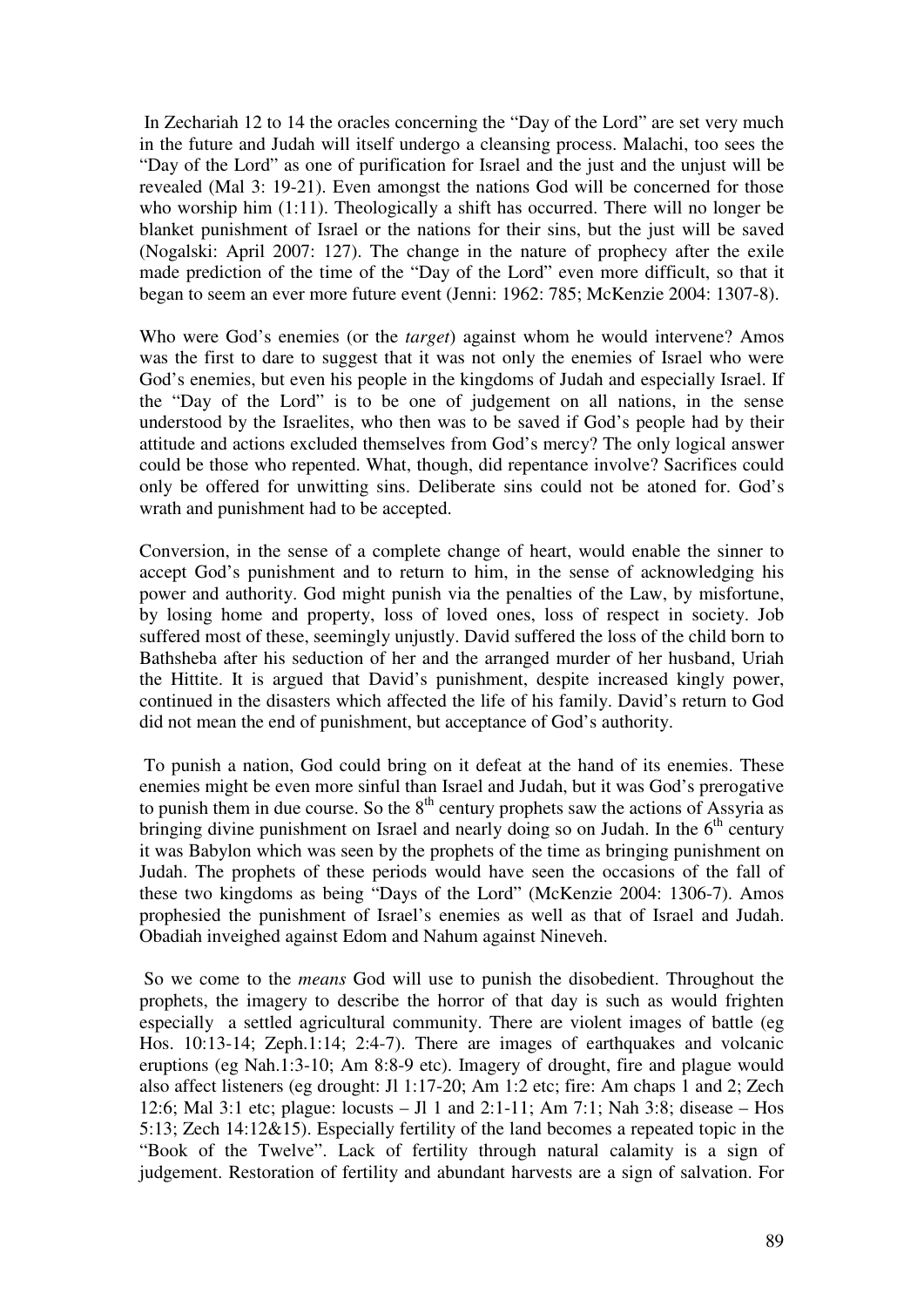In Zechariah 12 to 14 the oracles concerning the "Day of the Lord" are set very much in the future and Judah will itself undergo a cleansing process. Malachi, too sees the "Day of the Lord" as one of purification for Israel and the just and the unjust will be revealed (Mal 3: 19-21). Even amongst the nations God will be concerned for those who worship him (1:11). Theologically a shift has occurred. There will no longer be blanket punishment of Israel or the nations for their sins, but the just will be saved (Nogalski: April 2007: 127). The change in the nature of prophecy after the exile made prediction of the time of the "Day of the Lord" even more difficult, so that it began to seem an ever more future event (Jenni: 1962: 785; McKenzie 2004: 1307-8).

Who were God's enemies (or the *target*) against whom he would intervene? Amos was the first to dare to suggest that it was not only the enemies of Israel who were God's enemies, but even his people in the kingdoms of Judah and especially Israel. If the "Day of the Lord" is to be one of judgement on all nations, in the sense understood by the Israelites, who then was to be saved if God's people had by their attitude and actions excluded themselves from God's mercy? The only logical answer could be those who repented. What, though, did repentance involve? Sacrifices could only be offered for unwitting sins. Deliberate sins could not be atoned for. God's wrath and punishment had to be accepted.

Conversion, in the sense of a complete change of heart, would enable the sinner to accept God's punishment and to return to him, in the sense of acknowledging his power and authority. God might punish via the penalties of the Law, by misfortune, by losing home and property, loss of loved ones, loss of respect in society. Job suffered most of these, seemingly unjustly. David suffered the loss of the child born to Bathsheba after his seduction of her and the arranged murder of her husband, Uriah the Hittite. It is argued that David's punishment, despite increased kingly power, continued in the disasters which affected the life of his family. David's return to God did not mean the end of punishment, but acceptance of God's authority.

 To punish a nation, God could bring on it defeat at the hand of its enemies. These enemies might be even more sinful than Israel and Judah, but it was God's prerogative to punish them in due course. So the  $8<sup>th</sup>$  century prophets saw the actions of Assyria as bringing divine punishment on Israel and nearly doing so on Judah. In the  $6<sup>th</sup>$  century it was Babylon which was seen by the prophets of the time as bringing punishment on Judah. The prophets of these periods would have seen the occasions of the fall of these two kingdoms as being "Days of the Lord" (McKenzie 2004: 1306-7). Amos prophesied the punishment of Israel's enemies as well as that of Israel and Judah. Obadiah inveighed against Edom and Nahum against Nineveh.

 So we come to the *means* God will use to punish the disobedient. Throughout the prophets, the imagery to describe the horror of that day is such as would frighten especially a settled agricultural community. There are violent images of battle (eg Hos. 10:13-14; Zeph.1:14; 2:4-7). There are images of earthquakes and volcanic eruptions (eg Nah.1:3-10; Am 8:8-9 etc). Imagery of drought, fire and plague would also affect listeners (eg drought: Jl 1:17-20; Am 1:2 etc; fire: Am chaps 1 and 2; Zech 12:6; Mal 3:1 etc; plague: locusts – Jl 1 and 2:1-11; Am 7:1; Nah 3:8; disease – Hos 5:13; Zech 14:12&15). Especially fertility of the land becomes a repeated topic in the "Book of the Twelve". Lack of fertility through natural calamity is a sign of judgement. Restoration of fertility and abundant harvests are a sign of salvation. For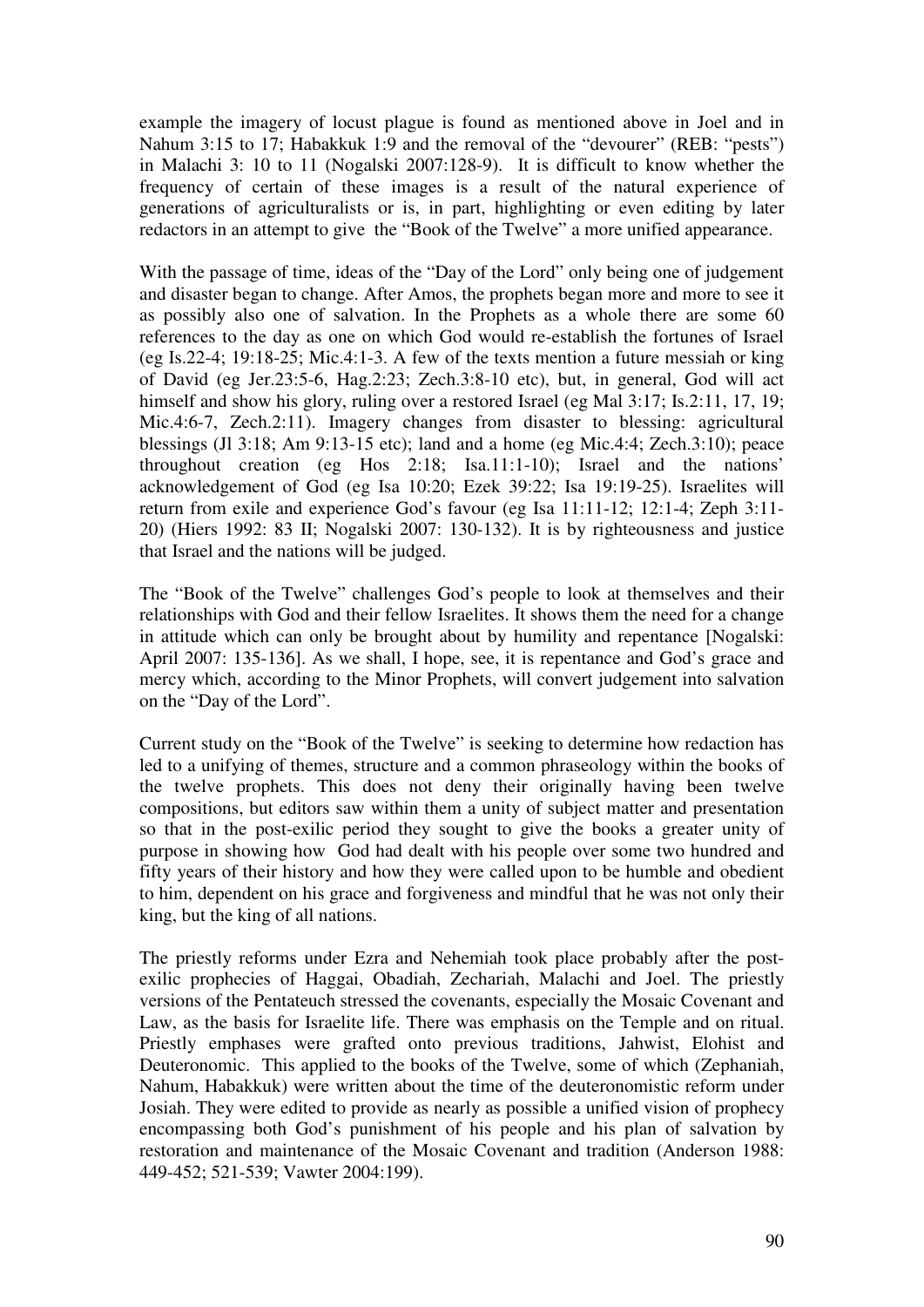example the imagery of locust plague is found as mentioned above in Joel and in Nahum 3:15 to 17; Habakkuk 1:9 and the removal of the "devourer" (REB: "pests") in Malachi 3: 10 to 11 (Nogalski 2007:128-9). It is difficult to know whether the frequency of certain of these images is a result of the natural experience of generations of agriculturalists or is, in part, highlighting or even editing by later redactors in an attempt to give the "Book of the Twelve" a more unified appearance.

With the passage of time, ideas of the "Day of the Lord" only being one of judgement and disaster began to change. After Amos, the prophets began more and more to see it as possibly also one of salvation. In the Prophets as a whole there are some 60 references to the day as one on which God would re-establish the fortunes of Israel (eg Is.22-4; 19:18-25; Mic.4:1-3. A few of the texts mention a future messiah or king of David (eg Jer.23:5-6, Hag.2:23; Zech.3:8-10 etc), but, in general, God will act himself and show his glory, ruling over a restored Israel (eg Mal 3:17; Is.2:11, 17, 19; Mic.4:6-7, Zech.2:11). Imagery changes from disaster to blessing: agricultural blessings (Jl 3:18; Am 9:13-15 etc); land and a home (eg Mic.4:4; Zech.3:10); peace throughout creation (eg Hos 2:18; Isa.11:1-10); Israel and the nations' acknowledgement of God (eg Isa 10:20; Ezek 39:22; Isa 19:19-25). Israelites will return from exile and experience God's favour (eg Isa 11:11-12; 12:1-4; Zeph 3:11- 20) (Hiers 1992: 83 II; Nogalski 2007: 130-132). It is by righteousness and justice that Israel and the nations will be judged.

The "Book of the Twelve" challenges God's people to look at themselves and their relationships with God and their fellow Israelites. It shows them the need for a change in attitude which can only be brought about by humility and repentance [Nogalski: April 2007: 135-136]. As we shall, I hope, see, it is repentance and God's grace and mercy which, according to the Minor Prophets, will convert judgement into salvation on the "Day of the Lord".

Current study on the "Book of the Twelve" is seeking to determine how redaction has led to a unifying of themes, structure and a common phraseology within the books of the twelve prophets. This does not deny their originally having been twelve compositions, but editors saw within them a unity of subject matter and presentation so that in the post-exilic period they sought to give the books a greater unity of purpose in showing how God had dealt with his people over some two hundred and fifty years of their history and how they were called upon to be humble and obedient to him, dependent on his grace and forgiveness and mindful that he was not only their king, but the king of all nations.

The priestly reforms under Ezra and Nehemiah took place probably after the postexilic prophecies of Haggai, Obadiah, Zechariah, Malachi and Joel. The priestly versions of the Pentateuch stressed the covenants, especially the Mosaic Covenant and Law, as the basis for Israelite life. There was emphasis on the Temple and on ritual. Priestly emphases were grafted onto previous traditions, Jahwist, Elohist and Deuteronomic. This applied to the books of the Twelve, some of which (Zephaniah, Nahum, Habakkuk) were written about the time of the deuteronomistic reform under Josiah. They were edited to provide as nearly as possible a unified vision of prophecy encompassing both God's punishment of his people and his plan of salvation by restoration and maintenance of the Mosaic Covenant and tradition (Anderson 1988: 449-452; 521-539; Vawter 2004:199).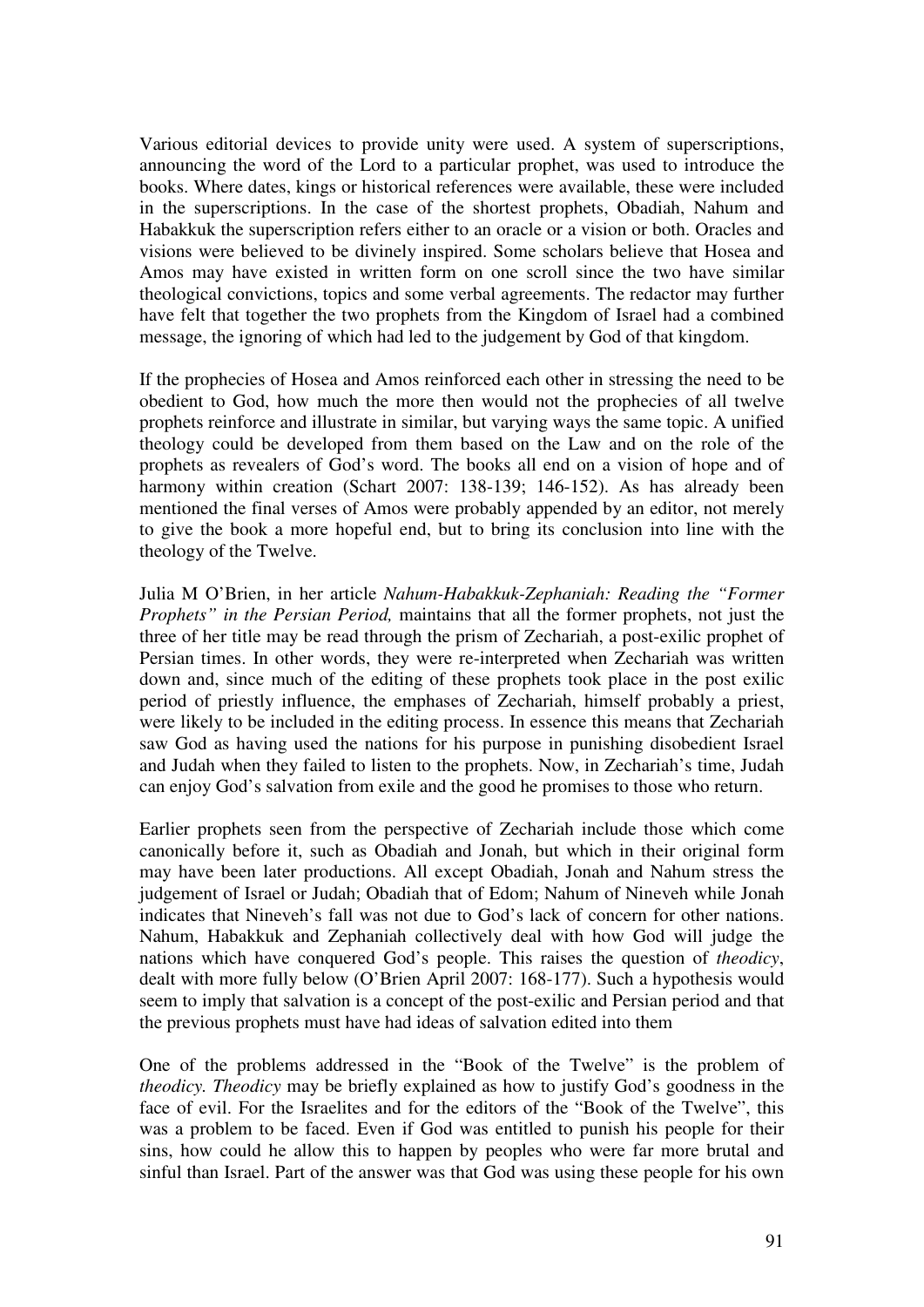Various editorial devices to provide unity were used. A system of superscriptions, announcing the word of the Lord to a particular prophet, was used to introduce the books. Where dates, kings or historical references were available, these were included in the superscriptions. In the case of the shortest prophets, Obadiah, Nahum and Habakkuk the superscription refers either to an oracle or a vision or both. Oracles and visions were believed to be divinely inspired. Some scholars believe that Hosea and Amos may have existed in written form on one scroll since the two have similar theological convictions, topics and some verbal agreements. The redactor may further have felt that together the two prophets from the Kingdom of Israel had a combined message, the ignoring of which had led to the judgement by God of that kingdom.

If the prophecies of Hosea and Amos reinforced each other in stressing the need to be obedient to God, how much the more then would not the prophecies of all twelve prophets reinforce and illustrate in similar, but varying ways the same topic. A unified theology could be developed from them based on the Law and on the role of the prophets as revealers of God's word. The books all end on a vision of hope and of harmony within creation (Schart 2007: 138-139: 146-152). As has already been mentioned the final verses of Amos were probably appended by an editor, not merely to give the book a more hopeful end, but to bring its conclusion into line with the theology of the Twelve.

Julia M O'Brien, in her article *Nahum-Habakkuk-Zephaniah: Reading the "Former Prophets" in the Persian Period,* maintains that all the former prophets, not just the three of her title may be read through the prism of Zechariah, a post-exilic prophet of Persian times. In other words, they were re-interpreted when Zechariah was written down and, since much of the editing of these prophets took place in the post exilic period of priestly influence, the emphases of Zechariah, himself probably a priest, were likely to be included in the editing process. In essence this means that Zechariah saw God as having used the nations for his purpose in punishing disobedient Israel and Judah when they failed to listen to the prophets. Now, in Zechariah's time, Judah can enjoy God's salvation from exile and the good he promises to those who return.

Earlier prophets seen from the perspective of Zechariah include those which come canonically before it, such as Obadiah and Jonah, but which in their original form may have been later productions. All except Obadiah, Jonah and Nahum stress the judgement of Israel or Judah; Obadiah that of Edom; Nahum of Nineveh while Jonah indicates that Nineveh's fall was not due to God's lack of concern for other nations. Nahum, Habakkuk and Zephaniah collectively deal with how God will judge the nations which have conquered God's people. This raises the question of *theodicy*, dealt with more fully below (O'Brien April 2007: 168-177). Such a hypothesis would seem to imply that salvation is a concept of the post-exilic and Persian period and that the previous prophets must have had ideas of salvation edited into them

One of the problems addressed in the "Book of the Twelve" is the problem of *theodicy. Theodicy* may be briefly explained as how to justify God's goodness in the face of evil. For the Israelites and for the editors of the "Book of the Twelve", this was a problem to be faced. Even if God was entitled to punish his people for their sins, how could he allow this to happen by peoples who were far more brutal and sinful than Israel. Part of the answer was that God was using these people for his own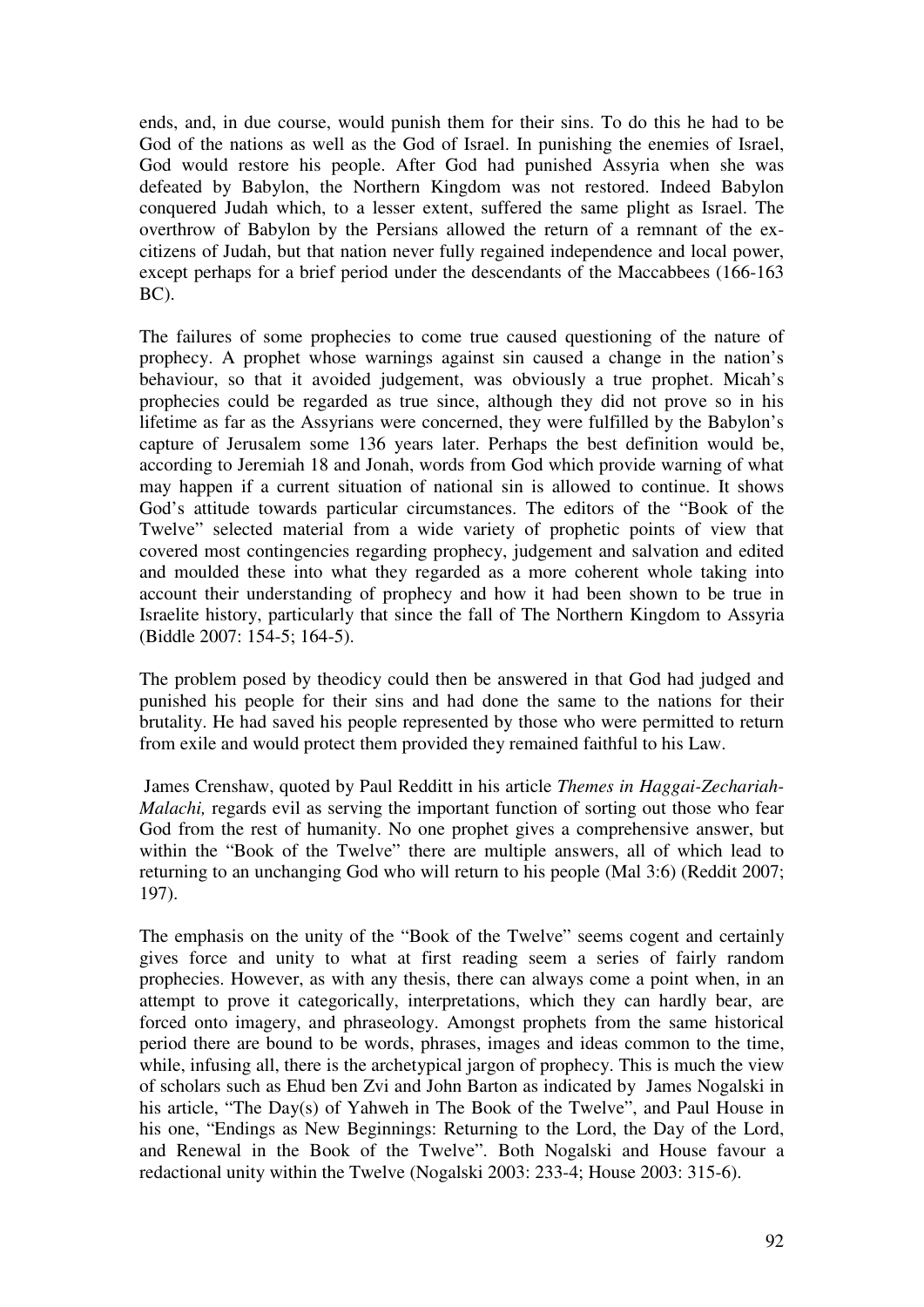ends, and, in due course, would punish them for their sins. To do this he had to be God of the nations as well as the God of Israel. In punishing the enemies of Israel, God would restore his people. After God had punished Assyria when she was defeated by Babylon, the Northern Kingdom was not restored. Indeed Babylon conquered Judah which, to a lesser extent, suffered the same plight as Israel. The overthrow of Babylon by the Persians allowed the return of a remnant of the excitizens of Judah, but that nation never fully regained independence and local power, except perhaps for a brief period under the descendants of the Maccabbees (166-163 BC).

The failures of some prophecies to come true caused questioning of the nature of prophecy. A prophet whose warnings against sin caused a change in the nation's behaviour, so that it avoided judgement, was obviously a true prophet. Micah's prophecies could be regarded as true since, although they did not prove so in his lifetime as far as the Assyrians were concerned, they were fulfilled by the Babylon's capture of Jerusalem some 136 years later. Perhaps the best definition would be, according to Jeremiah 18 and Jonah, words from God which provide warning of what may happen if a current situation of national sin is allowed to continue. It shows God's attitude towards particular circumstances. The editors of the "Book of the Twelve" selected material from a wide variety of prophetic points of view that covered most contingencies regarding prophecy, judgement and salvation and edited and moulded these into what they regarded as a more coherent whole taking into account their understanding of prophecy and how it had been shown to be true in Israelite history, particularly that since the fall of The Northern Kingdom to Assyria (Biddle 2007: 154-5; 164-5).

The problem posed by theodicy could then be answered in that God had judged and punished his people for their sins and had done the same to the nations for their brutality. He had saved his people represented by those who were permitted to return from exile and would protect them provided they remained faithful to his Law.

 James Crenshaw, quoted by Paul Redditt in his article *Themes in Haggai-Zechariah-Malachi,* regards evil as serving the important function of sorting out those who fear God from the rest of humanity. No one prophet gives a comprehensive answer, but within the "Book of the Twelve" there are multiple answers, all of which lead to returning to an unchanging God who will return to his people (Mal 3:6) (Reddit 2007; 197).

The emphasis on the unity of the "Book of the Twelve" seems cogent and certainly gives force and unity to what at first reading seem a series of fairly random prophecies. However, as with any thesis, there can always come a point when, in an attempt to prove it categorically, interpretations, which they can hardly bear, are forced onto imagery, and phraseology. Amongst prophets from the same historical period there are bound to be words, phrases, images and ideas common to the time, while, infusing all, there is the archetypical jargon of prophecy. This is much the view of scholars such as Ehud ben Zvi and John Barton as indicated by James Nogalski in his article, "The Day(s) of Yahweh in The Book of the Twelve", and Paul House in his one, "Endings as New Beginnings: Returning to the Lord, the Day of the Lord, and Renewal in the Book of the Twelve". Both Nogalski and House favour a redactional unity within the Twelve (Nogalski 2003: 233-4; House 2003: 315-6).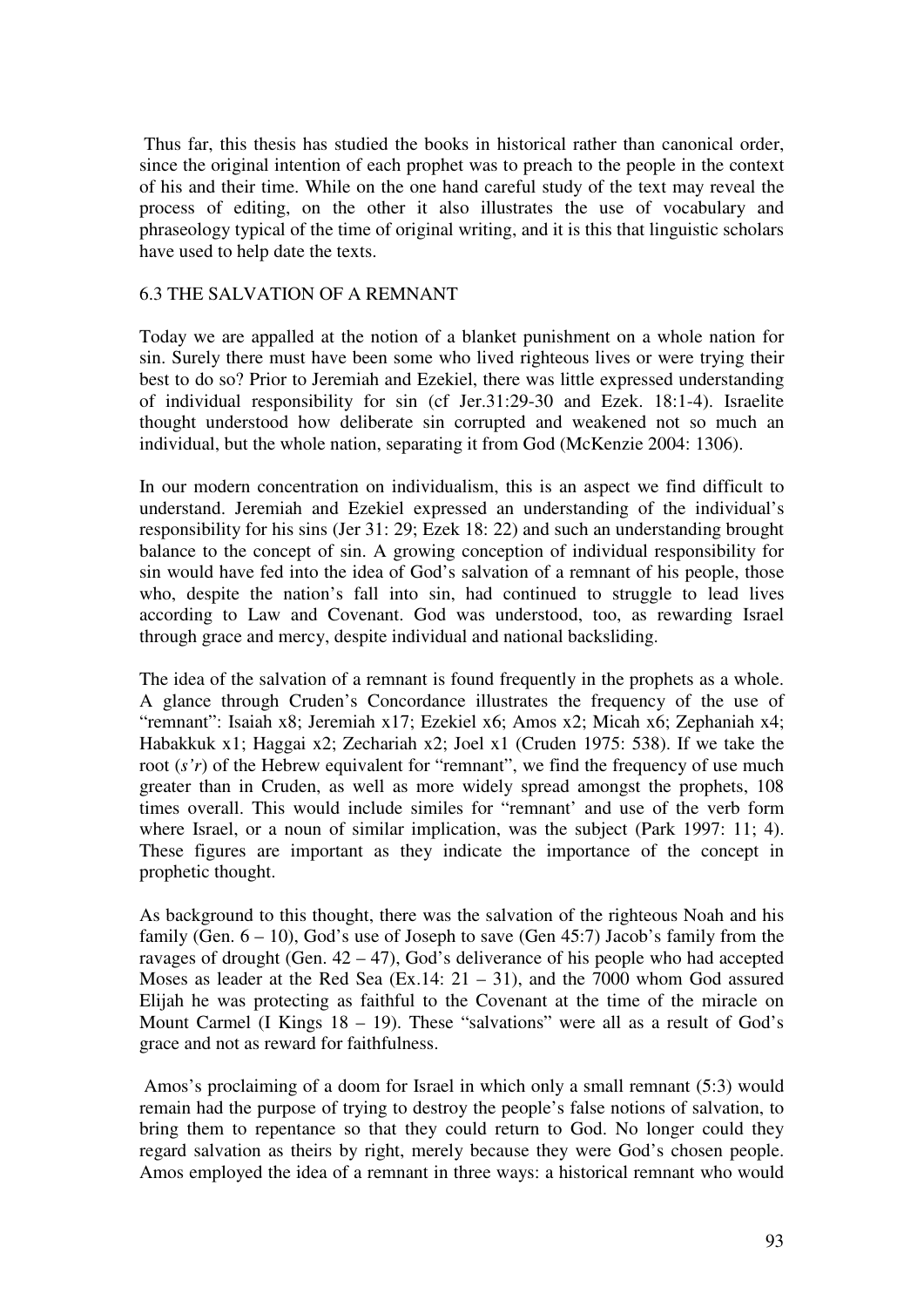Thus far, this thesis has studied the books in historical rather than canonical order, since the original intention of each prophet was to preach to the people in the context of his and their time. While on the one hand careful study of the text may reveal the process of editing, on the other it also illustrates the use of vocabulary and phraseology typical of the time of original writing, and it is this that linguistic scholars have used to help date the texts.

# 6.3 THE SALVATION OF A REMNANT

Today we are appalled at the notion of a blanket punishment on a whole nation for sin. Surely there must have been some who lived righteous lives or were trying their best to do so? Prior to Jeremiah and Ezekiel, there was little expressed understanding of individual responsibility for sin (cf Jer.31:29-30 and Ezek. 18:1-4). Israelite thought understood how deliberate sin corrupted and weakened not so much an individual, but the whole nation, separating it from God (McKenzie 2004: 1306).

In our modern concentration on individualism, this is an aspect we find difficult to understand. Jeremiah and Ezekiel expressed an understanding of the individual's responsibility for his sins (Jer 31: 29; Ezek 18: 22) and such an understanding brought balance to the concept of sin. A growing conception of individual responsibility for sin would have fed into the idea of God's salvation of a remnant of his people, those who, despite the nation's fall into sin, had continued to struggle to lead lives according to Law and Covenant. God was understood, too, as rewarding Israel through grace and mercy, despite individual and national backsliding.

The idea of the salvation of a remnant is found frequently in the prophets as a whole. A glance through Cruden's Concordance illustrates the frequency of the use of "remnant": Isaiah x8; Jeremiah x17; Ezekiel x6; Amos x2; Micah x6; Zephaniah x4; Habakkuk x1; Haggai x2; Zechariah x2; Joel x1 (Cruden 1975: 538). If we take the root (*s'r*) of the Hebrew equivalent for "remnant", we find the frequency of use much greater than in Cruden, as well as more widely spread amongst the prophets, 108 times overall. This would include similes for "remnant' and use of the verb form where Israel, or a noun of similar implication, was the subject (Park 1997: 11; 4). These figures are important as they indicate the importance of the concept in prophetic thought.

As background to this thought, there was the salvation of the righteous Noah and his family (Gen.  $6 - 10$ ), God's use of Joseph to save (Gen 45:7) Jacob's family from the ravages of drought (Gen.  $42 - 47$ ), God's deliverance of his people who had accepted Moses as leader at the Red Sea  $(Ex.14: 21 - 31)$ , and the 7000 whom God assured Elijah he was protecting as faithful to the Covenant at the time of the miracle on Mount Carmel (I Kings  $18 - 19$ ). These "salvations" were all as a result of God's grace and not as reward for faithfulness.

 Amos's proclaiming of a doom for Israel in which only a small remnant (5:3) would remain had the purpose of trying to destroy the people's false notions of salvation, to bring them to repentance so that they could return to God. No longer could they regard salvation as theirs by right, merely because they were God's chosen people. Amos employed the idea of a remnant in three ways: a historical remnant who would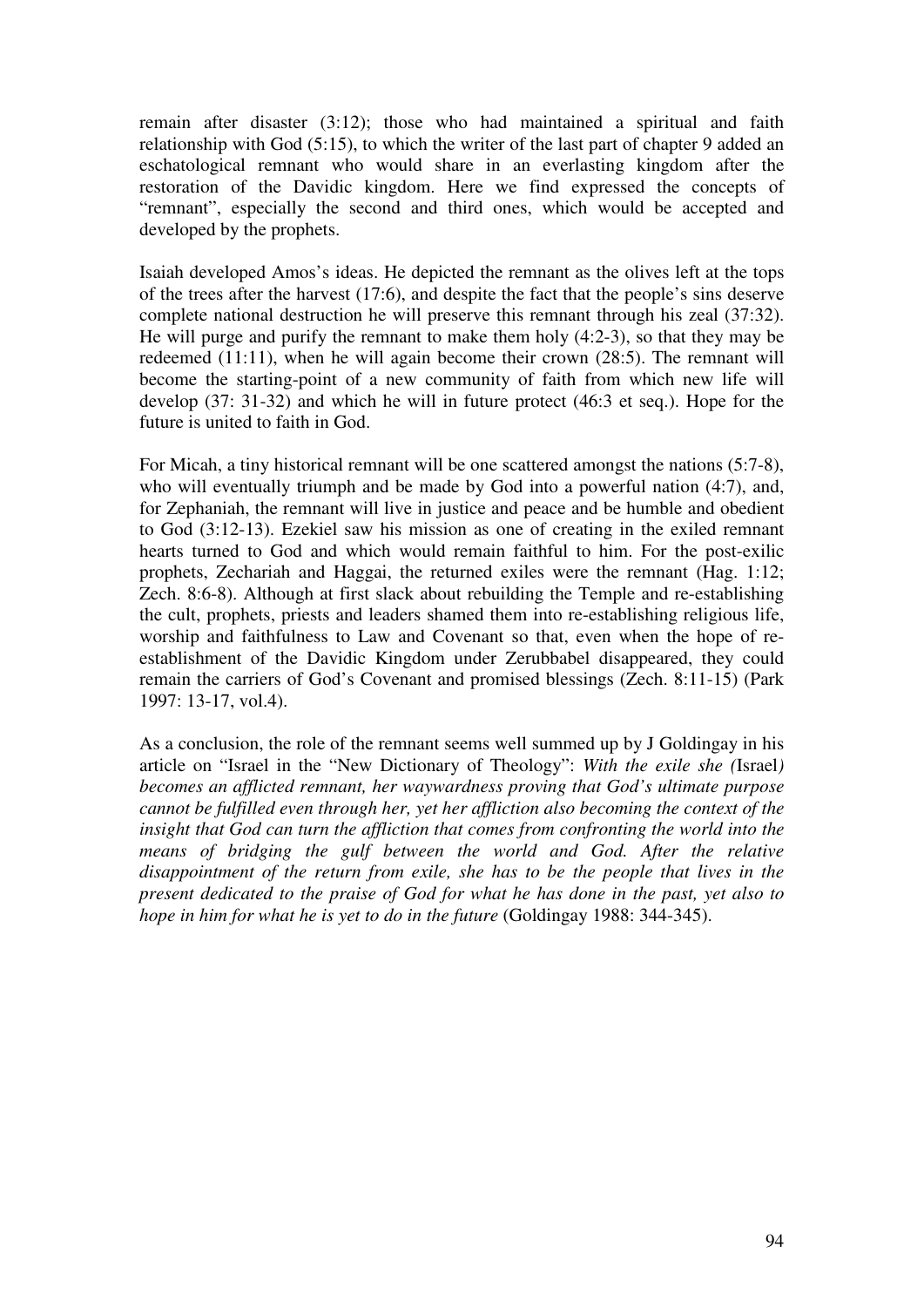remain after disaster (3:12); those who had maintained a spiritual and faith relationship with God (5:15), to which the writer of the last part of chapter 9 added an eschatological remnant who would share in an everlasting kingdom after the restoration of the Davidic kingdom. Here we find expressed the concepts of "remnant", especially the second and third ones, which would be accepted and developed by the prophets.

Isaiah developed Amos's ideas. He depicted the remnant as the olives left at the tops of the trees after the harvest (17:6), and despite the fact that the people's sins deserve complete national destruction he will preserve this remnant through his zeal (37:32). He will purge and purify the remnant to make them holy (4:2-3), so that they may be redeemed (11:11), when he will again become their crown (28:5). The remnant will become the starting-point of a new community of faith from which new life will develop (37: 31-32) and which he will in future protect (46:3 et seq.). Hope for the future is united to faith in God.

For Micah, a tiny historical remnant will be one scattered amongst the nations (5:7-8), who will eventually triumph and be made by God into a powerful nation (4:7), and, for Zephaniah, the remnant will live in justice and peace and be humble and obedient to God (3:12-13). Ezekiel saw his mission as one of creating in the exiled remnant hearts turned to God and which would remain faithful to him. For the post-exilic prophets, Zechariah and Haggai, the returned exiles were the remnant (Hag. 1:12; Zech. 8:6-8). Although at first slack about rebuilding the Temple and re-establishing the cult, prophets, priests and leaders shamed them into re-establishing religious life, worship and faithfulness to Law and Covenant so that, even when the hope of reestablishment of the Davidic Kingdom under Zerubbabel disappeared, they could remain the carriers of God's Covenant and promised blessings (Zech. 8:11-15) (Park 1997: 13-17, vol.4).

As a conclusion, the role of the remnant seems well summed up by J Goldingay in his article on "Israel in the "New Dictionary of Theology": *With the exile she (*Israel*) becomes an afflicted remnant, her waywardness proving that God's ultimate purpose cannot be fulfilled even through her, yet her affliction also becoming the context of the insight that God can turn the affliction that comes from confronting the world into the means of bridging the gulf between the world and God. After the relative disappointment of the return from exile, she has to be the people that lives in the present dedicated to the praise of God for what he has done in the past, yet also to hope in him for what he is yet to do in the future* (Goldingay 1988: 344-345).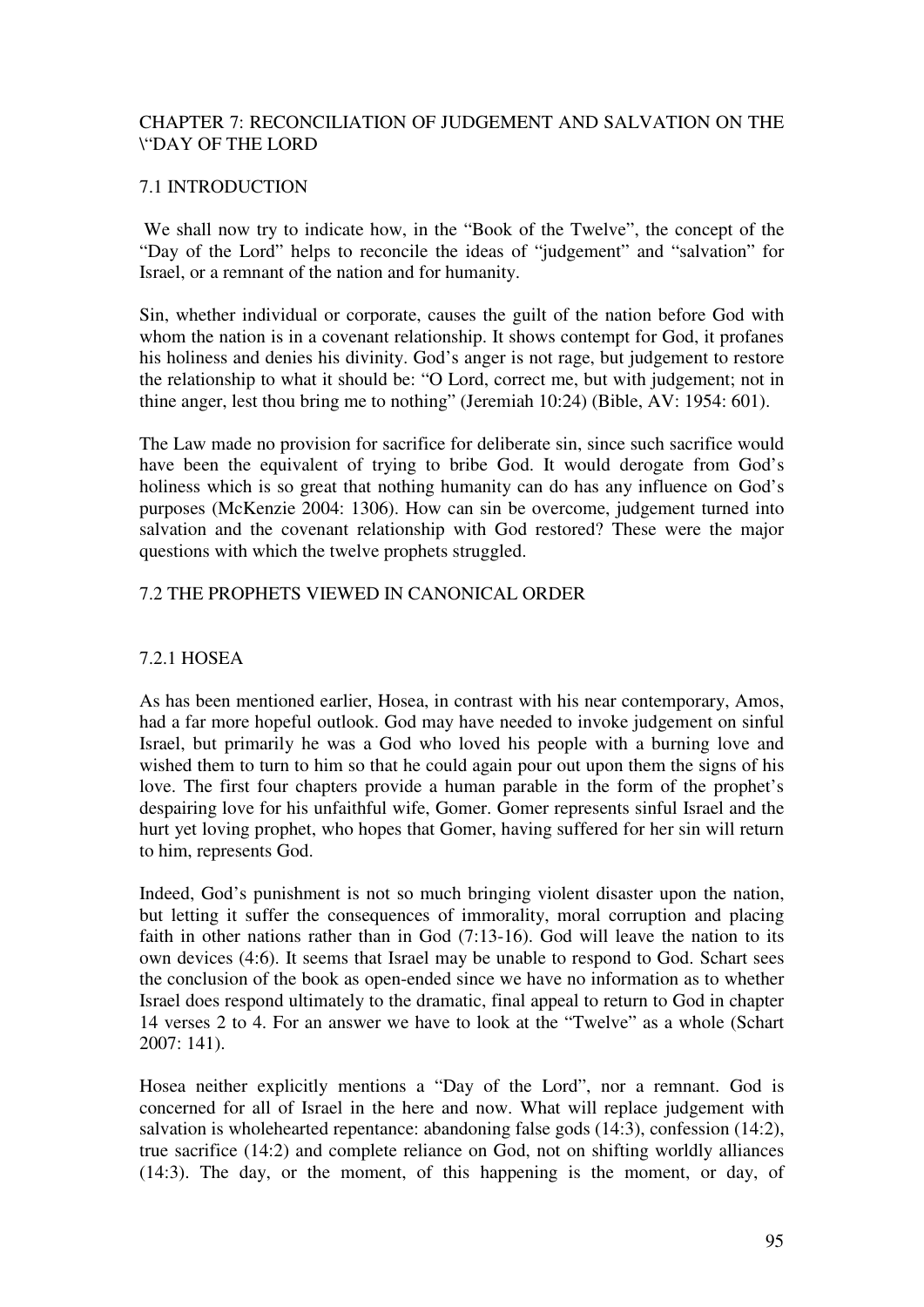# CHAPTER 7: RECONCILIATION OF JUDGEMENT AND SALVATION ON THE \"DAY OF THE LORD

# 7.1 INTRODUCTION

 We shall now try to indicate how, in the "Book of the Twelve", the concept of the "Day of the Lord" helps to reconcile the ideas of "judgement" and "salvation" for Israel, or a remnant of the nation and for humanity.

Sin, whether individual or corporate, causes the guilt of the nation before God with whom the nation is in a covenant relationship. It shows contempt for God, it profanes his holiness and denies his divinity. God's anger is not rage, but judgement to restore the relationship to what it should be: "O Lord, correct me, but with judgement; not in thine anger, lest thou bring me to nothing" (Jeremiah 10:24) (Bible, AV: 1954: 601).

The Law made no provision for sacrifice for deliberate sin, since such sacrifice would have been the equivalent of trying to bribe God. It would derogate from God's holiness which is so great that nothing humanity can do has any influence on God's purposes (McKenzie 2004: 1306). How can sin be overcome, judgement turned into salvation and the covenant relationship with God restored? These were the major questions with which the twelve prophets struggled.

# 7.2 THE PROPHETS VIEWED IN CANONICAL ORDER

# 7.2.1 HOSEA

As has been mentioned earlier, Hosea, in contrast with his near contemporary, Amos, had a far more hopeful outlook. God may have needed to invoke judgement on sinful Israel, but primarily he was a God who loved his people with a burning love and wished them to turn to him so that he could again pour out upon them the signs of his love. The first four chapters provide a human parable in the form of the prophet's despairing love for his unfaithful wife, Gomer. Gomer represents sinful Israel and the hurt yet loving prophet, who hopes that Gomer, having suffered for her sin will return to him, represents God.

Indeed, God's punishment is not so much bringing violent disaster upon the nation, but letting it suffer the consequences of immorality, moral corruption and placing faith in other nations rather than in God (7:13-16). God will leave the nation to its own devices (4:6). It seems that Israel may be unable to respond to God. Schart sees the conclusion of the book as open-ended since we have no information as to whether Israel does respond ultimately to the dramatic, final appeal to return to God in chapter 14 verses 2 to 4. For an answer we have to look at the "Twelve" as a whole (Schart 2007: 141).

Hosea neither explicitly mentions a "Day of the Lord", nor a remnant. God is concerned for all of Israel in the here and now. What will replace judgement with salvation is wholehearted repentance: abandoning false gods (14:3), confession (14:2), true sacrifice (14:2) and complete reliance on God, not on shifting worldly alliances (14:3). The day, or the moment, of this happening is the moment, or day, of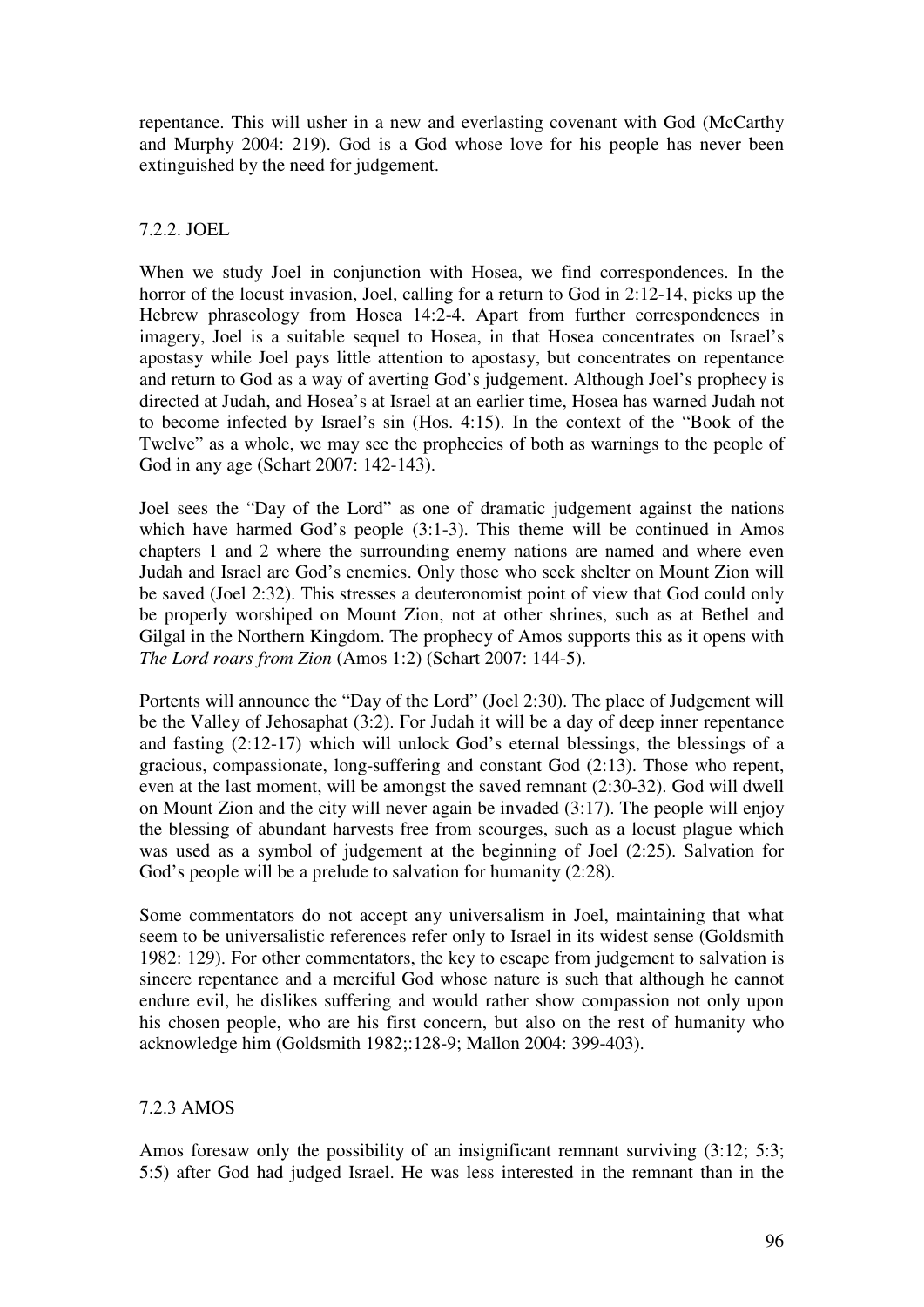repentance. This will usher in a new and everlasting covenant with God (McCarthy and Murphy 2004: 219). God is a God whose love for his people has never been extinguished by the need for judgement.

# 7.2.2. JOEL

When we study Joel in conjunction with Hosea, we find correspondences. In the horror of the locust invasion, Joel, calling for a return to God in 2:12-14, picks up the Hebrew phraseology from Hosea 14:2-4. Apart from further correspondences in imagery, Joel is a suitable sequel to Hosea, in that Hosea concentrates on Israel's apostasy while Joel pays little attention to apostasy, but concentrates on repentance and return to God as a way of averting God's judgement. Although Joel's prophecy is directed at Judah, and Hosea's at Israel at an earlier time, Hosea has warned Judah not to become infected by Israel's sin (Hos. 4:15). In the context of the "Book of the Twelve" as a whole, we may see the prophecies of both as warnings to the people of God in any age (Schart 2007: 142-143).

Joel sees the "Day of the Lord" as one of dramatic judgement against the nations which have harmed God's people (3:1-3). This theme will be continued in Amos chapters 1 and 2 where the surrounding enemy nations are named and where even Judah and Israel are God's enemies. Only those who seek shelter on Mount Zion will be saved (Joel 2:32). This stresses a deuteronomist point of view that God could only be properly worshiped on Mount Zion, not at other shrines, such as at Bethel and Gilgal in the Northern Kingdom. The prophecy of Amos supports this as it opens with *The Lord roars from Zion* (Amos 1:2) (Schart 2007: 144-5).

Portents will announce the "Day of the Lord" (Joel 2:30). The place of Judgement will be the Valley of Jehosaphat (3:2). For Judah it will be a day of deep inner repentance and fasting (2:12-17) which will unlock God's eternal blessings, the blessings of a gracious, compassionate, long-suffering and constant God (2:13). Those who repent, even at the last moment, will be amongst the saved remnant (2:30-32). God will dwell on Mount Zion and the city will never again be invaded (3:17). The people will enjoy the blessing of abundant harvests free from scourges, such as a locust plague which was used as a symbol of judgement at the beginning of Joel (2:25). Salvation for God's people will be a prelude to salvation for humanity (2:28).

Some commentators do not accept any universalism in Joel, maintaining that what seem to be universalistic references refer only to Israel in its widest sense (Goldsmith 1982: 129). For other commentators, the key to escape from judgement to salvation is sincere repentance and a merciful God whose nature is such that although he cannot endure evil, he dislikes suffering and would rather show compassion not only upon his chosen people, who are his first concern, but also on the rest of humanity who acknowledge him (Goldsmith 1982;:128-9; Mallon 2004: 399-403).

# 7.2.3 AMOS

Amos foresaw only the possibility of an insignificant remnant surviving (3:12; 5:3; 5:5) after God had judged Israel. He was less interested in the remnant than in the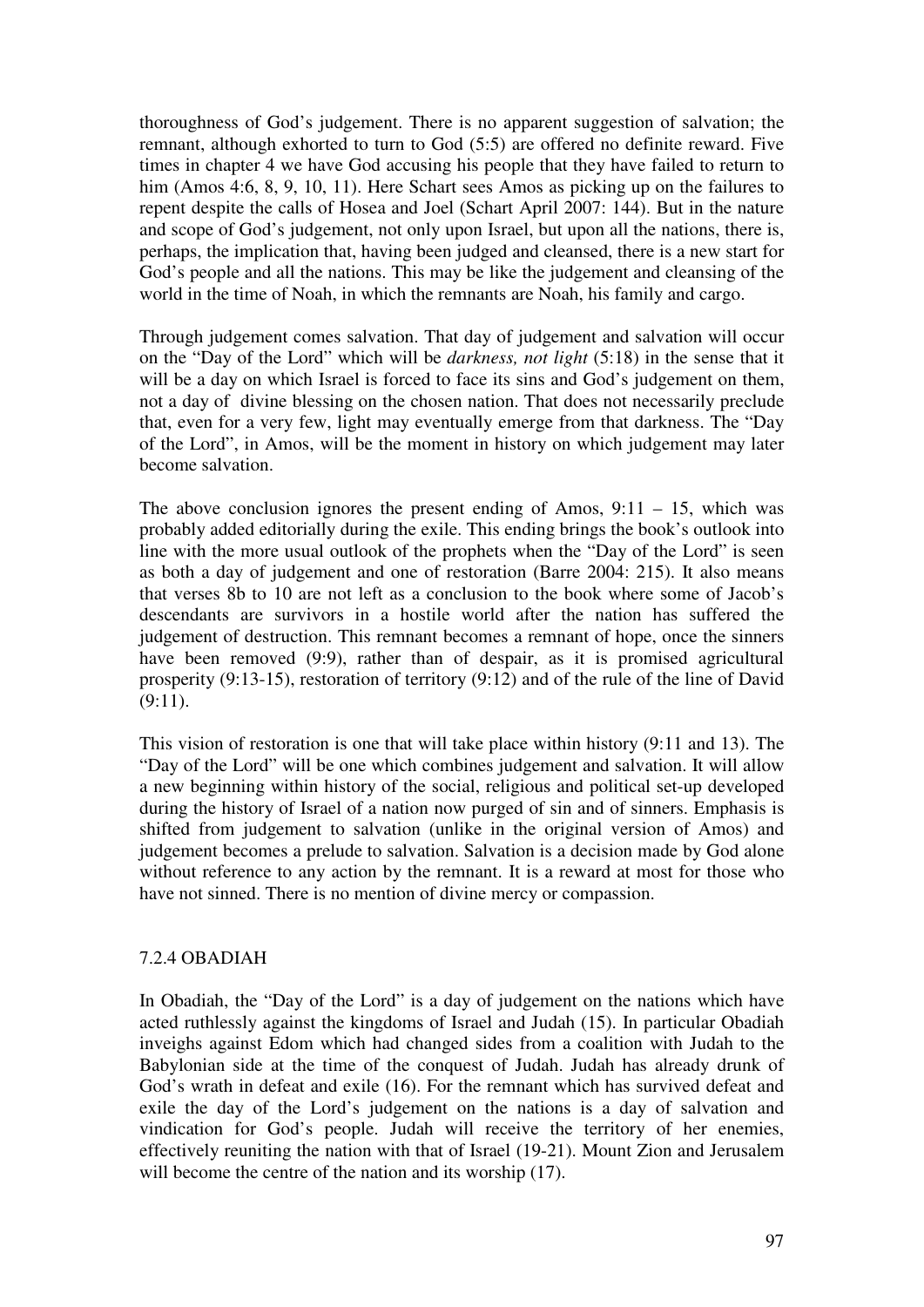thoroughness of God's judgement. There is no apparent suggestion of salvation; the remnant, although exhorted to turn to God (5:5) are offered no definite reward. Five times in chapter 4 we have God accusing his people that they have failed to return to him (Amos 4:6, 8, 9, 10, 11). Here Schart sees Amos as picking up on the failures to repent despite the calls of Hosea and Joel (Schart April 2007: 144). But in the nature and scope of God's judgement, not only upon Israel, but upon all the nations, there is, perhaps, the implication that, having been judged and cleansed, there is a new start for God's people and all the nations. This may be like the judgement and cleansing of the world in the time of Noah, in which the remnants are Noah, his family and cargo.

Through judgement comes salvation. That day of judgement and salvation will occur on the "Day of the Lord" which will be *darkness, not light* (5:18) in the sense that it will be a day on which Israel is forced to face its sins and God's judgement on them, not a day of divine blessing on the chosen nation. That does not necessarily preclude that, even for a very few, light may eventually emerge from that darkness. The "Day of the Lord", in Amos, will be the moment in history on which judgement may later become salvation.

The above conclusion ignores the present ending of Amos,  $9:11 - 15$ , which was probably added editorially during the exile. This ending brings the book's outlook into line with the more usual outlook of the prophets when the "Day of the Lord" is seen as both a day of judgement and one of restoration (Barre 2004: 215). It also means that verses 8b to 10 are not left as a conclusion to the book where some of Jacob's descendants are survivors in a hostile world after the nation has suffered the judgement of destruction. This remnant becomes a remnant of hope, once the sinners have been removed (9:9), rather than of despair, as it is promised agricultural prosperity (9:13-15), restoration of territory (9:12) and of the rule of the line of David  $(9:11)$ .

This vision of restoration is one that will take place within history (9:11 and 13). The "Day of the Lord" will be one which combines judgement and salvation. It will allow a new beginning within history of the social, religious and political set-up developed during the history of Israel of a nation now purged of sin and of sinners. Emphasis is shifted from judgement to salvation (unlike in the original version of Amos) and judgement becomes a prelude to salvation. Salvation is a decision made by God alone without reference to any action by the remnant. It is a reward at most for those who have not sinned. There is no mention of divine mercy or compassion.

### 7.2.4 OBADIAH

In Obadiah, the "Day of the Lord" is a day of judgement on the nations which have acted ruthlessly against the kingdoms of Israel and Judah (15). In particular Obadiah inveighs against Edom which had changed sides from a coalition with Judah to the Babylonian side at the time of the conquest of Judah. Judah has already drunk of God's wrath in defeat and exile (16). For the remnant which has survived defeat and exile the day of the Lord's judgement on the nations is a day of salvation and vindication for God's people. Judah will receive the territory of her enemies, effectively reuniting the nation with that of Israel (19-21). Mount Zion and Jerusalem will become the centre of the nation and its worship (17).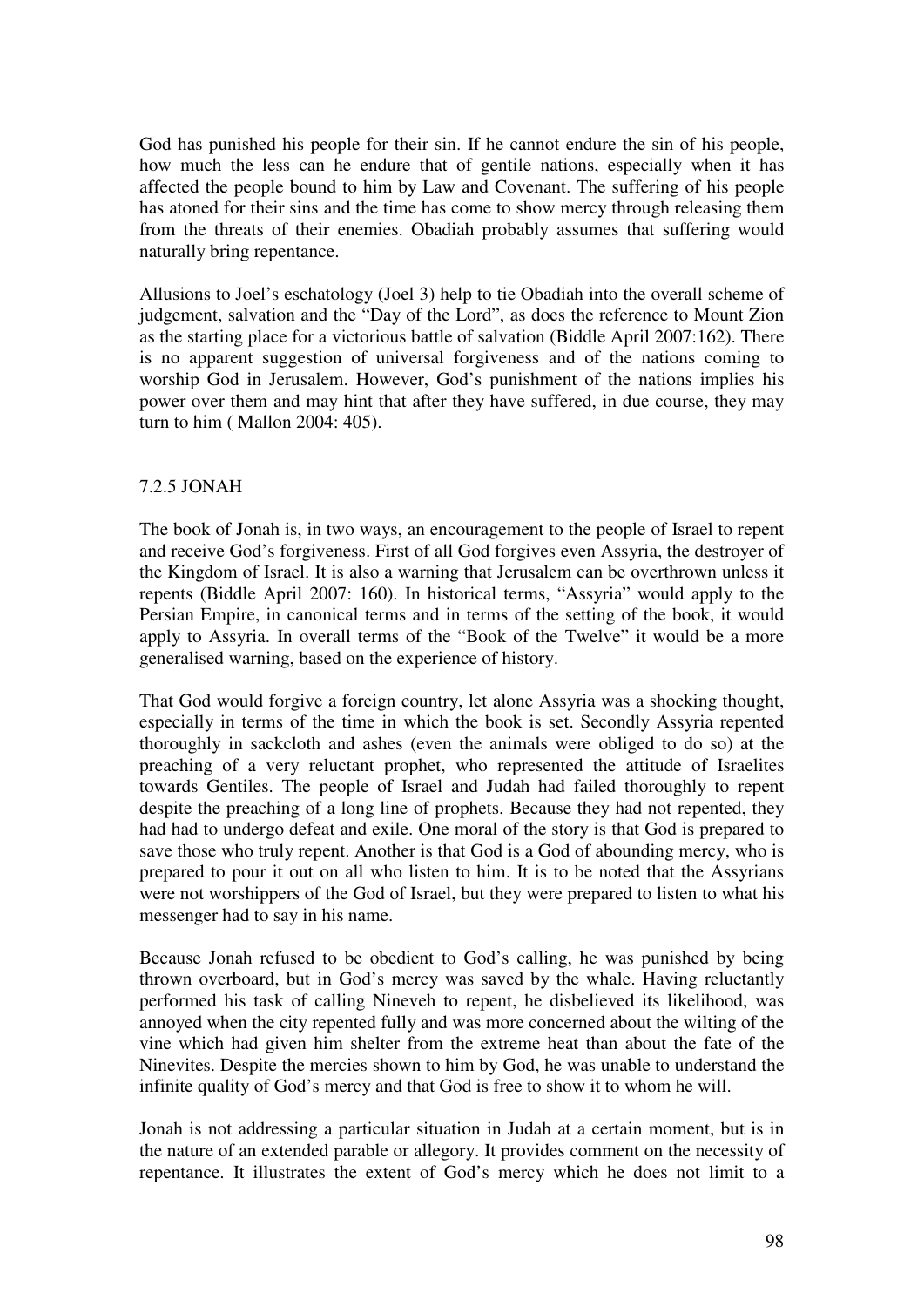God has punished his people for their sin. If he cannot endure the sin of his people, how much the less can he endure that of gentile nations, especially when it has affected the people bound to him by Law and Covenant. The suffering of his people has atoned for their sins and the time has come to show mercy through releasing them from the threats of their enemies. Obadiah probably assumes that suffering would naturally bring repentance.

Allusions to Joel's eschatology (Joel 3) help to tie Obadiah into the overall scheme of judgement, salvation and the "Day of the Lord", as does the reference to Mount Zion as the starting place for a victorious battle of salvation (Biddle April 2007:162). There is no apparent suggestion of universal forgiveness and of the nations coming to worship God in Jerusalem. However, God's punishment of the nations implies his power over them and may hint that after they have suffered, in due course, they may turn to him ( Mallon 2004: 405).

# 7.2.5 JONAH

The book of Jonah is, in two ways, an encouragement to the people of Israel to repent and receive God's forgiveness. First of all God forgives even Assyria, the destroyer of the Kingdom of Israel. It is also a warning that Jerusalem can be overthrown unless it repents (Biddle April 2007: 160). In historical terms, "Assyria" would apply to the Persian Empire, in canonical terms and in terms of the setting of the book, it would apply to Assyria. In overall terms of the "Book of the Twelve" it would be a more generalised warning, based on the experience of history.

That God would forgive a foreign country, let alone Assyria was a shocking thought, especially in terms of the time in which the book is set. Secondly Assyria repented thoroughly in sackcloth and ashes (even the animals were obliged to do so) at the preaching of a very reluctant prophet, who represented the attitude of Israelites towards Gentiles. The people of Israel and Judah had failed thoroughly to repent despite the preaching of a long line of prophets. Because they had not repented, they had had to undergo defeat and exile. One moral of the story is that God is prepared to save those who truly repent. Another is that God is a God of abounding mercy, who is prepared to pour it out on all who listen to him. It is to be noted that the Assyrians were not worshippers of the God of Israel, but they were prepared to listen to what his messenger had to say in his name.

Because Jonah refused to be obedient to God's calling, he was punished by being thrown overboard, but in God's mercy was saved by the whale. Having reluctantly performed his task of calling Nineveh to repent, he disbelieved its likelihood, was annoyed when the city repented fully and was more concerned about the wilting of the vine which had given him shelter from the extreme heat than about the fate of the Ninevites. Despite the mercies shown to him by God, he was unable to understand the infinite quality of God's mercy and that God is free to show it to whom he will.

Jonah is not addressing a particular situation in Judah at a certain moment, but is in the nature of an extended parable or allegory. It provides comment on the necessity of repentance. It illustrates the extent of God's mercy which he does not limit to a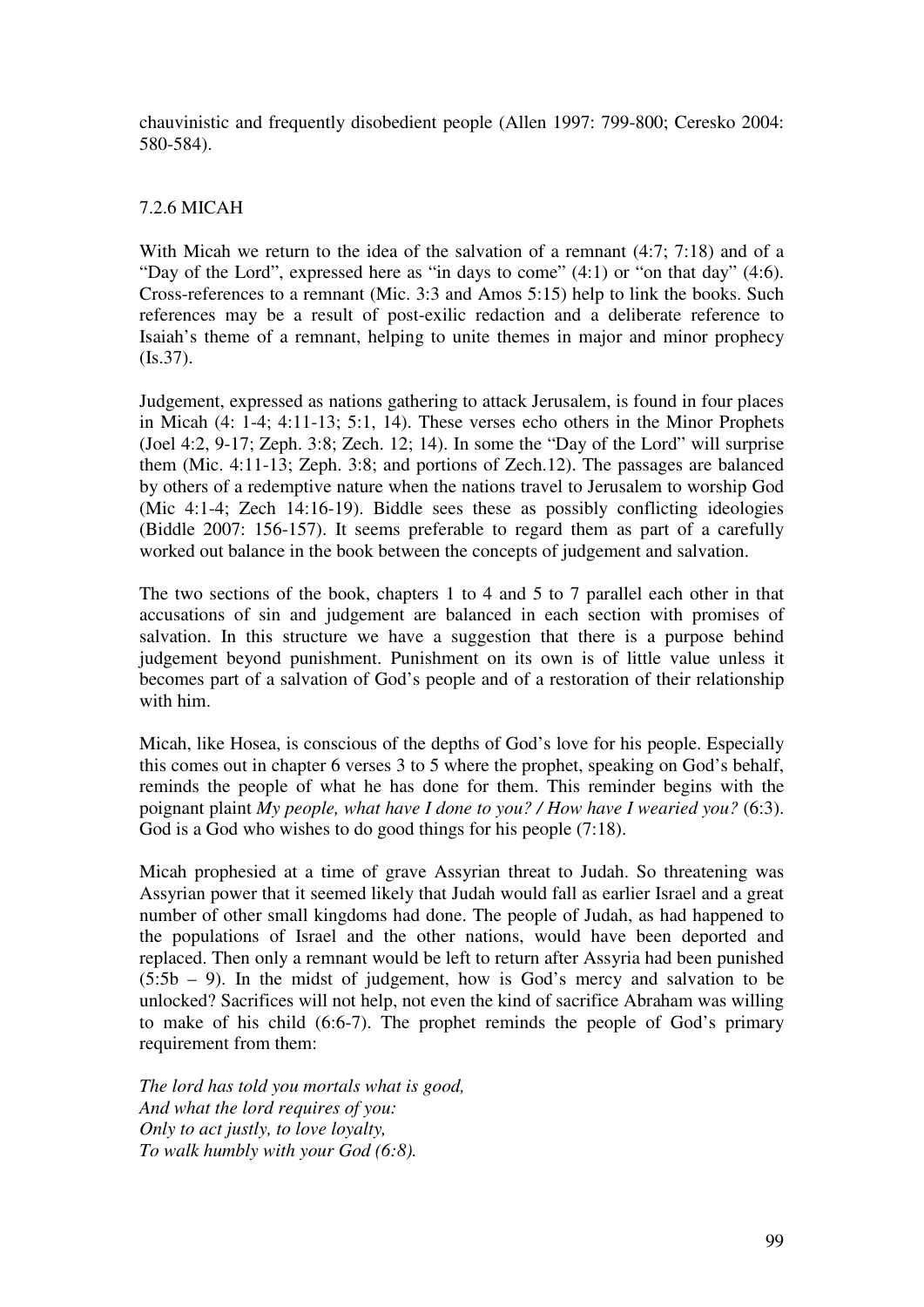chauvinistic and frequently disobedient people (Allen 1997: 799-800; Ceresko 2004: 580-584).

# 7.2.6 MICAH

With Micah we return to the idea of the salvation of a remnant (4:7; 7:18) and of a "Day of the Lord", expressed here as "in days to come" (4:1) or "on that day" (4:6). Cross-references to a remnant (Mic. 3:3 and Amos 5:15) help to link the books. Such references may be a result of post-exilic redaction and a deliberate reference to Isaiah's theme of a remnant, helping to unite themes in major and minor prophecy (Is.37).

Judgement, expressed as nations gathering to attack Jerusalem, is found in four places in Micah (4: 1-4; 4:11-13; 5:1, 14). These verses echo others in the Minor Prophets (Joel 4:2, 9-17; Zeph. 3:8; Zech. 12; 14). In some the "Day of the Lord" will surprise them (Mic. 4:11-13; Zeph. 3:8; and portions of Zech.12). The passages are balanced by others of a redemptive nature when the nations travel to Jerusalem to worship God (Mic 4:1-4; Zech 14:16-19). Biddle sees these as possibly conflicting ideologies (Biddle 2007: 156-157). It seems preferable to regard them as part of a carefully worked out balance in the book between the concepts of judgement and salvation.

The two sections of the book, chapters 1 to 4 and 5 to 7 parallel each other in that accusations of sin and judgement are balanced in each section with promises of salvation. In this structure we have a suggestion that there is a purpose behind judgement beyond punishment. Punishment on its own is of little value unless it becomes part of a salvation of God's people and of a restoration of their relationship with him.

Micah, like Hosea, is conscious of the depths of God's love for his people. Especially this comes out in chapter 6 verses 3 to 5 where the prophet, speaking on God's behalf, reminds the people of what he has done for them. This reminder begins with the poignant plaint *My people, what have I done to you? / How have I wearied you?* (6:3). God is a God who wishes to do good things for his people (7:18).

Micah prophesied at a time of grave Assyrian threat to Judah. So threatening was Assyrian power that it seemed likely that Judah would fall as earlier Israel and a great number of other small kingdoms had done. The people of Judah, as had happened to the populations of Israel and the other nations, would have been deported and replaced. Then only a remnant would be left to return after Assyria had been punished  $(5:5b - 9)$ . In the midst of judgement, how is God's mercy and salvation to be unlocked? Sacrifices will not help, not even the kind of sacrifice Abraham was willing to make of his child (6:6-7). The prophet reminds the people of God's primary requirement from them:

*The lord has told you mortals what is good, And what the lord requires of you: Only to act justly, to love loyalty, To walk humbly with your God (6:8).*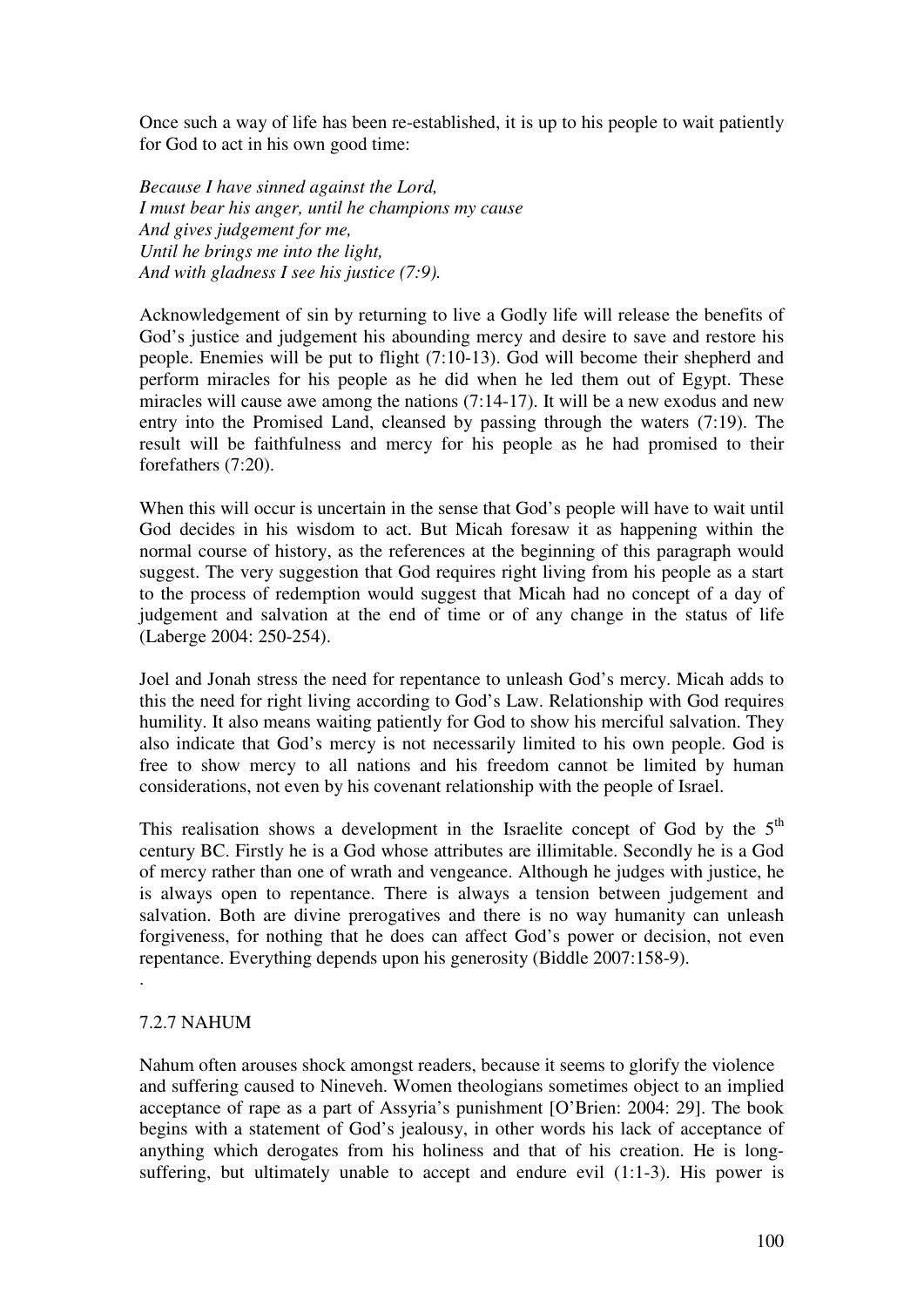Once such a way of life has been re-established, it is up to his people to wait patiently for God to act in his own good time:

*Because I have sinned against the Lord, I must bear his anger, until he champions my cause And gives judgement for me, Until he brings me into the light, And with gladness I see his justice (7:9).* 

Acknowledgement of sin by returning to live a Godly life will release the benefits of God's justice and judgement his abounding mercy and desire to save and restore his people. Enemies will be put to flight (7:10-13). God will become their shepherd and perform miracles for his people as he did when he led them out of Egypt. These miracles will cause awe among the nations (7:14-17). It will be a new exodus and new entry into the Promised Land, cleansed by passing through the waters (7:19). The result will be faithfulness and mercy for his people as he had promised to their forefathers (7:20).

When this will occur is uncertain in the sense that God's people will have to wait until God decides in his wisdom to act. But Micah foresaw it as happening within the normal course of history, as the references at the beginning of this paragraph would suggest. The very suggestion that God requires right living from his people as a start to the process of redemption would suggest that Micah had no concept of a day of judgement and salvation at the end of time or of any change in the status of life (Laberge 2004: 250-254).

Joel and Jonah stress the need for repentance to unleash God's mercy. Micah adds to this the need for right living according to God's Law. Relationship with God requires humility. It also means waiting patiently for God to show his merciful salvation. They also indicate that God's mercy is not necessarily limited to his own people. God is free to show mercy to all nations and his freedom cannot be limited by human considerations, not even by his covenant relationship with the people of Israel.

This realisation shows a development in the Israelite concept of God by the  $5<sup>th</sup>$ century BC. Firstly he is a God whose attributes are illimitable. Secondly he is a God of mercy rather than one of wrath and vengeance. Although he judges with justice, he is always open to repentance. There is always a tension between judgement and salvation. Both are divine prerogatives and there is no way humanity can unleash forgiveness, for nothing that he does can affect God's power or decision, not even repentance. Everything depends upon his generosity (Biddle 2007:158-9).

### 7.2.7 NAHUM

.

Nahum often arouses shock amongst readers, because it seems to glorify the violence and suffering caused to Nineveh. Women theologians sometimes object to an implied acceptance of rape as a part of Assyria's punishment [O'Brien: 2004: 29]. The book begins with a statement of God's jealousy, in other words his lack of acceptance of anything which derogates from his holiness and that of his creation. He is longsuffering, but ultimately unable to accept and endure evil  $(1:1-3)$ . His power is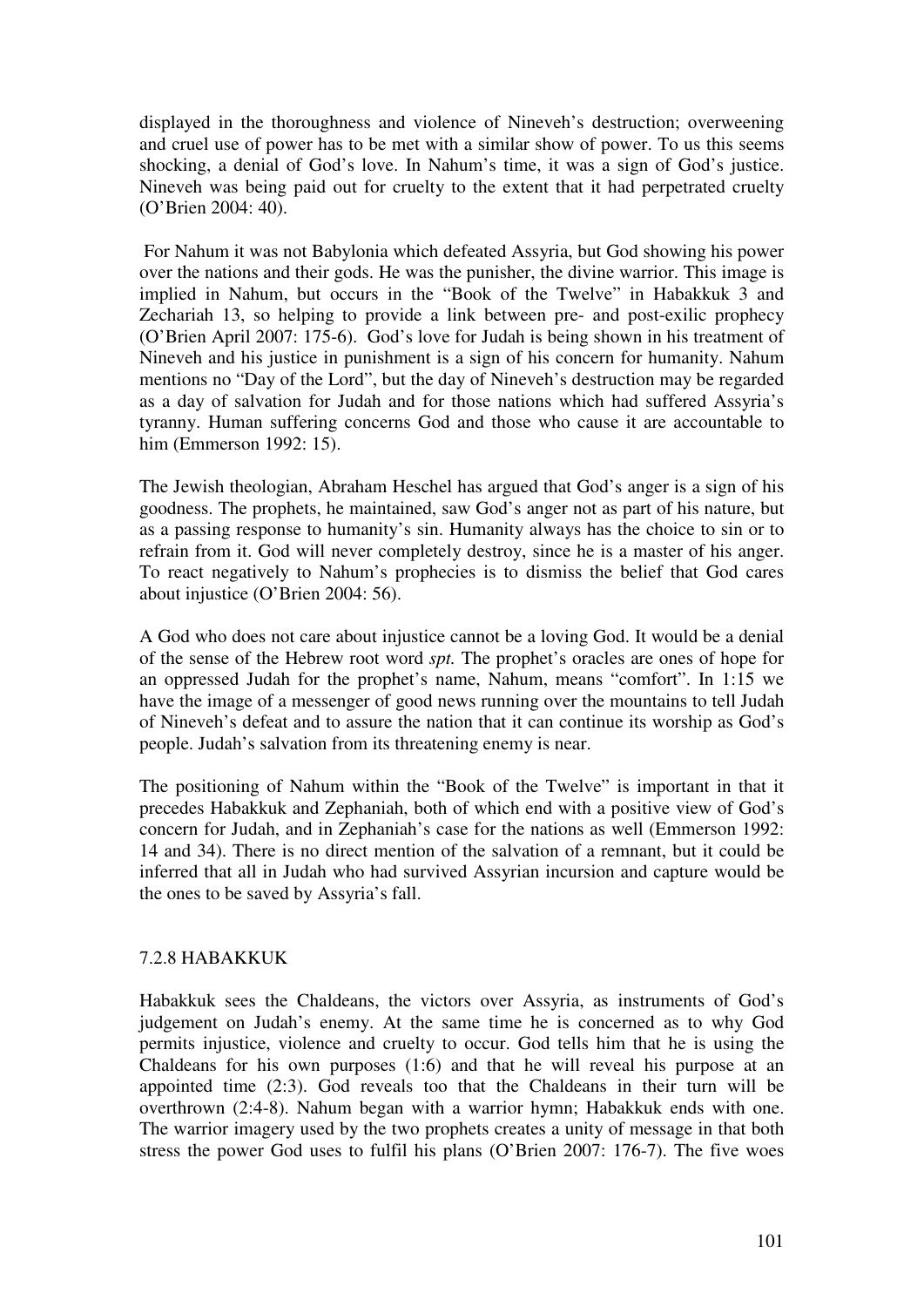displayed in the thoroughness and violence of Nineveh's destruction; overweening and cruel use of power has to be met with a similar show of power. To us this seems shocking, a denial of God's love. In Nahum's time, it was a sign of God's justice. Nineveh was being paid out for cruelty to the extent that it had perpetrated cruelty (O'Brien 2004: 40).

 For Nahum it was not Babylonia which defeated Assyria, but God showing his power over the nations and their gods. He was the punisher, the divine warrior. This image is implied in Nahum, but occurs in the "Book of the Twelve" in Habakkuk 3 and Zechariah 13, so helping to provide a link between pre- and post-exilic prophecy (O'Brien April 2007: 175-6). God's love for Judah is being shown in his treatment of Nineveh and his justice in punishment is a sign of his concern for humanity. Nahum mentions no "Day of the Lord", but the day of Nineveh's destruction may be regarded as a day of salvation for Judah and for those nations which had suffered Assyria's tyranny. Human suffering concerns God and those who cause it are accountable to him (Emmerson 1992: 15).

The Jewish theologian, Abraham Heschel has argued that God's anger is a sign of his goodness. The prophets, he maintained, saw God's anger not as part of his nature, but as a passing response to humanity's sin. Humanity always has the choice to sin or to refrain from it. God will never completely destroy, since he is a master of his anger. To react negatively to Nahum's prophecies is to dismiss the belief that God cares about injustice (O'Brien 2004: 56).

A God who does not care about injustice cannot be a loving God. It would be a denial of the sense of the Hebrew root word *spt.* The prophet's oracles are ones of hope for an oppressed Judah for the prophet's name, Nahum, means "comfort". In 1:15 we have the image of a messenger of good news running over the mountains to tell Judah of Nineveh's defeat and to assure the nation that it can continue its worship as God's people. Judah's salvation from its threatening enemy is near.

The positioning of Nahum within the "Book of the Twelve" is important in that it precedes Habakkuk and Zephaniah, both of which end with a positive view of God's concern for Judah, and in Zephaniah's case for the nations as well (Emmerson 1992: 14 and 34). There is no direct mention of the salvation of a remnant, but it could be inferred that all in Judah who had survived Assyrian incursion and capture would be the ones to be saved by Assyria's fall.

### 7.2.8 HABAKKUK

Habakkuk sees the Chaldeans, the victors over Assyria, as instruments of God's judgement on Judah's enemy. At the same time he is concerned as to why God permits injustice, violence and cruelty to occur. God tells him that he is using the Chaldeans for his own purposes (1:6) and that he will reveal his purpose at an appointed time (2:3). God reveals too that the Chaldeans in their turn will be overthrown (2:4-8). Nahum began with a warrior hymn; Habakkuk ends with one. The warrior imagery used by the two prophets creates a unity of message in that both stress the power God uses to fulfil his plans (O'Brien 2007: 176-7). The five woes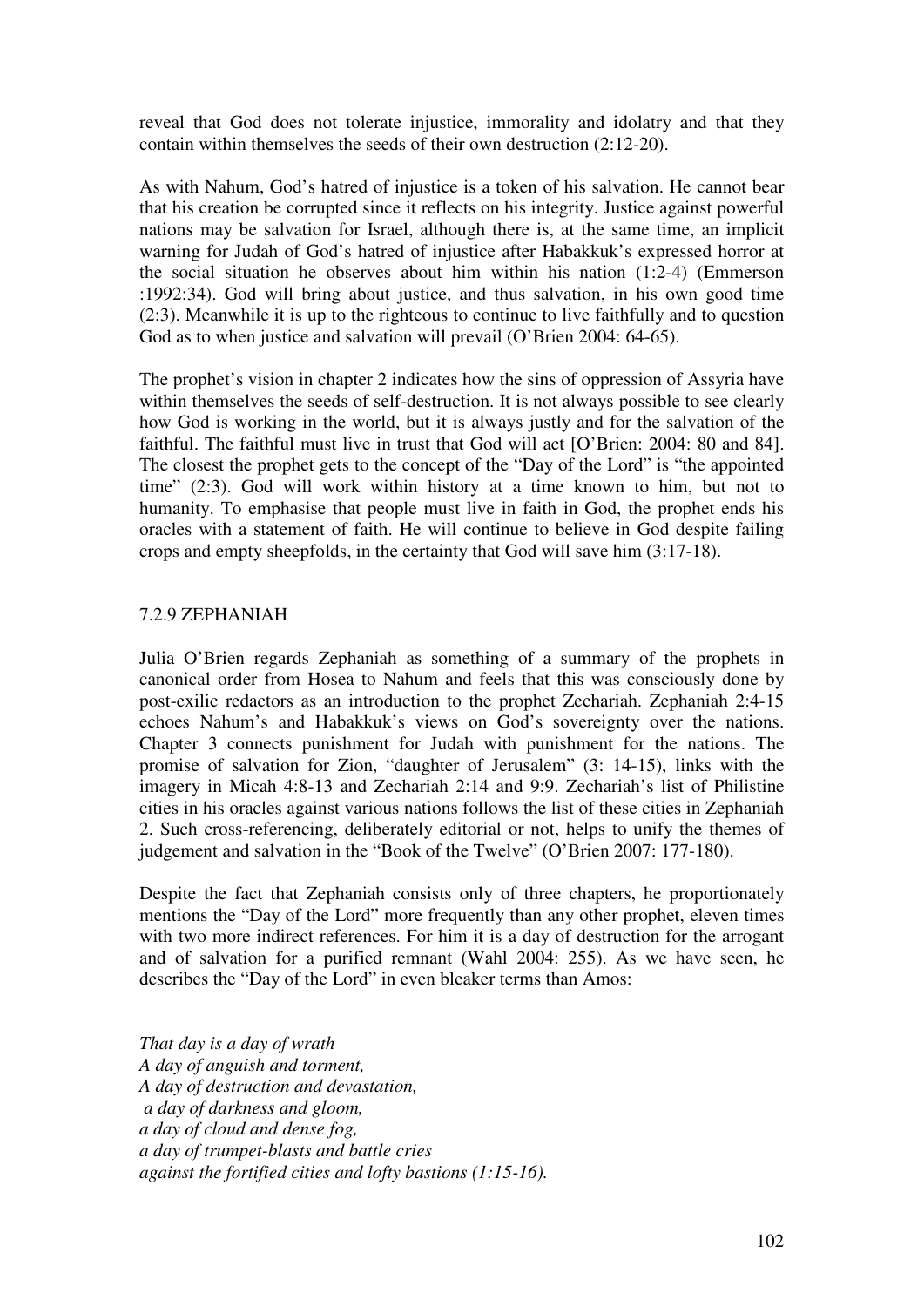reveal that God does not tolerate injustice, immorality and idolatry and that they contain within themselves the seeds of their own destruction (2:12-20).

As with Nahum, God's hatred of injustice is a token of his salvation. He cannot bear that his creation be corrupted since it reflects on his integrity. Justice against powerful nations may be salvation for Israel, although there is, at the same time, an implicit warning for Judah of God's hatred of injustice after Habakkuk's expressed horror at the social situation he observes about him within his nation (1:2-4) (Emmerson :1992:34). God will bring about justice, and thus salvation, in his own good time (2:3). Meanwhile it is up to the righteous to continue to live faithfully and to question God as to when justice and salvation will prevail (O'Brien 2004: 64-65).

The prophet's vision in chapter 2 indicates how the sins of oppression of Assyria have within themselves the seeds of self-destruction. It is not always possible to see clearly how God is working in the world, but it is always justly and for the salvation of the faithful. The faithful must live in trust that God will act [O'Brien: 2004: 80 and 84]. The closest the prophet gets to the concept of the "Day of the Lord" is "the appointed time" (2:3). God will work within history at a time known to him, but not to humanity. To emphasise that people must live in faith in God, the prophet ends his oracles with a statement of faith. He will continue to believe in God despite failing crops and empty sheepfolds, in the certainty that God will save him (3:17-18).

### 7.2.9 ZEPHANIAH

Julia O'Brien regards Zephaniah as something of a summary of the prophets in canonical order from Hosea to Nahum and feels that this was consciously done by post-exilic redactors as an introduction to the prophet Zechariah. Zephaniah 2:4-15 echoes Nahum's and Habakkuk's views on God's sovereignty over the nations. Chapter 3 connects punishment for Judah with punishment for the nations. The promise of salvation for Zion, "daughter of Jerusalem" (3: 14-15), links with the imagery in Micah 4:8-13 and Zechariah 2:14 and 9:9. Zechariah's list of Philistine cities in his oracles against various nations follows the list of these cities in Zephaniah 2. Such cross-referencing, deliberately editorial or not, helps to unify the themes of judgement and salvation in the "Book of the Twelve" (O'Brien 2007: 177-180).

Despite the fact that Zephaniah consists only of three chapters, he proportionately mentions the "Day of the Lord" more frequently than any other prophet, eleven times with two more indirect references. For him it is a day of destruction for the arrogant and of salvation for a purified remnant (Wahl 2004: 255). As we have seen, he describes the "Day of the Lord" in even bleaker terms than Amos:

*That day is a day of wrath A day of anguish and torment, A day of destruction and devastation, a day of darkness and gloom, a day of cloud and dense fog, a day of trumpet-blasts and battle cries against the fortified cities and lofty bastions (1:15-16).*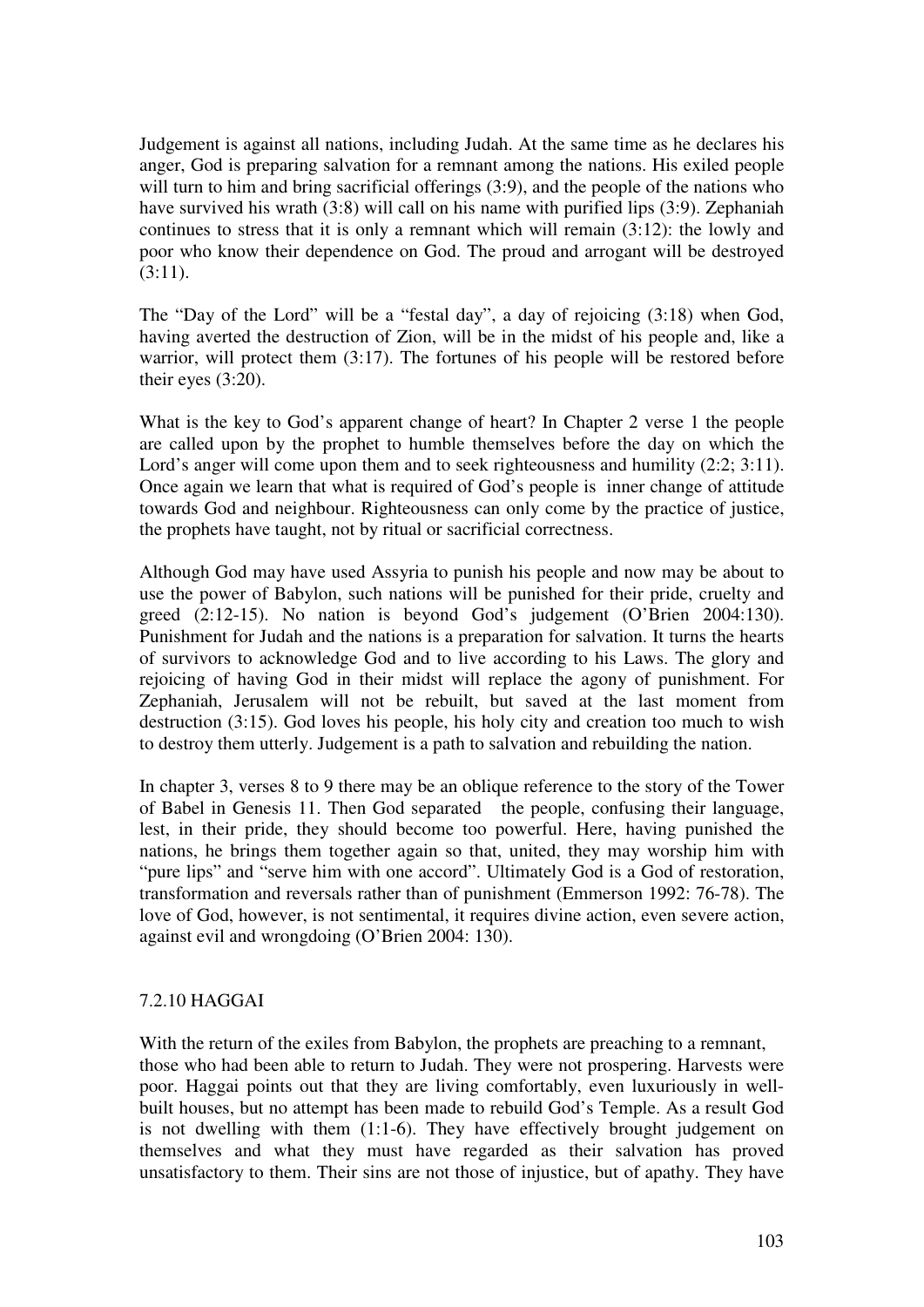Judgement is against all nations, including Judah. At the same time as he declares his anger, God is preparing salvation for a remnant among the nations. His exiled people will turn to him and bring sacrificial offerings (3:9), and the people of the nations who have survived his wrath (3:8) will call on his name with purified lips (3:9). Zephaniah continues to stress that it is only a remnant which will remain (3:12): the lowly and poor who know their dependence on God. The proud and arrogant will be destroyed  $(3:11)$ .

The "Day of the Lord" will be a "festal day", a day of rejoicing (3:18) when God, having averted the destruction of Zion, will be in the midst of his people and, like a warrior, will protect them (3:17). The fortunes of his people will be restored before their eyes (3:20).

What is the key to God's apparent change of heart? In Chapter 2 verse 1 the people are called upon by the prophet to humble themselves before the day on which the Lord's anger will come upon them and to seek righteousness and humility (2:2; 3:11). Once again we learn that what is required of God's people is inner change of attitude towards God and neighbour. Righteousness can only come by the practice of justice, the prophets have taught, not by ritual or sacrificial correctness.

Although God may have used Assyria to punish his people and now may be about to use the power of Babylon, such nations will be punished for their pride, cruelty and greed (2:12-15). No nation is beyond God's judgement (O'Brien 2004:130). Punishment for Judah and the nations is a preparation for salvation. It turns the hearts of survivors to acknowledge God and to live according to his Laws. The glory and rejoicing of having God in their midst will replace the agony of punishment. For Zephaniah, Jerusalem will not be rebuilt, but saved at the last moment from destruction (3:15). God loves his people, his holy city and creation too much to wish to destroy them utterly. Judgement is a path to salvation and rebuilding the nation.

In chapter 3, verses 8 to 9 there may be an oblique reference to the story of the Tower of Babel in Genesis 11. Then God separated the people, confusing their language, lest, in their pride, they should become too powerful. Here, having punished the nations, he brings them together again so that, united, they may worship him with "pure lips" and "serve him with one accord". Ultimately God is a God of restoration, transformation and reversals rather than of punishment (Emmerson 1992: 76-78). The love of God, however, is not sentimental, it requires divine action, even severe action, against evil and wrongdoing (O'Brien 2004: 130).

### 7.2.10 HAGGAI

With the return of the exiles from Babylon, the prophets are preaching to a remnant, those who had been able to return to Judah. They were not prospering. Harvests were poor. Haggai points out that they are living comfortably, even luxuriously in wellbuilt houses, but no attempt has been made to rebuild God's Temple. As a result God is not dwelling with them (1:1-6). They have effectively brought judgement on themselves and what they must have regarded as their salvation has proved unsatisfactory to them. Their sins are not those of injustice, but of apathy. They have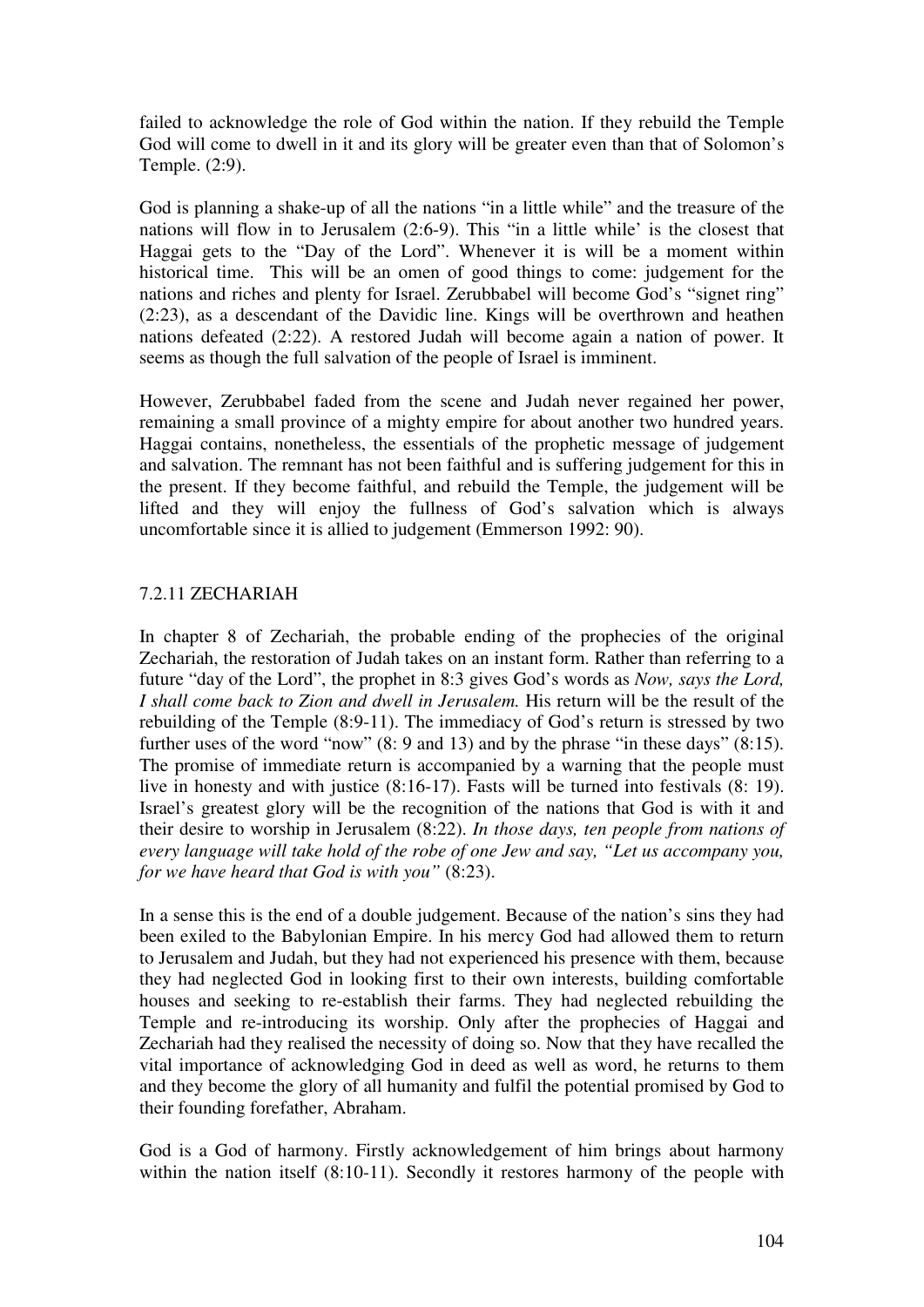failed to acknowledge the role of God within the nation. If they rebuild the Temple God will come to dwell in it and its glory will be greater even than that of Solomon's Temple. (2:9).

God is planning a shake-up of all the nations "in a little while" and the treasure of the nations will flow in to Jerusalem (2:6-9). This "in a little while' is the closest that Haggai gets to the "Day of the Lord". Whenever it is will be a moment within historical time. This will be an omen of good things to come: judgement for the nations and riches and plenty for Israel. Zerubbabel will become God's "signet ring" (2:23), as a descendant of the Davidic line. Kings will be overthrown and heathen nations defeated (2:22). A restored Judah will become again a nation of power. It seems as though the full salvation of the people of Israel is imminent.

However, Zerubbabel faded from the scene and Judah never regained her power, remaining a small province of a mighty empire for about another two hundred years. Haggai contains, nonetheless, the essentials of the prophetic message of judgement and salvation. The remnant has not been faithful and is suffering judgement for this in the present. If they become faithful, and rebuild the Temple, the judgement will be lifted and they will enjoy the fullness of God's salvation which is always uncomfortable since it is allied to judgement (Emmerson 1992: 90).

# 7.2.11 ZECHARIAH

In chapter 8 of Zechariah, the probable ending of the prophecies of the original Zechariah, the restoration of Judah takes on an instant form. Rather than referring to a future "day of the Lord", the prophet in 8:3 gives God's words as *Now, says the Lord, I shall come back to Zion and dwell in Jerusalem.* His return will be the result of the rebuilding of the Temple (8:9-11). The immediacy of God's return is stressed by two further uses of the word "now" (8: 9 and 13) and by the phrase "in these days" (8:15). The promise of immediate return is accompanied by a warning that the people must live in honesty and with justice (8:16-17). Fasts will be turned into festivals (8: 19). Israel's greatest glory will be the recognition of the nations that God is with it and their desire to worship in Jerusalem (8:22). *In those days, ten people from nations of every language will take hold of the robe of one Jew and say, "Let us accompany you, for we have heard that God is with you"* (8:23).

In a sense this is the end of a double judgement. Because of the nation's sins they had been exiled to the Babylonian Empire. In his mercy God had allowed them to return to Jerusalem and Judah, but they had not experienced his presence with them, because they had neglected God in looking first to their own interests, building comfortable houses and seeking to re-establish their farms. They had neglected rebuilding the Temple and re-introducing its worship. Only after the prophecies of Haggai and Zechariah had they realised the necessity of doing so. Now that they have recalled the vital importance of acknowledging God in deed as well as word, he returns to them and they become the glory of all humanity and fulfil the potential promised by God to their founding forefather, Abraham.

God is a God of harmony. Firstly acknowledgement of him brings about harmony within the nation itself (8:10-11). Secondly it restores harmony of the people with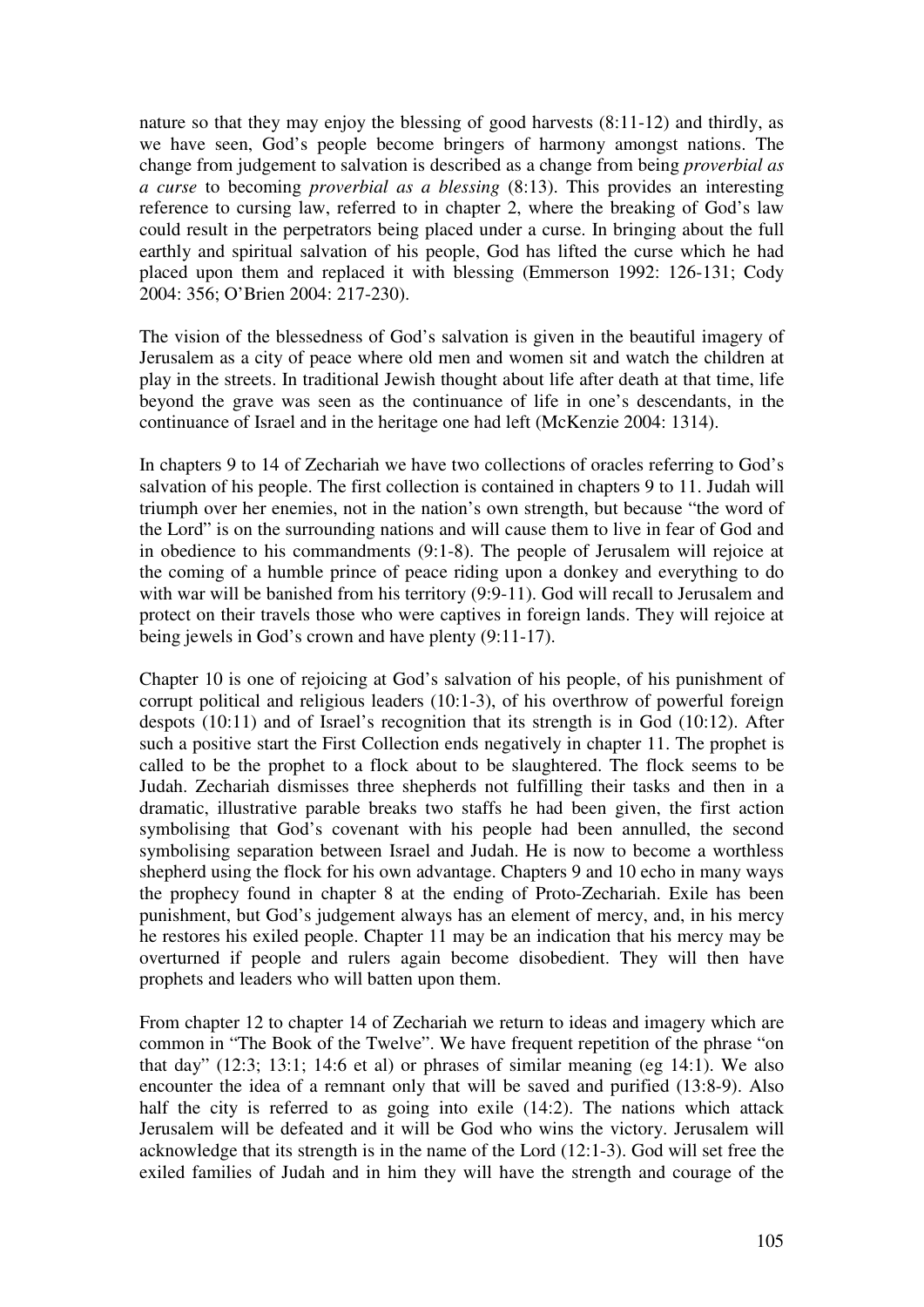nature so that they may enjoy the blessing of good harvests (8:11-12) and thirdly, as we have seen, God's people become bringers of harmony amongst nations. The change from judgement to salvation is described as a change from being *proverbial as a curse* to becoming *proverbial as a blessing* (8:13). This provides an interesting reference to cursing law, referred to in chapter 2, where the breaking of God's law could result in the perpetrators being placed under a curse. In bringing about the full earthly and spiritual salvation of his people, God has lifted the curse which he had placed upon them and replaced it with blessing (Emmerson 1992: 126-131; Cody 2004: 356; O'Brien 2004: 217-230).

The vision of the blessedness of God's salvation is given in the beautiful imagery of Jerusalem as a city of peace where old men and women sit and watch the children at play in the streets. In traditional Jewish thought about life after death at that time, life beyond the grave was seen as the continuance of life in one's descendants, in the continuance of Israel and in the heritage one had left (McKenzie 2004: 1314).

In chapters 9 to 14 of Zechariah we have two collections of oracles referring to God's salvation of his people. The first collection is contained in chapters 9 to 11. Judah will triumph over her enemies, not in the nation's own strength, but because "the word of the Lord" is on the surrounding nations and will cause them to live in fear of God and in obedience to his commandments (9:1-8). The people of Jerusalem will rejoice at the coming of a humble prince of peace riding upon a donkey and everything to do with war will be banished from his territory (9:9-11). God will recall to Jerusalem and protect on their travels those who were captives in foreign lands. They will rejoice at being jewels in God's crown and have plenty (9:11-17).

Chapter 10 is one of rejoicing at God's salvation of his people, of his punishment of corrupt political and religious leaders (10:1-3), of his overthrow of powerful foreign despots (10:11) and of Israel's recognition that its strength is in God (10:12). After such a positive start the First Collection ends negatively in chapter 11. The prophet is called to be the prophet to a flock about to be slaughtered. The flock seems to be Judah. Zechariah dismisses three shepherds not fulfilling their tasks and then in a dramatic, illustrative parable breaks two staffs he had been given, the first action symbolising that God's covenant with his people had been annulled, the second symbolising separation between Israel and Judah. He is now to become a worthless shepherd using the flock for his own advantage. Chapters 9 and 10 echo in many ways the prophecy found in chapter 8 at the ending of Proto-Zechariah. Exile has been punishment, but God's judgement always has an element of mercy, and, in his mercy he restores his exiled people. Chapter 11 may be an indication that his mercy may be overturned if people and rulers again become disobedient. They will then have prophets and leaders who will batten upon them.

From chapter 12 to chapter 14 of Zechariah we return to ideas and imagery which are common in "The Book of the Twelve". We have frequent repetition of the phrase "on that day" (12:3; 13:1; 14:6 et al) or phrases of similar meaning (eg 14:1). We also encounter the idea of a remnant only that will be saved and purified (13:8-9). Also half the city is referred to as going into exile (14:2). The nations which attack Jerusalem will be defeated and it will be God who wins the victory. Jerusalem will acknowledge that its strength is in the name of the Lord (12:1-3). God will set free the exiled families of Judah and in him they will have the strength and courage of the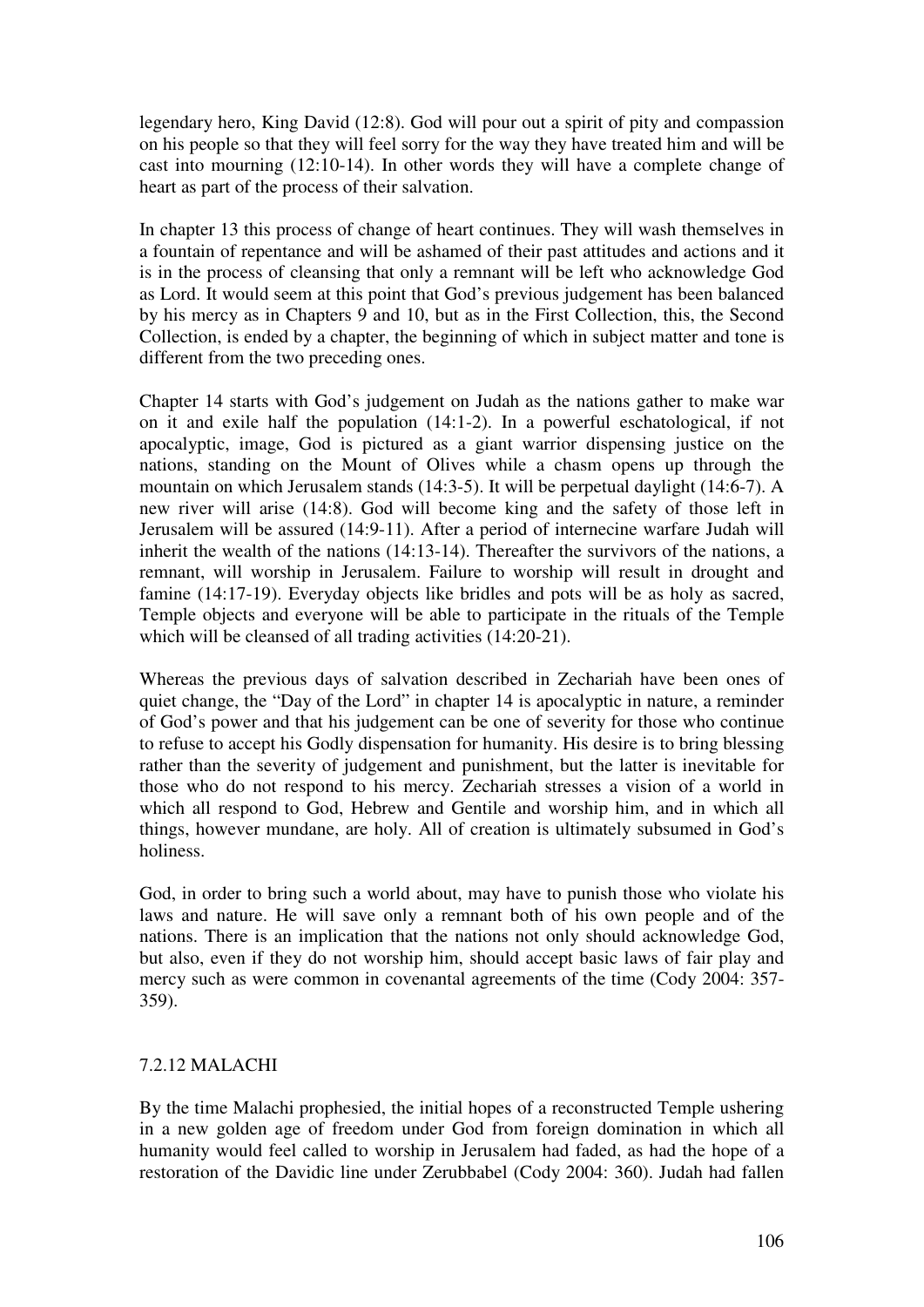legendary hero, King David (12:8). God will pour out a spirit of pity and compassion on his people so that they will feel sorry for the way they have treated him and will be cast into mourning (12:10-14). In other words they will have a complete change of heart as part of the process of their salvation.

In chapter 13 this process of change of heart continues. They will wash themselves in a fountain of repentance and will be ashamed of their past attitudes and actions and it is in the process of cleansing that only a remnant will be left who acknowledge God as Lord. It would seem at this point that God's previous judgement has been balanced by his mercy as in Chapters 9 and 10, but as in the First Collection, this, the Second Collection, is ended by a chapter, the beginning of which in subject matter and tone is different from the two preceding ones.

Chapter 14 starts with God's judgement on Judah as the nations gather to make war on it and exile half the population (14:1-2). In a powerful eschatological, if not apocalyptic, image, God is pictured as a giant warrior dispensing justice on the nations, standing on the Mount of Olives while a chasm opens up through the mountain on which Jerusalem stands (14:3-5). It will be perpetual daylight (14:6-7). A new river will arise (14:8). God will become king and the safety of those left in Jerusalem will be assured (14:9-11). After a period of internecine warfare Judah will inherit the wealth of the nations (14:13-14). Thereafter the survivors of the nations, a remnant, will worship in Jerusalem. Failure to worship will result in drought and famine (14:17-19). Everyday objects like bridles and pots will be as holy as sacred, Temple objects and everyone will be able to participate in the rituals of the Temple which will be cleansed of all trading activities  $(14:20-21)$ .

Whereas the previous days of salvation described in Zechariah have been ones of quiet change, the "Day of the Lord" in chapter 14 is apocalyptic in nature, a reminder of God's power and that his judgement can be one of severity for those who continue to refuse to accept his Godly dispensation for humanity. His desire is to bring blessing rather than the severity of judgement and punishment, but the latter is inevitable for those who do not respond to his mercy. Zechariah stresses a vision of a world in which all respond to God, Hebrew and Gentile and worship him, and in which all things, however mundane, are holy. All of creation is ultimately subsumed in God's holiness.

God, in order to bring such a world about, may have to punish those who violate his laws and nature. He will save only a remnant both of his own people and of the nations. There is an implication that the nations not only should acknowledge God, but also, even if they do not worship him, should accept basic laws of fair play and mercy such as were common in covenantal agreements of the time (Cody 2004: 357- 359).

## 7.2.12 MALACHI

By the time Malachi prophesied, the initial hopes of a reconstructed Temple ushering in a new golden age of freedom under God from foreign domination in which all humanity would feel called to worship in Jerusalem had faded, as had the hope of a restoration of the Davidic line under Zerubbabel (Cody 2004: 360). Judah had fallen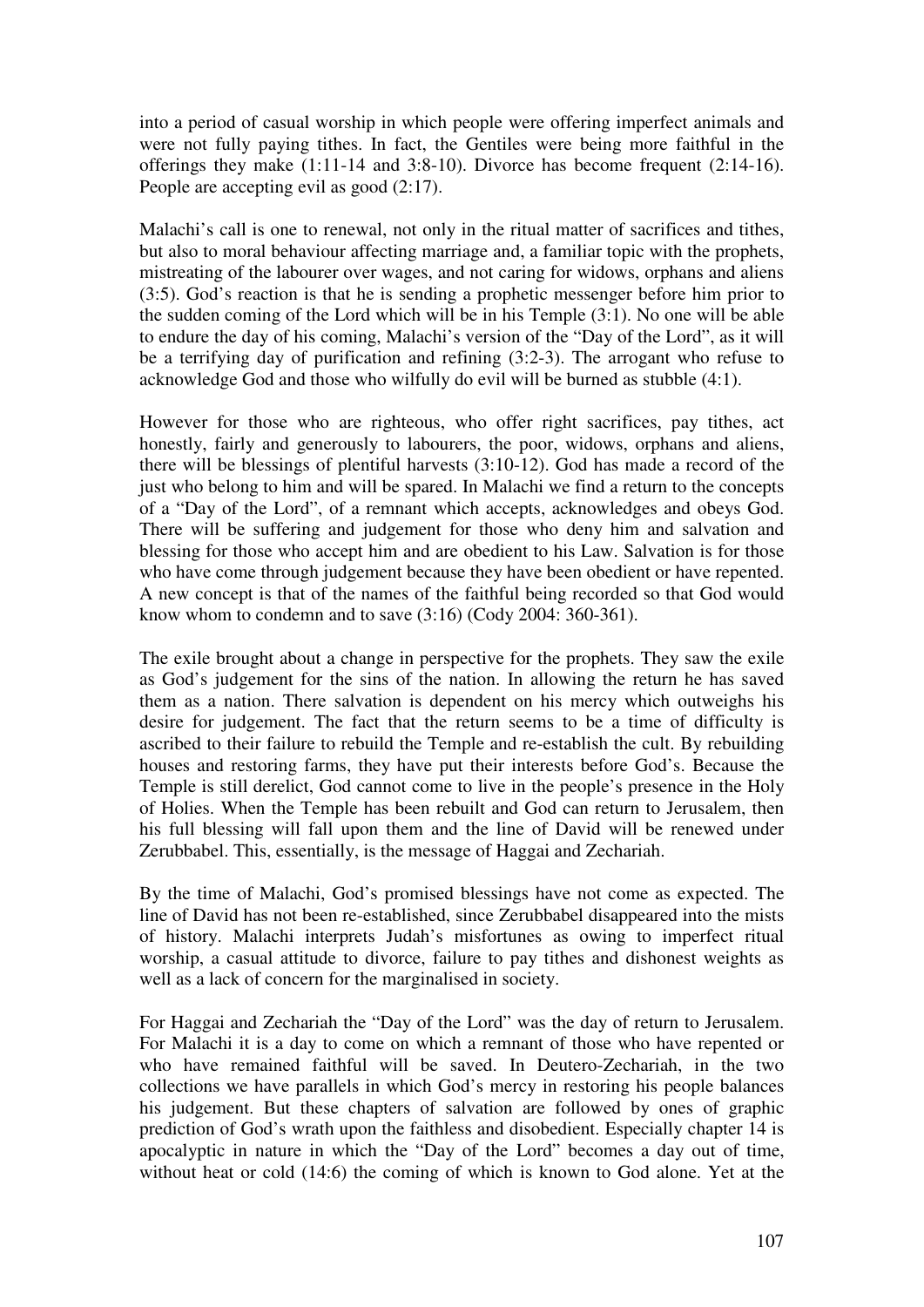into a period of casual worship in which people were offering imperfect animals and were not fully paying tithes. In fact, the Gentiles were being more faithful in the offerings they make (1:11-14 and 3:8-10). Divorce has become frequent (2:14-16). People are accepting evil as good (2:17).

Malachi's call is one to renewal, not only in the ritual matter of sacrifices and tithes, but also to moral behaviour affecting marriage and, a familiar topic with the prophets, mistreating of the labourer over wages, and not caring for widows, orphans and aliens (3:5). God's reaction is that he is sending a prophetic messenger before him prior to the sudden coming of the Lord which will be in his Temple (3:1). No one will be able to endure the day of his coming, Malachi's version of the "Day of the Lord", as it will be a terrifying day of purification and refining (3:2-3). The arrogant who refuse to acknowledge God and those who wilfully do evil will be burned as stubble (4:1).

However for those who are righteous, who offer right sacrifices, pay tithes, act honestly, fairly and generously to labourers, the poor, widows, orphans and aliens, there will be blessings of plentiful harvests (3:10-12). God has made a record of the just who belong to him and will be spared. In Malachi we find a return to the concepts of a "Day of the Lord", of a remnant which accepts, acknowledges and obeys God. There will be suffering and judgement for those who deny him and salvation and blessing for those who accept him and are obedient to his Law. Salvation is for those who have come through judgement because they have been obedient or have repented. A new concept is that of the names of the faithful being recorded so that God would know whom to condemn and to save (3:16) (Cody 2004: 360-361).

The exile brought about a change in perspective for the prophets. They saw the exile as God's judgement for the sins of the nation. In allowing the return he has saved them as a nation. There salvation is dependent on his mercy which outweighs his desire for judgement. The fact that the return seems to be a time of difficulty is ascribed to their failure to rebuild the Temple and re-establish the cult. By rebuilding houses and restoring farms, they have put their interests before God's. Because the Temple is still derelict, God cannot come to live in the people's presence in the Holy of Holies. When the Temple has been rebuilt and God can return to Jerusalem, then his full blessing will fall upon them and the line of David will be renewed under Zerubbabel. This, essentially, is the message of Haggai and Zechariah.

By the time of Malachi, God's promised blessings have not come as expected. The line of David has not been re-established, since Zerubbabel disappeared into the mists of history. Malachi interprets Judah's misfortunes as owing to imperfect ritual worship, a casual attitude to divorce, failure to pay tithes and dishonest weights as well as a lack of concern for the marginalised in society.

For Haggai and Zechariah the "Day of the Lord" was the day of return to Jerusalem. For Malachi it is a day to come on which a remnant of those who have repented or who have remained faithful will be saved. In Deutero-Zechariah, in the two collections we have parallels in which God's mercy in restoring his people balances his judgement. But these chapters of salvation are followed by ones of graphic prediction of God's wrath upon the faithless and disobedient. Especially chapter 14 is apocalyptic in nature in which the "Day of the Lord" becomes a day out of time, without heat or cold (14:6) the coming of which is known to God alone. Yet at the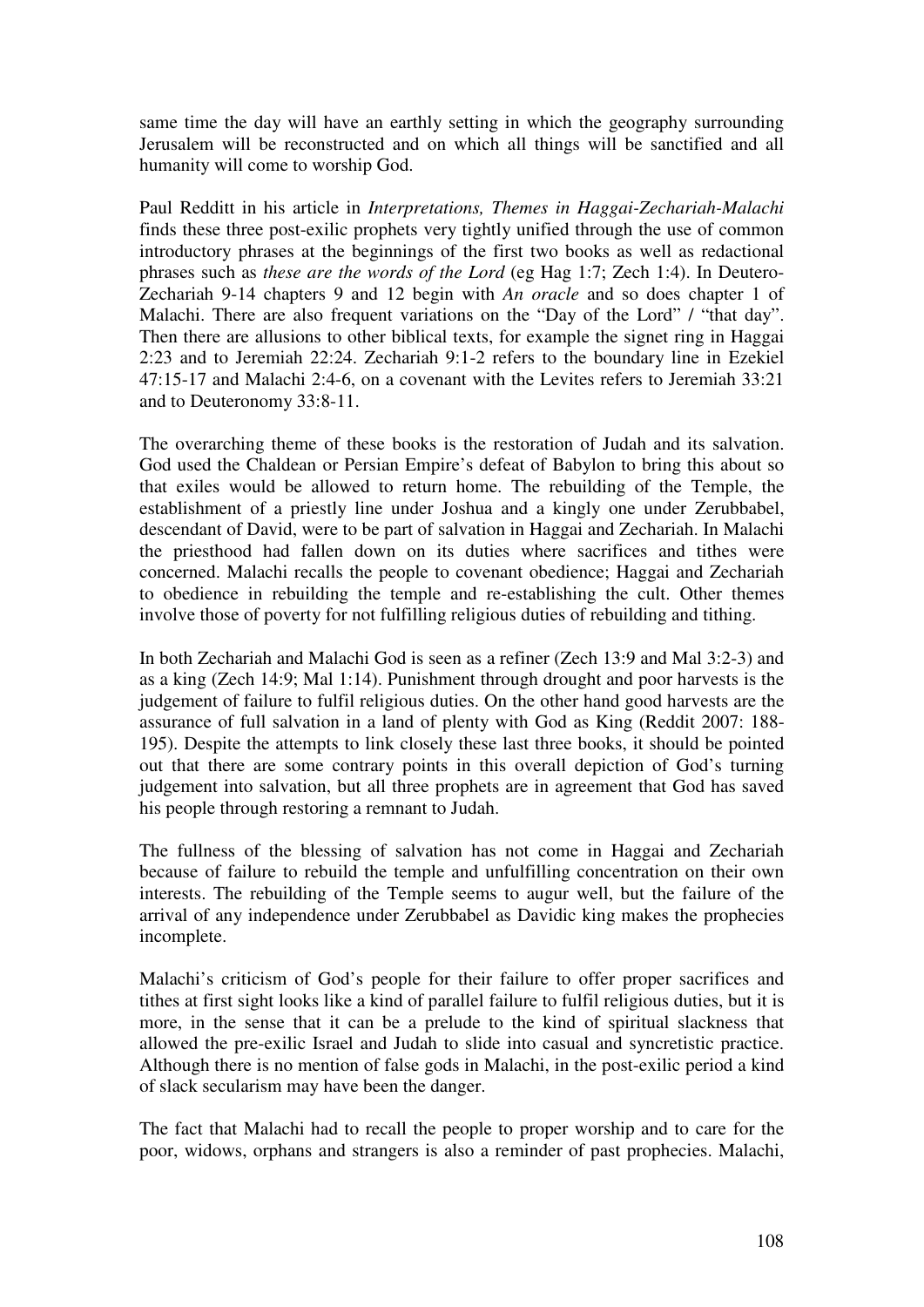same time the day will have an earthly setting in which the geography surrounding Jerusalem will be reconstructed and on which all things will be sanctified and all humanity will come to worship God.

Paul Redditt in his article in *Interpretations, Themes in Haggai-Zechariah-Malachi* finds these three post-exilic prophets very tightly unified through the use of common introductory phrases at the beginnings of the first two books as well as redactional phrases such as *these are the words of the Lord* (eg Hag 1:7; Zech 1:4). In Deutero-Zechariah 9-14 chapters 9 and 12 begin with *An oracle* and so does chapter 1 of Malachi. There are also frequent variations on the "Day of the Lord" / "that day". Then there are allusions to other biblical texts, for example the signet ring in Haggai 2:23 and to Jeremiah 22:24. Zechariah 9:1-2 refers to the boundary line in Ezekiel 47:15-17 and Malachi 2:4-6, on a covenant with the Levites refers to Jeremiah 33:21 and to Deuteronomy 33:8-11.

The overarching theme of these books is the restoration of Judah and its salvation. God used the Chaldean or Persian Empire's defeat of Babylon to bring this about so that exiles would be allowed to return home. The rebuilding of the Temple, the establishment of a priestly line under Joshua and a kingly one under Zerubbabel, descendant of David, were to be part of salvation in Haggai and Zechariah. In Malachi the priesthood had fallen down on its duties where sacrifices and tithes were concerned. Malachi recalls the people to covenant obedience; Haggai and Zechariah to obedience in rebuilding the temple and re-establishing the cult. Other themes involve those of poverty for not fulfilling religious duties of rebuilding and tithing.

In both Zechariah and Malachi God is seen as a refiner (Zech 13:9 and Mal 3:2-3) and as a king (Zech 14:9; Mal 1:14). Punishment through drought and poor harvests is the judgement of failure to fulfil religious duties. On the other hand good harvests are the assurance of full salvation in a land of plenty with God as King (Reddit 2007: 188- 195). Despite the attempts to link closely these last three books, it should be pointed out that there are some contrary points in this overall depiction of God's turning judgement into salvation, but all three prophets are in agreement that God has saved his people through restoring a remnant to Judah.

The fullness of the blessing of salvation has not come in Haggai and Zechariah because of failure to rebuild the temple and unfulfilling concentration on their own interests. The rebuilding of the Temple seems to augur well, but the failure of the arrival of any independence under Zerubbabel as Davidic king makes the prophecies incomplete.

Malachi's criticism of God's people for their failure to offer proper sacrifices and tithes at first sight looks like a kind of parallel failure to fulfil religious duties, but it is more, in the sense that it can be a prelude to the kind of spiritual slackness that allowed the pre-exilic Israel and Judah to slide into casual and syncretistic practice. Although there is no mention of false gods in Malachi, in the post-exilic period a kind of slack secularism may have been the danger.

The fact that Malachi had to recall the people to proper worship and to care for the poor, widows, orphans and strangers is also a reminder of past prophecies. Malachi,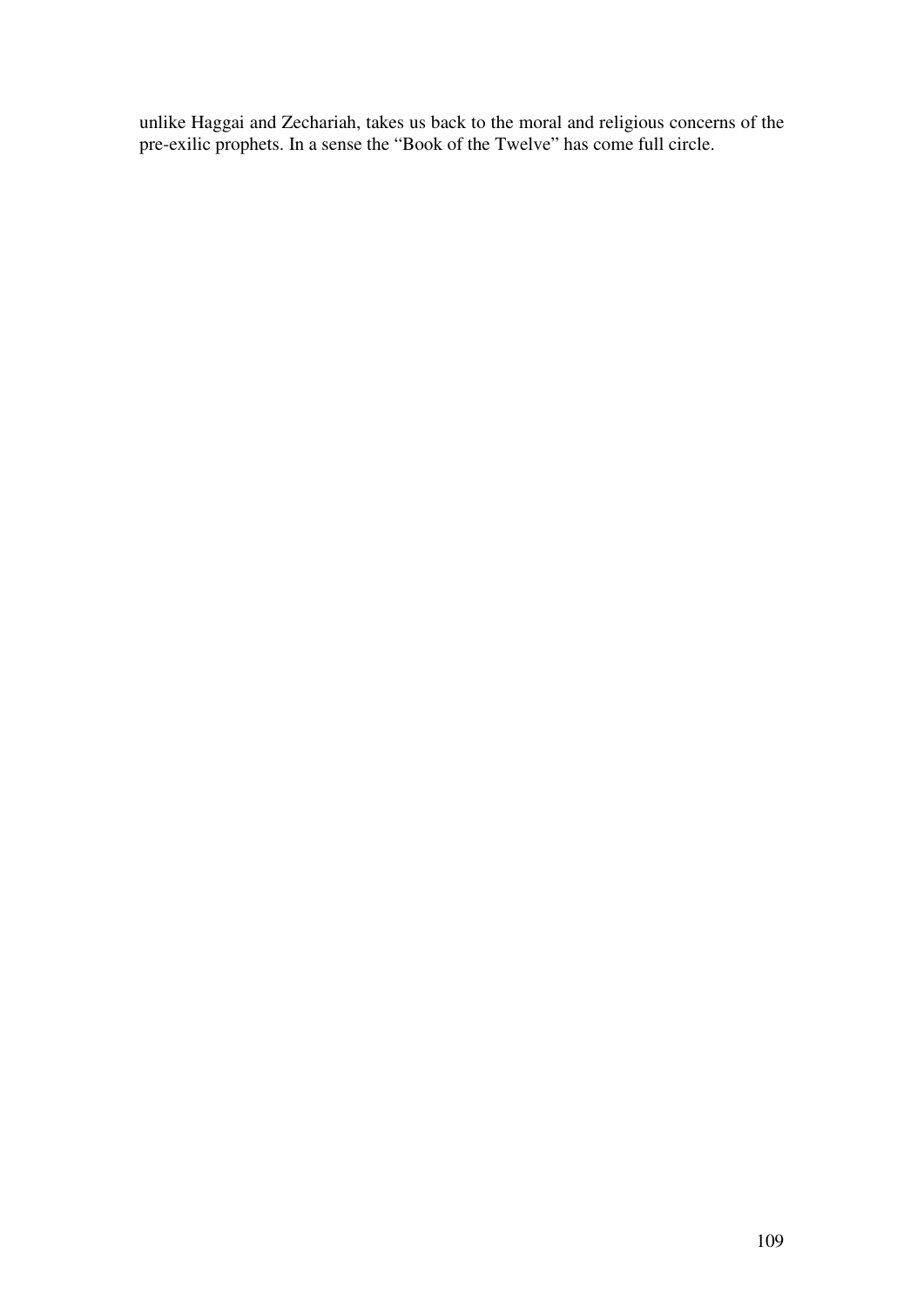unlike Haggai and Zechariah, takes us back to the moral and religious concerns of the pre-exilic prophets. In a sense the "Book of the Twelve" has come full circle.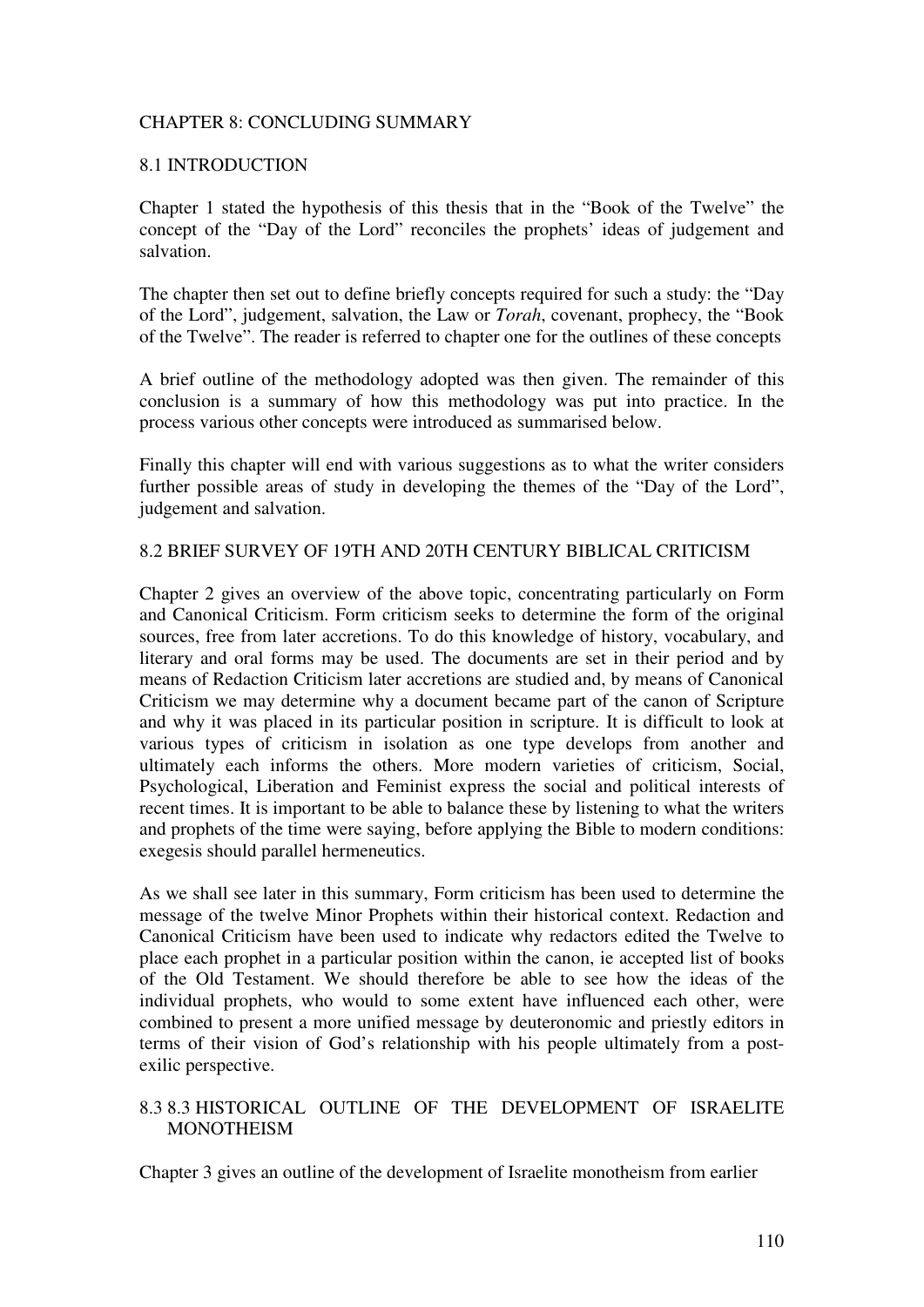### CHAPTER 8: CONCLUDING SUMMARY

### 8.1 INTRODUCTION

Chapter 1 stated the hypothesis of this thesis that in the "Book of the Twelve" the concept of the "Day of the Lord" reconciles the prophets' ideas of judgement and salvation.

The chapter then set out to define briefly concepts required for such a study: the "Day of the Lord", judgement, salvation, the Law or *Torah*, covenant, prophecy, the "Book of the Twelve". The reader is referred to chapter one for the outlines of these concepts

A brief outline of the methodology adopted was then given. The remainder of this conclusion is a summary of how this methodology was put into practice. In the process various other concepts were introduced as summarised below.

Finally this chapter will end with various suggestions as to what the writer considers further possible areas of study in developing the themes of the "Day of the Lord", judgement and salvation.

### 8.2 BRIEF SURVEY OF 19TH AND 20TH CENTURY BIBLICAL CRITICISM

Chapter 2 gives an overview of the above topic, concentrating particularly on Form and Canonical Criticism. Form criticism seeks to determine the form of the original sources, free from later accretions. To do this knowledge of history, vocabulary, and literary and oral forms may be used. The documents are set in their period and by means of Redaction Criticism later accretions are studied and, by means of Canonical Criticism we may determine why a document became part of the canon of Scripture and why it was placed in its particular position in scripture. It is difficult to look at various types of criticism in isolation as one type develops from another and ultimately each informs the others. More modern varieties of criticism, Social, Psychological, Liberation and Feminist express the social and political interests of recent times. It is important to be able to balance these by listening to what the writers and prophets of the time were saying, before applying the Bible to modern conditions: exegesis should parallel hermeneutics.

As we shall see later in this summary, Form criticism has been used to determine the message of the twelve Minor Prophets within their historical context. Redaction and Canonical Criticism have been used to indicate why redactors edited the Twelve to place each prophet in a particular position within the canon, ie accepted list of books of the Old Testament. We should therefore be able to see how the ideas of the individual prophets, who would to some extent have influenced each other, were combined to present a more unified message by deuteronomic and priestly editors in terms of their vision of God's relationship with his people ultimately from a postexilic perspective.

# 8.3 8.3 HISTORICAL OUTLINE OF THE DEVELOPMENT OF ISRAELITE **MONOTHEISM**

Chapter 3 gives an outline of the development of Israelite monotheism from earlier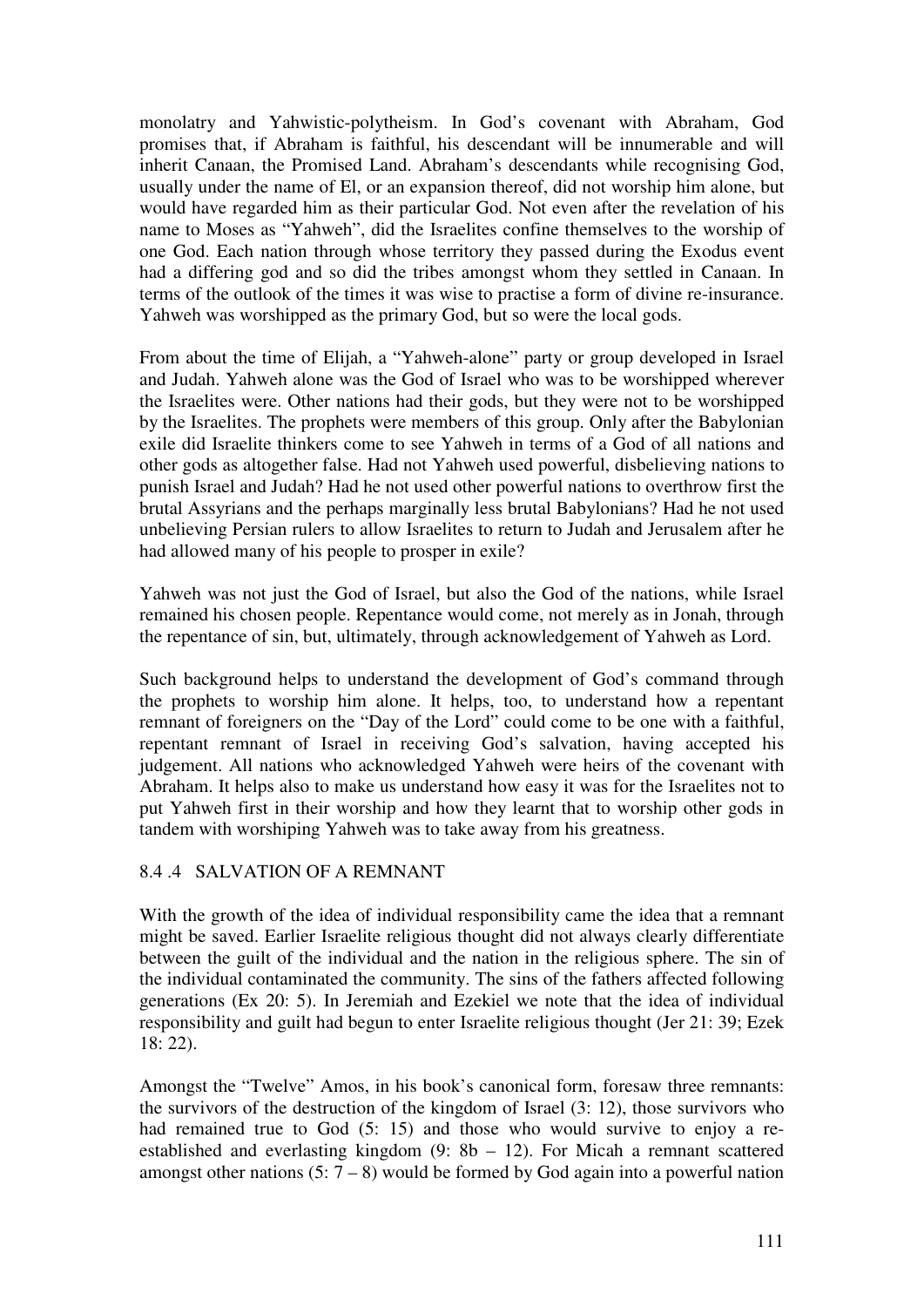monolatry and Yahwistic-polytheism. In God's covenant with Abraham, God promises that, if Abraham is faithful, his descendant will be innumerable and will inherit Canaan, the Promised Land. Abraham's descendants while recognising God, usually under the name of El, or an expansion thereof, did not worship him alone, but would have regarded him as their particular God. Not even after the revelation of his name to Moses as "Yahweh", did the Israelites confine themselves to the worship of one God. Each nation through whose territory they passed during the Exodus event had a differing god and so did the tribes amongst whom they settled in Canaan. In terms of the outlook of the times it was wise to practise a form of divine re-insurance. Yahweh was worshipped as the primary God, but so were the local gods.

From about the time of Elijah, a "Yahweh-alone" party or group developed in Israel and Judah. Yahweh alone was the God of Israel who was to be worshipped wherever the Israelites were. Other nations had their gods, but they were not to be worshipped by the Israelites. The prophets were members of this group. Only after the Babylonian exile did Israelite thinkers come to see Yahweh in terms of a God of all nations and other gods as altogether false. Had not Yahweh used powerful, disbelieving nations to punish Israel and Judah? Had he not used other powerful nations to overthrow first the brutal Assyrians and the perhaps marginally less brutal Babylonians? Had he not used unbelieving Persian rulers to allow Israelites to return to Judah and Jerusalem after he had allowed many of his people to prosper in exile?

Yahweh was not just the God of Israel, but also the God of the nations, while Israel remained his chosen people. Repentance would come, not merely as in Jonah, through the repentance of sin, but, ultimately, through acknowledgement of Yahweh as Lord.

Such background helps to understand the development of God's command through the prophets to worship him alone. It helps, too, to understand how a repentant remnant of foreigners on the "Day of the Lord" could come to be one with a faithful, repentant remnant of Israel in receiving God's salvation, having accepted his judgement. All nations who acknowledged Yahweh were heirs of the covenant with Abraham. It helps also to make us understand how easy it was for the Israelites not to put Yahweh first in their worship and how they learnt that to worship other gods in tandem with worshiping Yahweh was to take away from his greatness.

### 8.4 .4 SALVATION OF A REMNANT

With the growth of the idea of individual responsibility came the idea that a remnant might be saved. Earlier Israelite religious thought did not always clearly differentiate between the guilt of the individual and the nation in the religious sphere. The sin of the individual contaminated the community. The sins of the fathers affected following generations (Ex 20: 5). In Jeremiah and Ezekiel we note that the idea of individual responsibility and guilt had begun to enter Israelite religious thought (Jer 21: 39; Ezek 18: 22).

Amongst the "Twelve" Amos, in his book's canonical form, foresaw three remnants: the survivors of the destruction of the kingdom of Israel (3: 12), those survivors who had remained true to God (5: 15) and those who would survive to enjoy a reestablished and everlasting kingdom (9: 8b – 12). For Micah a remnant scattered amongst other nations  $(5: 7 - 8)$  would be formed by God again into a powerful nation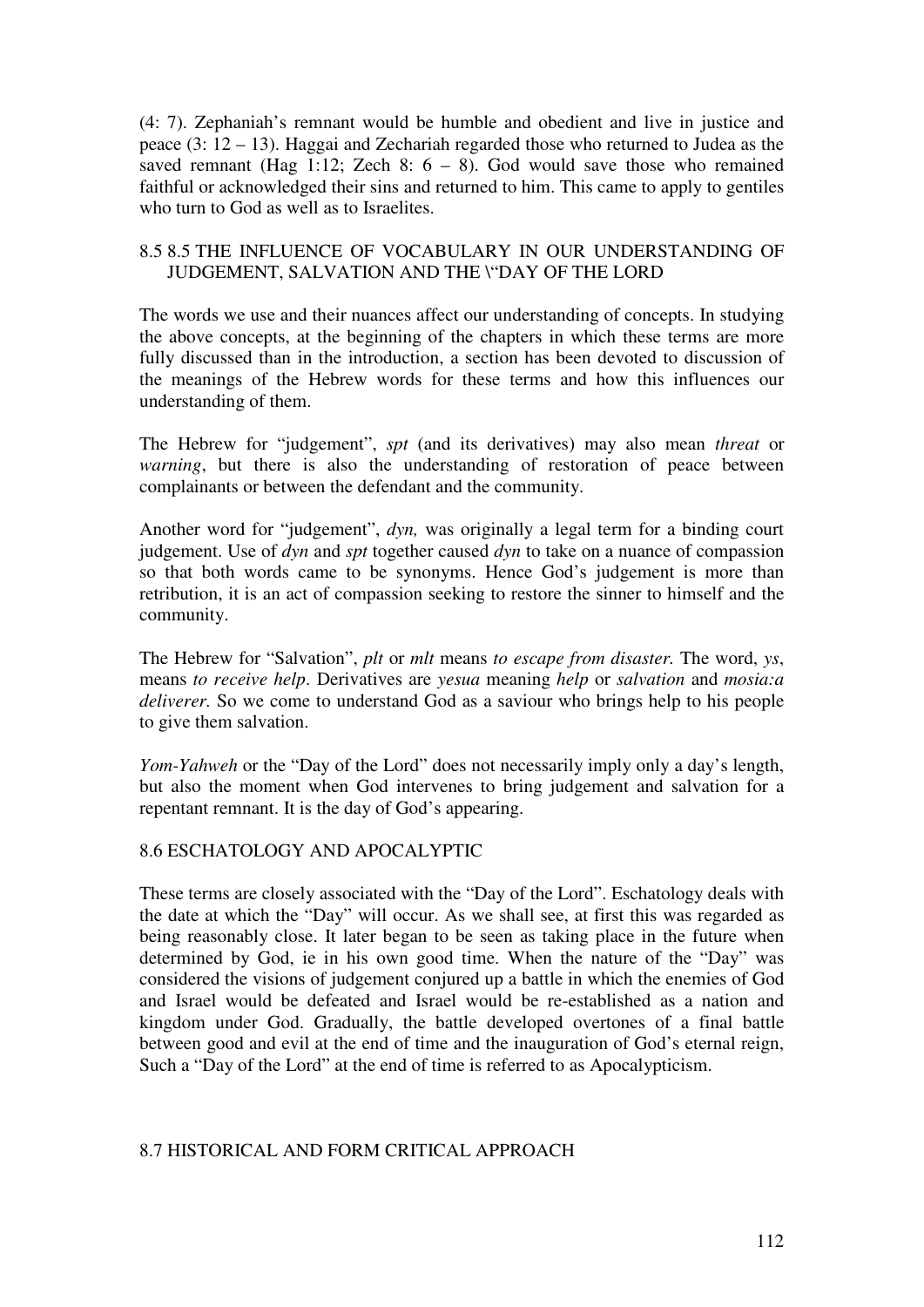(4: 7). Zephaniah's remnant would be humble and obedient and live in justice and peace (3: 12 – 13). Haggai and Zechariah regarded those who returned to Judea as the saved remnant (Hag 1:12; Zech 8:  $6 - 8$ ). God would save those who remained faithful or acknowledged their sins and returned to him. This came to apply to gentiles who turn to God as well as to Israelites.

### 8.5 8.5 THE INFLUENCE OF VOCABULARY IN OUR UNDERSTANDING OF JUDGEMENT, SALVATION AND THE \"DAY OF THE LORD

The words we use and their nuances affect our understanding of concepts. In studying the above concepts, at the beginning of the chapters in which these terms are more fully discussed than in the introduction, a section has been devoted to discussion of the meanings of the Hebrew words for these terms and how this influences our understanding of them.

The Hebrew for "judgement", *spt* (and its derivatives) may also mean *threat* or *warning*, but there is also the understanding of restoration of peace between complainants or between the defendant and the community.

Another word for "judgement", *dyn,* was originally a legal term for a binding court judgement. Use of *dyn* and *spt* together caused *dyn* to take on a nuance of compassion so that both words came to be synonyms. Hence God's judgement is more than retribution, it is an act of compassion seeking to restore the sinner to himself and the community.

The Hebrew for "Salvation", *plt* or *mlt* means *to escape from disaster.* The word, *ys*, means *to receive help*. Derivatives are *yesua* meaning *help* or *salvation* and *mosia:a deliverer.* So we come to understand God as a saviour who brings help to his people to give them salvation.

*Yom-Yahweh* or the "Day of the Lord" does not necessarily imply only a day's length, but also the moment when God intervenes to bring judgement and salvation for a repentant remnant. It is the day of God's appearing.

### 8.6 ESCHATOLOGY AND APOCALYPTIC

These terms are closely associated with the "Day of the Lord". Eschatology deals with the date at which the "Day" will occur. As we shall see, at first this was regarded as being reasonably close. It later began to be seen as taking place in the future when determined by God, ie in his own good time. When the nature of the "Day" was considered the visions of judgement conjured up a battle in which the enemies of God and Israel would be defeated and Israel would be re-established as a nation and kingdom under God. Gradually, the battle developed overtones of a final battle between good and evil at the end of time and the inauguration of God's eternal reign, Such a "Day of the Lord" at the end of time is referred to as Apocalypticism.

### 8.7 HISTORICAL AND FORM CRITICAL APPROACH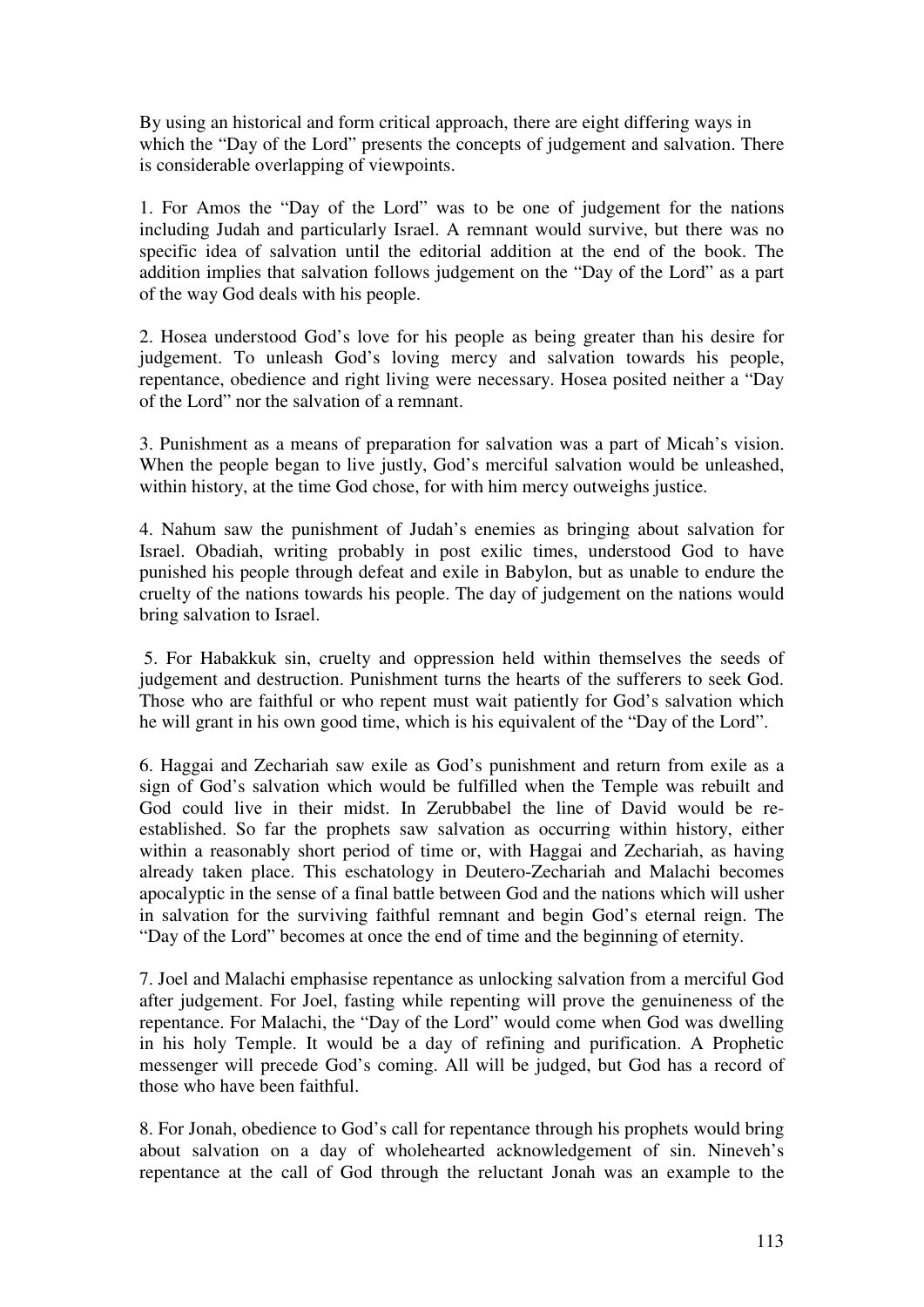By using an historical and form critical approach, there are eight differing ways in which the "Day of the Lord" presents the concepts of judgement and salvation. There is considerable overlapping of viewpoints.

1. For Amos the "Day of the Lord" was to be one of judgement for the nations including Judah and particularly Israel. A remnant would survive, but there was no specific idea of salvation until the editorial addition at the end of the book. The addition implies that salvation follows judgement on the "Day of the Lord" as a part of the way God deals with his people.

2. Hosea understood God's love for his people as being greater than his desire for judgement. To unleash God's loving mercy and salvation towards his people, repentance, obedience and right living were necessary. Hosea posited neither a "Day of the Lord" nor the salvation of a remnant.

3. Punishment as a means of preparation for salvation was a part of Micah's vision. When the people began to live justly, God's merciful salvation would be unleashed, within history, at the time God chose, for with him mercy outweighs justice.

4. Nahum saw the punishment of Judah's enemies as bringing about salvation for Israel. Obadiah, writing probably in post exilic times, understood God to have punished his people through defeat and exile in Babylon, but as unable to endure the cruelty of the nations towards his people. The day of judgement on the nations would bring salvation to Israel.

 5. For Habakkuk sin, cruelty and oppression held within themselves the seeds of judgement and destruction. Punishment turns the hearts of the sufferers to seek God. Those who are faithful or who repent must wait patiently for God's salvation which he will grant in his own good time, which is his equivalent of the "Day of the Lord".

6. Haggai and Zechariah saw exile as God's punishment and return from exile as a sign of God's salvation which would be fulfilled when the Temple was rebuilt and God could live in their midst. In Zerubbabel the line of David would be reestablished. So far the prophets saw salvation as occurring within history, either within a reasonably short period of time or, with Haggai and Zechariah, as having already taken place. This eschatology in Deutero-Zechariah and Malachi becomes apocalyptic in the sense of a final battle between God and the nations which will usher in salvation for the surviving faithful remnant and begin God's eternal reign. The "Day of the Lord" becomes at once the end of time and the beginning of eternity.

7. Joel and Malachi emphasise repentance as unlocking salvation from a merciful God after judgement. For Joel, fasting while repenting will prove the genuineness of the repentance. For Malachi, the "Day of the Lord" would come when God was dwelling in his holy Temple. It would be a day of refining and purification. A Prophetic messenger will precede God's coming. All will be judged, but God has a record of those who have been faithful.

8. For Jonah, obedience to God's call for repentance through his prophets would bring about salvation on a day of wholehearted acknowledgement of sin. Nineveh's repentance at the call of God through the reluctant Jonah was an example to the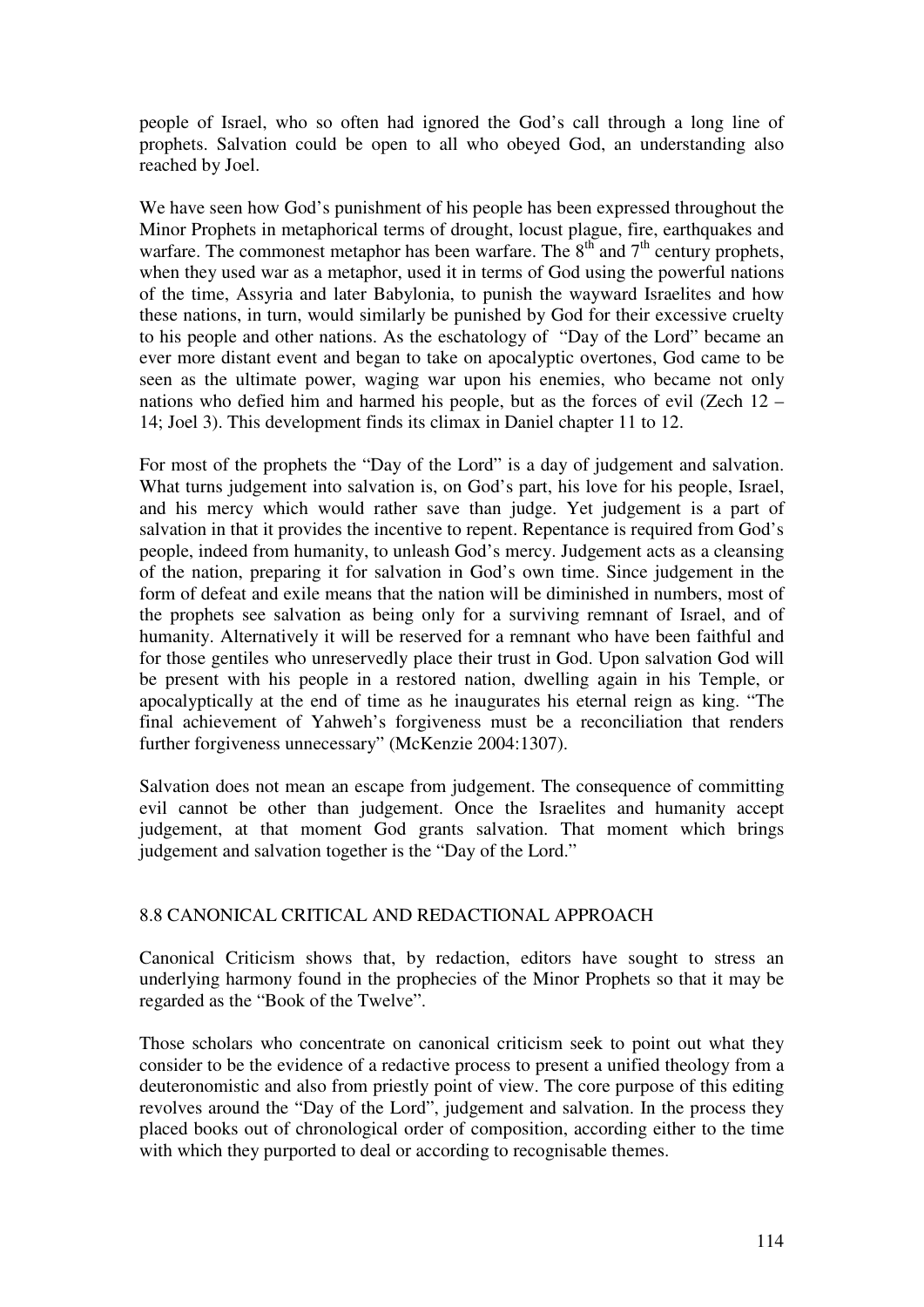people of Israel, who so often had ignored the God's call through a long line of prophets. Salvation could be open to all who obeyed God, an understanding also reached by Joel.

We have seen how God's punishment of his people has been expressed throughout the Minor Prophets in metaphorical terms of drought, locust plague, fire, earthquakes and warfare. The commonest metaphor has been warfare. The  $8<sup>th</sup>$  and  $7<sup>th</sup>$  century prophets, when they used war as a metaphor, used it in terms of God using the powerful nations of the time, Assyria and later Babylonia, to punish the wayward Israelites and how these nations, in turn, would similarly be punished by God for their excessive cruelty to his people and other nations. As the eschatology of "Day of the Lord" became an ever more distant event and began to take on apocalyptic overtones, God came to be seen as the ultimate power, waging war upon his enemies, who became not only nations who defied him and harmed his people, but as the forces of evil (Zech 12 – 14; Joel 3). This development finds its climax in Daniel chapter 11 to 12.

For most of the prophets the "Day of the Lord" is a day of judgement and salvation. What turns judgement into salvation is, on God's part, his love for his people, Israel, and his mercy which would rather save than judge. Yet judgement is a part of salvation in that it provides the incentive to repent. Repentance is required from God's people, indeed from humanity, to unleash God's mercy. Judgement acts as a cleansing of the nation, preparing it for salvation in God's own time. Since judgement in the form of defeat and exile means that the nation will be diminished in numbers, most of the prophets see salvation as being only for a surviving remnant of Israel, and of humanity. Alternatively it will be reserved for a remnant who have been faithful and for those gentiles who unreservedly place their trust in God. Upon salvation God will be present with his people in a restored nation, dwelling again in his Temple, or apocalyptically at the end of time as he inaugurates his eternal reign as king. "The final achievement of Yahweh's forgiveness must be a reconciliation that renders further forgiveness unnecessary" (McKenzie 2004:1307).

Salvation does not mean an escape from judgement. The consequence of committing evil cannot be other than judgement. Once the Israelites and humanity accept judgement, at that moment God grants salvation. That moment which brings judgement and salvation together is the "Day of the Lord."

# 8.8 CANONICAL CRITICAL AND REDACTIONAL APPROACH

Canonical Criticism shows that, by redaction, editors have sought to stress an underlying harmony found in the prophecies of the Minor Prophets so that it may be regarded as the "Book of the Twelve".

Those scholars who concentrate on canonical criticism seek to point out what they consider to be the evidence of a redactive process to present a unified theology from a deuteronomistic and also from priestly point of view. The core purpose of this editing revolves around the "Day of the Lord", judgement and salvation. In the process they placed books out of chronological order of composition, according either to the time with which they purported to deal or according to recognisable themes.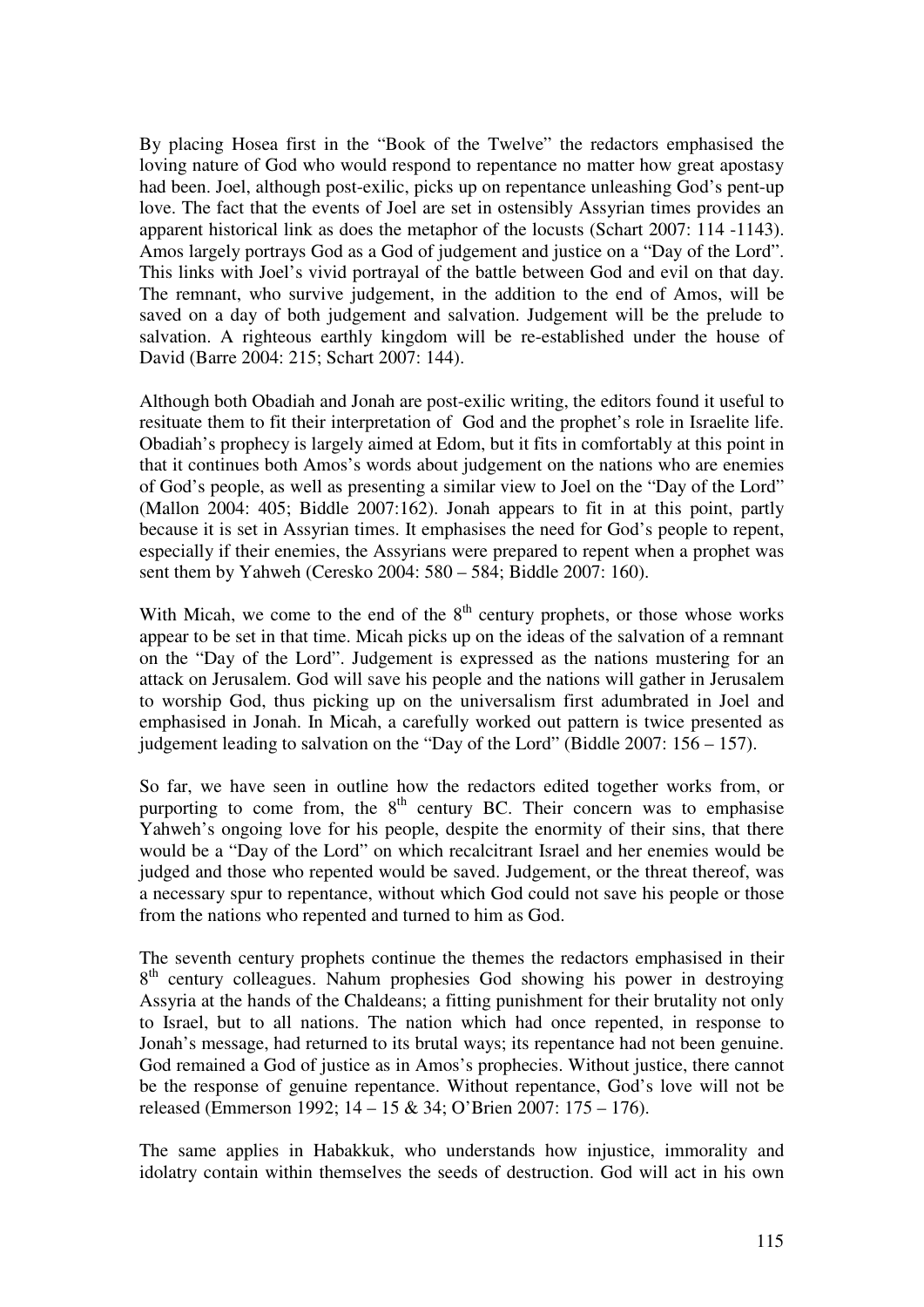By placing Hosea first in the "Book of the Twelve" the redactors emphasised the loving nature of God who would respond to repentance no matter how great apostasy had been. Joel, although post-exilic, picks up on repentance unleashing God's pent-up love. The fact that the events of Joel are set in ostensibly Assyrian times provides an apparent historical link as does the metaphor of the locusts (Schart 2007: 114 -1143). Amos largely portrays God as a God of judgement and justice on a "Day of the Lord". This links with Joel's vivid portrayal of the battle between God and evil on that day. The remnant, who survive judgement, in the addition to the end of Amos, will be saved on a day of both judgement and salvation. Judgement will be the prelude to salvation. A righteous earthly kingdom will be re-established under the house of David (Barre 2004: 215; Schart 2007: 144).

Although both Obadiah and Jonah are post-exilic writing, the editors found it useful to resituate them to fit their interpretation of God and the prophet's role in Israelite life. Obadiah's prophecy is largely aimed at Edom, but it fits in comfortably at this point in that it continues both Amos's words about judgement on the nations who are enemies of God's people, as well as presenting a similar view to Joel on the "Day of the Lord" (Mallon 2004: 405; Biddle 2007:162). Jonah appears to fit in at this point, partly because it is set in Assyrian times. It emphasises the need for God's people to repent, especially if their enemies, the Assyrians were prepared to repent when a prophet was sent them by Yahweh (Ceresko 2004: 580 – 584; Biddle 2007: 160).

With Micah, we come to the end of the  $8<sup>th</sup>$  century prophets, or those whose works appear to be set in that time. Micah picks up on the ideas of the salvation of a remnant on the "Day of the Lord". Judgement is expressed as the nations mustering for an attack on Jerusalem. God will save his people and the nations will gather in Jerusalem to worship God, thus picking up on the universalism first adumbrated in Joel and emphasised in Jonah. In Micah, a carefully worked out pattern is twice presented as judgement leading to salvation on the "Day of the Lord" (Biddle 2007: 156 – 157).

So far, we have seen in outline how the redactors edited together works from, or purporting to come from, the  $8<sup>th</sup>$  century BC. Their concern was to emphasise Yahweh's ongoing love for his people, despite the enormity of their sins, that there would be a "Day of the Lord" on which recalcitrant Israel and her enemies would be judged and those who repented would be saved. Judgement, or the threat thereof, was a necessary spur to repentance, without which God could not save his people or those from the nations who repented and turned to him as God.

The seventh century prophets continue the themes the redactors emphasised in their 8<sup>th</sup> century colleagues. Nahum prophesies God showing his power in destroying Assyria at the hands of the Chaldeans; a fitting punishment for their brutality not only to Israel, but to all nations. The nation which had once repented, in response to Jonah's message, had returned to its brutal ways; its repentance had not been genuine. God remained a God of justice as in Amos's prophecies. Without justice, there cannot be the response of genuine repentance. Without repentance, God's love will not be released (Emmerson 1992; 14 – 15 & 34; O'Brien 2007: 175 – 176).

The same applies in Habakkuk, who understands how injustice, immorality and idolatry contain within themselves the seeds of destruction. God will act in his own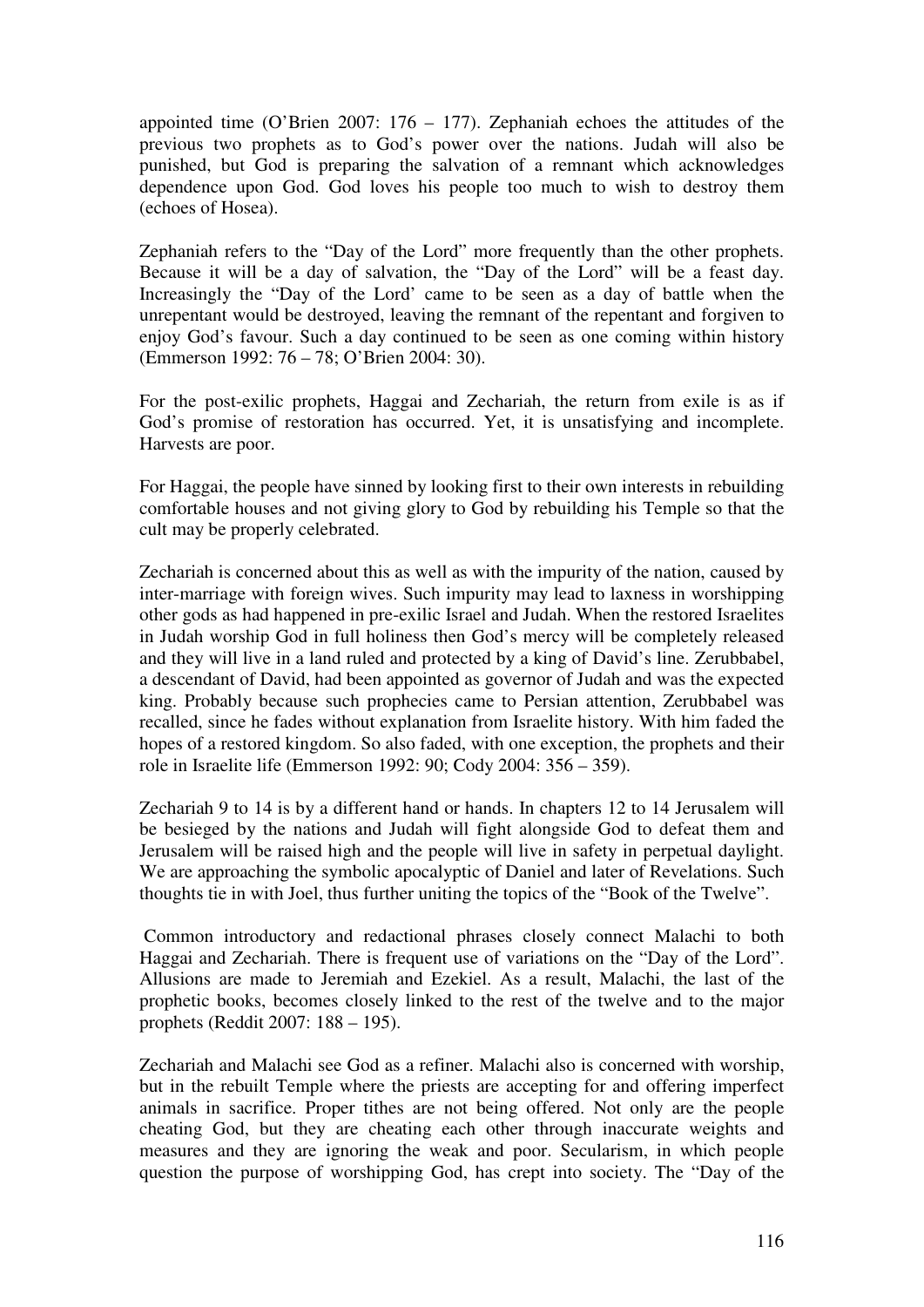appointed time (O'Brien 2007: 176 – 177). Zephaniah echoes the attitudes of the previous two prophets as to God's power over the nations. Judah will also be punished, but God is preparing the salvation of a remnant which acknowledges dependence upon God. God loves his people too much to wish to destroy them (echoes of Hosea).

Zephaniah refers to the "Day of the Lord" more frequently than the other prophets. Because it will be a day of salvation, the "Day of the Lord" will be a feast day. Increasingly the "Day of the Lord' came to be seen as a day of battle when the unrepentant would be destroyed, leaving the remnant of the repentant and forgiven to enjoy God's favour. Such a day continued to be seen as one coming within history (Emmerson 1992: 76 – 78; O'Brien 2004: 30).

For the post-exilic prophets, Haggai and Zechariah, the return from exile is as if God's promise of restoration has occurred. Yet, it is unsatisfying and incomplete. Harvests are poor.

For Haggai, the people have sinned by looking first to their own interests in rebuilding comfortable houses and not giving glory to God by rebuilding his Temple so that the cult may be properly celebrated.

Zechariah is concerned about this as well as with the impurity of the nation, caused by inter-marriage with foreign wives. Such impurity may lead to laxness in worshipping other gods as had happened in pre-exilic Israel and Judah. When the restored Israelites in Judah worship God in full holiness then God's mercy will be completely released and they will live in a land ruled and protected by a king of David's line. Zerubbabel, a descendant of David, had been appointed as governor of Judah and was the expected king. Probably because such prophecies came to Persian attention, Zerubbabel was recalled, since he fades without explanation from Israelite history. With him faded the hopes of a restored kingdom. So also faded, with one exception, the prophets and their role in Israelite life (Emmerson 1992: 90; Cody 2004: 356 – 359).

Zechariah 9 to 14 is by a different hand or hands. In chapters 12 to 14 Jerusalem will be besieged by the nations and Judah will fight alongside God to defeat them and Jerusalem will be raised high and the people will live in safety in perpetual daylight. We are approaching the symbolic apocalyptic of Daniel and later of Revelations. Such thoughts tie in with Joel, thus further uniting the topics of the "Book of the Twelve".

 Common introductory and redactional phrases closely connect Malachi to both Haggai and Zechariah. There is frequent use of variations on the "Day of the Lord". Allusions are made to Jeremiah and Ezekiel. As a result, Malachi, the last of the prophetic books, becomes closely linked to the rest of the twelve and to the major prophets (Reddit 2007: 188 – 195).

Zechariah and Malachi see God as a refiner. Malachi also is concerned with worship, but in the rebuilt Temple where the priests are accepting for and offering imperfect animals in sacrifice. Proper tithes are not being offered. Not only are the people cheating God, but they are cheating each other through inaccurate weights and measures and they are ignoring the weak and poor. Secularism, in which people question the purpose of worshipping God, has crept into society. The "Day of the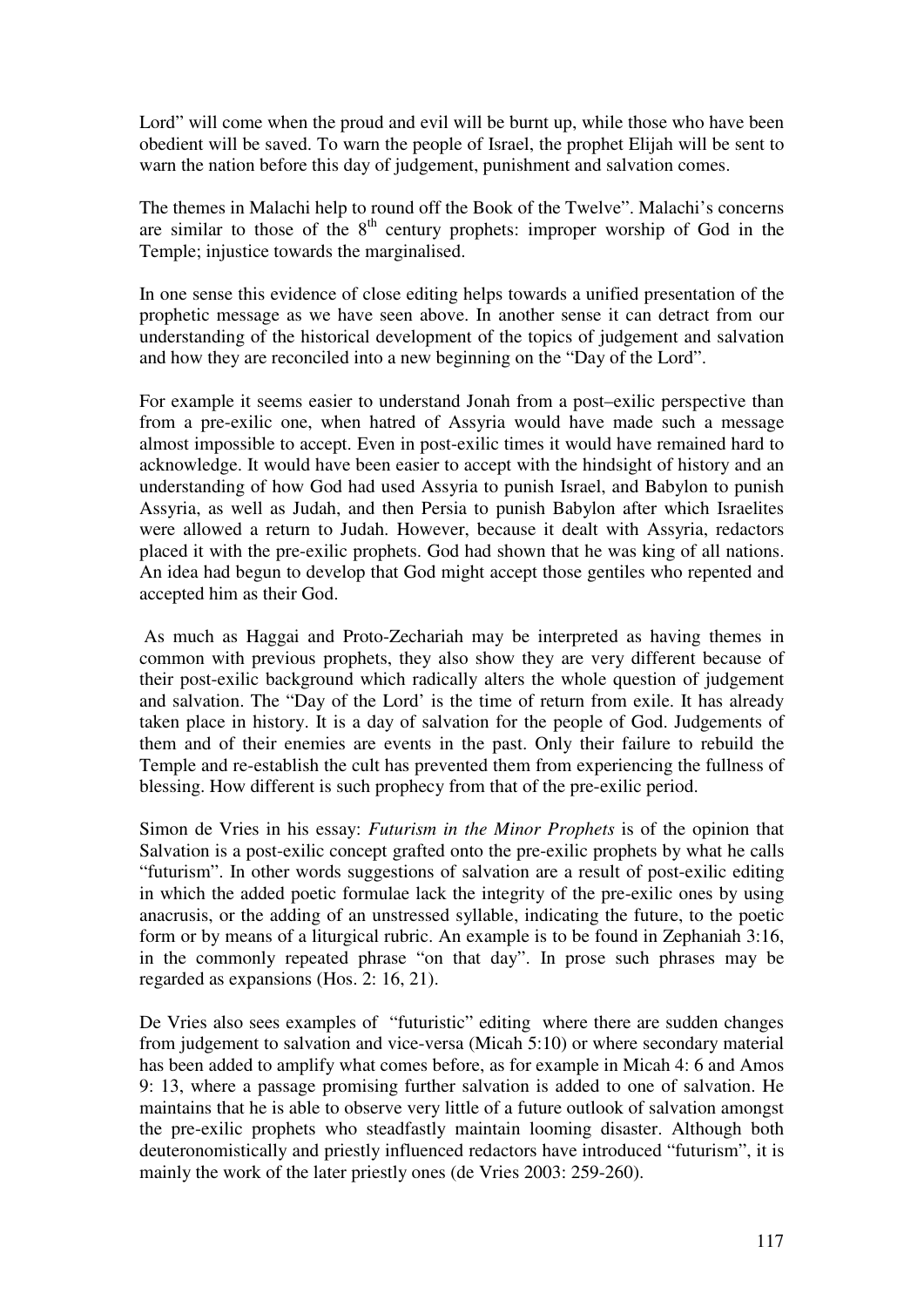Lord" will come when the proud and evil will be burnt up, while those who have been obedient will be saved. To warn the people of Israel, the prophet Elijah will be sent to warn the nation before this day of judgement, punishment and salvation comes.

The themes in Malachi help to round off the Book of the Twelve". Malachi's concerns are similar to those of the  $8<sup>th</sup>$  century prophets: improper worship of God in the Temple; injustice towards the marginalised.

In one sense this evidence of close editing helps towards a unified presentation of the prophetic message as we have seen above. In another sense it can detract from our understanding of the historical development of the topics of judgement and salvation and how they are reconciled into a new beginning on the "Day of the Lord".

For example it seems easier to understand Jonah from a post–exilic perspective than from a pre-exilic one, when hatred of Assyria would have made such a message almost impossible to accept. Even in post-exilic times it would have remained hard to acknowledge. It would have been easier to accept with the hindsight of history and an understanding of how God had used Assyria to punish Israel, and Babylon to punish Assyria, as well as Judah, and then Persia to punish Babylon after which Israelites were allowed a return to Judah. However, because it dealt with Assyria, redactors placed it with the pre-exilic prophets. God had shown that he was king of all nations. An idea had begun to develop that God might accept those gentiles who repented and accepted him as their God.

 As much as Haggai and Proto-Zechariah may be interpreted as having themes in common with previous prophets, they also show they are very different because of their post-exilic background which radically alters the whole question of judgement and salvation. The "Day of the Lord' is the time of return from exile. It has already taken place in history. It is a day of salvation for the people of God. Judgements of them and of their enemies are events in the past. Only their failure to rebuild the Temple and re-establish the cult has prevented them from experiencing the fullness of blessing. How different is such prophecy from that of the pre-exilic period.

Simon de Vries in his essay: *Futurism in the Minor Prophets* is of the opinion that Salvation is a post-exilic concept grafted onto the pre-exilic prophets by what he calls "futurism". In other words suggestions of salvation are a result of post-exilic editing in which the added poetic formulae lack the integrity of the pre-exilic ones by using anacrusis, or the adding of an unstressed syllable, indicating the future, to the poetic form or by means of a liturgical rubric. An example is to be found in Zephaniah 3:16, in the commonly repeated phrase "on that day". In prose such phrases may be regarded as expansions (Hos. 2: 16, 21).

De Vries also sees examples of "futuristic" editing where there are sudden changes from judgement to salvation and vice-versa (Micah 5:10) or where secondary material has been added to amplify what comes before, as for example in Micah 4: 6 and Amos 9: 13, where a passage promising further salvation is added to one of salvation. He maintains that he is able to observe very little of a future outlook of salvation amongst the pre-exilic prophets who steadfastly maintain looming disaster. Although both deuteronomistically and priestly influenced redactors have introduced "futurism", it is mainly the work of the later priestly ones (de Vries 2003: 259-260).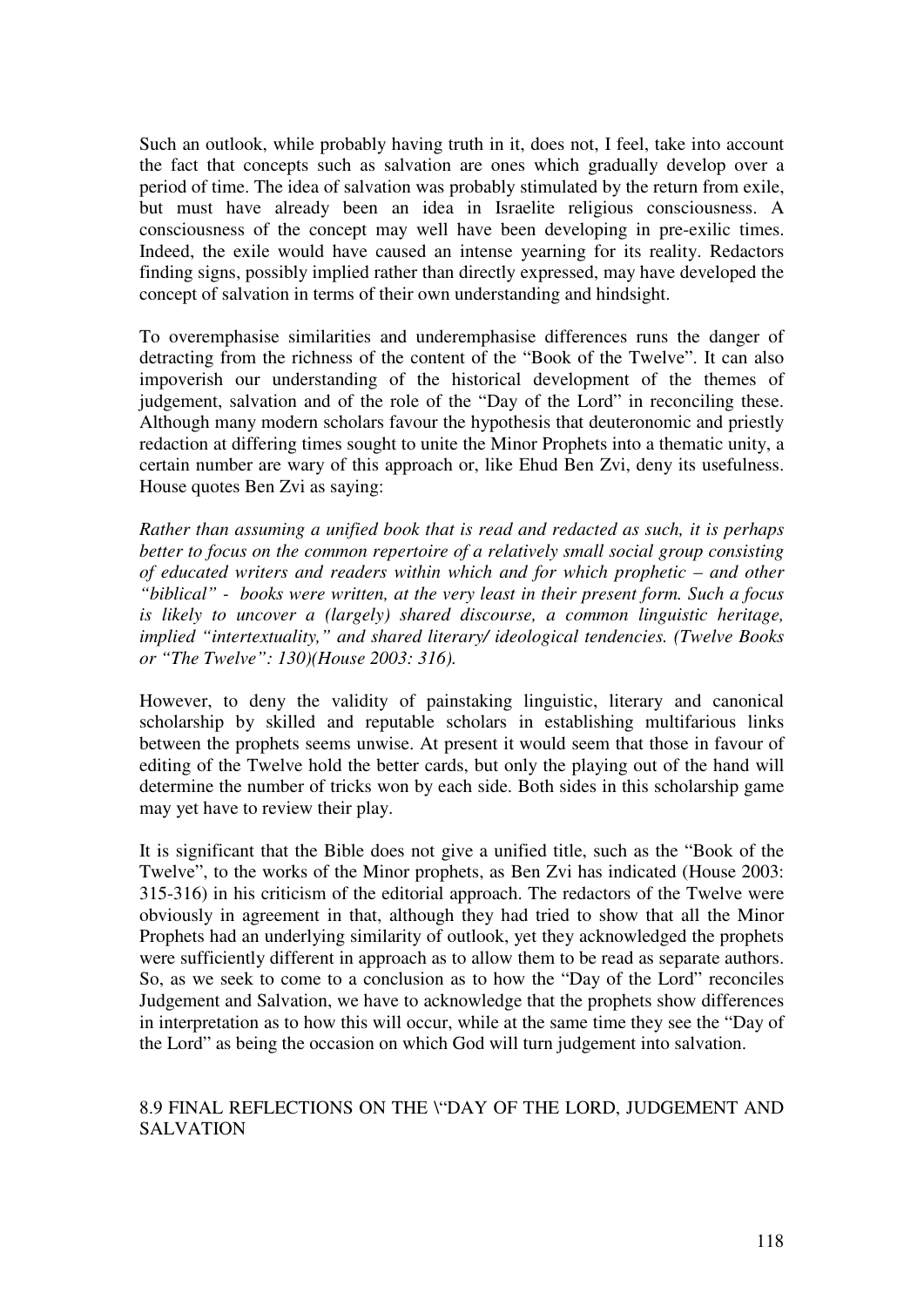Such an outlook, while probably having truth in it, does not, I feel, take into account the fact that concepts such as salvation are ones which gradually develop over a period of time. The idea of salvation was probably stimulated by the return from exile, but must have already been an idea in Israelite religious consciousness. A consciousness of the concept may well have been developing in pre-exilic times. Indeed, the exile would have caused an intense yearning for its reality. Redactors finding signs, possibly implied rather than directly expressed, may have developed the concept of salvation in terms of their own understanding and hindsight.

To overemphasise similarities and underemphasise differences runs the danger of detracting from the richness of the content of the "Book of the Twelve". It can also impoverish our understanding of the historical development of the themes of judgement, salvation and of the role of the "Day of the Lord" in reconciling these. Although many modern scholars favour the hypothesis that deuteronomic and priestly redaction at differing times sought to unite the Minor Prophets into a thematic unity, a certain number are wary of this approach or, like Ehud Ben Zvi, deny its usefulness. House quotes Ben Zvi as saying:

*Rather than assuming a unified book that is read and redacted as such, it is perhaps better to focus on the common repertoire of a relatively small social group consisting of educated writers and readers within which and for which prophetic – and other "biblical" - books were written, at the very least in their present form. Such a focus is likely to uncover a (largely) shared discourse, a common linguistic heritage, implied "intertextuality," and shared literary/ ideological tendencies. (Twelve Books or "The Twelve": 130)(House 2003: 316).* 

However, to deny the validity of painstaking linguistic, literary and canonical scholarship by skilled and reputable scholars in establishing multifarious links between the prophets seems unwise. At present it would seem that those in favour of editing of the Twelve hold the better cards, but only the playing out of the hand will determine the number of tricks won by each side. Both sides in this scholarship game may yet have to review their play.

It is significant that the Bible does not give a unified title, such as the "Book of the Twelve", to the works of the Minor prophets, as Ben Zvi has indicated (House 2003: 315-316) in his criticism of the editorial approach. The redactors of the Twelve were obviously in agreement in that, although they had tried to show that all the Minor Prophets had an underlying similarity of outlook, yet they acknowledged the prophets were sufficiently different in approach as to allow them to be read as separate authors. So, as we seek to come to a conclusion as to how the "Day of the Lord" reconciles Judgement and Salvation, we have to acknowledge that the prophets show differences in interpretation as to how this will occur, while at the same time they see the "Day of the Lord" as being the occasion on which God will turn judgement into salvation.

# 8.9 FINAL REFLECTIONS ON THE \"DAY OF THE LORD, JUDGEMENT AND **SALVATION**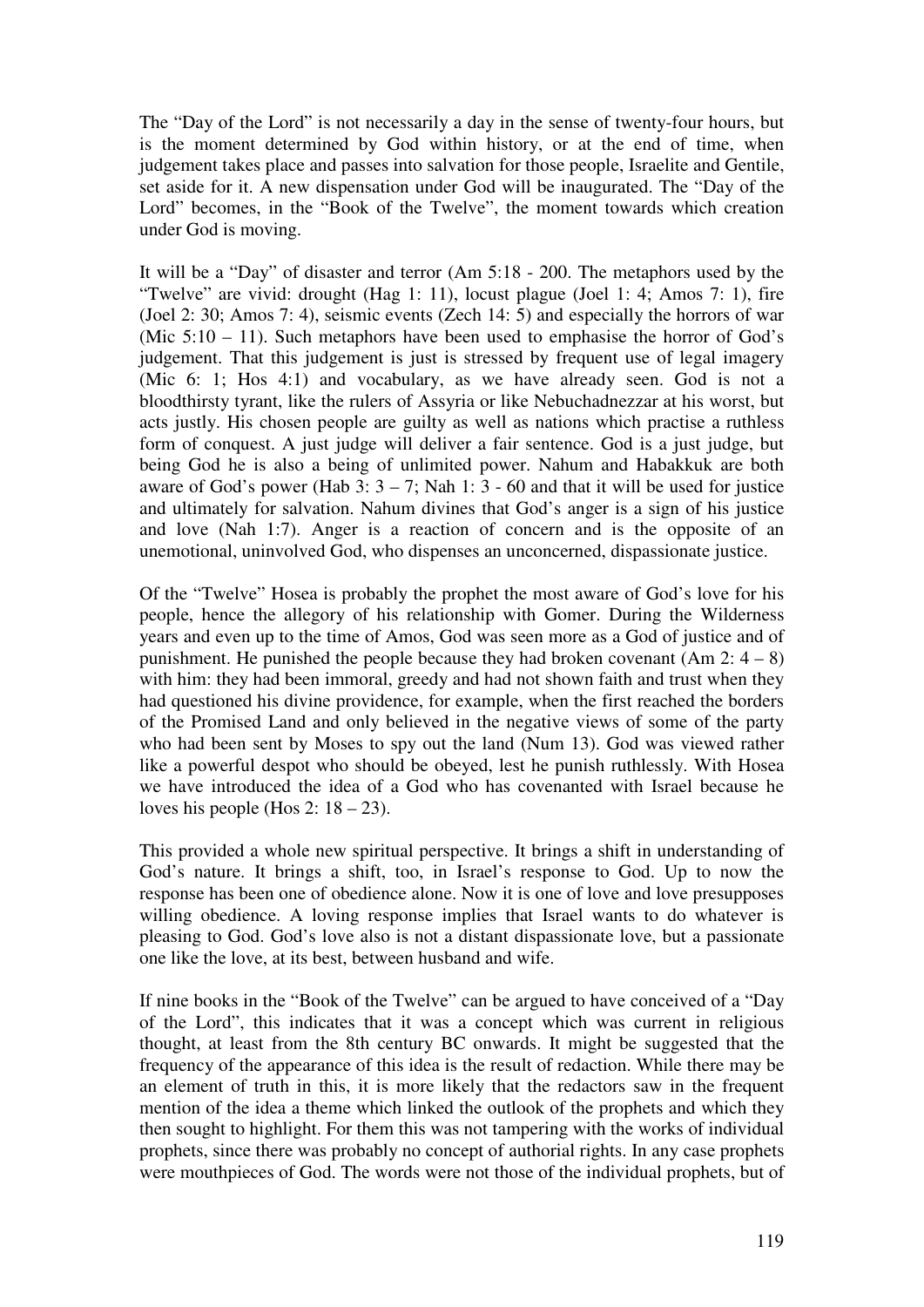The "Day of the Lord" is not necessarily a day in the sense of twenty-four hours, but is the moment determined by God within history, or at the end of time, when judgement takes place and passes into salvation for those people, Israelite and Gentile, set aside for it. A new dispensation under God will be inaugurated. The "Day of the Lord" becomes, in the "Book of the Twelve", the moment towards which creation under God is moving.

It will be a "Day" of disaster and terror (Am 5:18 - 200. The metaphors used by the "Twelve" are vivid: drought (Hag 1: 11), locust plague (Joel 1: 4; Amos 7: 1), fire (Joel 2: 30; Amos 7: 4), seismic events (Zech 14: 5) and especially the horrors of war (Mic  $5:10 - 11$ ). Such metaphors have been used to emphasise the horror of God's judgement. That this judgement is just is stressed by frequent use of legal imagery (Mic 6: 1; Hos 4:1) and vocabulary, as we have already seen. God is not a bloodthirsty tyrant, like the rulers of Assyria or like Nebuchadnezzar at his worst, but acts justly. His chosen people are guilty as well as nations which practise a ruthless form of conquest. A just judge will deliver a fair sentence. God is a just judge, but being God he is also a being of unlimited power. Nahum and Habakkuk are both aware of God's power (Hab  $3: 3 - 7$ ; Nah 1: 3 - 60 and that it will be used for justice and ultimately for salvation. Nahum divines that God's anger is a sign of his justice and love (Nah 1:7). Anger is a reaction of concern and is the opposite of an unemotional, uninvolved God, who dispenses an unconcerned, dispassionate justice.

Of the "Twelve" Hosea is probably the prophet the most aware of God's love for his people, hence the allegory of his relationship with Gomer. During the Wilderness years and even up to the time of Amos, God was seen more as a God of justice and of punishment. He punished the people because they had broken covenant  $(Am 2: 4 – 8)$ with him: they had been immoral, greedy and had not shown faith and trust when they had questioned his divine providence, for example, when the first reached the borders of the Promised Land and only believed in the negative views of some of the party who had been sent by Moses to spy out the land (Num 13). God was viewed rather like a powerful despot who should be obeyed, lest he punish ruthlessly. With Hosea we have introduced the idea of a God who has covenanted with Israel because he loves his people (Hos 2:  $18 - 23$ ).

This provided a whole new spiritual perspective. It brings a shift in understanding of God's nature. It brings a shift, too, in Israel's response to God. Up to now the response has been one of obedience alone. Now it is one of love and love presupposes willing obedience. A loving response implies that Israel wants to do whatever is pleasing to God. God's love also is not a distant dispassionate love, but a passionate one like the love, at its best, between husband and wife.

If nine books in the "Book of the Twelve" can be argued to have conceived of a "Day of the Lord", this indicates that it was a concept which was current in religious thought, at least from the 8th century BC onwards. It might be suggested that the frequency of the appearance of this idea is the result of redaction. While there may be an element of truth in this, it is more likely that the redactors saw in the frequent mention of the idea a theme which linked the outlook of the prophets and which they then sought to highlight. For them this was not tampering with the works of individual prophets, since there was probably no concept of authorial rights. In any case prophets were mouthpieces of God. The words were not those of the individual prophets, but of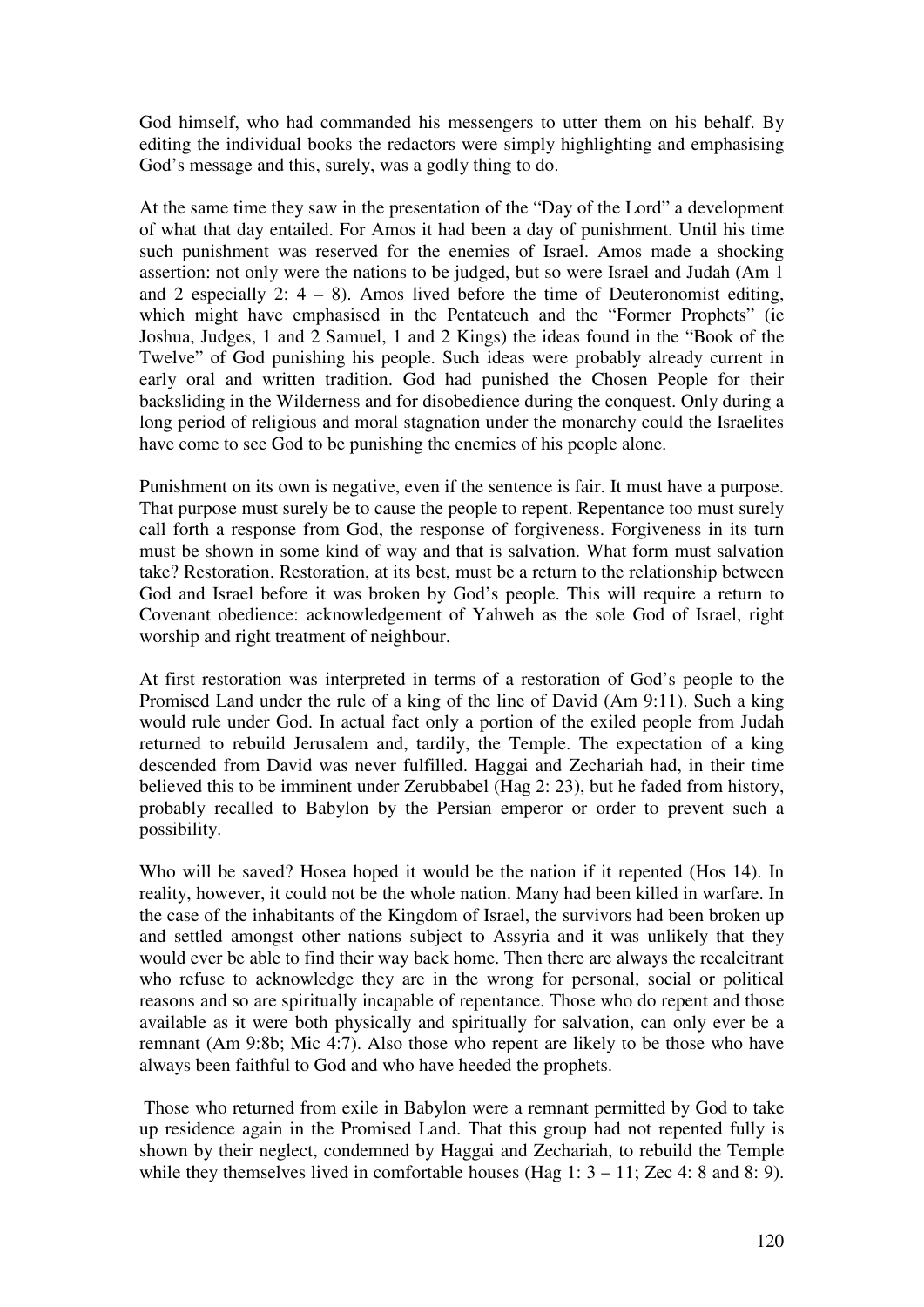God himself, who had commanded his messengers to utter them on his behalf. By editing the individual books the redactors were simply highlighting and emphasising God's message and this, surely, was a godly thing to do.

At the same time they saw in the presentation of the "Day of the Lord" a development of what that day entailed. For Amos it had been a day of punishment. Until his time such punishment was reserved for the enemies of Israel. Amos made a shocking assertion: not only were the nations to be judged, but so were Israel and Judah (Am 1 and 2 especially 2:  $4 - 8$ ). Amos lived before the time of Deuteronomist editing, which might have emphasised in the Pentateuch and the "Former Prophets" (ie Joshua, Judges, 1 and 2 Samuel, 1 and 2 Kings) the ideas found in the "Book of the Twelve" of God punishing his people. Such ideas were probably already current in early oral and written tradition. God had punished the Chosen People for their backsliding in the Wilderness and for disobedience during the conquest. Only during a long period of religious and moral stagnation under the monarchy could the Israelites have come to see God to be punishing the enemies of his people alone.

Punishment on its own is negative, even if the sentence is fair. It must have a purpose. That purpose must surely be to cause the people to repent. Repentance too must surely call forth a response from God, the response of forgiveness. Forgiveness in its turn must be shown in some kind of way and that is salvation. What form must salvation take? Restoration. Restoration, at its best, must be a return to the relationship between God and Israel before it was broken by God's people. This will require a return to Covenant obedience: acknowledgement of Yahweh as the sole God of Israel, right worship and right treatment of neighbour.

At first restoration was interpreted in terms of a restoration of God's people to the Promised Land under the rule of a king of the line of David (Am 9:11). Such a king would rule under God. In actual fact only a portion of the exiled people from Judah returned to rebuild Jerusalem and, tardily, the Temple. The expectation of a king descended from David was never fulfilled. Haggai and Zechariah had, in their time believed this to be imminent under Zerubbabel (Hag 2: 23), but he faded from history, probably recalled to Babylon by the Persian emperor or order to prevent such a possibility.

Who will be saved? Hosea hoped it would be the nation if it repented (Hos 14). In reality, however, it could not be the whole nation. Many had been killed in warfare. In the case of the inhabitants of the Kingdom of Israel, the survivors had been broken up and settled amongst other nations subject to Assyria and it was unlikely that they would ever be able to find their way back home. Then there are always the recalcitrant who refuse to acknowledge they are in the wrong for personal, social or political reasons and so are spiritually incapable of repentance. Those who do repent and those available as it were both physically and spiritually for salvation, can only ever be a remnant (Am 9:8b; Mic 4:7). Also those who repent are likely to be those who have always been faithful to God and who have heeded the prophets.

 Those who returned from exile in Babylon were a remnant permitted by God to take up residence again in the Promised Land. That this group had not repented fully is shown by their neglect, condemned by Haggai and Zechariah, to rebuild the Temple while they themselves lived in comfortable houses (Hag  $1: 3 - 11$ ; Zec 4: 8 and 8: 9).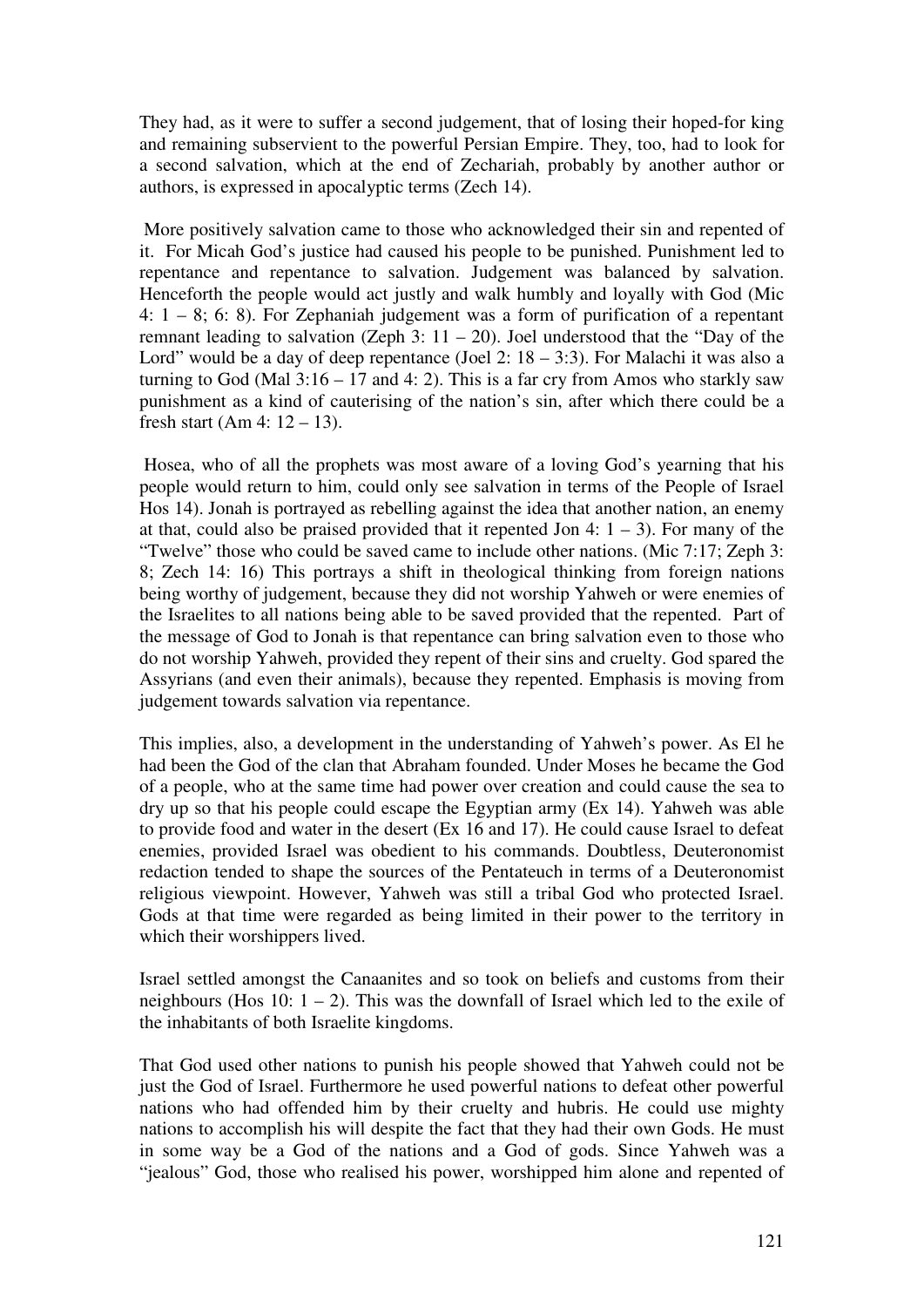They had, as it were to suffer a second judgement, that of losing their hoped-for king and remaining subservient to the powerful Persian Empire. They, too, had to look for a second salvation, which at the end of Zechariah, probably by another author or authors, is expressed in apocalyptic terms (Zech 14).

 More positively salvation came to those who acknowledged their sin and repented of it. For Micah God's justice had caused his people to be punished. Punishment led to repentance and repentance to salvation. Judgement was balanced by salvation. Henceforth the people would act justly and walk humbly and loyally with God (Mic 4: 1 – 8; 6: 8). For Zephaniah judgement was a form of purification of a repentant remnant leading to salvation (Zeph 3:  $11 - 20$ ). Joel understood that the "Day of the Lord" would be a day of deep repentance (Joel 2:  $18 - 3:3$ ). For Malachi it was also a turning to God (Mal  $3:16 - 17$  and 4: 2). This is a far cry from Amos who starkly saw punishment as a kind of cauterising of the nation's sin, after which there could be a fresh start (Am 4:  $12 - 13$ ).

 Hosea, who of all the prophets was most aware of a loving God's yearning that his people would return to him, could only see salvation in terms of the People of Israel Hos 14). Jonah is portrayed as rebelling against the idea that another nation, an enemy at that, could also be praised provided that it repented Jon 4:  $1 - 3$ ). For many of the "Twelve" those who could be saved came to include other nations. (Mic 7:17; Zeph 3: 8; Zech 14: 16) This portrays a shift in theological thinking from foreign nations being worthy of judgement, because they did not worship Yahweh or were enemies of the Israelites to all nations being able to be saved provided that the repented. Part of the message of God to Jonah is that repentance can bring salvation even to those who do not worship Yahweh, provided they repent of their sins and cruelty. God spared the Assyrians (and even their animals), because they repented. Emphasis is moving from judgement towards salvation via repentance.

This implies, also, a development in the understanding of Yahweh's power. As El he had been the God of the clan that Abraham founded. Under Moses he became the God of a people, who at the same time had power over creation and could cause the sea to dry up so that his people could escape the Egyptian army (Ex 14). Yahweh was able to provide food and water in the desert (Ex 16 and 17). He could cause Israel to defeat enemies, provided Israel was obedient to his commands. Doubtless, Deuteronomist redaction tended to shape the sources of the Pentateuch in terms of a Deuteronomist religious viewpoint. However, Yahweh was still a tribal God who protected Israel. Gods at that time were regarded as being limited in their power to the territory in which their worshippers lived.

Israel settled amongst the Canaanites and so took on beliefs and customs from their neighbours (Hos 10:  $1 - 2$ ). This was the downfall of Israel which led to the exile of the inhabitants of both Israelite kingdoms.

That God used other nations to punish his people showed that Yahweh could not be just the God of Israel. Furthermore he used powerful nations to defeat other powerful nations who had offended him by their cruelty and hubris. He could use mighty nations to accomplish his will despite the fact that they had their own Gods. He must in some way be a God of the nations and a God of gods. Since Yahweh was a "jealous" God, those who realised his power, worshipped him alone and repented of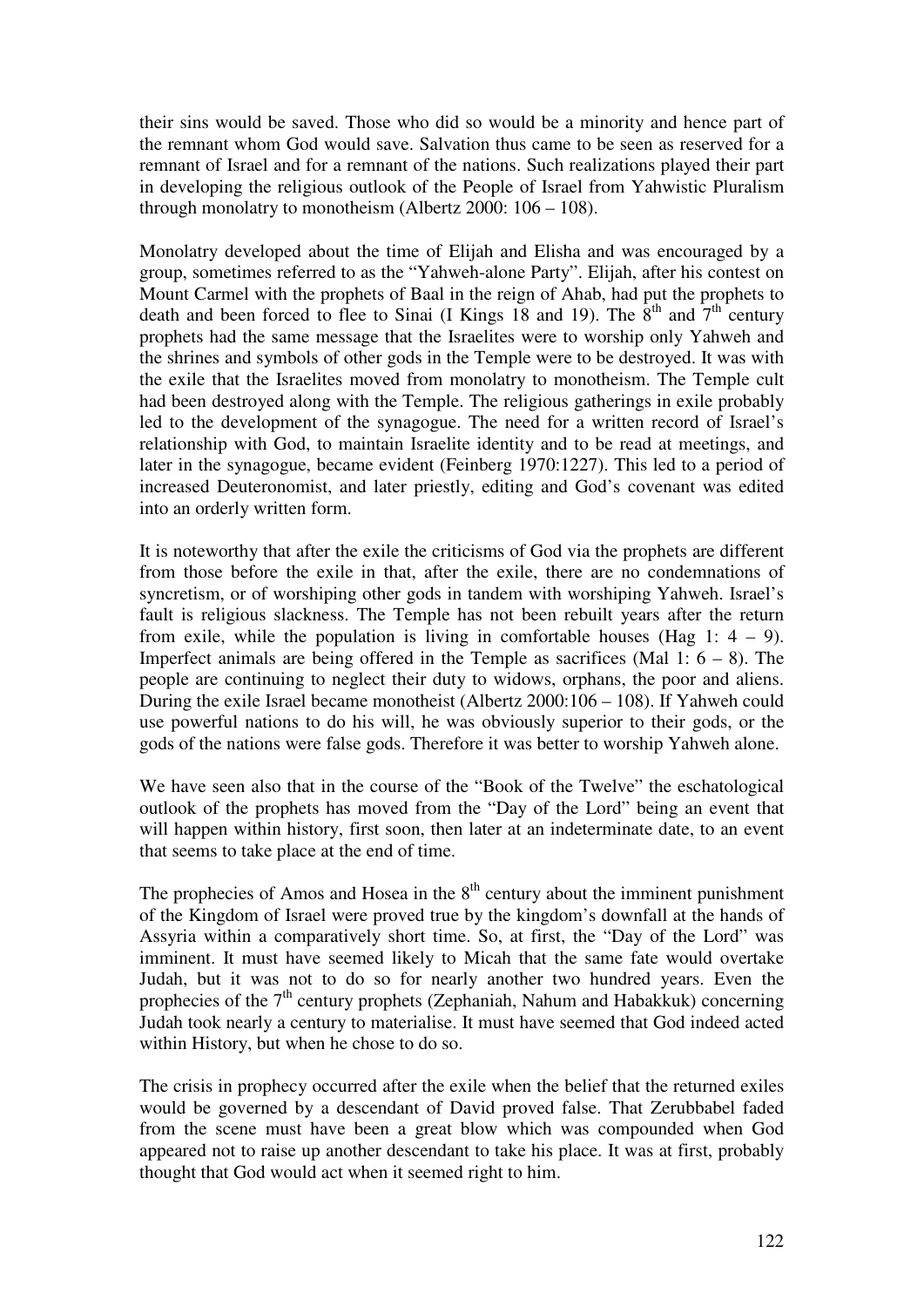their sins would be saved. Those who did so would be a minority and hence part of the remnant whom God would save. Salvation thus came to be seen as reserved for a remnant of Israel and for a remnant of the nations. Such realizations played their part in developing the religious outlook of the People of Israel from Yahwistic Pluralism through monolatry to monotheism (Albertz 2000: 106 – 108).

Monolatry developed about the time of Elijah and Elisha and was encouraged by a group, sometimes referred to as the "Yahweh-alone Party". Elijah, after his contest on Mount Carmel with the prophets of Baal in the reign of Ahab, had put the prophets to death and been forced to flee to Sinai (I Kings 18 and 19). The  $8<sup>th</sup>$  and  $7<sup>th</sup>$  century prophets had the same message that the Israelites were to worship only Yahweh and the shrines and symbols of other gods in the Temple were to be destroyed. It was with the exile that the Israelites moved from monolatry to monotheism. The Temple cult had been destroyed along with the Temple. The religious gatherings in exile probably led to the development of the synagogue. The need for a written record of Israel's relationship with God, to maintain Israelite identity and to be read at meetings, and later in the synagogue, became evident (Feinberg 1970:1227). This led to a period of increased Deuteronomist, and later priestly, editing and God's covenant was edited into an orderly written form.

It is noteworthy that after the exile the criticisms of God via the prophets are different from those before the exile in that, after the exile, there are no condemnations of syncretism, or of worshiping other gods in tandem with worshiping Yahweh. Israel's fault is religious slackness. The Temple has not been rebuilt years after the return from exile, while the population is living in comfortable houses (Hag 1:  $4 - 9$ ). Imperfect animals are being offered in the Temple as sacrifices (Mal 1:  $6 - 8$ ). The people are continuing to neglect their duty to widows, orphans, the poor and aliens. During the exile Israel became monotheist (Albertz 2000:106 – 108). If Yahweh could use powerful nations to do his will, he was obviously superior to their gods, or the gods of the nations were false gods. Therefore it was better to worship Yahweh alone.

We have seen also that in the course of the "Book of the Twelve" the eschatological outlook of the prophets has moved from the "Day of the Lord" being an event that will happen within history, first soon, then later at an indeterminate date, to an event that seems to take place at the end of time.

The prophecies of Amos and Hosea in the  $8<sup>th</sup>$  century about the imminent punishment of the Kingdom of Israel were proved true by the kingdom's downfall at the hands of Assyria within a comparatively short time. So, at first, the "Day of the Lord" was imminent. It must have seemed likely to Micah that the same fate would overtake Judah, but it was not to do so for nearly another two hundred years. Even the prophecies of the  $7<sup>th</sup>$  century prophets (Zephaniah, Nahum and Habakkuk) concerning Judah took nearly a century to materialise. It must have seemed that God indeed acted within History, but when he chose to do so.

The crisis in prophecy occurred after the exile when the belief that the returned exiles would be governed by a descendant of David proved false. That Zerubbabel faded from the scene must have been a great blow which was compounded when God appeared not to raise up another descendant to take his place. It was at first, probably thought that God would act when it seemed right to him.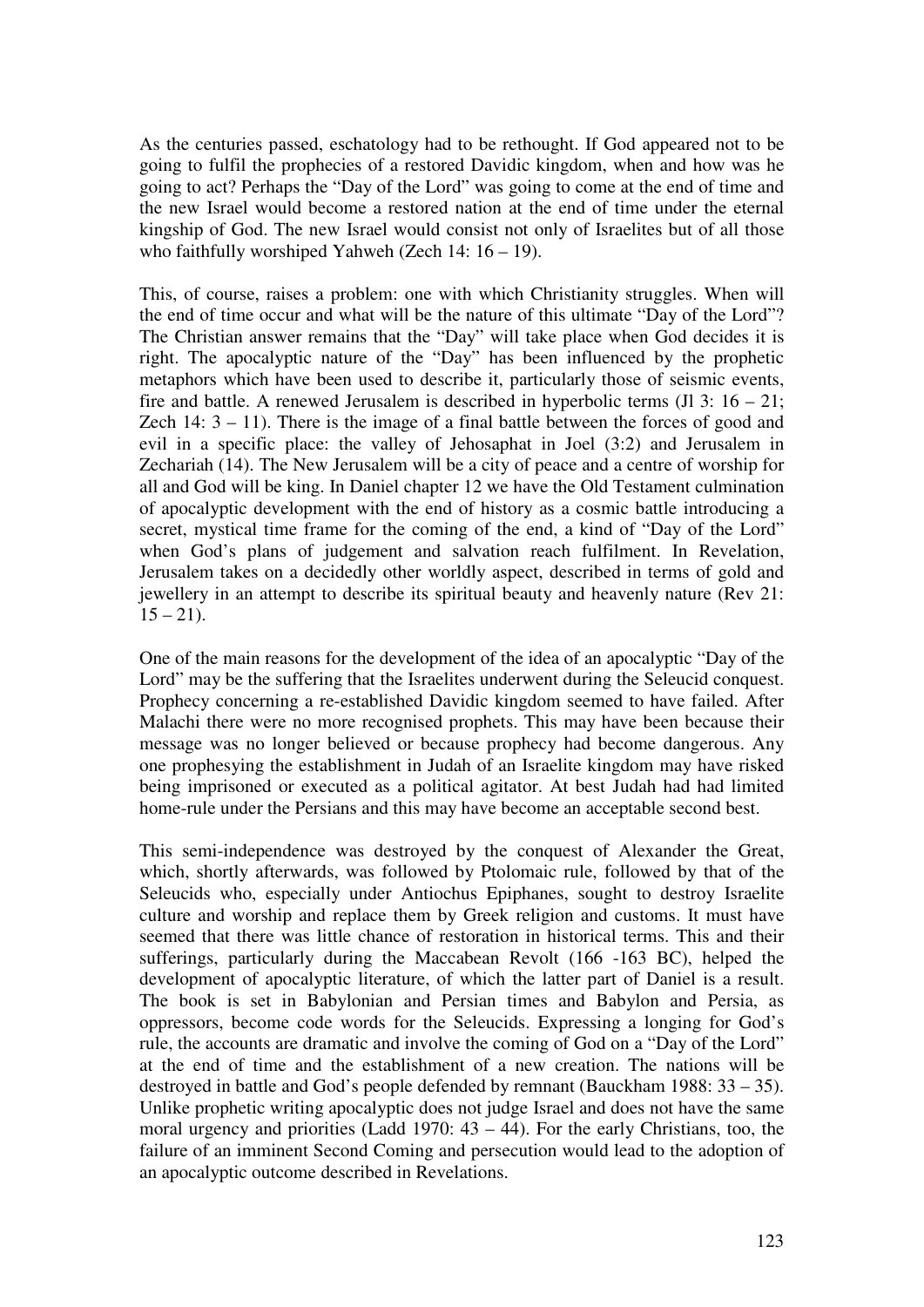As the centuries passed, eschatology had to be rethought. If God appeared not to be going to fulfil the prophecies of a restored Davidic kingdom, when and how was he going to act? Perhaps the "Day of the Lord" was going to come at the end of time and the new Israel would become a restored nation at the end of time under the eternal kingship of God. The new Israel would consist not only of Israelites but of all those who faithfully worshiped Yahweh (Zech 14: 16 – 19).

This, of course, raises a problem: one with which Christianity struggles. When will the end of time occur and what will be the nature of this ultimate "Day of the Lord"? The Christian answer remains that the "Day" will take place when God decides it is right. The apocalyptic nature of the "Day" has been influenced by the prophetic metaphors which have been used to describe it, particularly those of seismic events, fire and battle. A renewed Jerusalem is described in hyperbolic terms  $(I1 3: 16 - 21;$ Zech  $14: 3 - 11$ ). There is the image of a final battle between the forces of good and evil in a specific place: the valley of Jehosaphat in Joel (3:2) and Jerusalem in Zechariah (14). The New Jerusalem will be a city of peace and a centre of worship for all and God will be king. In Daniel chapter 12 we have the Old Testament culmination of apocalyptic development with the end of history as a cosmic battle introducing a secret, mystical time frame for the coming of the end, a kind of "Day of the Lord" when God's plans of judgement and salvation reach fulfilment. In Revelation, Jerusalem takes on a decidedly other worldly aspect, described in terms of gold and jewellery in an attempt to describe its spiritual beauty and heavenly nature (Rev 21:  $15 - 21$ ).

One of the main reasons for the development of the idea of an apocalyptic "Day of the Lord" may be the suffering that the Israelites underwent during the Seleucid conquest. Prophecy concerning a re-established Davidic kingdom seemed to have failed. After Malachi there were no more recognised prophets. This may have been because their message was no longer believed or because prophecy had become dangerous. Any one prophesying the establishment in Judah of an Israelite kingdom may have risked being imprisoned or executed as a political agitator. At best Judah had had limited home-rule under the Persians and this may have become an acceptable second best.

This semi-independence was destroyed by the conquest of Alexander the Great, which, shortly afterwards, was followed by Ptolomaic rule, followed by that of the Seleucids who, especially under Antiochus Epiphanes, sought to destroy Israelite culture and worship and replace them by Greek religion and customs. It must have seemed that there was little chance of restoration in historical terms. This and their sufferings, particularly during the Maccabean Revolt (166 -163 BC), helped the development of apocalyptic literature, of which the latter part of Daniel is a result. The book is set in Babylonian and Persian times and Babylon and Persia, as oppressors, become code words for the Seleucids. Expressing a longing for God's rule, the accounts are dramatic and involve the coming of God on a "Day of the Lord" at the end of time and the establishment of a new creation. The nations will be destroyed in battle and God's people defended by remnant (Bauckham 1988: 33 – 35). Unlike prophetic writing apocalyptic does not judge Israel and does not have the same moral urgency and priorities (Ladd 1970:  $43 - 44$ ). For the early Christians, too, the failure of an imminent Second Coming and persecution would lead to the adoption of an apocalyptic outcome described in Revelations.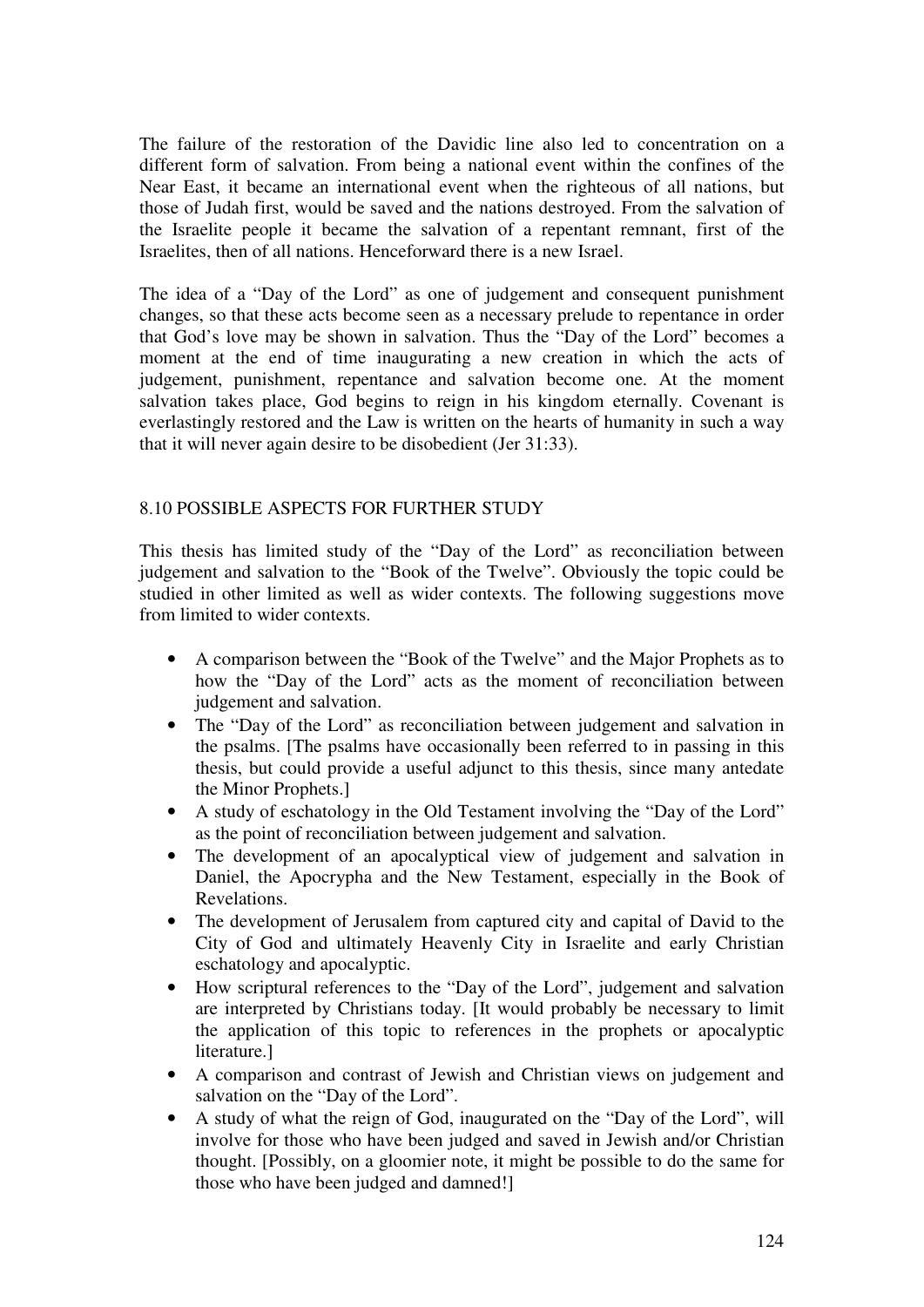The failure of the restoration of the Davidic line also led to concentration on a different form of salvation. From being a national event within the confines of the Near East, it became an international event when the righteous of all nations, but those of Judah first, would be saved and the nations destroyed. From the salvation of the Israelite people it became the salvation of a repentant remnant, first of the Israelites, then of all nations. Henceforward there is a new Israel.

The idea of a "Day of the Lord" as one of judgement and consequent punishment changes, so that these acts become seen as a necessary prelude to repentance in order that God's love may be shown in salvation. Thus the "Day of the Lord" becomes a moment at the end of time inaugurating a new creation in which the acts of judgement, punishment, repentance and salvation become one. At the moment salvation takes place, God begins to reign in his kingdom eternally. Covenant is everlastingly restored and the Law is written on the hearts of humanity in such a way that it will never again desire to be disobedient (Jer 31:33).

## 8.10 POSSIBLE ASPECTS FOR FURTHER STUDY

This thesis has limited study of the "Day of the Lord" as reconciliation between judgement and salvation to the "Book of the Twelve". Obviously the topic could be studied in other limited as well as wider contexts. The following suggestions move from limited to wider contexts.

- A comparison between the "Book of the Twelve" and the Major Prophets as to how the "Day of the Lord" acts as the moment of reconciliation between judgement and salvation.
- The "Day of the Lord" as reconciliation between judgement and salvation in the psalms. [The psalms have occasionally been referred to in passing in this thesis, but could provide a useful adjunct to this thesis, since many antedate the Minor Prophets.]
- A study of eschatology in the Old Testament involving the "Day of the Lord" as the point of reconciliation between judgement and salvation.
- The development of an apocalyptical view of judgement and salvation in Daniel, the Apocrypha and the New Testament, especially in the Book of Revelations.
- The development of Jerusalem from captured city and capital of David to the City of God and ultimately Heavenly City in Israelite and early Christian eschatology and apocalyptic.
- How scriptural references to the "Day of the Lord", judgement and salvation are interpreted by Christians today. [It would probably be necessary to limit the application of this topic to references in the prophets or apocalyptic literature.]
- A comparison and contrast of Jewish and Christian views on judgement and salvation on the "Day of the Lord".
- A study of what the reign of God, inaugurated on the "Day of the Lord", will involve for those who have been judged and saved in Jewish and/or Christian thought. [Possibly, on a gloomier note, it might be possible to do the same for those who have been judged and damned!]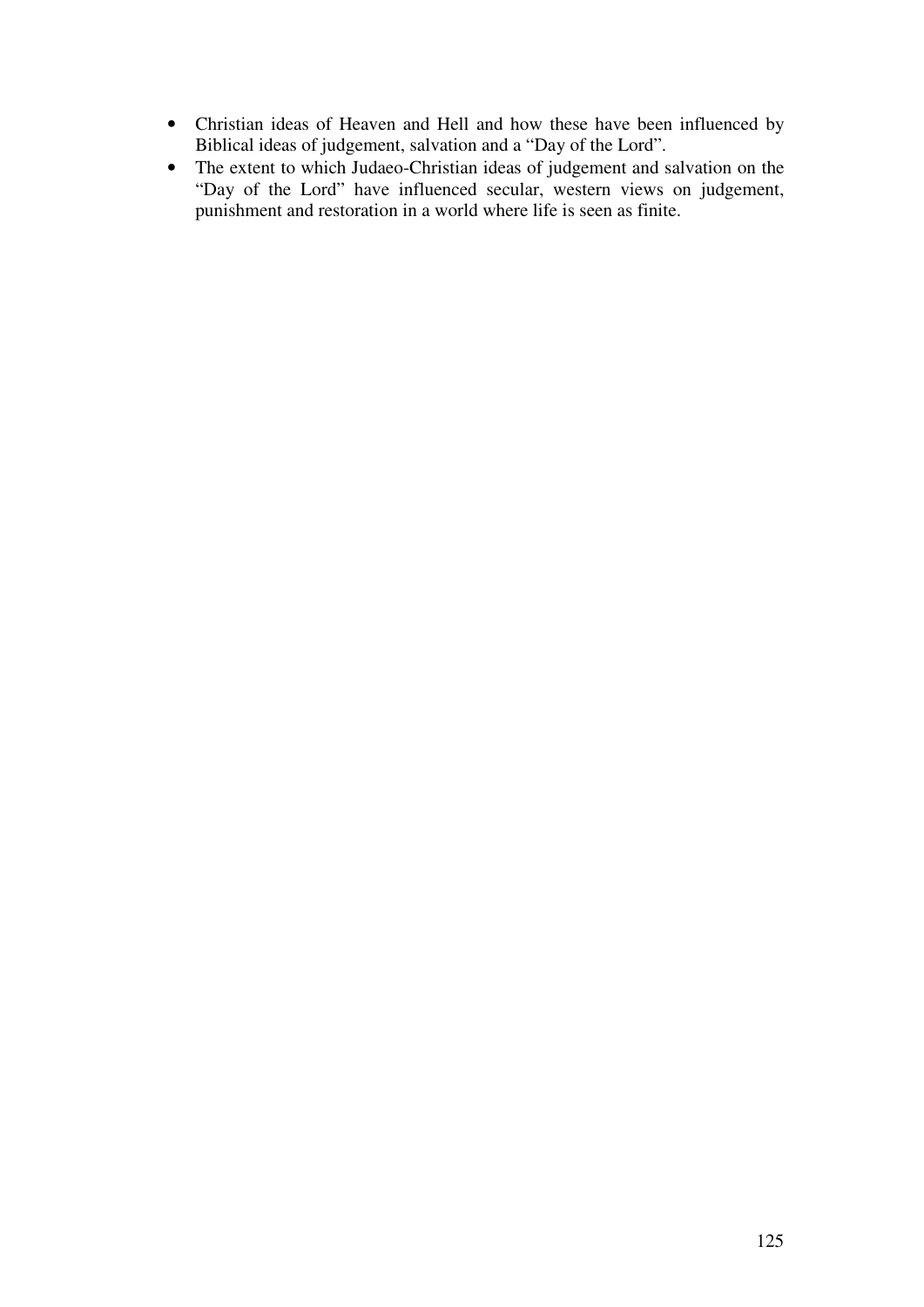- Christian ideas of Heaven and Hell and how these have been influenced by Biblical ideas of judgement, salvation and a "Day of the Lord".
- The extent to which Judaeo-Christian ideas of judgement and salvation on the "Day of the Lord" have influenced secular, western views on judgement, punishment and restoration in a world where life is seen as finite.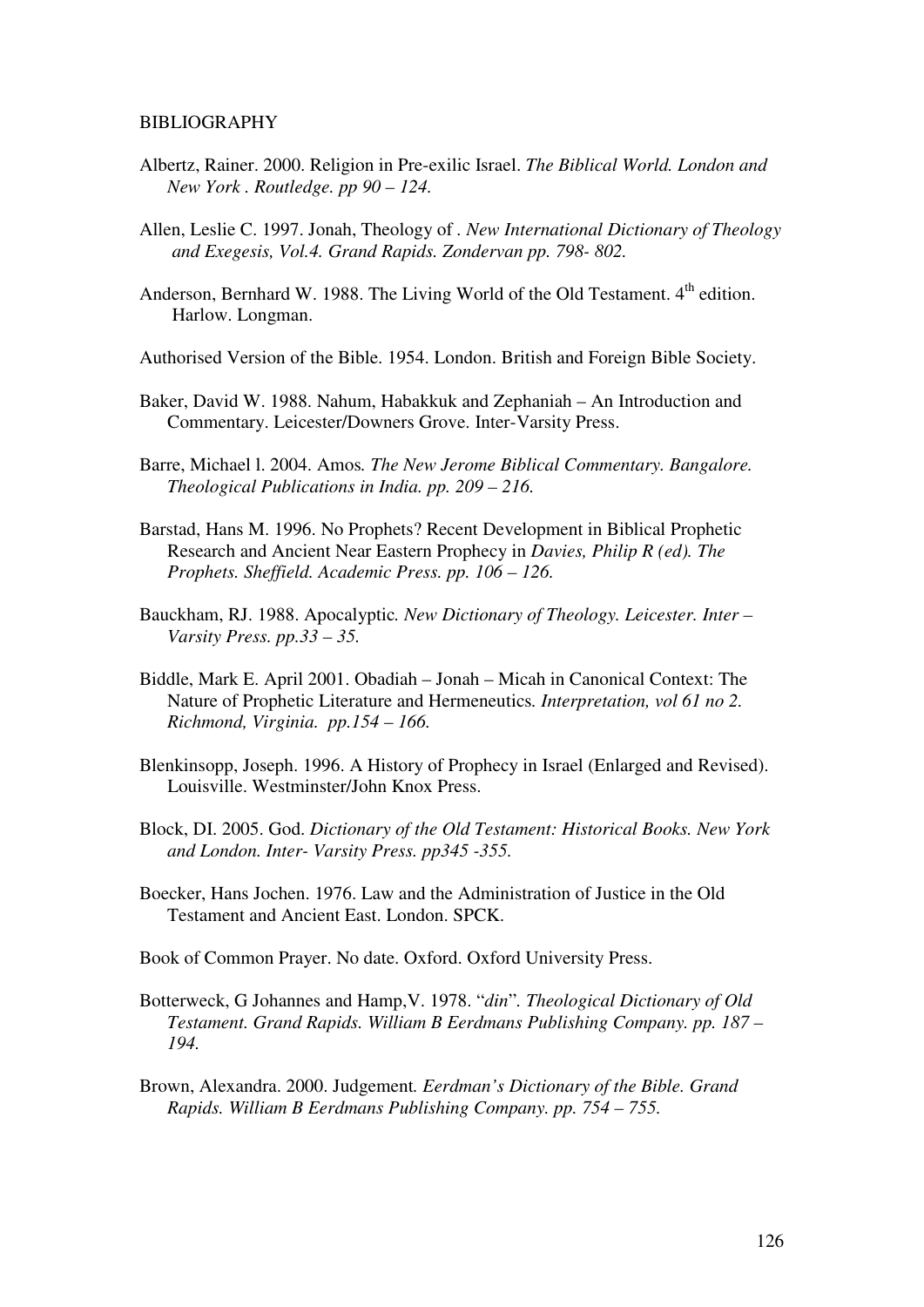#### BIBLIOGRAPHY

- Albertz, Rainer. 2000. Religion in Pre-exilic Israel. *The Biblical World. London and New York . Routledge. pp 90 – 124.*
- Allen, Leslie C. 1997. Jonah, Theology of *. New International Dictionary of Theology and Exegesis, Vol.4. Grand Rapids. Zondervan pp. 798- 802.*
- Anderson, Bernhard W. 1988. The Living World of the Old Testament. 4<sup>th</sup> edition. Harlow. Longman.
- Authorised Version of the Bible. 1954. London. British and Foreign Bible Society.
- Baker, David W. 1988. Nahum, Habakkuk and Zephaniah An Introduction and Commentary. Leicester/Downers Grove. Inter-Varsity Press.
- Barre, Michael l. 2004. Amos*. The New Jerome Biblical Commentary. Bangalore. Theological Publications in India. pp. 209 – 216.*
- Barstad, Hans M. 1996. No Prophets? Recent Development in Biblical Prophetic Research and Ancient Near Eastern Prophecy in *Davies, Philip R (ed). The Prophets. Sheffield. Academic Press. pp. 106 – 126.*
- Bauckham, RJ. 1988. Apocalyptic*. New Dictionary of Theology. Leicester. Inter Varsity Press. pp.33 – 35.*
- Biddle, Mark E. April 2001. Obadiah Jonah Micah in Canonical Context: The Nature of Prophetic Literature and Hermeneutics*. Interpretation, vol 61 no 2. Richmond, Virginia. pp.154 – 166.*
- Blenkinsopp, Joseph. 1996. A History of Prophecy in Israel (Enlarged and Revised). Louisville. Westminster/John Knox Press.
- Block, DI. 2005. God. *Dictionary of the Old Testament: Historical Books. New York and London. Inter- Varsity Press. pp345 -355.*
- Boecker, Hans Jochen. 1976. Law and the Administration of Justice in the Old Testament and Ancient East. London. SPCK.
- Book of Common Prayer. No date. Oxford. Oxford University Press.
- Botterweck, G Johannes and Hamp,V. 1978. "*din*"*. Theological Dictionary of Old Testament. Grand Rapids. William B Eerdmans Publishing Company. pp. 187 – 194.*
- Brown, Alexandra. 2000. Judgement*. Eerdman's Dictionary of the Bible. Grand Rapids. William B Eerdmans Publishing Company. pp. 754 – 755.*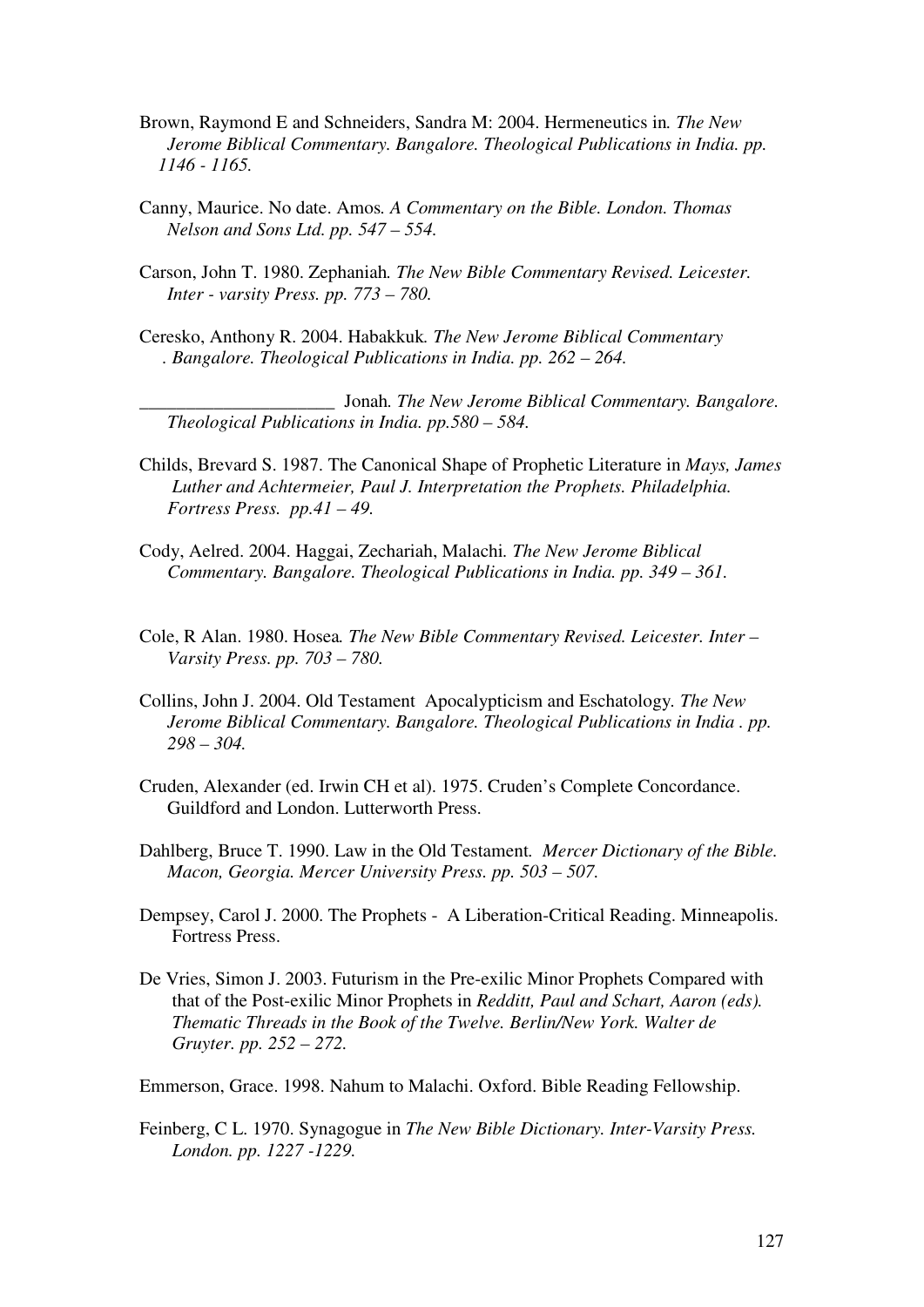- Brown, Raymond E and Schneiders, Sandra M: 2004. Hermeneutics in*. The New Jerome Biblical Commentary. Bangalore. Theological Publications in India. pp. 1146 - 1165.*
- Canny, Maurice. No date. Amos*. A Commentary on the Bible. London. Thomas Nelson and Sons Ltd. pp. 547 – 554.*
- Carson, John T. 1980. Zephaniah*. The New Bible Commentary Revised. Leicester. Inter - varsity Press. pp. 773 – 780.*
- Ceresko, Anthony R. 2004. Habakkuk*. The New Jerome Biblical Commentary . Bangalore. Theological Publications in India. pp. 262 – 264.*

\_\_\_\_\_\_\_\_\_\_\_\_\_\_\_\_\_\_\_\_\_ Jonah*. The New Jerome Biblical Commentary. Bangalore. Theological Publications in India. pp.580 – 584.* 

- Childs, Brevard S. 1987. The Canonical Shape of Prophetic Literature in *Mays, James Luther and Achtermeier, Paul J. Interpretation the Prophets. Philadelphia. Fortress Press. pp.41 – 49.*
- Cody, Aelred. 2004. Haggai, Zechariah, Malachi*. The New Jerome Biblical Commentary. Bangalore. Theological Publications in India. pp. 349 – 361.*
- Cole, R Alan. 1980. Hosea*. The New Bible Commentary Revised. Leicester. Inter Varsity Press. pp. 703 – 780.*
- Collins, John J. 2004. Old Testament Apocalypticism and Eschatology*. The New Jerome Biblical Commentary. Bangalore. Theological Publications in India . pp. 298 – 304.*
- Cruden, Alexander (ed. Irwin CH et al). 1975. Cruden's Complete Concordance. Guildford and London. Lutterworth Press.
- Dahlberg, Bruce T. 1990. Law in the Old Testament*. Mercer Dictionary of the Bible. Macon, Georgia. Mercer University Press. pp. 503 – 507.*
- Dempsey, Carol J. 2000. The Prophets A Liberation-Critical Reading. Minneapolis. Fortress Press.
- De Vries, Simon J. 2003. Futurism in the Pre-exilic Minor Prophets Compared with that of the Post-exilic Minor Prophets in *Redditt, Paul and Schart, Aaron (eds). Thematic Threads in the Book of the Twelve. Berlin/New York. Walter de Gruyter. pp. 252 – 272.*

Emmerson, Grace. 1998. Nahum to Malachi. Oxford. Bible Reading Fellowship.

Feinberg, C L. 1970. Synagogue in *The New Bible Dictionary. Inter-Varsity Press. London. pp. 1227 -1229.*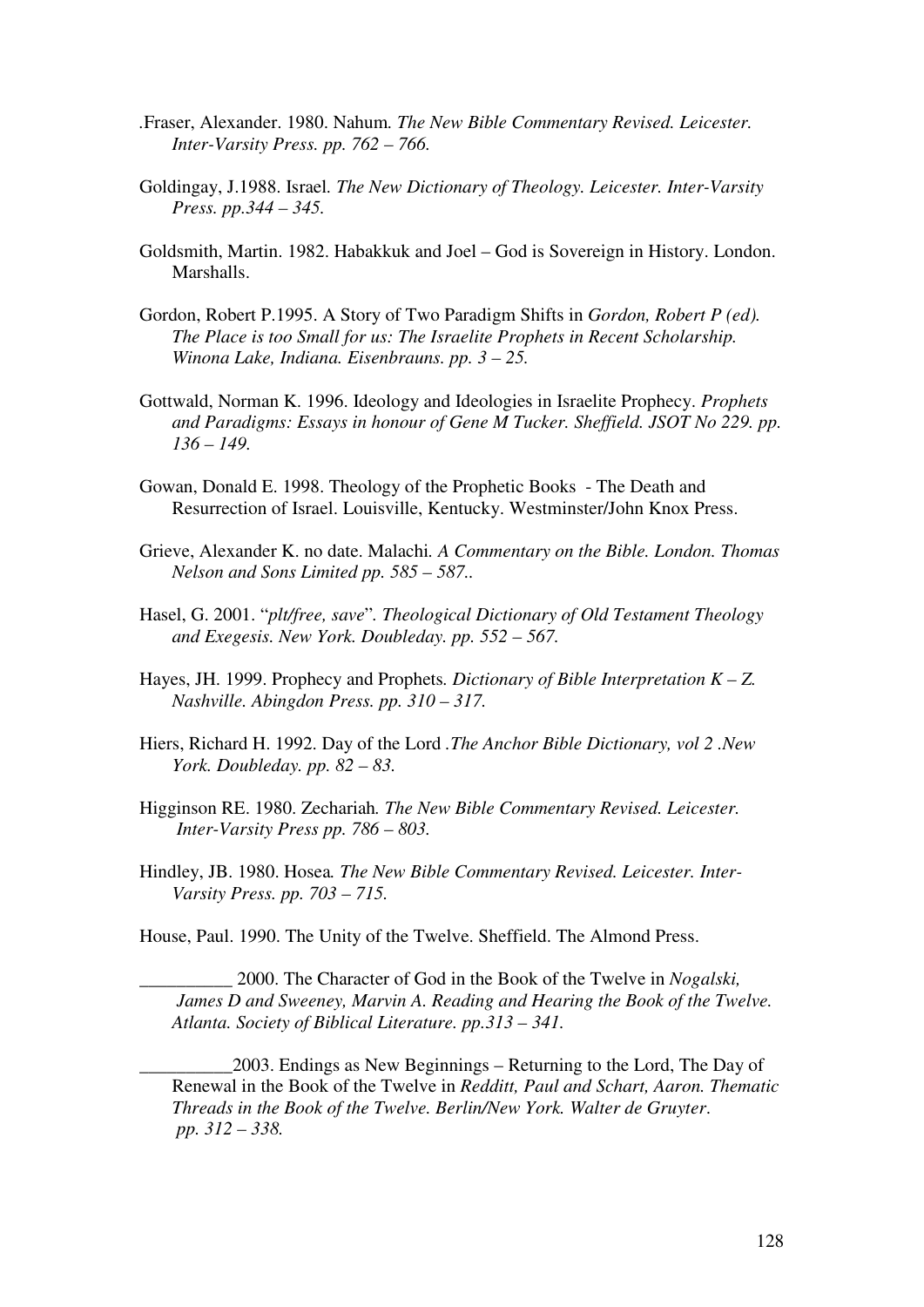- *.*Fraser, Alexander. 1980. Nahum*. The New Bible Commentary Revised. Leicester. Inter-Varsity Press. pp. 762 – 766.*
- Goldingay, J.1988. Israel*. The New Dictionary of Theology. Leicester. Inter-Varsity Press. pp.344 – 345.*
- Goldsmith, Martin. 1982. Habakkuk and Joel God is Sovereign in History. London. **Marshalls**
- Gordon, Robert P.1995. A Story of Two Paradigm Shifts in *Gordon, Robert P (ed). The Place is too Small for us: The Israelite Prophets in Recent Scholarship. Winona Lake, Indiana. Eisenbrauns. pp. 3 – 25.*
- Gottwald, Norman K. 1996. Ideology and Ideologies in Israelite Prophecy. *Prophets*  and Paradigms: Essays in honour of Gene M Tucker. Sheffield. JSOT No 229. pp.  *136 – 149.*
- Gowan, Donald E. 1998. Theology of the Prophetic Books The Death and Resurrection of Israel. Louisville, Kentucky. Westminster/John Knox Press.
- Grieve, Alexander K. no date. Malachi*. A Commentary on the Bible. London. Thomas Nelson and Sons Limited pp. 585 – 587..*
- Hasel, G. 2001. "*plt/free, save*"*. Theological Dictionary of Old Testament Theology and Exegesis. New York. Doubleday. pp. 552 – 567.*
- Hayes, JH. 1999. Prophecy and Prophets*. Dictionary of Bible Interpretation K Z. Nashville. Abingdon Press. pp. 310 – 317.*
- Hiers, Richard H. 1992. Day of the Lord *.The Anchor Bible Dictionary, vol 2 .New York. Doubleday. pp. 82 – 83.*
- Higginson RE. 1980. Zechariah*. The New Bible Commentary Revised. Leicester. Inter-Varsity Press pp. 786 – 803.*
- Hindley, JB. 1980. Hosea*. The New Bible Commentary Revised. Leicester. Inter- Varsity Press. pp. 703 – 715.*

House, Paul. 1990. The Unity of the Twelve. Sheffield. The Almond Press.

\_\_\_\_\_\_\_\_\_\_ 2000. The Character of God in the Book of the Twelve in *Nogalski, James D and Sweeney, Marvin A. Reading and Hearing the Book of the Twelve. Atlanta. Society of Biblical Literature. pp.313 – 341.* 

\_\_\_\_\_\_\_\_\_\_2003. Endings as New Beginnings – Returning to the Lord, The Day of Renewal in the Book of the Twelve in *Redditt, Paul and Schart, Aaron. Thematic Threads in the Book of the Twelve. Berlin/New York. Walter de Gruyter*. *pp. 312 – 338.*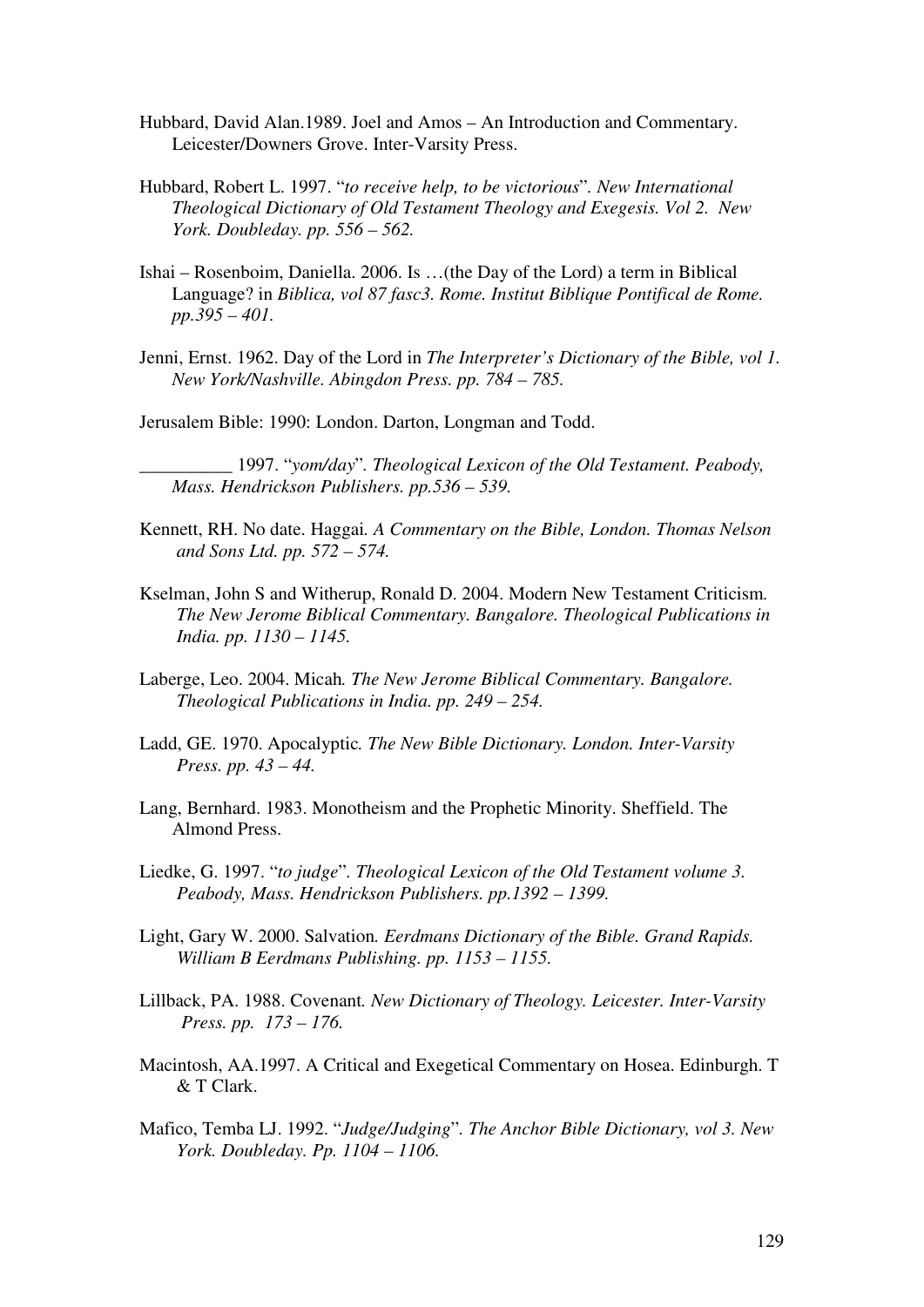- Hubbard, David Alan.1989. Joel and Amos An Introduction and Commentary. Leicester/Downers Grove. Inter-Varsity Press.
- Hubbard, Robert L. 1997. "*to receive help, to be victorious*"*. New International Theological Dictionary of Old Testament Theology and Exegesis. Vol 2. New York. Doubleday. pp. 556 – 562.*
- Ishai Rosenboim, Daniella. 2006. Is …(the Day of the Lord) a term in Biblical Language? in *Biblica, vol 87 fasc3. Rome. Institut Biblique Pontifical de Rome. pp.395 – 401.*
- Jenni, Ernst. 1962. Day of the Lord in *The Interpreter's Dictionary of the Bible, vol 1. New York/Nashville. Abingdon Press. pp. 784 – 785.*
- Jerusalem Bible: 1990: London. Darton, Longman and Todd.

\_\_\_\_\_\_\_\_\_\_ 1997. "*yom/day*"*. Theological Lexicon of the Old Testament. Peabody, Mass. Hendrickson Publishers. pp.536 – 539.* 

- Kennett, RH. No date. Haggai*. A Commentary on the Bible, London. Thomas Nelson and Sons Ltd. pp. 572 – 574.*
- Kselman, John S and Witherup, Ronald D. 2004. Modern New Testament Criticism*. The New Jerome Biblical Commentary. Bangalore. Theological Publications in India. pp. 1130 – 1145.*
- Laberge, Leo. 2004. Micah*. The New Jerome Biblical Commentary. Bangalore. Theological Publications in India. pp. 249 – 254.*
- Ladd, GE. 1970. Apocalyptic*. The New Bible Dictionary. London. Inter-Varsity Press. pp. 43 – 44.*
- Lang, Bernhard. 1983. Monotheism and the Prophetic Minority. Sheffield. The Almond Press.
- Liedke, G. 1997. "*to judge*"*. Theological Lexicon of the Old Testament volume 3. Peabody, Mass. Hendrickson Publishers. pp.1392 – 1399.*
- Light, Gary W. 2000. Salvation*. Eerdmans Dictionary of the Bible. Grand Rapids. William B Eerdmans Publishing. pp. 1153 – 1155.*
- Lillback, PA. 1988. Covenant*. New Dictionary of Theology. Leicester. Inter-Varsity Press. pp. 173 – 176.*
- Macintosh, AA.1997. A Critical and Exegetical Commentary on Hosea. Edinburgh. T & T Clark.
- Mafico, Temba LJ. 1992. "*Judge/Judging*"*. The Anchor Bible Dictionary, vol 3. New York. Doubleday. Pp. 1104 – 1106.*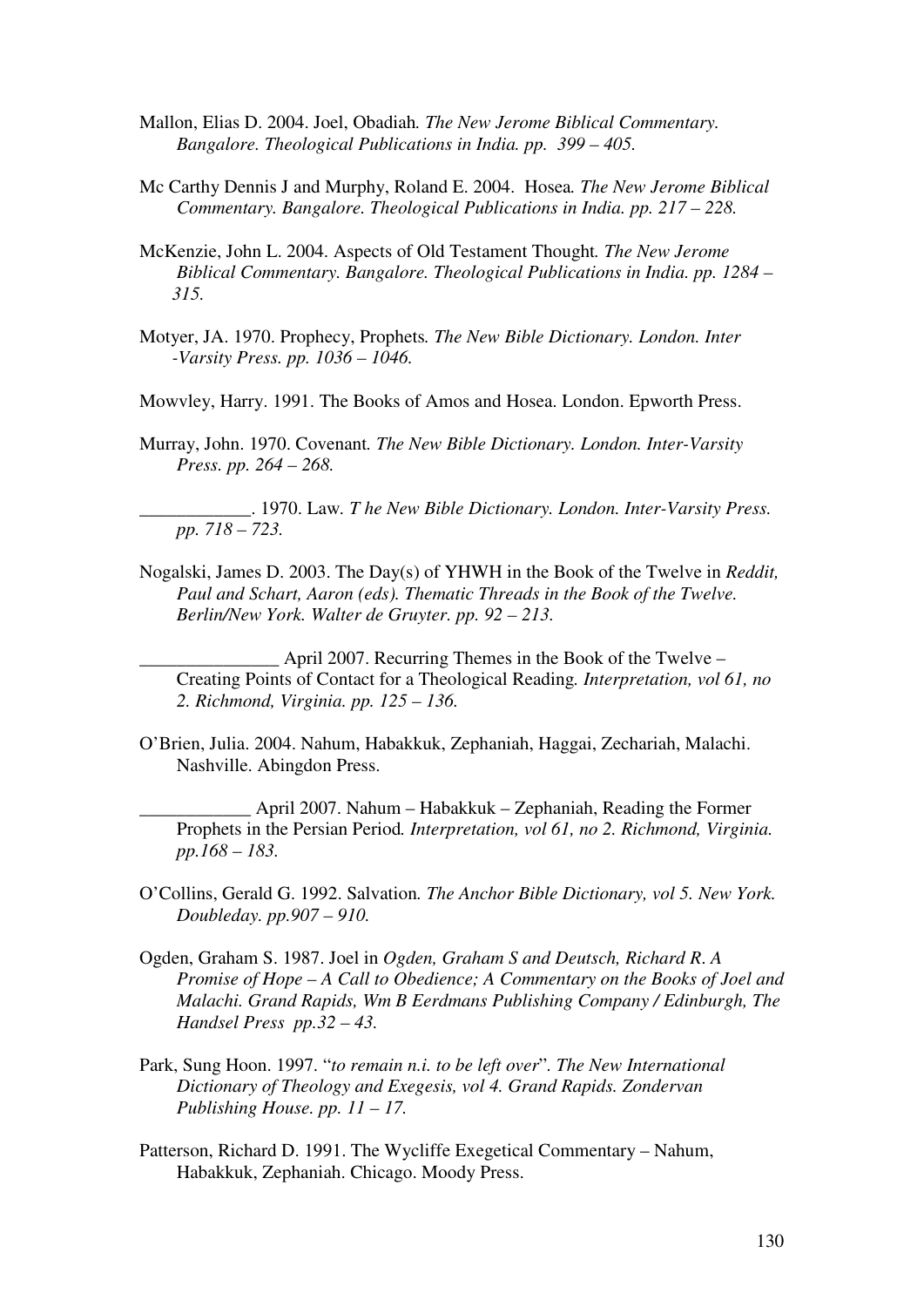- Mallon, Elias D. 2004. Joel, Obadiah*. The New Jerome Biblical Commentary. Bangalore. Theological Publications in India. pp. 399 – 405.*
- Mc Carthy Dennis J and Murphy, Roland E. 2004. Hosea*. The New Jerome Biblical Commentary. Bangalore. Theological Publications in India. pp. 217 – 228.*
- McKenzie, John L. 2004. Aspects of Old Testament Thought*. The New Jerome Biblical Commentary. Bangalore. Theological Publications in India. pp. 1284 – 315.*
- Motyer, JA. 1970. Prophecy, Prophets*. The New Bible Dictionary. London. Inter -Varsity Press. pp. 1036 – 1046.*

Mowvley, Harry. 1991. The Books of Amos and Hosea. London. Epworth Press.

Murray, John. 1970. Covenant*. The New Bible Dictionary. London. Inter-Varsity Press. pp. 264 – 268.* 

\_\_\_\_\_\_\_\_\_\_\_\_. 1970. Law*. T he New Bible Dictionary. London. Inter-Varsity Press. pp. 718 – 723.* 

Nogalski, James D. 2003. The Day(s) of YHWH in the Book of the Twelve in *Reddit, Paul and Schart, Aaron (eds). Thematic Threads in the Book of the Twelve. Berlin/New York. Walter de Gruyter. pp. 92 – 213.* 

 $\Delta$  April 2007. Recurring Themes in the Book of the Twelve – Creating Points of Contact for a Theological Reading*. Interpretation, vol 61, no 2. Richmond, Virginia. pp. 125 – 136.* 

O'Brien, Julia. 2004. Nahum, Habakkuk, Zephaniah, Haggai, Zechariah, Malachi. Nashville. Abingdon Press.

\_\_\_\_\_\_\_\_\_\_\_\_ April 2007. Nahum – Habakkuk – Zephaniah, Reading the Former Prophets in the Persian Period*. Interpretation, vol 61, no 2. Richmond, Virginia. pp.168 – 183.* 

- O'Collins, Gerald G. 1992. Salvation*. The Anchor Bible Dictionary, vol 5. New York. Doubleday. pp.907 – 910.*
- Ogden, Graham S. 1987. Joel in *Ogden, Graham S and Deutsch, Richard R*. *A Promise of Hope – A Call to Obedience; A Commentary on the Books of Joel and Malachi. Grand Rapids, Wm B Eerdmans Publishing Company / Edinburgh, The Handsel Press pp.32 – 43.*
- Park, Sung Hoon. 1997. "*to remain n.i. to be left over*"*. The New International Dictionary of Theology and Exegesis, vol 4. Grand Rapids. Zondervan Publishing House. pp. 11 – 17.*
- Patterson, Richard D. 1991. The Wycliffe Exegetical Commentary Nahum, Habakkuk, Zephaniah. Chicago. Moody Press.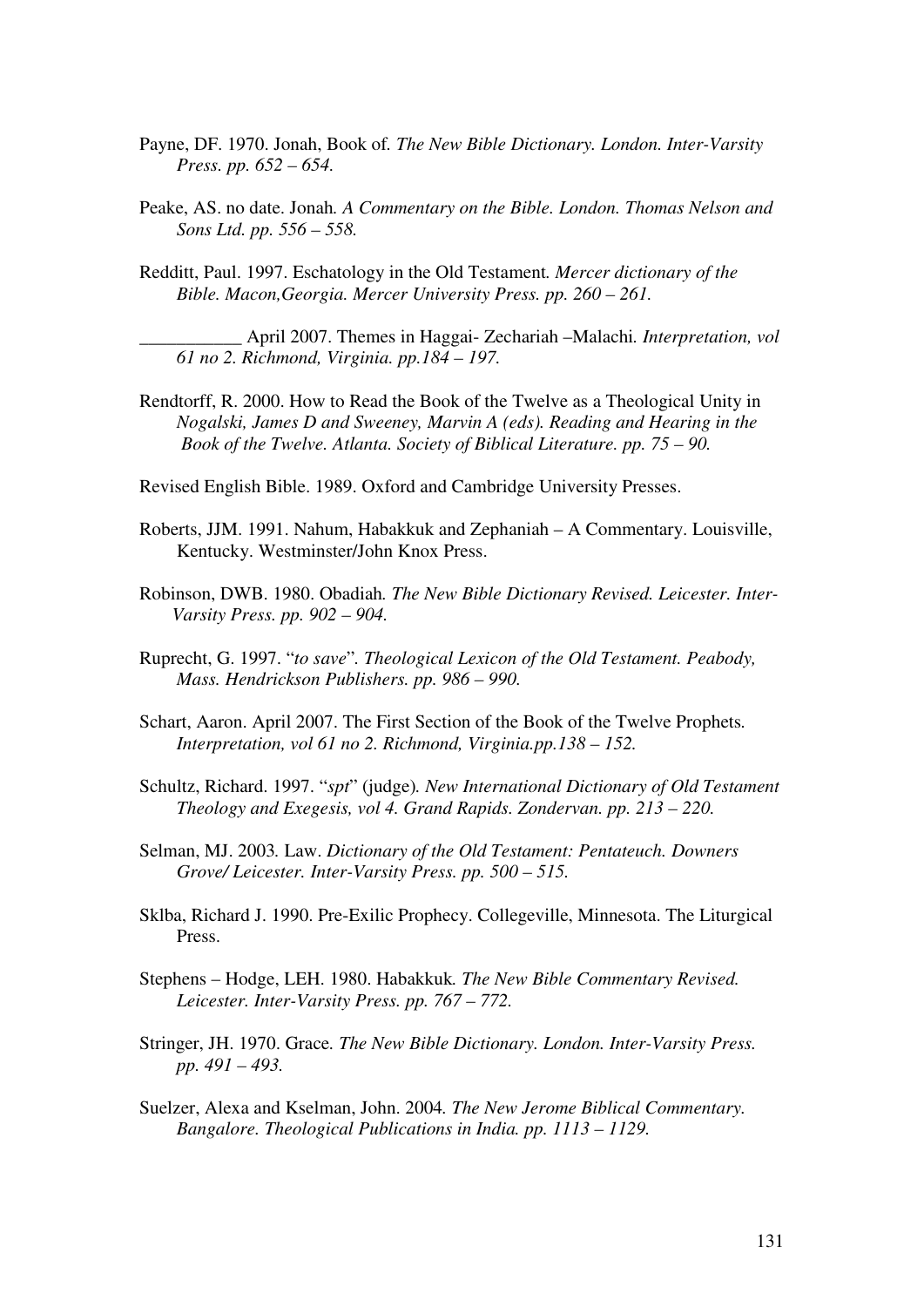- Payne, DF. 1970. Jonah, Book of*. The New Bible Dictionary. London. Inter-Varsity Press. pp. 652 – 654.*
- Peake, AS. no date. Jonah*. A Commentary on the Bible. London. Thomas Nelson and Sons Ltd. pp. 556 – 558.*
- Redditt, Paul. 1997. Eschatology in the Old Testament*. Mercer dictionary of the Bible. Macon,Georgia. Mercer University Press. pp. 260 – 261.*

\_\_\_\_\_\_\_\_\_\_\_ April 2007. Themes in Haggai- Zechariah –Malachi*. Interpretation, vol 61 no 2. Richmond, Virginia. pp.184 – 197.* 

Rendtorff, R. 2000. How to Read the Book of the Twelve as a Theological Unity in *Nogalski, James D and Sweeney, Marvin A (eds). Reading and Hearing in the Book of the Twelve. Atlanta. Society of Biblical Literature. pp. 75 – 90.* 

Revised English Bible. 1989. Oxford and Cambridge University Presses.

- Roberts, JJM. 1991. Nahum, Habakkuk and Zephaniah A Commentary. Louisville, Kentucky. Westminster/John Knox Press.
- Robinson, DWB. 1980. Obadiah*. The New Bible Dictionary Revised. Leicester. Inter- Varsity Press. pp. 902 – 904.*
- Ruprecht, G. 1997. "*to save*"*. Theological Lexicon of the Old Testament. Peabody, Mass. Hendrickson Publishers. pp. 986 – 990.*
- Schart, Aaron. April 2007. The First Section of the Book of the Twelve Prophets*. Interpretation, vol 61 no 2. Richmond, Virginia.pp.138 – 152.*
- Schultz, Richard. 1997. "*spt*" (judge)*. New International Dictionary of Old Testament Theology and Exegesis, vol 4. Grand Rapids. Zondervan. pp. 213 – 220.*
- Selman, MJ. 2003*.* Law. *Dictionary of the Old Testament: Pentateuch. Downers Grove/ Leicester. Inter-Varsity Press. pp. 500 – 515.*
- Sklba, Richard J. 1990. Pre-Exilic Prophecy. Collegeville, Minnesota. The Liturgical Press.
- Stephens Hodge, LEH. 1980. Habakkuk*. The New Bible Commentary Revised. Leicester. Inter-Varsity Press. pp. 767 – 772.*
- Stringer, JH. 1970. Grace*. The New Bible Dictionary. London. Inter-Varsity Press. pp. 491 – 493.*
- Suelzer, Alexa and Kselman, John. 2004*. The New Jerome Biblical Commentary. Bangalore. Theological Publications in India. pp. 1113 – 1129.*